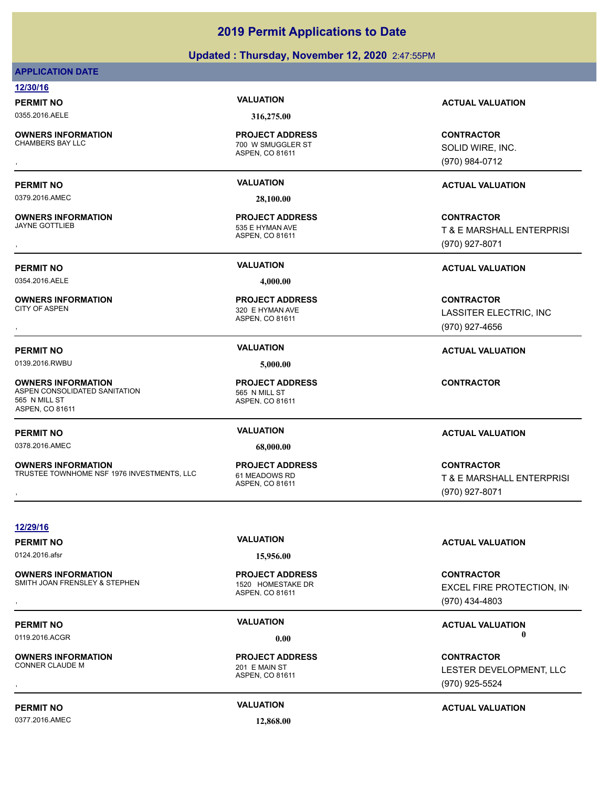## **Updated : Thursday, November 12, 2020** 2:47:55PM

## **APPLICATION DATE**

## **12/30/16**

0355.2016.AELE **316,275.00**

**OWNERS INFORMATION**

**PERMIT NO CONSUMITY OF A CONSUMITY OF A CONSUMITY OF A CONSUMITY OF A CTUAL VALUATION** 

0379.2016.AMEC **28,100.00**

**OWNERS INFORMATION**

ASPEN, CO 81611 CHAMBERS BAY LLC **The CHAMBERS BAY LLC CHAMBERS** BAY LLC **PROJECT ADDRESS**

535 E HYMAN AVE **PROJECT ADDRESS**

0354.2016.AELE **4,000.00**

**OWNERS INFORMATION** CITY OF ASPEN 320 E HYMAN AVE

0139.2016.RWBU **5,000.00**

**OWNERS INFORMATION** ASPEN CONSOLIDATED SANITATION 565 N MILL ST 565 N MILL ST ASPEN, CO 81611

0378.2016.AMEC **68,000.00**

**OWNERS INFORMATION** TRUSTEE TOWNHOME NSF 1976 INVESTMENTS, LLC 61 MEADOWS RD

## **12/29/16**

0124.2016.afsr **15,956.00**

**OWNERS INFORMATION** SMITH JOAN FRENSLEY & STEPHEN 1520 HOMESTAKE DR

0119.2016.ACGR **0.00 0.00**

**OWNERS INFORMATION**

0377.2016.AMEC **12,868.00**

ASPEN, CO 81611

ASPEN, CO 81611 **PROJECT ADDRESS**

ASPEN, CO 81611 **PROJECT ADDRESS**

**PERMIT NO VALUATION ACTUAL VALUATION**

**OWNERS INFORMATION PROJECT ADDRESS CONTRACTOR**<br>CHAMBERS BAY LLC 700 W SMUGGLER ST SOLID WIRE, INC.<br>, ASPEN, CO 81611 SOLID WIRE, INC. (970) 984-0712

, **CONTRACTOR** T & E MARSHALL ENTERPRISI (970) 927-8071

## **PERMIT NO VALUATION VALUATION VALUATION**

, **CONTRACTOR** LASSITER ELECTRIC, INC (970) 927-4656

## **PERMIT NO CONSUMITY OF A CONSUMITY OF A CONSUMITY OF A CONSUMITY OF A CTUAL VALUATION**

## **CONTRACTOR**

**OWNERS INFORMATION FROJECT ADDRESS ARE SERVICE ONTRACTOR CONTRACTOR**<br>TRUSTEE TOWNHOME NSF 1976 INVESTMENTS, LLC 61 MEADOWS RD<br>ASPEN, CO 81611 ASPEN (970) 927-8071 T & E MARSHALL ENTERPRISI (970) 927-8071

**PERMIT NO VALUATION ACTUAL VALUATION**

**OWNERS INFORMATION EXECUTE: ADDRESS ARE:** THE SOLUTION ON THE SOLUTION ON THE SOLUTION, IN THE SOLUTION, IN TH<br>
SMITH JOAN FRENSLEY & STEPHEN ASPEN ON THE SOLUTION OF THE PROTECTION, IN THE SOLUTION, INCOLORED ASPEN. CO 8 **EXCEL FIRE PROTECTION, IN** (970) 434-4803

## **PERMIT NO VALUATION ACTUAL VALUATION**

, **CONTRACTOR** LESTER DEVELOPMENT, LLC (970) 925-5524

ASPEN, CO 81611

201 E MAIN ST **PROJECT ADDRESS**

ASPEN, CO 81611

**PROJECT ADDRESS**

**PERMIT NO VALUATION ACTUAL VALUATION**

**PERMIT NO VALUATION VALUATION VALUATION** 

ASPEN, CO 81611 **PROJECT ADDRESS**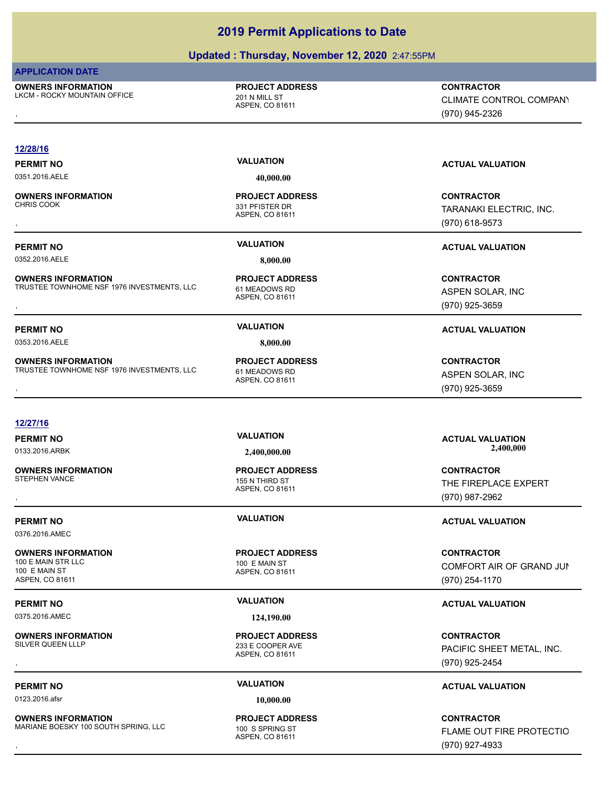## **Updated : Thursday, November 12, 2020** 2:47:55PM

## **APPLICATION DATE**

**OWNERS INFORMATION** LKCM - ROCKY MOUNTAIN OFFICE 201 N MILL ST

## **PROJECT ADDRESS**

ASPEN, CO 81611

, **CONTRACTOR** CLIMATE CONTROL COMPANY (970) 945-2326

## **12/28/16**

## 0351.2016.AELE **40,000.00**

**OWNERS INFORMATION**

0352.2016.AELE **8,000.00**

**OWNERS INFORMATION** TRUSTEE TOWNHOME NSF 1976 INVESTMENTS, LLC 61 MEADOWS RD , **CONTRACTOR**

0353.2016.AELE **8,000.00**

**OWNERS INFORMATION** TRUSTEE TOWNHOME NSF 1976 INVESTMENTS, LLC 61 MEADOWS RD **OWNERS INFORMATION FROJECT ADDRESS CONTRACTOR CONTRACTOR**<br>TRUSTEE TOWNHOME NSF 1976 INVESTMENTS, LLC 61 MEADOWS RD ASPEN SOLAR, INC<br>ASPEN, CO 81611 4SPEN, 1970) 925-3659

## **12/27/16**

**OWNERS INFORMATION**

0376.2016.AMEC

## **OWNERS INFORMATION**

100 E MAIN STR LLC 100 E MAIN ST 100 E MAIN ST ASPEN, CO 81611

0375.2016.AMEC **124,190.00**

**OWNERS INFORMATION**<br>SILVER QUEEN LLLP

0123.2016.afsr **10,000.00**

**OWNERS INFORMATION** MARIANE BOESKY 100 SOUTH SPRING, LLC 100 S SPRING ST

ASPEN, CO 81611 331 PEISTER DR **PROJECT ADDRESS**

ASPEN, CO 81611 **PROJECT ADDRESS**

ASPEN, CO 81611 **PROJECT ADDRESS**

ASPEN, CO 81611 155 N THIRD ST **PROJECT ADDRESS**

ASPEN, CO 81611 **PROJECT ADDRESS**

ASPEN, CO 81611 233 E COOPER AVE **PROJECT ADDRESS**

## ASPEN, CO 81611 **PROJECT ADDRESS**

**PERMIT NO VALUATION VALUATION VALUATION** 

, **CONTRACTOR** TARANAKI ELECTRIC, INC. (970) 618-9573

## **PERMIT NO VALUATION ACTUAL VALUATION**

## ASPEN SOLAR, INC (970) 925-3659

## **PERMIT NO VALUATION ACTUAL VALUATION**

ASPEN SOLAR, INC (970) 925-3659

**PERMIT NO VALUATION ACTUAL VALUATION** 0133.2016.ARBK **2,400,000.00 2,400,000.00**

, **CONTRACTOR** THE FIREPLACE EXPERT (970) 987-2962

## **PERMIT NO VALUATION ACTUAL VALUATION**

**CONTRACTOR** COMFORT AIR OF GRAND JUN (970) 254-1170

## **PERMIT NO VALUATION ACTUAL VALUATION**

, **CONTRACTOR** PACIFIC SHEET METAL, INC. (970) 925-2454

## **PERMIT NO VALUATION ACTUAL VALUATION**

**OWNERS INFORMATION MARIATION DESCRIPTED BY A SERVING ST AND RESS CONTRACTOR CONTRACTOR**<br>MARIANE BOESKY 100 SOUTH SPRING, LLC ASPEN, CO 81611 ASPEN, CO 81611 **100 S SPRING ST**<br>, GTO) 927-4933 FLAME OUT FIRE PROTECTIO (970) 927-4933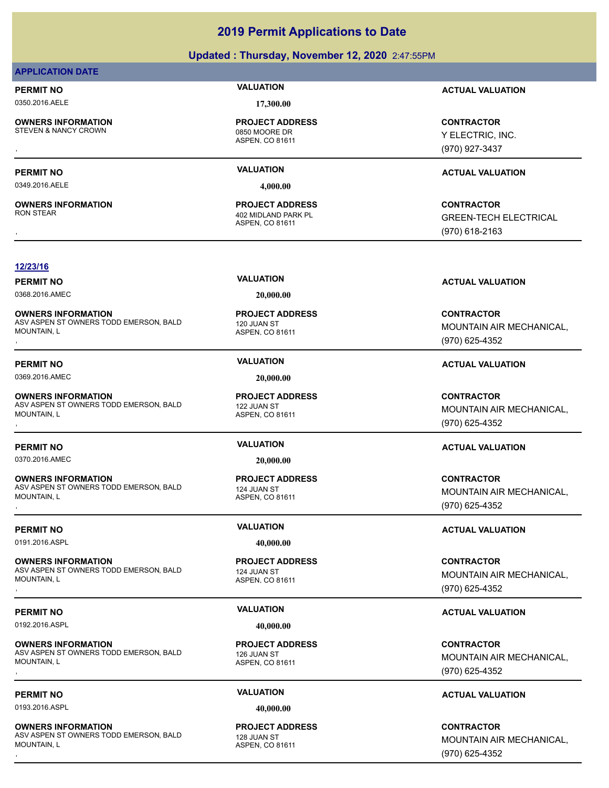## **Updated : Thursday, November 12, 2020** 2:47:55PM

## **APPLICATION DATE**

## 0350.2016.AELE **17,300.00**

**OWNERS INFORMATION**

STEVEN & NANCY CROWN 0850 MOORE DR

**OWNERS INFORMATION**

ASPEN, CO 81611 **PROJECT ADDRESS**

0349.2016.AELE **4,000.00**

ASPEN, CO 81611 **402 MIDLAND PARK PL PROJECT ADDRESS**

## **PERMIT NO VALUATION ACTUAL VALUATION**

, **CONTRACTOR** Y ELECTRIC, INC. (970) 927-3437

## **PERMIT NO VALUATION ACTUAL VALUATION**

, **CONTRACTOR** GREEN-TECH ELECTRICAL (970) 618-2163

## **12/23/16**

0368.2016.AMEC **20,000.00**

**OWNERS INFORMATION** ASV ASPEN ST OWNERS TODD EMERSON, BALD MOUNTAIN, L , **CONTRACTOR**

0369.2016.AMEC **20,000.00**

**OWNERS INFORMATION** ASV ASPEN ST OWNERS TODD EMERSON, BALD MOUNTAIN, L **OWNERS INFORMATION DEARS ON TROJECT ADDRESS ARE CONTRACTOR CONTRACTOR CONTRACTOR**<br>ASV ASPEN ST OWNERS TODD EMERSON, BALD 122 JUAN ST ASPEN. CO 81611 MOUNTAIN AIR MECHANICAL, AND MOUNTAIN AIR MECHANICAL,<br>MOUNTAIN, L<br>,

0370.2016.AMEC **20,000.00**

**OWNERS INFORMATION** ASV ASPEN ST OWNERS TODD EMERSON, BALD MOUNTAIN, L **OWNERS INFORMATION DEARS ON TROJECT ADDRESS ARE CONTRACTOR CONTRACTOR CONTRACTOR**<br>ASV ASPEN ST OWNERS TODD EMERSON, BALD ASPEN, CO 81611 ASPEN CO 81611 MOUNTAIN AIR MECHANICAL, AND MOUNTAIN AIR MECHANICAL,<br>MOUNTAIN, L<br>,

0191.2016.ASPL **40,000.00**

**OWNERS INFORMATION** ASV ASPEN ST OWNERS TODD EMERSON, BALD MOUNTAIN, L

0192.2016.ASPL **40,000.00**

**OWNERS INFORMATION** ASV ASPEN ST OWNERS TODD EMERSON, BALD MOUNTAIN, L

0193.2016.ASPL **40,000.00**

**OWNERS INFORMATION** ASV ASPEN ST OWNERS TODD EMERSON, BALD MOUNTAIN, L

ASPEN, CO 81611 120 JUAN ST **PROJECT ADDRESS**

ASPEN, CO 81611 122 JUAN ST **PROJECT ADDRESS**

ASPEN, CO 81611 124 JUAN ST **PROJECT ADDRESS**

ASPEN, CO 81611 124 JUAN ST **PROJECT ADDRESS**

ASPEN, CO 81611 126 JUAN ST **PROJECT ADDRESS**

ASPEN, CO 81611 128 JUAN ST **PROJECT ADDRESS**

**PERMIT NO VALUATION ACTUAL VALUATION**

MOUNTAIN AIR MECHANICAL, (970) 625-4352

## **PERMIT NO VALUATION ACTUAL VALUATION**

MOUNTAIN AIR MECHANICAL, (970) 625-4352

## **PERMIT NO VALUATION ACTUAL VALUATION**

MOUNTAIN AIR MECHANICAL, (970) 625-4352

## **PERMIT NO VALUATION ACTUAL VALUATION**

, **CONTRACTOR** MOUNTAIN AIR MECHANICAL, (970) 625-4352

## **PERMIT NO VALUATION ACTUAL VALUATION**

**OWNERS INFORMATION DEARS ON TROJECT ADDRESS ARE SERVICE CONTRACTOR CONTROURDED ASSESS AND MOUNTAIN AIR MECHANICAL,<br>ASV ASPEN ST OWNERS TODD EMERSON, BALD ASPEN. CO 81611 ASPEN ON MOUNTAIN AIR MECHANICAL, ASPEN CO 81611 AS** MOUNTAIN AIR MECHANICAL, (970) 625-4352

## **PERMIT NO VALUATION ACTUAL VALUATION**

**OWNERS INFORMATION DEARS ON THE REPOLUT ADDRESS CONTRACTOR CONTRACTOR CONTRACTOR**<br>ASV ASPEN ST OWNERS TODD EMERSON, BALD 128 JUAN ST THE MOUNTAIN AIR MECHANICAL, AND MOUNTAIN AIR MECHANICAL, A<br>MOUNTAIN, L<br>, MOUNTAIN AIR MECHANICAL, (970) 625-4352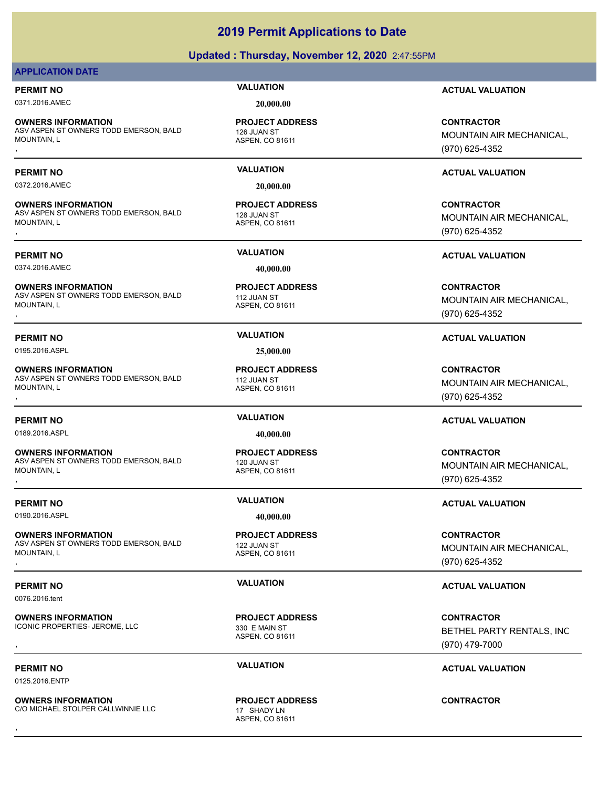## **Updated : Thursday, November 12, 2020** 2:47:55PM

## **APPLICATION DATE**

0371.2016.AMEC **20,000.00**

**OWNERS INFORMATION** ASV ASPEN ST OWNERS TODD EMERSON, BALD MOUNTAIN, L **OWNERS INFORMATION DEARS ON THE REPOLUT ADDRESS CONTRACTOR CONTRACTOR CONTRACTOR**<br>ASV ASPEN ST OWNERS TODD EMERSON, BALD 126 JUAN ST ASPEN, CO 81611 MOUNTAIN AIR MECHANICAL, AND MOUNTAIN AIR MECHANICAL,<br>MOUNTAIN, L<br>,

0372.2016.AMEC **20,000.00**

**OWNERS INFORMATION** ASV ASPEN ST OWNERS TODD EMERSON, BALD MOUNTAIN, L **OWNERS INFORMATION DEARS ON TROJECT ADDRESS ARE SERVICE CONTRACTOR CONTROURDY ASSUMENCES AND RESONANCE TROJECT<br>ASV ASPEN ST OWNERS TODD EMERSON, BALD ASPEN. CO 81611 ASPEN AND MOUNTAIN AIR MECHANICAL, AND MOUNTAIN AIR MEC** 

0374.2016.AMEC **40,000.00**

**OWNERS INFORMATION** ASV ASPEN ST OWNERS TODD EMERSON, BALD MOUNTAIN, L **OWNERS INFORMATION DEARS ON THE REPOLUT ADDRESS CONTRACTOR CONTRACTOR CONTRACTOR**<br>ASV ASPEN ST OWNERS TODD EMERSON, BALD 112 JUAN ST ASPEN, CO 81611 MOUNTAIN AIR MECHANICAL, AND MOUNTAIN AIR MECHANICAL,<br>MOUNTAIN, L<br>,

0195.2016.ASPL **25,000.00**

**OWNERS INFORMATION** ASV ASPEN ST OWNERS TODD EMERSON, BALD MOUNTAIN I **OWNERS INFORMATION DEARS ON TROJECT ADDRESS ARE SERVICE CONTRACTOR CONTROURDED ASSESS AND MOUNTAIN AIR MECHANICAL,<br>ASV ASPEN ST OWNERS TODD EMERSON, BALD ASPEN. CO 81611 ASPEN ASPEN. CO 81611 <b>ASPEN ASPEN ASPEN ASPEN.** CO

**OWNERS INFORMATION** ASV ASPEN ST OWNERS TODD EMERSON, BALD MOUNTAIN, L

0190.2016.ASPL **40,000.00**

**OWNERS INFORMATION** ASV ASPEN ST OWNERS TODD EMERSON, BALD MOUNTAIN, L **OWNERS INFORMATION DEARS ON TROJECT ADDRESS ARE CONTRACTOR CONTRACTOR CONTRACTOR**<br>ASV ASPEN ST OWNERS TODD EMERSON, BALD 122 JUAN ST ASPEN. CO 81611 MOUNTAIN AIR MECHANICAL, AND MOUNTAIN AIR MECHANICAL,<br>MOUNTAIN, L<br>,

0076.2016.tent

**OWNERS INFORMATION** ICONIC PROPERTIES- JEROME, LLC<br>330 E MAIN ST

0125.2016.ENTP

**OWNERS INFORMATION** C/O MICHAEL STOLPER CALLWINNIE LLC 17 SHADY IN , **CONTRACTOR**

126 JUAN ST **PROJECT ADDRESS**

ASPEN, CO 81611

ASPEN, CO 81611 128 JUAN ST **PROJECT ADDRESS**

ASPEN, CO 81611 112 JUAN ST **PROJECT ADDRESS**

ASPEN, CO 81611 112 JUAN ST **PROJECT ADDRESS**

ASPEN, CO 81611 120 JUAN ST

ASPEN, CO 81611 **122 JUAN ST PROJECT ADDRESS**

ASPEN, CO 81611 **PROJECT ADDRESS**

ASPEN, CO 81611 **PROJECT ADDRESS**

**PERMIT NO VALUATION ACTUAL VALUATION**

MOUNTAIN AIR MECHANICAL, (970) 625-4352

## **PERMIT NO VALUATION ACTUAL VALUATION**

MOUNTAIN AIR MECHANICAL, (970) 625-4352

## **PERMIT NO VALUATION ACTUAL VALUATION**

MOUNTAIN AIR MECHANICAL, (970) 625-4352

MOUNTAIN AIR MECHANICAL, (970) 625-4352

## **PERMIT NO VALUATION ACTUAL VALUATION**

, **CONTRACTOR** MOUNTAIN AIR MECHANICAL, (970) 625-4352

## **PERMIT NO VALUATION ACTUAL VALUATION**

MOUNTAIN AIR MECHANICAL, (970) 625-4352

## **PERMIT NO VALUATION VALUATION VALUATION**

, **CONTRACTOR** BETHEL PARTY RENTALS, INC (970) 479-7000

## **PERMIT NO VALUATION ACTUAL VALUATION**

# 0189.2016.ASPL **40,000.00**

# **PROJECT ADDRESS**

# **PERMIT NO VALUATION ACTUAL VALUATION**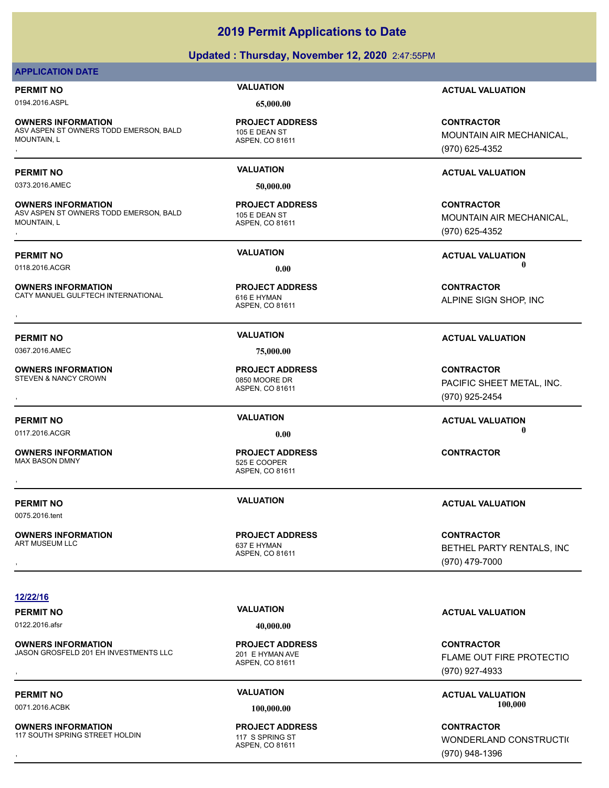## **Updated : Thursday, November 12, 2020** 2:47:55PM

## **APPLICATION DATE**

0194.2016.ASPL **65,000.00**

**OWNERS INFORMATION** ASV ASPEN ST OWNERS TODD EMERSON, BALD MOUNTAIN, L **OWNERS INFORMATION DEARS ON THE REPOLUT ADDRESS ARE CONTRACTOR CONTRACTOR**<br>ASV ASPEN ST OWNERS TODD EMERSON, BALD 195 E DEAN ST MOUNTAIN AIR MECHANICAL, AND MOUNTAIN AIR MECHANICAL, ASPEN<br>MOUNTAIN, L<br>,

0373.2016.AMEC **50,000.00**

**OWNERS INFORMATION** ASV ASPEN ST OWNERS TODD EMERSON, BALD MOUNTAIN, L **OWNERS INFORMATION DEARS ON TROJECT ADDRESS ARE SERVICE CONTRACTOR CONTRACTOR**<br>ASV ASPEN ST OWNERS TODD EMERSON, BALD ASPEN OF DEAN ST MOUNTAIN AIR MECHANICAL, AND MOUNTAIN AIR MECHANICAL,<br>MOUNTAIN, L (970) 625-4352

**OWNERS INFORMATION** CATY MANUEL GULFTECH INTERNATIONAL 616 E HYMAN **OWNERS INFORMATION FROJECT ADDRESS ARE SOUTRACTOR CONTRACTOR**<br>CATY MANUEL GULFTECH INTERNATIONAL G16 E HYMAN ASPEN, CO 81611 ALPINE SIGN SHOP, INC<br>,

**OWNERS INFORMATION** STEVEN & NANCY CROWN 0850 MOORE DR

**OWNERS INFORMATION**

0075.2016.tent

**OWNERS INFORMATION** ART MUSEUM LLC<br>637 E HYMAN

ASPEN, CO 81611 105 E DEAN ST **PROJECT ADDRESS**

ASPEN, CO 81611 105 E DEAN ST **PROJECT ADDRESS**

ASPEN, CO 81611 **PROJECT ADDRESS**

0367.2016.AMEC **75,000.00**

ASPEN, CO 81611

ASPEN, CO 81611 525 E COOPER **PROJECT ADDRESS** , **CONTRACTOR**

## **PERMIT NO VALUATION ACTUAL VALUATION**

MOUNTAIN AIR MECHANICAL, (970) 625-4352

## **PERMIT NO VALUATION ACTUAL VALUATION**

MOUNTAIN AIR MECHANICAL, (970) 625-4352

**PERMIT NO VALUATION ACTUAL VALUATION** 0118.2016.ACGR **0.00 0.00**

ALPINE SIGN SHOP, INC

, **CONTRACTOR** PACIFIC SHEET METAL, INC. (970) 925-2454

**PERMIT NO CONSUMITY OF A CONSUMITY OF A CONSUMITY OF A CONSUMITY OF A CTUAL VALUATION** 0117.2016.ACGR **0.00 0.00**

## **PERMIT NO VALUATION ACTUAL VALUATION**

**OWNERS INFORMATION PROJECT ADDRESS CONTRACTOR**<br>ART MUSEUM LLC 637 E HYMAN<br>, ASPEN. CO 81611 (970) 479-7000 BETHEL PARTY RENTALS, INC (970) 479-7000

## **12/22/16**

0122.2016.afsr **40,000.00**

**OWNERS INFORMATION** JASON GROSFELD 201 EH INVESTMENTS LLC 201 E HYMAN AVE

**OWNERS INFORMATION** 117 SOUTH SPRING STREET HOLDIN 117 S SPRING ST

ASPEN, CO 81611 **PROJECT ADDRESS**

ASPEN, CO 81611 **PROJECT ADDRESS**

**PERMIT NO VALUATION ACTUAL VALUATION**

## , **CONTRACTOR** FLAME OUT FIRE PROTECTIO (970) 927-4933

**PERMIT NO VALUATION ACTUAL VALUATION** 0071.2016.ACBK **100,000.00 100,000.00**

## **OWNERS INFORMATION METALLY SERVICE TO A PROJECT ADDRESS ARE SERVICE CONTRACTOR**<br>117 SOUTH SPRING STREET HOLDIN THE SPRING ST THAT SEPRING ST THE SPRING ST MONDERLAND CONSTRUCTION<br>The Spen, CO 81611 Mass of the Spen Street WONDERLAND CONSTRUCTION (970) 948-1396

ASPEN, CO 81611 **PROJECT ADDRESS**

**PERMIT NO VALUATION ACTUAL VALUATION**

**PROJECT ADDRESS**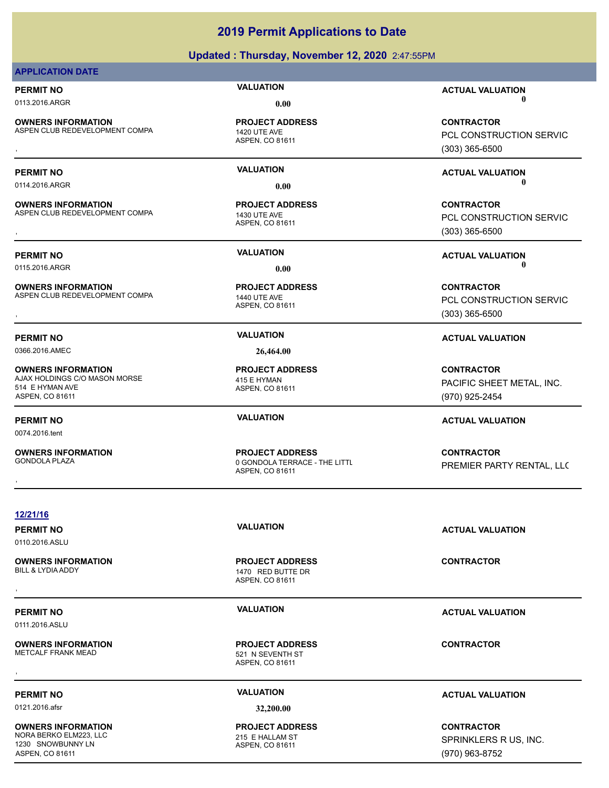## **Updated : Thursday, November 12, 2020** 2:47:55PM

## **APPLICATION DATE**

**OWNERS INFORMATION**

**OWNERS INFORMATION**

**OWNERS INFORMATION**

**OWNERS INFORMATION**

514 E HYMAN AVE ASPEN, CO 81611

0074.2016.tent

**OWNERS INFORMATION** ASPEN CLUB REDEVELOPMENT COMPA 1420 UTE AVE

ASPEN, CO 81611 **PROJECT ADDRESS**

ASPEN, CO 81611 ASPEN CLUB REDEVELOPMENT COMPA 1430 UTE AVE **PROJECT ADDRESS**

ASPEN, CO 81611 ASPEN CLUB REDEVELOPMENT COMPA 1440 UTE AVE **PROJECT ADDRESS**

0366.2016.AMEC **26,464.00**

ASPEN, CO 81611 AJAX HOLDINGS C/O MASON MORSE 415 E HYMAN **PROJECT ADDRESS**

ASPEN, CO 81611 GONDOLA PLAZA  $\qquad \qquad 0$  GONDOLA TERRACE - THE LITTL **PROJECT ADDRESS OWNERS INFORMATION FROJECT ADDRESS CONTRACTOR**<br>GONDOLA PLAZA **DESCRIPTION DESCRIPTION OF A SPEN, CO 81611**<br>ASPEN, CO 81611<br>,

**PERMIT NO VALUATION ACTUAL VALUATION** 0113.2016.ARGR **0.00 0.00**

**OWNERS INFORMATION METALLY CONTRACTOR DESCRIPTION ON MERGUIDE PROJECT ADDRESS ARE CONTRACTOR CONTRACTOR CONTRO<br>ASPEN CLUB REDEVELOPMENT COMPA ASPEN, CO 81611 ASPEN, CO 81611 METAL CONSTRUCTION SERVIC<br>REPEN, CO 81611 METAL** PCL CONSTRUCTION SERVIC (303) 365-6500

**PERMIT NO VALUATION ACTUAL VALUATION** 0114.2016.ARGR **0.00 0.00**

**OWNERS INFORMATION METALLY CONTRACTOR DESCRIPTION ON MERGUIDE PROJECT ADDRESS ARE CONTRACTOR CONTRACTOR CONTRO<br>ASPEN CLUB REDEVELOPMENT COMPA 1430 UTE AVE ASPEN. CO 81611 <b>1430 UTE AVE EXECUCA CONTRACTOR SERVIC**<br>, Maspen, PCL CONSTRUCTION SERVIC (303) 365-6500

**PERMIT NO VALUATION ACTUAL VALUATION** 0115.2016.ARGR **0.00 0.00**

**OWNERS INFORMATION METALLY CONTRACTOR DESCRIPTION ON MERGUIDE PROJECT ADDRESS ARE SONTRACTOR CONTRACTOR CONTRO<br>ASPEN CLUB REDEVELOPMENT COMPA ASPEN, CO 81611 MASPEN, CO 81611 MASPEN (303) 365-6500** PCL CONSTRUCTION SERVIC (303) 365-6500

## **PERMIT NO VALUATION ACTUAL VALUATION**

**CONTRACTOR** PACIFIC SHEET METAL, INC. (970) 925-2454

## **PERMIT NO VALUATION ACTUAL VALUATION**

PREMIER PARTY RENTAL, LLC

**12/21/16**

0110.2016.ASLU

**OWNERS INFORMATION**

0111.2016.ASLU

**OWNERS INFORMATION** METCALF FRANK MEAD 521 N SEVENTH ST

ASPEN, CO 81611 1470 RED BUTTE DR **PROJECT ADDRESS**

ASPEN, CO 81611 **PROJECT ADDRESS** , **CONTRACTOR**

## **PERMIT NO VALUATION ACTUAL VALUATION**

0121.2016.afsr **32,200.00**

**OWNERS INFORMATION** NORA BERKO ELM223, LLC 215 E HALLAM ST 1230 SNOWBUNNY LN ASPEN, CO 81611

ASPEN, CO 81611 **PROJECT ADDRESS**

**PERMIT NO VALUATION ACTUAL VALUATION**

## **CONTRACTOR** SPRINKLERS R US, INC. (970) 963-8752

**PERMIT NO VALUATION ACTUAL VALUATION**

, **CONTRACTOR**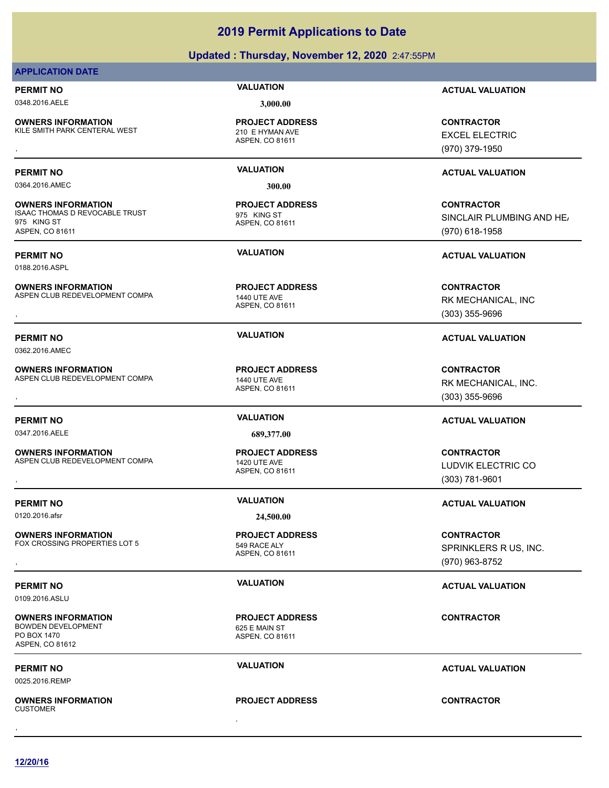**12/20/16**

## **2019 Permit Applications to Date**

## **Updated : Thursday, November 12, 2020** 2:47:55PM

## **APPLICATION DATE**

0348.2016.AELE **3,000.00**

**OWNERS INFORMATION** KILE SMITH PARK CENTERAL WEST 210 E HYMAN AVE

ASPEN, CO 81611

0364.2016.AMEC **300.00**

**OWNERS INFORMATION** ISAAC THOMAS D REVOCABLE TRUST FIND THE STANDING ST 975 KING ST ASPEN, CO 81611

0188.2016.ASPL

**OWNERS INFORMATION** ASPEN CLUB REDEVELOPMENT COMPA 1440 UTE AVE

0362.2016.AMEC

**OWNERS INFORMATION** ASPEN CLUB REDEVELOPMENT COMPA 1440 UTE AVE

0347.2016.AELE **689,377.00**

**OWNERS INFORMATION** ASPEN CLUB REDEVELOPMENT COMPA 1420 UTE AVE

0120.2016.afsr **24,500.00**

**OWNERS INFORMATION** FOX CROSSING PROPERTIES LOT 5 549 RACE ALY

0109.2016.ASLU

**OWNERS INFORMATION** BOWDEN DEVELOPMENT 625 E MAIN ST PO BOX 1470 ASPEN, CO 81612

0025.2016.REMP

, **OWNERS INFORMATION** CUSTOMER , **CONTRACTOR**

**PROJECT ADDRESS**

ASPEN, CO 81611 **PROJECT ADDRESS**

ASPEN, CO 81611 **PROJECT ADDRESS**

ASPEN, CO 81611 **PROJECT ADDRESS**

ASPEN, CO 81611 **PROJECT ADDRESS**

ASPEN, CO 81611 **PROJECT ADDRESS**

ASPEN, CO 81611 **PROJECT ADDRESS**

**PROJECT ADDRESS**

**PERMIT NO VALUATION ACTUAL VALUATION**

**OWNERS INFORMATION MEST REPOLUS TO A SERVICE PROJECT ADDRESS ARE:** THE SOUTRACTOR CONTRACTOR<br>KILE SMITH PARK CENTERAL WEST A SPEN, CO 81611 MASPEN, CO 81611 MASPEN, CO 81611 MASPEN, CO 81611 MASPEN, CO 81611 MASPEN, CO 81 EXCEL ELECTRIC (970) 379-1950

## **PERMIT NO VALUATION ACTUAL VALUATION**

**CONTRACTOR** SINCLAIR PLUMBING AND HEAT (970) 618-1958

**PERMIT NO VALUATION ACTUAL VALUATION**

**OWNERS INFORMATION METALLY CONTRACTOR REGULAR PROJECT ADDRESS ARE SOUTRACTOR CONTRACTOR**<br>ASPEN CLUB REDEVELOPMENT COMPA 1440 UTE AVE ASPEN, CO 81611 **1440 UTE AVE 1440 UTE AVE 1440 UTE AVE 1440 UTE AVE**<br>RK MECHANICAL, INC RK MECHANICAL, INC (303) 355-9696

**PERMIT NO VALUATION ACTUAL VALUATION**

, **CONTRACTOR** RK MECHANICAL, INC. (303) 355-9696

## **PERMIT NO VALUATION ACTUAL VALUATION**

**OWNERS INFORMATION METALLY CONTRACTOR REGULAR PROJECT ADDRESS ARE SOUTRACTOR CONTRACTOR CONTRACTOR FOR A SPEN, CO 81611 CONTRACTOR CONTRACTOR CONTRACTOR ASPEN, CO 81611 CONTRACTOR CONTRACTOR CONTRACTOR CONTRACTOR ASPEN, C** LUDVIK ELECTRIC CO (303) 781-9601

## **PERMIT NO VALUATION VALUATION VALUATION**

**OWNERS INFORMATION METALLY ASSESS AND REGULAR SERVIT ASSESS AND REGULAR SONTRACTOR CONTRACTOR SPRINKLERS R US, INC<br>FOX CROSSING PROPERTIES LOT 5 ASPEN, CO 81611 ASPEN, CO 81611 METAL CONTROL CONTROL CONTRACTOR SPRINKLERS** SPRINKLERS R US, INC. (970) 963-8752

## **PERMIT NO VALUATION VALUATION VALUATION**

**CONTRACTOR**

**PERMIT NO VALUATION ACTUAL VALUATION**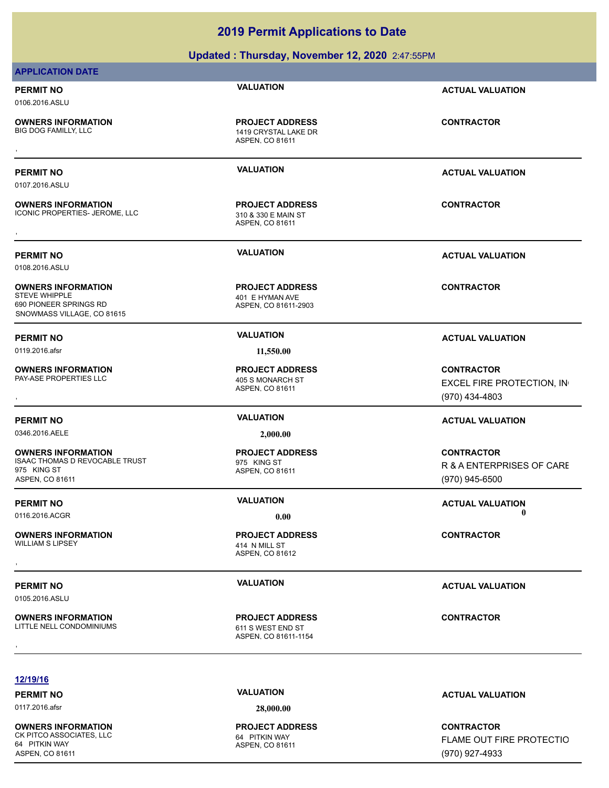## **Updated : Thursday, November 12, 2020** 2:47:55PM

## **APPLICATION DATE**

**PERMIT NO VALUATION ACTUAL VALUATION**

0106.2016.ASLU

0107.2016.ASLU

**OWNERS INFORMATION**

**OWNERS INFORMATION**

ASPEN, CO 81611 1419 CRYSTAL LAKE DR **PROJECT ADDRESS** , **CONTRACTOR**

## **PERMIT NO VALUATION ACTUAL VALUATION**

ASPEN, CO 81611 ICONIC PROPERTIES- JEROME, LLC 310 & 330 E MAIN ST **OWNERS INFORMATION EXECUTE:**<br>ICONIC PROPERTIES- JEROME, LLC ASSOCIATION A STAGNEY ASPEN. CO 81611<br>ASPEN. CO 81611

**PERMIT NO VALUATION ACTUAL VALUATION**

**CONTRACTOR**

## **PERMIT NO VALUATION ACTUAL VALUATION**

, **CONTRACTOR** EXCEL FIRE PROTECTION, IN (970) 434-4803

**CONTRACTOR** R & A ENTERPRISES OF CARE (970) 945-6500

**PERMIT NO VALUATION VALUATION VALUATION** 0116.2016.ACGR **0.00 0.00**

**PERMIT NO VALUATION VALUATION VALUATION** 

0108.2016.ASLU

**OWNERS INFORMATION** 690 PIONEER SPRINGS RD SNOWMASS VILLAGE, CO 81615

0119.2016.afsr **11,550.00**

**OWNERS INFORMATION** PAY-ASE PROPERTIES LLC 405 S MONARCH ST

0346.2016.AELE **2,000.00**

**OWNERS INFORMATION** ISAAC THOMAS D REVOCABLE TRUST FIND THE STATE STATE STATE STATE STATE STATE STATE STATE STATE STATE STATE STATE 975 KING ST ASPEN, CO 81611

**OWNERS INFORMATION** WILLIAM S LIPSEY 414 N MILL ST

0105.2016.ASLU

**OWNERS INFORMATION** LITTLE NELL CONDOMINIUMS 611 S WEST END ST

**PERMIT NO VALUATION ACTUAL VALUATION**

ASPEN, CO 81611-1154 **PROJECT ADDRESS OWNERS INFORMATION GOVERNED BY A SERVICE PROJECT ADDRESS ARE:**<br>LITTLE NELL CONDOMINIUMS GOVERNED BY ASPEN, CO 81611-1154<br>,

**PERMIT NO VALUATION ACTUAL VALUATION**

**CONTRACTOR** FLAME OUT FIRE PROTECTIO (970) 927-4933

**PROJECT ADDRESS**

ASPEN, CO 81611-2903 401 E HYMAN AVE **PROJECT ADDRESS**

ASPEN, CO 81611 **PROJECT ADDRESS**

ASPEN, CO 81611 **PROJECT ADDRESS**

ASPEN, CO 81612 **PROJECT ADDRESS** , **CONTRACTOR**

**12/19/16**

0117.2016.afsr **28,000.00**

**OWNERS INFORMATION** CK PITCO ASSOCIATES, LLC 64 PITKIN WAY 64 PITKIN WAY ASPEN, CO 81611

ASPEN, CO 81611 **PROJECT ADDRESS**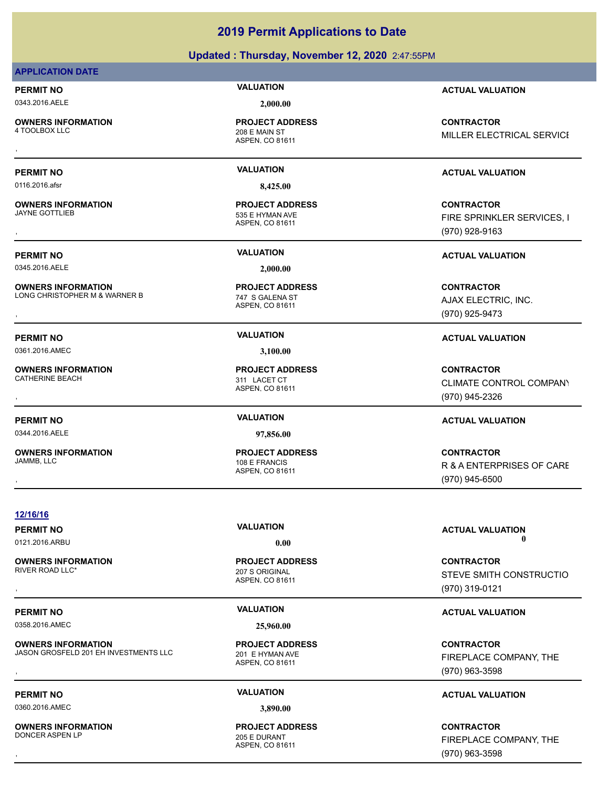## **Updated : Thursday, November 12, 2020** 2:47:55PM

## **APPLICATION DATE**

## 0343.2016.AELE **2,000.00**

**OWNERS INFORMATION**

**OWNERS INFORMATION**

**OWNERS INFORMATION**

**OWNERS INFORMATION**

**OWNERS INFORMATION**

ASPEN, CO 81611 208 E MAIN ST **PROJECT ADDRESS**

0116.2016.afsr **8,425.00**

ASPEN, CO 81611 535 E HYMAN AVE **PROJECT ADDRESS**

## 0345.2016.AELE **2,000.00**

ASPEN, CO 81611 LONG CHRISTOPHER M & WARNER B 747 S GALENA ST **PROJECT ADDRESS**

0361.2016.AMEC **3,100.00**

ASPEN, CO 81611 CATHERINE BEACH 311 LACET CT **PROJECT ADDRESS**

0344.2016.AELE **97,856.00**

ASPEN, CO 81611 JAMMB, LLC 108 E FRANCIS **PROJECT ADDRESS**

**PERMIT NO VALUATION ACTUAL VALUATION**

, **CONTRACTOR** MILLER ELECTRICAL SERVICE

## **PERMIT NO VALUATION ACTUAL VALUATION**

, **CONTRACTOR** FIRE SPRINKLER SERVICES, I (970) 928-9163

**PERMIT NO VALUATION ACTUAL VALUATION**

**OWNERS INFORMATION Material contract in the server of the PROJECT ADDRESS CONTRACTOR CONTRACTOR CONTRACTOR**<br>LONG CHRISTOPHER M & WARNER B Material contract of the server of the server of the server of the server of the<br>AS AJAX ELECTRIC, INC. (970) 925-9473

## **PERMIT NO VALUATION ACTUAL VALUATION**

, **CONTRACTOR** CLIMATE CONTROL COMPANY (970) 945-2326

## **PERMIT NO VALUATION ACTUAL VALUATION**

, **CONTRACTOR** R & A ENTERPRISES OF CARE (970) 945-6500

## **12/16/16**

**PERMIT NO VALUATION VALUATION VALUATION** 0121.2016.ARBU **0.00 0.00**

**OWNERS INFORMATION**

0358.2016.AMEC **25,960.00**

**OWNERS INFORMATION** JASON GROSFELD 201 EH INVESTMENTS LLC 201 E HYMAN AVE

0360.2016.AMEC **3,890.00**

**OWNERS INFORMATION** DONCER ASPEN LP 205 E DURANT

ASPEN, CO 81611 207 S ORIGINAL **PROJECT ADDRESS**

ASPEN, CO 81611 **PROJECT ADDRESS**

ASPEN, CO 81611 **PROJECT ADDRESS**

, **CONTRACTOR** STEVE SMITH CONSTRUCTIO (970) 319-0121

## **PERMIT NO VALUATION ACTUAL VALUATION**

, **CONTRACTOR** FIREPLACE COMPANY, THE (970) 963-3598

## **PERMIT NO VALUATION ACTUAL VALUATION**

, **CONTRACTOR** FIREPLACE COMPANY, THE (970) 963-3598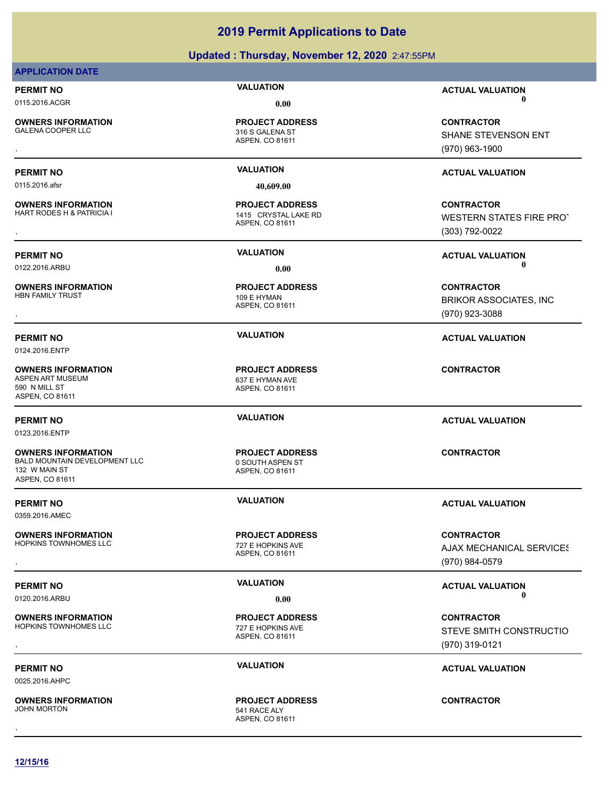## **Updated : Thursday, November 12, 2020** 2:47:55PM

## **APPLICATION DATE**

**OWNERS INFORMATION** GALENA COOPER LLC 316 S GALENA ST

**OWNERS INFORMATION**

**OWNERS INFORMATION**

**OWNERS INFORMATION**

**OWNERS INFORMATION**

**OWNERS INFORMATION**

**OWNERS INFORMATION**<br>HOPKINS TOWNHOMES LLC

0124.2016.ENTP

590 N MILL ST ASPEN, CO 81611

0123.2016.ENTP

132 W MAIN ST ASPEN, CO 81611

0359.2016.AMEC

ASPEN, CO 81611 **PROJECT ADDRESS**

0115.2016.afsr **40,609.00**

ASPEN, CO 81611 1415 CRYSTAL LAKE RD **PROJECT ADDRESS**

ASPEN, CO 81611 HBN FAMILY TRUST 109 E HYMAN **PROJECT ADDRESS**

ASPEN, CO 81611 ASPEN ART MUSEUM 637 E HYMAN AVE **PROJECT ADDRESS**

ASPEN, CO 81611 BALD MOUNTAIN DEVELOPMENT LLC 0 0 SOUTH ASPEN ST **PROJECT ADDRESS**

ASPEN, CO 81611 HOPKINS TOWNHOMES LLC 727 E HOPKINS AVE **PROJECT ADDRESS**

ASPEN, CO 81611 727 E HOPKINS AVE **PROJECT ADDRESS**

ASPEN, CO 81611 541 RACE ALY **PROJECT ADDRESS** , **CONTRACTOR**

**PERMIT NO VALUATION ACTUAL VALUATION** 0115.2016.ACGR **0.00 0.00**

, **CONTRACTOR** SHANE STEVENSON ENT (970) 963-1900

## **PERMIT NO VALUATION ACTUAL VALUATION**

**OWNERS INFORMATION GOVERNEY ARE IN THE PROJECT ADDRESS CONTRACTOR CONTRACTOR**<br>HART RODES H & PATRICIA I GATA ASPEN CO 81611 ASPEN, CO 81611 GOVERNEY (1993) 792-0022<br>GOVERNEY RESERVED ASPEN, CO 81611 (303) 792-0022 WESTERN STATES FIRE PROT (303) 792-0022

**PERMIT NO VALUATION ACTUAL VALUATION** 0122.2016.ARBU **0.00 0.00**

, **CONTRACTOR** BRIKOR ASSOCIATES, INC (970) 923-3088

**PERMIT NO VALUATION ACTUAL VALUATION**

## **CONTRACTOR**

**PERMIT NO VALUATION ACTUAL VALUATION**

**CONTRACTOR**

## **PERMIT NO VALUATION ACTUAL VALUATION**

, **CONTRACTOR AJAX MECHANICAL SERVICES** (970) 984-0579

**PERMIT NO VALUATION ACTUAL VALUATION** 0120.2016.ARBU **0.00 0.00**

, **CONTRACTOR** STEVE SMITH CONSTRUCTIO (970) 319-0121

**PERMIT NO VALUATION VALUATION VALUATION** 

**OWNERS INFORMATION**

0025.2016.AHPC

**12/15/16**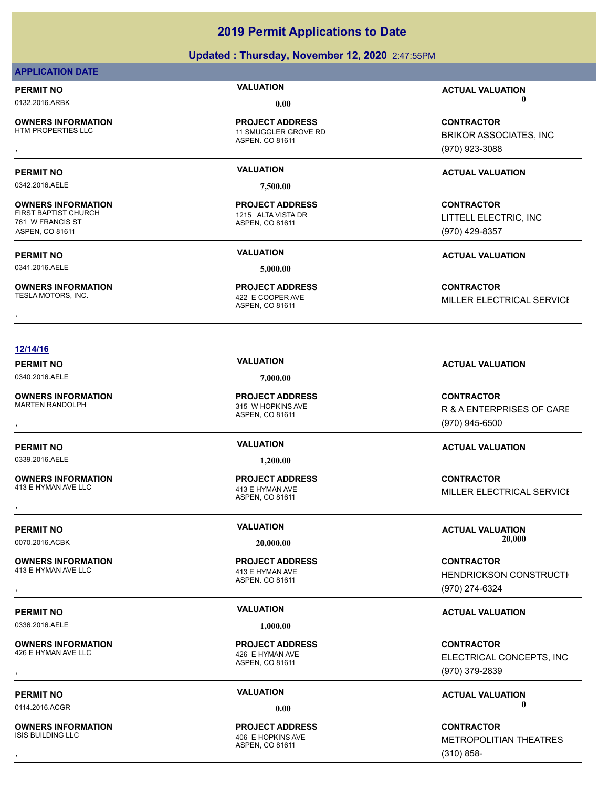## **Updated : Thursday, November 12, 2020** 2:47:55PM

## **APPLICATION DATE**

**OWNERS INFORMATION**

**OWNERS INFORMATION**

**OWNERS INFORMATION**

761 W FRANCIS ST ASPEN, CO 81611

ASPEN, CO 81611 11 SMUGGLER GROVE RD **PROJECT ADDRESS**

0342.2016.AELE **7,500.00**

ASPEN, CO 81611 1215 ALTA VISTA DR **PROJECT ADDRESS**

0341.2016.AELE **5,000.00**

ASPEN, CO 81611 422 E COOPER AVE **PROJECT ADDRESS**

**PERMIT NO VALUATION ACTUAL VALUATION** 0132.2016.ARBK **0.00 0.00**

, **CONTRACTOR** BRIKOR ASSOCIATES, INC (970) 923-3088

## **PERMIT NO VALUATION ACTUAL VALUATION**

**CONTRACTOR** LITTELL ELECTRIC, INC (970) 429-8357

## **PERMIT NO VALUATION ACTUAL VALUATION**

, **CONTRACTOR** MILLER ELECTRICAL SERVICE

## **12/14/16**

0340.2016.AELE **7,000.00**

**OWNERS INFORMATION**

0339.2016.AELE **1,200.00**

**OWNERS INFORMATION**

**OWNERS INFORMATION**

0336.2016.AELE 1,000.00

**OWNERS INFORMATION**<br>426 F HYMAN AVE LLC

**OWNERS INFORMATION**<br>ISIS BUILDING LLC

ASPEN, CO 81611 315 W HOPKINS AVE **PROJECT ADDRESS**

ASPEN, CO 81611 413 E HYMAN AVE **PROJECT ADDRESS**

ASPEN, CO 81611 413 E HYMAN AVE **PROJECT ADDRESS**

ASPEN, CO 81611 426 E HYMAN AVE **PROJECT ADDRESS**

ASPEN, CO 81611 406 E HOPKINS AVE **PROJECT ADDRESS**

, **CONTRACTOR** R & A ENTERPRISES OF CARE (970) 945-6500

## **PERMIT NO VALUATION ACTUAL VALUATION**

, **CONTRACTOR** MILLER ELECTRICAL SERVICE

**PERMIT NO VALUATION ACTUAL VALUATION** 0070.2016.ACBK **20,000.00 20,000.00**

, **CONTRACTOR** HENDRICKSON CONSTRUCTI (970) 274-6324

## **PERMIT NO VALUATION ACTUAL VALUATION**

**OWNERS INFORMATION PROJECT ADDRESS CONTRACTOR**<br>426 E HYMAN AVE LLC 426 E HYMAN AVE ELECTRICAL CONCEPTS, INC<br>, ASPEN. CO 81611 ELECTRICAL CONCEPTS, INC (970) 379-2839

**PERMIT NO CONSUMITY OF A CONSUMITY OF A CONSUMITY OF A CONSUMITY OF A CTUAL VALUATION** 0114.2016.ACGR **0.00 0.00**

, **CONTRACTOR** METROPOLITIAN THEATRES (310) 858-

**PERMIT NO VALUATION VALUATION VALUATION**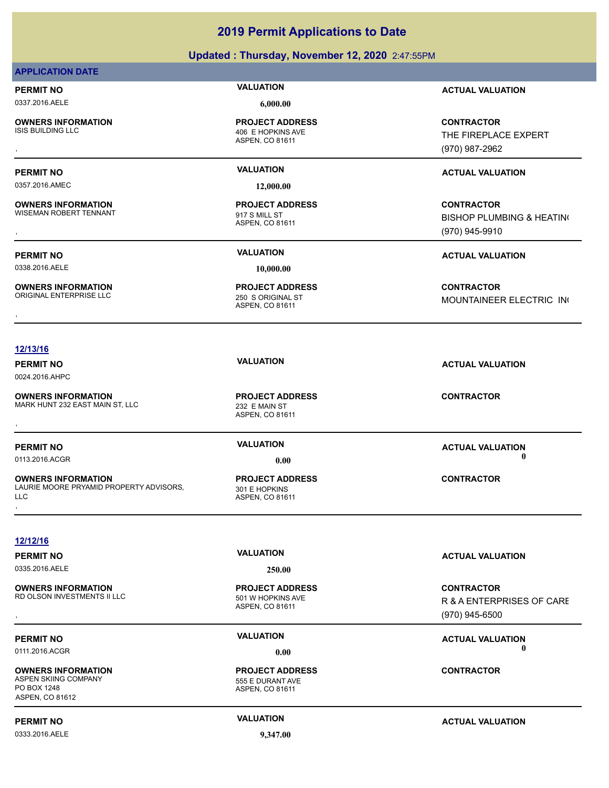## **Updated : Thursday, November 12, 2020** 2:47:55PM

## **APPLICATION DATE**

## 0337.2016.AELE **6,000.00**

**OWNERS INFORMATION**<br>ISIS BUILDING LLC

**OWNERS INFORMATION**

**PROJECT ADDRESS**

ASPEN, CO 81611 406 E HOPKINS AVE

0357.2016.AMEC **12,000.00**

ASPEN, CO 81611 WISEMAN ROBERT TENNANT 917 S MILL ST **PROJECT ADDRESS**

**PERMIT NO VALUATION ACTUAL VALUATION**

, **CONTRACTOR** THE FIREPLACE EXPERT (970) 987-2962

## **PERMIT NO VALUATION ACTUAL VALUATION**

**OWNERS INFORMATION PROJECT ADDRESS CONTRACTOR**<br>WISEMAN ROBERT TENNANT 917 S MILL ST BISHOP PLUMBING & HEATIN(<br>, ASPEN. CO 81611 **BISHOP PLUMBING & HEATING** (970) 945-9910

0338.2016.AELE 10.000.00

**OWNERS INFORMATION** ORIGINAL ENTERPRISE LLC 250 S ORIGINAL ST

ASPEN, CO 81611 **PROJECT ADDRESS**

## **PERMIT NO VALUATION ACTUAL VALUATION**

**OWNERS INFORMATION GOVERNED BY A SERVICE PROJECT ADDRESS ARE SERVICE CONTRACTOR**<br>ORIGINAL ENTERPRISE LLC CONTRACTOR ASPEN, CO 81611<br>, MOUNTAINEER ELECTRIC IN

## **12/13/16**

0024.2016.AHPC

**OWNERS INFORMATION** MARK HUNT 232 EAST MAIN ST, LLC 232 E MAIN ST

**OWNERS INFORMATION** LAURIE MOORE PRYAMID PROPERTY ADVISORS, LLC **OWNERS INFORMATION CONTRACTOR REGIST OF A SECURITY OF PROJECT ADDRESS CONTRACTOR CONTRACTOR**<br>LAURIE MOORE PRYAMID PROPERTY ADVISORS, The HOPKINS ASPEN, CO 81611<br>LLC<br>,

ASPEN, CO 81611 **PROJECT ADDRESS OWNERS INFORMATION FROJECT ADDRESS ARE:**<br>MARK HUNT 232 EAST MAIN ST, LLC ASPEN. CO 81611<br>ASPEN. CO 81611

ASPEN, CO 81611 301 E HOPKINS **PROJECT ADDRESS**

**PERMIT NO VALUATION ACTUAL VALUATION**

**PERMIT NO VALUATION ACTUAL VALUATION** 0113.2016.ACGR **0.00 0.00**

**12/12/16**

0335.2016.AELE **250.00**

**OWNERS INFORMATION** RD OLSON INVESTMENTS II LLC<br>501 W HOPKINS AVE

**OWNERS INFORMATION** ASPEN SKIING COMPANY 6555 E DURANT AVE PO BOX 1248 ASPEN, CO 81612

0333.2016.AELE **9,347.00**

ASPEN, CO 81611

**PROJECT ADDRESS**

ASPEN, CO 81611

**PROJECT ADDRESS**

**PERMIT NO VALUATION VALUATION VALUATION** 

**OWNERS INFORMATION GOVERNED BY A SERVICE PROJECT ADDRESS ARE SERVICE CONTRACTOR**<br>RD OLSON INVESTMENTS II LLC THE CONTRACTOR ASPEN, CO 81611<br>, GOVERNED MASPEN, CO 81611 R & A ENTERPRISES OF CARE (970) 945-6500

**PERMIT NO VALUATION VALUATION VALUATION** 0111.2016.ACGR **0.00 0.00**

**CONTRACTOR**

**PERMIT NO CONSUMITY OF A CONSUMITY OF A CONSUMITY OF A CONSUMITY OF A CTUAL VALUATION**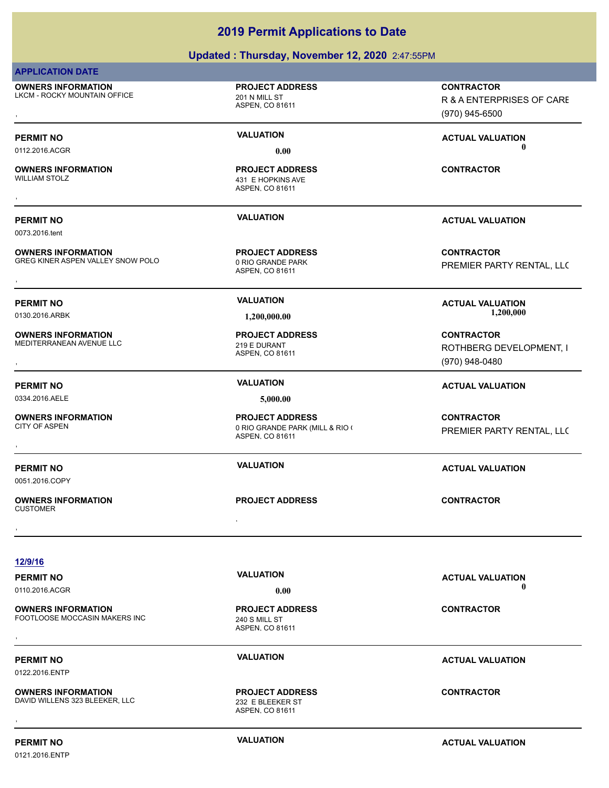## **Updated : Thursday, November 12, 2020** 2:47:55PM

| <b>APPLICATION DATE</b>                                        |                                                                              |                                                                  |
|----------------------------------------------------------------|------------------------------------------------------------------------------|------------------------------------------------------------------|
| <b>OWNERS INFORMATION</b><br>LKCM - ROCKY MOUNTAIN OFFICE      | <b>PROJECT ADDRESS</b><br>201 N MILL ST<br>ASPEN, CO 81611                   | <b>CONTRACTOR</b><br>R & A ENTERPRISES OF CARE<br>(970) 945-6500 |
| <b>PERMIT NO</b><br>0112.2016.ACGR                             | <b>VALUATION</b><br>0.00                                                     | <b>ACTUAL VALUATION</b><br>0                                     |
| <b>OWNERS INFORMATION</b><br><b>WILLIAM STOLZ</b>              | <b>PROJECT ADDRESS</b><br>431 E HOPKINS AVE<br>ASPEN, CO 81611               | <b>CONTRACTOR</b>                                                |
| <b>PERMIT NO</b><br>0073.2016.tent                             | <b>VALUATION</b>                                                             | <b>ACTUAL VALUATION</b>                                          |
| <b>OWNERS INFORMATION</b><br>GREG KINER ASPEN VALLEY SNOW POLO | <b>PROJECT ADDRESS</b><br>0 RIO GRANDE PARK<br>ASPEN, CO 81611               | <b>CONTRACTOR</b><br>PREMIER PARTY RENTAL, LLC                   |
| <b>PERMIT NO</b><br>0130.2016.ARBK                             | <b>VALUATION</b><br>1,200,000.00                                             | <b>ACTUAL VALUATION</b><br>1,200,000                             |
| <b>OWNERS INFORMATION</b><br>MEDITERRANEAN AVENUE LLC          | <b>PROJECT ADDRESS</b><br>219 E DURANT<br>ASPEN, CO 81611                    | <b>CONTRACTOR</b><br>ROTHBERG DEVELOPMENT, I<br>(970) 948-0480   |
| <b>PERMIT NO</b><br>0334.2016.AELE                             | <b>VALUATION</b><br>5,000.00                                                 | <b>ACTUAL VALUATION</b>                                          |
| <b>OWNERS INFORMATION</b><br><b>CITY OF ASPEN</b>              | <b>PROJECT ADDRESS</b><br>0 RIO GRANDE PARK (MILL & RIO (<br>ASPEN, CO 81611 | <b>CONTRACTOR</b><br>PREMIER PARTY RENTAL, LLC                   |
| <b>PERMIT NO</b><br>0051.2016.COPY                             | <b>VALUATION</b>                                                             | <b>ACTUAL VALUATION</b>                                          |
| <b>OWNERS INFORMATION</b><br><b>CUSTOMER</b>                   | <b>PROJECT ADDRESS</b><br>$\,$                                               | <b>CONTRACTOR</b>                                                |
|                                                                |                                                                              |                                                                  |
| <u>12/9/16</u><br><b>PERMIT NO</b><br>0110.2016.ACGR           | <b>VALUATION</b><br>0.00                                                     | <b>ACTUAL VALUATION</b><br>0                                     |
| <b>OWNERS INFORMATION</b><br>FOOTLOOSE MOCCASIN MAKERS INC     | <b>PROJECT ADDRESS</b><br>240 S MILL ST<br>ASPEN, CO 81611                   | <b>CONTRACTOR</b>                                                |
| <b>PERMIT NO</b><br>0122.2016.ENTP                             | <b>VALUATION</b>                                                             | <b>ACTUAL VALUATION</b>                                          |
| <b>OWNERS INFORMATION</b><br>DAVID WILLENS 323 BLEEKER, LLC    | <b>PROJECT ADDRESS</b><br>232 E BLEEKER ST<br>ASPEN, CO 81611                | <b>CONTRACTOR</b>                                                |
| <b>PERMIT NO</b>                                               | <b>VALUATION</b>                                                             | <b>ACTUAL VALUATION</b>                                          |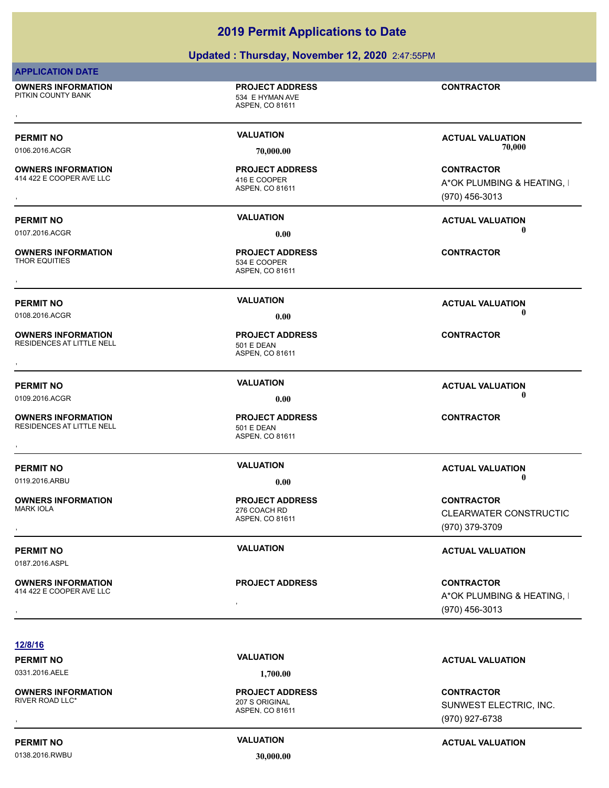| <b>APPLICATION DATE</b>                                |                                                                        |                                                                   |
|--------------------------------------------------------|------------------------------------------------------------------------|-------------------------------------------------------------------|
| <b>OWNERS INFORMATION</b><br>PITKIN COUNTY BANK        | <b>PROJECT ADDRESS</b><br>534 E HYMAN AVE<br>ASPEN, CO 81611           | <b>CONTRACTOR</b>                                                 |
|                                                        | <b>VALUATION</b>                                                       |                                                                   |
| PERMIT NO<br>0106.2016.ACGR                            | 70,000.00                                                              | <b>ACTUAL VALUATION</b><br>70,000                                 |
| <b>OWNERS INFORMATION</b><br>414 422 E COOPER AVE LLC  | <b>PROJECT ADDRESS</b><br>416 E COOPER<br>ASPEN, CO 81611              | <b>CONTRACTOR</b><br>A*OK PLUMBING & HEATING, I<br>(970) 456-3013 |
| PERMIT NO<br>0107.2016.ACGR                            | <b>VALUATION</b>                                                       | <b>ACTUAL VALUATION</b><br>0                                      |
| <b>OWNERS INFORMATION</b><br>THOR EQUITIES             | 0.00<br><b>PROJECT ADDRESS</b><br>534 E COOPER<br>ASPEN, CO 81611      | <b>CONTRACTOR</b>                                                 |
|                                                        | <b>VALUATION</b>                                                       |                                                                   |
| PERMIT NO<br>0108.2016.ACGR                            | 0.00                                                                   | <b>ACTUAL VALUATION</b><br>0                                      |
| <b>OWNERS INFORMATION</b><br>RESIDENCES AT LITTLE NELL | <b>PROJECT ADDRESS</b><br><b>501 E DEAN</b><br>ASPEN, CO 81611         | <b>CONTRACTOR</b>                                                 |
| <b>PERMIT NO</b><br>0109.2016.ACGR                     | <b>VALUATION</b>                                                       | <b>ACTUAL VALUATION</b><br>0                                      |
| <b>OWNERS INFORMATION</b><br>RESIDENCES AT LITTLE NELL | 0.00<br><b>PROJECT ADDRESS</b><br><b>501 E DEAN</b><br>ASPEN, CO 81611 | <b>CONTRACTOR</b>                                                 |
| <b>PERMIT NO</b><br>0119.2016.ARBU                     | <b>VALUATION</b><br>0.00                                               | <b>ACTUAL VALUATION</b><br>0                                      |
| <b>OWNERS INFORMATION</b><br>MARK IOLA                 | <b>PROJECT ADDRESS</b><br>276 COACH RD<br>ASPEN, CO 81611              | <b>CONTRACTOR</b><br>CLEARWATER CONSTRUCTIO<br>(970) 379-3709     |
| PERMIT NO<br>0187.2016.ASPL                            | <b>VALUATION</b>                                                       | <b>ACTUAL VALUATION</b>                                           |
| <b>OWNERS INFORMATION</b><br>414 422 E COOPER AVE LLC  | <b>PROJECT ADDRESS</b>                                                 | <b>CONTRACTOR</b><br>A*OK PLUMBING & HEATING, I                   |
|                                                        |                                                                        | (970) 456-3013                                                    |

**12/8/16**

 $\overline{\phantom{0}}$ 

 $\overline{\phantom{0}}$ 

0331.2016.AELE **1,700.00**

**OWNERS INFORMATION**

ASPEN, CO 81611 RIVER ROAD LLC\* 207 S ORIGINAL **PROJECT ADDRESS**

## **PERMIT NO CONSUMITY ACTUAL VALUATION VALUATION ACTUAL VALUATION**

, **CONTRACTOR** SUNWEST ELECTRIC, INC. (970) 927-6738

0138.2016.RWBU **30,000.00**

**PERMIT NO CONSUMITY ACTUAL VALUATION VALUATION** *ACTUAL VALUATION*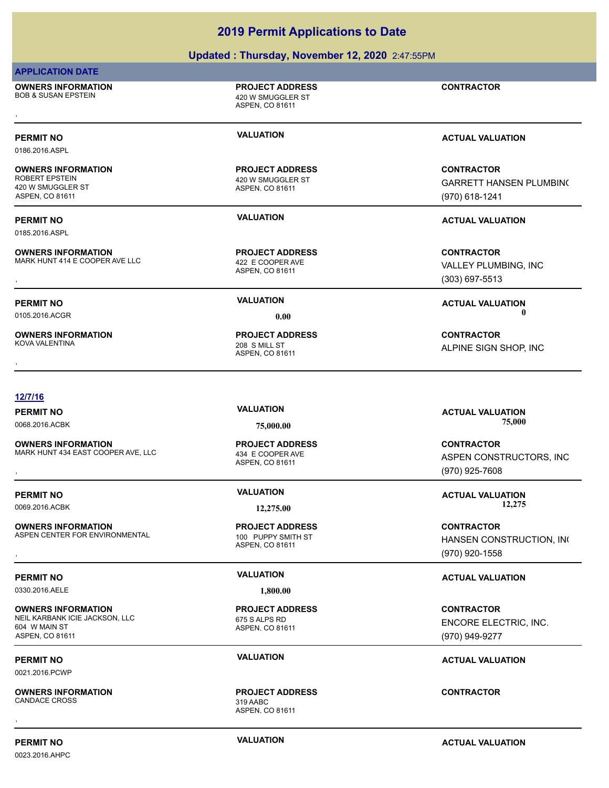ASPEN, CO 81611 **PROJECT ADDRESS**

ASPEN, CO 81611 **PROJECT ADDRESS** , **CONTRACTOR**

0023.2016.AHPC

## **Updated : Thursday, November 12, 2020** 2:47:55PM

**OWNERS INFORMATION** BOB & SUSAN EPSTEIN 420 W SMUGGLER ST

0186.2016.ASPL

## **OWNERS INFORMATION**

420 W SMUGGLER ST ASPEN, CO 81611

0185.2016.ASPL

**OWNERS INFORMATION** MARK HUNT 414 E COOPER AVE LLC 422 E COOPER AVE

**OWNERS INFORMATION** KOVA VALENTINA 208 S MILL ST

## **12/7/16**

**OWNERS INFORMATION** MARK HUNT 434 EAST COOPER AVE, LLC 434 E COOPER AVE

**OWNERS INFORMATION** ASPEN CENTER FOR ENVIRONMENTAL 100 PUPPY SMITH ST

0330.2016.AELE **1,800.00**

**OWNERS INFORMATION** NEIL KARBANK ICIE JACKSON, LLC 675 S ALPS RD 604 W MAIN ST ASPEN, CO 81611

0021.2016.PCWP

**OWNERS INFORMATION** CANDACE CROSS 319 AABC

ASPEN, CO 81611 **PROJECT ADDRESS**

ASPEN, CO 81611

**PROJECT ADDRESS**

**PERMIT NO VALUATION ACTUAL VALUATION**

0068.2016.ACBK **75,000.00 75,000.00**

, **CONTRACTOR** ASPEN CONSTRUCTORS, INC (970) 925-7608

0069.2016.ACBK **12,275.00 12,275.00**

**OWNERS INFORMATION METAL REGIST OF PROJECT ADDRESS ARE:**<br>ASPEN CENTER FOR ENVIRONMENTAL ASPEN ASPEN, CO 81611 METAL METAL METAL METAL METAL METAL METAL METAL METAL MET<br>ASPEN, CO 81611 METAL METAL METAL METAL METAL METAL ( HANSEN CONSTRUCTION, INC (970) 920-1558

## **PERMIT NO VALUATION ACTUAL VALUATION**

**CONTRACTOR** ENCORE ELECTRIC, INC. (970) 949-9277

## **PERMIT NO VALUATION ACTUAL VALUATION**

**PERMIT NO VALUATION VALUATION VALUATION** 

**2019 Permit Applications to Date**

ASPEN, CO 81611 **420 W SMUGGLER ST** 

**PROJECT ADDRESS**

ASPEN, CO 81611 **PROJECT ADDRESS**

**PROJECT ADDRESS**

ASPEN, CO 81611

## **APPLICATION DATE**

**PERMIT NO VALUATION ACTUAL VALUATION** 0105.2016.ACGR **0.00 0.00**

**PERMIT NO VALUATION ACTUAL VALUATION**

**CONTRACTOR** GARRETT HANSEN PLUMBING (970) 618-1241

## **PERMIT NO VALUATION ACTUAL VALUATION**

**OWNERS INFORMATION MARK HUNT 414 E COOPER AVE AND ASPEN. CO 81611 CONTRACTOR**<br>MARK HUNT 414 E COOPER AVE LLC 422 E COOPER AVE **ASPEN. CO 81611** 422 E COOPER AVE 422 E CONTRACTOR<br>ASPEN. CO 81611 439 ASPEN. CO 81611 439 A VALLEY PLUMBING, INC (303) 697-5513

, **CONTRACTOR** ALPINE SIGN SHOP, INC

ASPEN, CO 81611 **PROJECT ADDRESS** , **CONTRACTOR**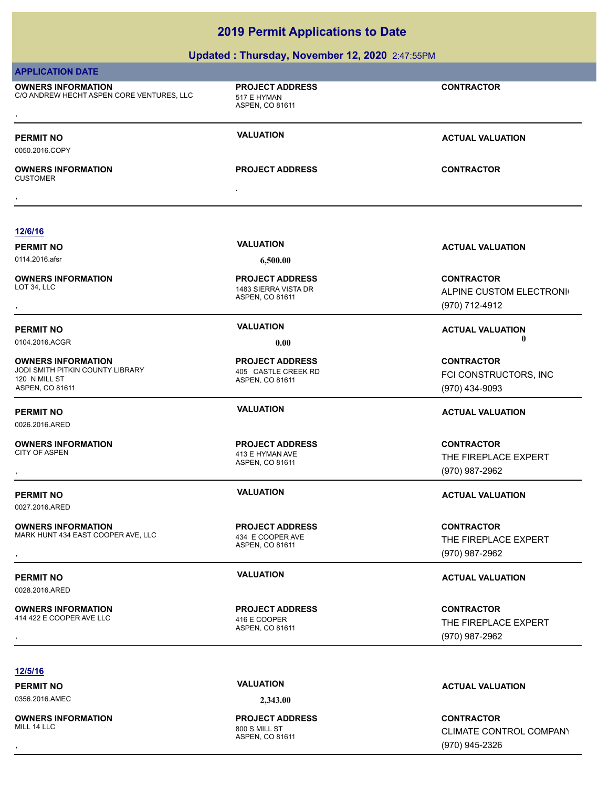## **Updated : Thursday, November 12, 2020** 2:47:55PM

| <b>APPLICATION DATE</b>                                                                           |                                                                   |                                                                |
|---------------------------------------------------------------------------------------------------|-------------------------------------------------------------------|----------------------------------------------------------------|
| <b>OWNERS INFORMATION</b><br>C/O ANDREW HECHT ASPEN CORE VENTURES, LLC                            | <b>PROJECT ADDRESS</b><br>517 E HYMAN<br>ASPEN, CO 81611          | <b>CONTRACTOR</b>                                              |
| PERMIT NO<br>0050.2016.COPY                                                                       | <b>VALUATION</b>                                                  | <b>ACTUAL VALUATION</b>                                        |
| <b>OWNERS INFORMATION</b><br>CUSTOMER                                                             | <b>PROJECT ADDRESS</b>                                            | <b>CONTRACTOR</b>                                              |
|                                                                                                   |                                                                   |                                                                |
|                                                                                                   |                                                                   |                                                                |
| 12/6/16                                                                                           | <b>VALUATION</b>                                                  |                                                                |
| PERMIT NO<br>0114.2016.afsr                                                                       | 6,500.00                                                          | <b>ACTUAL VALUATION</b>                                        |
| <b>OWNERS INFORMATION</b><br>LOT 34, LLC                                                          | <b>PROJECT ADDRESS</b><br>1483 SIERRA VISTA DR<br>ASPEN, CO 81611 | <b>CONTRACTOR</b><br>ALPINE CUSTOM ELECTRONI<br>(970) 712-4912 |
| PERMIT NO                                                                                         | <b>VALUATION</b>                                                  | <b>ACTUAL VALUATION</b>                                        |
| 0104.2016.ACGR                                                                                    | 0.00                                                              | 0                                                              |
| <b>OWNERS INFORMATION</b><br>JODI SMITH PITKIN COUNTY LIBRARY<br>120 N MILL ST<br>ASPEN, CO 81611 | <b>PROJECT ADDRESS</b><br>405 CASTLE CREEK RD<br>ASPEN, CO 81611  | <b>CONTRACTOR</b><br>FCI CONSTRUCTORS, INC<br>(970) 434-9093   |
| <b>PERMIT NO</b>                                                                                  | <b>VALUATION</b>                                                  | <b>ACTUAL VALUATION</b>                                        |
| 0026.2016.ARED                                                                                    |                                                                   |                                                                |
| <b>OWNERS INFORMATION</b><br><b>CITY OF ASPEN</b>                                                 | <b>PROJECT ADDRESS</b><br>413 E HYMAN AVE<br>ASPEN, CO 81611      | <b>CONTRACTOR</b><br>THE FIREPLACE EXPERT<br>(970) 987-2962    |
| <b>PERMIT NO</b><br>0027.2016.ARED                                                                | <b>VALUATION</b>                                                  | <b>ACTUAL VALUATION</b>                                        |
| <b>OWNERS INFORMATION</b><br>MARK HUNT 434 EAST COOPER AVE, LLC                                   | <b>PROJECT ADDRESS</b><br>434 E COOPER AVE<br>ASPEN, CO 81611     | <b>CONTRACTOR</b><br>THE FIREPLACE EXPERT<br>(970) 987-2962    |
| PERMIT NO<br>0028.2016.ARED                                                                       | <b>VALUATION</b>                                                  | <b>ACTUAL VALUATION</b>                                        |
| <b>OWNERS INFORMATION</b><br>414 422 E COOPER AVE LLC                                             | <b>PROJECT ADDRESS</b><br>416 E COOPER<br>ASPEN, CO 81611         | <b>CONTRACTOR</b><br>THE FIREPLACE EXPERT<br>(970) 987-2962    |
|                                                                                                   |                                                                   |                                                                |
| 12/5/16                                                                                           |                                                                   |                                                                |
| PERMIT NO                                                                                         | <b>VALUATION</b>                                                  | <b>ACTUAL VALUATION</b>                                        |
| 0356.2016.AMEC                                                                                    | 2,343.00                                                          |                                                                |

**OWNERS INFORMATION** MILL 14 LLC 800 S MILL ST

ASPEN, CO 81611 **PROJECT ADDRESS**

, **CONTRACTOR** CLIMATE CONTROL COMPANY (970) 945-2326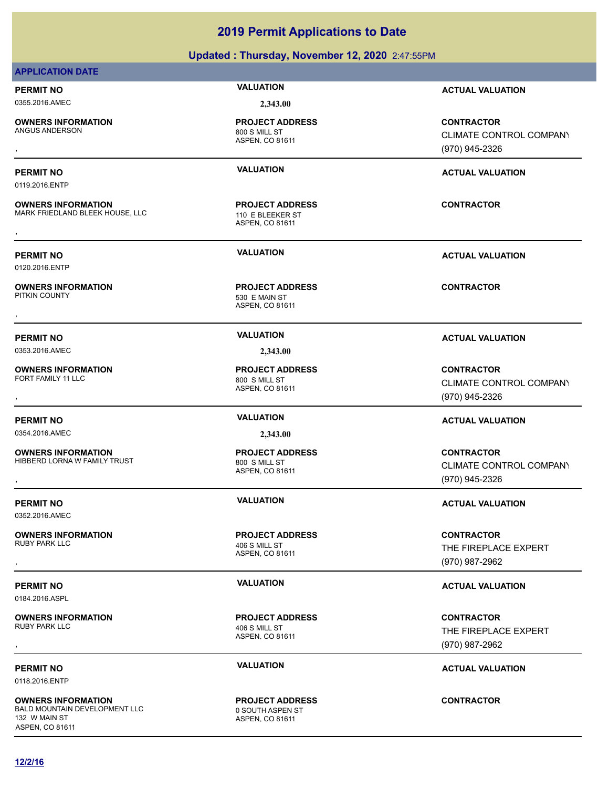| 12/2/16 |  |  |
|---------|--|--|

## **Updated : Thursday, November 12, 2020** 2:47:55PM

## **APPLICATION DATE**

## 0355.2016.AMEC **2,343.00**

0119.2016.ENTP

0120.2016.ENTP

**OWNERS INFORMATION**

**OWNERS INFORMATION**

**OWNERS INFORMATION**<br>PITKIN COUNTY

**OWNERS INFORMATION**

**OWNERS INFORMATION**

**OWNERS INFORMATION**

800 S MILL ST **PROJECT ADDRESS**

ASPEN, CO 81611

ASPEN, CO 81611 MARK FRIEDLAND BLEEK HOUSE, LLC 110 E BLEEKER ST **PROJECT ADDRESS OWNERS INFORMATION USE, LLC EXECUTE PROJECT ADDRESS ARE:** CONTRACTOR CONTRACTOR<br>MARK FRIEDLAND BLEEK HOUSE, LLC THE RESER FOR ASPEN. CO 81611<br>,

ASPEN, CO 81611 530 E MAIN ST **PROJECT ADDRESS** , **CONTRACTOR**

0353.2016.AMEC **2,343.00**

ASPEN, CO 81611 FORT FAMILY 11 LLC 800 S MILL ST **PROJECT ADDRESS**

0354.2016.AMEC **2,343.00**

ASPEN, CO 81611 HIBBERD LORNA W FAMILY TRUST **1999 120 SMILL ST PROJECT ADDRESS**

ASPEN, CO 81611 **PROJECT ADDRESS**

**PROJECT ADDRESS**

ASPEN, CO 81611 **PROJECT ADDRESS**

**PERMIT NO VALUATION ACTUAL VALUATION**

, **CONTRACTOR** CLIMATE CONTROL COMPANY (970) 945-2326

## **PERMIT NO VALUATION ACTUAL VALUATION**

**PERMIT NO VALUATION ACTUAL VALUATION**

## **PERMIT NO VALUATION ACTUAL VALUATION**

, **CONTRACTOR** CLIMATE CONTROL COMPANY (970) 945-2326

## **PERMIT NO VALUATION ACTUAL VALUATION**

, **CONTRACTOR** CLIMATE CONTROL COMPANY (970) 945-2326

## **PERMIT NO VALUATION VALUATION VALUATION**

, **CONTRACTOR** THE FIREPLACE EXPERT (970) 987-2962

, **CONTRACTOR** THE FIREPLACE EXPERT (970) 987-2962

## **PERMIT NO VALUATION ACTUAL VALUATION**

**CONTRACTOR**

ASPEN, CO 81611 406 S MILL ST

RUBY PARK LLC 406 S MILL ST

**PERMIT NO VALUATION VALUATION VALUATION** 

0184.2016.ASPL

0352.2016.AMEC

**OWNERS INFORMATION**

0118.2016.ENTP

**OWNERS INFORMATION** BALD MOUNTAIN DEVELOPMENT LLC 0 0 SOUTH ASPEN ST 132 W MAIN ST ASPEN, CO 81611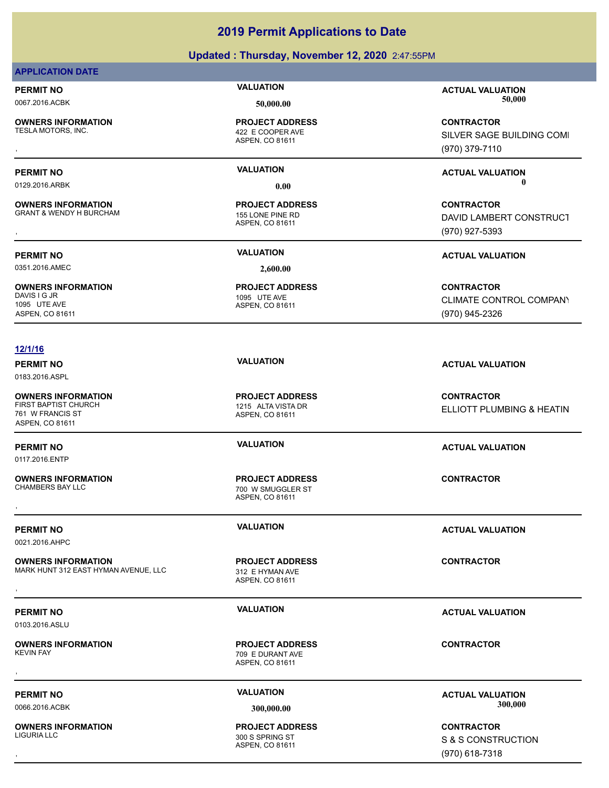## **Updated : Thursday, November 12, 2020** 2:47:55PM

## **APPLICATION DATE**

**OWNERS INFORMATION**

**OWNERS INFORMATION** GRANT & WENDY H BURCHAM 155 LONE PINE RD

0351.2016.AMEC **2,600.00**

**OWNERS INFORMATION** 1095 UTE AVE ASPEN, CO 81611

## **12/1/16**

0183.2016.ASPL

**OWNERS INFORMATION** 761 W FRANCIS ST ASPEN, CO 81611

0117.2016.ENTP

**OWNERS INFORMATION**

0021.2016.AHPC

**OWNERS INFORMATION** MARK HUNT 312 EAST HYMAN AVENUE, LLC 312 E HYMAN AVE **OWNERS INFORMATION MARK HUNTERS PROJECT ADDRESS ARE:**<br>MARK HUNT 312 EAST HYMAN AVENUE, LLC 812 E HYMAN AVE ASPEN. CO 81611<br>,

0103.2016.ASLU

**OWNERS INFORMATION** 

ASPEN, CO 81611 422 E COOPER AVE **PROJECT ADDRESS**

ASPEN, CO 81611 **PROJECT ADDRESS**

ASPEN, CO 81611 1095 UTE AVE **PROJECT ADDRESS**

**PERMIT NO VALUATION ACTUAL VALUATION** 0067.2016.ACBK **50,000.00 50,000.00**

, **CONTRACTOR** SILVER SAGE BUILDING COMI (970) 379-7110

**PERMIT NO VALUATION ACTUAL VALUATION** 0129.2016.ARBK **0.00 0.00**

, **CONTRACTOR** DAVID LAMBERT CONSTRUCT (970) 927-5393

**PERMIT NO VALUATION ACTUAL VALUATION**

**CONTRACTOR** CLIMATE CONTROL COMPANY (970) 945-2326

ASPEN, CO 81611 1215 ALTA VISTA DR **PROJECT ADDRESS**

ASPEN, CO 81611 700 W SMUGGLER ST **PROJECT ADDRESS** , **CONTRACTOR**

ASPEN, CO 81611 **PROJECT ADDRESS**

ASPEN, CO 81611 709 E DURANT AVE **PROJECT ADDRESS** , **CONTRACTOR**

ASPEN, CO 81611 300 S SPRING ST **PROJECT ADDRESS**

**PERMIT NO VALUATION ACTUAL VALUATION**

**CONTRACTOR ELLIOTT PLUMBING & HEATIN** 

## **PERMIT NO VALUATION ACTUAL VALUATION**

**PERMIT NO VALUATION ACTUAL VALUATION**

**PERMIT NO VALUATION ACTUAL VALUATION**

**PERMIT NO CONSUMITY OF A CONSUMITY OF A CONSUMITY OF A CONSUMITY OF A CTUAL VALUATION** 0066.2016.ACBK **300,000.00 300,000.00**

, **CONTRACTOR** S & S CONSTRUCTION (970) 618-7318

## **OWNERS INFORMATION**

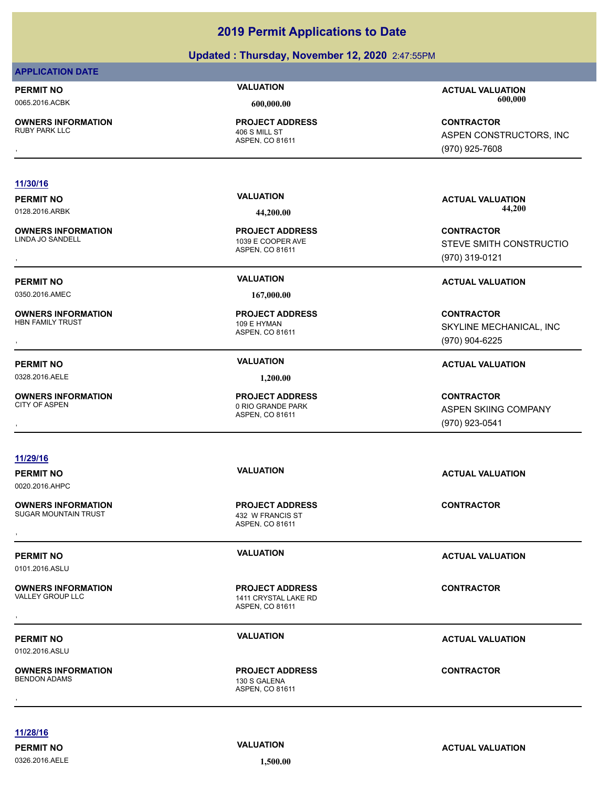## **Updated : Thursday, November 12, 2020** 2:47:55PM

## **APPLICATION DATE**

**OWNERS INFORMATION**

ASPEN, CO 81611 406 S MILL ST **PROJECT ADDRESS**

**PERMIT NO VALUATION ACTUAL VALUATION** 0065.2016.ACBK **600,000.00 600,000.00**

, **CONTRACTOR** ASPEN CONSTRUCTORS, INC (970) 925-7608

## **11/30/16**

**OWNERS INFORMATION**

0350.2016.AMEC **167,000.00**

**OWNERS INFORMATION**

0328.2016.AELE **1,200.00**

**OWNERS INFORMATION**

**11/29/16**

0020.2016.AHPC

**OWNERS INFORMATION** SUGAR MOUNTAIN TRUST **1999 120 AU 2018 12:30 W FRANCIS ST** 

0101.2016.ASLU

**OWNERS INFORMATION**

0102.2016.ASLU

**OWNERS INFORMATION**

ASPEN, CO 81611 109 E HYMAN

**PROJECT ADDRESS**

ASPEN, CO 81611

1039 E COOPER AVE **PROJECT ADDRESS**

ASPEN, CO 81611 0 RIO GRANDE PARK **PROJECT ADDRESS**

## **PERMIT NO VALUATION ACTUAL VALUATION** 0128.2016.ARBK **44,200.00 44,200.00**

, **CONTRACTOR** STEVE SMITH CONSTRUCTIO (970) 319-0121

## **PERMIT NO VALUATION VALUATION VALUATION**

, **CONTRACTOR** SKYLINE MECHANICAL, INC (970) 904-6225

## **PERMIT NO VALUATION ACTUAL VALUATION**

, **CONTRACTOR** ASPEN SKIING COMPANY (970) 923-0541

**PERMIT NO VALUATION ACTUAL VALUATION**

**PERMIT NO CONSUMITY ACTUAL VALUATION VALUATION VALUATION** 

**PERMIT NO VALUATION VALUATION VALUATION** 

**11/28/16**

0326.2016.AELE **1,500.00**

**PERMIT NO VALUATION VALUATION VALUATION** 

**PROJECT ADDRESS**

1411 CRYSTAL LAKE RD **PROJECT ADDRESS**

ASPEN, CO 81611 130 S GALENA **PROJECT ADDRESS** , **CONTRACTOR**

ASPEN, CO 81611 , **CONTRACTOR**

ASPEN, CO 81611 , **CONTRACTOR**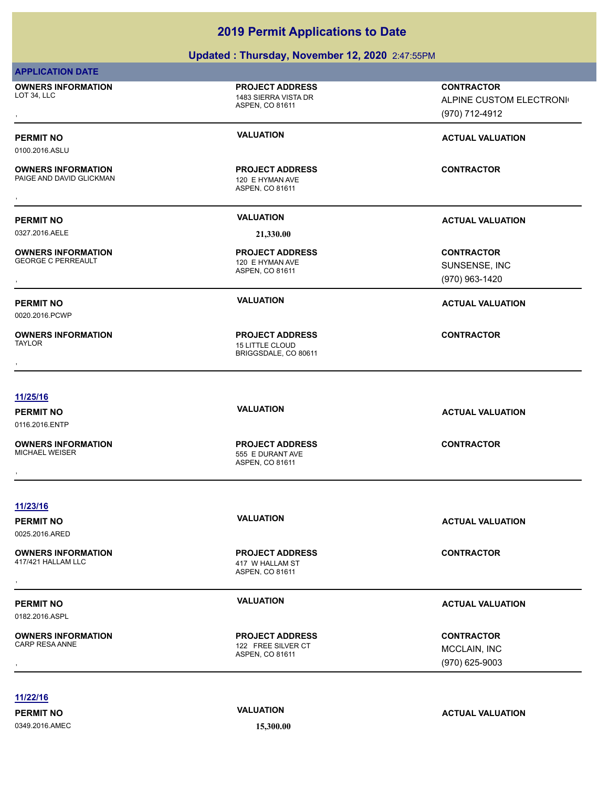## **Updated : Thursday, November 12, 2020** 2:47:55PM

| <b>APPLICATION DATE</b>                                |                                                                          |                                                                |
|--------------------------------------------------------|--------------------------------------------------------------------------|----------------------------------------------------------------|
| <b>OWNERS INFORMATION</b><br>LOT 34, LLC               | <b>PROJECT ADDRESS</b><br>1483 SIERRA VISTA DR<br>ASPEN, CO 81611        | <b>CONTRACTOR</b><br>ALPINE CUSTOM ELECTRONI<br>(970) 712-4912 |
| <b>PERMIT NO</b><br>0100.2016.ASLU                     | <b>VALUATION</b>                                                         | <b>ACTUAL VALUATION</b>                                        |
| <b>OWNERS INFORMATION</b><br>PAIGE AND DAVID GLICKMAN  | <b>PROJECT ADDRESS</b><br>120 E HYMAN AVE<br>ASPEN, CO 81611             | <b>CONTRACTOR</b>                                              |
| <b>PERMIT NO</b>                                       | <b>VALUATION</b>                                                         | <b>ACTUAL VALUATION</b>                                        |
| 0327.2016.AELE                                         | 21,330.00                                                                |                                                                |
| <b>OWNERS INFORMATION</b><br><b>GEORGE C PERREAULT</b> | <b>PROJECT ADDRESS</b><br>120 E HYMAN AVE<br>ASPEN, CO 81611             | <b>CONTRACTOR</b><br>SUNSENSE, INC<br>(970) 963-1420           |
| <b>PERMIT NO</b><br>0020.2016.PCWP                     | <b>VALUATION</b>                                                         | <b>ACTUAL VALUATION</b>                                        |
| <b>OWNERS INFORMATION</b><br><b>TAYLOR</b>             | <b>PROJECT ADDRESS</b><br><b>15 LITTLE CLOUD</b><br>BRIGGSDALE, CO 80611 | <b>CONTRACTOR</b>                                              |
|                                                        |                                                                          |                                                                |
| 11/25/16                                               |                                                                          |                                                                |
| <b>PERMIT NO</b><br>0116.2016.ENTP                     | <b>VALUATION</b>                                                         | <b>ACTUAL VALUATION</b>                                        |
| <b>OWNERS INFORMATION</b><br><b>MICHAEL WEISER</b>     | <b>PROJECT ADDRESS</b><br>555 E DURANT AVE<br>ASPEN, CO 81611            | <b>CONTRACTOR</b>                                              |
| 11/23/16                                               |                                                                          |                                                                |
| <b>PERMIT NO</b><br>0025.2016.ARED                     | <b>VALUATION</b>                                                         | <b>ACTUAL VALUATION</b>                                        |
| <b>OWNERS INFORMATION</b><br>417/421 HALLAM LLC        | <b>PROJECT ADDRESS</b><br>417 W HALLAM ST<br>ASPEN, CO 81611             | <b>CONTRACTOR</b>                                              |
| <b>PERMIT NO</b><br>0182.2016.ASPL                     | <b>VALUATION</b>                                                         | <b>ACTUAL VALUATION</b>                                        |
| <b>OWNERS INFORMATION</b><br>CARP RESA ANNE            | <b>PROJECT ADDRESS</b><br>122 FREE SILVER CT<br>ASPEN, CO 81611          | <b>CONTRACTOR</b><br>MCCLAIN, INC                              |
|                                                        |                                                                          | (970) 625-9003                                                 |

**11/22/16**

0349.2016.AMEC **15,300.00**

**PERMIT NO CONSUMITY ACTUAL VALUATION VALUATION ACTUAL VALUATION**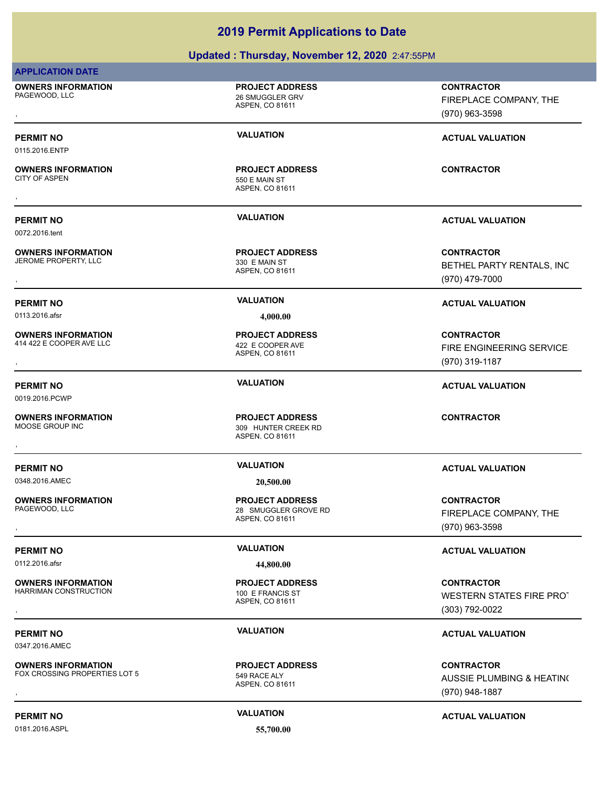## **Updated : Thursday, November 12, 2020** 2:47:55PM

| <b>APPLICATION DATE</b>                                    |                                                                   |                                                                        |
|------------------------------------------------------------|-------------------------------------------------------------------|------------------------------------------------------------------------|
| <b>OWNERS INFORMATION</b><br>PAGEWOOD. LLC                 | <b>PROJECT ADDRESS</b><br>26 SMUGGLER GRV<br>ASPEN, CO 81611      | <b>CONTRACTOR</b><br>FIREPLACE COMPANY, THE<br>(970) 963-3598          |
| <b>PERMIT NO</b><br>0115.2016.ENTP                         | <b>VALUATION</b>                                                  | <b>ACTUAL VALUATION</b>                                                |
| <b>OWNERS INFORMATION</b><br><b>CITY OF ASPEN</b>          | <b>PROJECT ADDRESS</b><br>550 E MAIN ST<br>ASPEN, CO 81611        | <b>CONTRACTOR</b>                                                      |
| <b>PERMIT NO</b><br>0072.2016.tent                         | <b>VALUATION</b>                                                  | <b>ACTUAL VALUATION</b>                                                |
| <b>OWNERS INFORMATION</b><br>JEROME PROPERTY, LLC          | <b>PROJECT ADDRESS</b><br>330 E MAIN ST<br>ASPEN, CO 81611        | <b>CONTRACTOR</b><br>BETHEL PARTY RENTALS, INC<br>(970) 479-7000       |
| <b>PERMIT NO</b><br>0113.2016.afsr                         | <b>VALUATION</b><br>4,000.00                                      | <b>ACTUAL VALUATION</b>                                                |
| <b>OWNERS INFORMATION</b><br>414 422 E COOPER AVE LLC      | <b>PROJECT ADDRESS</b><br>422 E COOPER AVE<br>ASPEN, CO 81611     | <b>CONTRACTOR</b><br>FIRE ENGINEERING SERVICE<br>(970) 319-1187        |
| <b>PERMIT NO</b><br>0019.2016.PCWP                         | <b>VALUATION</b>                                                  | <b>ACTUAL VALUATION</b>                                                |
| <b>OWNERS INFORMATION</b><br>MOOSE GROUP INC               | <b>PROJECT ADDRESS</b><br>309 HUNTER CREEK RD<br>ASPEN, CO 81611  | <b>CONTRACTOR</b>                                                      |
| <b>PERMIT NO</b><br>0348.2016.AMEC                         | <b>VALUATION</b><br>20,500.00                                     | <b>ACTUAL VALUATION</b>                                                |
| <b>OWNERS INFORMATION</b><br>PAGEWOOD, LLC                 | <b>PROJECT ADDRESS</b><br>28 SMUGGLER GROVE RD<br>ASPEN, CO 81611 | <b>CONTRACTOR</b><br>FIREPLACE COMPANY, THE<br>(970) 963-3598          |
| <b>PERMIT NO</b><br>0112.2016.afsr                         | <b>VALUATION</b><br>44,800.00                                     | <b>ACTUAL VALUATION</b>                                                |
| <b>OWNERS INFORMATION</b><br>HARRIMAN CONSTRUCTION         | <b>PROJECT ADDRESS</b><br>100 E FRANCIS ST<br>ASPEN, CO 81611     | <b>CONTRACTOR</b><br><b>WESTERN STATES FIRE PROT</b><br>(303) 792-0022 |
| <b>PERMIT NO</b><br>0347.2016.AMEC                         | <b>VALUATION</b>                                                  | <b>ACTUAL VALUATION</b>                                                |
| <b>OWNERS INFORMATION</b><br>FOX CROSSING PROPERTIES LOT 5 | <b>PROJECT ADDRESS</b><br>549 RACE ALY<br>ASPEN, CO 81611         | <b>CONTRACTOR</b><br>AUSSIE PLUMBING & HEATING<br>(970) 948-1887       |
| <b>PERMIT NO</b>                                           | <b>VALUATION</b>                                                  | <b>ACTUAL VALUATION</b>                                                |

0181.2016.ASPL **55,700.00**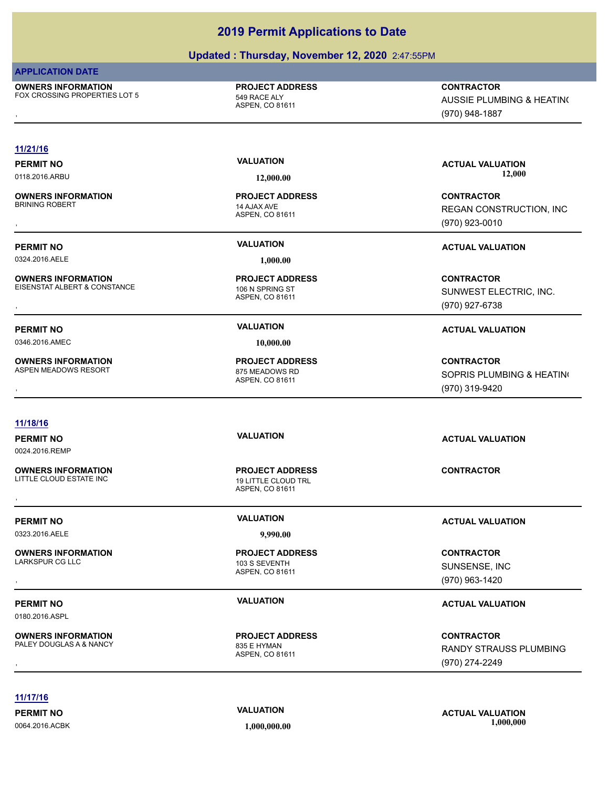## **Updated : Thursday, November 12, 2020** 2:47:55PM

## **APPLICATION DATE**

**OWNERS INFORMATION** FOX CROSSING PROPERTIES LOT 5 549 RACE ALY

**PROJECT ADDRESS**

ASPEN, CO 81611

**OWNERS INFORMATION METALLY AREAD FROJECT ADDRESS AREAD FOR SOUTRACTOR CONTRACTOR**<br>FOX CROSSING PROPERTIES LOT 5 THE SALLY ASPEN. CO 81611 METAL METALLY AND MUSSIE PLUMBING & HEATIN(<br>The Sale of Spen, CO 81611 Mass of the AUSSIE PLUMBING & HEATING (970) 948-1887

## **11/21/16**

**OWNERS INFORMATION** BRINING ROBERT 14 AJAX AVE

0324.2016.AELE **1,000.00**

**OWNERS INFORMATION** EISENSTAT ALBERT & CONSTANCE 106 N SPRING ST

0346.2016.AMEC **10,000.00**

**OWNERS INFORMATION** ASPEN MEADOWS RESORT 875 MEADOWS RD

## **11/18/16**

0024.2016.REMP

**OWNERS INFORMATION**<br>LITTLE CLOUD ESTATE INC

**OWNERS INFORMATION** LARKSPUR CG LLC 103 S SEVENTH

0180.2016.ASPL

**OWNERS INFORMATION** PALEY DOUGLAS A & NANCY 835 E HYMAN

ASPEN, CO 81611 **PROJECT ADDRESS**

ASPEN, CO 81611 **PROJECT ADDRESS**

ASPEN, CO 81611 **PROJECT ADDRESS**

ASPEN, CO 81611 19 LITTLE CLOUD TRL **PROJECT ADDRESS OWNERS INFORMATION CONTRACTOR REPORT OF PROJECT ADDRESS CONTRACTOR CONTRACTOR**<br>LITTLE CLOUD ESTATE INC CONTRACTOR ASPEN. CO 81611<br>,

0323.2016.AELE **9,990.00**

ASPEN, CO 81611 **PROJECT ADDRESS**

ASPEN, CO 81611 **PROJECT ADDRESS**

**PERMIT NO VALUATION ACTUAL VALUATION**

0118.2016.ARBU **12,000.00 12,000.00**

, **CONTRACTOR** REGAN CONSTRUCTION, INC (970) 923-0010

## **PERMIT NO VALUATION VALUATION VALUATION**

**OWNERS INFORMATION METALLY CONTRACTOR DESCRIPTION ON PROJECT ADDRESS ARE:**<br>EISENSTAT ALBERT & CONSTANCE THE SOLUTION OF ASPEN, CO 81611<br>, The Separation of ASPEN, CO 81611 SUNWEST ELECTRIC, INC. (970) 927-6738

## **PERMIT NO VALUATION ACTUAL VALUATION**

**OWNERS INFORMATION PROJECT ADDRESS CONTRACTOR**<br>ASPEN MEADOWS RESORT 875 MEADOWS RD SOPRIS PLUMBING & HEATIN(<br>, ASPEN, CO 81611 SOPRIS PLUMBING & HEATING (970) 319-9420

**PERMIT NO VALUATION VALUATION VALUATION** 

## **PERMIT NO VALUATION ACTUAL VALUATION**

, **CONTRACTOR** SUNSENSE, INC (970) 963-1420

## **PERMIT NO VALUATION ACTUAL VALUATION**

, **CONTRACTOR** RANDY STRAUSS PLUMBING (970) 274-2249

**11/17/16**

0064.2016.ACBK **1,000,000.00 1,000,000.00**

**PERMIT NO VALUATION ACTUAL VALUATION**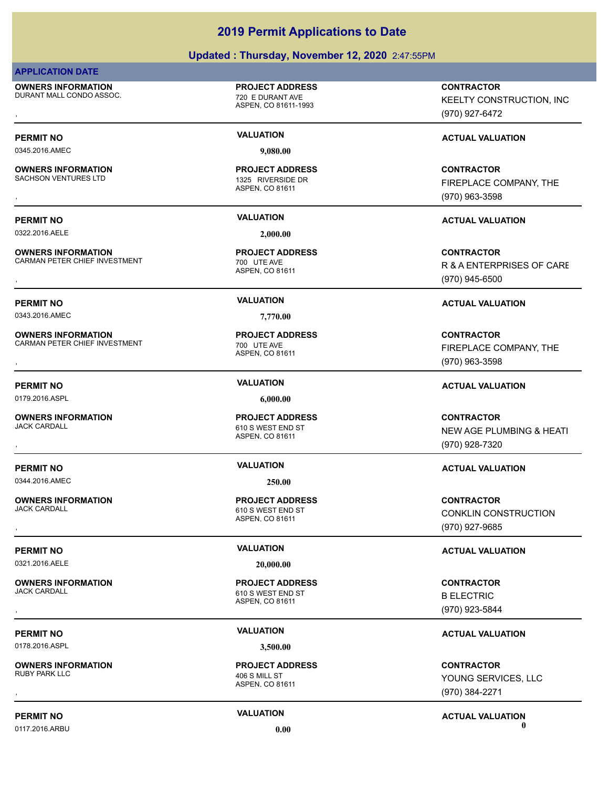## **Updated : Thursday, November 12, 2020** 2:47:55PM

## **APPLICATION DATE**

**OWNERS INFORMATION** DURANT MALL CONDO ASSOC. THE STATE RESERVED TO BE DURANT AVE

0345.2016.AMEC **9,080.00**

**OWNERS INFORMATION** SACHSON VENTURES LTD 1325 RIVERSIDE DR

0322.2016.AELE **2,000.00**

**OWNERS INFORMATION** CARMAN PETER CHIEF INVESTMENT **1999 120 VITE AVE** 

**OWNERS INFORMATION**

**OWNERS INFORMATION**

ASPEN, CO 81611-1993

**PROJECT ADDRESS**

ASPEN, CO 81611 **PROJECT ADDRESS**

ASPEN, CO 81611 **PROJECT ADDRESS**

0343.2016.AMEC **7,770.00**

ASPEN, CO 81611 CARMAN PETER CHIEF INVESTMENT 700 UTE AVE **PROJECT ADDRESS**

0179.2016.ASPL **6,000.00**

ASPEN, CO 81611 610 S WEST END ST **PROJECT ADDRESS**

0344.2016.AMEC **250.00**

**OWNERS INFORMATION**

0321.2016.AELE **20,000.00**

**OWNERS INFORMATION**

0178.2016.ASPL **3,500.00**

**OWNERS INFORMATION**

ASPEN, CO 81611 610 S WEST END ST **PROJECT ADDRESS**

ASPEN, CO 81611 610 S WEST END ST **PROJECT ADDRESS** , **CONTRACTOR**

## B ELECTRIC (970) 923-5844

## **PERMIT NO VALUATION ACTUAL VALUATION**

, **CONTRACTOR** YOUNG SERVICES, LLC (970) 384-2271

## **PERMIT NO CONSUMITY OF A CONSUMITY OF A CONSUMITY OF A CONSUMITY OF A CTUAL VALUATION**

ASPEN, CO 81611

406 S MILL ST **PROJECT ADDRESS**

, **CONTRACTOR** KEELTY CONSTRUCTION, INC. (970) 927-6472

**PERMIT NO CONSUMITY ACTUAL VALUATION VALUATION VALUATION** 

**OWNERS INFORMATION PROJECT ADDRESS CONTRACTOR**<br>SACHSON VENTURES LTD 1325 RIVERSIDE DR FIREPLACE COMPANY, THE<br>, ASPEN, CO 81611 FIREPLACE COMPANY, THE (970) 963-3598

## **PERMIT NO VALUATION ACTUAL VALUATION**

**OWNERS INFORMATION FROJECT ADDRESS ARE SERVIT READS AND MANUSICAL CONTRACTOR**<br>CARMAN PETER CHIEF INVESTMENT FROM THE AVE ASPEN, CO 81611 FROM THE AVE ASPEN CO 81611<br>TOO 81611 FROM THE ASPEN, CO 81611 FROM THE ASPEN CO 816 R & A ENTERPRISES OF CARE (970) 945-6500

## **PERMIT NO VALUATION ACTUAL VALUATION**

, **CONTRACTOR** FIREPLACE COMPANY, THE (970) 963-3598

## **PERMIT NO VALUATION ACTUAL VALUATION**

**OWNERS INFORMATION PROJECT ADDRESS CONTRACTOR**<br>JACK CARDALL 610 S WEST END ST NEW AGE PLUMBING & HEATI<br>, ASPEN. CO 81611 **NEW AGE PLUMBING & HEATI** (970) 928-7320

## **PERMIT NO VALUATION ACTUAL VALUATION**

, **CONTRACTOR** CONKLIN CONSTRUCTION (970) 927-9685

## **PERMIT NO VALUATION VALUATION VALUATION**

0117.2016.ARBU **0.00 0.00**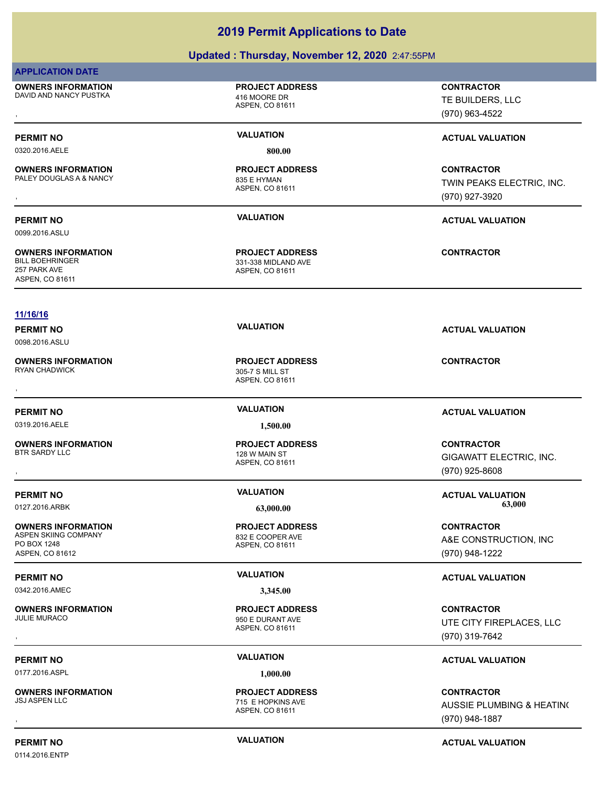## **Updated : Thursday, November 12, 2020** 2:47:55PM

|--|

**OWNERS INFORMATION** DAVID AND NANCY PUSTKA 416 MOORE DR

ASPEN, CO 81611

ASPEN, CO 81611

ASPEN, CO 81611

331-338 MIDLAND AVE **PROJECT ADDRESS**

**PROJECT ADDRESS**

**PROJECT ADDRESS**

0320.2016.AELE **800.00**

## **OWNERS INFORMATION** PALEY DOUGLAS A & NANCY 835 E HYMAN

0099.2016.ASLU

**OWNERS INFORMATION** 257 PARK AVE ASPEN, CO 81611

## **11/16/16**

0098.2016.ASLU

**OWNERS INFORMATION** RYAN CHADWICK 305-7 S MILL ST , **CONTRACTOR**

0319.2016.AELE **1,500.00**

**OWNERS INFORMATION**

**OWNERS INFORMATION** ASPEN SKIING COMPANY 832 E COOPER AVE PO BOX 1248 ASPEN, CO 81612

0342.2016.AMEC **3,345.00**

**OWNERS INFORMATION**

0177.2016.ASPL **1,000.00**

**OWNERS INFORMATION**

0114.2016.ENTP

## , **CONTRACTOR** TE BUILDERS, LLC (970) 963-4522

## **PERMIT NO CONSUMITY ACTUAL VALUATION VALUATION VALUATION**

, **CONTRACTOR** TWIN PEAKS ELECTRIC, INC. (970) 927-3920

## **PERMIT NO VALUATION ACTUAL VALUATION**

**CONTRACTOR**

**PERMIT NO VALUATION VALUATION VALUATION** 

ASPEN, CO 81611

**PROJECT ADDRESS**

## ASPEN, CO 81611 128 W MAIN ST **PROJECT ADDRESS**

ASPEN, CO 81611 **PROJECT ADDRESS**

ASPEN, CO 81611 950 E DURANT AVE **PROJECT ADDRESS**

ASPEN, CO 81611 715 E HOPKINS AVE **PROJECT ADDRESS**

## **PERMIT NO VALUATION ACTUAL VALUATION**

, **CONTRACTOR** GIGAWATT ELECTRIC, INC. (970) 925-8608

**PERMIT NO VALUATION ACTUAL VALUATION** 0127.2016.ARBK **63,000.00 63,000.00**

> **CONTRACTOR** A&E CONSTRUCTION, INC (970) 948-1222

## **PERMIT NO VALUATION ACTUAL VALUATION**

, **CONTRACTOR** UTE CITY FIREPLACES, LLC (970) 319-7642

## **PERMIT NO VALUATION ACTUAL VALUATION**

, **CONTRACTOR** AUSSIE PLUMBING & HEATING (970) 948-1887

**PERMIT NO CONSUMITY ACTUAL VALUATION VALUATION VALUATION**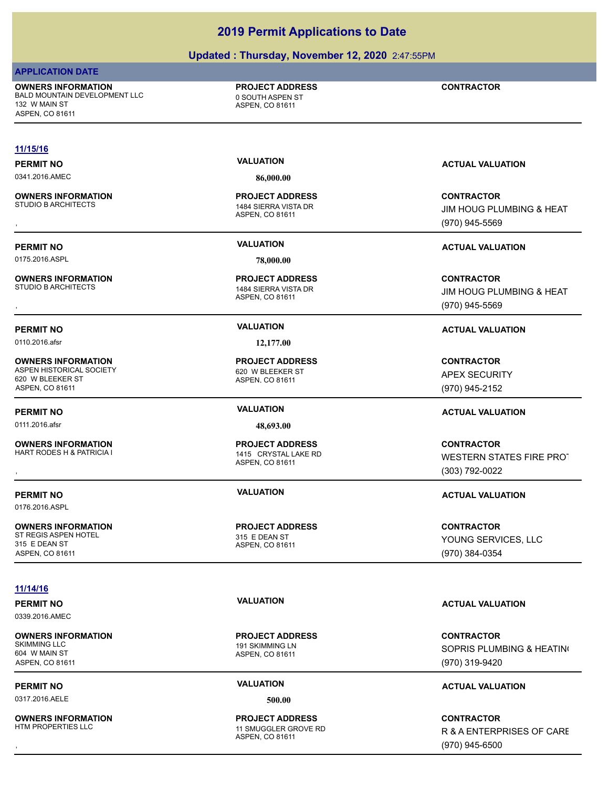## **Updated : Thursday, November 12, 2020** 2:47:55PM

## **APPLICATION DATE**

**OWNERS INFORMATION** BALD MOUNTAIN DEVELOPMENT LLC  $\qquad \qquad 0 \text{ SOUTH ASPEN ST}$ 132 W MAIN ST ASPEN, CO 81611

**PROJECT ADDRESS**

ASPEN, CO 81611

**CONTRACTOR**

## **11/15/16**

0341.2016.AMEC **86,000.00**

**OWNERS INFORMATION** STUDIO B ARCHITECTS **1484 SIERRA VISTA DR** 

0175.2016.ASPL **78,000.00**

**OWNERS INFORMATION** STUDIO B ARCHITECTS 1484 SIERRA VISTA DR

**OWNERS INFORMATION** ASPEN HISTORICAL SOCIETY 620 W BLEEKER ST 620 W BLEEKER ST ASPEN, CO 81611

0111.2016.afsr **48,693.00**

**OWNERS INFORMATION**

0176.2016.ASPL

**OWNERS INFORMATION** ST REGIS ASPEN HOTEL 315 E DEAN ST 315 E DEAN ST ASPEN, CO 81611

## **11/14/16**

0339.2016.AMEC

**OWNERS INFORMATION** 604 W MAIN ST ASPEN, CO 81611

0317.2016.AELE **500.00**

**OWNERS INFORMATION**

ASPEN, CO 81611 **PROJECT ADDRESS**

ASPEN, CO 81611 **PROJECT ADDRESS**

0110.2016.afsr **12,177.00**

ASPEN, CO 81611 **PROJECT ADDRESS**

ASPEN, CO 81611 1415 CRYSTAL LAKE RD **PROJECT ADDRESS**

ASPEN, CO 81611 **PROJECT ADDRESS**

**PERMIT NO VALUATION VALUATION VALUATION** 

, **CONTRACTOR** JIM HOUG PLUMBING & HEAT (970) 945-5569

## **PERMIT NO VALUATION ACTUAL VALUATION**

, **CONTRACTOR** JIM HOUG PLUMBING & HEAT (970) 945-5569

## **PERMIT NO VALUATION ACTUAL VALUATION**

**CONTRACTOR** APEX SECURITY (970) 945-2152

## **PERMIT NO VALUATION ACTUAL VALUATION**

**OWNERS INFORMATION GOVERNEY ARE IN THE PROJECT ADDRESS CONTRACTOR CONTRACTOR**<br>HART RODES H & PATRICIA I GATA ASPEN CO 81611 ASPEN, CO 81611 GOVERNEY (1993) 792-0022<br>GOVERNEY REPORT ASPEN, CO 81611 (303) 792-0022 WESTERN STATES FIRE PROT (303) 792-0022

## **PERMIT NO VALUATION ACTUAL VALUATION**

**CONTRACTOR** YOUNG SERVICES, LLC (970) 384-0354

ASPEN, CO 81611 191 SKIMMING LN **PROJECT ADDRESS**

ASPEN, CO 81611 11 SMUGGLER GROVE RD **PROJECT ADDRESS**

**PERMIT NO VALUATION ACTUAL VALUATION**

**CONTRACTOR** SOPRIS PLUMBING & HEATING (970) 319-9420

## **PERMIT NO VALUATION ACTUAL VALUATION**

**OWNERS INFORMATION PROJECT ADDRESS CONTRACTOR**<br>HTM PROPERTIES LLC 11 SMUGGLER GROVE RD R &A ENTERPRISES OF CARE<br>, ASPEN. CO 81611 R & A ENTERPRISES OF CARE (970) 945-6500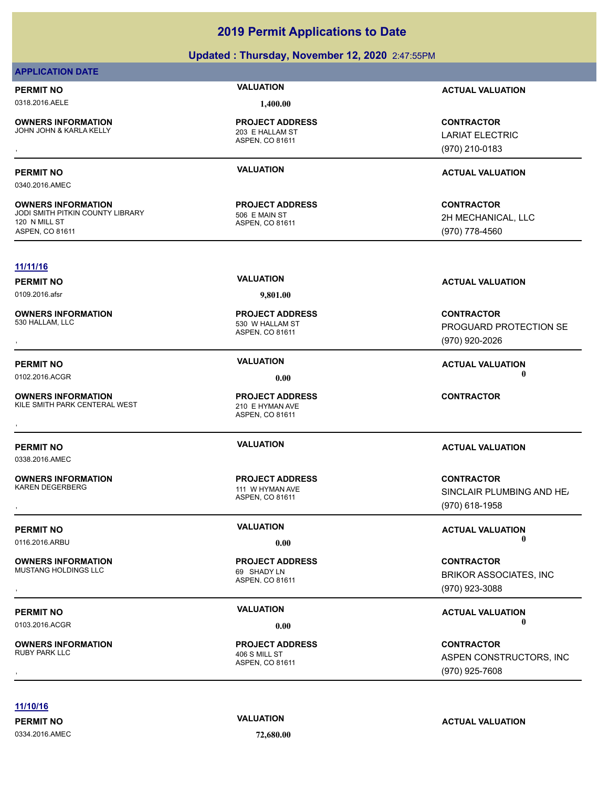| <b>OWNERS INFORMATION</b><br>JOHN JOHN & KARLA KELLY | <b>PROJECT ADDRESS</b><br>203 E HALLAM ST | <b>CONTRACTOR</b><br><b>LARIAT ELECTRIC</b> |
|------------------------------------------------------|-------------------------------------------|---------------------------------------------|
|                                                      | ASPEN, CO 81611                           | (970) 210-0183                              |
|                                                      |                                           |                                             |
| PERMIT NO                                            | <b>VALUATION</b>                          | <b>ACTUAL VALUATION</b>                     |
| 0340.2016.AMEC                                       |                                           |                                             |
| <b>OWNERS INFORMATION</b>                            | <b>PROJECT ADDRESS</b>                    | <b>CONTRACTOR</b>                           |
| JODI SMITH PITKIN COUNTY LIBRARY<br>120 N MILL ST    | 506 E MAIN ST<br>ASPEN, CO 81611          | 2H MECHANICAL, LLC                          |
| ASPEN, CO 81611                                      |                                           | (970) 778-4560                              |
|                                                      |                                           |                                             |
| 11/11/16                                             |                                           |                                             |
| PERMIT NO                                            | <b>VALUATION</b>                          | <b>ACTUAL VALUATION</b>                     |
| 0109.2016.afsr                                       | 9,801.00                                  |                                             |
| <b>OWNERS INFORMATION</b>                            | <b>PROJECT ADDRESS</b>                    | <b>CONTRACTOR</b>                           |
| 530 HALLAM, LLC                                      | 530 W HALLAM ST<br>ASPEN, CO 81611        | <b>PROGUARD PROTECTION SE</b>               |
|                                                      |                                           | (970) 920-2026                              |
| PERMIT NO                                            | <b>VALUATION</b>                          | <b>ACTUAL VALUATION</b>                     |
| 0102.2016.ACGR                                       | 0.00                                      | -0                                          |
| <b>OWNERS INFORMATION</b>                            | <b>PROJECT ADDRESS</b>                    | <b>CONTRACTOR</b>                           |
| KILE SMITH PARK CENTERAL WEST                        | 210 E HYMAN AVE                           |                                             |
|                                                      | ASPEN, CO 81611                           |                                             |
|                                                      | <b>VALUATION</b>                          |                                             |
| PERMIT NO                                            |                                           | <b>ACTUAL VALUATION</b>                     |
| 0338.2016.AMEC                                       |                                           |                                             |
| <b>OWNERS INFORMATION</b>                            | <b>PROJECT ADDRESS</b>                    | <b>CONTRACTOR</b>                           |
| KAREN DEGERBERG                                      | 111 W HYMAN AVE<br>ASPEN, CO 81611        | SINCLAIR PLUMBING AND HE                    |
|                                                      |                                           | (970) 618-1958                              |
| <b>PERMIT NO</b>                                     | <b>VALUATION</b>                          | <b>ACTUAL VALUATION</b>                     |
| 0116.2016.ARBU                                       | 0.00                                      |                                             |
| <b>OWNERS INFORMATION</b>                            | <b>PROJECT ADDRESS</b>                    | <b>CONTRACTOR</b>                           |
| MUSTANG HOLDINGS LLC                                 | 69 SHADY LN                               | <b>BRIKOR ASSOCIATES, INC</b>               |
|                                                      | ASPEN, CO 81611                           | (970) 923-3088                              |
|                                                      |                                           |                                             |
| <b>PERMIT NO</b>                                     | <b>VALUATION</b>                          | <b>ACTUAL VALUATION</b><br>-0               |
| 0103.2016.ACGR                                       | 0.00                                      |                                             |
| <b>OWNERS INFORMATION</b><br>RUBY PARK LLC           | <b>PROJECT ADDRESS</b>                    | <b>CONTRACTOR</b>                           |
|                                                      | 406 S MILL ST<br>ASPEN, CO 81611          | ASPEN CONSTRUCTORS, INC                     |
|                                                      |                                           | (970) 925-7608                              |

**11/10/16**

0334.2016.AMEC **72,680.00**

## **PERMIT NO CONSUMITY ACTUAL VALUATION VALUATION ACTUAL VALUATION**

## **2019 Permit Applications to Date**

## **Updated : Thursday, November 12, 2020** 2:47:55PM

## **APPLICATION DATE**

0318.2016.AELE **1,400.00**

**OWNERS INFORMATION** JOHN JOHN & KARLA KELLY

**PERMIT NO CONSUMITY ACTUAL VALUATION VALUATION ACTUAL VALUATION** 

203 E HALLAM ST<br>ASPEN, CO 81611 **PROJECT ADDRESS**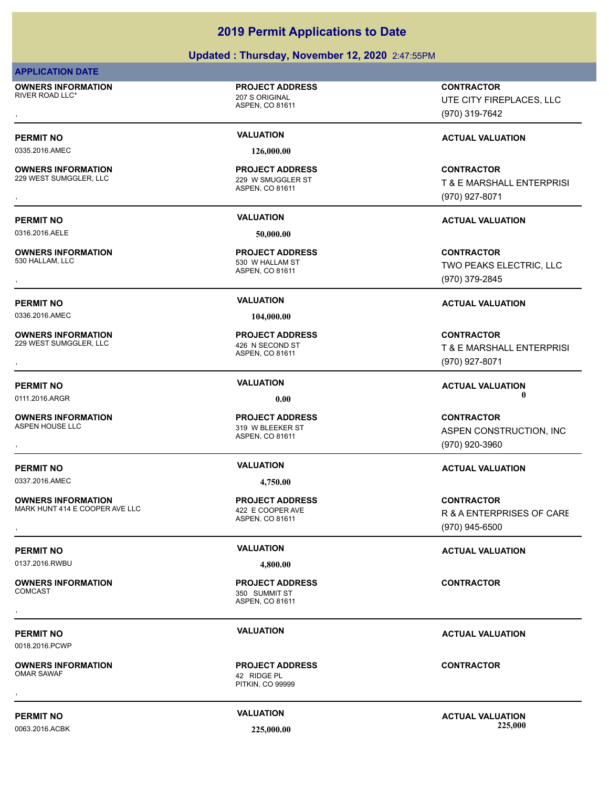## **Updated : Thursday, November 12, 2020** 2:47:55PM

## **APPLICATION DATE**

**OWNERS INFORMATION**

**OWNERS INFORMATION**

**OWNERS INFORMATION**

**OWNERS INFORMATION**

**OWNERS INFORMATION**

**OWNERS INFORMATION**

**OWNERS INFORMATION**

ASPEN, CO 81611

207 S ORIGINAL **PROJECT ADDRESS**

0335.2016.AMEC **126,000.00**

## ASPEN, CO 81611 229 WEST SUMGGLER, LLC 229 W SMUGGLER ST **PROJECT ADDRESS**

0316.2016.AELE **50,000.00**

ASPEN, CO 81611 530 W HALLAM ST **PROJECT ADDRESS**

0336.2016.AMEC **104,000.00**

ASPEN, CO 81611 229 WEST SUMGGLER, LLC 426 N SECOND ST **PROJECT ADDRESS**

## ASPEN, CO 81611 319 W BLEEKER ST **PROJECT ADDRESS**

0337.2016.AMEC **4,750.00**

## ASPEN, CO 81611 MARK HUNT 414 E COOPER AVE LLC 422 E COOPER AVE **PROJECT ADDRESS**

## 0137.2016.RWBU **4,800.00**

ASPEN, CO 81611 350 SUMMIT ST **PROJECT ADDRESS** , **CONTRACTOR**

## 42 RIDGE PL **PROJECT ADDRESS** , **CONTRACTOR**

PITKIN, CO 99999

UTE CITY FIREPLACES, LLC

, **CONTRACTOR** (970) 319-7642

## **PERMIT NO VALUATION VALUATION VALUATION**

, **CONTRACTOR** T & E MARSHALL ENTERPRISI (970) 927-8071

## **PERMIT NO VALUATION ACTUAL VALUATION**

, **CONTRACTOR** TWO PEAKS ELECTRIC, LLC (970) 379-2845

## **PERMIT NO VALUATION ACTUAL VALUATION**

, **CONTRACTOR** T & E MARSHALL ENTERPRISI (970) 927-8071

## **PERMIT NO VALUATION ACTUAL VALUATION** 0111.2016.ARGR **0.00 0.00**

, **CONTRACTOR** ASPEN CONSTRUCTION, INC (970) 920-3960

## **PERMIT NO VALUATION ACTUAL VALUATION**

**OWNERS INFORMATION MARK HUNT 414 E COOPER AVE A SPEN, CO 81611**<br>MARK HUNT 414 E COOPER AVE LLC ASPEN, CO 81611 ASPEN, CO 81611 **A SPEN, CO 81611**<br>ASPEN, CO 81611 (970) 945-6500 R & A ENTERPRISES OF CARE (970) 945-6500

**PERMIT NO VALUATION VALUATION VALUATION** 

**PERMIT NO VALUATION ACTUAL VALUATION**

**PERMIT NO VALUATION ACTUAL VALUATION** 0063.2016.ACBK **225,000.00 225,000.00**

0018.2016.PCWP

**OWNERS INFORMATION**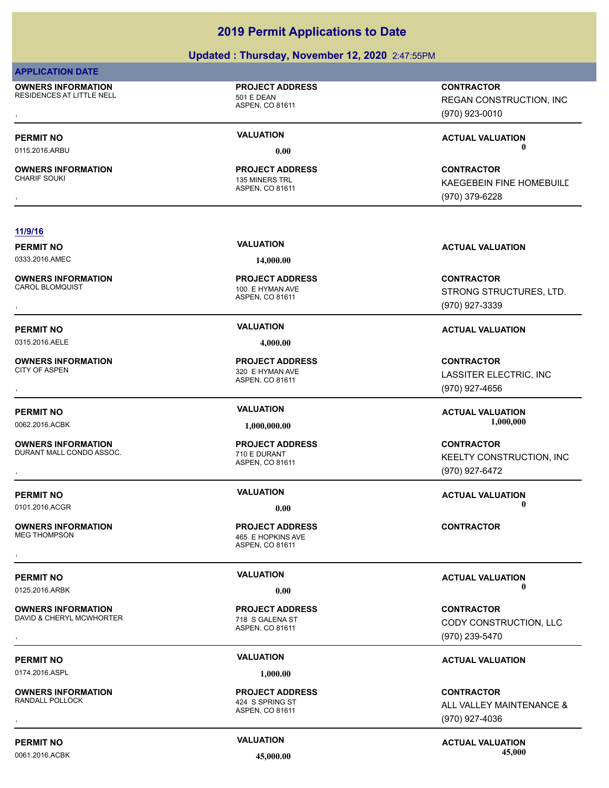## **Updated : Thursday, November 12, 2020** 2:47:55PM

## **APPLICATION DATE**

**OWNERS INFORMATION** RESIDENCES AT LITTLE NELL 501 E DEAN

**OWNERS INFORMATION**

## **PROJECT ADDRESS**

ASPEN, CO 81611

ASPEN, CO 81611 135 MINERS TRL **PROJECT ADDRESS**

, **CONTRACTOR** REGAN CONSTRUCTION, INC (970) 923-0010

**PERMIT NO VALUATION ACTUAL VALUATION** 0115.2016.ARBU **0.00 0.00**

, **CONTRACTOR** KAEGEBEIN FINE HOMEBUILD (970) 379-6228

## **11/9/16**

0333.2016.AMEC **14,000.00**

**OWNERS INFORMATION** CAROL BLOMQUIST 100 E HYMAN AVE

**OWNERS INFORMATION**

**OWNERS INFORMATION** DURANT MALL CONDO ASSOC. The matrix of the control of the DURANT

**OWNERS INFORMATION**

**OWNERS INFORMATION** DAVID & CHERYL MCWHORTER 718 S GALENA ST

0174.2016.ASPL **1,000.00**

**OWNERS INFORMATION**

ASPEN, CO 81611 **PROJECT ADDRESS**

0315.2016.AELE **4,000.00**

ASPEN, CO 81611 320 E HYMAN AVE **PROJECT ADDRESS**

ASPEN, CO 81611 **PROJECT ADDRESS**

ASPEN, CO 81611 465 E HOPKINS AVE **PROJECT ADDRESS** , **CONTRACTOR**

ASPEN, CO 81611 **PROJECT ADDRESS**

ASPEN, CO 81611 424 S SPRING ST **PROJECT ADDRESS**

**PERMIT NO VALUATION VALUATION VALUATION** 

**OWNERS INFORMATION PROJECT ADDRESS CONTRACTOR**<br>CAROL BLOMQUIST 100 E HYMAN AVE STRONG STRUCTURES, LTD.<br>, ASPEN. CO 81611 STRONG STRUCTURES, LTD. (970) 927-3339

## **PERMIT NO VALUATION ACTUAL VALUATION**

, **CONTRACTOR** LASSITER ELECTRIC, INC (970) 927-4656

**PERMIT NO VALUATION ACTUAL VALUATION** 0062.2016.ACBK **1,000,000.00 1,000,000.00**

, **CONTRACTOR** KEELTY CONSTRUCTION, INC. (970) 927-6472

**PERMIT NO VALUATION ACTUAL VALUATION** 0101.2016.ACGR **0.00 0.00**

## **PERMIT NO VALUATION ACTUAL VALUATION** 0125.2016.ARBK **0.00 0.00**

, **CONTRACTOR** CODY CONSTRUCTION, LLC (970) 239-5470

## **PERMIT NO VALUATION ACTUAL VALUATION**

, **CONTRACTOR** ALL VALLEY MAINTENANCE & (970) 927-4036

**PERMIT NO CONSUMITY ACTUAL VALUATION VALUATION VALUATION** 0061.2016.ACBK **45,000.00 45,000.00**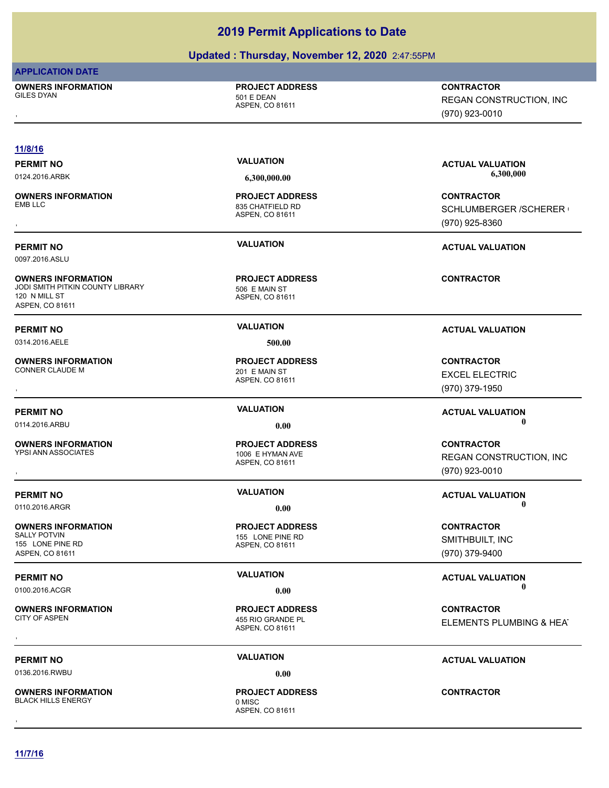## **Updated : Thursday, November 12, 2020** 2:47:55PM

| <b>APPLICATION DATE</b>   |  |
|---------------------------|--|
| <b>OWNERS INFORMATION</b> |  |

GILES DYAN 501 E DEAN

## ASPEN, CO 81611 **PROJECT ADDRESS**

, **CONTRACTOR** REGAN CONSTRUCTION, INC (970) 923-0010

## **11/8/16**

**OWNERS INFORMATION**

0097.2016.ASLU

## **OWNERS INFORMATION** JODI SMITH PITKIN COUNTY LIBRARY 506 E MAIN ST 120 N MILL ST ASPEN, CO 81611

0314.2016.AELE **500.00**

**OWNERS INFORMATION**

0114.2016.ARBU **0.00 0.00**

**OWNERS INFORMATION**<br>YPSI ANN ASSOCIATES

**OWNERS INFORMATION** 155 LONE PINE RD ASPEN, CO 81611

**OWNERS INFORMATION**

0136.2016.RWBU **0.000 0.000 0.000 0.000 0.000 0.000 0.000 0.000 0.000 0.000 0.000 0.000 0.000 0.000 0.000 0.000 0.000 0.000 0.000 0.000 0.000 0.000 0.000 0.000 0.000 0.000 0.000 0.000 0.000 0.000 0.000 0.000 0.000 0.000 0.** 

**OWNERS INFORMATION** BLACK HILLS ENERGY **DEALLY CONDUCT A** DIVISO

ASPEN, CO 81611 835 CHATFIELD RD **PROJECT ADDRESS**

ASPEN, CO 81611 **PROJECT ADDRESS**

ASPEN, CO 81611 201 E MAIN ST **PROJECT ADDRESS**

ASPEN, CO 81611 1006 E HYMAN AVE **PROJECT ADDRESS**

ASPEN, CO 81611 155 LONE PINE RD **PROJECT ADDRESS**

ASPEN, CO 81611 455 RIO GRANDE PL **PROJECT ADDRESS**

## ASPEN, CO 81611 **PROJECT ADDRESS** , **CONTRACTOR**

**PERMIT NO VALUATION ACTUAL VALUATION**

0124.2016.ARBK **6,300,000.00 6,300,000.00**

, **CONTRACTOR** SCHLUMBERGER / SCHERER ( (970) 925-8360

## **PERMIT NO VALUATION VALUATION VALUATION**

**CONTRACTOR**

## **PERMIT NO VALUATION VALUATION VALUATION**

, **CONTRACTOR** EXCEL ELECTRIC (970) 379-1950

## **PERMIT NO VALUATION ACTUAL VALUATION**

, **CONTRACTOR** REGAN CONSTRUCTION, INC (970) 923-0010

**PERMIT NO VALUATION ACTUAL VALUATION**

**CONTRACTOR** SMITHBUILT, INC (970) 379-9400

## **PERMIT NO VALUATION ACTUAL VALUATION** 0100.2016.ACGR **0.00 0.00**

, **CONTRACTOR** ELEMENTS PLUMBING & HEAT

## **PERMIT NO VALUATION ACTUAL VALUATION**

**11/7/16**

0110.2016.ARGR **0.00 0.00**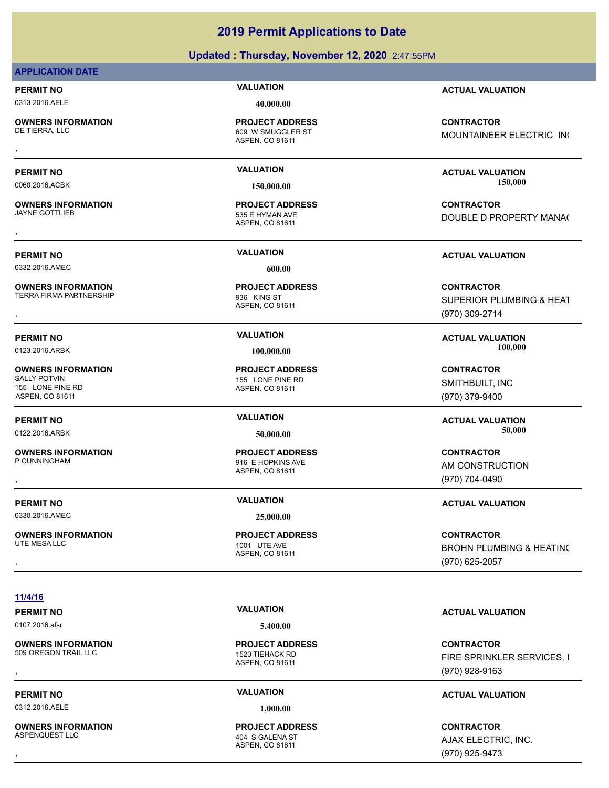## **Updated : Thursday, November 12, 2020** 2:47:55PM **2019 Permit Applications to Date**

## **APPLICATION DATE**

0313.2016.AELE **40,000.00**

**OWNERS INFORMATION**

**OWNERS INFORMATION**

0332.2016.AMEC **600.00**

**OWNERS INFORMATION** TERRA FIRMA PARTNERSHIP 1936 KING ST

**OWNERS INFORMATION** 155 LONE PINE RD ASPEN, CO 81611

**OWNERS INFORMATION** P CUNNINGHAM 916 E HOPKINS AVE

0330.2016.AMEC **25,000.00**

**OWNERS INFORMATION** UTE MESA LLC<br>
1001 UTE AVE

ASPEN, CO 81611 609 W SMUGGLER ST **PROJECT ADDRESS**

ASPEN, CO 81611 535 E HYMAN AVE **PROJECT ADDRESS**

ASPEN, CO 81611 **PROJECT ADDRESS**

ASPEN, CO 81611

ASPEN, CO 81611 **PROJECT ADDRESS**

**PERMIT NO VALUATION ACTUAL VALUATION**

, **CONTRACTOR** MOUNTAINEER ELECTRIC INC

**PERMIT NO VALUATION ACTUAL VALUATION** 0060.2016.ACBK **150,000.00 150,000.00**

, **CONTRACTOR** DOUBLE D PROPERTY MANA(

## **PERMIT NO VALUATION ACTUAL VALUATION**

**OWNERS INFORMATION PROJECT ADDRESS CONTRACTOR**<br>TERRA FIRMA PARTNERSHIP <sub>936</sub> KING ST SUPERIOR PLUMBING & HEAT<br>, ASPEN, CO 81611 SUPERIOR PLUMBING & HEAT (970) 309-2714

**PERMIT NO VALUATION ACTUAL VALUATION** 0123.2016.ARBK **100,000.00 100,000.00**

> **CONTRACTOR** SMITHBUILT, INC (970) 379-9400

**PERMIT NO VALUATION ACTUAL VALUATION** 0122.2016.ARBK **50,000.00 50,000.00**

, **CONTRACTOR** AM CONSTRUCTION (970) 704-0490

## **PERMIT NO CONSUMITY OF A CONSUMITY OF A CONSUMITY OF A CONSUMITY OF A CTUAL VALUATION**

, **CONTRACTOR** BROHN PLUMBING & HEATING (970) 625-2057

## **11/4/16**

0107.2016.afsr **5,400.00**

**OWNERS INFORMATION** 509 OREGON TRAIL LLC 1520 TIEHACK RD

0312.2016.AELE **1,000.00**

**OWNERS INFORMATION**

ASPEN, CO 81611 **PROJECT ADDRESS**

ASPEN, CO 81611 404 S GALENA ST **PROJECT ADDRESS**

## **PERMIT NO VALUATION ACTUAL VALUATION**

, **CONTRACTOR** FIRE SPRINKLER SERVICES, I (970) 928-9163

## **PERMIT NO VALUATION ACTUAL VALUATION**

, **CONTRACTOR** AJAX ELECTRIC, INC. (970) 925-9473

# **PROJECT ADDRESS**

ASPEN, CO 81611

155 LONE PINE RD **PROJECT ADDRESS**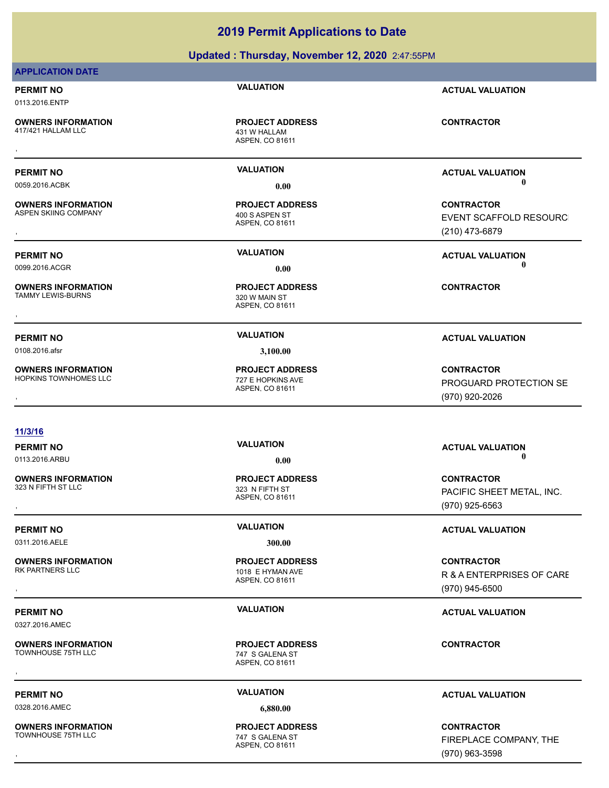## **Updated : Thursday, November 12, 2020** 2:47:55PM

## **APPLICATION DATE**

0113.2016.ENTP

**OWNERS INFORMATION**

ASPEN, CO 81611 431 W HALLAM **PROJECT ADDRESS** , **CONTRACTOR**

**OWNERS INFORMATION** ASPEN SKIING COMPANY 400 S ASPEN ST

0099.2016.ACGR **0.00 0.00**

**OWNERS INFORMATION** TAMMY LEWIS-BURNS **120 W MAIN ST** 

0108.2016.afsr **3,100.00**

**OWNERS INFORMATION** HOPKINS TOWNHOMES LLC 727 E HOPKINS AVE

## ASPEN, CO 81611

ASPEN, CO 81611 **PROJECT ADDRESS** , **CONTRACTOR**

**PROJECT ADDRESS**

ASPEN, CO 81611 **PROJECT ADDRESS**

## **11/3/16**

**OWNERS INFORMATION**

0311.2016.AELE **300.00**

**OWNERS INFORMATION**

0327.2016.AMEC

**OWNERS INFORMATION**

ASPEN, CO 81611 323 N FIFTH ST

ASPEN, CO 81611 1018 E HYMAN AVE **PROJECT ADDRESS**

ASPEN, CO 81611 747 S GALENA ST **PROJECT ADDRESS** , **CONTRACTOR**

ASPEN, CO 81611

**PERMIT NO VALUATION ACTUAL VALUATION**

0059.2016.ACBK **0.00 0.00**

, **CONTRACTOR** EVENT SCAFFOLD RESOURC

## **PERMIT NO VALUATION ACTUAL VALUATION**

, **CONTRACTOR** PROGUARD PROTECTION SE (970) 920-2026

## **PERMIT NO VALUATION ACTUAL VALUATION** 0113.2016.ARBU **0.00 0.00**

, **CONTRACTOR** PACIFIC SHEET METAL, INC. (970) 925-6563

## **PERMIT NO VALUATION ACTUAL VALUATION**

**OWNERS INFORMATION PROJECT ADDRESS CONTRACTOR**<br>RK PARTNERS LLC 1018 E HYMAN AVE R &A ENTERPRISES OF CARE<br>, ASPEN. CO 81611 R & A ENTERPRISES OF CARE (970) 945-6500

## **PERMIT NO VALUATION ACTUAL VALUATION**

## **PERMIT NO VALUATION ACTUAL VALUATION**

, **CONTRACTOR** FIREPLACE COMPANY, THE (970) 963-3598

**OWNERS INFORMATION** TOWNHOUSE 75TH LLC TOWN TO THE 747 S GALENA ST

# **PROJECT ADDRESS**

0328.2016.AMEC **6,880.00 PROJECT ADDRESS**

**PERMIT NO VALUATION ACTUAL VALUATION**

(210) 473-6879

**PERMIT NO VALUATION ACTUAL VALUATION**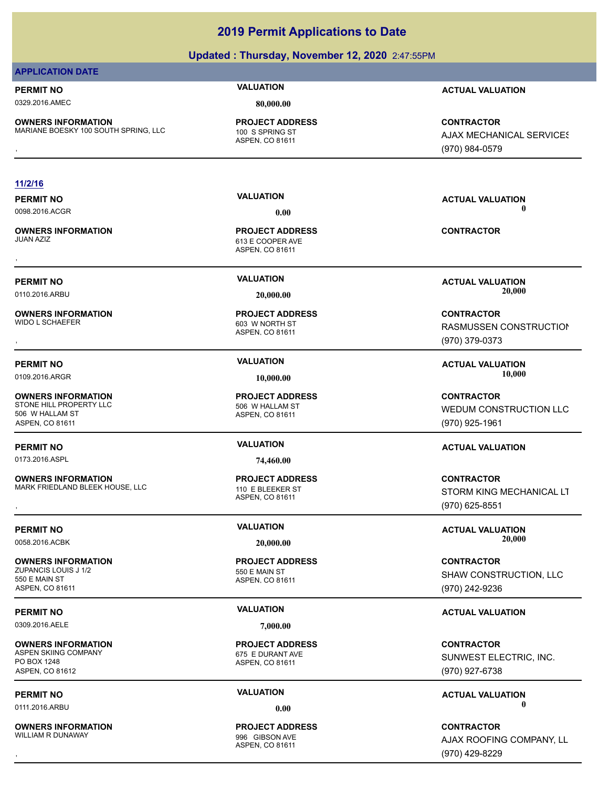## **Updated : Thursday, November 12, 2020** 2:47:55PM

## **APPLICATION DATE**

0329.2016.AMEC **80,000.00**

**OWNERS INFORMATION** MARIANE BOESKY 100 SOUTH SPRING, LLC 100 S SPRING ST

ASPEN, CO 81611 **PROJECT ADDRESS**

## **11/2/16**

0098.2016.ACGR **0.00 0.00**

**OWNERS INFORMATION** 

**OWNERS INFORMATION**

**OWNERS INFORMATION** STONE HILL PROPERTY LLC<br>506 W HALLAM ST 506 W HALLAM ST ASPEN, CO 81611

0173.2016.ASPL **74,460.00**

**OWNERS INFORMATION** MARK FRIEDLAND BLEEK HOUSE, LLC<br>110 E BLEEKER ST

**OWNERS INFORMATION** ZUPANCIS LOUIS J 1/2 550 E MAIN ST 550 E MAIN ST ASPEN, CO 81611

0309.2016.AELE **7,000.00**

**OWNERS INFORMATION**

PO BOX 1248 ASPEN, CO 81612

**OWNERS INFORMATION** WILLIAM R DUNAWAY **1996 GIBSON AVE** 

ASPEN, CO 81611 613 E COOPER AVE **PROJECT ADDRESS** , **CONTRACTOR**

ASPEN, CO 81611 603 W NORTH ST **PROJECT ADDRESS**

ASPEN, CO 81611 **PROJECT ADDRESS**

ASPEN, CO 81611 **PROJECT ADDRESS**

ASPEN, CO 81611 **PROJECT ADDRESS**

ASPEN, CO 81611 ASPEN SKIING COMPANY 675 E DURANT AVE **PROJECT ADDRESS**

ASPEN, CO 81611 **PROJECT ADDRESS**

**PERMIT NO VALUATION ACTUAL VALUATION**

**OWNERS INFORMATION MARIATION DESCRIPTED BY A SERVICE CONTRACTOR MARIANE BOESKY 100 SOUTH SPRING, LLC ASPEN, CO<br>MARIANE BOESKY 100 SOUTH SPRING, LLC ASPEN, CO 81611 A SPEN, CO 81611 MARIANICAL SERVICES<br>ASPEN, CO 81611 MARI AJAX MECHANICAL SERVICES** (970) 984-0579

**PERMIT NO VALUATION ACTUAL VALUATION**

**PERMIT NO VALUATION ACTUAL VALUATION** 0110.2016.ARBU **20,000.00 20,000.00**

, **CONTRACTOR** RASMUSSEN CONSTRUCTION (970) 379-0373

**PERMIT NO VALUATION ACTUAL VALUATION** 0109.2016.ARGR **10,000.00 10,000.00**

> **CONTRACTOR** WEDUM CONSTRUCTION LLC (970) 925-1961

## **PERMIT NO VALUATION ACTUAL VALUATION**

**OWNERS INFORMATION MARK FRIEDLAND BLEEKER STRING STORM STORM STORM KING MECHANICAL LT<br>MARK FRIEDLAND BLEEK HOUSE, LLC MARK FRIEDLAND BLEEKER STRING STORM KING MECHANICAL LT<br>ASPEN, CO 81611 MARK 1970) 625-8551, (970) 625-8** STORM KING MECHANICAL LT (970) 625-8551

**PERMIT NO VALUATION ACTUAL VALUATION** 0058.2016.ACBK **20,000.00 20,000.00**

> **CONTRACTOR** SHAW CONSTRUCTION, LLC (970) 242-9236

## **PERMIT NO VALUATION ACTUAL VALUATION**

**CONTRACTOR** SUNWEST ELECTRIC, INC. (970) 927-6738

**PERMIT NO CONSUMITY OF A CONSUMITY OF A CONSUMITY OF A CONSUMITY OF A CTUAL VALUATION** 0111.2016.ARBU **0.00 0.00**

, **CONTRACTOR** AJAX ROOFING COMPANY, LL (970) 429-8229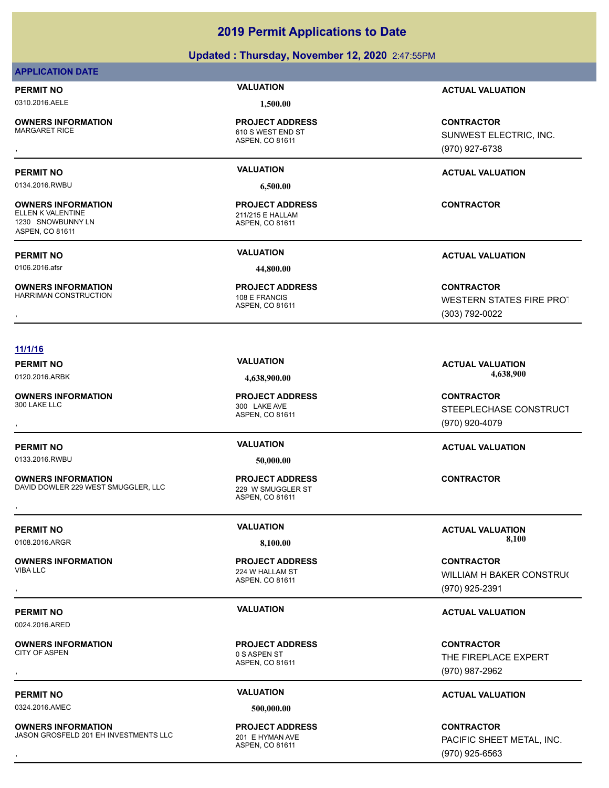## **Updated : Thursday, November 12, 2020** 2:47:55PM

## **APPLICATION DATE**

0310.2016.AELE **1,500.00**

**OWNERS INFORMATION**

**OWNERS INFORMATION**

**OWNERS INFORMATION**

1230 SNOWBUNNY LN ASPEN, CO 81611

**PROJECT ADDRESS**

ASPEN, CO 81611 610 S WEST END ST

0134.2016.RWBU **6,500.00**

ASPEN, CO 81611 211/215 E HALLAM **PROJECT ADDRESS**

0106.2016.afsr **44,800.00**

ASPEN, CO 81611 HARRIMAN CONSTRUCTION 108 E FRANCIS **PROJECT ADDRESS**

**PERMIT NO VALUATION ACTUAL VALUATION**

**OWNERS INFORMATION FROJECT ADDRESS CONTRACTOR CONTRACTOR**<br>MARGARET RICE FIRE RICE 610 S WEST END ST SUNWEST ELECTRIC, INC.<br>ASPEN, CO 81611 49 (970) 927-6738 SUNWEST ELECTRIC, INC. (970) 927-6738

## **PERMIT NO VALUATION ACTUAL VALUATION**

**CONTRACTOR**

**PERMIT NO VALUATION ACTUAL VALUATION**

, **CONTRACTOR** WESTERN STATES FIRE PROT (303) 792-0022

## **11/1/16**

**OWNERS INFORMATION**

0133.2016.RWBU **50,000.00**

**OWNERS INFORMATION** DAVID DOWLER 229 WEST SMUGGLER, LLC 229 W SMUGGLER ST **OWNERS INFORMATION METALLY SERVICE PROJECT ADDRESS ARE:** CONTRACTOR CONTRACTOR<br>DAVID DOWLER 229 WEST SMUGGLER, LLC 229 W SMUGGLER ST<br>ASPEN, CO 81611

**OWNERS INFORMATION**

0024.2016.ARED

**OWNERS INFORMATION**

**OWNERS INFORMATION**

ASPEN, CO 81611 300 LAKE AVE **PROJECT ADDRESS**

ASPEN, CO 81611 **PROJECT ADDRESS**

ASPEN, CO 81611 224 W HALLAM ST **PROJECT ADDRESS**

ASPEN, CO 81611 0 S ASPEN ST **PROJECT ADDRESS**

0324.2016.AMEC **500,000.00**

ASPEN, CO 81611 JASON GROSFELD 201 EH INVESTMENTS LLC 201 F HYMAN AVE **PROJECT ADDRESS**

**PERMIT NO VALUATION ACTUAL VALUATION** 0120.2016.ARBK **4,638,900.00 4,638,900.00**

, **CONTRACTOR** STEEPLECHASE CONSTRUCT (970) 920-4079

## **PERMIT NO VALUATION ACTUAL VALUATION**

**PERMIT NO VALUATION ACTUAL VALUATION** 0108.2016.ARGR **8,100.00 8,100.00**

, **CONTRACTOR** WILLIAM H BAKER CONSTRUC (970) 925-2391

## **PERMIT NO VALUATION ACTUAL VALUATION**

, **CONTRACTOR** THE FIREPLACE EXPERT (970) 987-2962

## **PERMIT NO VALUATION ACTUAL VALUATION**

, **CONTRACTOR** PACIFIC SHEET METAL, INC. (970) 925-6563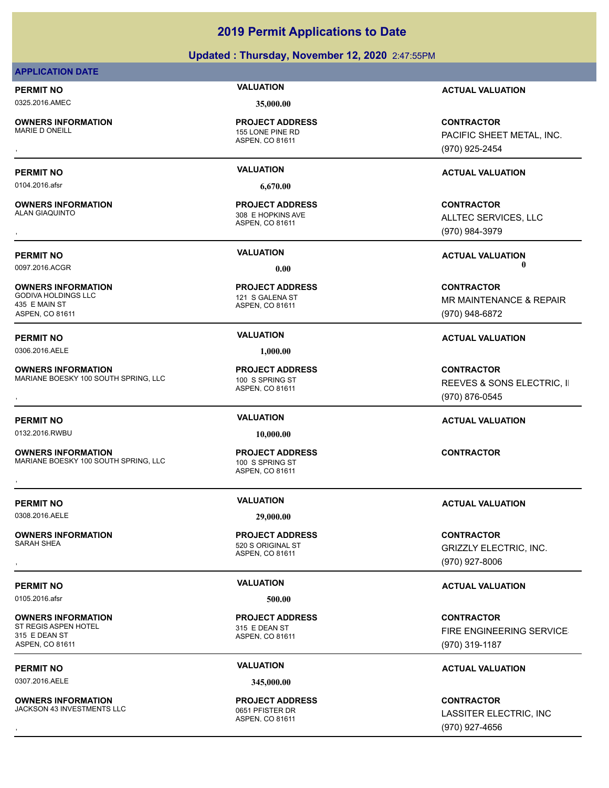## **Updated : Thursday, November 12, 2020** 2:47:55PM

## **APPLICATION DATE**

0325.2016.AMEC **35,000.00**

**OWNERS INFORMATION**

0104.2016.afsr **6,670.00**

**OWNERS INFORMATION**

**OWNERS INFORMATION** GODIVA HOLDINGS LLC 121 S GALENA ST 435 E MAIN ST ASPEN, CO 81611

**OWNERS INFORMATION** MARIANE BOESKY 100 SOUTH SPRING, LLC 100 S SPRING ST

0132.2016.RWBU **10,000.00**

**OWNERS INFORMATION** MARIANE BOESKY 100 SOUTH SPRING, LLC 100 S SPRING ST **OWNERS INFORMATION FRIGHT ADDRESS FOR A SEX ASSESS FOR A SEX AND RESCUSS A SEX AND RESCUSS A SOUTH SPRING, LLC<br>MARIANE BOESKY 100 SOUTH SPRING, LLC ASPEN, CO 81611<br>,** 

0308.2016.AELE **29,000.00**

**OWNERS INFORMATION**

0105.2016.afsr **500.00**

**OWNERS INFORMATION** ST REGIS ASPEN HOTEL 315 E DEAN ST 315 E DEAN ST ASPEN, CO 81611

0307.2016.AELE **345,000.00**

**OWNERS INFORMATION** JACKSON 43 INVESTMENTS LLC<br>0651 PFISTER DR

ASPEN, CO 81611 155 LONE PINE RD **PROJECT ADDRESS**

ASPEN, CO 81611 308 E HOPKINS AVE **PROJECT ADDRESS**

## ASPEN, CO 81611 **PROJECT ADDRESS**

ASPEN, CO 81611 **PROJECT ADDRESS**

# ASPEN, CO 81611

ASPEN, CO 81611 520 S ORIGINAL ST **PROJECT ADDRESS**

ASPEN, CO 81611 **PROJECT ADDRESS**

## ASPEN, CO 81611 **PROJECT ADDRESS**

**PERMIT NO VALUATION ACTUAL VALUATION**

, **CONTRACTOR** PACIFIC SHEET METAL, INC. (970) 925-2454

, **CONTRACTOR** ALLTEC SERVICES, LLC

## MR MAINTENANCE & REPAIR (970) 948-6872

**OWNERS INFORMATION MARIATION DESCRIPTED BY A SERVING ST AND RESONS SPRING ST SERVES A SONS ELECTRIC, II<br>MARIANE BOESKY 100 SOUTH SPRING, LLC ASPEN, CO 81611 ASPEN, CO 81611 (970) 876-0545** REEVES & SONS ELECTRIC, II (970) 876-0545

## **PERMIT NO VALUATION ACTUAL VALUATION**

, **CONTRACTOR** GRIZZLY ELECTRIC, INC. (970) 927-8006

## **PERMIT NO VALUATION VALUATION VALUATION**

**CONTRACTOR** FIRE ENGINEERING SERVICES (970) 319-1187

## **PERMIT NO VALUATION ACTUAL VALUATION**

**OWNERS INFORMATION LEADURED BY A SERVICE TO A SERVICE ADDRESS ARE SERVICE SONTRACTOR CONTRACTOR**<br>JACKSON 43 INVESTMENTS LLC LOCE TO A SPEN, CO 81611 LOCE 2010 1927-4656<br>, Many 1970) 927-4656 LASSITER ELECTRIC, INC (970) 927-4656

**PERMIT NO VALUATION ACTUAL VALUATION**

**PROJECT ADDRESS**

0306.2016.AELE **1,000.00**

**PERMIT NO VALUATION ACTUAL VALUATION**

# **PERMIT NO VALUATION ACTUAL VALUATION**

(970) 984-3979

**PERMIT NO VALUATION ACTUAL VALUATION**

## 0097.2016.ACGR **0.00 0.00 CONTRACTOR**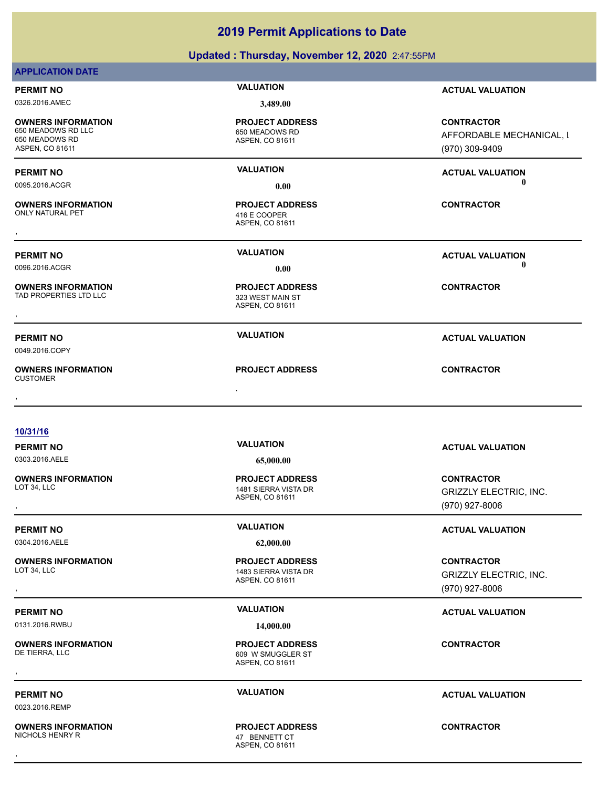|                                                                                      | Updated: Thursday, November 12, 2020 2:47:55PM                    |                                                                      |
|--------------------------------------------------------------------------------------|-------------------------------------------------------------------|----------------------------------------------------------------------|
| <b>APPLICATION DATE</b>                                                              |                                                                   |                                                                      |
| <b>PERMIT NO</b>                                                                     | <b>VALUATION</b>                                                  | <b>ACTUAL VALUATION</b>                                              |
| 0326.2016.AMEC                                                                       | 3,489.00                                                          |                                                                      |
| <b>OWNERS INFORMATION</b><br>650 MEADOWS RD LLC<br>650 MEADOWS RD<br>ASPEN, CO 81611 | <b>PROJECT ADDRESS</b><br>650 MEADOWS RD<br>ASPEN, CO 81611       | <b>CONTRACTOR</b><br>AFFORDABLE MECHANICAL, I<br>(970) 309-9409      |
| <b>PERMIT NO</b>                                                                     | <b>VALUATION</b>                                                  | <b>ACTUAL VALUATION</b>                                              |
| 0095.2016.ACGR                                                                       | 0.00                                                              | -0                                                                   |
| <b>OWNERS INFORMATION</b><br>ONLY NATURAL PET                                        | <b>PROJECT ADDRESS</b><br>416 E COOPER<br>ASPEN, CO 81611         | <b>CONTRACTOR</b>                                                    |
|                                                                                      | <b>VALUATION</b>                                                  |                                                                      |
| <b>PERMIT NO</b><br>0096.2016.ACGR                                                   | 0.00                                                              | <b>ACTUAL VALUATION</b><br>$\mathbf 0$                               |
| <b>OWNERS INFORMATION</b><br>TAD PROPERTIES LTD LLC                                  | <b>PROJECT ADDRESS</b><br>323 WEST MAIN ST<br>ASPEN, CO 81611     | <b>CONTRACTOR</b>                                                    |
| <b>PERMIT NO</b><br>0049.2016.COPY                                                   | <b>VALUATION</b>                                                  | <b>ACTUAL VALUATION</b>                                              |
| <b>OWNERS INFORMATION</b><br><b>CUSTOMER</b>                                         | <b>PROJECT ADDRESS</b>                                            | <b>CONTRACTOR</b>                                                    |
|                                                                                      |                                                                   |                                                                      |
| 10/31/16                                                                             |                                                                   |                                                                      |
| <b>PERMIT NO</b>                                                                     | <b>VALUATION</b>                                                  | <b>ACTUAL VALUATION</b>                                              |
| 0303.2016.AELE                                                                       | 65,000.00                                                         |                                                                      |
| <b>OWNERS INFORMATION</b><br>LOT 34, LLC                                             | <b>PROJECT ADDRESS</b><br>1481 SIERRA VISTA DR<br>ASPEN, CO 81611 | <b>CONTRACTOR</b><br><b>GRIZZLY ELECTRIC, INC.</b><br>(970) 927-8006 |
| <b>PERMIT NO</b>                                                                     | <b>VALUATION</b>                                                  | <b>ACTUAL VALUATION</b>                                              |
| 0304.2016.AELE                                                                       | 62,000.00                                                         |                                                                      |
| <b>OWNERS INFORMATION</b><br>LOT 34, LLC                                             | <b>PROJECT ADDRESS</b><br>1483 SIERRA VISTA DR<br>ASPEN, CO 81611 | <b>CONTRACTOR</b><br><b>GRIZZLY ELECTRIC, INC.</b><br>(970) 927-8006 |
| <b>PERMIT NO</b>                                                                     | <b>VALUATION</b>                                                  | <b>ACTUAL VALUATION</b>                                              |
| 0131.2016.RWBU                                                                       | 14,000.00                                                         |                                                                      |
| <b>OWNERS INFORMATION</b><br>DE TIERRA, LLC                                          | <b>PROJECT ADDRESS</b><br>609 W SMUGGLER ST<br>ASPEN, CO 81611    | <b>CONTRACTOR</b>                                                    |
| <b>PERMIT NO</b>                                                                     | <b>VALUATION</b>                                                  | <b>ACTUAL VALUATION</b>                                              |

0023.2016.REMP

**OWNERS INFORMATION** NICHOLS HENRY R 47 BENNETT CT

ASPEN, CO 81611 **PROJECT ADDRESS** , **CONTRACTOR**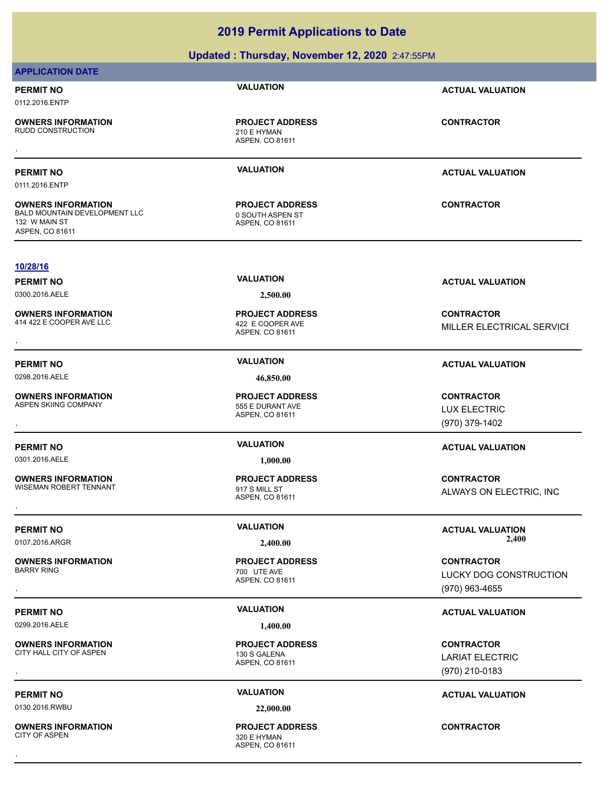**Updated : Thursday, November 12, 2020** 2:47:55PM

## **APPLICATION DATE**

## **PERMIT NO VALUATION ACTUAL VALUATION** 0112.2016.ENTP

**OWNERS INFORMATION**

ASPEN, CO 81611 210 E HYMAN **PROJECT ADDRESS OWNERS INFORMATION CONTRACTOR REPORT OF A PROJECT ADDRESS CONTRACTOR CONTRACTOR**<br>RUDD CONSTRUCTION CONTRACTION 210 E HYMAN<br>,

ASPEN, CO 81611 **PROJECT ADDRESS**

**PERMIT NO VALUATION ACTUAL VALUATION**

**CONTRACTOR**

0111.2016.ENTP

**10/28/16**

**OWNERS INFORMATION** BALD MOUNTAIN DEVELOPMENT LLC<br>0 SOUTH ASPEN ST 132 W MAIN ST ASPEN, CO 81611

0300.2016.AELE **2,500.00**

ASPEN, CO 81611 414 422 E COOPER AVE LLC<br>422 E COOPER AVE **PROJECT ADDRESS**

ASPEN, CO 81611 **PROJECT ADDRESS**

ASPEN, CO 81611 **PROJECT ADDRESS**

ASPEN, CO 81611 700 UTE AVE **PROJECT ADDRESS**

0299.2016.AELE **1,400.00**

ASPEN, CO 81611 CITY HALL CITY OF ASPEN 130 S GALENA **PROJECT ADDRESS**

ASPEN, CO 81611 **PROJECT ADDRESS** , **CONTRACTOR**

**PERMIT NO VALUATION ACTUAL VALUATION**

**OWNERS INFORMATION LIGENT SERVICE PROJECT ADDRESS ARE SERVICE SOMETAGTOR CONTRACTOR**<br>A14 422 E COOPER AVE LLC ASPEN, CO 81611<br>ASPEN, CO 81611 MILLER ELECTRICAL SERVICE

, **CONTRACTOR** LUX ELECTRIC (970) 379-1402

## **PERMIT NO VALUATION ACTUAL VALUATION**

, **CONTRACTOR** ALWAYS ON ELECTRIC, INC

**PERMIT NO CONSUMITY OF A CONSUMITY OF A CONSUMITY OF A CONSUMITY OF A CTUAL VALUATION** 0107.2016.ARGR **2,400.00 2,400.00**

, **CONTRACTOR** LUCKY DOG CONSTRUCTION, (970) 963-4655

## **PERMIT NO VALUATION ACTUAL VALUATION**

, **CONTRACTOR** LARIAT ELECTRIC (970) 210-0183

# **PERMIT NO VALUATION ACTUAL VALUATION**

**OWNERS INFORMATION**

0130.2016.RWBU **22,000.00**

**OWNERS INFORMATION** CITY OF ASPEN 320 E HYMAN

**PERMIT NO VALUATION ACTUAL VALUATION**

0298.2016.AELE **46,850.00**

**OWNERS INFORMATION** ASPEN SKIING COMPANY 555 E DURANT AVE

**OWNERS INFORMATION**

0301.2016.AELE **1,000.00**

**OWNERS INFORMATION** WISEMAN ROBERT TENNANT 917 S MILL ST

**OWNERS INFORMATION**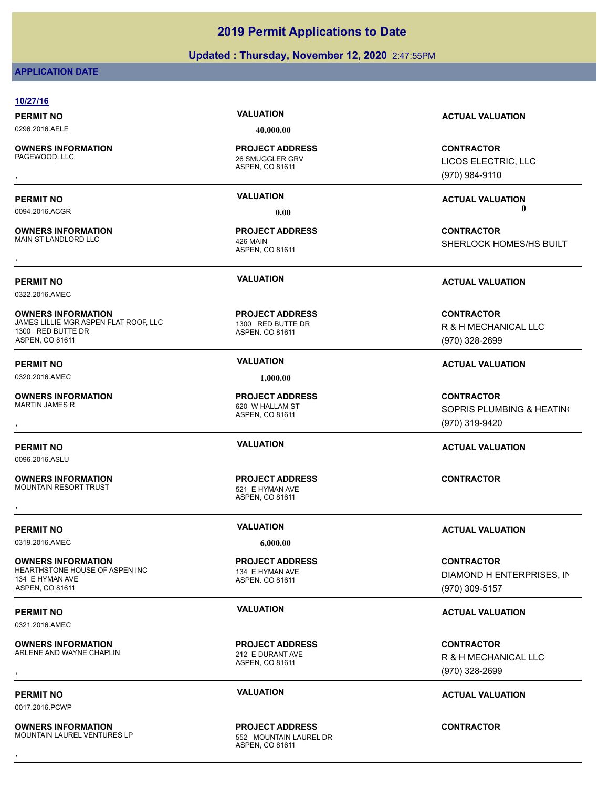# **Updated : Thursday, November 12, 2020** 2:47:55PM

# **APPLICATION DATE**

| 10/27/16                                                   |                                      |                           |
|------------------------------------------------------------|--------------------------------------|---------------------------|
| <b>PERMIT NO</b>                                           | <b>VALUATION</b>                     | <b>ACTUAL VALUATION</b>   |
| 0296.2016.AELE                                             | 40,000.00                            |                           |
| <b>OWNERS INFORMATION</b>                                  | <b>PROJECT ADDRESS</b>               | <b>CONTRACTOR</b>         |
| PAGEWOOD, LLC                                              | 26 SMUGGLER GRV<br>ASPEN, CO 81611   | LICOS ELECTRIC, LLC       |
|                                                            |                                      | (970) 984-9110            |
| <b>PERMIT NO</b>                                           | <b>VALUATION</b>                     | <b>ACTUAL VALUATION</b>   |
| 0094.2016.ACGR                                             | 0.00                                 | 0                         |
| <b>OWNERS INFORMATION</b>                                  | <b>PROJECT ADDRESS</b>               | <b>CONTRACTOR</b>         |
| MAIN ST LANDLORD LLC                                       | 426 MAIN<br>ASPEN, CO 81611          | SHERLOCK HOMES/HS BUILT   |
|                                                            |                                      |                           |
| <b>PERMIT NO</b>                                           | <b>VALUATION</b>                     | <b>ACTUAL VALUATION</b>   |
| 0322.2016.AMEC                                             |                                      |                           |
| <b>OWNERS INFORMATION</b>                                  | <b>PROJECT ADDRESS</b>               | <b>CONTRACTOR</b>         |
| JAMES LILLIE MGR ASPEN FLAT ROOF, LLC<br>1300 RED BUTTE DR | 1300 RED BUTTE DR<br>ASPEN, CO 81611 | R & H MECHANICAL LLC      |
| <b>ASPEN, CO 81611</b>                                     |                                      | (970) 328-2699            |
| <b>PERMIT NO</b>                                           | <b>VALUATION</b>                     | <b>ACTUAL VALUATION</b>   |
| 0320.2016.AMEC                                             | 1,000.00                             |                           |
| <b>OWNERS INFORMATION</b>                                  | <b>PROJECT ADDRESS</b>               | <b>CONTRACTOR</b>         |
| <b>MARTIN JAMES R</b>                                      | 620 W HALLAM ST<br>ASPEN, CO 81611   | SOPRIS PLUMBING & HEATING |
|                                                            |                                      | (970) 319-9420            |
| <b>PERMIT NO</b>                                           | <b>VALUATION</b>                     | <b>ACTUAL VALUATION</b>   |
| 0096.2016.ASLU                                             |                                      |                           |
| <b>OWNERS INFORMATION</b>                                  | <b>PROJECT ADDRESS</b>               | <b>CONTRACTOR</b>         |
| <b>MOUNTAIN RESORT TRUST</b>                               | 521 E HYMAN AVE                      |                           |
|                                                            | ASPEN, CO 81611                      |                           |
| <b>PERMIT NO</b>                                           | <b>VALUATION</b>                     | <b>ACTUAL VALUATION</b>   |
| 0319.2016.AMEC                                             | 6,000.00                             |                           |
| <b>OWNERS INFORMATION</b>                                  | <b>PROJECT ADDRESS</b>               | <b>CONTRACTOR</b>         |
| HEARTHSTONE HOUSE OF ASPEN INC                             | 134 E HYMAN AVE                      | DIAMOND H ENTERPRISES, IN |
| 134 E HYMAN AVE<br>ASPEN, CO 81611                         | ASPEN, CO 81611                      | (970) 309-5157            |
| <b>PERMIT NO</b>                                           | <b>VALUATION</b>                     | <b>ACTUAL VALUATION</b>   |
| 0321.2016.AMEC                                             |                                      |                           |
| <b>OWNERS INFORMATION</b>                                  | <b>PROJECT ADDRESS</b>               | <b>CONTRACTOR</b>         |
| ARLENE AND WAYNE CHAPLIN                                   | 212 E DURANT AVE                     | R & H MECHANICAL LLC      |
|                                                            | ASPEN, CO 81611                      | (970) 328-2699            |
|                                                            | <b>VALUATION</b>                     |                           |
| <b>PERMIT NO</b>                                           |                                      | <b>ACTUAL VALUATION</b>   |
| 0017.2016.PCWP                                             |                                      |                           |
|                                                            |                                      |                           |

**OWNERS INFORMATION** MOUNTAIN LAUREL VENTURES LP 552 MOUNTAIN LAUREL DR

ASPEN, CO 81611 **PROJECT ADDRESS** , **CONTRACTOR**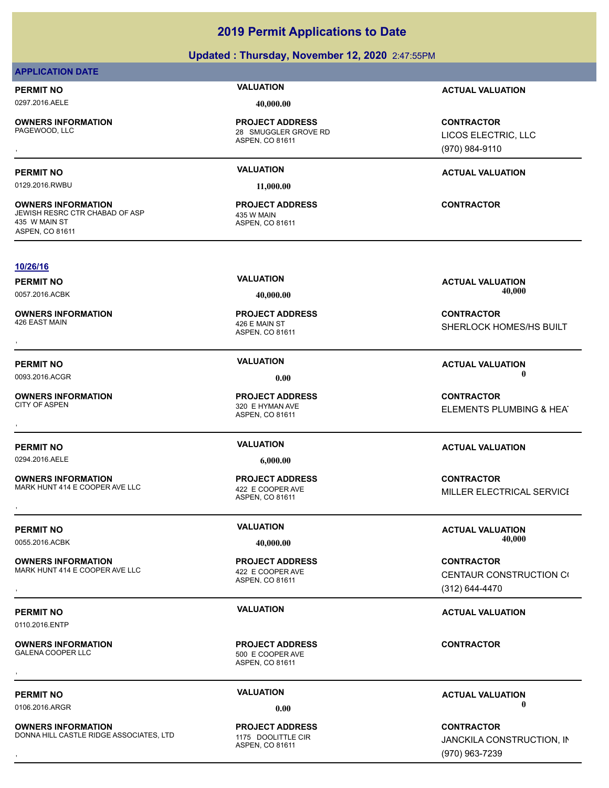# **Updated : Thursday, November 12, 2020** 2:47:55PM

# **APPLICATION DATE**

# 0297.2016.AELE **40,000.00**

**OWNERS INFORMATION**

0129.2016.RWBU **11,000.00**

**OWNERS INFORMATION** JEWISH RESRC CTR CHABAD OF ASP 435 W MAIN 435 W MAIN ST ASPEN, CO 81611

ASPEN, CO 81611 28 SMUGGLER GROVE RD **PROJECT ADDRESS**

ASPEN, CO 81611 **PROJECT ADDRESS**

# **PERMIT NO VALUATION ACTUAL VALUATION**

, **CONTRACTOR** LICOS ELECTRIC, LLC (970) 984-9110

# **PERMIT NO VALUATION ACTUAL VALUATION**

**CONTRACTOR**

**10/26/16**

**OWNERS INFORMATION**<br>426 FAST MAIN

**OWNERS INFORMATION**

0294.2016.AELE **6,000.00**

**OWNERS INFORMATION** MARK HUNT 414 E COOPER AVE LLC<br>422 E COOPER AVE

**OWNERS INFORMATION** MARK HUNT 414 E COOPER AVE LLC<br>422 E COOPER AVE

0110.2016.ENTP

ASPEN, CO 81611 426 E MAIN ST **PROJECT ADDRESS**

ASPEN, CO 81611 320 E HYMAN AVE **PROJECT ADDRESS**

ASPEN, CO 81611

ASPEN, CO 81611

ASPEN, CO 81611 500 E COOPER AVE **PROJECT ADDRESS** , **CONTRACTOR**

ASPEN, CO 81611 DONNA HILL CASTLE RIDGE ASSOCIATES, LTD 1175 DOOLITTLE CIR **PROJECT ADDRESS**

**PERMIT NO CONSUMITY OF A CONSUMITY OF A CONSUMITY OF A CONSUMITY OF A CTUAL VALUATION** 0106.2016.ARGR **0.00 0.00**

, **CONTRACTOR** JANCKILA CONSTRUCTION, IN (970) 963-7239

**PERMIT NO VALUATION ACTUAL VALUATION** 0057.2016.ACBK **40,000.00 40,000.00**

, **CONTRACTOR** SHERLOCK HOMES/HS BUILT

# 0093.2016.ACGR **0.00 0.00**

ELEMENTS PLUMBING & HEAT

**OWNERS INFORMATION CONTRACTOR REGIST OF PROJECT ADDRESS CONTRACTOR CONTRACTOR**<br>MARK HUNT 414 E COOPER AVE LLC ASPEN, CO 81611<br>, MILLER ELECTRICAL SERVICE

**OWNERS INFORMATION MARK HUNT 414 E COOPER AVE**<br>MARK HUNT 414 E COOPER AVE LLC ASPEN, CO 81611 ASPEN, CO 81611 **CONTRACTOR ASPEN, CO 81611**<br>ASPEN, CO 81611 ASPEN (312) 644-4470 CENTAUR CONSTRUCTION CO (312) 644-4470

# **PERMIT NO VALUATION ACTUAL VALUATION**

**OWNERS INFORMATION**

**OWNERS INFORMATION**

0055.2016.ACBK **40,000.00 40,000.00**

**PROJECT ADDRESS**

**PROJECT ADDRESS**

, **CONTRACTOR**

**PERMIT NO VALUATION ACTUAL VALUATION**

# **PERMIT NO VALUATION ACTUAL VALUATION**

**PERMIT NO CONSUMITY OF A CONSUMITY OF A CONSUMITY OF A CONSUMITY OF A CTUAL VALUATION** 

**2019 Permit Applications to Date**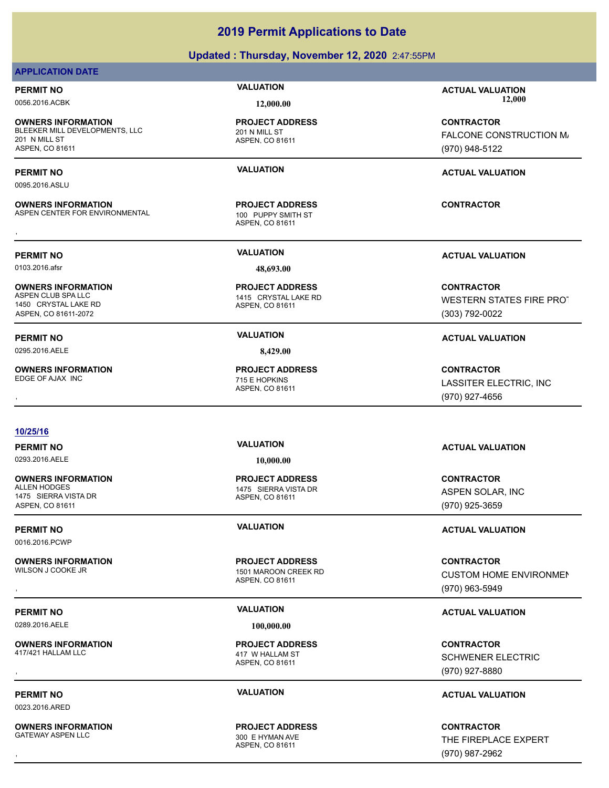# **Updated : Thursday, November 12, 2020** 2:47:55PM

# **APPLICATION DATE**

**OWNERS INFORMATION** BLEEKER MILL DEVELOPMENTS, LLC<br>201 N MILL ST 201 N MILL ST ASPEN, CO 81611

0095.2016.ASLU

**OWNERS INFORMATION** ASPEN CENTER FOR ENVIRONMENTAL 100 PUPPY SMITH ST **OWNERS INFORMATION CONTRACTOR RESOURCE PROJECT ADDRESS ARE:**<br>ASPEN CENTER FOR ENVIRONMENTAL THE MODIFY SMITH ST ASPEN, CO 81611<br>,

0103.2016.afsr **48,693.00**

**OWNERS INFORMATION** 1450 CRYSTAL LAKE RD ASPEN, CO 81611-2072

**OWNERS INFORMATION** EDGE OF AJAX INC **EDGE OF ALAX** INC

ASPEN, CO 81611 **PROJECT ADDRESS**

ASPEN, CO 81611 **PROJECT ADDRESS**

### ASPEN, CO 81611 1415 CRYSTAL LAKE RD **PROJECT ADDRESS**

ASPEN, CO 81611

**PERMIT NO VALUATION ACTUAL VALUATION** 0056.2016.ACBK **12,000.00 12,000.00**

> **CONTRACTOR** FALCONE CONSTRUCTION M/ (970) 948-5122

# **PERMIT NO VALUATION ACTUAL VALUATION**

# **PERMIT NO VALUATION ACTUAL VALUATION**

**CONTRACTOR** WESTERN STATES FIRE PROT (303) 792-0022

# **PERMIT NO VALUATION ACTUAL VALUATION**

, **CONTRACTOR** LASSITER ELECTRIC, INC (970) 927-4656

### **10/25/16**

0293.2016.AELE **10,000.00**

**OWNERS INFORMATION** 1475 SIERRA VISTA DR ASPEN, CO 81611

0016.2016.PCWP

# **OWNERS INFORMATION**

0289.2016.AELE **100,000.00**

**OWNERS INFORMATION**

0023.2016.ARED

**OWNERS INFORMATION** GATEWAY ASPEN LLC **CONTRACT CONTRACT CONTRACT AND A SOLUT** 300 E HYMAN AVE

ASPEN, CO 81611 1475 SIERRA VISTA DR **PROJECT ADDRESS**

ASPEN, CO 81611 1501 MAROON CREEK RD **PROJECT ADDRESS**

ASPEN, CO 81611 417 W HALLAM ST **PROJECT ADDRESS**

ASPEN, CO 81611 **PROJECT ADDRESS**

# **PERMIT NO VALUATION ACTUAL VALUATION**

**CONTRACTOR** ASPEN SOLAR, INC (970) 925-3659

# **PERMIT NO VALUATION ACTUAL VALUATION**

**OWNERS INFORMATION PROJECT ADDRESS CONTRACTOR**<br>WILSON J COOKE JR 1501 MAROON CREEK RD CUSTOM HOME ENVIRONMEN<br>, ASPEN. CO 81611 **CUSTOM HOME ENVIRONMENT** (970) 963-5949

# **PERMIT NO VALUATION ACTUAL VALUATION**

**OWNERS INFORMATION PROJECT ADDRESS CONTRACTOR**<br>417/421 HALLAM LLC 417 W HALLAM ST SCHWENER ELECTRIC<br>, ASPEN. CO 81611 SCHWENER ELECTRIC (970) 927-8880

# **PERMIT NO VALUATION ACTUAL VALUATION**

, **CONTRACTOR** THE FIREPLACE EXPERT (970) 987-2962

0295.2016.AELE **8,429.00 PROJECT ADDRESS**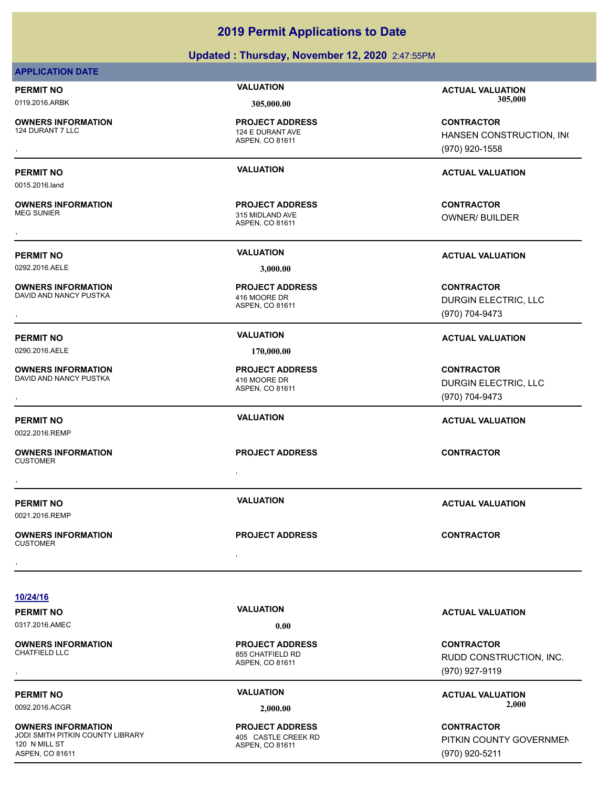|                                                     | . .                                                           |                                                                 |
|-----------------------------------------------------|---------------------------------------------------------------|-----------------------------------------------------------------|
| <b>APPLICATION DATE</b>                             |                                                               |                                                                 |
| PERMIT NO                                           | <b>VALUATION</b>                                              | <b>ACTUAL VALUATION</b>                                         |
| 0119.2016.ARBK                                      | 305,000.00                                                    | 305,000                                                         |
| <b>OWNERS INFORMATION</b><br>124 DURANT 7 LLC       | <b>PROJECT ADDRESS</b><br>124 E DURANT AVE<br>ASPEN, CO 81611 | <b>CONTRACTOR</b><br>HANSEN CONSTRUCTION, INC<br>(970) 920-1558 |
|                                                     |                                                               |                                                                 |
| PERMIT NO<br>0015.2016.land                         | <b>VALUATION</b>                                              | <b>ACTUAL VALUATION</b>                                         |
| <b>OWNERS INFORMATION</b><br><b>MEG SUNIER</b>      | <b>PROJECT ADDRESS</b><br>315 MIDLAND AVE<br>ASPEN, CO 81611  | <b>CONTRACTOR</b><br><b>OWNER/ BUILDER</b>                      |
| <b>PERMIT NO</b>                                    | <b>VALUATION</b>                                              | <b>ACTUAL VALUATION</b>                                         |
| 0292.2016.AELE                                      | 3,000.00                                                      |                                                                 |
| <b>OWNERS INFORMATION</b><br>DAVID AND NANCY PUSTKA | <b>PROJECT ADDRESS</b><br>416 MOORE DR<br>ASPEN, CO 81611     | <b>CONTRACTOR</b><br>DURGIN ELECTRIC, LLC<br>(970) 704-9473     |
| PERMIT NO                                           | <b>VALUATION</b>                                              | <b>ACTUAL VALUATION</b>                                         |
| 0290.2016.AELE                                      | 170,000.00                                                    |                                                                 |
| <b>OWNERS INFORMATION</b><br>DAVID AND NANCY PUSTKA | <b>PROJECT ADDRESS</b><br>416 MOORE DR<br>ASPEN, CO 81611     | <b>CONTRACTOR</b><br>DURGIN ELECTRIC, LLC<br>(970) 704-9473     |
| PERMIT NO<br>0022.2016.REMP                         | <b>VALUATION</b>                                              | <b>ACTUAL VALUATION</b>                                         |
| <b>OWNERS INFORMATION</b><br>CUSTOMER               | <b>PROJECT ADDRESS</b>                                        | <b>CONTRACTOR</b>                                               |
|                                                     |                                                               |                                                                 |
| <b>PERMIT NO</b><br>0021.2016.REMP                  | <b>VALUATION</b>                                              | <b>ACTUAL VALUATION</b>                                         |
| <b>OWNERS INFORMATION</b><br>CUSTOMER               | <b>PROJECT ADDRESS</b>                                        | <b>CONTRACTOR</b>                                               |
|                                                     | $\bullet$                                                     |                                                                 |
|                                                     |                                                               |                                                                 |
| 10/24/16                                            |                                                               |                                                                 |
| <b>PERMIT NO</b>                                    | <b>VALUATION</b>                                              | <b>ACTUAL VALUATION</b>                                         |
| 0317.2016.AMEC                                      | 0.00                                                          |                                                                 |

**OWNERS INFORMATION**

**OWNERS INFORMATION** JODI SMITH PITKIN COUNTY LIBRARY 405 CASTLE CREEK RD 120 N MILL ST ASPEN, CO 81611

ASPEN, CO 81611 **PROJECT ADDRESS**

, **CONTRACTOR** RUDD CONSTRUCTION, INC. (970) 927-9119

PERMIT NO<br> **VALUATION**<br> **VALUATION**<br> **VALUATION**<br> **PERMIT NO**<br> **2,000**<br> **2,000**<br> **2,000**<br> **2,000** 0092.2016.ACGR **2,000.00 2,000.00**

> **CONTRACTOR** PITKIN COUNTY GOVERNMEN (970) 920-5211

# **2019 Permit Applications to Date**

# **Updated : Thursday, November 12, 2020** 2:47:55PM

ASPEN, CO 81611 855 CHATFIELD RD **PROJECT ADDRESS**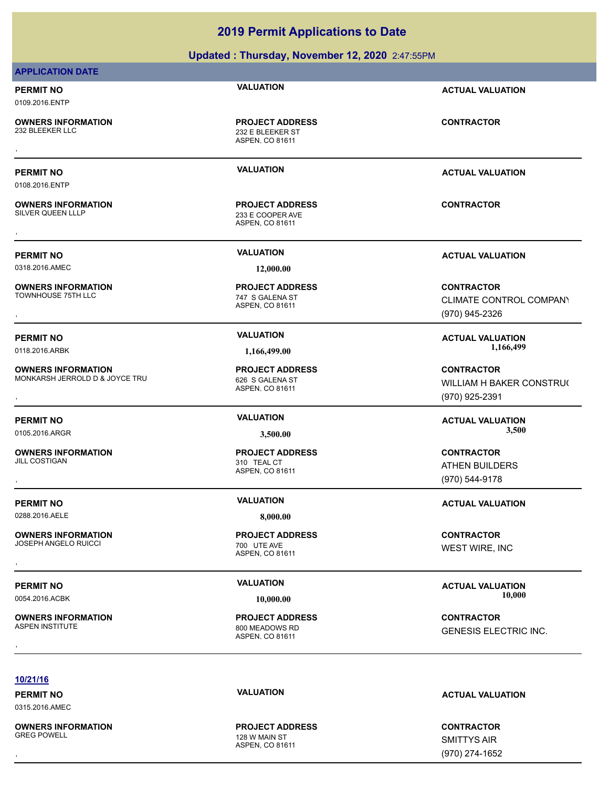## **Updated : Thursday, November 12, 2020** 2:47:55PM

# **APPLICATION DATE**

**PERMIT NO VALUATION ACTUAL VALUATION** 0109.2016.ENTP

**OWNERS INFORMATION**

**OWNERS INFORMATION**

ASPEN, CO 81611 232 E BLEEKER ST **PROJECT ADDRESS** , **CONTRACTOR**

ASPEN, CO 81611 SILVER QUEEN LLLP 233 E COOPER AVE **PROJECT ADDRESS** , **CONTRACTOR**

**PERMIT NO VALUATION ACTUAL VALUATION**

0108.2016.ENTP

0318.2016.AMEC **12,000.00**

**OWNERS INFORMATION**

**OWNERS INFORMATION** MONKARSH JERROLD D & JOYCE TRU 626 S GALENA ST

**OWNERS INFORMATION** JILL COSTIGAN 310 TEAL CT

0288.2016.AELE **8,000.00**

**OWNERS INFORMATION** JOSEPH ANGELO RUICCI **1999 - 1999 - 1999 - 1999 - 1999 - 1999 - 1**900 - 1917 F AVE

**OWNERS INFORMATION**

**PERMIT NO VALUATION ACTUAL VALUATION**

ASPEN, CO 81611 747 S GALENA ST **PROJECT ADDRESS**

ASPEN, CO 81611 **PROJECT ADDRESS**

ASPEN, CO 81611 **PROJECT ADDRESS**

ASPEN, CO 81611 **PROJECT ADDRESS OWNERS INFORMATION CONTRACTOR REPORT OF PROJECT ADDRESS CONTRACTOR CONTRACTOR**<br>JOSEPH ANGELO RUICCI CONTRACTOR 700 UTE AVE<br>ASPEN. CO 81611

ASPEN, CO 81611 800 MEADOWS RD **PROJECT ADDRESS**

, **CONTRACTOR** CLIMATE CONTROL COMPANY (970) 945-2326

**PERMIT NO VALUATION ACTUAL VALUATION** 0118.2016.ARBK **1,166,499.00 1,166,499.00**

**OWNERS INFORMATION MODEL TROJECT ADDRESS ARE SEXUAL CONTRACTOR CONTRACTOR**<br>MONKARSH JERROLD D & JOYCE TRU **ASPEN, CO 81611** ASPEN, CO 81611 MILL AND RESOLUTE A SPEN, CO 81611 MILL AND RESOLU<br>ASPEN, CO 81611 MILL AND RESOL WILLIAM H BAKER CONSTRUC (970) 925-2391

**PERMIT NO VALUATION VALUATION VALUATION** 0105.2016.ARGR **3,500.00 3,500.00**

, **CONTRACTOR** ATHEN BUILDERS (970) 544-9178

# **PERMIT NO VALUATION VALUATION VALUATION**

WEST WIRE, INC

**PERMIT NO VALUATION VALUATION VALUATION** 0054.2016.ACBK **10,000.00 10,000.00**

, **CONTRACTOR** GENESIS ELECTRIC INC.

**10/21/16**

0315.2016.AMEC

**OWNERS INFORMATION**

ASPEN, CO 81611 128 W MAIN ST **PROJECT ADDRESS** , **CONTRACTOR**

**PERMIT NO VALUATION ACTUAL VALUATION**

SMITTYS AIR (970) 274-1652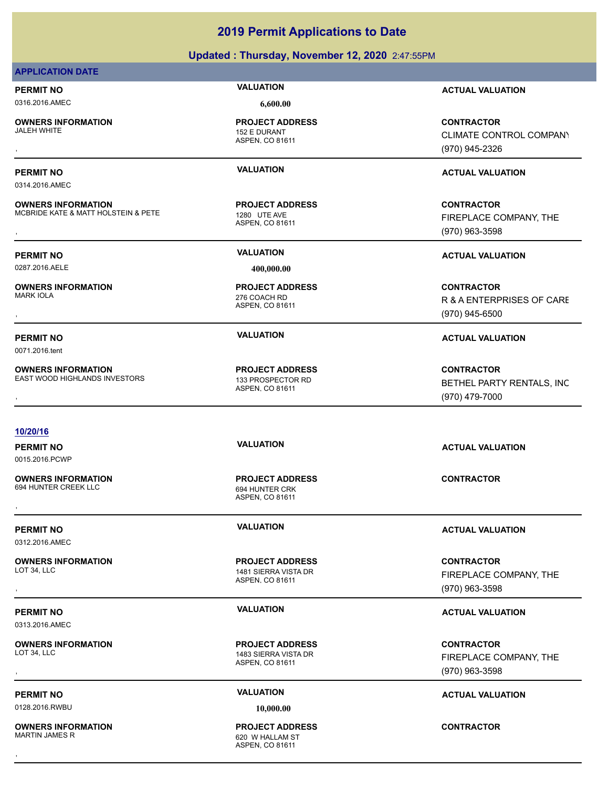|                                                                  | Updated: Thursday, November 12, 2020 2:47:55PM                    |                                                                  |
|------------------------------------------------------------------|-------------------------------------------------------------------|------------------------------------------------------------------|
| <b>APPLICATION DATE</b>                                          |                                                                   |                                                                  |
| <b>PERMIT NO</b>                                                 | <b>VALUATION</b>                                                  | <b>ACTUAL VALUATION</b>                                          |
| 0316.2016.AMEC                                                   | 6,600.00                                                          |                                                                  |
| <b>OWNERS INFORMATION</b><br><b>JALEH WHITE</b>                  | <b>PROJECT ADDRESS</b><br>152 E DURANT<br>ASPEN, CO 81611         | <b>CONTRACTOR</b><br>CLIMATE CONTROL COMPANY<br>(970) 945-2326   |
|                                                                  |                                                                   |                                                                  |
| <b>PERMIT NO</b><br>0314.2016.AMEC                               | <b>VALUATION</b>                                                  | <b>ACTUAL VALUATION</b>                                          |
| <b>OWNERS INFORMATION</b><br>MCBRIDE KATE & MATT HOLSTEIN & PETE | <b>PROJECT ADDRESS</b><br>1280 UTE AVE<br>ASPEN, CO 81611         | <b>CONTRACTOR</b><br>FIREPLACE COMPANY, THE<br>(970) 963-3598    |
| <b>PERMIT NO</b>                                                 | <b>VALUATION</b>                                                  | <b>ACTUAL VALUATION</b>                                          |
| 0287.2016.AELE                                                   | 400,000.00                                                        |                                                                  |
| <b>OWNERS INFORMATION</b><br><b>MARK IOLA</b>                    | <b>PROJECT ADDRESS</b><br>276 COACH RD<br>ASPEN, CO 81611         | <b>CONTRACTOR</b><br>R & A ENTERPRISES OF CARE<br>(970) 945-6500 |
| <b>PERMIT NO</b><br>0071.2016.tent                               | <b>VALUATION</b>                                                  | <b>ACTUAL VALUATION</b>                                          |
| <b>OWNERS INFORMATION</b><br>EAST WOOD HIGHLANDS INVESTORS       | <b>PROJECT ADDRESS</b><br>133 PROSPECTOR RD<br>ASPEN, CO 81611    | <b>CONTRACTOR</b><br>BETHEL PARTY RENTALS, INC<br>(970) 479-7000 |
|                                                                  |                                                                   |                                                                  |
| 10/20/16<br><b>PERMIT NO</b><br>0015.2016.PCWP                   | <b>VALUATION</b>                                                  | <b>ACTUAL VALUATION</b>                                          |
| <b>OWNERS INFORMATION</b><br>694 HUNTER CREEK LLC                | <b>PROJECT ADDRESS</b><br>694 HUNTER CRK<br>ASPEN, CO 81611       | <b>CONTRACTOR</b>                                                |
|                                                                  |                                                                   |                                                                  |
| <b>PERMIT NO</b><br>0312.2016.AMEC                               | <b>VALUATION</b>                                                  | <b>ACTUAL VALUATION</b>                                          |
| <b>OWNERS INFORMATION</b><br>LOT 34, LLC                         | <b>PROJECT ADDRESS</b><br>1481 SIERRA VISTA DR<br>ASPEN, CO 81611 | <b>CONTRACTOR</b><br>FIREPLACE COMPANY, THE<br>(970) 963-3598    |
| <b>PERMIT NO</b>                                                 | <b>VALUATION</b>                                                  | <b>ACTUAL VALUATION</b>                                          |

0313.2016.AMEC

**OWNERS INFORMATION** , **CONTRACTOR**

0128.2016.RWBU **10,000.00**

**OWNERS INFORMATION**

1483 SIERRA VISTA DR **PROJECT ADDRESS**

# ASPEN, CO 81611

ASPEN, CO 81611 620 W HALLAM ST **PROJECT ADDRESS** , **CONTRACTOR**

FIREPLACE COMPANY, THE

# **PERMIT NO CONSUMITY ACTUAL VALUATION VALUATION ACTUAL VALUATION**

(970) 963-3598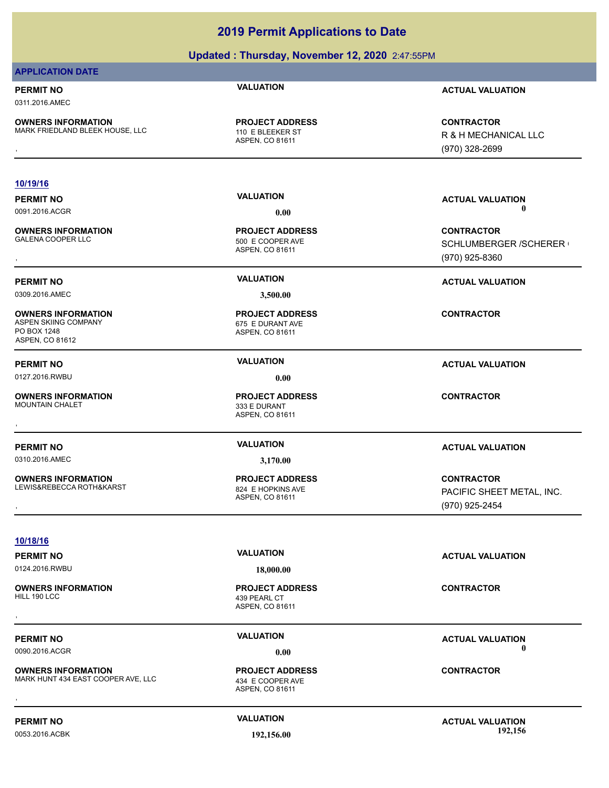# **Updated : Thursday, November 12, 2020** 2:47:55PM

## **APPLICATION DATE**

0311.2016.AMEC

**OWNERS INFORMATION**

MARK FRIEDLAND BLEEK HOUSE, LLC 110 E BLEEKER ST

ASPEN, CO 81611 **PROJECT ADDRESS**

## **10/19/16**

0091.2016.ACGR **0.00 0.00**

**OWNERS INFORMATION**

0309.2016.AMEC **3,500.00**

**OWNERS INFORMATION** PO BOX 1248 ASPEN, CO 81612

0127.2016.RWBU **0.00**

**OWNERS INFORMATION** MOUNTAIN CHALET 333 E DURANT

**PERMIT NO VALUATION ACTUAL VALUATION** 0310.2016.AMEC **3,170.00**

**OWNERS INFORMATION** LEWIS&REBECCA ROTH&KARST 824 E HOPKINS AVE

**10/18/16**

**PERMIT NO VALUATION VALUATION VALUATION** 

**OWNERS INFORMATION**

**OWNERS INFORMATION** MARK HUNT 434 EAST COOPER AVE, LLC 434 E COOPER AVE **OWNERS INFORMATION EXAMPLE ASSESS ARE:**<br>MARK HUNT 434 EAST COOPER AVE, LLC ASSESS A ASPEN. CO 81611<br>ASPEN. CO 81611

ASPEN, CO 81611 500 E COOPER AVE **PROJECT ADDRESS**

ASPEN, CO 81611 675 E DURANT AVE **PROJECT ADDRESS**

ASPEN, CO 81611 **PROJECT ADDRESS** , **CONTRACTOR**

ASPEN, CO 81611 **PROJECT ADDRESS**

**PERMIT NO VALUATION ACTUAL VALUATION**

**OWNERS INFORMATION MARK FRIEDLAND BLEEKER STRIED LAND RESOURDER STRIEDLAND BLEEK HOUSE, LLC<br>MARK FRIEDLAND BLEEK HOUSE, LLC MARK FRIEDLAND BLEEKER STRIEDLAND BLEEKER STRIEDLAND BLEEK HOUSE, LLC<br>ASPEN, CO 81611 MARK 1970)** R & H MECHANICAL LLC (970) 328-2699

**PERMIT NO VALUATION ACTUAL VALUATION**

**OWNERS INFORMATION PROJECT ADDRESS CONTRACTOR**<br>GALENA COOPER LLC 500\_E COOPER AVE SCHLUMBERGER /SCHERER l<br>, ASPEN. CO 81611 SCHLUMBERGER / SCHERER ( (970) 925-8360

**PERMIT NO VALUATION ACTUAL VALUATION**

**CONTRACTOR**

**PERMIT NO VALUATION VALUATION VALUATION** 

, **CONTRACTOR** PACIFIC SHEET METAL, INC. (970) 925-2454

0124.2016.RWBU **18,000.00**

ASPEN, CO 81611 439 PEARL CT **PROJECT ADDRESS** , **CONTRACTOR**

**PERMIT NO VALUATION VALUATION VALUATION** 0090.2016.ACGR **0.00 0.00**

ASPEN, CO 81611

**PROJECT ADDRESS**

**PERMIT NO VALUATION ACTUAL VALUATION** 0053.2016.ACBK **192,156.00 192,156.00**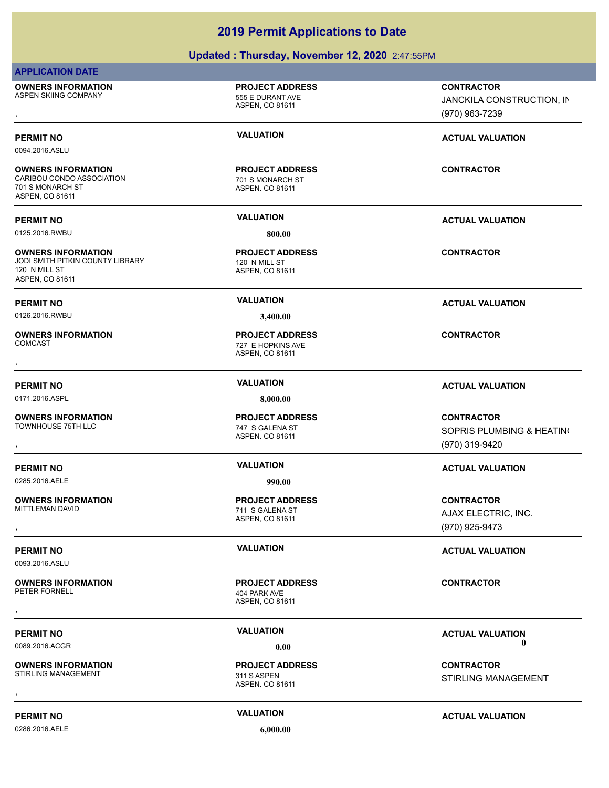# **Updated : Thursday, November 12, 2020** 2:47:55PM

### **APPLICATION DATE**

0094.2016.ASLU

120 N MILL ST ASPEN, CO 81611

701 S MONARCH ST ASPEN, CO 81611

**OWNERS INFORMATION** ASPEN SKIING COMPANY 6555 E DURANT AVE , **CONTRACTOR**

**OWNERS INFORMATION**

**OWNERS INFORMATION**

**OWNERS INFORMATION**

**OWNERS INFORMATION**

**OWNERS INFORMATION**

**OWNERS INFORMATION**

**OWNERS INFORMATION**

0093.2016.ASLU

ASPEN, CO 81611

**PROJECT ADDRESS**

## **PERMIT NO VALUATION VALUATION VALUATION**

ASPEN, CO 81611 CARIBOU CONDO ASSOCIATION 701 S MONARCH ST **PROJECT ADDRESS**

0125.2016.RWBU **800.00** 

ASPEN, CO 81611 JODI SMITH PITKIN COUNTY LIBRARY 120 N MILL ST **PROJECT ADDRESS**

0126.2016.RWBU **3,400.00**

ASPEN, CO 81611 727 E HOPKINS AVE **PROJECT ADDRESS** , **CONTRACTOR**

0171.2016.ASPL **8,000.00**

ASPEN, CO 81611 TOWNHOUSE 75TH LLC<br>TOWNHOUSE 75TH LLC **PROJECT ADDRESS**

# 711 S GALENA ST

**PROJECT ADDRESS**

**PERMIT NO VALUATION VALUATION VALUATION** 

### ASPEN, CO 81611 STIRLING MANAGEMENT 311 SASPEN **PROJECT ADDRESS**

0286.2016.AELE **6,000.00**

### 0285.2016.AELE **990.00**

ASPEN, CO 81611 **PROJECT ADDRESS**

ASPEN, CO 81611 PETER FORNELL AND THE STATE AND THE 404 PARK AVE , **CONTRACTOR**

0089.2016.ACGR **0.00 0.00**

, **CONTRACTOR** STIRLING MANAGEMENT

JANCKILA CONSTRUCTION, IN

**PERMIT NO VALUATION ACTUAL VALUATION**

### **CONTRACTOR**

(970) 963-7239

**CONTRACTOR**

**PERMIT NO VALUATION ACTUAL VALUATION**

# **PERMIT NO VALUATION ACTUAL VALUATION**

**OWNERS INFORMATION PROJECT ADDRESS CONTRACTOR**<br>TOWNHOUSE 75TH LLC 747  S GALENA ST SOPRIS PLUMBING & HEATIN(<br>, ASPEN. CO 81611 SOPRIS PLUMBING & HEATING (970) 319-9420

# **PERMIT NO VALUATION ACTUAL VALUATION**

, **CONTRACTOR** AJAX ELECTRIC, INC. (970) 925-9473

# **PERMIT NO VALUATION VALUATION VALUATION**

# **PERMIT NO CONSUMITY OF A CONSUMITY OF A CONSUMITY OF A CONSUMITY OF A CTUAL VALUATION**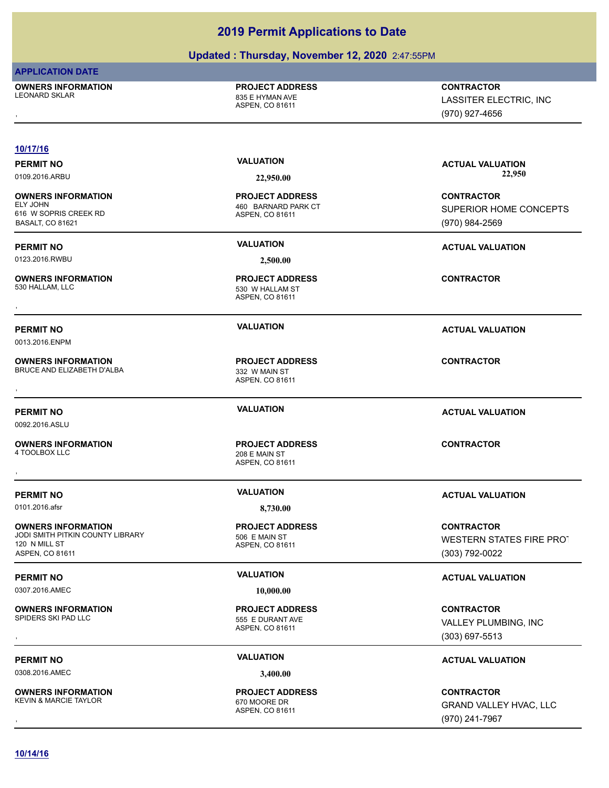# **Updated : Thursday, November 12, 2020** 2:47:55PM

|--|

**10/17/16**

**OWNERS INFORMATION** LEONARD SKLAR 835 E HYMAN AVE

**OWNERS INFORMATION**

**OWNERS INFORMATION**

**OWNERS INFORMATION**

**OWNERS INFORMATION**

**OWNERS INFORMATION**

**OWNERS INFORMATION**

**OWNERS INFORMATION**

0013.2016.ENPM

0092.2016.ASLU

120 N MILL ST ASPEN, CO 81611

616 W SOPRIS CREEK RD BASALT, CO 81621

ASPEN, CO 81611

**PROJECT ADDRESS**

ASPEN, CO 81611 460 BARNARD PARK CT **PROJECT ADDRESS**

0123.2016.RWBU **2,500.00**

ASPEN, CO 81611 530 HALLAM, LLC 6530 W HALLAM ST **PROJECT ADDRESS** , **CONTRACTOR**

ASPEN, CO 81611 BRUCE AND ELIZABETH D'ALBA 332 W MAIN ST **PROJECT ADDRESS** , **CONTRACTOR**

ASPEN, CO 81611 208 E MAIN ST **PROJECT ADDRESS** , **CONTRACTOR**

0101.2016.afsr **8,730.00**

ASPEN, CO 81611 JODI SMITH PITKIN COUNTY LIBRARY 506 E MAIN ST **PROJECT ADDRESS**

0307.2016.AMEC **10,000.00**

ASPEN, CO 81611 555 E DURANT AVE **PROJECT ADDRESS**

0308.2016.AMEC **3,400.00**

ASPEN, CO 81611 KEVIN & MARCIE TAYLOR 670 MOORE DR **PROJECT ADDRESS**

, **CONTRACTOR** LASSITER ELECTRIC, INC (970) 927-4656

PERMIT NO **SALUATION VALUATION VALUATION ACTUAL VALUATION** 0109.2016.ARBU **22,950.00 22,950.00**

> **CONTRACTOR** SUPERIOR HOME CONCEPTS (970) 984-2569

**PERMIT NO VALUATION VALUATION VALUATION** 

**PERMIT NO VALUATION ACTUAL VALUATION**

**PERMIT NO VALUATION ACTUAL VALUATION**

**PERMIT NO VALUATION ACTUAL VALUATION**

**CONTRACTOR** WESTERN STATES FIRE PROT (303) 792-0022

# **PERMIT NO VALUATION ACTUAL VALUATION**

, **CONTRACTOR** VALLEY PLUMBING, INC (303) 697-5513

# **PERMIT NO VALUATION VALUATION VALUATION**

**OWNERS INFORMATION PROJECT ADDRESS CONTRACTOR**<br>KEVIN & MARCIE TAYLOR 670 MOORE DR GRAND VALLEY HVAC, LLC<br>, ASPEN. CO 81611 GRAND VALLEY HVAC, LLC (970) 241-7967

**10/14/16**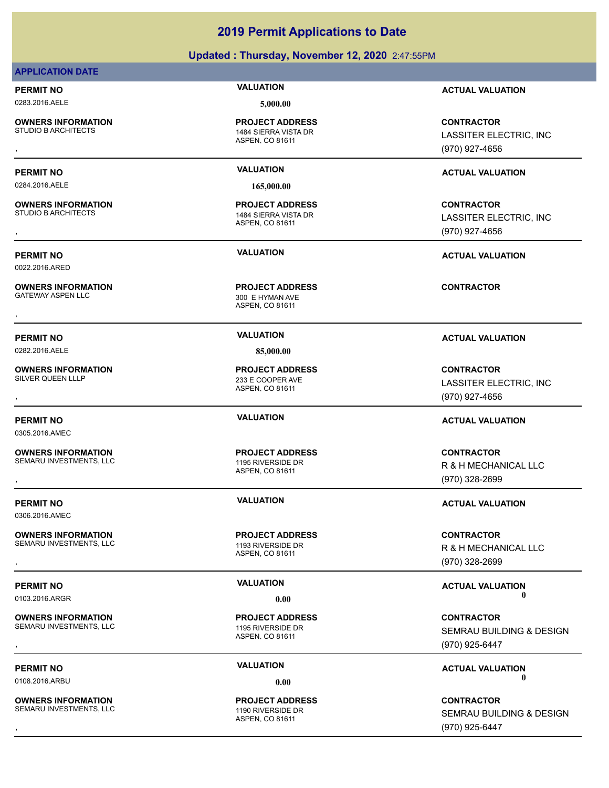# **Updated : Thursday, November 12, 2020** 2:47:55PM

# **APPLICATION DATE**

# 0283.2016.AELE **5,000.00**

**OWNERS INFORMATION**

# **PROJECT ADDRESS**

ASPEN, CO 81611 1484 SIERRA VISTA DR

ASPEN, CO 81611 1484 SIERRA VISTA DR **PROJECT ADDRESS**

ASPEN, CO 81611 300 E HYMAN AVE , **CONTRACTOR**

> ASPEN, CO 81611 233 E COOPER AVE

ASPEN, CO 81611 SEMARU INVESTMENTS, LLC<br>
1195 RIVERSIDE DR **PROJECT ADDRESS**

ASPEN, CO 81611 **PROJECT ADDRESS**

ASPEN, CO 81611 **PROJECT ADDRESS**

ASPEN, CO 81611 **PROJECT ADDRESS**

**PERMIT NO VALUATION ACTUAL VALUATION**

, **CONTRACTOR** LASSITER ELECTRIC, INC (970) 927-4656

, **CONTRACTOR** LASSITER ELECTRIC, INC (970) 927-4656

**PERMIT NO VALUATION ACTUAL VALUATION**

, **CONTRACTOR** LASSITER ELECTRIC, INC (970) 927-4656

# **PERMIT NO VALUATION ACTUAL VALUATION**

**OWNERS INFORMATION PROJECT ADDRESS CONTRACTOR**<br>SEMARU INVESTMENTS, LLC 1195 RIVERSIDE DR R & H MECHANICAL LLC<br>, ASPEN, CO 81611 R & H MECHANICAL LLC (970) 328-2699

**OWNERS INFORMATION GOVERNED BY A SERVICE PROJECT ADDRESS ARE SERVICE CONTRACTOR**<br>SEMARU INVESTMENTS, LLC FROM THE SERVICE OF THE SERVICE OF THE SERVICE OF THE SERVICE OF THE SERVICE ASPEN. CO<br>BERNARU INVESTMENTS, LLC FROM R & H MECHANICAL LLC (970) 328-2699

**PERMIT NO VALUATION ACTUAL VALUATION** 0103.2016.ARGR **0.00 0.00**

**OWNERS INFORMATION PROJECT ADDRESS CONTRACTOR**<br>SEMARU INVESTMENTS, LLC 1195 RIVERSIDE DR SEMRAU BUILDING & DESIGN<br>, ASPEN, CO 81611 SEMRAU BUILDING & DESIGN (970) 925-6447

**PERMIT NO VALUATION ACTUAL VALUATION** 0108.2016.ARBU **0.00 0.00**

**OWNERS INFORMATION PROJECT ADDRESS CONTRACTOR**<br>SEMARU INVESTMENTS, LLC 1190 RIVERSIDE DR SEMRAU BUILDING & DESIGN<br>, ASPEN. CO 81611 SEMRAU BUILDING & DESIGN (970) 925-6447

**OWNERS INFORMATION**

0305.2016.AMEC

**OWNERS INFORMATION**

SEMARU INVESTMENTS, LLC 1193 RIVERSIDE DR

SEMARU INVESTMENTS, LLC<br>
1195 RIVERSIDE DR

SEMARU INVESTMENTS, LLC<br>
1190 RIVERSIDE DR

**PERMIT NO VALUATION VALUATION VALUATION** 

0306.2016.AMEC

**OWNERS INFORMATION**

**OWNERS INFORMATION**

**OWNERS INFORMATION**

0282.2016.AELE **85,000.00 PROJECT ADDRESS**

**PERMIT NO VALUATION ACTUAL VALUATION**

# **PROJECT ADDRESS**

**PERMIT NO VALUATION ACTUAL VALUATION**

0284.2016.AELE **165,000.00**

**OWNERS INFORMATION**

**OWNERS INFORMATION**

0022.2016.ARED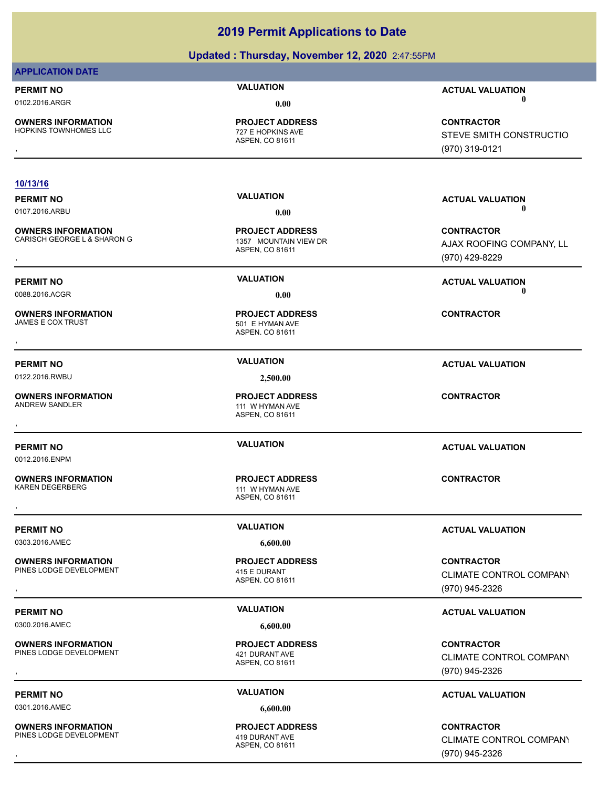## **Updated : Thursday, November 12, 2020** 2:47:55PM

# **APPLICATION DATE**

**OWNERS INFORMATION**

ASPEN, CO 81611 727 E HOPKINS AVE **PROJECT ADDRESS**

### **10/13/16**

0107.2016.ARBU **0.00 0.00**

**OWNERS INFORMATION** CARISCH GEORGE L & SHARON G 1357 MOUNTAIN VIEW DR

**OWNERS INFORMATION**

**PERMIT NO VALUATION VALUATION VALUATION** 

0122.2016.RWBU **2,500.00**

**OWNERS INFORMATION**

0012.2016.ENPM

**OWNERS INFORMATION**

0303.2016.AMEC **6,600.00**

**OWNERS INFORMATION** PINES LODGE DEVELOPMENT 415 E DURANT

0300.2016.AMEC **6,600.00**

**OWNERS INFORMATION** PINES LODGE DEVELOPMENT 421 DURANT AVE

0301.2016.AMEC **6,600.00**

**OWNERS INFORMATION** PINES LODGE DEVELOPMENT 419 DURANT AVE

ASPEN, CO 81611 **PROJECT ADDRESS**

ASPEN, CO 81611 501 E HYMAN AVE **PROJECT ADDRESS** , **CONTRACTOR**

ASPEN, CO 81611 111 W HYMAN AVE **PROJECT ADDRESS** , **CONTRACTOR**

ASPEN, CO 81611 111 W HYMAN AVE **PROJECT ADDRESS** , **CONTRACTOR**

ASPEN, CO 81611 **PROJECT ADDRESS**

ASPEN, CO 81611 **PROJECT ADDRESS**

ASPEN, CO 81611 **PROJECT ADDRESS**

**PERMIT NO VALUATION ACTUAL VALUATION** 0102.2016.ARGR **0.00 0.00**

, **CONTRACTOR** STEVE SMITH CONSTRUCTIO (970) 319-0121

**PERMIT NO VALUATION ACTUAL VALUATION**

**OWNERS INFORMATION GARGET SERVICE OF A SERVICE OF A SERVICE OF A SERVICE OF A SERVICE OF A SHARON G<br>CARISCH GEORGE L & SHARON GARGET A SHOW ASPEN. CO 81611 GARGET A SHOW A SHOW A SHOW A SHOW A SHOW A SHOW A SHOW<br>GARISCH G** AJAX ROOFING COMPANY, LL (970) 429-8229

**PERMIT NO CONSUMITY OF A CONSUMITY OF A CONSUMITY OF A CONSUMITY OF A CTUAL VALUATION** 0088.2016.ACGR **0.00 0.00**

**PERMIT NO VALUATION ACTUAL VALUATION**

**PERMIT NO VALUATION ACTUAL VALUATION**

, **CONTRACTOR** CLIMATE CONTROL COMPANY (970) 945-2326

# **PERMIT NO VALUATION ACTUAL VALUATION**

, **CONTRACTOR** CLIMATE CONTROL COMPANY (970) 945-2326

# **PERMIT NO VALUATION ACTUAL VALUATION**

, **CONTRACTOR** CLIMATE CONTROL COMPANY (970) 945-2326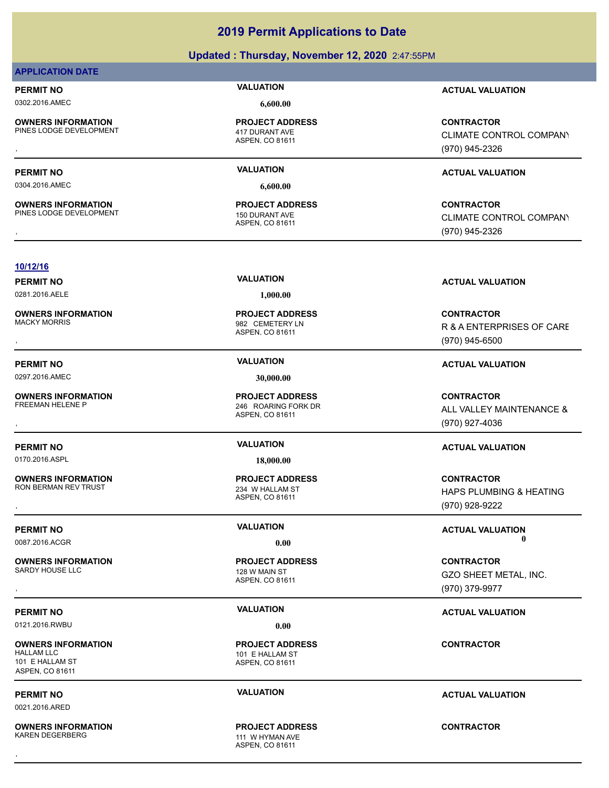# **Updated : Thursday, November 12, 2020** 2:47:55PM

### **APPLICATION DATE**

# 0302.2016.AMEC **6,600.00**

**OWNERS INFORMATION** PINES LODGE DEVELOPMENT 417 DURANT AVE

**OWNERS INFORMATION**

ASPEN, CO 81611 **PROJECT ADDRESS**

0304.2016.AMEC **6,600.00**

ASPEN, CO 81611 PINES LODGE DEVELOPMENT 150 DURANT AVE **PROJECT ADDRESS**

**PERMIT NO VALUATION ACTUAL VALUATION**

, **CONTRACTOR** CLIMATE CONTROL COMPANY (970) 945-2326

# **PERMIT NO VALUATION ACTUAL VALUATION**

, **CONTRACTOR** CLIMATE CONTROL COMPANY (970) 945-2326

### **10/12/16**

0281.2016.AELE **1,000.00**

**OWNERS INFORMATION**

0297.2016.AMEC **30,000.00**

**OWNERS INFORMATION**

0170.2016.ASPL **18,000.00**

**OWNERS INFORMATION**

**OWNERS INFORMATION** SARDY HOUSE LLC 128 W MAIN ST

0121.2016.RWBU **0.00**

**OWNERS INFORMATION** HALLAM LLC 101 E HALLAM ST 101 E HALLAM ST ASPEN, CO 81611

0021.2016.ARED

**OWNERS INFORMATION** KAREN DEGERBERG 111 W HYMAN AVE

ASPEN, CO 81611 982 CEMETERY LN **PROJECT ADDRESS**

ASPEN, CO 81611 246 ROARING FORK DR **PROJECT ADDRESS**

ASPEN, CO 81611 234 W HALLAM ST **PROJECT ADDRESS**

ASPEN, CO 81611 **PROJECT ADDRESS**

ASPEN, CO 81611 **PROJECT ADDRESS**

ASPEN, CO 81611 **PROJECT ADDRESS** , **CONTRACTOR**

**PERMIT NO VALUATION ACTUAL VALUATION**

, **CONTRACTOR** R & A ENTERPRISES OF CARE (970) 945-6500

# **PERMIT NO VALUATION ACTUAL VALUATION**

, **CONTRACTOR** ALL VALLEY MAINTENANCE & (970) 927-4036

# **PERMIT NO VALUATION ACTUAL VALUATION**

, **CONTRACTOR** HAPS PLUMBING & HEATING (970) 928-9222

**PERMIT NO CONSUMITY OF A CONSUMITY OF A CONSUMITY OF A CONSUMITY OF A CTUAL VALUATION** 0087.2016.ACGR **0.00 0.00**

, **CONTRACTOR** GZO SHEET METAL, INC. (970) 379-9977

# **PERMIT NO VALUATION ACTUAL VALUATION**

**CONTRACTOR**

# **PERMIT NO VALUATION ACTUAL VALUATION**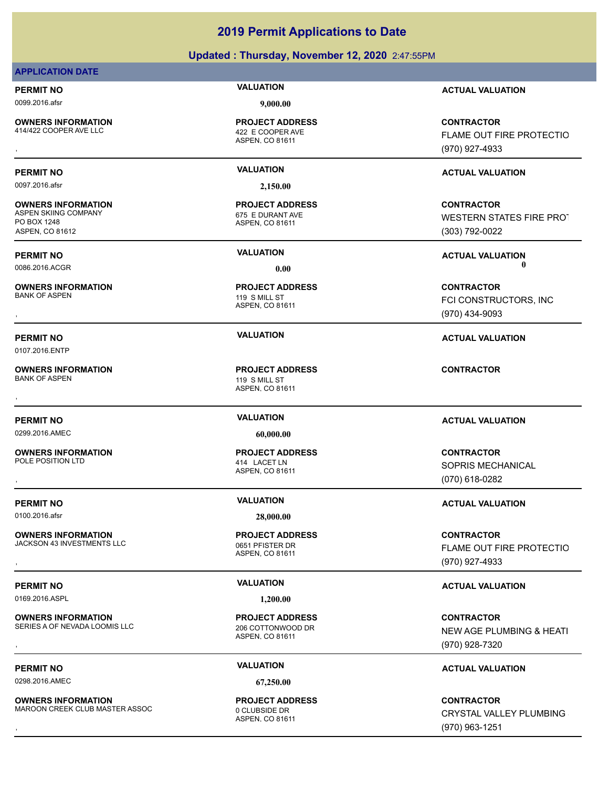## **Updated : Thursday, November 12, 2020** 2:47:55PM

### **APPLICATION DATE**

0099.2016.afsr **9,000.00**

**OWNERS INFORMATION**

ASPEN, CO 81611 422 E COOPER AVE **PROJECT ADDRESS**

0097.2016.afsr **2,150.00**

ASPEN, CO 81611 675 E DURANT AVE **PROJECT ADDRESS**

ASPEN, CO 81611 119 S MILL ST **PROJECT ADDRESS**

ASPEN, CO 81611 **PROJECT ADDRESS** , **CONTRACTOR**

ASPEN, CO 81611 414 LACET LN **PROJECT ADDRESS**

ASPEN, CO 81611 **PROJECT ADDRESS**

ASPEN, CO 81611 **PROJECT ADDRESS**

ASPEN, CO 81611 **PROJECT ADDRESS**

**PERMIT NO VALUATION ACTUAL VALUATION**

**OWNERS INFORMATION PROJECT ADDRESS CONTRACTOR**<br>414/422 COOPER AVE LLC 422 E COOPER AVE FLAME OUT FIRE PROTECTIO<br>, ASPEN, CO 81611 **FLAME OUT FIRE PROTECTIO** (970) 927-4933

# **PERMIT NO VALUATION ACTUAL VALUATION**

**CONTRACTOR** WESTERN STATES FIRE PROT (303) 792-0022

**PERMIT NO VALUATION ACTUAL VALUATION** 0086.2016.ACGR **0.00 0.00**

, **CONTRACTOR** FCI CONSTRUCTORS, INC (970) 434-9093

**PERMIT NO VALUATION ACTUAL VALUATION**

# **PERMIT NO VALUATION ACTUAL VALUATION**

, **CONTRACTOR** SOPRIS MECHANICAL (070) 618-0282

# **PERMIT NO VALUATION VALUATION VALUATION**

**OWNERS INFORMATION Lines and SECURE SECURE PROJECT ADDRESS ARE SECURE CONTRACTOR**<br>JACKSON 43 INVESTMENTS LLC LOC LOC DESSERT DRUG ASPEN, CO 81611<br>, The Maspin Color of the Community of the Color of the Control of the Cont FLAME OUT FIRE PROTECTIO (970) 927-4933

# **PERMIT NO VALUATION VALUATION VALUATION**

, **CONTRACTOR** NEW AGE PLUMBING & HEATI (970) 928-7320

# **PERMIT NO VALUATION VALUATION VALUATION**

**OWNERS INFORMATION EXAMPLE ASSOC FOR A PROJECT ADDRESS FOR A CONTRACTOR CONTRACTOR CONTRACTOR**<br>MAROON CREEK CLUB MASTER ASSOC FOR A ASPEN, CO 81611 FOR THE SERVITAL VALLEY PLUMBING A ASPEN, CO 81611 FOR A SPEN<br>The Service CRYSTAL VALLEY PLUMBING (970) 963-1251

JACKSON 43 INVESTMENTS LLC<br>0651 PEISTER DR

0169.2016.ASPL **1,200.00**

**OWNERS INFORMATION** SERIES A OF NEVADA LOOMIS LLC<br>206 COTTONWOOD DR

**OWNERS INFORMATION** MAROON CREEK CLUB MASTER ASSOC 0 CLUBSIDE DR

**OWNERS INFORMATION** PO BOX 1248 ASPEN, CO 81612

**OWNERS INFORMATION**

0107.2016.ENTP

**OWNERS INFORMATION** BANK OF ASPEN 119 S MILL ST

0299.2016.AMEC **60,000.00**

**OWNERS INFORMATION**<br>POLE POSITION LTD

0100.2016.afsr **28,000.00**

**OWNERS INFORMATION**

0298.2016.AMEC **67,250.00**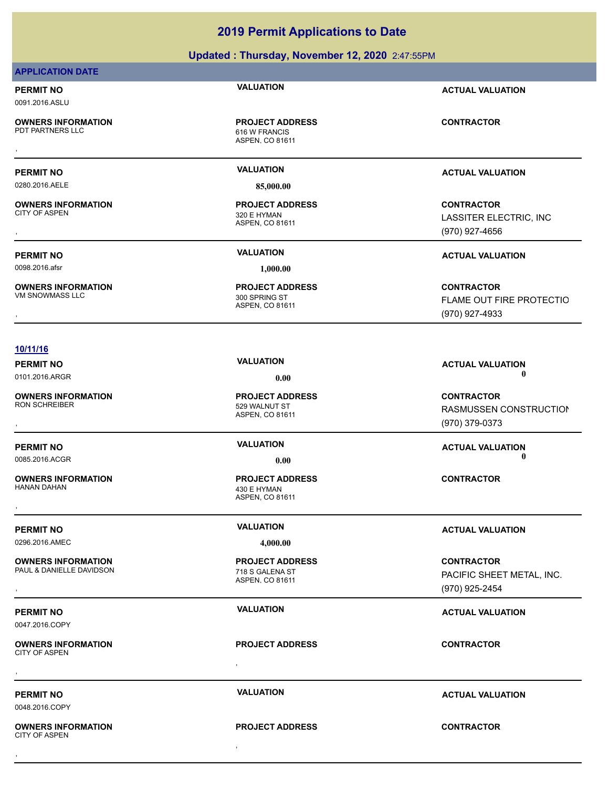# **Updated : Thursday, November 12, 2020** 2:47:55PM

## **APPLICATION DATE**

# **PERMIT NO VALUATION ACTUAL VALUATION**

0091.2016.ASLU

**OWNERS INFORMATION**

ASPEN, CO 81611 616 W FRANCIS **PROJECT ADDRESS** , **CONTRACTOR**

0280.2016.AELE **85,000.00**

**OWNERS INFORMATION** CITY OF ASPEN 320 E HYMAN

0098.2016.afsr **1,000.00**

**OWNERS INFORMATION**

ASPEN, CO 81611 **PROJECT ADDRESS**

ASPEN, CO 81611 300 SPRING ST **PROJECT ADDRESS**

# **PERMIT NO VALUATION ACTUAL VALUATION**

, **CONTRACTOR** LASSITER ELECTRIC, INC (970) 927-4656

**PERMIT NO VALUATION ACTUAL VALUATION**

, **CONTRACTOR** FLAME OUT FIRE PROTECTIO (970) 927-4933

RASMUSSEN CONSTRUCTION

# **10/11/16**

**PERMIT NO VALUATION ACTUAL VALUATION** 0101.2016.ARGR **0.00 0.00**

**OWNERS INFORMATION** RON SCHREIBER 529 WALNUT ST

**PERMIT NO VALUATION ACTUAL VALUATION**

0085.2016.ACGR **0.00 0.00**

**OWNERS INFORMATION**

0296.2016.AMEC **4,000.00**

**OWNERS INFORMATION** PAUL & DANIELLE DAVIDSON 718 S GALENA ST

**PERMIT NO VALUATION ACTUAL VALUATION** 0047.2016.COPY

, **OWNERS INFORMATION** CITY OF ASPEN , **CONTRACTOR**

**PROJECT ADDRESS**

ASPEN, CO 81611 430 E HYMAN **PROJECT ADDRESS** , **CONTRACTOR**

ASPEN, CO 81611 **PROJECT ADDRESS**

**PROJECT ADDRESS**

**PERMIT NO VALUATION ACTUAL VALUATION**

(970) 379-0373

, **CONTRACTOR** PACIFIC SHEET METAL, INC. (970) 925-2454

**PERMIT NO VALUATION ACTUAL VALUATION**

0048.2016.COPY

, **OWNERS INFORMATION** CITY OF ASPEN , **CONTRACTOR**

**PROJECT ADDRESS**

ASPEN, CO 81611 , **CONTRACTOR**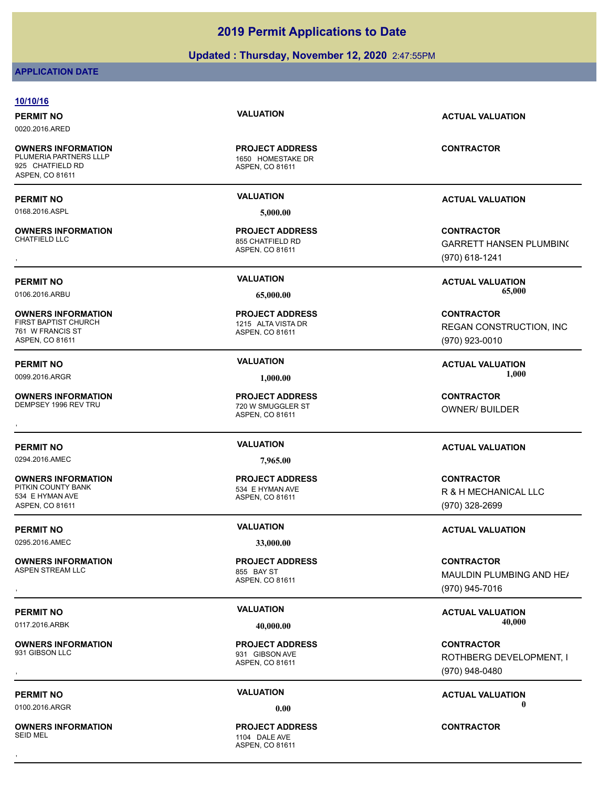# **Updated : Thursday, November 12, 2020** 2:47:55PM

## **APPLICATION DATE**

### **10/10/16**

0020.2016.ARED

**OWNERS INFORMATION** PLUMERIA PARTNERS LLLP 1650 HOMESTAKE DR 925 CHATFIELD RD ASPEN, CO 81611

0168.2016.ASPL **5,000.00**

**OWNERS INFORMATION**

**OWNERS INFORMATION** 761 W FRANCIS ST ASPEN, CO 81611

**OWNERS INFORMATION**

**PERMIT NO VALUATION ACTUAL VALUATION**

0294.2016.AMEC **7,965.00**

**OWNERS INFORMATION**<br>PITKIN COUNTY BANK 534 E HYMAN AVE ASPEN, CO 81611

0295.2016.AMEC **33,000.00**

**OWNERS INFORMATION** ASPEN STREAM LLC 855 BAY ST

**OWNERS INFORMATION**

**OWNERS INFORMATION**

ASPEN, CO 81611 **PROJECT ADDRESS**

ASPEN, CO 81611 855 CHATFIELD RD **PROJECT ADDRESS**

ASPEN, CO 81611 1215 ALTA VISTA DR **PROJECT ADDRESS**

ASPEN, CO 81611 720 W SMUGGLER ST **PROJECT ADDRESS** , **CONTRACTOR**

ASPEN, CO 81611 534 E HYMAN AVE **PROJECT ADDRESS**

ASPEN, CO 81611 **PROJECT ADDRESS**

ASPEN, CO 81611 931 GIBSON AVE **PROJECT ADDRESS**

ASPEN, CO 81611  $1104$  DAI F AVE **PROJECT ADDRESS** , **CONTRACTOR**

**PERMIT NO VALUATION ACTUAL VALUATION**

**CONTRACTOR**

**PERMIT NO VALUATION ACTUAL VALUATION**

, **CONTRACTOR** GARRETT HANSEN PLUMBING (970) 618-1241

**PERMIT NO VALUATION ACTUAL VALUATION** 0106.2016.ARBU **65,000.00 65,000.00**

> **CONTRACTOR** REGAN CONSTRUCTION, INC (970) 923-0010

**PERMIT NO VALUATION ACTUAL VALUATION** 0099.2016.ARGR **1,000.00 1,000.00**

OWNER/ BUILDER

**CONTRACTOR** R & H MECHANICAL LLC (970) 328-2699

# **PERMIT NO VALUATION ACTUAL VALUATION**

**OWNERS INFORMATION PROJECT ADDRESS CONTRACTOR**<br>ASPEN STREAM LLC 855 BAY ST MAULDIN PLUMBING AND HE*I*<br>, ASPEN. CO 81611 MAULDIN PLUMBING AND HE/ (970) 945-7016

**PERMIT NO VALUATION ACTUAL VALUATION** 0117.2016.ARBK **40,000.00 40,000.00**

, **CONTRACTOR** ROTHBERG DEVELOPMENT, I (970) 948-0480

**PERMIT NO CONSUMITY OF A CONSUMITY OF A CONSUMITY OF A CONSUMITY OF A CTUAL VALUATION** 0100.2016.ARGR **0.00 0.00**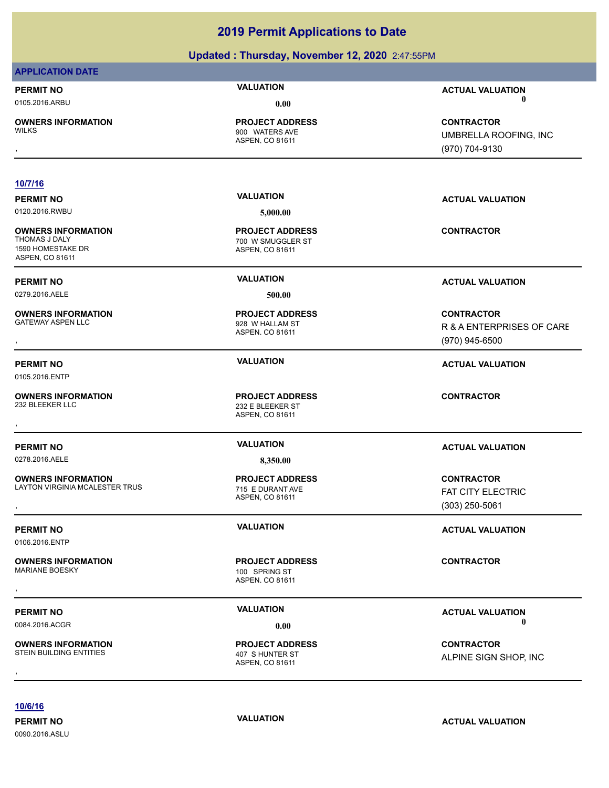# **Updated : Thursday, November 12, 2020** 2:47:55PM

| <b>APPLICATION DATE</b>                                                            |                                                                |                                                              |
|------------------------------------------------------------------------------------|----------------------------------------------------------------|--------------------------------------------------------------|
| <b>PERMIT NO</b>                                                                   | <b>VALUATION</b>                                               | <b>ACTUAL VALUATION</b>                                      |
| 0105.2016.ARBU                                                                     | 0.00                                                           | $\mathbf{0}$                                                 |
| <b>OWNERS INFORMATION</b><br><b>WILKS</b>                                          | <b>PROJECT ADDRESS</b><br>900 WATERS AVE<br>ASPEN, CO 81611    | <b>CONTRACTOR</b><br>UMBRELLA ROOFING, INC<br>(970) 704-9130 |
|                                                                                    |                                                                |                                                              |
| 10/7/16                                                                            |                                                                |                                                              |
| <b>PERMIT NO</b>                                                                   | <b>VALUATION</b>                                               | <b>ACTUAL VALUATION</b>                                      |
| 0120.2016.RWBU                                                                     | 5,000.00                                                       |                                                              |
| <b>OWNERS INFORMATION</b><br>THOMAS J DALY<br>1590 HOMESTAKE DR<br>ASPEN, CO 81611 | <b>PROJECT ADDRESS</b><br>700 W SMUGGLER ST<br>ASPEN, CO 81611 | <b>CONTRACTOR</b>                                            |
| <b>PERMIT NO</b>                                                                   | <b>VALUATION</b>                                               | <b>ACTUAL VALUATION</b>                                      |
| 0279.2016.AELE                                                                     | 500.00                                                         |                                                              |
| <b>OWNERS INFORMATION</b>                                                          | <b>PROJECT ADDRESS</b>                                         | <b>CONTRACTOR</b>                                            |
| <b>GATEWAY ASPEN LLC</b>                                                           | 928 W HALLAM ST<br>ASPEN, CO 81611                             | R & A ENTERPRISES OF CARE<br>(970) 945-6500                  |
| <b>PERMIT NO</b><br>0105.2016.ENTP                                                 | <b>VALUATION</b>                                               | <b>ACTUAL VALUATION</b>                                      |
| <b>OWNERS INFORMATION</b><br>232 BLEEKER LLC                                       | <b>PROJECT ADDRESS</b><br>232 E BLEEKER ST<br>ASPEN, CO 81611  | <b>CONTRACTOR</b>                                            |
| <b>PERMIT NO</b>                                                                   | <b>VALUATION</b>                                               | <b>ACTUAL VALUATION</b>                                      |
| 0278.2016.AELE                                                                     | 8,350.00                                                       |                                                              |
| <b>OWNERS INFORMATION</b><br>LAYTON VIRGINIA MCALESTER TRUS<br>$\,$                | <b>PROJECT ADDRESS</b><br>715 E DURANT AVE<br>ASPEN, CO 81611  | <b>CONTRACTOR</b><br>FAT CITY ELECTRIC<br>$(303)$ 250-5061   |
| <b>PERMIT NO</b><br>0106.2016.ENTP                                                 | <b>VALUATION</b>                                               | <b>ACTUAL VALUATION</b>                                      |
| <b>OWNERS INFORMATION</b><br><b>MARIANE BOESKY</b>                                 | <b>PROJECT ADDRESS</b><br>100 SPRING ST<br>ASPEN, CO 81611     | <b>CONTRACTOR</b>                                            |
| <b>PERMIT NO</b>                                                                   | <b>VALUATION</b>                                               | <b>ACTUAL VALUATION</b>                                      |
| 0084.2016.ACGR                                                                     | 0.00                                                           | 0                                                            |
| <b>OWNERS INFORMATION</b><br>STEIN BUILDING ENTITIES                               | <b>PROJECT ADDRESS</b><br>407 S HUNTER ST<br>ASPEN, CO 81611   | <b>CONTRACTOR</b><br>ALPINE SIGN SHOP, INC                   |

**10/6/16**

0090.2016.ASLU

**PERMIT NO CONSUMITY ACTUAL VALUATION VALUATION** *ACTUAL VALUATION*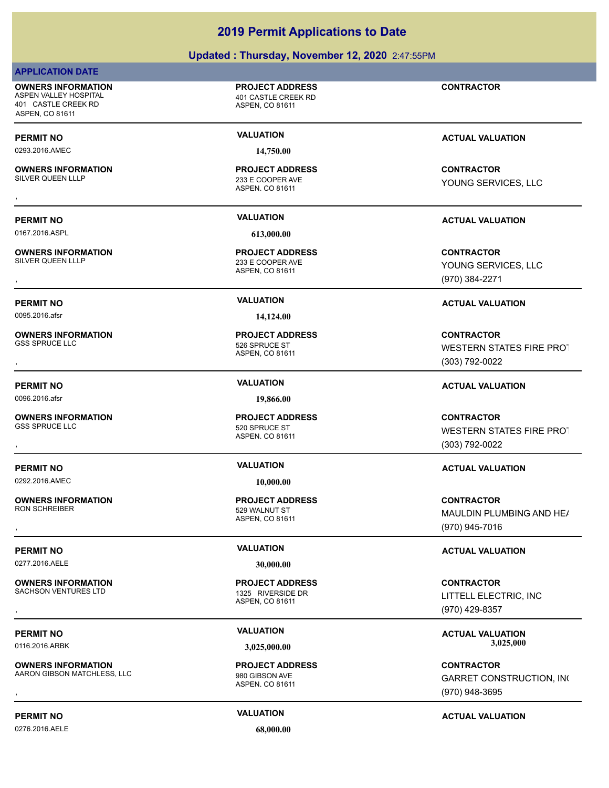**PERMIT NO VALUATION VALUATION VALUATION** 0293.2016.AMEC **14,750.00** ASPEN, CO 81611 **OWNERS INFORMATION** 233 E COOPER AVE **PROJECT ADDRESS OWNERS INFORMATION LATE CONTRACTOR ENGLISHED PROJECT ADDRESS ARE CONTRACTOR CONTRACTOR**<br>SILVER QUEEN LLLP<br>, ASPEN, CO 81611<br>, **PERMIT NO VALUATION ACTUAL VALUATION** 0167.2016.ASPL **613,000.00** ASPEN, CO 81611 **OWNERS INFORMATION** 233 E COOPER AVE **PROJECT ADDRESS** , **CONTRACTOR PERMIT NO VALUATION ACTUAL VALUATION** 0095.2016.afsr **14,124.00** ASPEN, CO 81611 **OWNERS INFORMATION** 526 SPRUCE ST **PROJECT ADDRESS** , **CONTRACTOR PERMIT NO VALUATION ACTUAL VALUATION** 0096.2016.afsr **19,866.00** ASPEN, CO 81611 **OWNERS INFORMATION** 520 SPRUCE ST **PROJECT ADDRESS** , **CONTRACTOR PERMIT NO VALUATION ACTUAL VALUATION** 0292.2016.AMEC **10,000.00** ASPEN, CO 81611 **OWNERS INFORMATION** 529 WALNUT ST **PROJECT ADDRESS** , **CONTRACTOR PERMIT NO VALUATION VALUATION VALUATION** 0277.2016.AELE **30,000.00**

**APPLICATION DATE**

401 CASTLE CREEK RD ASPEN, CO 81611

**OWNERS INFORMATION**

**OWNERS INFORMATION** SACHSON VENTURES LTD 1325 RIVERSIDE DR

**OWNERS INFORMATION** AARON GIBSON MATCHLESS, LLC<br>
980 GIBSON AVE

0276.2016.AELE **68,000.00**

ASPEN, CO 81611 **PROJECT ADDRESS**

ASPEN, CO 81611 **PROJECT ADDRESS**

# **2019 Permit Applications to Date**

# **Updated : Thursday, November 12, 2020** 2:47:55PM

ASPEN, CO 81611

**PROJECT ADDRESS**

ASPEN VALLEY HOSPITAL 401 CASTLE CREEK RD

**CONTRACTOR**

YOUNG SERVICES, LLC

YOUNG SERVICES, LLC (970) 384-2271

WESTERN STATES FIRE PROT (303) 792-0022

WESTERN STATES FIRE PROT (303) 792-0022

MAULDIN PLUMBING AND HE/ (970) 945-7016

, **CONTRACTOR** LITTELL ELECTRIC, INC (970) 429-8357

**PERMIT NO VALUATION ACTUAL VALUATION** 0116.2016.ARBK **3,025,000.00 3,025,000.00**

, **CONTRACTOR** GARRET CONSTRUCTION, INC (970) 948-3695

# **PERMIT NO VALUATION ACTUAL VALUATION**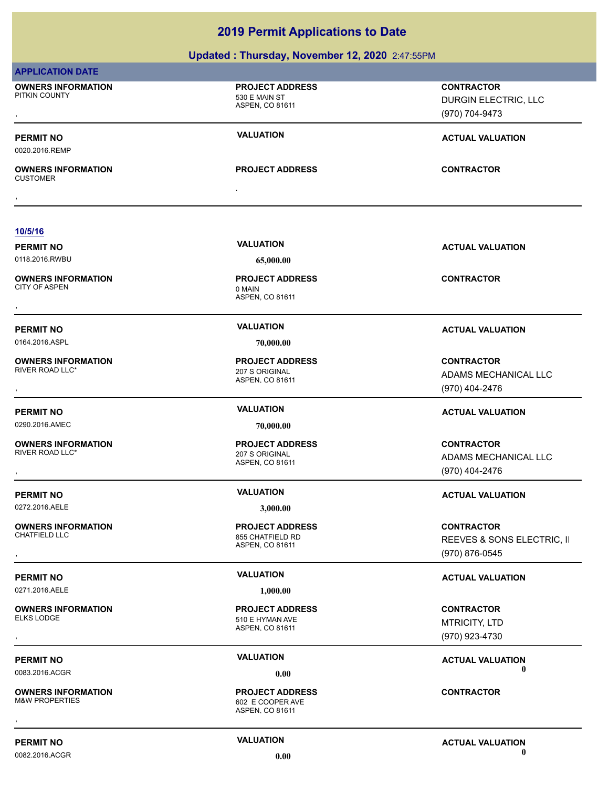# **Updated : Thursday, November 12, 2020** 2:47:55PM

| <b>APPLICATION DATE</b>                                |                                                                       |                                                                   |
|--------------------------------------------------------|-----------------------------------------------------------------------|-------------------------------------------------------------------|
| <b>OWNERS INFORMATION</b><br>PITKIN COUNTY             | <b>PROJECT ADDRESS</b><br>530 E MAIN ST<br>ASPEN, CO 81611            | <b>CONTRACTOR</b><br>DURGIN ELECTRIC, LLC<br>(970) 704-9473       |
| <b>PERMIT NO</b><br>0020.2016.REMP                     | <b>VALUATION</b>                                                      | <b>ACTUAL VALUATION</b>                                           |
| <b>OWNERS INFORMATION</b><br><b>CUSTOMER</b>           | <b>PROJECT ADDRESS</b><br>$\bullet$                                   | <b>CONTRACTOR</b>                                                 |
| 10/5/16                                                |                                                                       |                                                                   |
| <b>PERMIT NO</b><br>0118.2016.RWBU                     | <b>VALUATION</b><br>65,000.00                                         | <b>ACTUAL VALUATION</b>                                           |
| <b>OWNERS INFORMATION</b><br><b>CITY OF ASPEN</b>      | <b>PROJECT ADDRESS</b><br>0 MAIN<br>ASPEN, CO 81611                   | <b>CONTRACTOR</b>                                                 |
| <b>PERMIT NO</b><br>0164.2016.ASPL                     | <b>VALUATION</b><br>70,000.00                                         | <b>ACTUAL VALUATION</b>                                           |
| <b>OWNERS INFORMATION</b><br>RIVER ROAD LLC*           | <b>PROJECT ADDRESS</b><br>207 S ORIGINAL<br>ASPEN, CO 81611           | <b>CONTRACTOR</b><br>ADAMS MECHANICAL LLC<br>(970) 404-2476       |
| <b>PERMIT NO</b><br>0290.2016.AMEC                     | <b>VALUATION</b><br>70,000.00                                         | <b>ACTUAL VALUATION</b>                                           |
| <b>OWNERS INFORMATION</b><br>RIVER ROAD LLC*           | <b>PROJECT ADDRESS</b><br>207 S ORIGINAL<br>ASPEN, CO 81611           | <b>CONTRACTOR</b><br>ADAMS MECHANICAL LLC<br>(970) 404-2476       |
| <b>PERMIT NO</b><br>0272.2016.AELE                     | <b>VALUATION</b><br>3,000.00                                          | <b>ACTUAL VALUATION</b>                                           |
| <b>OWNERS INFORMATION</b><br><b>CHATFIELD LLC</b>      | <b>PROJECT ADDRESS</b><br>855 CHATFIELD RD<br>ASPEN, CO 81611         | <b>CONTRACTOR</b><br>REEVES & SONS ELECTRIC, II<br>(970) 876-0545 |
| <b>PERMIT NO</b><br>0271.2016.AELE                     | <b>VALUATION</b><br>1,000.00                                          | <b>ACTUAL VALUATION</b>                                           |
| <b>OWNERS INFORMATION</b><br><b>ELKS LODGE</b>         | <b>PROJECT ADDRESS</b><br>510 E HYMAN AVE<br>ASPEN, CO 81611          | <b>CONTRACTOR</b><br><b>MTRICITY, LTD</b><br>(970) 923-4730       |
| <b>PERMIT NO</b><br>0083.2016.ACGR                     | <b>VALUATION</b>                                                      | <b>ACTUAL VALUATION</b><br>0                                      |
| <b>OWNERS INFORMATION</b><br><b>M&amp;W PROPERTIES</b> | 0.00<br><b>PROJECT ADDRESS</b><br>602 E COOPER AVE<br>ASPEN, CO 81611 | <b>CONTRACTOR</b>                                                 |
| <b>PERMIT NO</b>                                       | <b>VALUATION</b>                                                      | <b>ACTUAL VALUATION</b>                                           |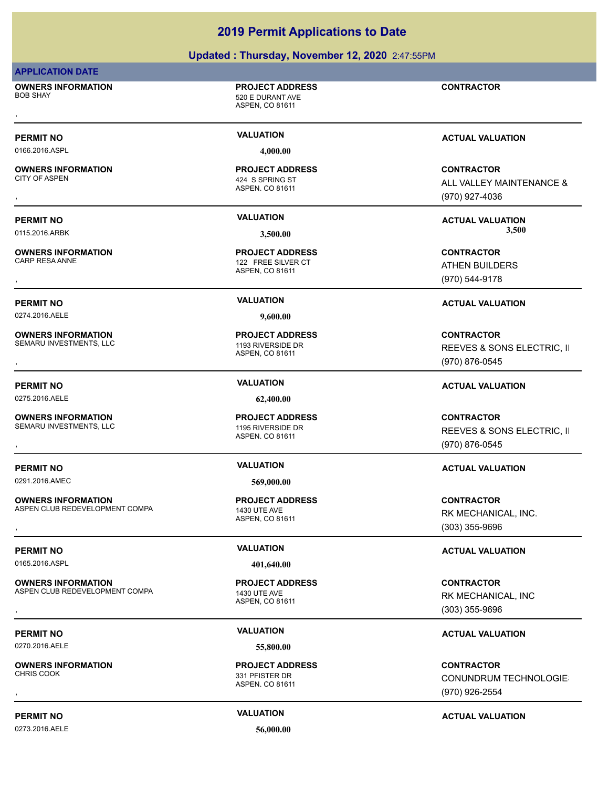# **Updated : Thursday, November 12, 2020** 2:47:55PM

### **APPLICATION DATE**

**OWNERS INFORMATION** BOB SHAY 520 E DURANT AVE , **CONTRACTOR**

# **PROJECT ADDRESS**

ASPEN, CO 81611

0166.2016.ASPL **4,000.00**

**OWNERS INFORMATION**

**OWNERS INFORMATION**

0274.2016.AELE **9,600.00**

**OWNERS INFORMATION** SEMARU INVESTMENTS, LLC<br>
1193 RIVERSIDE DR

0275.2016.AELE **62,400.00**

**OWNERS INFORMATION** SEMARU INVESTMENTS, LLC<br>
1195 RIVERSIDE DR

**OWNERS INFORMATION** ASPEN CLUB REDEVELOPMENT COMPA 1430 UTE AVE

0165.2016.ASPL **401,640.00**

**OWNERS INFORMATION** ASPEN CLUB REDEVELOPMENT COMPA 1430 UTE AVE

**OWNERS INFORMATION**

0273.2016.AELE **56,000.00**

**PROJECT ADDRESS**

ASPEN, CO 81611 424 S SPRING ST

ASPEN, CO 81611 122 FREE SILVER CT **PROJECT ADDRESS**

ASPEN, CO 81611 **PROJECT ADDRESS**

ASPEN, CO 81611 **PROJECT ADDRESS**

0291.2016.AMEC **569,000.00**

ASPEN, CO 81611 **PROJECT ADDRESS**

ASPEN, CO 81611 **PROJECT ADDRESS**

0270.2016.AELE **55,800.00**

ASPEN, CO 81611 331 PFISTER DR **PROJECT ADDRESS**

**PERMIT NO VALUATION VALUATION VALUATION** 

, **CONTRACTOR** ALL VALLEY MAINTENANCE & (970) 927-4036

**PERMIT NO VALUATION ACTUAL VALUATION** 0115.2016.ARBK **3,500.00 3,500.00**

, **CONTRACTOR** ATHEN BUILDERS (970) 544-9178

# **PERMIT NO VALUATION ACTUAL VALUATION**

**OWNERS INFORMATION PROJECT ADDRESS CONTRACTOR**<br>SEMARU INVESTMENTS, LLC 1193 RIVERSIDE DR REEVES & SONS ELECTRIC, II<br>, ASPEN, CO 81611 REEVES & SONS ELECTRIC, II (970) 876-0545

# **PERMIT NO VALUATION ACTUAL VALUATION**

**OWNERS INFORMATION PROJECT ADDRESS CONTRACTOR**<br>SEMARU INVESTMENTS, LLC 1195 RIVERSIDE DR REEVES & SONS ELECTRIC, II<br>, ASPEN. CO 81611 REEVES & SONS ELECTRIC, II (970) 876-0545

# **PERMIT NO VALUATION ACTUAL VALUATION**

**OWNERS INFORMATION METALLY CONTRACTOR REGULAR PROJECT ADDRESS ARE SOUT ASSESS AND METAL CONTRACTOR SERVICE ASPEN<br>ASPEN CLUB REDEVELOPMENT COMPANY ASPEN, CO 81611 ASPEN, CO 81611 MEXALLY MESS ARE SOUTH A SPEN, CO 81611 MEX** RK MECHANICAL, INC. (303) 355-9696

# **PERMIT NO VALUATION VALUATION VALUATION**

**OWNERS INFORMATION METALLY CONTRACTOR REGULAR PROJECT ADDRESS ARE SOUT ASSESS AND METALLY CONTRACTOR SERVICE AS<br>ASPEN CLUB REDEVELOPMENT COMPANY ASPEN, CO 81611 ASPEN, CO 81611 MEXANY (303) 355-9696** RK MECHANICAL, INC (303) 355-9696

# **PERMIT NO VALUATION ACTUAL VALUATION**

, **CONTRACTOR** CONUNDRUM TECHNOLOGIES (970) 926-2554

# **PERMIT NO VALUATION ACTUAL VALUATION**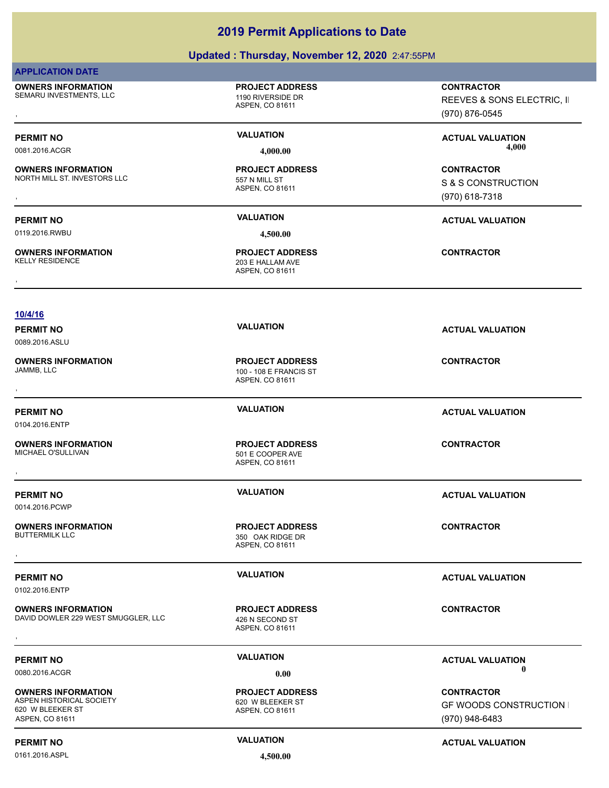# **Updated : Thursday, November 12, 2020** 2:47:55PM

| <b>APPLICATION DATE</b>                                                                      |                                                                     |                                                                       |
|----------------------------------------------------------------------------------------------|---------------------------------------------------------------------|-----------------------------------------------------------------------|
| <b>OWNERS INFORMATION</b><br>SEMARU INVESTMENTS, LLC                                         | <b>PROJECT ADDRESS</b><br>1190 RIVERSIDE DR<br>ASPEN, CO 81611      | <b>CONTRACTOR</b><br>REEVES & SONS ELECTRIC, II<br>(970) 876-0545     |
| <b>PERMIT NO</b>                                                                             | <b>VALUATION</b>                                                    | <b>ACTUAL VALUATION</b>                                               |
| 0081.2016.ACGR                                                                               | 4,000.00                                                            | 4,000                                                                 |
| <b>OWNERS INFORMATION</b><br>NORTH MILL ST. INVESTORS LLC                                    | <b>PROJECT ADDRESS</b><br>557 N MILL ST<br>ASPEN, CO 81611          | <b>CONTRACTOR</b><br>S & S CONSTRUCTION<br>(970) 618-7318             |
| <b>PERMIT NO</b>                                                                             | <b>VALUATION</b>                                                    | <b>ACTUAL VALUATION</b>                                               |
| 0119.2016.RWBU                                                                               | 4,500.00                                                            |                                                                       |
| <b>OWNERS INFORMATION</b><br><b>KELLY RESIDENCE</b>                                          | <b>PROJECT ADDRESS</b><br>203 E HALLAM AVE<br>ASPEN, CO 81611       | <b>CONTRACTOR</b>                                                     |
| 10/4/16                                                                                      |                                                                     |                                                                       |
| <b>PERMIT NO</b><br>0089.2016.ASLU                                                           | <b>VALUATION</b>                                                    | <b>ACTUAL VALUATION</b>                                               |
| <b>OWNERS INFORMATION</b><br>JAMMB, LLC                                                      | <b>PROJECT ADDRESS</b><br>100 - 108 E FRANCIS ST<br>ASPEN, CO 81611 | <b>CONTRACTOR</b>                                                     |
|                                                                                              | <b>VALUATION</b>                                                    |                                                                       |
| <b>PERMIT NO</b><br>0104.2016.ENTP                                                           |                                                                     | <b>ACTUAL VALUATION</b>                                               |
| <b>OWNERS INFORMATION</b><br>MICHAEL O'SULLIVAN                                              | <b>PROJECT ADDRESS</b><br>501 E COOPER AVE<br>ASPEN, CO 81611       | <b>CONTRACTOR</b>                                                     |
| <b>PERMIT NO</b><br>0014.2016.PCWP                                                           | <b>VALUATION</b>                                                    | <b>ACTUAL VALUATION</b>                                               |
| <b>OWNERS INFORMATION</b><br><b>BUTTERMILK LLC</b>                                           | <b>PROJECT ADDRESS</b><br>350 OAK RIDGE DR<br>ASPEN, CO 81611       | <b>CONTRACTOR</b>                                                     |
| <b>PERMIT NO</b><br>0102.2016.ENTP                                                           | <b>VALUATION</b>                                                    | <b>ACTUAL VALUATION</b>                                               |
| <b>OWNERS INFORMATION</b><br>DAVID DOWLER 229 WEST SMUGGLER, LLC                             | <b>PROJECT ADDRESS</b><br>426 N SECOND ST<br>ASPEN, CO 81611        | <b>CONTRACTOR</b>                                                     |
| <b>PERMIT NO</b>                                                                             | <b>VALUATION</b>                                                    | <b>ACTUAL VALUATION</b>                                               |
| 0080.2016.ACGR                                                                               | 0.00                                                                | 0                                                                     |
| <b>OWNERS INFORMATION</b><br>ASPEN HISTORICAL SOCIETY<br>620 W BLEEKER ST<br>ASPEN, CO 81611 | <b>PROJECT ADDRESS</b><br>620 W BLEEKER ST<br>ASPEN, CO 81611       | <b>CONTRACTOR</b><br><b>GF WOODS CONSTRUCTION I</b><br>(970) 948-6483 |
| <b>PERMIT NO</b>                                                                             | <b>VALUATION</b>                                                    | <b>ACTUAL VALUATION</b>                                               |

0161.2016.ASPL **4,500.00**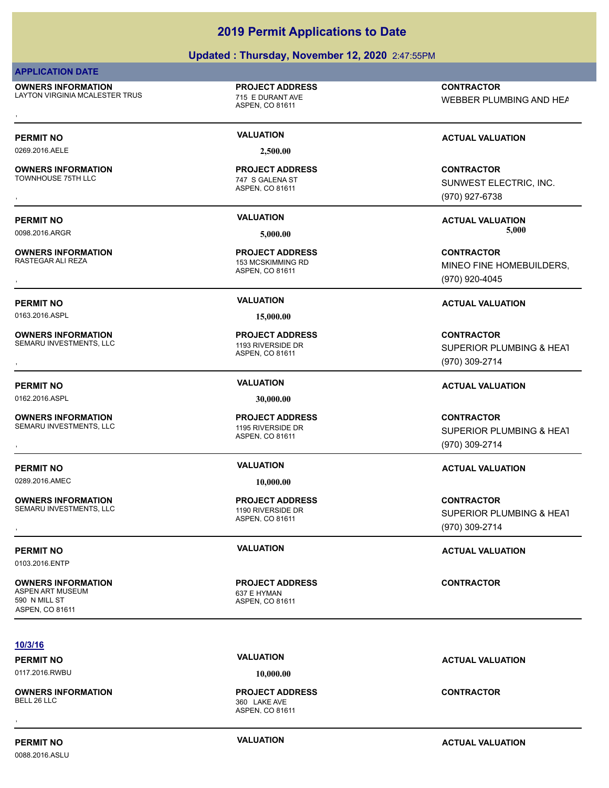0088.2016.ASLU

# **2019 Permit Applications to Date**

# **Updated : Thursday, November 12, 2020** 2:47:55PM

# **APPLICATION DATE**

**OWNERS INFORMATION**

**OWNERS INFORMATION**

**OWNERS INFORMATION**

**OWNERS INFORMATION**

**OWNERS INFORMATION** LAYTON VIRGINIA MCALESTER TRUS 715 E DURANT AVE

ASPEN, CO 81611

**PROJECT ADDRESS**

0269.2016.AELE **2,500.00**

### ASPEN, CO 81611 TOWNHOUSE 75TH LLC TOWN TO THE 747 S GALENA ST **PROJECT ADDRESS**

### ASPEN, CO 81611 153 MCSKIMMING RD **PROJECT ADDRESS**

0163.2016.ASPL **15,000.00**

ASPEN, CO 81611 SEMARU INVESTMENTS, LLC<br>
1193 RIVERSIDE DR **PROJECT ADDRESS**

0162.2016.ASPL **30,000.00**

ASPEN, CO 81611 SEMARU INVESTMENTS, LLC<br>
1195 RIVERSIDE DR **PROJECT ADDRESS**

0289.2016.AMEC **10,000.00**

ASPEN, CO 81611 **PROJECT ADDRESS**

**PROJECT ADDRESS**

**OWNERS INFORMATION MODEL SERVICE PROJECT ADDRESS ARE:**<br>LAYTON VIRGINIA MCALESTER TRUS THE MODEL TO THE DURANT AVE<br>ASPEN, CO 81611<br>, WEBBER PLUMBING AND HEAT

# **PERMIT NO CONSUMITY ACTUAL VALUATION VALUATION VALUATION**

, **CONTRACTOR** SUNWEST ELECTRIC, INC. (970) 927-6738

**PERMIT NO VALUATION ACTUAL VALUATION** 0098.2016.ARGR **5,000.00 5,000.00**

**OWNERS INFORMATION PROJECT ADDRESS CONTRACTOR**<br>RASTEGAR ALI REZA 153 MCSKIMMING RD MINEO FINE HOMEBUILDERS,<br>, ASPEN. CO 81611 MINEO FINE HOMEBUILDERS. (970) 920-4045

# **PERMIT NO VALUATION ACTUAL VALUATION**

**OWNERS INFORMATION PROJECT ADDRESS CONTRACTOR**<br>SEMARU INVESTMENTS, LLC 1193 RIVERSIDE DR SUPERIOR PLUMBING & HEAT<br>, ASPEN, CO 81611 SUPERIOR PLUMBING & HEAT (970) 309-2714

# **PERMIT NO VALUATION ACTUAL VALUATION**

**OWNERS INFORMATION PROJECT ADDRESS CONTRACTOR**<br>SEMARU INVESTMENTS, LLC 1195 RIVERSIDE DR SUPERIOR PLUMBING & HEAT<br>, ASPEN. CO 81611 SUPERIOR PLUMBING & HEAT (970) 309-2714

# **PERMIT NO VALUATION ACTUAL VALUATION**

**OWNERS INFORMATION PROJECT ADDRESS CONTRACTOR**<br>SEMARU INVESTMENTS, LLC 1190 RIVERSIDE DR SUPERIOR PLUMBING & HEAT<br>, ASPEN, CO 81611 SUPERIOR PLUMBING & HEAT (970) 309-2714

**CONTRACTOR**

**PERMIT NO CONSUMITY ACTUAL VALUATION VALUATION VALUATION** 

**PROJECT ADDRESS**

ASPEN, CO 81611 360 LAKE AVE , **CONTRACTOR**

**OWNERS INFORMATION** SEMARU INVESTMENTS, LLC<br>
1190 RIVERSIDE DR

0103.2016.ENTP

**OWNERS INFORMATION** 590 N MILL ST ASPEN, CO 81611

# **10/3/16**

**PERMIT NO VALUATION ACTUAL VALUATION** 0117.2016.RWBU **10,000.00**

**OWNERS INFORMATION**<br>BELL 26 LLC

ASPEN ART MUSEUM 637 E HYMAN

**PERMIT NO VALUATION VALUATION VALUATION** 

ASPEN, CO 81611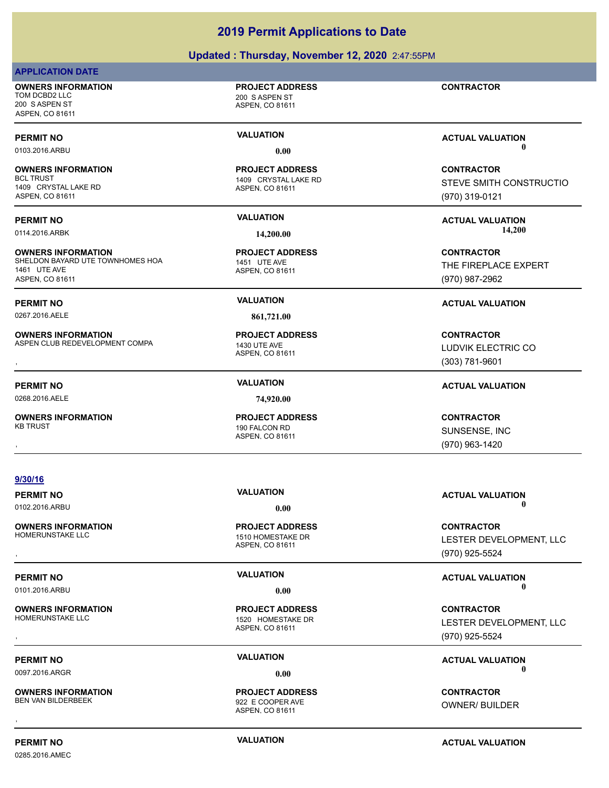# **Updated : Thursday, November 12, 2020** 2:47:55PM

# **APPLICATION DATE**

**OWNERS INFORMATION**

TOM DCBD2 LLC 200 S ASPEN ST 200 S ASPEN ST ASPEN, CO 81611

0103.2016.ARBU **0.00 0.00**

# **OWNERS INFORMATION**

1409 CRYSTAL LAKE RD ASPEN, CO 81611

**OWNERS INFORMATION** SHELDON BAYARD UTE TOWNHOMES HOA 1451 UTE AVE 1461 UTE AVE ASPEN, CO 81611

**OWNERS INFORMATION** ASPEN CLUB REDEVELOPMENT COMPA 1430 UTE AVE

**9/30/16**

0268.2016.AELE **74,920.00**

**OWNERS INFORMATION**

**OWNERS INFORMATION**

**OWNERS INFORMATION**

**OWNERS INFORMATION**<br>BEN VAN BILDERBEEK

# ASPEN, CO 81611

**PROJECT ADDRESS**

### ASPEN, CO 81611 1409 CRYSTAL LAKE RD **PROJECT ADDRESS**

# ASPEN, CO 81611 **PROJECT ADDRESS**

ASPEN, CO 81611

# , **CONTRACTOR**

**PERMIT NO VALUATION ACTUAL VALUATION**

**CONTRACTOR**

**CONTRACTOR** STEVE SMITH CONSTRUCTIO (970) 319-0121

**PERMIT NO VALUATION ACTUAL VALUATION** 0114.2016.ARBK **14,200.00 14,200.00**

> **CONTRACTOR** THE FIREPLACE EXPERT (970) 987-2962

**OWNERS INFORMATION METALLY CONTRACTOR REGULAR PROJECT ADDRESS ARE SOUT ASSESS AND METAL CONTRACTOR CONTRACTOR<br>ASPEN CLUB REDEVELOPMENT COMPANY ASPEN, CO 81611 ASPEN, CO 81611 METAL CONTROLLY METAL CONTRACTOR METALLY ASPEN** LUDVIK ELECTRIC CO (303) 781-9601

# **PERMIT NO VALUATION ACTUAL VALUATION**

# SUNSENSE, INC (970) 963-1420

**PERMIT NO VALUATION ACTUAL VALUATION** 0102.2016.ARBU **0.00 0.00**

, **CONTRACTOR** LESTER DEVELOPMENT, LLC (970) 925-5524

**PERMIT NO VALUATION ACTUAL VALUATION** 0101.2016.ARBU **0.00 0.00**

, **CONTRACTOR** LESTER DEVELOPMENT, LLC (970) 925-5524

**PERMIT NO CONSUMITY OF A CONSUMITY OF A CONSUMITY OF A CONSUMITY OF A CTUAL VALUATION** 0097.2016.ARGR **0.00 0.00**

OWNER/ BUILDER

0285.2016.AMEC

**PERMIT NO CONSUMITY ACTUAL VALUATION VALUATION VALUATION** 

ASPEN, CO 81611 922 E COOPER AVE , **CONTRACTOR**

**PERMIT NO VALUATION ACTUAL VALUATION** 0267.2016.AELE **861,721.00 PROJECT ADDRESS**

ASPEN, CO 81611 190 FALCON RD **PROJECT ADDRESS**

ASPEN, CO 81611 1510 HOMESTAKE DR **PROJECT ADDRESS**

ASPEN, CO 81611 1520 HOMESTAKE DR **PROJECT ADDRESS**

**PROJECT ADDRESS**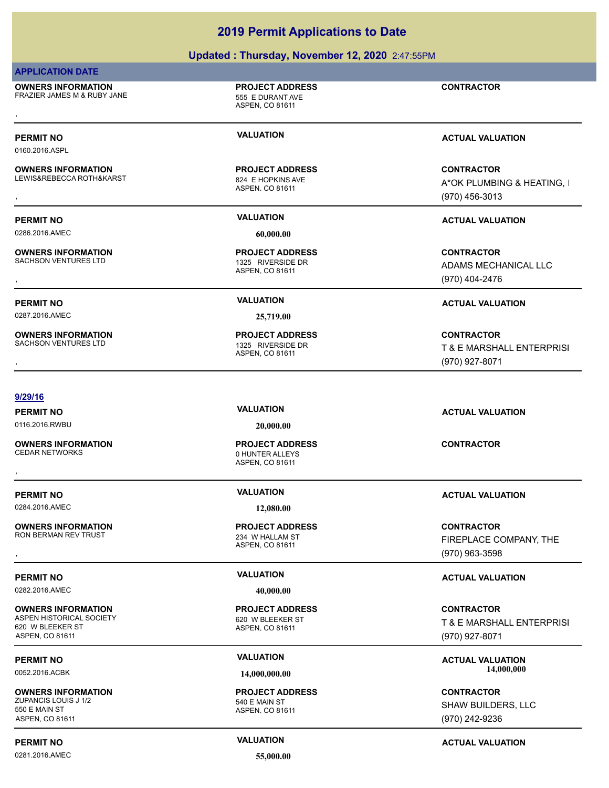## **Updated : Thursday, November 12, 2020** 2:47:55PM

### **APPLICATION DATE**

**OWNERS INFORMATION** FRAZIER JAMES M & RUBY JANE 555 E DURANT AVE **OWNERS INFORMATION CONTRACTOR RESOURT ADDRESS CONTRACTOR**<br>FRAZIER JAMES M & RUBY JANE **FRAZIER JAMES M & RUBY JANE SERVICE AS ASPEN**, CO 81611<br>,

# ASPEN, CO 81611 **PROJECT ADDRESS**

0160.2016.ASPL

# **OWNERS INFORMATION**

LEWIS&REBECCA ROTH&KARST 824 E HOPKINS AVE

0286.2016.AMEC **60,000.00**

**OWNERS INFORMATION**<br>SACHSON VENTURES LTD

0287.2016.AMEC **25,719.00**

**OWNERS INFORMATION** SACHSON VENTURES LTD 1325 RIVERSIDE DR

### **9/29/16**

0116.2016.RWBU **20,000.00**

**OWNERS INFORMATION**<br>CEDAR NETWORKS

0284.2016.AMEC **12,080.00**

**OWNERS INFORMATION** RON BERMAN REV TRUST FOR THE STATE RON BERMAN REV TRUST

### **OWNERS INFORMATION**

620 W BLEEKER ST ASPEN, CO 81611

### **OWNERS INFORMATION**

ZUPANCIS LOUIS J 1/2 540 E MAIN ST 550 E MAIN ST ASPEN, CO 81611

0281.2016.AMEC **55,000.00**

ASPEN, CO 81611 **PROJECT ADDRESS**

ASPEN, CO 81611 1325 RIVERSIDE DR **PROJECT ADDRESS**

ASPEN, CO 81611

**PERMIT NO VALUATION VALUATION VALUATION** 

, **CONTRACTOR** A\*OK PLUMBING & HEATING, I (970) 456-3013

**OWNERS INFORMATION PROJECT ADDRESS CONTRACTOR**<br>SACHSON VENTURES LTD 1325 RIVERSIDE DR ADAMS MECHANICAL LLC<br>, ASPEN. CO 81611 ADAMS MECHANICAL LLC (970) 404-2476

# **PERMIT NO VALUATION ACTUAL VALUATION**

, **CONTRACTOR** T & E MARSHALL ENTERPRISI (970) 927-8071

ASPEN, CO 81611 0 HUNTER ALLEYS **PROJECT ADDRESS** , **CONTRACTOR**

**PROJECT ADDRESS**

ASPEN, CO 81611 ASPEN HISTORICAL SOCIETY 620 W BLEEKER ST **PROJECT ADDRESS**

**PROJECT ADDRESS**

, **CONTRACTOR** FIREPLACE COMPANY, THE

# **PERMIT NO VALUATION ACTUAL VALUATION**

**CONTRACTOR**

SHAW BUILDERS, LLC

# **PERMIT NO CONSUMITY ACTUAL VALUATION VALUATION VALUATION**

**PERMIT NO VALUATION ACTUAL VALUATION**

ASPEN, CO 81611

0282.2016.AMEC **40,000.00**

ASPEN, CO 81611

**PERMIT NO VALUATION ACTUAL VALUATION**

**PROJECT ADDRESS**

(970) 963-3598

T & E MARSHALL ENTERPRISI (970) 927-8071

**PERMIT NO VALUATION ACTUAL VALUATION** 0052.2016.ACBK **14,000,000.00 14,000,000.00**

> **CONTRACTOR** (970) 242-9236

**PERMIT NO VALUATION ACTUAL VALUATION**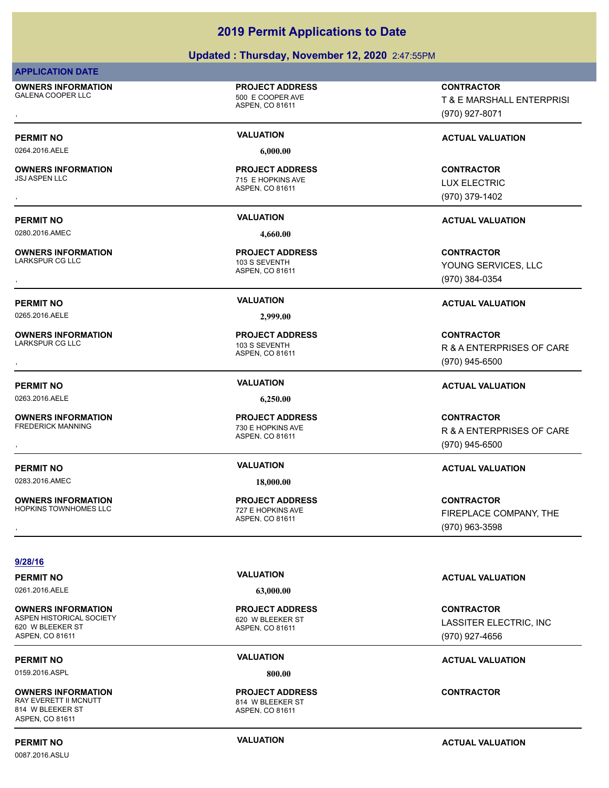# **Updated : Thursday, November 12, 2020** 2:47:55PM

| <b>APPLICATION DATE</b>                               |                                                               |                                                                  |
|-------------------------------------------------------|---------------------------------------------------------------|------------------------------------------------------------------|
| <b>OWNERS INFORMATION</b><br>GALENA COOPER LLC        | <b>PROJECT ADDRESS</b><br>500 E COOPER AVE<br>ASPEN, CO 81611 | <b>CONTRACTOR</b><br>T & E MARSHALL ENTERPRISI<br>(970) 927-8071 |
|                                                       | <b>VALUATION</b>                                              |                                                                  |
| <b>PERMIT NO</b><br>0264.2016.AELE                    | 6,000.00                                                      | <b>ACTUAL VALUATION</b>                                          |
|                                                       |                                                               |                                                                  |
| <b>OWNERS INFORMATION</b><br><b>JSJ ASPEN LLC</b>     | <b>PROJECT ADDRESS</b><br>715 E HOPKINS AVE                   | <b>CONTRACTOR</b>                                                |
|                                                       | ASPEN, CO 81611                                               | <b>LUX ELECTRIC</b>                                              |
|                                                       |                                                               | (970) 379-1402                                                   |
| <b>PERMIT NO</b>                                      | <b>VALUATION</b>                                              | <b>ACTUAL VALUATION</b>                                          |
| 0280.2016.AMEC                                        | 4,660.00                                                      |                                                                  |
| <b>OWNERS INFORMATION</b>                             | <b>PROJECT ADDRESS</b>                                        | <b>CONTRACTOR</b>                                                |
| <b>LARKSPUR CG LLC</b>                                | 103 S SEVENTH                                                 | YOUNG SERVICES, LLC                                              |
|                                                       | ASPEN, CO 81611                                               | (970) 384-0354                                                   |
|                                                       | <b>VALUATION</b>                                              |                                                                  |
| <b>PERMIT NO</b><br>0265.2016.AELE                    | 2,999.00                                                      | <b>ACTUAL VALUATION</b>                                          |
|                                                       |                                                               |                                                                  |
| <b>OWNERS INFORMATION</b><br><b>LARKSPUR CG LLC</b>   | <b>PROJECT ADDRESS</b><br>103 S SEVENTH                       | <b>CONTRACTOR</b>                                                |
|                                                       | ASPEN, CO 81611                                               | R & A ENTERPRISES OF CARE                                        |
|                                                       |                                                               | (970) 945-6500                                                   |
| <b>PERMIT NO</b>                                      | <b>VALUATION</b>                                              | <b>ACTUAL VALUATION</b>                                          |
| 0263.2016.AELE                                        | 6,250.00                                                      |                                                                  |
| <b>OWNERS INFORMATION</b>                             | <b>PROJECT ADDRESS</b>                                        | <b>CONTRACTOR</b>                                                |
| <b>FREDERICK MANNING</b>                              | 730 E HOPKINS AVE                                             | R & A ENTERPRISES OF CARE                                        |
|                                                       | ASPEN, CO 81611                                               | (970) 945-6500                                                   |
| <b>PERMIT NO</b>                                      | <b>VALUATION</b>                                              | <b>ACTUAL VALUATION</b>                                          |
| 0283.2016.AMEC                                        | 18,000.00                                                     |                                                                  |
|                                                       |                                                               |                                                                  |
| <b>OWNERS INFORMATION</b><br>HOPKINS TOWNHOMES LLC    | <b>PROJECT ADDRESS</b><br>727 E HOPKINS AVE                   | <b>CONTRACTOR</b>                                                |
|                                                       | ASPEN, CO 81611                                               | FIREPLACE COMPANY, THE<br>(970) 963-3598                         |
|                                                       |                                                               |                                                                  |
|                                                       |                                                               |                                                                  |
| 9/28/16                                               | <b>VALUATION</b>                                              |                                                                  |
| <b>PERMIT NO</b><br>0261.2016.AELE                    |                                                               | <b>ACTUAL VALUATION</b>                                          |
|                                                       | 63,000.00                                                     |                                                                  |
| <b>OWNERS INFORMATION</b><br>ASPEN HISTORICAL SOCIETY | <b>PROJECT ADDRESS</b><br>620 W BLEEKER ST                    | <b>CONTRACTOR</b>                                                |
| 620 W BLEEKER ST                                      | ASPEN, CO 81611                                               | LASSITER ELECTRIC, INC                                           |
| ASPEN, CO 81611                                       |                                                               | (970) 927-4656                                                   |
| <b>PERMIT NO</b>                                      | <b>VALUATION</b>                                              | <b>ACTUAL VALUATION</b>                                          |
| 0159.2016.ASPL                                        | 800.00                                                        |                                                                  |
| <b>OWNERS INFORMATION</b>                             | <b>PROJECT ADDRESS</b>                                        | <b>CONTRACTOR</b>                                                |
| RAY EVERETT II MCNUTT<br>814 W BLEEKER ST             | 814 W BLEEKER ST<br>ASPEN, CO 81611                           |                                                                  |
|                                                       |                                                               |                                                                  |

814 W BLEEKER ST ASPEN, CO 81611

0087.2016.ASLU

**PERMIT NO CONSUMITY ACTUAL VALUATION VALUATION** *ACTUAL VALUATION*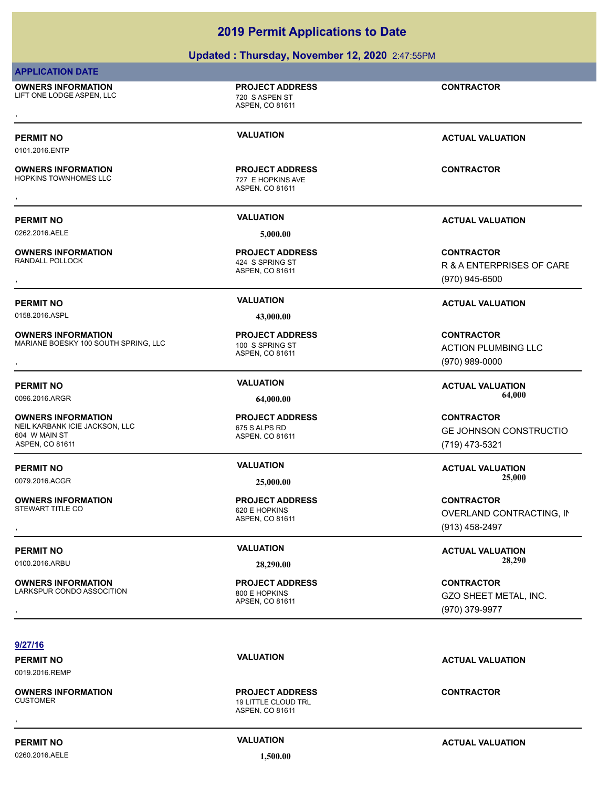# **Updated : Thursday, November 12, 2020** 2:47:55PM

# **APPLICATION DATE**

0101.2016.ENTP

**OWNERS INFORMATION** LIFT ONE LODGE ASPEN, LLC 720 S ASPEN ST **OWNERS INFORMATION CONTRACTOR REPORT OF PROJECT ADDRESS CONTRACTOR CONTRACTOR**<br>LIFT ONE LODGE ASPEN, LLC TO THE TRACTOR TO A ASPEN ST<br>ASPEN. CO 81611

**OWNERS INFORMATION**

**OWNERS INFORMATION**

**OWNERS INFORMATION**

**OWNERS INFORMATION**

**OWNERS INFORMATION**

604 W MAIN ST ASPEN, CO 81611

ASPEN, CO 81611

**PROJECT ADDRESS**

ASPEN, CO 81611 HOPKINS TOWNHOMES LLC **The CONSTANT CONSTANT AND THE HOPKINS AVE PROJECT ADDRESS OWNERS INFORMATION CONTRACTOR REGIST OF PROJECT ADDRESS CONTRACTOR CONTRACTOR**<br>HOPKINS TOWNHOMES LLC TO THE TOP THE HOPKINS AVE<br>ASPEN, CO 81611

0262.2016.AELE **5,000.00**

ASPEN, CO 81611 424 S SPRING ST **PROJECT ADDRESS**

0158.2016.ASPL **43,000.00**

ASPEN, CO 81611 MARIANE BOESKY 100 SOUTH SPRING, LLC 100 S SPRING ST **PROJECT ADDRESS**

ASPEN, CO 81611 NEIL KARBANK ICIE JACKSON, LLC<br>675 S ALPS RD **PROJECT ADDRESS**

ASPEN, CO 81611 620 E HOPKINS **PROJECT ADDRESS**

**PROJECT ADDRESS**

**PERMIT NO VALUATION ACTUAL VALUATION**

R & A ENTERPRISES OF CARE

# **PERMIT NO VALUATION ACTUAL VALUATION**

**OWNERS INFORMATION MARIATION DESCRIPTED BY A SERVICE ADDRESS ARE SOUTRACTOR CONTRACTOR**<br>MARIANE BOESKY 100 SOUTH SPRING, LLC ASPEN, CO 81611 ASPEN, CO 81611 **A SPEN (970) 989-0000**<br>ASPEN, CO 81611 (970) 989-0000 ACTION PLUMBING LLC (970) 989-0000

**PERMIT NO VALUATION ACTUAL VALUATION** 0096.2016.ARGR **64,000.00 64,000.00**

> **CONTRACTOR** GE JOHNSON CONSTRUCTIO (719) 473-5321

0079.2016.ACGR **25,000.00 25,000.00**

, **CONTRACTOR** OVERLAND CONTRACTING, IN (913) 458-2497

**OWNERS INFORMATION GOVERNED BY A SERVICE PROJECT ADDRESS ARE:** CONTRACTOR CONTRACTOR<br>LARKSPUR CONDO ASSOCITION GOVERNED BY APSEN, CO 81611 GOVERNED BY THE SAME ARTAL, INC.<br>APSEN, CO 81611 (970) 379-9977 GZO SHEET METAL, INC. (970) 379-9977

## **9/27/16**

0019.2016.REMP

**OWNERS INFORMATION**

**PERMIT NO CONSUMITY ACTUAL VALUATION VALUATION VALUATION** 

ASPEN, CO 81611 **19 LITTLE CLOUD TRL PROJECT ADDRESS** , **CONTRACTOR**

**PERMIT NO VALUATION VALUATION VALUATION** 

**OWNERS INFORMATION**

LARKSPUR CONDO ASSOCITION 800 E HOPKINS

# **PERMIT NO VALUATION ACTUAL VALUATION**

# 0100.2016.ARBU **28,290.00 28,290.00**

# APSEN, CO 81611

**PERMIT NO VALUATION ACTUAL VALUATION**

**PERMIT NO VALUATION VALUATION VALUATION** 

, **CONTRACTOR** (970) 945-6500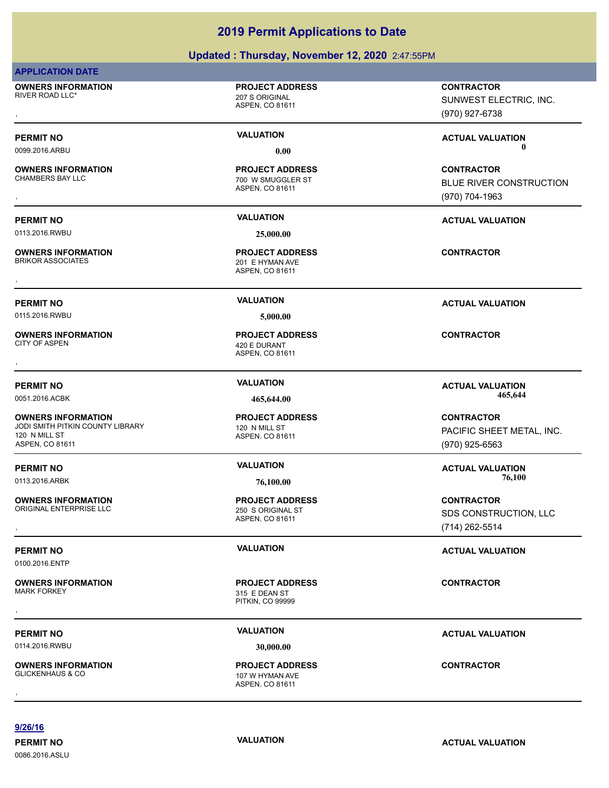# **Updated : Thursday, November 12, 2020** 2:47:55PM

### **APPLICATION DATE**

**OWNERS INFORMATION**

207 S ORIGINAL **PROJECT ADDRESS**

ASPEN, CO 81611

ASPEN, CO 81611

700 W SMUGGLER ST **PROJECT ADDRESS**

**OWNERS INFORMATION**

0113.2016.RWBU **25,000.00**

**OWNERS INFORMATION**

**OWNERS INFORMATION**

**OWNERS INFORMATION**

**OWNERS INFORMATION**

**OWNERS INFORMATION**

120 N MILL ST ASPEN, CO 81611

ASPEN, CO 81611 201 E HYMAN AVE **PROJECT ADDRESS** , **CONTRACTOR**

0115.2016.RWBU **5,000.00**

ASPEN, CO 81611 420 E DURANT **PROJECT ADDRESS** , **CONTRACTOR**

ASPEN, CO 81611 JODI SMITH PITKIN COUNTY LIBRARY 120 N MILL ST **PROJECT ADDRESS**

**PROJECT ADDRESS**

315 E DEAN ST **PROJECT ADDRESS** , **CONTRACTOR**

0114.2016.RWBU **30,000.00**

0100.2016.ENTP

**OWNERS INFORMATION**

, **CONTRACTOR** SUNWEST ELECTRIC, INC.

(970) 927-6738

**PERMIT NO VALUATION ACTUAL VALUATION** 0099.2016.ARBU **0.00 0.00**

, **CONTRACTOR** BLUE RIVER CONSTRUCTION (970) 704-1963

**PERMIT NO VALUATION ACTUAL VALUATION**

**PERMIT NO VALUATION ACTUAL VALUATION**

**PERMIT NO VALUATION ACTUAL VALUATION** 0051.2016.ACBK **465,644.00 465,644.00**

> **CONTRACTOR** PACIFIC SHEET METAL, INC. (970) 925-6563

**PERMIT NO VALUATION ACTUAL VALUATION** 0113.2016.ARBK **76,100.00 76,100.00**

**OWNERS INFORMATION GOVERNED BY A SERVICE PROJECT ADDRESS CONTRACTOR CONTRACTOR**<br>ORIGINAL ENTERPRISE LLC CONTROL CONTROL 250 S ORIGINAL ST SOMESS CONSTRUCTION, LLC<br>ASPEN, CO 81611 (714) 262-5514 SDS CONSTRUCTION, LLC (714) 262-5514

**PERMIT NO VALUATION VALUATION VALUATION** 

**PERMIT NO VALUATION ACTUAL VALUATION**

**9/26/16**

0086.2016.ASLU

**PERMIT NO CONSUMITY ACTUAL VALUATION VALUATION VALUATION** 

# 107 W HYMAN AVE **PROJECT ADDRESS**

ASPEN, CO 81611 250 S ORIGINAL ST

PITKIN, CO 99999

ASPEN, CO 81611 , **CONTRACTOR**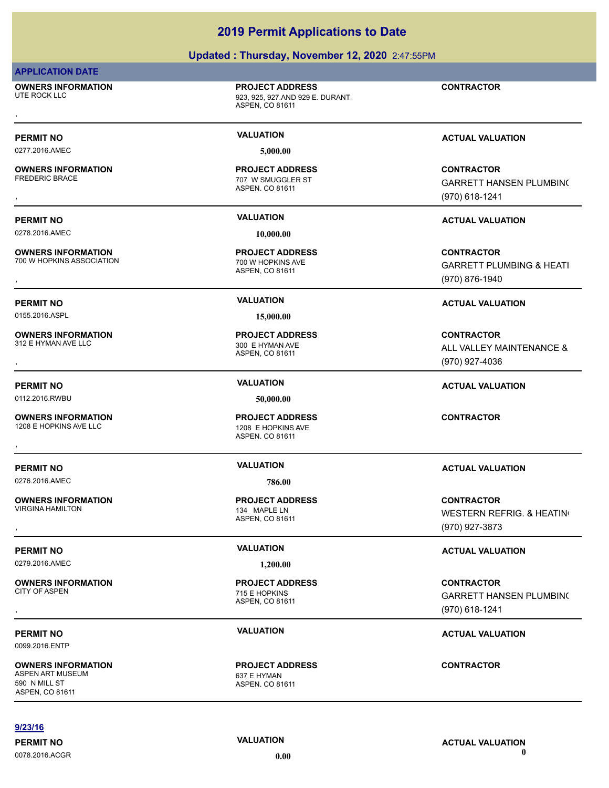1208 E HOPKINS AVE

0276.2016.AMEC **786.00**

**OWNERS INFORMATION**

**OWNERS INFORMATION**

0279.2016.AMEC **1,200.00**

**OWNERS INFORMATION**

0099.2016.ENTP

**OWNERS INFORMATION** ASPEN ART MUSEUM 637 E HYMAN 590 N MILL ST ASPEN, CO 81611

# **2019 Permit Applications to Date**

# **Updated : Thursday, November 12, 2020** 2:47:55PM

ASPEN, CO 81611 UTE ROCK LLC 923, 925, 927.AND 929 E. DURANT AVE **PROJECT ADDRESS** , **CONTRACTOR**

**APPLICATION DATE**

**OWNERS INFORMATION**

0277.2016.AMEC **5,000.00**

**OWNERS INFORMATION**

0278.2016.AMEC **10,000.00**

**OWNERS INFORMATION** 700 W HOPKINS ASSOCIATION 700 W HOPKINS AVE

**OWNERS INFORMATION**

ASPEN, CO 81611 **PROJECT ADDRESS**

ASPEN, CO 81611

707 W SMUGGLER ST **PROJECT ADDRESS**

0155.2016.ASPL **15,000.00**

ASPEN, CO 81611 312 E HYMAN AVE LLC 300 E HYMAN AVE **PROJECT ADDRESS**

0112.2016.RWBU **50,000.00**

ASPEN, CO 81611 **PROJECT ADDRESS OWNERS INFORMATION CONTRACTOR REPORT OF PROJECT ADDRESS CONTRACTOR CONTRACTOR**<br>1208 E HOPKINS AVE LLC CONTRACTOR<br>ASPEN. CO 81611

ASPEN, CO 81611 134 MAPLE LN **PROJECT ADDRESS**

ASPEN, CO 81611 715 E HOPKINS **PROJECT ADDRESS**

ASPEN, CO 81611 **PROJECT ADDRESS**

**PERMIT NO VALUATION VALUATION VALUATION** 

, **CONTRACTOR** GARRETT HANSEN PLUMBING (970) 618-1241

# **PERMIT NO VALUATION ACTUAL VALUATION**

**OWNERS INFORMATION PROJECT ADDRESS CONTRACTOR**<br>700 W HOPKINS ASSOCIATION 700 W HOPKINS AVE GARRETT PLUMBING & HEATI<br>, ASPEN. CO 81611 **GARRETT PLUMBING & HEATI** (970) 876-1940

# **PERMIT NO VALUATION ACTUAL VALUATION**

**OWNERS INFORMATION PROJECT ADDRESS CONTRACTOR**<br>312 E HYMAN AVE LLC 300 E HYMAN AVE ALL VALLEY MAINTENANCE &<br>, ASPEN, CO 81611 ALL VALLEY MAINTENANCE & (970) 927-4036

# **PERMIT NO VALUATION ACTUAL VALUATION**

# **PERMIT NO VALUATION ACTUAL VALUATION**

, **CONTRACTOR** WESTERN REFRIG. & HEATING (970) 927-3873

# **PERMIT NO VALUATION VALUATION VALUATION**

, **CONTRACTOR** GARRETT HANSEN PLUMBING (970) 618-1241

# **PERMIT NO VALUATION ACTUAL VALUATION**

**CONTRACTOR**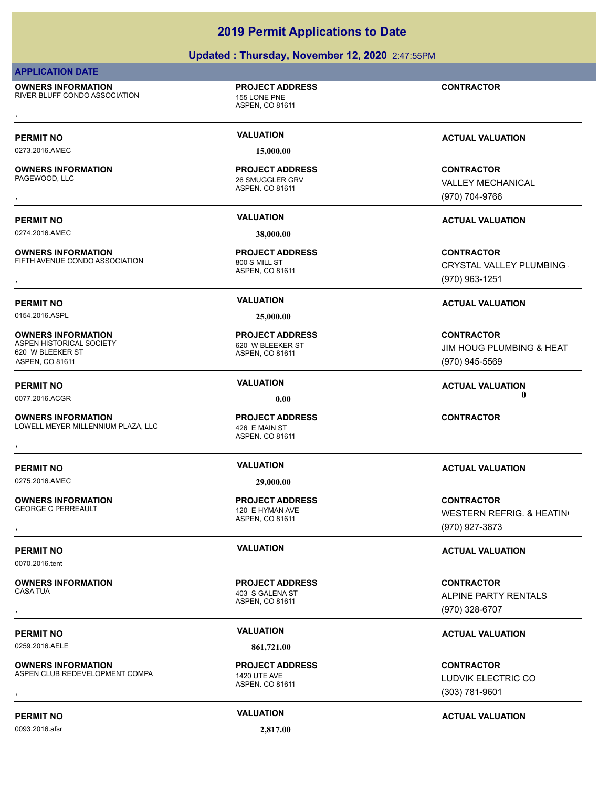# **Updated : Thursday, November 12, 2020** 2:47:55PM

### **APPLICATION DATE**

**OWNERS INFORMATION** RIVER BLUFF CONDO ASSOCIATION 155 LONE PNE **OWNERS INFORMATION CONTRACTOR REGIST OF PROJECT ADDRESS CONTRACTOR CONTRACTOR**<br>RIVER BLUFF CONDO ASSOCIATION THE THE TIME ASPEN. CO 81611<br>,

# **PROJECT ADDRESS**

ASPEN, CO 81611

ASPEN, CO 81611

26 SMUGGLER GRV **PROJECT ADDRESS**

0273.2016.AMEC **15,000.00**

**OWNERS INFORMATION**

**OWNERS INFORMATION**

**OWNERS INFORMATION**

620 W BLEEKER ST ASPEN, CO 81611

**OWNERS INFORMATION** FIFTH AVENUE CONDO ASSOCIATION 800 S MILL ST

ASPEN, CO 81611 **PROJECT ADDRESS**

0154.2016.ASPL **25,000.00**

ASPEN, CO 81611 ASPEN HISTORICAL SOCIETY 620 W BLEEKER ST **PROJECT ADDRESS**

ASPEN, CO 81611 LOWELL MEYER MILLENNIUM PLAZA, LLC 426 E MAIN ST **PROJECT ADDRESS OWNERS INFORMATION LAZA, LLC LET PROJECT ADDRESS ARE CONTRACTOR CONTRACTOR**<br>LOWELL MEYER MILLENNIUM PLAZA, LLC LET A 426 E MAIN ST<br>ASPEN. CO 81611

0275.2016.AMEC **29,000.00**

**OWNERS INFORMATION**

0070.2016.tent

**OWNERS INFORMATION**

0259.2016.AELE **861,721.00**

**OWNERS INFORMATION** ASPEN CLUB REDEVELOPMENT COMPA 1420 UTE AVE

0093.2016.afsr **2,817.00**

ASPEN, CO 81611 120 E HYMAN AVE **PROJECT ADDRESS**

ASPEN, CO 81611 403 S GALENA ST **PROJECT ADDRESS**

ASPEN, CO 81611 **PROJECT ADDRESS**

**PERMIT NO VALUATION VALUATION VALUATION** 

, **CONTRACTOR** VALLEY MECHANICAL (970) 704-9766

# **PERMIT NO VALUATION ACTUAL VALUATION**

, **CONTRACTOR** CRYSTAL VALLEY PLUMBING (970) 963-1251

# **PERMIT NO VALUATION ACTUAL VALUATION**

**CONTRACTOR** JIM HOUG PLUMBING & HEAT (970) 945-5569

**PERMIT NO VALUATION ACTUAL VALUATION** 0077.2016.ACGR **0.00 0.00**

# **PERMIT NO VALUATION ACTUAL VALUATION**

**OWNERS INFORMATION PROJECT ADDRESS CONTRACTOR**<br>GEORGE C PERREAULT 120 E HYMAN AVE WESTERN REFRIG. & HEATIN'<br>, ASPEN, CO 81611 WESTERN REFRIG. & HEATING (970) 927-3873

# **PERMIT NO VALUATION VALUATION VALUATION**

, **CONTRACTOR** ALPINE PARTY RENTALS (970) 328-6707

# **PERMIT NO VALUATION ACTUAL VALUATION**

**OWNERS INFORMATION METALLY CONTRACTOR REGULAR PROJECT ADDRESS ARE:**<br>ASPEN CLUB REDEVELOPMENT COMPA 1420 UTE AVE ASPEN, CO 81611 **120 UTE AVE 1420 UTE AVE 1420 UTE AVE 1420 UTE AVE**<br>, the metal of the set of the set of the LUDVIK ELECTRIC CO (303) 781-9601

# **PERMIT NO VALUATION ACTUAL VALUATION**

0274.2016.AMEC **38,000.00**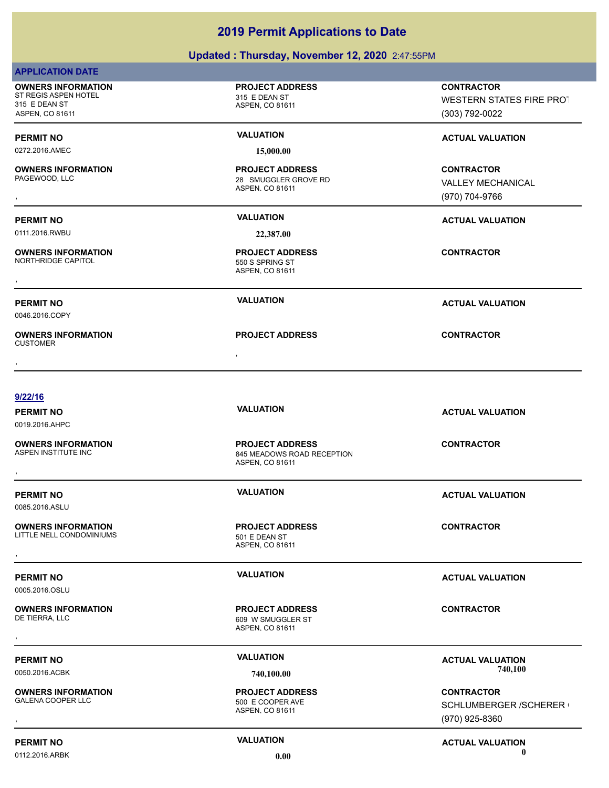# **Updated : Thursday, November 12, 2020** 2:47:55PM

| <b>APPLICATION DATE</b>                                                               |                                                                         |                                                                        |
|---------------------------------------------------------------------------------------|-------------------------------------------------------------------------|------------------------------------------------------------------------|
| <b>OWNERS INFORMATION</b><br>ST REGIS ASPEN HOTEL<br>315 E DEAN ST<br>ASPEN, CO 81611 | <b>PROJECT ADDRESS</b><br>315 E DEAN ST<br>ASPEN, CO 81611              | <b>CONTRACTOR</b><br><b>WESTERN STATES FIRE PROT</b><br>(303) 792-0022 |
| <b>PERMIT NO</b><br>0272.2016.AMEC                                                    | <b>VALUATION</b><br>15,000.00                                           | <b>ACTUAL VALUATION</b>                                                |
| <b>OWNERS INFORMATION</b><br>PAGEWOOD, LLC                                            | <b>PROJECT ADDRESS</b><br>28 SMUGGLER GROVE RD<br>ASPEN, CO 81611       | <b>CONTRACTOR</b><br><b>VALLEY MECHANICAL</b><br>(970) 704-9766        |
| <b>PERMIT NO</b><br>0111.2016.RWBU                                                    | <b>VALUATION</b><br>22,387.00                                           | <b>ACTUAL VALUATION</b>                                                |
| <b>OWNERS INFORMATION</b><br>NORTHRIDGE CAPITOL                                       | <b>PROJECT ADDRESS</b><br>550 S SPRING ST<br>ASPEN, CO 81611            | <b>CONTRACTOR</b>                                                      |
| <b>PERMIT NO</b><br>0046.2016.COPY                                                    | <b>VALUATION</b>                                                        | <b>ACTUAL VALUATION</b>                                                |
| <b>OWNERS INFORMATION</b><br><b>CUSTOMER</b>                                          | <b>PROJECT ADDRESS</b><br>$\cdot$                                       | <b>CONTRACTOR</b>                                                      |
|                                                                                       |                                                                         |                                                                        |
| 9/22/16<br><b>PERMIT NO</b><br>0019.2016.AHPC                                         | <b>VALUATION</b>                                                        | <b>ACTUAL VALUATION</b>                                                |
| <b>OWNERS INFORMATION</b><br>ASPEN INSTITUTE INC                                      | <b>PROJECT ADDRESS</b><br>845 MEADOWS ROAD RECEPTION<br>ASPEN, CO 81611 | <b>CONTRACTOR</b>                                                      |
| <b>PERMIT NO</b><br>0085.2016.ASLU                                                    | <b>VALUATION</b>                                                        | <b>ACTUAL VALUATION</b>                                                |
| <b>OWNERS INFORMATION</b><br>LITTLE NELL CONDOMINIUMS                                 | <b>PROJECT ADDRESS</b><br>501 E DEAN ST<br>ASPEN, CO 81611              | <b>CONTRACTOR</b>                                                      |
| <b>PERMIT NO</b><br>0005.2016.OSLU                                                    | <b>VALUATION</b>                                                        | <b>ACTUAL VALUATION</b>                                                |
| <b>OWNERS INFORMATION</b><br>DE TIERRA, LLC                                           | <b>PROJECT ADDRESS</b><br>609 W SMUGGLER ST<br>ASPEN, CO 81611          | <b>CONTRACTOR</b>                                                      |
| <b>PERMIT NO</b><br>0050.2016.ACBK                                                    | <b>VALUATION</b><br>740,100.00                                          | <b>ACTUAL VALUATION</b><br>740,100                                     |
| <b>OWNERS INFORMATION</b><br><b>GALENA COOPER LLC</b>                                 | <b>PROJECT ADDRESS</b><br>500 E COOPER AVE<br>ASPEN, CO 81611           | <b>CONTRACTOR</b><br>SCHLUMBERGER / SCHERER (<br>(970) 925-8360        |
| <b>PERMIT NO</b><br>0112.2016.ARBK                                                    | <b>VALUATION</b><br>0.00                                                | <b>ACTUAL VALUATION</b><br>0                                           |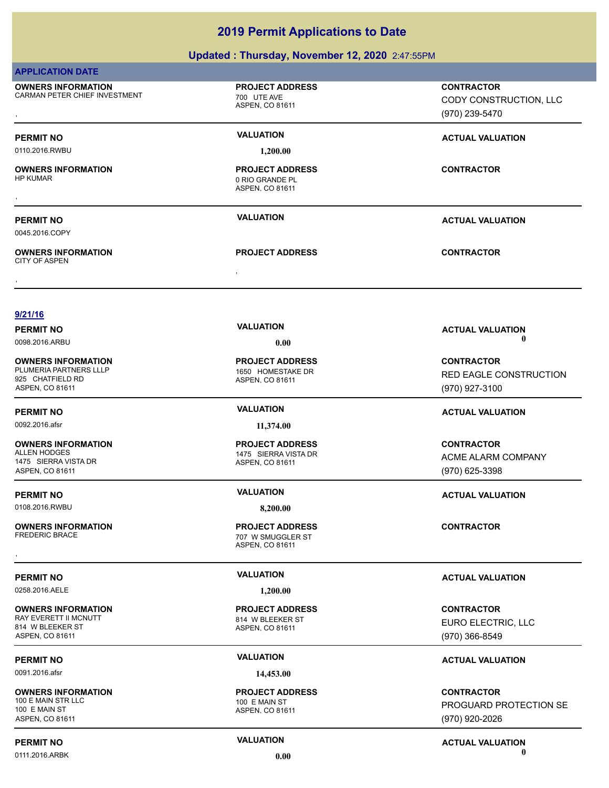# **Updated : Thursday, November 12, 2020** 2:47:55PM

| <b>APPLICATION DATE</b>                                                                     |                                                                   |                                                               |
|---------------------------------------------------------------------------------------------|-------------------------------------------------------------------|---------------------------------------------------------------|
| <b>OWNERS INFORMATION</b><br>CARMAN PETER CHIEF INVESTMENT                                  | <b>PROJECT ADDRESS</b><br>700 UTE AVE<br>ASPEN, CO 81611          | <b>CONTRACTOR</b><br>CODY CONSTRUCTION, LLC<br>(970) 239-5470 |
| <b>PERMIT NO</b>                                                                            | <b>VALUATION</b>                                                  | <b>ACTUAL VALUATION</b>                                       |
| 0110.2016.RWBU                                                                              | 1,200.00                                                          |                                                               |
| <b>OWNERS INFORMATION</b><br><b>HP KUMAR</b>                                                | <b>PROJECT ADDRESS</b><br>0 RIO GRANDE PL<br>ASPEN, CO 81611      | <b>CONTRACTOR</b>                                             |
| <b>PERMIT NO</b><br>0045.2016.COPY                                                          | <b>VALUATION</b>                                                  | <b>ACTUAL VALUATION</b>                                       |
| <b>OWNERS INFORMATION</b><br><b>CITY OF ASPEN</b>                                           | <b>PROJECT ADDRESS</b>                                            | <b>CONTRACTOR</b>                                             |
|                                                                                             |                                                                   |                                                               |
| 9/21/16                                                                                     |                                                                   |                                                               |
| <b>PERMIT NO</b>                                                                            | <b>VALUATION</b>                                                  | <b>ACTUAL VALUATION</b>                                       |
| 0098.2016.ARBU                                                                              | 0.00                                                              | 0                                                             |
| <b>OWNERS INFORMATION</b><br>PLUMERIA PARTNERS LLLP<br>925 CHATFIELD RD<br>ASPEN, CO 81611  | <b>PROJECT ADDRESS</b><br>1650 HOMESTAKE DR<br>ASPEN, CO 81611    | <b>CONTRACTOR</b><br>RED EAGLE CONSTRUCTION<br>(970) 927-3100 |
| <b>PERMIT NO</b>                                                                            | <b>VALUATION</b>                                                  | <b>ACTUAL VALUATION</b>                                       |
| 0092.2016.afsr                                                                              | 11,374.00                                                         |                                                               |
| <b>OWNERS INFORMATION</b><br><b>ALLEN HODGES</b><br>1475 SIERRA VISTA DR<br>ASPEN, CO 81611 | <b>PROJECT ADDRESS</b><br>1475 SIERRA VISTA DR<br>ASPEN, CO 81611 | <b>CONTRACTOR</b><br>ACME ALARM COMPANY<br>(970) 625-3398     |
| <b>PERMIT NO</b>                                                                            | <b>VALUATION</b>                                                  | <b>ACTUAL VALUATION</b>                                       |
| 0108.2016.RWBU                                                                              | 8,200.00                                                          |                                                               |
| <b>OWNERS INFORMATION</b><br>FREDERIC BRACE                                                 | <b>PROJECT ADDRESS</b><br>707 W SMUGGLER ST<br>ASPEN, CO 81611    | <b>CONTRACTOR</b>                                             |
| <b>PERMIT NO</b>                                                                            | <b>VALUATION</b>                                                  |                                                               |
| 0258.2016.AELE                                                                              | 1,200.00                                                          | <b>ACTUAL VALUATION</b>                                       |
| <b>OWNERS INFORMATION</b><br>RAY EVERETT II MCNUTT<br>814 W BLEEKER ST<br>ASPEN, CO 81611   | <b>PROJECT ADDRESS</b><br>814 W BLEEKER ST<br>ASPEN, CO 81611     | <b>CONTRACTOR</b><br>EURO ELECTRIC, LLC<br>(970) 366-8549     |
| <b>PERMIT NO</b>                                                                            | <b>VALUATION</b>                                                  | <b>ACTUAL VALUATION</b>                                       |
| 0091.2016.afsr                                                                              | 14,453.00                                                         |                                                               |
| <b>OWNERS INFORMATION</b><br>100 E MAIN STR LLC<br>100 E MAIN ST<br>ASPEN, CO 81611         | <b>PROJECT ADDRESS</b><br>100 E MAIN ST<br>ASPEN, CO 81611        | <b>CONTRACTOR</b><br>PROGUARD PROTECTION SE<br>(970) 920-2026 |
| <b>PERMIT NO</b>                                                                            | <b>VALUATION</b>                                                  | <b>ACTUAL VALUATION</b>                                       |

0111.2016.ARBK **0.00 0.00**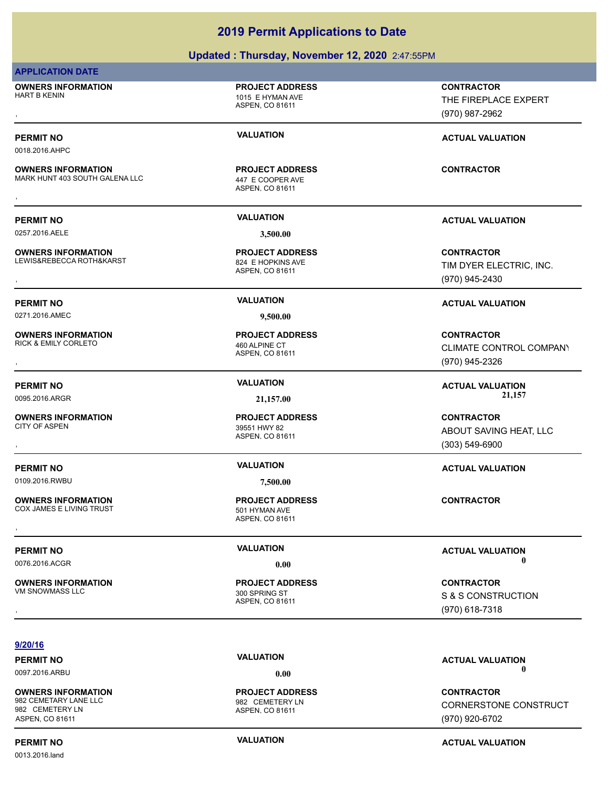# **Updated : Thursday, November 12, 2020** 2:47:55PM

### **APPLICATION DATE**

**OWNERS INFORMATION**

ASPEN, CO 81611 HART B KENIN 1015 E HYMAN AVE **PROJECT ADDRESS**

0018.2016.AHPC

**OWNERS INFORMATION** MARK HUNT 403 SOUTH GALENA LLC 447 F COOPER AVE **OWNERS INFORMATION MARK HUNTERS PROJECT ADDRESS ARE:**<br>MARK HUNT 403 SOUTH GALENA LLC ASPEN, CO 81611 ASPEN, CO 81611<br>,

**PERMIT NO VALUATION ACTUAL VALUATION**

0257.2016.AELE **3,500.00**

**OWNERS INFORMATION** LEWIS&REBECCA ROTH&KARST 824 E HOPKINS AVE

**OWNERS INFORMATION**

**OWNERS INFORMATION**

**OWNERS INFORMATION**

**OWNERS INFORMATION**

ASPEN, CO 81611

**PROJECT ADDRESS**

ASPEN, CO 81611 **PROJECT ADDRESS**

0271.2016.AMEC **9,500.00**

ASPEN, CO 81611 RICK & EMILY CORLETO **160 ALPINE CT PROJECT ADDRESS**

ASPEN, CO 81611 39551 HWY 82 **PROJECT ADDRESS**

0109.2016.RWBU **7,500.00**

ASPEN, CO 81611 COX JAMES E LIVING TRUST THE SERIES OF STREET STREET SO THYMAN AVE **PROJECT ADDRESS OWNERS INFORMATION GOVERNED BY A SERVICE PROJECT ADDRESS ARE:**<br>COX JAMES E LIVING TRUST **COX ASPENT ASPENT ASPEN, CO 81611**<br>,

ASPEN, CO 81611 VM SNOWMASS LLC 300 SPRING ST **PROJECT ADDRESS**

, **CONTRACTOR** THE FIREPLACE EXPERT (970) 987-2962

**PERMIT NO VALUATION ACTUAL VALUATION**

, **CONTRACTOR** TIM DYER ELECTRIC, INC. (970) 945-2430

# **PERMIT NO VALUATION ACTUAL VALUATION**

, **CONTRACTOR** CLIMATE CONTROL COMPANY (970) 945-2326

**PERMIT NO VALUATION ACTUAL VALUATION** 0095.2016.ARGR **21,157.00 21,157.00**

, **CONTRACTOR** ABOUT SAVING HEAT, LLC (303) 549-6900

# **PERMIT NO VALUATION ACTUAL VALUATION**

**PERMIT NO VALUATION VALUATION VALUATION** 0076.2016.ACGR **0.00 0.00**

, **CONTRACTOR** S & S CONSTRUCTION (970) 618-7318

**9/20/16**

0097.2016.ARBU **0.00 0.00**

**OWNERS INFORMATION** 982 CEMETARY LANE LLC<br>982 CEMETERY LN 982 CEMETERY LN ASPEN, CO 81611

0013.2016.land

# **PROJECT ADDRESS**

ASPEN, CO 81611

**PERMIT NO VALUATION VALUATION VALUATION** 

**CONTRACTOR** CORNERSTONE CONSTRUCT (970) 920-6702

# **PERMIT NO CONSUMITY ACTUAL VALUATION VALUATION VALUATION**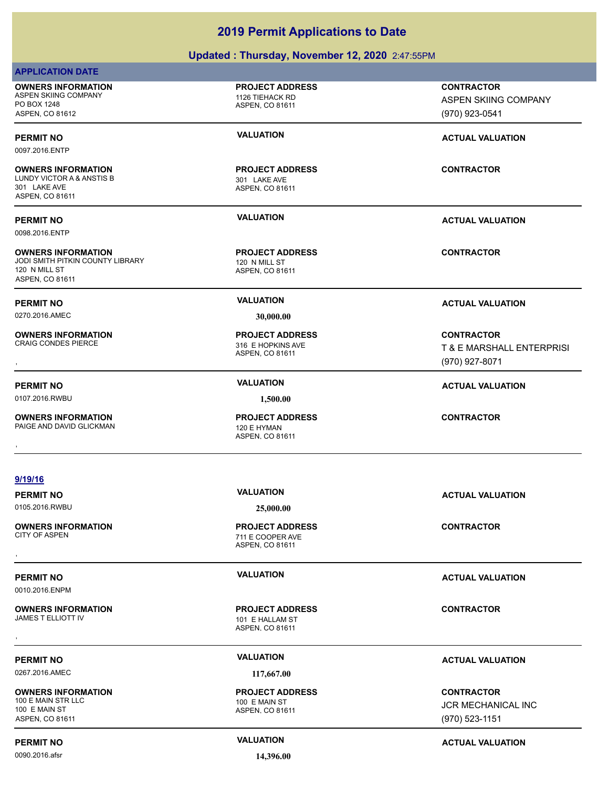# **Updated : Thursday, November 12, 2020** 2:47:55PM

| <b>APPLICATION DATE</b>                                                                           |                                                                |                                                                  |
|---------------------------------------------------------------------------------------------------|----------------------------------------------------------------|------------------------------------------------------------------|
| <b>OWNERS INFORMATION</b><br>ASPEN SKIING COMPANY<br>PO BOX 1248<br>ASPEN, CO 81612               | <b>PROJECT ADDRESS</b><br>1126 TIEHACK RD<br>ASPEN, CO 81611   | <b>CONTRACTOR</b><br>ASPEN SKIING COMPANY<br>(970) 923-0541      |
| <b>PERMIT NO</b><br>0097.2016.ENTP                                                                | <b>VALUATION</b>                                               | <b>ACTUAL VALUATION</b>                                          |
| <b>OWNERS INFORMATION</b><br>LUNDY VICTOR A & ANSTIS B<br>301 LAKE AVE<br>ASPEN, CO 81611         | <b>PROJECT ADDRESS</b><br>301 LAKE AVE<br>ASPEN, CO 81611      | <b>CONTRACTOR</b>                                                |
| <b>PERMIT NO</b><br>0098.2016.ENTP                                                                | <b>VALUATION</b>                                               | <b>ACTUAL VALUATION</b>                                          |
| <b>OWNERS INFORMATION</b><br>JODI SMITH PITKIN COUNTY LIBRARY<br>120 N MILL ST<br>ASPEN, CO 81611 | <b>PROJECT ADDRESS</b><br>120 N MILL ST<br>ASPEN, CO 81611     | <b>CONTRACTOR</b>                                                |
| <b>PERMIT NO</b><br>0270.2016.AMEC                                                                | <b>VALUATION</b><br>30,000.00                                  | <b>ACTUAL VALUATION</b>                                          |
| <b>OWNERS INFORMATION</b><br><b>CRAIG CONDES PIERCE</b>                                           | <b>PROJECT ADDRESS</b><br>316 E HOPKINS AVE<br>ASPEN, CO 81611 | <b>CONTRACTOR</b><br>T & E MARSHALL ENTERPRISI<br>(970) 927-8071 |
| <b>PERMIT NO</b><br>0107.2016.RWBU                                                                | <b>VALUATION</b><br>1,500.00                                   | <b>ACTUAL VALUATION</b>                                          |
| <b>OWNERS INFORMATION</b><br>PAIGE AND DAVID GLICKMAN                                             | <b>PROJECT ADDRESS</b><br>120 E HYMAN<br>ASPEN, CO 81611       | <b>CONTRACTOR</b>                                                |
| 9/19/16                                                                                           |                                                                |                                                                  |
| <b>PERMIT NO</b><br>0105.2016.RWBU                                                                | <b>VALUATION</b><br>25,000.00                                  | <b>ACTUAL VALUATION</b>                                          |
| <b>OWNERS INFORMATION</b><br><b>CITY OF ASPEN</b>                                                 | <b>PROJECT ADDRESS</b><br>711 E COOPER AVE<br>ASPEN, CO 81611  | <b>CONTRACTOR</b>                                                |
| <b>PERMIT NO</b><br>0010.2016.ENPM                                                                | <b>VALUATION</b>                                               | <b>ACTUAL VALUATION</b>                                          |
| <b>OWNERS INFORMATION</b><br>JAMES T ELLIOTT IV                                                   | <b>PROJECT ADDRESS</b><br>101 E HALLAM ST<br>ASPEN, CO 81611   | <b>CONTRACTOR</b>                                                |
| <b>PERMIT NO</b><br>0267.2016.AMEC                                                                | <b>VALUATION</b><br>117,667.00                                 | <b>ACTUAL VALUATION</b>                                          |
| <b>OWNERS INFORMATION</b><br>100 E MAIN STR LLC<br>100 E MAIN ST<br>ASPEN, CO 81611               | <b>PROJECT ADDRESS</b><br>100 E MAIN ST<br>ASPEN, CO 81611     | <b>CONTRACTOR</b><br>JCR MECHANICAL INC<br>(970) 523-1151        |

0090.2016.afsr **14,396.00**

**PERMIT NO CONSUMITY ACTUAL VALUATION VALUATION** *ACTUAL VALUATION*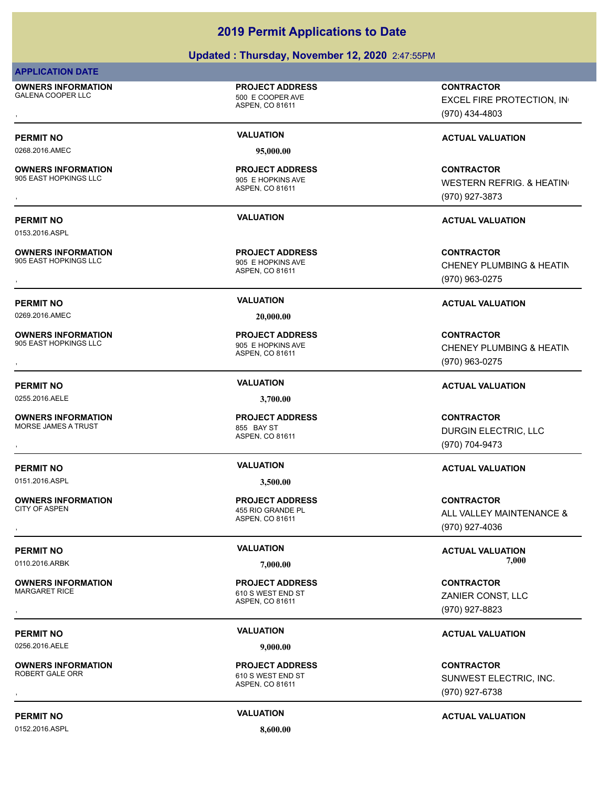# **Updated : Thursday, November 12, 2020** 2:47:55PM

### **APPLICATION DATE**

**OWNERS INFORMATION** GALENA COOPER LLC 600 F COOPER AVE

**OWNERS INFORMATION**

**OWNERS INFORMATION**

**OWNERS INFORMATION**

**OWNERS INFORMATION**

**OWNERS INFORMATION**

**OWNERS INFORMATION**

0153.2016.ASPL

# ASPEN, CO 81611

0268.2016.AMEC **95,000.00**

**PROJECT ADDRESS**

### ASPEN, CO 81611 905 EAST HOPKINGS LLC<br>905 E HOPKINS AVE **PROJECT ADDRESS**

ASPEN, CO 81611 905 E HOPKINS AVE **PROJECT ADDRESS**

0269.2016.AMEC **20,000.00**

ASPEN, CO 81611 905 EAST HOPKINGS LLC<br>
905 E HOPKINS AVE **PROJECT ADDRESS**

0255.2016.AELE **3,700.00**

ASPEN, CO 81611 MORSE JAMES A TRUST **855 BAY ST PROJECT ADDRESS**

0256.2016.AELE **9,000.00**

**OWNERS INFORMATION**

0152.2016.ASPL **8,600.00** 

EXCEL FIRE PROTECTION, IN

, **CONTRACTOR** (970) 434-4803

# **PERMIT NO VALUATION VALUATION VALUATION**

**OWNERS INFORMATION PROJECT ADDRESS CONTRACTOR**<br>905 EAST HOPKINGS LLC 905 E HOPKINS AVE WESTERN REFRIG. & HEATINI<br>, ASPEN, CO 81611 WESTERN REFRIG. & HEATING (970) 927-3873

# **PERMIT NO VALUATION ACTUAL VALUATION**

**OWNERS INFORMATION PROJECT ADDRESS CONTRACTOR**<br>905 EAST HOPKINGS LLC 905 E HOPKINS AVE CHENEY PLUMBING & HEATIN<br>, ASPEN. CO 81611 CHENEY PLUMBING & HEATIN (970) 963-0275

# **PERMIT NO VALUATION ACTUAL VALUATION**

, **CONTRACTOR** CHENEY PLUMBING & HEATIN (970) 963-0275

# **PERMIT NO VALUATION ACTUAL VALUATION**

, **CONTRACTOR** DURGIN ELECTRIC, LLC (970) 704-9473

, **CONTRACTOR** ALL VALLEY MAINTENANCE & (970) 927-4036

**PERMIT NO VALUATION VALUATION VALUATION** 0110.2016.ARBK **7,000.00 7,000.00**

, **CONTRACTOR** ZANIER CONST, LLC (970) 927-8823

# **PERMIT NO VALUATION ACTUAL VALUATION**

**OWNERS INFORMATION FROJECT ADDRESS CONTRACTOR CONTRACTOR**<br>ROBERT GALE ORR FROM THE GALE ORREST END STUDIES ON THE SUNDEN SUNDEN SUNDEN SUNDEST ELECTRIC, INC.<br>ROBERT GALE ORREST AND THE SEPEN, CO 81611 SUNWEST ELECTRIC, INC. (970) 927-6738

# **PERMIT NO VALUATION ACTUAL VALUATION**

**PERMIT NO VALUATION ACTUAL VALUATION** 0151.2016.ASPL **3,500.00**

> ASPEN, CO 81611 455 RIO GRANDE PL **PROJECT ADDRESS**

ASPEN, CO 81611 610 S WEST END ST **PROJECT ADDRESS**

ASPEN, CO 81611 610 S WEST END ST **PROJECT ADDRESS**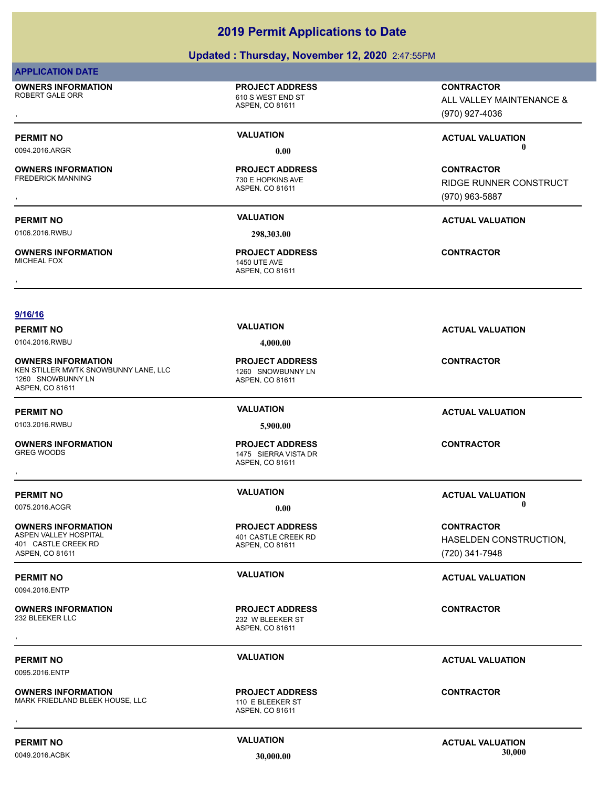# **Updated : Thursday, November 12, 2020** 2:47:55PM

### **APPLICATION DATE**

**OWNERS INFORMATION** ROBERT GALE ORR 610 S WEST END ST

# **PROJECT ADDRESS**

ASPEN, CO 81611

**OWNERS INFORMATION**

0106.2016.RWBU **298,303.00**

**OWNERS INFORMATION**

### ASPEN, CO 81611 FREDERICK MANNING 730 E HOPKINS AVE **PROJECT ADDRESS**

ASPEN, CO 81611 1450 UTE AVE **PROJECT ADDRESS** , **CONTRACTOR**

**OWNERS INFORMATION FROJECT ADDRESS CONTRACTOR**<br>ROBERT GALE ORR FROM THE GALE ORREST END STUDIES ON THE CONTROLL ON ALL VALLEY MAINTENANCE &<br>ASPEN. CO 81611 (970) 927-4036 ALL VALLEY MAINTENANCE & (970) 927-4036

**PERMIT NO VALUATION ACTUAL VALUATION** 0094.2016.ARGR **0.00 0.00**

, **CONTRACTOR** RIDGE RUNNER CONSTRUCT (970) 963-5887

# **PERMIT NO VALUATION ACTUAL VALUATION**

**9/16/16**

0104.2016.RWBU **4,000.00**

**OWNERS INFORMATION** KEN STILLER MWTK SNOWBUNNY LANE, LLC 1260 SNOWBUNNY LN 1260 SNOWBUNNY LN ASPEN, CO 81611

0103.2016.RWBU **5,900.00**

**OWNERS INFORMATION**

**OWNERS INFORMATION** 401 CASTLE CREEK RD ASPEN, CO 81611

0094.2016.ENTP

**OWNERS INFORMATION**

0095.2016.ENTP

**OWNERS INFORMATION** MARK FRIEDLAND BLEEK HOUSE, LLC<br>110 E BLEEKER ST **OWNERS INFORMATION USE, LLC EXECUTE PROJECT ADDRESS ARE:** CONTRACTOR CONTRACTOR<br>MARK FRIEDLAND BLEEK HOUSE, LLC THE RESER FOR ASPEN. CO 81611<br>,

ASPEN, CO 81611 **PROJECT ADDRESS**

ASPEN, CO 81611 1475 SIERRA VISTA DR **PROJECT ADDRESS** , **CONTRACTOR**

ASPEN, CO 81611 **401 CASTLE CREEK RD PROJECT ADDRESS**

ASPEN, CO 81611 232 W BLEEKER ST **PROJECT ADDRESS** , **CONTRACTOR**

ASPEN, CO 81611 **PROJECT ADDRESS**

**PERMIT NO VALUATION VALUATION VALUATION** 

**CONTRACTOR**

**PERMIT NO VALUATION ACTUAL VALUATION**

**PERMIT NO VALUATION ACTUAL VALUATION** 0075.2016.ACGR **0.00 0.00**

> **CONTRACTOR** HASELDEN CONSTRUCTION, (720) 341-7948

# **PERMIT NO VALUATION ACTUAL VALUATION**

# **PERMIT NO VALUATION ACTUAL VALUATION**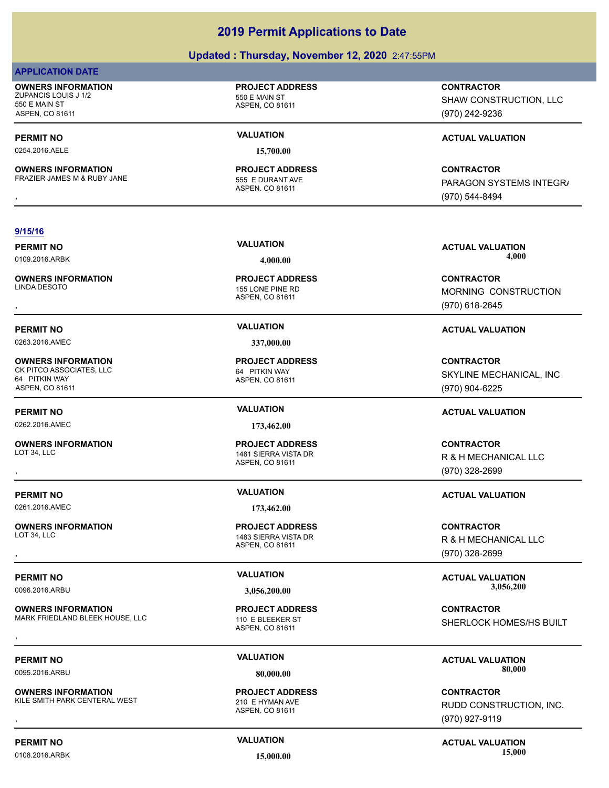# **Updated : Thursday, November 12, 2020** 2:47:55PM

## **APPLICATION DATE**

**OWNERS INFORMATION** ZUPANCIS LOUIS J 1/2 550 E MAIN ST 550 E MAIN ST ASPEN, CO 81611

0254.2016.AELE **15,700.00**

**OWNERS INFORMATION** FRAZIER JAMES M & RUBY JANE 555 E DURANT AVE

ASPEN, CO 81611

**PROJECT ADDRESS**

# ASPEN, CO 81611 **PROJECT ADDRESS**

**CONTRACTOR**

SHAW CONSTRUCTION, LLC (970) 242-9236

# **PERMIT NO VALUATION VALUATION VALUATION**

, **CONTRACTOR** PARAGON SYSTEMS INTEGR/ (970) 544-8494

### **9/15/16**

**OWNERS INFORMATION**

0263.2016.AMEC **337,000.00**

**OWNERS INFORMATION** CK PITCO ASSOCIATES, LLC 64 PITKIN WAY 64 PITKIN WAY ASPEN, CO 81611

0262.2016.AMEC **173,462.00**

**OWNERS INFORMATION**

0261.2016.AMEC **173,462.00**

**OWNERS INFORMATION**

**OWNERS INFORMATION** MARK FRIEDLAND BLEEK HOUSE, LLC 110 E BLEEKER ST

**OWNERS INFORMATION** KILE SMITH PARK CENTERAL WEST 210 E HYMAN AVE

**PROJECT ADDRESS**

ASPEN, CO 81611

ASPEN, CO 81611 **PROJECT ADDRESS**

### ASPEN, CO 81611 1481 SIERRA VISTA DR **PROJECT ADDRESS**

ASPEN, CO 81611 1483 SIERRA VISTA DR **PROJECT ADDRESS**

ASPEN, CO 81611 **PROJECT ADDRESS**

ASPEN, CO 81611 **PROJECT ADDRESS**

**PERMIT NO VALUATION ACTUAL VALUATION** 0109.2016.ARBK **4,000.00 4,000.00**

, **CONTRACTOR** MORNING CONSTRUCTION (970) 618-2645

**CONTRACTOR** SKYLINE MECHANICAL, INC (970) 904-6225

# **PERMIT NO VALUATION ACTUAL VALUATION**

, **CONTRACTOR** R & H MECHANICAL LLC (970) 328-2699

# **PERMIT NO VALUATION ACTUAL VALUATION**

, **CONTRACTOR** R & H MECHANICAL LLC (970) 328-2699

**PERMIT NO VALUATION ACTUAL VALUATION** 0096.2016.ARBU **3,056,200.00 3,056,200.00**

**OWNERS INFORMATION MARK FRIGHT SOLUT AND READ SECUTE ADDRESS ARE SERVICE ON TRACTOR CONTRACTOR**<br>MARK FRIEDLAND BLEEK HOUSE, LLC ASPEN, CO 81611 ASPEN, CO 81611 ASPEN ASPEN, CO 81611 ASPEN ASPEN ASPEN ASPEN ASPEN ASPEN ASP SHERLOCK HOMES/HS BUILT

**PERMIT NO VALUATION ACTUAL VALUATION** 0095.2016.ARBU **80,000.00 80,000.00**

**OWNERS INFORMATION MEST REPOLUS TO A PROJECT ADDRESS ARE:** THE SOUTRACTOR CONTRACTOR<br>KILE SMITH PARK CENTERAL WEST A SPEN ASPEN, CO 81611 MEST POLITY ASPEN, CO 81611 MELLE SOUTH ARK CENTERAL WEST<br>ASPEN, CO 81611 MEST ASPO RUDD CONSTRUCTION, INC. (970) 927-9119

**PERMIT NO CONSUMITY ACTUAL VALUATION VALUATION VALUATION** 0108.2016.ARBK **15,000.00 15,000.00**

LINDA DESOTO 155 LONE PINE RD **PERMIT NO VALUATION ACTUAL VALUATION**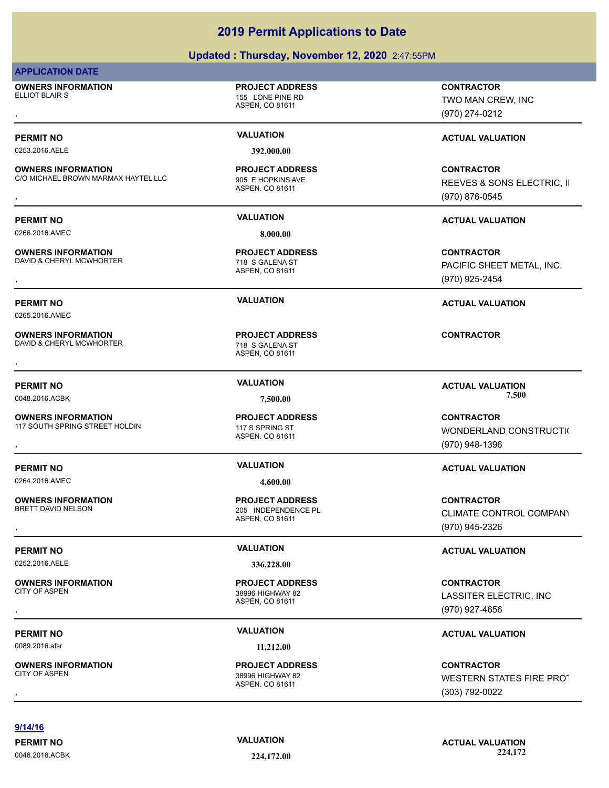# **Updated : Thursday, November 12, 2020** 2:47:55PM

### **APPLICATION DATE**

**OWNERS INFORMATION** ELLIOT BLAIR S<br>
155 LONE PINE RD

**PROJECT ADDRESS**

ASPEN, CO 81611

0253.2016.AELE **392,000.00**

**OWNERS INFORMATION** C/O MICHAEL BROWN MARMAX HAYTEL LLC 905 E HOPKINS AVE

**PERMIT NO VALUATION ACTUAL VALUATION**

0266.2016.AMEC **8,000.00**

**OWNERS INFORMATION** DAVID & CHERYL MCWHORTER 718 S GALENA ST

0265.2016.AMEC

**OWNERS INFORMATION** DAVID & CHERYL MCWHORTER 718 S GALENA ST

**OWNERS INFORMATION** 117 SOUTH SPRING STREET HOLDIN 117 S SPRING ST

0264.2016.AMEC **4,600.00**

**OWNERS INFORMATION**

0252.2016.AELE **336,228.00**

**OWNERS INFORMATION**

0089.2016.afsr **11,212.00**

**OWNERS INFORMATION**

ASPEN, CO 81611 **PROJECT ADDRESS**

ASPEN, CO 81611 **PROJECT ADDRESS**

ASPEN, CO 81611 **PROJECT ADDRESS OWNERS INFORMATION CONTRACTOR REGIST PROJECT ADDRESS CONTRACTOR CONTRACTOR**<br>DAVID & CHERYL MCWHORTER THE RESOLUTION OF THE RESOLUTION OF THE RESOLUTION OF THE RESOLUTION OF THE RESOLUTION<br>,

ASPEN, CO 81611 **PROJECT ADDRESS**

### ASPEN, CO 81611 205 INDEPENDENCE PL **PROJECT ADDRESS**

**PROJECT ADDRESS**

ASPEN, CO 81611 38996 HIGHWAY 82 **PROJECT ADDRESS**

, **CONTRACTOR** TWO MAN CREW, INC (970) 274-0212

# **PERMIT NO VALUATION VALUATION VALUATION**

**OWNERS INFORMATION MARMAX HAYTEL LLC FORD DESCRIPTION DESCRIPTION DESCRIPTION DESCRIPTION DESCRIPTION DESCRIPT<br>C/O MICHAEL BROWN MARMAX HAYTEL LLC FORD DESCRIPTION ON BUREN, CO 81611<br>, The Marmor Description of the ASPEN,** REEVES & SONS ELECTRIC, II (970) 876-0545

, **CONTRACTOR** PACIFIC SHEET METAL, INC. (970) 925-2454

# **PERMIT NO VALUATION ACTUAL VALUATION**

**PERMIT NO VALUATION ACTUAL VALUATION** 0048.2016.ACBK **7,500.00 7,500.00**

**OWNERS INFORMATION METALLY SERVICE PROJECT ADDRESS ARE:** THE SOUTH SPRING STREET HOLDIN<br>117 SOUTH SPRING STREET HOLDIN THE SPRING STRING STNING STRING STRING STRING STRING THE SPRING STREET ADDRESS<br>17 SOUTH SPRING STREET WONDERLAND CONSTRUCTION (970) 948-1396

# **PERMIT NO VALUATION ACTUAL VALUATION**

, **CONTRACTOR** CLIMATE CONTROL COMPANY (970) 945-2326

# **PERMIT NO VALUATION VALUATION VALUATION**

, **CONTRACTOR** LASSITER ELECTRIC, INC (970) 927-4656

# **PERMIT NO VALUATION ACTUAL VALUATION**

, **CONTRACTOR** WESTERN STATES FIRE PROT (303) 792-0022

# **9/14/16**

**PERMIT NO VALUATION VALUATION VALUATION** 0046.2016.ACBK **224,172.00 224,172.00**

# ASPEN, CO 81611 38996 HIGHWAY 82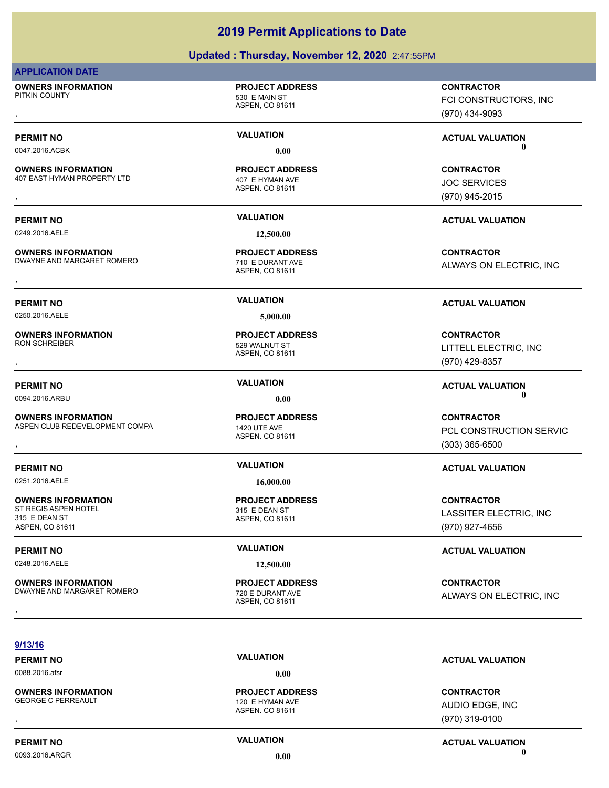### **Updated : Thursday, November 12, 2020** 2:47:55PM

### **APPLICATION DATE**

**OWNERS INFORMATION** PITKIN COUNTY 530 E MAIN ST

**OWNERS INFORMATION** 407 EAST HYMAN PROPERTY LTD 407 E HYMAN AVE

0249.2016.AELE **12,500.00**

**OWNERS INFORMATION** DWAYNE AND MARGARET ROMERO 710 E DURANT AVE

**OWNERS INFORMATION**

**OWNERS INFORMATION**

**OWNERS INFORMATION**

**OWNERS INFORMATION**

315 E DEAN ST ASPEN, CO 81611

ASPEN, CO 81611

**PROJECT ADDRESS**

ASPEN, CO 81611 **PROJECT ADDRESS**

ASPEN, CO 81611 **PROJECT ADDRESS**

0250.2016.AELE **5,000.00**

ASPEN, CO 81611 529 WALNUT ST **PROJECT ADDRESS**

ASPEN, CO 81611 ASPEN CLUB REDEVELOPMENT COMPA 1420 UTE AVE **PROJECT ADDRESS**

0251.2016.AELE **16,000.00**

ASPEN, CO 81611 ST REGIS ASPEN HOTEL 315 E DEAN ST **PROJECT ADDRESS**

ASPEN, CO 81611

, **CONTRACTOR** FCI CONSTRUCTORS, INC

(970) 434-9093

**PERMIT NO VALUATION ACTUAL VALUATION** 0047.2016.ACBK **0.00 0.00**

**OWNERS INFORMATION LATE IS A SERVE ON THE PROJECT ADDRESS ARE SERVICED CONTRACTOR**<br>A07 EAST HYMAN PROPERTY LTD ASPEN, CO 81611<br>ASPEN, CO 81611 ASPEN (970) 945-2015 JOC SERVICES (970) 945-2015

### **PERMIT NO VALUATION ACTUAL VALUATION**

**OWNERS INFORMATION METALLY SERVICE PROJECT ADDRESS ARE:**<br>DWAYNE AND MARGARET ROMERO METALLY TO BOURANT AVE MARKET AND MALWAYS ON ELECTRIC, INC<br>,<br>, ALWAYS ON ELECTRIC, INC

### **PERMIT NO VALUATION ACTUAL VALUATION**

, **CONTRACTOR** LITTELL ELECTRIC, INC (970) 429-8357

**PERMIT NO VALUATION ACTUAL VALUATION** 0094.2016.ARBU **0.00 0.00**

, **CONTRACTOR** PCL CONSTRUCTION SERVIC (303) 365-6500

### **PERMIT NO VALUATION ACTUAL VALUATION**

**CONTRACTOR** LASSITER ELECTRIC, INC (970) 927-4656

### **PERMIT NO VALUATION VALUATION VALUATION**

**OWNERS INFORMATION METALLY CONTRACTOR READMENT PROJECT ADDRESS ARE SERVED TO A CONTRACTOR CONTRACTOR CONTRACTOR**<br>DWAYNE AND MARGARET ROMERO METALLY ASPEN, CO 81611<br>, ALWAYS ON ELECTRIC, INC

**9/13/16**

0088.2016.afsr **0.00**

**OWNERS INFORMATION** GEORGE C PERREAULT **120 E HYMAN AVE** 

0093.2016.ARGR **0.00 0.00**

ASPEN, CO 81611

**PROJECT ADDRESS**

**PERMIT NO VALUATION ACTUAL VALUATION**

, **CONTRACTOR** AUDIO EDGE, INC (970) 319-0100

### **PERMIT NO VALUATION ACTUAL VALUATION**

### 0248.2016.AELE **12,500.00**

DWAYNE AND MARGARET ROMERO 720 E DURANT AVE **PROJECT ADDRESS**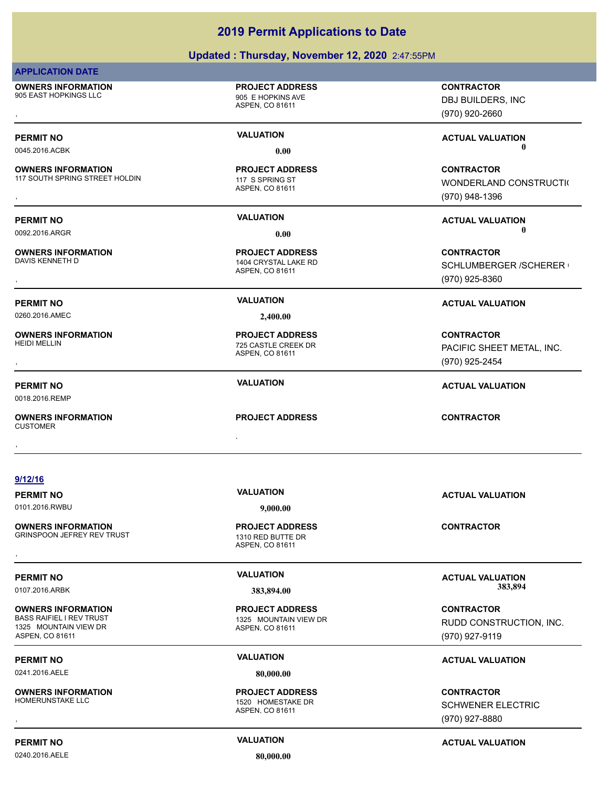### **Updated : Thursday, November 12, 2020** 2:47:55PM

|--|

**OWNERS INFORMATION** 905 EAST HOPKINGS LLC 8005 E HOPKINS AVE

# **PROJECT ADDRESS**

ASPEN, CO 81611

**OWNERS INFORMATION** 117 SOUTH SPRING STREET HOLDIN 117 S SPRING ST

**OWNERS INFORMATION**<br>DAVIS KENNETH D

**OWNERS INFORMATION**

, **OWNERS INFORMATION**

ASPEN, CO 81611 **PROJECT ADDRESS**

### ASPEN, CO 81611 1404 CRYSTAL LAKE RD **PROJECT ADDRESS**

0260.2016.AMEC **2,400.00**

ASPEN, CO 81611 725 CASTLE CREEK DR **PROJECT ADDRESS**

**PROJECT ADDRESS** , **CONTRACTOR**

, **CONTRACTOR** DBJ BUILDERS, INC (970) 920-2660

**PERMIT NO VALUATION ACTUAL VALUATION** 0045.2016.ACBK **0.00 0.00**

**OWNERS INFORMATION METALLY CONTRACTOR DESCRIPTION ON MERGEUS PROJECT ADDRESS ARE CONTRACTOR CONTRACTOR CONSTRUCTION<br>117 SOUTH SPRING STREET HOLDIN METALLY SEPRING ST ASPEN, CO 81611 METALLY 17 STRING STRUP (970) 948-1396<br>** WONDERLAND CONSTRUCTION (970) 948-1396

**PERMIT NO VALUATION ACTUAL VALUATION** 0092.2016.ARGR **0.00 0.00**

, **CONTRACTOR** SCHLUMBERGER / SCHERER ( (970) 925-8360

### **PERMIT NO VALUATION ACTUAL VALUATION**

, **CONTRACTOR** PACIFIC SHEET METAL, INC. (970) 925-2454

**PERMIT NO VALUATION ACTUAL VALUATION**

**9/12/16**

**PERMIT NO VALUATION ACTUAL VALUATION** 0101.2016.RWBU **9,000.00**

0018.2016.REMP

**CUSTOMER** 

**OWNERS INFORMATION** GRINSPOON JEFREY REV TRUST 1310 RED BUTTE DR

**PERMIT NO VALUATION ACTUAL VALUATION**

0107.2016.ARBK **383,894.00 383,894.00**

**OWNERS INFORMATION** 1325 MOUNTAIN VIEW DR ASPEN, CO 81611

**PERMIT NO VALUATION ACTUAL VALUATION**

0241.2016.AELE **80,000.00**

**OWNERS INFORMATION**

ASPEN, CO 81611 **PROJECT ADDRESS OWNERS INFORMATION METALLY SERVICE PROJECT ADDRESS ARE:** CONTRACTOR CONTRACTOR<br>GRINSPOON JEFREY REV TRUST TRUST ASPEN, CO 81611<br>,

ASPEN, CO 81611 1325 MOUNTAIN VIEW DR **PROJECT ADDRESS**

ASPEN, CO 81611 1520 HOMESTAKE DR **PROJECT ADDRESS** RUDD CONSTRUCTION, INC. (970) 927-9119

**CONTRACTOR**

, **CONTRACTOR** SCHWENER ELECTRIC (970) 927-8880

0240.2016.AELE **80,000.00**

**PERMIT NO CONSUMITY ACTUAL VALUATION VALUATION VALUATION**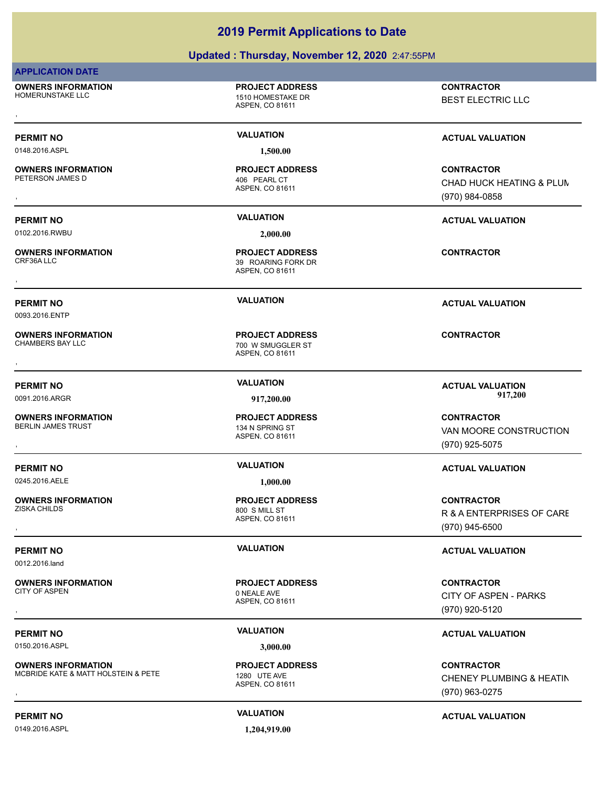### **Updated : Thursday, November 12, 2020** 2:47:55PM

### **APPLICATION DATE**

**OWNERS INFORMATION** HOMERUNSTAKE LLC<br>1510 HOMESTAKE DR

ASPEN, CO 81611

ASPEN, CO 81611

**PROJECT ADDRESS**

**PROJECT ADDRESS**

0148.2016.ASPL **1,500.00**

**OWNERS INFORMATION** PETERSON JAMES D 406 PFARI CT

0102.2016.RWBU **2,000.00**

0093.2016.ENTP

**OWNERS INFORMATION**

**OWNERS INFORMATION**

**OWNERS INFORMATION**

**OWNERS INFORMATION**

**OWNERS INFORMATION**

ASPEN, CO 81611 39 ROARING FORK DR **PROJECT ADDRESS** , **CONTRACTOR**

ASPEN, CO 81611 700 W SMUGGLER ST **PROJECT ADDRESS** , **CONTRACTOR**

ASPEN, CO 81611 134 N SPRING ST **PROJECT ADDRESS**

0245.2016.AELE **1,000.00**

ASPEN, CO 81611 800 S MILL ST **PROJECT ADDRESS**

0 NEALE AVE **PROJECT ADDRESS**

0012.2016.land

0150.2016.ASPL **3,000.00**

**OWNERS INFORMATION** MCBRIDE KATE & MATT HOLSTEIN & PETE 1280 UTE AVE

0149.2016.ASPL **1,204,919.00**

, **CONTRACTOR** BEST ELECTRIC LLC

### **PERMIT NO VALUATION VALUATION VALUATION**

, **CONTRACTOR** CHAD HUCK HEATING & PLUM (970) 984-0858

**PERMIT NO VALUATION ACTUAL VALUATION**

**PERMIT NO VALUATION ACTUAL VALUATION**

**PERMIT NO VALUATION ACTUAL VALUATION** 0091.2016.ARGR **917,200.00 917,200.00**

, **CONTRACTOR** VAN MOORE CONSTRUCTION (970) 925-5075

### **PERMIT NO VALUATION ACTUAL VALUATION**

, **CONTRACTOR** R & A ENTERPRISES OF CARE (970) 945-6500

, **CONTRACTOR** CITY OF ASPEN - PARKS (970) 920-5120

### **PERMIT NO VALUATION ACTUAL VALUATION**

, **CONTRACTOR** CHENEY PLUMBING & HEATIN (970) 963-0275

### **PERMIT NO VALUATION ACTUAL VALUATION**

# **PERMIT NO VALUATION VALUATION VALUATION**

ASPEN, CO 81611

**PROJECT ADDRESS**

ASPEN, CO 81611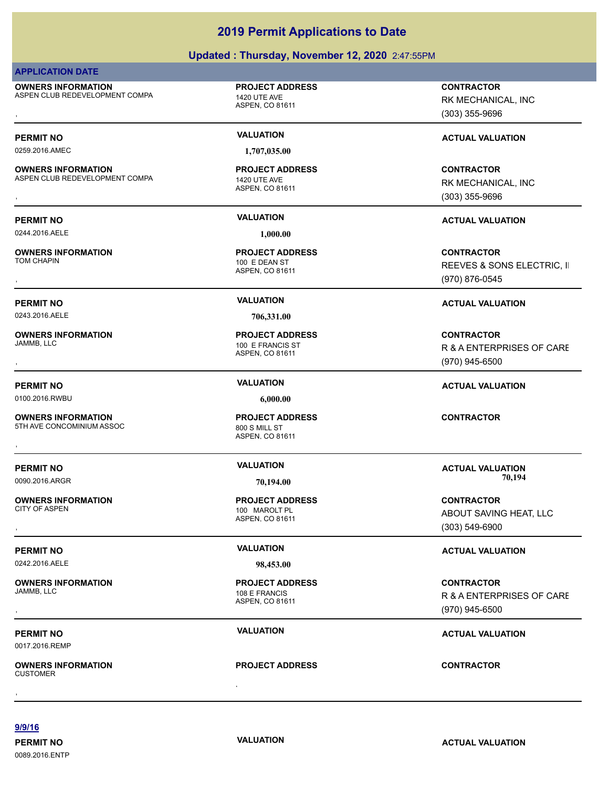### **Updated : Thursday, November 12, 2020** 2:47:55PM

### **APPLICATION DATE**

**OWNERS INFORMATION** ASPEN CLUB REDEVELOPMENT COMPA 1420 UTE AVE

### ASPEN, CO 81611

**PROJECT ADDRESS**

ASPEN, CO 81611

**PROJECT ADDRESS**

0259.2016.AMEC **1,707,035.00**

### **OWNERS INFORMATION** ASPEN CLUB REDEVELOPMENT COMPA 1420 UTE AVE

0244.2016.AELE **1,000.00**

**OWNERS INFORMATION**

**OWNERS INFORMATION**

**OWNERS INFORMATION**

**OWNERS INFORMATION**

**OWNERS INFORMATION**

, **OWNERS INFORMATION**

ASPEN, CO 81611 100 E DEAN ST **PROJECT ADDRESS**

0243.2016.AELE **706,331.00**

ASPEN, CO 81611 100 E FRANCIS ST **PROJECT ADDRESS**

0100.2016.RWBU **6,000.00**

ASPEN, CO 81611 5TH AVE CONCOMINIUM ASSOC 800 S MILL ST **PROJECT ADDRESS OWNERS INFORMATION CONTRACTOR REGIST OF PROJECT ADDRESS CONTRACTOR CONTRACTOR**<br>5TH AVE CONCOMINIUM ASSOC CONTRACTOR<br>, The CONTRACTOR CONTRACTOR ASPEN. CO 81611

ASPEN, CO 81611 100 MAROLT PL **PROJECT ADDRESS**

### 0242.2016.AELE **98,453.00**

ASPEN, CO 81611 108 E FRANCIS **PROJECT ADDRESS**

# **PROJECT ADDRESS** , **CONTRACTOR**

**OWNERS INFORMATION METALLY CONTRACTOR REGULAR PROJECT ADDRESS ARE SOUTRACTOR CONTRACTOR**<br>ASPEN CLUB REDEVELOPMENT COMPA 1420 UTE AVE ASPEN. CO 81611 **120 UTE AVE SAMING A SPEN**<br>ASPEN. CO 81611 (303) 355-9696 RK MECHANICAL, INC

# (303) 355-9696

### **PERMIT NO VALUATION VALUATION VALUATION**

**OWNERS INFORMATION METALLY CONTRACTOR REGULAR PROJECT ADDRESS ARE SOUTRACTOR CONTRACTOR**<br>ASPEN CLUB REDEVELOPMENT COMPA 1420 UTE AVE ASPEN, CO 81611 **120 UTE AVE 1999 1999 1999**<br>ASPEN, CO 81611 1999 1999 1999 1999 1999 19 RK MECHANICAL, INC (303) 355-9696

### **PERMIT NO VALUATION ACTUAL VALUATION**

, **CONTRACTOR** REEVES & SONS ELECTRIC, II (970) 876-0545

### **PERMIT NO VALUATION ACTUAL VALUATION**

, **CONTRACTOR** R & A ENTERPRISES OF CARE (970) 945-6500

### **PERMIT NO VALUATION ACTUAL VALUATION**

**PERMIT NO VALUATION ACTUAL VALUATION** 0090.2016.ARGR **70,194.00 70,194.00**

, **CONTRACTOR** ABOUT SAVING HEAT, LLC (303) 549-6900

### **PERMIT NO VALUATION VALUATION VALUATION**

, **CONTRACTOR** R & A ENTERPRISES OF CARE (970) 945-6500

### **PERMIT NO VALUATION ACTUAL VALUATION**

**9/9/16**

0089.2016.ENTP

0017.2016.REMP

CUSTOMER

**PERMIT NO CONSUMITY ACTUAL VALUATION VALUATION VALUATION**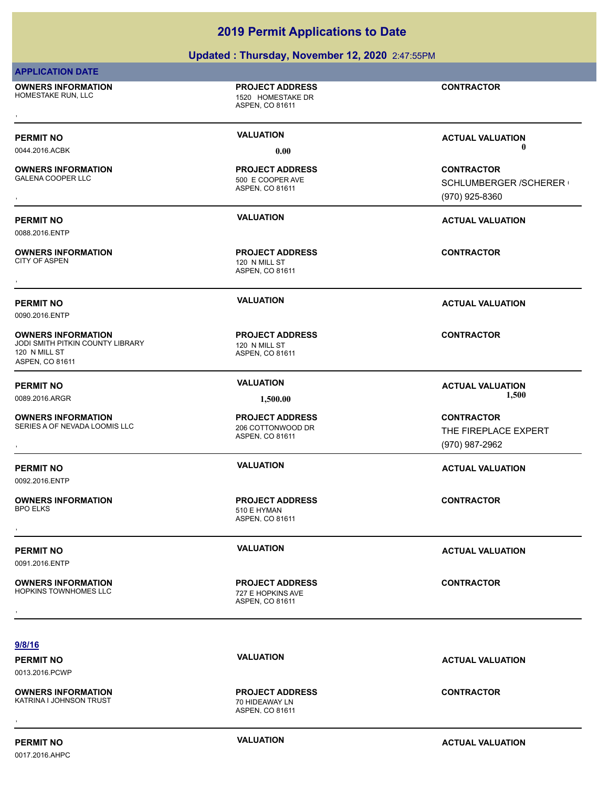### **Updated : Thursday, November 12, 2020** 2:47:55PM

| <b>APPLICATION DATE</b>                                                                           |                                                                |                                                                       |
|---------------------------------------------------------------------------------------------------|----------------------------------------------------------------|-----------------------------------------------------------------------|
| <b>OWNERS INFORMATION</b><br>HOMESTAKE RUN, LLC                                                   | <b>PROJECT ADDRESS</b><br>1520 HOMESTAKE DR<br>ASPEN, CO 81611 | <b>CONTRACTOR</b>                                                     |
| <b>PERMIT NO</b>                                                                                  | <b>VALUATION</b>                                               | <b>ACTUAL VALUATION</b>                                               |
| 0044.2016.ACBK                                                                                    | 0.00                                                           | $\mathbf 0$                                                           |
| <b>OWNERS INFORMATION</b><br><b>GALENA COOPER LLC</b>                                             | <b>PROJECT ADDRESS</b><br>500 E COOPER AVE<br>ASPEN, CO 81611  | <b>CONTRACTOR</b><br><b>SCHLUMBERGER /SCHERER (</b><br>(970) 925-8360 |
| <b>PERMIT NO</b><br>0088.2016.ENTP                                                                | <b>VALUATION</b>                                               | <b>ACTUAL VALUATION</b>                                               |
| <b>OWNERS INFORMATION</b><br><b>CITY OF ASPEN</b>                                                 | <b>PROJECT ADDRESS</b><br>120 N MILL ST<br>ASPEN, CO 81611     | <b>CONTRACTOR</b>                                                     |
| <b>PERMIT NO</b><br>0090.2016.ENTP                                                                | <b>VALUATION</b>                                               | <b>ACTUAL VALUATION</b>                                               |
| <b>OWNERS INFORMATION</b><br>JODI SMITH PITKIN COUNTY LIBRARY<br>120 N MILL ST<br>ASPEN, CO 81611 | <b>PROJECT ADDRESS</b><br>120 N MILL ST<br>ASPEN, CO 81611     | <b>CONTRACTOR</b>                                                     |
| <b>PERMIT NO</b>                                                                                  | <b>VALUATION</b>                                               | <b>ACTUAL VALUATION</b>                                               |
| 0089.2016.ARGR                                                                                    | 1,500.00                                                       | 1,500                                                                 |
| <b>OWNERS INFORMATION</b><br>SERIES A OF NEVADA LOOMIS LLC                                        | <b>PROJECT ADDRESS</b><br>206 COTTONWOOD DR<br>ASPEN, CO 81611 | <b>CONTRACTOR</b><br>THE FIREPLACE EXPERT<br>(970) 987-2962           |
| <b>PERMIT NO</b><br>0092.2016.ENTP                                                                | <b>VALUATION</b>                                               | <b>ACTUAL VALUATION</b>                                               |
| <b>OWNERS INFORMATION</b><br><b>BPO ELKS</b>                                                      | <b>PROJECT ADDRESS</b><br>510 E HYMAN<br>ASPEN, CO 81611       | <b>CONTRACTOR</b>                                                     |
| <b>PERMIT NO</b><br>0091.2016.ENTP                                                                | <b>VALUATION</b>                                               | <b>ACTUAL VALUATION</b>                                               |
| <b>OWNERS INFORMATION</b><br>HOPKINS TOWNHOMES LLC                                                | <b>PROJECT ADDRESS</b><br>727 E HOPKINS AVE<br>ASPEN, CO 81611 | <b>CONTRACTOR</b>                                                     |
| 9/8/16                                                                                            |                                                                |                                                                       |
| <b>PERMIT NO</b><br>0013.2016.PCWP                                                                | <b>VALUATION</b>                                               | <b>ACTUAL VALUATION</b>                                               |
| <b>OWNERS INFORMATION</b><br>KATRINA I JOHNSON TRUST                                              | <b>PROJECT ADDRESS</b><br>70 HIDEAWAY LN                       | <b>CONTRACTOR</b>                                                     |

**OWNERS INFORMATION** KATRINA I JOHNSON TRUST TANGGAL TANGGAL TANGGAL TANGGAL TANGGAL TANGGAL TANGGAL TANGGAL TANGGAL TANGGAL TANGGA , **CONTRACTOR**

ASPEN, CO 81611

**PERMIT NO CONSUMITY ACTUAL VALUATION VALUATION** *ACTUAL VALUATION* 

0017.2016.AHPC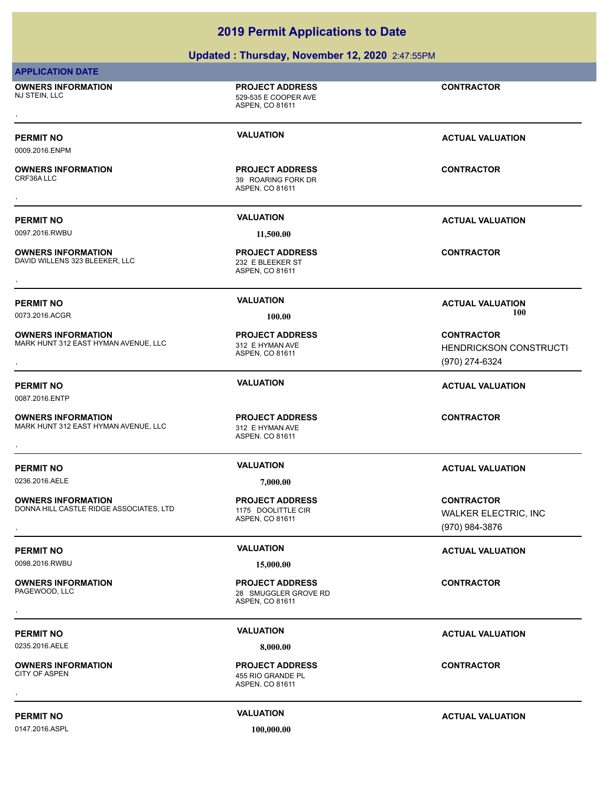| <b>APPLICATION DATE</b>                                              |                                                                   |                                                                    |
|----------------------------------------------------------------------|-------------------------------------------------------------------|--------------------------------------------------------------------|
| <b>OWNERS INFORMATION</b><br>NJ STEIN, LLC                           | <b>PROJECT ADDRESS</b><br>529-535 E COOPER AVE<br>ASPEN, CO 81611 | <b>CONTRACTOR</b>                                                  |
| <b>PERMIT NO</b><br>0009.2016.ENPM                                   | <b>VALUATION</b>                                                  | <b>ACTUAL VALUATION</b>                                            |
| <b>OWNERS INFORMATION</b><br>CRF36ALLC                               | <b>PROJECT ADDRESS</b><br>39 ROARING FORK DR<br>ASPEN, CO 81611   | <b>CONTRACTOR</b>                                                  |
| <b>PERMIT NO</b>                                                     | <b>VALUATION</b>                                                  | <b>ACTUAL VALUATION</b>                                            |
| 0097.2016.RWBU                                                       | 11,500.00                                                         |                                                                    |
| <b>OWNERS INFORMATION</b><br>DAVID WILLENS 323 BLEEKER, LLC          | <b>PROJECT ADDRESS</b><br>232 E BLEEKER ST<br>ASPEN, CO 81611     | <b>CONTRACTOR</b>                                                  |
| <b>PERMIT NO</b><br>0073.2016.ACGR                                   | <b>VALUATION</b><br>100.00                                        | <b>ACTUAL VALUATION</b><br>100                                     |
| <b>OWNERS INFORMATION</b><br>MARK HUNT 312 EAST HYMAN AVENUE, LLC    | <b>PROJECT ADDRESS</b><br>312 E HYMAN AVE<br>ASPEN, CO 81611      | <b>CONTRACTOR</b><br>HENDRICKSON CONSTRUCTI<br>(970) 274-6324      |
| <b>PERMIT NO</b><br>0087.2016.ENTP                                   | <b>VALUATION</b>                                                  | <b>ACTUAL VALUATION</b>                                            |
| <b>OWNERS INFORMATION</b><br>MARK HUNT 312 EAST HYMAN AVENUE, LLC    | <b>PROJECT ADDRESS</b><br>312 E HYMAN AVE<br>ASPEN, CO 81611      | <b>CONTRACTOR</b>                                                  |
| <b>PERMIT NO</b><br>0236.2016.AELE                                   | <b>VALUATION</b><br>7.000.00                                      | <b>ACTUAL VALUATION</b>                                            |
| <b>OWNERS INFORMATION</b><br>DONNA HILL CASTLE RIDGE ASSOCIATES, LTD | <b>PROJECT ADDRESS</b><br>1175 DOOLITTLE CIR<br>ASPEN, CO 81611   | <b>CONTRACTOR</b><br><b>WALKER ELECTRIC, INC</b><br>(970) 984-3876 |
| <b>PERMIT NO</b><br>0098.2016.RWBU                                   | <b>VALUATION</b><br>15,000.00                                     | <b>ACTUAL VALUATION</b>                                            |
| <b>OWNERS INFORMATION</b><br>PAGEWOOD, LLC                           | <b>PROJECT ADDRESS</b><br>28 SMUGGLER GROVE RD<br>ASPEN, CO 81611 | <b>CONTRACTOR</b>                                                  |
| <b>PERMIT NO</b>                                                     | <b>VALUATION</b>                                                  | <b>ACTUAL VALUATION</b>                                            |
| 0235.2016.AELE                                                       | 8,000.00                                                          |                                                                    |
| <b>OWNERS INFORMATION</b>                                            | <b>PROJECT ADDRESS</b>                                            | <b>CONTRACTOR</b>                                                  |

**OWNERS INFORMATION OWNERS INFORMATION CONTRACTOR PROJECT ADDRESS CONTRACTOR**<br>CITY OF ASPEN ASPEN ASPEN, CO 81611<br>,

0147.2016.ASPL **100,000.00**

ASPEN, CO 81611

455 RIO GRANDE PL

### **PERMIT NO CONSUMITY ACTUAL VALUATION VALUATION ACTUAL VALUATION**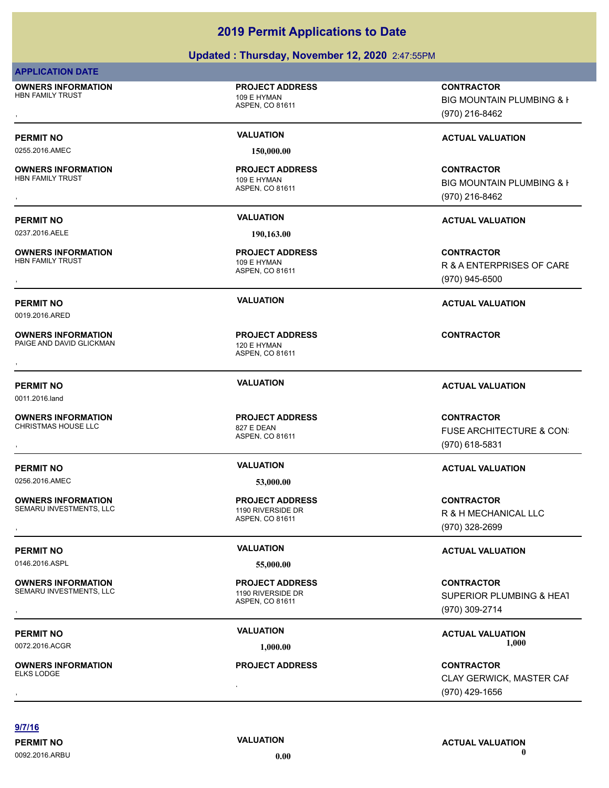### **Updated : Thursday, November 12, 2020** 2:47:55PM

### **APPLICATION DATE**

**OWNERS INFORMATION** HBN FAMILY TRUST 109 E HYMAN

0255.2016.AMEC **150,000.00**

**OWNERS INFORMATION** HBN FAMILY TRUST 109 E HYMAN

0237.2016.AELE **190,163.00**

**OWNERS INFORMATION**<br>HBN FAMILY TRUST

0019.2016.ARED

**OWNERS INFORMATION** PAIGE AND DAVID GLICKMAN 120 E HYMAN

0011.2016.land

**OWNERS INFORMATION** CHRISTMAS HOUSE LLC 827 E DEAN

0256.2016.AMEC **53,000.00**

**OWNERS INFORMATION** SEMARU INVESTMENTS, LLC<br>
1190 RIVERSIDE DR

0146.2016.ASPL **55,000.00**

**OWNERS INFORMATION** SEMARU INVESTMENTS, LLC<br>1190 RIVERSIDE DR

, **OWNERS INFORMATION** ELKS LODGE

ASPEN, CO 81611

**PROJECT ADDRESS**

ASPEN, CO 81611 **PROJECT ADDRESS**

ASPEN, CO 81611 109 E HYMAN **PROJECT ADDRESS**

ASPEN, CO 81611 **PROJECT ADDRESS** , **CONTRACTOR**

ASPEN, CO 81611 **PROJECT ADDRESS**

ASPEN, CO 81611 **PROJECT ADDRESS**

ASPEN, CO 81611 **PROJECT ADDRESS**

### **PROJECT ADDRESS**

R & H MECHANICAL LLC (970) 328-2699

### **PERMIT NO VALUATION VALUATION VALUATION**

**OWNERS INFORMATION PROJECT ADDRESS CONTRACTOR**<br>SEMARU INVESTMENTS, LLC 1190 RIVERSIDE DR SUPERIOR PLUMBING & HEAT<br>, ASPEN. CO 81611 SUPERIOR PLUMBING & HEAT (970) 309-2714

0072.2016.ACGR **1,000.00 1,000.00**

, **CONTRACTOR** CLAY GERWICK, MASTER CAF (970) 429-1656

**9/7/16**

0092.2016.ARBU **0.00 0.00**

**PERMIT NO VALUATION VALUATION VALUATION** 

BIG MOUNTAIN PLUMBING & I

, **CONTRACTOR** (970) 216-8462

### **PERMIT NO VALUATION VALUATION VALUATION**

, **CONTRACTOR** BIG MOUNTAIN PLUMBING & I (970) 216-8462

### **PERMIT NO VALUATION ACTUAL VALUATION**

, **CONTRACTOR** R & A ENTERPRISES OF CARE (970) 945-6500

### **PERMIT NO VALUATION ACTUAL VALUATION**

### **PERMIT NO VALUATION ACTUAL VALUATION**

, **CONTRACTOR** FUSE ARCHITECTURE & CON: (970) 618-5831

### **PERMIT NO VALUATION ACTUAL VALUATION**

**OWNERS INFORMATION PROJECT ADDRESS CONTRACTOR**<br>SEMARU INVESTMENTS, LLC 1190 RIVERSIDE DR R & H MECHANICAL LLC<br>, ASPEN, CO 81611

# **PERMIT NO VALUATION ACTUAL VALUATION**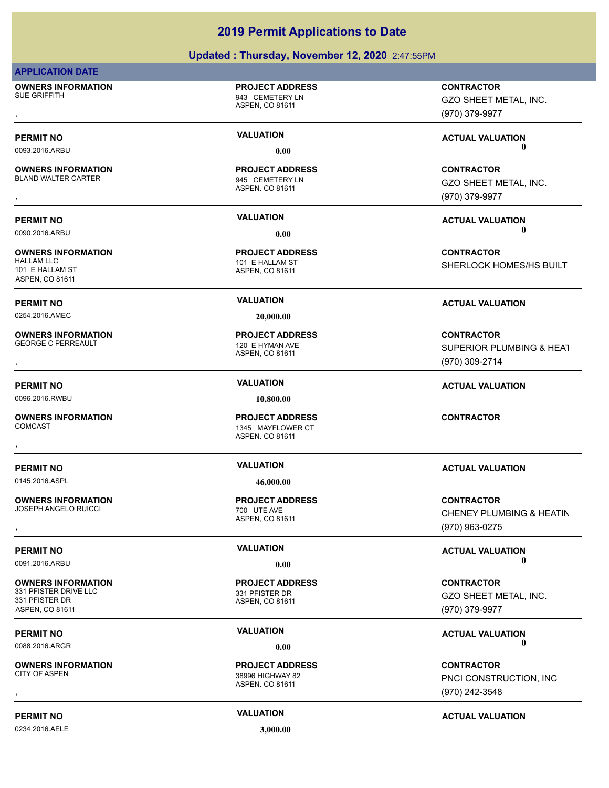### **Updated : Thursday, November 12, 2020** 2:47:55PM

### **APPLICATION DATE**

**OWNERS INFORMATION** SUE GRIFFITH 843 CEMETERY LN

**OWNERS INFORMATION** BLAND WALTER CARTER **EXECUTER 1945** CEMETERY LN

**OWNERS INFORMATION** 101 E HALLAM ST ASPEN, CO 81611

0254.2016.AMEC **20,000.00**

**OWNERS INFORMATION** GEORGE C PERREAULT **120 E HYMAN AVE** 

0096.2016.RWBU **10,800.00**

**OWNERS INFORMATION**

0145.2016.ASPL **46,000.00**

**OWNERS INFORMATION** JOSEPH ANGELO RUICCI 700 UTE AVE

**OWNERS INFORMATION** 331 PFISTER DRIVE LLC 331 PFISTER DR 331 PFISTER DR ASPEN, CO 81611

**OWNERS INFORMATION**

0234.2016.AELE **3,000.00**

ASPEN, CO 81611

**PROJECT ADDRESS**

ASPEN, CO 81611 **PROJECT ADDRESS**

ASPEN, CO 81611 101 E HALLAM ST **PROJECT ADDRESS**

ASPEN, CO 81611 **PROJECT ADDRESS**

ASPEN, CO 81611 1345 MAYFLOWER CT **PROJECT ADDRESS** , **CONTRACTOR**

ASPEN, CO 81611 **PROJECT ADDRESS**

ASPEN, CO 81611 **PROJECT ADDRESS**

### ASPEN, CO 81611 38996 HIGHWAY 82 **PROJECT ADDRESS**

, **CONTRACTOR** GZO SHEET METAL, INC. (970) 379-9977

**PERMIT NO VALUATION ACTUAL VALUATION** 0093.2016.ARBU **0.00 0.00**

, **CONTRACTOR** GZO SHEET METAL, INC. (970) 379-9977

**PERMIT NO VALUATION ACTUAL VALUATION** 0090.2016.ARBU **0.00 0.00**

> **CONTRACTOR** SHERLOCK HOMES/HS BUILT

### **PERMIT NO VALUATION ACTUAL VALUATION**

**OWNERS INFORMATION PROJECT ADDRESS CONTRACTOR**<br>GEORGE C PERREAULT 120 E HYMAN AVE SUPERIOR PLUMBING & HEAT<br>, ASPEN, CO 81611 SUPERIOR PLUMBING & HEAT (970) 309-2714

### **PERMIT NO VALUATION ACTUAL VALUATION**

### **PERMIT NO VALUATION ACTUAL VALUATION**

**OWNERS INFORMATION PROJECT ADDRESS CONTRACTOR**<br>JOSEPH ANGELO RUICCI 700 UTE AVE CHENEY PLUMBING & HEATIN<br>, ASPEN, CO 81611 CHENEY PLUMBING & HEATIN (970) 963-0275

**PERMIT NO VALUATION VALUATION VALUATION** 0091.2016.ARBU **0.00 0.00**

> **CONTRACTOR** GZO SHEET METAL, INC. (970) 379-9977

**PERMIT NO VALUATION VALUATION VALUATION** 0088.2016.ARGR **0.00 0.00**

, **CONTRACTOR** PNCI CONSTRUCTION, INC (970) 242-3548

### **PERMIT NO VALUATION ACTUAL VALUATION**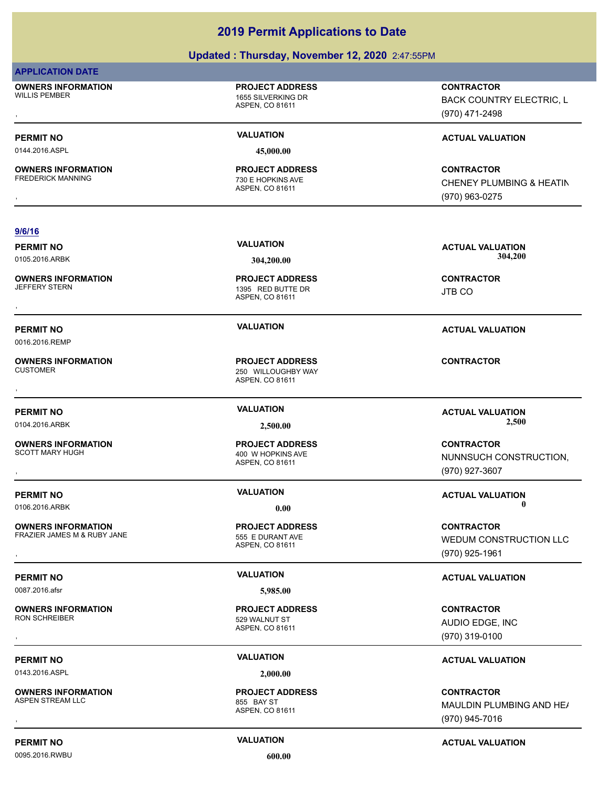### **Updated : Thursday, November 12, 2020** 2:47:55PM

### **APPLICATION DATE**

**OWNERS INFORMATION** WILLIS PEMBER 1655 SILVERKING DR

ASPEN, CO 81611

**PROJECT ADDRESS**

ASPEN, CO 81611 **PROJECT ADDRESS** , **CONTRACTOR**

, **CONTRACTOR** BACK COUNTRY ELECTRIC, L (970) 471-2498

CHENEY PLUMBING & HEATIN

### **PERMIT NO VALUATION VALUATION VALUATION**

**9/6/16**

0144.2016.ASPL **45,000.00**

**OWNERS INFORMATION** FREDERICK MANNING 730 E HOPKINS AVE

### **PERMIT NO VALUATION ACTUAL VALUATION** 0105.2016.ARBK **304,200.00 304,200.00**

JTB CO

(970) 963-0275

0016.2016.REMP

**OWNERS INFORMATION**

**OWNERS INFORMATION**

**OWNERS INFORMATION**

**OWNERS INFORMATION** FRAZIER JAMES M & RUBY JANE 555 E DURANT AVE

**OWNERS INFORMATION**

0143.2016.ASPL **2,000.00**

**OWNERS INFORMATION** ASPEN STREAM LLC 855 BAY ST

0095.2016.RWBU **600.00**

**PERMIT NO VALUATION ACTUAL VALUATION** 0104.2016.ARBK **2,500.00 2,500.00**

, **CONTRACTOR** NUNNSUCH CONSTRUCTION, (970) 927-3607

**PERMIT NO VALUATION ACTUAL VALUATION** 0106.2016.ARBK **0.00 0.00**

, **CONTRACTOR** WEDUM CONSTRUCTION LLC (970) 925-1961

### **PERMIT NO VALUATION ACTUAL VALUATION**

, **CONTRACTOR** AUDIO EDGE, INC (970) 319-0100

### **PERMIT NO VALUATION ACTUAL VALUATION**

, **CONTRACTOR** MAULDIN PLUMBING AND HE/ (970) 945-7016

### **PERMIT NO CONSUMITY ACTUAL VALUATION VALUATION VALUATION**

ASPEN, CO 81611 JEFFERY STERN 1395 RED BUTTE DR **PROJECT ADDRESS OWNERS INFORMATION FROJECT ADDRESS CONTRACTOR**<br>JEFFERY STERN TERN TISSEN TO A 1395 RED BUTTE DR<br>ASPEN. CO 81611<br>,

### **PERMIT NO VALUATION VALUATION VALUATION**

ASPEN, CO 81611 250 WILLOUGHBY WAY **PROJECT ADDRESS** , **CONTRACTOR**

ASPEN, CO 81611 400 W HOPKINS AVE **PROJECT ADDRESS**

ASPEN, CO 81611 **PROJECT ADDRESS**

0087.2016.afsr **5,985.00**

ASPEN, CO 81611 529 WALNUT ST **PROJECT ADDRESS**

ASPEN, CO 81611 **PROJECT ADDRESS**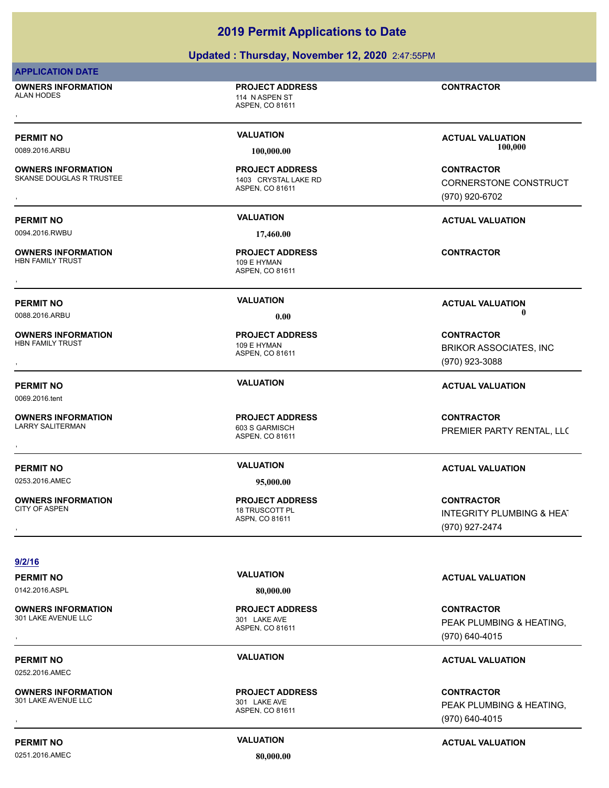### **Updated : Thursday, November 12, 2020** 2:47:55PM

### **APPLICATION DATE**

**OWNERS INFORMATION** ALAN HODES 114 N ASPEN ST , **CONTRACTOR**

**OWNERS INFORMATION** SKANSE DOUGLAS R TRUSTEE 1403 CRYSTAL LAKE RD

0094.2016.RWBU **17,460.00**

**OWNERS INFORMATION**<br>HBN FAMILY TRUST , **CONTRACTOR**

**OWNERS INFORMATION** HBN FAMILY TRUST 109 E HYMAN

0069.2016.tent

**OWNERS INFORMATION**

0253.2016.AMEC **95,000.00**

**OWNERS INFORMATION**

**PERMIT NO VALUATION ACTUAL VALUATION**

ASPEN, CO 81611

**PROJECT ADDRESS**

109 E HYMAN

ASPEN, CO 81611 **PROJECT ADDRESS**

ASPEN, CO 81611 603 S GARMISCH **PROJECT ADDRESS**

ASPN, CO 81611 18 TRUSCOTT PL **PROJECT ADDRESS**

**PERMIT NO VALUATION ACTUAL VALUATION** 0089.2016.ARBU **100,000.00 100,000.00**

, **CONTRACTOR** CORNERSTONE CONSTRUCT (970) 920-6702

**PERMIT NO VALUATION ACTUAL VALUATION**

0088.2016.ARBU **0.00 0.00**

, **CONTRACTOR** BRIKOR ASSOCIATES, INC (970) 923-3088

**PERMIT NO VALUATION ACTUAL VALUATION**

, **CONTRACTOR** PREMIER PARTY RENTAL, LLC

### **PERMIT NO VALUATION ACTUAL VALUATION**

, **CONTRACTOR** INTEGRITY PLUMBING & HEAT (970) 927-2474

**9/2/16**

0142.2016.ASPL **80,000.00**

**OWNERS INFORMATION** 301 LAKE AVENUE LLC 301 LAKE AVE

0252.2016.AMEC

**OWNERS INFORMATION**

301 LAKE AVENUE LLC 301 LAKE AVE

0251.2016.AMEC **80,000.00**

ASPEN, CO 81611 **PROJECT ADDRESS**

ASPEN, CO 81611 **PROJECT ADDRESS**

**PERMIT NO VALUATION ACTUAL VALUATION**

### **OWNERS INFORMATION PROJECT ADDRESS CONTRACTOR**<br>301 LAKE AVENUE LLC 301 LAKE AVE PEAK PLUMBING & HEATING,<br>, ASPEN. CO 81611 PEAK PLUMBING & HEATING, (970) 640-4015

### **PERMIT NO CONSUMITY OF A CONSUMITY OF A CONSUMITY OF A CONSUMITY OF A CTUAL VALUATION**

**OWNERS INFORMATION PROJECT ADDRESS CONTRACTOR**<br>301 LAKE AVENUE LLC 301 LAKE AVE PEAK PLUMBING & HEATING,<br>, ASPEN. CO 81611 PEAK PLUMBING & HEATING, (970) 640-4015

**PERMIT NO CONSUMITY ACTUAL VALUATION VALUATION VALUATION** 

**PROJECT ADDRESS**

ASPEN, CO 81611

ASPEN, CO 81611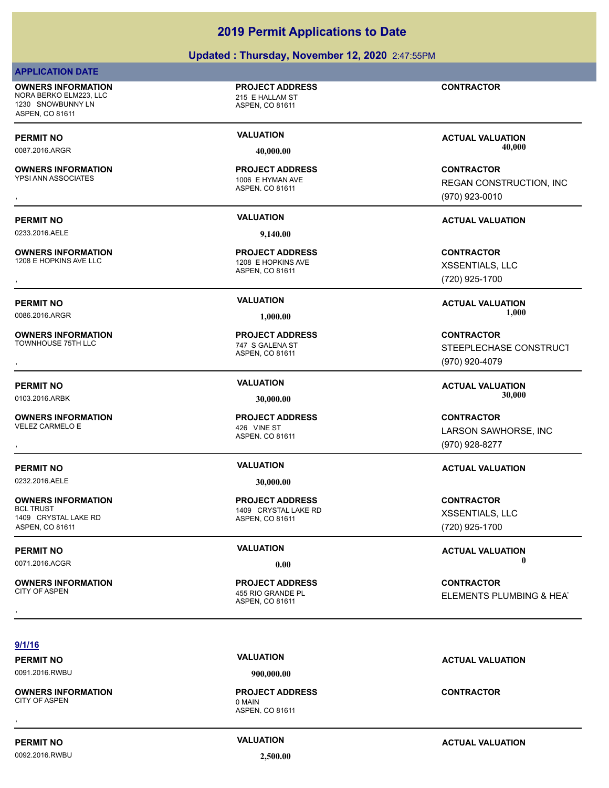### **Updated : Thursday, November 12, 2020** 2:47:55PM

### **APPLICATION DATE**

**OWNERS INFORMATION** NORA BERKO ELM223, LLC<br>215 E HALLAM ST 1230 SNOWBUNNY LN ASPEN, CO 81611

**OWNERS INFORMATION** YPSI ANN ASSOCIATES 1006 E HYMAN AVE

0233.2016.AELE **9,140.00**

**OWNERS INFORMATION**

**OWNERS INFORMATION** TOWNHOUSE 75TH LLC TOWN TOWN THE TOWN THAT S GALENA ST

**OWNERS INFORMATION** VELEZ CARMELO E 426 VINE ST

0232.2016.AELE **30,000.00**

**OWNERS INFORMATION** 1409 CRYSTAL LAKE RD ASPEN, CO 81611

**OWNERS INFORMATION**

**PROJECT ADDRESS**

ASPEN, CO 81611

ASPEN, CO 81611 **PROJECT ADDRESS**

ASPEN, CO 81611 1208 E HOPKINS AVE **PROJECT ADDRESS**

ASPEN, CO 81611 **PROJECT ADDRESS**

ASPEN, CO 81611 **PROJECT ADDRESS**

### 1409 CRYSTAL LAKE RD **PROJECT ADDRESS**

**PROJECT ADDRESS**

**PERMIT NO VALUATION ACTUAL VALUATION**

, **CONTRACTOR**

XSSENTIALS, LLC

**PERMIT NO VALUATION ACTUAL VALUATION**

, **CONTRACTOR** STEEPLECHASE CONSTRUCT (970) 920-4079

**PERMIT NO VALUATION ACTUAL VALUATION** 0103.2016.ARBK **30,000.00 30,000.00**

, **CONTRACTOR** LARSON SAWHORSE, INC (970) 928-8277

### **PERMIT NO VALUATION ACTUAL VALUATION**

**CONTRACTOR** XSSENTIALS, LLC (720) 925-1700

**PERMIT NO VALUATION VALUATION VALUATION** 0071.2016.ACGR **0.00 0.00**

, **CONTRACTOR** ELEMENTS PLUMBING & HEAT

### **9/1/16**

0091.2016.RWBU **900,000.00**

**OWNERS INFORMATION** CITY OF ASPEN 0 MAIN , **CONTRACTOR**

ASPEN, CO 81611

**PROJECT ADDRESS**

### **PERMIT NO VALUATION ACTUAL VALUATION**

**PERMIT NO CONSUMITY ACTUAL VALUATION VALUATION VALUATION** 

ASPEN, CO 81611

ASPEN, CO 81611 455 RIO GRANDE PL **CONTRACTOR**

0087.2016.ARGR **40,000.00 40,000.00**

REGAN CONSTRUCTION, INC (970) 923-0010

### **PERMIT NO VALUATION ACTUAL VALUATION**

, **CONTRACTOR** (720) 925-1700

0086.2016.ARGR **1,000.00 1,000.00**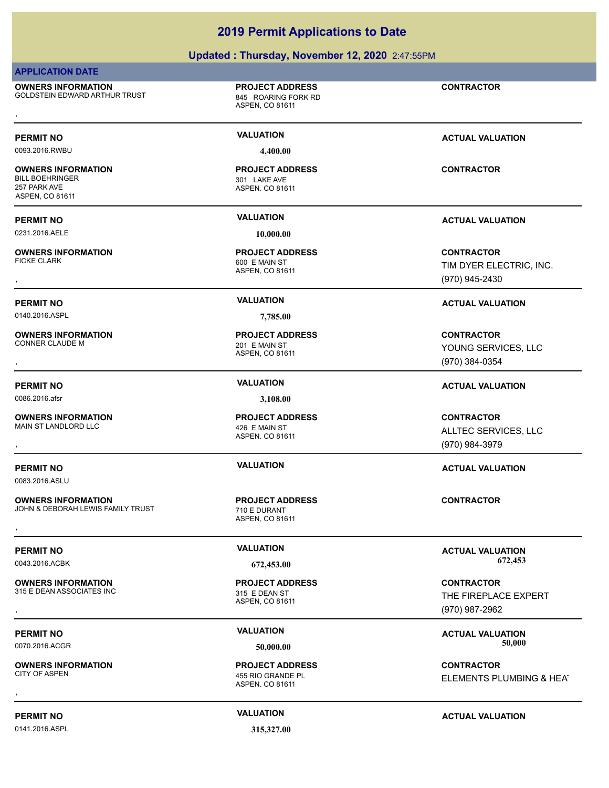### **APPLICATION DATE** ASPEN, CO 81611 **OWNERS INFORMATION** GOLDSTEIN EDWARD ARTHUR TRUST **845 ROARING FORK RD PROJECT ADDRESS OWNERS INFORMATION FROJECT ADDRESS ARE:**<br>GOLDSTEIN EDWARD ARTHUR TRUST FROM THE MASPEN, CO 81611<br>ASPEN, CO 81611 **PERMIT NO VALUATION VALUATION VALUATION** 0093.2016.RWBU **4,400.00** ASPEN, CO 81611 **OWNERS INFORMATION** BILL BOEHRINGER 301 LAKE AVE **PROJECT ADDRESS** 257 PARK AVE ASPEN, CO 81611 **CONTRACTOR PERMIT NO VALUATION ACTUAL VALUATION** 0231.2016.AELE **10,000.00** ASPEN, CO 81611 **OWNERS INFORMATION** 600 E MAIN ST **PROJECT ADDRESS** , **CONTRACTOR** TIM DYER ELECTRIC, INC. (970) 945-2430 **PERMIT NO VALUATION ACTUAL VALUATION** 0140.2016.ASPL **7,785.00** ASPEN, CO 81611 **OWNERS INFORMATION** CONNER CLAUDE M 201 E MAIN ST **PROJECT ADDRESS** , **CONTRACTOR** YOUNG SERVICES, LLC (970) 384-0354 **PERMIT NO VALUATION ACTUAL VALUATION** 0086.2016.afsr **3,108.00** ASPEN, CO 81611 **OWNERS INFORMATION** MAIN ST LANDLORD LLC 426 E MAIN ST **PROJECT ADDRESS** , **CONTRACTOR** ALLTEC SERVICES, LLC (970) 984-3979 **PERMIT NO VALUATION ACTUAL VALUATION** 0083.2016.ASLU ASPEN, CO 81611 **OWNERS INFORMATION** JOHN & DEBORAH LEWIS FAMILY TRUST 710 E DURANT **PROJECT ADDRESS** , **CONTRACTOR**

**OWNERS INFORMATION** 315 E DEAN ASSOCIATES INC 315 E DEAN ST

**OWNERS INFORMATION**

0141.2016.ASPL **315,327.00**

ASPEN, CO 81611

455 RIO GRANDE PL **PROJECT ADDRESS**

# **2019 Permit Applications to Date**

### **Updated : Thursday, November 12, 2020** 2:47:55PM

ASPEN, CO 81611 **PROJECT ADDRESS**

**PERMIT NO VALUATION VALUATION VALUATION** 0043.2016.ACBK **672,453.00 672,453.00**

**OWNERS INFORMATION GOVERNED BY A SECURITY OF PROJECT ADDRESS CONTRACTOR CONTRACTOR**<br>115 E DEAN ASSOCIATES INC FIREPLACE EXPERT ASPEN, CO 81611<br>1970) 987-2962 THE FIREPLACE EXPERT (970) 987-2962

**PERMIT NO VALUATION ACTUAL VALUATION** 0070.2016.ACGR **50,000.00 50,000.00**

**OWNERS INFORMATION GOVER SERVICE PROJECT ADDRESS ARE:**<br>CITY OF ASPEN ASPEN ASPEN, CO 81611 CONTRACTOR FLEMENTS PLUMBING & HEAT<br>, ELEMENTS PLUMBING & HEAT

### **PERMIT NO VALUATION ACTUAL VALUATION**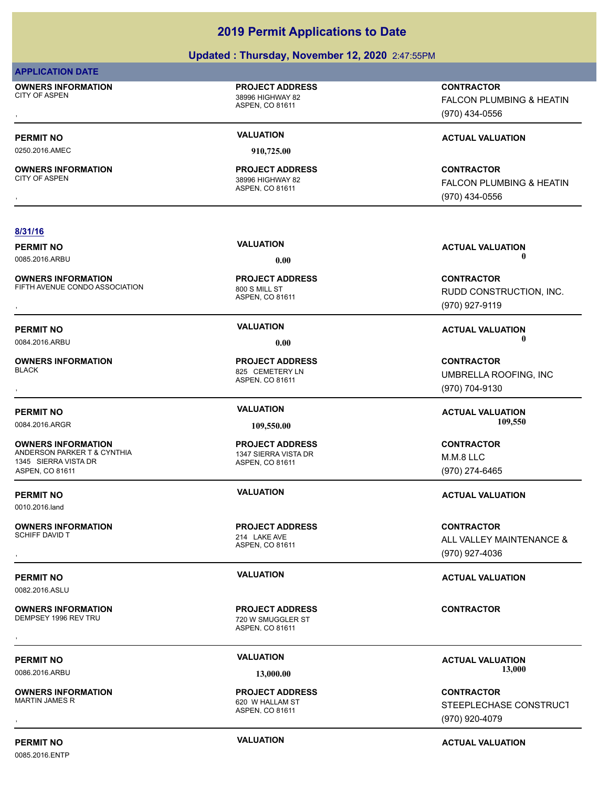### **Updated : Thursday, November 12, 2020** 2:47:55PM

### **APPLICATION DATE**

**OWNERS INFORMATION** CITY OF ASPEN 38996 HIGHWAY 82

# **PROJECT ADDRESS**

ASPEN, CO 81611

# **PROJECT ADDRESS**

, **CONTRACTOR** FALCON PLUMBING & HEATIN (970) 434-0556

0250.2016.AMEC **910,725.00**

**OWNERS INFORMATION**

ASPEN, CO 81611 38996 HIGHWAY 82

**PROJECT ADDRESS**

### **PERMIT NO VALUATION VALUATION VALUATION**

, **CONTRACTOR FALCON PLUMBING & HEATIN** (970) 434-0556

### **8/31/16**

0085.2016.ARBU **0.00 0.00**

**OWNERS INFORMATION** FIFTH AVENUE CONDO ASSOCIATION 800 S MILL ST

0084.2016.ARBU **0.00 0.00**

**OWNERS INFORMATION**

**OWNERS INFORMATION** ANDERSON PARKER T & CYNTHIA 1347 SIERRA VISTA DR 1345 SIERRA VISTA DR ASPEN, CO 81611

0010.2016.land

**OWNERS INFORMATION**

0082.2016.ASLU

**OWNERS INFORMATION**

**OWNERS INFORMATION**

**PERMIT NO VALUATION VALUATION VALUATION** 

, **CONTRACTOR** RUDD CONSTRUCTION, INC. (970) 927-9119

**PERMIT NO VALUATION ACTUAL VALUATION**

, **CONTRACTOR** UMBRELLA ROOFING, INC (970) 704-9130

0084.2016.ARGR **109,550.00 109,550.00**

**CONTRACTOR** M.M.8 LLC (970) 274-6465

### **PERMIT NO VALUATION ACTUAL VALUATION**

, **CONTRACTOR** ALL VALLEY MAINTENANCE & (970) 927-4036

### **PERMIT NO VALUATION ACTUAL VALUATION**

**PERMIT NO VALUATION ACTUAL VALUATION** 0086.2016.ARBU **13,000.00 13,000.00**

, **CONTRACTOR** STEEPLECHASE CONSTRUCT (970) 920-4079

0085.2016.ENTP

**PERMIT NO CONSUMITY ACTUAL VALUATION VALUATION VALUATION** 

**PROJECT ADDRESS**

ASPEN, CO 81611 720 W SMUGGLER ST , **CONTRACTOR**

**PROJECT ADDRESS**

**PERMIT NO VALUATION ACTUAL VALUATION**

ASPEN, CO 81611

825 CEMETERY LN **PROJECT ADDRESS**

ASPEN, CO 81611 **PROJECT ADDRESS**

ASPEN, CO 81611 214 LAKE AVE

**PROJECT ADDRESS**

ASPEN, CO 81611 620 W HALLAM ST

ASPEN, CO 81611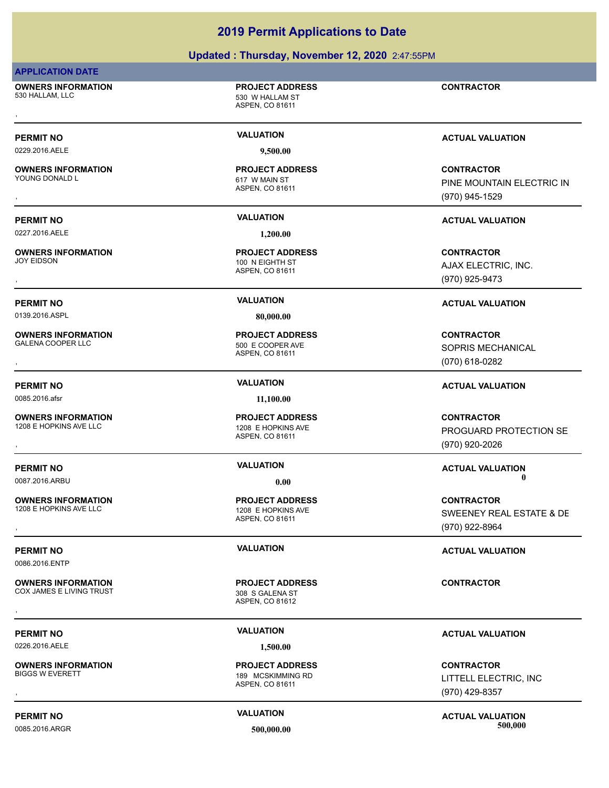| <b>APPLICATION DATE</b><br><b>OWNERS INFORMATION</b><br><b>PROJECT ADDRESS</b><br><b>CONTRACTOR</b><br>530 HALLAM, LLC<br>530 W HALLAM ST<br>ASPEN, CO 81611<br><b>VALUATION</b><br><b>PERMIT NO</b><br><b>ACTUAL VALUATION</b><br>0229.2016.AELE<br>9,500.00<br><b>CONTRACTOR</b><br><b>OWNERS INFORMATION</b><br><b>PROJECT ADDRESS</b><br>YOUNG DONALD L<br>617 W MAIN ST<br>ASPEN, CO 81611<br>(970) 945-1529<br><b>VALUATION</b><br><b>PERMIT NO</b><br><b>ACTUAL VALUATION</b><br>0227.2016.AELE<br>1,200.00<br><b>OWNERS INFORMATION</b><br><b>PROJECT ADDRESS</b><br><b>CONTRACTOR</b><br>JOY EIDSON<br>100 N EIGHTH ST<br>AJAX ELECTRIC, INC.<br>ASPEN, CO 81611<br>(970) 925-9473<br><b>VALUATION</b><br><b>PERMIT NO</b><br><b>ACTUAL VALUATION</b><br>0139.2016.ASPL<br>80,000.00<br><b>CONTRACTOR</b><br><b>OWNERS INFORMATION</b><br><b>PROJECT ADDRESS</b><br><b>GALENA COOPER LLC</b><br>500 E COOPER AVE<br>SOPRIS MECHANICAL<br>ASPEN, CO 81611<br>(070) 618-0282<br><b>VALUATION</b><br><b>PERMIT NO</b><br><b>ACTUAL VALUATION</b><br>0085.2016.afsr<br>11,100.00<br><b>CONTRACTOR</b><br><b>OWNERS INFORMATION</b><br><b>PROJECT ADDRESS</b><br>1208 E HOPKINS AVE LLC<br>1208 E HOPKINS AVE<br>ASPEN, CO 81611<br>(970) 920-2026<br><b>VALUATION</b><br><b>PERMIT NO</b><br><b>ACTUAL VALUATION</b><br>0<br>0087.2016.ARBU<br>0.00<br><b>OWNERS INFORMATION</b><br><b>PROJECT ADDRESS</b><br><b>CONTRACTOR</b><br>1208 E HOPKINS AVE LLC<br>1208 E HOPKINS AVE<br>ASPEN, CO 81611<br>(970) 922-8964<br><b>VALUATION</b><br><b>ACTUAL VALUATION</b> |                | Updated: Thursday, November 12, 2020 2:47:55PM |                           |
|--------------------------------------------------------------------------------------------------------------------------------------------------------------------------------------------------------------------------------------------------------------------------------------------------------------------------------------------------------------------------------------------------------------------------------------------------------------------------------------------------------------------------------------------------------------------------------------------------------------------------------------------------------------------------------------------------------------------------------------------------------------------------------------------------------------------------------------------------------------------------------------------------------------------------------------------------------------------------------------------------------------------------------------------------------------------------------------------------------------------------------------------------------------------------------------------------------------------------------------------------------------------------------------------------------------------------------------------------------------------------------------------------------------------------------------------------------------------------------------------------------------------------------------------------------------------------|----------------|------------------------------------------------|---------------------------|
|                                                                                                                                                                                                                                                                                                                                                                                                                                                                                                                                                                                                                                                                                                                                                                                                                                                                                                                                                                                                                                                                                                                                                                                                                                                                                                                                                                                                                                                                                                                                                                          |                |                                                |                           |
|                                                                                                                                                                                                                                                                                                                                                                                                                                                                                                                                                                                                                                                                                                                                                                                                                                                                                                                                                                                                                                                                                                                                                                                                                                                                                                                                                                                                                                                                                                                                                                          |                |                                                |                           |
| <b>PERMIT NO</b>                                                                                                                                                                                                                                                                                                                                                                                                                                                                                                                                                                                                                                                                                                                                                                                                                                                                                                                                                                                                                                                                                                                                                                                                                                                                                                                                                                                                                                                                                                                                                         |                |                                                |                           |
|                                                                                                                                                                                                                                                                                                                                                                                                                                                                                                                                                                                                                                                                                                                                                                                                                                                                                                                                                                                                                                                                                                                                                                                                                                                                                                                                                                                                                                                                                                                                                                          |                |                                                |                           |
|                                                                                                                                                                                                                                                                                                                                                                                                                                                                                                                                                                                                                                                                                                                                                                                                                                                                                                                                                                                                                                                                                                                                                                                                                                                                                                                                                                                                                                                                                                                                                                          |                |                                                | PINE MOUNTAIN ELECTRIC IN |
|                                                                                                                                                                                                                                                                                                                                                                                                                                                                                                                                                                                                                                                                                                                                                                                                                                                                                                                                                                                                                                                                                                                                                                                                                                                                                                                                                                                                                                                                                                                                                                          |                |                                                |                           |
|                                                                                                                                                                                                                                                                                                                                                                                                                                                                                                                                                                                                                                                                                                                                                                                                                                                                                                                                                                                                                                                                                                                                                                                                                                                                                                                                                                                                                                                                                                                                                                          |                |                                                |                           |
|                                                                                                                                                                                                                                                                                                                                                                                                                                                                                                                                                                                                                                                                                                                                                                                                                                                                                                                                                                                                                                                                                                                                                                                                                                                                                                                                                                                                                                                                                                                                                                          |                |                                                |                           |
|                                                                                                                                                                                                                                                                                                                                                                                                                                                                                                                                                                                                                                                                                                                                                                                                                                                                                                                                                                                                                                                                                                                                                                                                                                                                                                                                                                                                                                                                                                                                                                          |                |                                                |                           |
|                                                                                                                                                                                                                                                                                                                                                                                                                                                                                                                                                                                                                                                                                                                                                                                                                                                                                                                                                                                                                                                                                                                                                                                                                                                                                                                                                                                                                                                                                                                                                                          |                |                                                |                           |
|                                                                                                                                                                                                                                                                                                                                                                                                                                                                                                                                                                                                                                                                                                                                                                                                                                                                                                                                                                                                                                                                                                                                                                                                                                                                                                                                                                                                                                                                                                                                                                          |                |                                                |                           |
|                                                                                                                                                                                                                                                                                                                                                                                                                                                                                                                                                                                                                                                                                                                                                                                                                                                                                                                                                                                                                                                                                                                                                                                                                                                                                                                                                                                                                                                                                                                                                                          |                |                                                |                           |
|                                                                                                                                                                                                                                                                                                                                                                                                                                                                                                                                                                                                                                                                                                                                                                                                                                                                                                                                                                                                                                                                                                                                                                                                                                                                                                                                                                                                                                                                                                                                                                          |                |                                                |                           |
|                                                                                                                                                                                                                                                                                                                                                                                                                                                                                                                                                                                                                                                                                                                                                                                                                                                                                                                                                                                                                                                                                                                                                                                                                                                                                                                                                                                                                                                                                                                                                                          |                |                                                | PROGUARD PROTECTION SE    |
|                                                                                                                                                                                                                                                                                                                                                                                                                                                                                                                                                                                                                                                                                                                                                                                                                                                                                                                                                                                                                                                                                                                                                                                                                                                                                                                                                                                                                                                                                                                                                                          |                |                                                |                           |
|                                                                                                                                                                                                                                                                                                                                                                                                                                                                                                                                                                                                                                                                                                                                                                                                                                                                                                                                                                                                                                                                                                                                                                                                                                                                                                                                                                                                                                                                                                                                                                          |                |                                                |                           |
|                                                                                                                                                                                                                                                                                                                                                                                                                                                                                                                                                                                                                                                                                                                                                                                                                                                                                                                                                                                                                                                                                                                                                                                                                                                                                                                                                                                                                                                                                                                                                                          |                |                                                | SWEENEY REAL ESTATE & DE  |
|                                                                                                                                                                                                                                                                                                                                                                                                                                                                                                                                                                                                                                                                                                                                                                                                                                                                                                                                                                                                                                                                                                                                                                                                                                                                                                                                                                                                                                                                                                                                                                          | 0086.2016.ENTP |                                                |                           |
| <b>OWNERS INFORMATION</b><br><b>PROJECT ADDRESS</b><br><b>CONTRACTOR</b><br>COX JAMES E LIVING TRUST<br>308 S GALENA ST<br>ASPEN, CO 81612                                                                                                                                                                                                                                                                                                                                                                                                                                                                                                                                                                                                                                                                                                                                                                                                                                                                                                                                                                                                                                                                                                                                                                                                                                                                                                                                                                                                                               |                |                                                |                           |

0226.2016.AELE **1,500.00**

**OWNERS INFORMATION**

ASPEN, CO 81611

189 MCSKIMMING RD **PROJECT ADDRESS**

### **PERMIT NO VALUATION VALUATION ACTUAL VALUATION**

, **CONTRACTOR** LITTELL ELECTRIC, INC (970) 429-8357

PERMIT NO<br> **VALUATION**<br>  $\begin{array}{ccc}\n 0.085,2016, ABCP & 500,000 \\
 \end{array}$ 0085.2016.ARGR **500,000.00 500,000.00**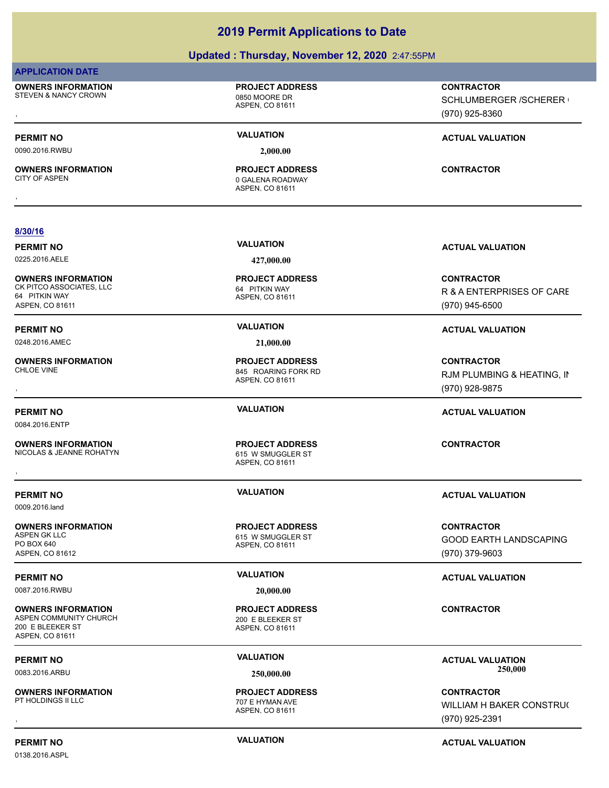### **Updated : Thursday, November 12, 2020** 2:47:55PM

| <b>APPLICATION DATE</b>                               |                                                               |                                                                 |
|-------------------------------------------------------|---------------------------------------------------------------|-----------------------------------------------------------------|
| <b>OWNERS INFORMATION</b><br>STEVEN & NANCY CROWN     | <b>PROJECT ADDRESS</b><br>0850 MOORE DR<br>ASPEN, CO 81611    | <b>CONTRACTOR</b><br>SCHLUMBERGER / SCHERER (<br>(970) 925-8360 |
| <b>PERMIT NO</b>                                      | <b>VALUATION</b>                                              | <b>ACTUAL VALUATION</b>                                         |
| 0090.2016.RWBU                                        | 2,000.00                                                      |                                                                 |
| <b>OWNERS INFORMATION</b><br><b>CITY OF ASPEN</b>     | <b>PROJECT ADDRESS</b><br>0 GALENA ROADWAY<br>ASPEN, CO 81611 | <b>CONTRACTOR</b>                                               |
|                                                       |                                                               |                                                                 |
| 8/30/16                                               |                                                               |                                                                 |
|                                                       | <b>VALUATION</b>                                              |                                                                 |
| <b>PERMIT NO</b><br>0225.2016.AELE                    | 427,000.00                                                    | <b>ACTUAL VALUATION</b>                                         |
|                                                       |                                                               |                                                                 |
| <b>OWNERS INFORMATION</b><br>CK PITCO ASSOCIATES, LLC | <b>PROJECT ADDRESS</b><br>64 PITKIN WAY                       | <b>CONTRACTOR</b>                                               |
| 64 PITKIN WAY                                         | ASPEN, CO 81611                                               | R & A ENTERPRISES OF CARE                                       |
| ASPEN, CO 81611                                       |                                                               | (970) 945-6500                                                  |
| <b>PERMIT NO</b>                                      | <b>VALUATION</b>                                              | <b>ACTUAL VALUATION</b>                                         |
| 0248.2016.AMEC                                        | 21,000.00                                                     |                                                                 |
| <b>OWNERS INFORMATION</b>                             | <b>PROJECT ADDRESS</b>                                        | <b>CONTRACTOR</b>                                               |
| <b>CHLOE VINE</b>                                     | 845 ROARING FORK RD<br>ASPEN, CO 81611                        | RJM PLUMBING & HEATING, IN                                      |
|                                                       |                                                               | (970) 928-9875                                                  |
| <b>PERMIT NO</b>                                      | <b>VALUATION</b>                                              | <b>ACTUAL VALUATION</b>                                         |
| 0084.2016.ENTP                                        |                                                               |                                                                 |
| <b>OWNERS INFORMATION</b>                             | <b>PROJECT ADDRESS</b>                                        | <b>CONTRACTOR</b>                                               |
| NICOLAS & JEANNE ROHATYN                              | 615 W SMUGGLER ST                                             |                                                                 |
|                                                       | ASPEN, CO 81611                                               |                                                                 |
|                                                       |                                                               |                                                                 |
| <b>PERMIT NO</b>                                      | <b>VALUATION</b>                                              | <b>ACTUAL VALUATION</b>                                         |
| 0009.2016.land                                        |                                                               |                                                                 |
| <b>OWNERS INFORMATION</b>                             | <b>PROJECT ADDRESS</b>                                        | <b>CONTRACTOR</b>                                               |
| ASPEN GK LLC<br>PO BOX 640                            | 615 W SMUGGLER ST<br>ASPEN, CO 81611                          | <b>GOOD EARTH LANDSCAPING</b>                                   |
| ASPEN, CO 81612                                       |                                                               | (970) 379-9603                                                  |
| <b>PERMIT NO</b>                                      | <b>VALUATION</b>                                              | <b>ACTUAL VALUATION</b>                                         |
| 0087.2016.RWBU                                        | 20,000.00                                                     |                                                                 |
| <b>OWNERS INFORMATION</b>                             | <b>PROJECT ADDRESS</b>                                        | <b>CONTRACTOR</b>                                               |
| ASPEN COMMUNITY CHURCH                                | 200 E BLEEKER ST                                              |                                                                 |
| 200 E BLEEKER ST<br>ASPEN, CO 81611                   | ASPEN, CO 81611                                               |                                                                 |
|                                                       |                                                               |                                                                 |
| <b>PERMIT NO</b>                                      | <b>VALUATION</b>                                              | <b>ACTUAL VALUATION</b><br>250,000                              |
| 0083.2016.ARBU                                        | 250,000.00                                                    |                                                                 |
| <b>OWNERS INFORMATION</b>                             | <b>PROJECT ADDRESS</b>                                        | <b>CONTRACTOR</b>                                               |
| PT HOLDINGS II LLC                                    | 707 E HYMAN AVE<br>ASPEN, CO 81611                            | WILLIAM H BAKER CONSTRU(                                        |
|                                                       |                                                               | (970) 925-2391                                                  |

0138.2016.ASPL

**PERMIT NO CONSUMITY ACTUAL VALUATION VALUATION**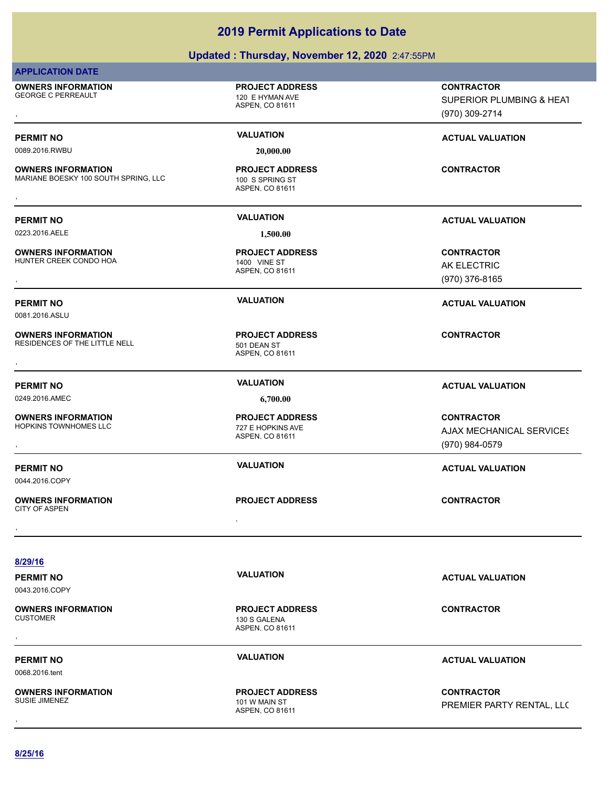### **Updated : Thursday, November 12, 2020** 2:47:55PM

| <b>APPLICATION DATE</b>                                           |                                                                |                                                                 |
|-------------------------------------------------------------------|----------------------------------------------------------------|-----------------------------------------------------------------|
| <b>OWNERS INFORMATION</b><br><b>GEORGE C PERREAULT</b>            | <b>PROJECT ADDRESS</b><br>120 E HYMAN AVE<br>ASPEN, CO 81611   | <b>CONTRACTOR</b><br>SUPERIOR PLUMBING & HEAT<br>(970) 309-2714 |
| <b>PERMIT NO</b>                                                  | <b>VALUATION</b>                                               | <b>ACTUAL VALUATION</b>                                         |
| 0089.2016.RWBU                                                    | 20,000.00                                                      |                                                                 |
| <b>OWNERS INFORMATION</b><br>MARIANE BOESKY 100 SOUTH SPRING, LLC | <b>PROJECT ADDRESS</b><br>100 S SPRING ST<br>ASPEN, CO 81611   | <b>CONTRACTOR</b>                                               |
| <b>PERMIT NO</b>                                                  | <b>VALUATION</b>                                               | <b>ACTUAL VALUATION</b>                                         |
| 0223.2016.AELE                                                    | 1,500.00                                                       |                                                                 |
| <b>OWNERS INFORMATION</b><br>HUNTER CREEK CONDO HOA               | <b>PROJECT ADDRESS</b><br>1400 VINE ST<br>ASPEN, CO 81611      | <b>CONTRACTOR</b><br>AK ELECTRIC<br>(970) 376-8165              |
| <b>PERMIT NO</b>                                                  | <b>VALUATION</b>                                               | <b>ACTUAL VALUATION</b>                                         |
| 0081.2016.ASLU                                                    |                                                                |                                                                 |
| <b>OWNERS INFORMATION</b><br>RESIDENCES OF THE LITTLE NELL        | <b>PROJECT ADDRESS</b><br>501 DEAN ST<br>ASPEN, CO 81611       | <b>CONTRACTOR</b>                                               |
| <b>PERMIT NO</b>                                                  | <b>VALUATION</b>                                               | <b>ACTUAL VALUATION</b>                                         |
| 0249.2016.AMEC                                                    | 6,700.00                                                       |                                                                 |
| <b>OWNERS INFORMATION</b><br>HOPKINS TOWNHOMES LLC                | <b>PROJECT ADDRESS</b><br>727 E HOPKINS AVE<br>ASPEN, CO 81611 | <b>CONTRACTOR</b><br>AJAX MECHANICAL SERVICES<br>(970) 984-0579 |
| <b>PERMIT NO</b><br>0044.2016.COPY                                | <b>VALUATION</b>                                               | <b>ACTUAL VALUATION</b>                                         |
| <b>OWNERS INFORMATION</b><br><b>CITY OF ASPEN</b>                 | <b>PROJECT ADDRESS</b>                                         | <b>CONTRACTOR</b>                                               |
|                                                                   | $\cdot$                                                        |                                                                 |
| 8/29/16                                                           |                                                                |                                                                 |
| <b>PERMIT NO</b><br>0043.2016.COPY                                | <b>VALUATION</b>                                               | <b>ACTUAL VALUATION</b>                                         |
| <b>OWNERS INFORMATION</b><br><b>CUSTOMER</b>                      | <b>PROJECT ADDRESS</b><br>130 S GALENA<br>ASPEN, CO 81611      | <b>CONTRACTOR</b>                                               |
| <b>PERMIT NO</b><br>0068.2016.tent                                | <b>VALUATION</b>                                               | <b>ACTUAL VALUATION</b>                                         |
| <b>OWNERS INFORMATION</b><br>SUSIE JIMENEZ                        | <b>PROJECT ADDRESS</b><br>101 W MAIN ST<br>ASPEN, CO 81611     | <b>CONTRACTOR</b><br>PREMIER PARTY RENTAL, LLC                  |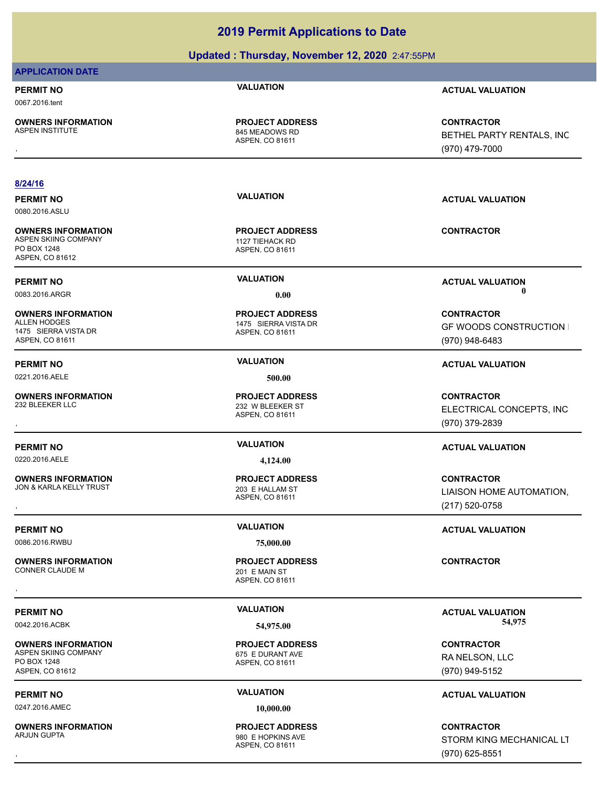### **Updated : Thursday, November 12, 2020** 2:47:55PM

### **APPLICATION DATE PERMIT NO VALUATION ACTUAL VALUATION** 0067.2016.tent ASPEN, CO 81611 **OWNERS INFORMATION**<br>ASPEN INSTITUTE 845 MEADOWS RD **PROJECT ADDRESS OWNERS INFORMATION PROJECT ADDRESS CONTRACTOR**<br>ASPEN INSTITUTE 845 MEADOWS RD BETHEL PARTY RENTALS, INC<br>, ASPEN, CO 81611 **8/24/16 PERMIT NO VALUATION ACTUAL VALUATION** 0080.2016.ASLU ASPEN, CO 81611 **OWNERS INFORMATION** ASPEN SKIING COMPANY 1127 TIEHACK RD **PROJECT ADDRESS** PO BOX 1248 ASPEN, CO 81612 **PERMIT NO CONSUMITY OF A CONSUMITY OF A CONSUMITY OF A CONSUMITY OF A CTUAL VALUATION** 0083.2016.ARGR **0.00 0.00** ASPEN, CO 81611 **OWNERS INFORMATION** 1475 SIERRA VISTA DR **PROJECT ADDRESS** 1475 SIERRA VISTA DR ASPEN, CO 81611 **PERMIT NO VALUATION VALUATION VALUATION** 0221.2016.AELE **500.00** ASPEN, CO 81611 **OWNERS INFORMATION** 232 W BLEEKER ST **PROJECT ADDRESS** , **CONTRACTOR PERMIT NO VALUATION ACTUAL VALUATION** 0220.2016.AELE **4,124.00** ASPEN, CO 81611 **OWNERS INFORMATION** JON & KARLA KELLY TRUST 203 E HALLAM ST **PROJECT ADDRESS** , **CONTRACTOR PERMIT NO VALUATION ACTUAL VALUATION** 0086.2016.RWBU **75,000.00** ASPEN, CO 81611 **OWNERS INFORMATION** CONNER CLAUDE M 201 E MAIN ST **PROJECT ADDRESS** , **CONTRACTOR** PERMIT NO **SALUATION VALUATION**<br>COMPOUS 2016 ACTUAL VALUATION **CALUATION** 0042.2016.ACBK **54,975.00 54,975.00 OWNERS INFORMATION** ASPEN SKIING COMPANY 675 E DURANT AVE **PROJECT ADDRESS**

PO BOX 1248 ASPEN, CO 81612

0247.2016.AMEC **10,000.00**

**OWNERS INFORMATION**

ASPEN, CO 81611

ASPEN, CO 81611 980 E HOPKINS AVE **PROJECT ADDRESS**

BETHEL PARTY RENTALS, INC (970) 479-7000

**CONTRACTOR**

**CONTRACTOR GF WOODS CONSTRUCTION I** (970) 948-6483

ELECTRICAL CONCEPTS, INC (970) 379-2839

LIAISON HOME AUTOMATION, (217) 520-0758

**CONTRACTOR** RA NELSON, LLC (970) 949-5152

### **PERMIT NO VALUATION ACTUAL VALUATION**

, **CONTRACTOR** STORM KING MECHANICAL LT (970) 625-8551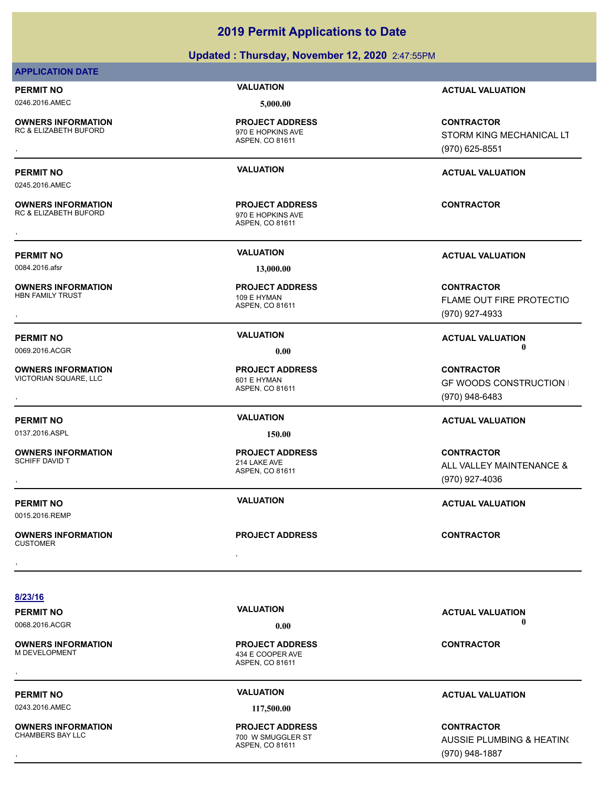| 0246.2016.AMEC                                       | 5,000.00                                                              |                                                                 |
|------------------------------------------------------|-----------------------------------------------------------------------|-----------------------------------------------------------------|
| <b>OWNERS INFORMATION</b><br>RC & ELIZABETH BUFORD   | <b>PROJECT ADDRESS</b><br>970 E HOPKINS AVE<br>ASPEN, CO 81611        | <b>CONTRACTOR</b><br>STORM KING MECHANICAL LT<br>(970) 625-8551 |
| <b>PERMIT NO</b><br>0245.2016.AMEC                   | <b>VALUATION</b>                                                      | <b>ACTUAL VALUATION</b>                                         |
| <b>OWNERS INFORMATION</b><br>RC & ELIZABETH BUFORD   | <b>PROJECT ADDRESS</b><br>970 E HOPKINS AVE<br>ASPEN, CO 81611        | <b>CONTRACTOR</b>                                               |
| <b>PERMIT NO</b><br>0084.2016.afsr                   | <b>VALUATION</b>                                                      | <b>ACTUAL VALUATION</b>                                         |
| <b>OWNERS INFORMATION</b><br><b>HBN FAMILY TRUST</b> | 13,000.00<br><b>PROJECT ADDRESS</b><br>109 E HYMAN<br>ASPEN, CO 81611 | <b>CONTRACTOR</b><br>FLAME OUT FIRE PROTECTIO<br>(970) 927-4933 |
| <b>PERMIT NO</b><br>0069.2016.ACGR                   | <b>VALUATION</b><br>0.00                                              | <b>ACTUAL VALUATION</b><br>$\mathbf{0}$                         |
| <b>OWNERS INFORMATION</b><br>VICTORIAN SQUARE, LLC   | <b>PROJECT ADDRESS</b><br>601 E HYMAN<br>ASPEN, CO 81611              | <b>CONTRACTOR</b><br>GF WOODS CONSTRUCTION I<br>(970) 948-6483  |
| <b>PERMIT NO</b>                                     | <b>VALUATION</b>                                                      | <b>ACTUAL VALUATION</b>                                         |
| 0137.2016.ASPL                                       | 150.00                                                                |                                                                 |
| <b>OWNERS INFORMATION</b><br><b>SCHIFF DAVID T</b>   | <b>PROJECT ADDRESS</b><br>214 LAKE AVE<br>ASPEN, CO 81611             | <b>CONTRACTOR</b><br>ALL VALLEY MAINTENANCE &<br>(970) 927-4036 |
| <b>PERMIT NO</b>                                     | <b>VALUATION</b>                                                      | <b>ACTUAL VALUATION</b>                                         |
| 0015.2016.REMP                                       |                                                                       |                                                                 |
| <b>OWNERS INFORMATION</b><br><b>CUSTOMER</b>         | <b>PROJECT ADDRESS</b>                                                | <b>CONTRACTOR</b>                                               |
|                                                      |                                                                       |                                                                 |

### **8/23/16**

**APPLICATION DATE**

**OWNERS INFORMATION**<br>M DEVELOPMENT

**PERMIT NO CONSUMITY ACTUAL VALUATION VALUATION ACTUAL VALUATION** 

0243.2016.AMEC **117,500.00**

**OWNERS INFORMATION**

ASPEN, CO 81611 434 E COOPER AVE **PROJECT ADDRESS** , **CONTRACTOR**

ASPEN, CO 81611 700 W SMUGGLER ST **PROJECT ADDRESS**

### , **CONTRACTOR** AUSSIE PLUMBING & HEATING (970) 948-1887

**PERMIT NO VALUATION ACTUAL VALUATION** 0068.2016.ACGR **0.00 0.00**

# **2019 Permit Applications to Date**

**Updated : Thursday, November 12, 2020** 2:47:55PM

**PERMIT NO CONSUMITY ACTUAL VALUATION VALUATION** *ACTUAL VALUATION*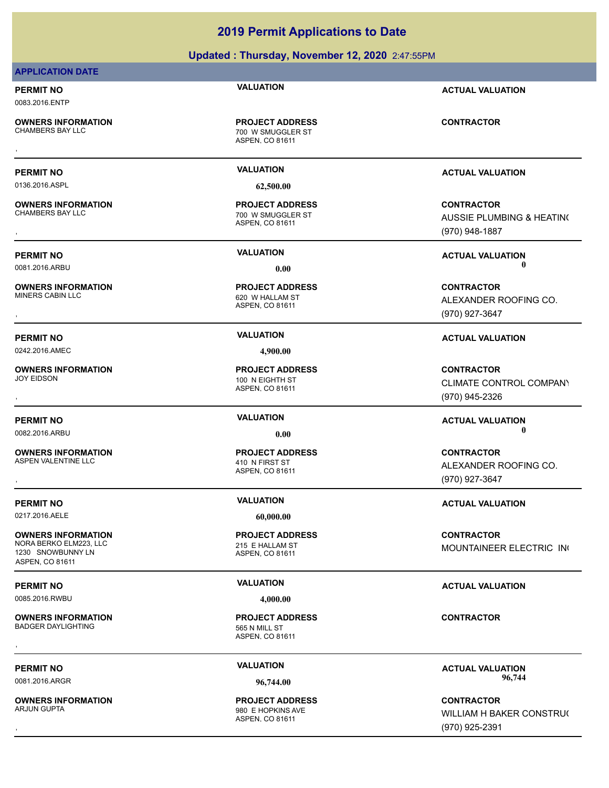### **Updated : Thursday, November 12, 2020** 2:47:55PM

### **APPLICATION DATE**

# 0083.2016.ENTP

**OWNERS INFORMATION**

ASPEN, CO 81611 700 W SMUGGLER ST **PROJECT ADDRESS** , **CONTRACTOR**

0136.2016.ASPL **62,500.00**

**OWNERS INFORMATION**

**OWNERS INFORMATION**

0242.2016.AMEC **4,900.00**

**OWNERS INFORMATION**

**OWNERS INFORMATION** ASPEN VALENTINE LLC ASPEN VALENTINE LLC

0217.2016.AELE **60,000.00**

**OWNERS INFORMATION** NORA BERKO ELM223, LLC<br>215 E HALLAM ST 1230 SNOWBUNNY LN ASPEN, CO 81611

0085.2016.RWBU **4,000.00**

**OWNERS INFORMATION** BADGER DAYLIGHTING 565 N MILL ST

**OWNERS INFORMATION**

ASPEN, CO 81611 700 W SMUGGLER ST **PROJECT ADDRESS**

ASPEN, CO 81611 620 W HALLAM ST **PROJECT ADDRESS**

ASPEN, CO 81611 100 N EIGHTH ST **PROJECT ADDRESS**

ASPEN, CO 81611

ASPEN, CO 81611 **PROJECT ADDRESS**

ASPEN, CO 81611 , **CONTRACTOR**

ASPEN, CO 81611 980 E HOPKINS AVE **PROJECT ADDRESS**

**PERMIT NO VALUATION ACTUAL VALUATION**

**PERMIT NO VALUATION ACTUAL VALUATION**

, **CONTRACTOR** AUSSIE PLUMBING & HEATING (970) 948-1887

**PERMIT NO VALUATION ACTUAL VALUATION** 0081.2016.ARBU **0.00 0.00**

, **CONTRACTOR** ALEXANDER ROOFING CO. (970) 927-3647

### **PERMIT NO VALUATION ACTUAL VALUATION**

, **CONTRACTOR** CLIMATE CONTROL COMPANY (970) 945-2326

# **PERMIT NO CONSUMITY OF A CONSUMITY OF A CONSUMITY OF A CONSUMITY OF A CTUAL VALUATION**

, **CONTRACTOR** ALEXANDER ROOFING CO. (970) 927-3647

### **PERMIT NO VALUATION VALUATION VALUATION**

**CONTRACTOR** MOUNTAINEER ELECTRIC INC

### **PERMIT NO VALUATION VALUATION VALUATION**

PERMIT NO **1991 1992 12016 ACTUAL VALUATION**<br>
2008 1994 2016 APCP 96.744 0081.2016.ARGR **96,744.00 96,744.00**

, **CONTRACTOR** WILLIAM H BAKER CONSTRUC (970) 925-2391

**PROJECT ADDRESS**

0082.2016.ARBU **0.00 0.00**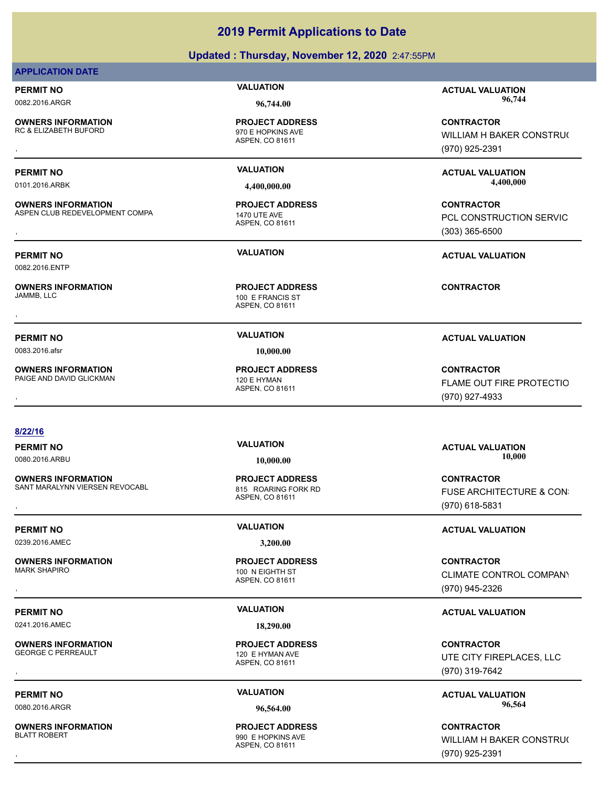# **Updated : Thursday, November 12, 2020** 2:47:55PM **2019 Permit Applications to Date**

### **APPLICATION DATE**

**OWNERS INFORMATION**

**OWNERS INFORMATION**

**OWNERS INFORMATION**

**OWNERS INFORMATION**

0082.2016.ENTP

ASPEN, CO 81611 970 E HOPKINS AVE **PROJECT ADDRESS**

ASPEN, CO 81611 100 E FRANCIS ST , **CONTRACTOR**

0083.2016.afsr **10,000.00**

ASPEN, CO 81611 PAIGE AND DAVID GLICKMAN 120 E HYMAN **PROJECT ADDRESS**

### **8/22/16**

**OWNERS INFORMATION** SANT MARALYNN VIERSEN REVOCABL 815 ROARING FORK RD

0239.2016.AMEC **3,200.00**

**OWNERS INFORMATION**

0241.2016.AMEC **18,290.00**

**OWNERS INFORMATION**

**OWNERS INFORMATION**

ASPEN, CO 81611 **PROJECT ADDRESS**

ASPEN, CO 81611 100 N EIGHTH ST **PROJECT ADDRESS**

ASPEN, CO 81611 120 E HYMAN AVE **PROJECT ADDRESS**

ASPEN, CO 81611 990 E HOPKINS AVE **PROJECT ADDRESS**

**PERMIT NO VALUATION ACTUAL VALUATION** 0082.2016.ARGR **96,744.00 96,744.00**

**OWNERS INFORMATION PROJECT ADDRESS CONTRACTOR**<br>RC & ELIZABETH BUFORD 970 E HOPKINS AVE WILLIAM H BAKER CONSTRU(<br>, ASPEN, CO 81611 WILLIAM H BAKER CONSTRUC (970) 925-2391

**OWNERS INFORMATION METALLY CONTRACTOR DESCRIPTION ON MERGUIDE PROJECT ADDRESS ARE CONTRACTOR CONTRACTOR CONTRO<br>ASPEN CLUB REDEVELOPMENT COMPA ASPEN, CO 81611 ASPEN, CO 81611 METAL CONSTRUCTION SERVIC<br>ASPEN, CO 81611 METAL** PCL CONSTRUCTION SERVIC (303) 365-6500

**PERMIT NO VALUATION ACTUAL VALUATION**

### **PERMIT NO VALUATION ACTUAL VALUATION**

, **CONTRACTOR** FLAME OUT FIRE PROTECTIO (970) 927-4933

**PERMIT NO VALUATION ACTUAL VALUATION** 0080.2016.ARBU **10,000.00 10,000.00**

**OWNERS INFORMATION EXECUTE: SANT MARALYNN WERSEN SANT MARALYNN VIERSEN REVOCABL BEFOURE OF PROJECT ADDRESS FOR<br>BANT MARALYNN VIERSEN REVOCABL BEFOURE: A BASPEN, CO 81611<br>, The Magnetic Company of the ASPEN, CO 81611 (970)** FUSE ARCHITECTURE & CON: (970) 618-5831

### **PERMIT NO VALUATION ACTUAL VALUATION**

, **CONTRACTOR** CLIMATE CONTROL COMPANY (970) 945-2326

### **PERMIT NO VALUATION ACTUAL VALUATION**

**OWNERS INFORMATION PROJECT ADDRESS CONTRACTOR**<br>GEORGE C PERREAULT 120 E HYMAN AVE UTE CITY FIREPLACES, LLC<br>, ASPEN. CO 81611 UTE CITY FIREPLACES, LLC (970) 319-7642

**PERMIT NO VALUATION ACTUAL VALUATION** 0080.2016.ARGR **96,564.00 96,564.00**

, **CONTRACTOR** WILLIAM H BAKER CONSTRUC (970) 925-2391

**PERMIT NO VALUATION ACTUAL VALUATION** 0101.2016.ARBK **4,400,000.00 4,400,000.00**

ASPEN, CO 81611 ASPEN CLUB REDEVELOPMENT COMPA 1470 UTE AVE **PROJECT ADDRESS**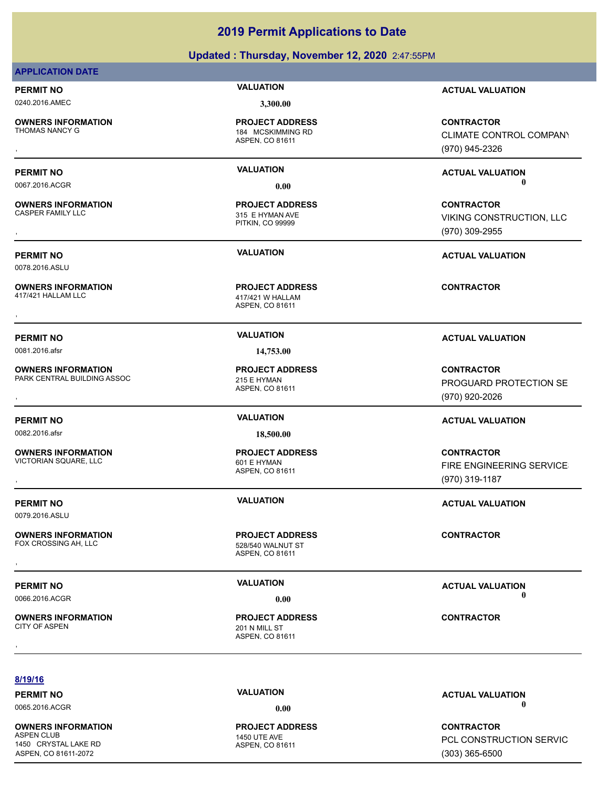### **Updated : Thursday, November 12, 2020** 2:47:55PM

### **APPLICATION DATE**

# 0240.2016.AMEC **3,300.00**

**OWNERS INFORMATION**

**OWNERS INFORMATION**

**OWNERS INFORMATION**

**OWNERS INFORMATION**

# **PROJECT ADDRESS**

ASPEN, CO 81611

PITKIN, CO 99999 315 E HYMAN AVE

ASPEN, CO 81611 417/421 W HALLAM **OWNERS INFORMATION FROJECT ADDRESS ARE:**<br>417/421 HALLAM LLC **ADDRESS ARE:**<br>ASPEN, CO 81611<br>,

0081.2016.afsr **14,753.00**

ASPEN, CO 81611 **PROJECT ADDRESS**

ASPEN, CO 81611

ASPEN, CO 81611

ASPEN, CO 81611 , **CONTRACTOR**

**PERMIT NO VALUATION ACTUAL VALUATION**

, **CONTRACTOR** CLIMATE CONTROL COMPANY (970) 945-2326

0067.2016.ACGR **0.00 0.00**

, **CONTRACTOR** VIKING CONSTRUCTION, LLC (970) 309-2955

### **PERMIT NO VALUATION ACTUAL VALUATION**

, **CONTRACTOR** PROGUARD PROTECTION SE (970) 920-2026

### **PERMIT NO VALUATION ACTUAL VALUATION**

**OWNERS INFORMATION PROJECT ADDRESS CONTRACTOR**<br>VICTORIAN SQUARE, LLC 601 E HYMAN FIRE ENGINEERING SERVICE<br>, ASPEN, CO 81611 **FIRE ENGINEERING SERVICE** (970) 319-1187

**PERMIT NO VALUATION ACTUAL VALUATION**

**8/19/16**

### **OWNERS INFORMATION** ASPEN CLUB **1450 UTE AVE** 1450 CRYSTAL LAKE RD ASPEN, CO 81611-2072

ASPEN, CO 81611 **PROJECT ADDRESS**

**PERMIT NO CONSUMITY OF A CONSUMITY OF A CONSUMITY OF A CONSUMITY OF A CTUAL VALUATION** 0065.2016.ACGR **0.00 0.00**

> **CONTRACTOR** PCL CONSTRUCTION SERVIC (303) 365-6500

# **PERMIT NO VALUATION ACTUAL VALUATION**

FOX CROSSING AH, LLC 528/540 WALNUT ST **PROJECT ADDRESS** , **CONTRACTOR**

**PROJECT ADDRESS**

PARK CENTRAL BUILDING ASSOC 215 E HYMAN

0078.2016.ASLU

**OWNERS INFORMATION** VICTORIAN SQUARE, LLC<br>
601 E HYMAN

0079.2016.ASLU

**OWNERS INFORMATION**

CITY OF ASPEN 201 N MILL ST

**OWNERS INFORMATION**

0066.2016.ACGR **0.00 0.00**

0082.2016.afsr **18,500.00 PROJECT ADDRESS**

**PERMIT NO VALUATION ACTUAL VALUATION**

**PROJECT ADDRESS**

## 184 MCSKIMMING RD

**PERMIT NO VALUATION ACTUAL VALUATION**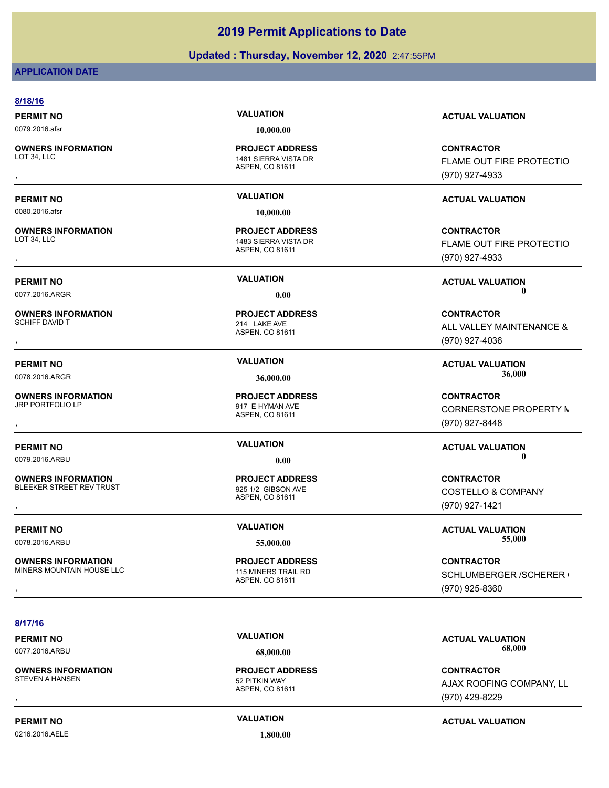### **Updated : Thursday, November 12, 2020** 2:47:55PM

### **APPLICATION DATE**

### **8/18/16 PERMIT NO VALUATION ACTUAL VALUATION** 0079.2016.afsr **10,000.00** ASPEN, CO 81611 **OWNERS INFORMATION** 1481 SIERRA VISTA DR **PROJECT ADDRESS** , **CONTRACTOR** (970) 927-4933 **PERMIT NO VALUATION ACTUAL VALUATION** 0080.2016.afsr **10,000.00** ASPEN, CO 81611 **OWNERS INFORMATION** 1483 SIERRA VISTA DR **PROJECT ADDRESS** , **CONTRACTOR** (970) 927-4933 **PERMIT NO CONSUMITY OF A CONSUMITY OF A CONSUMITY OF A CONSUMITY OF A CTUAL VALUATION** 0077.2016.ARGR **0.00 0.00** ASPEN, CO 81611 **OWNERS INFORMATION** 214 LAKE AVE **PROJECT ADDRESS OWNERS INFORMATION PROJECT ADDRESS CONTRACTOR**<br>SCHIFF DAVID T 214 LAKE AVE ALL VALLEY MAINTENANCE &<br>, ASPEN, CO 81611 (970) 927-4036 **PERMIT NO VALUATION ACTUAL VALUATION** 0078.2016.ARGR **36,000.00 36,000.00** ASPEN, CO 81611 **OWNERS INFORMATION** 917 E HYMAN AVE **PROJECT ADDRESS OWNERS INFORMATION PROJECT ADDRESS CONTRACTOR**<br>JRP PORTFOLIO LP 917 E HYMAN AVE CORNERSTONE PROPERTY N<br>, ASPEN. CO 81611 (970) 927-8448 **PERMIT NO VALUATION ACTUAL VALUATION** 0079.2016.ARBU **0.00 0.00** ASPEN, CO 81611 **OWNERS INFORMATION** BLEEKER STREET REV TRUST 925 1/2 GIBSON AVE **PROJECT ADDRESS OWNERS INFORMATION GOVERNEY ARE SERVED BY A SPEN CORRESS CONTRACTOR CONTRACTOR**<br>BLEEKER STREET REV TRUST TRUST THE SERVED ASPEN, CO 81611<br>, GOVERNEY TRUST TRUST ASPEN, CO 81611 COSTELLO & COMPANY (970) 927-1421 **PERMIT NO VALUATION ACTUAL VALUATION** 0078.2016.ARBU **55,000.00 55,000.00** ASPEN, CO 81611 **OWNERS INFORMATION** MINERS MOUNTAIN HOUSE LLC 115 MINERS TRAIL RD **PROJECT ADDRESS OWNERS INFORMATION GOVERNED BY A SERVICE PROJECT ADDRESS ARE:**<br>MINERS MOUNTAIN HOUSE LLC GOVERNED ASPEN, CO 81611 CONTRACTOR SCHLUMBERGER /SCHERER I<br>ASPEN, CO 81611 (970) 925-8360 (970) 925-8360 **8/17/16 PERMIT NO VALUATION ACTUAL VALUATION** 0077.2016.ARBU **68,000.00 68,000.00**

**OWNERS INFORMATION** STEVEN A HANSEN 62 PITKIN WAY

0216.2016.AELE **1,800.00**

ASPEN, CO 81611

**PROJECT ADDRESS**

FLAME OUT FIRE PROTECTIO

FLAME OUT FIRE PROTECTIO

ALL VALLEY MAINTENANCE &

CORNERSTONE PROPERTY M

SCHLUMBERGER /SCHERER (

, **CONTRACTOR** AJAX ROOFING COMPANY, LL (970) 429-8229

### **PERMIT NO VALUATION ACTUAL VALUATION**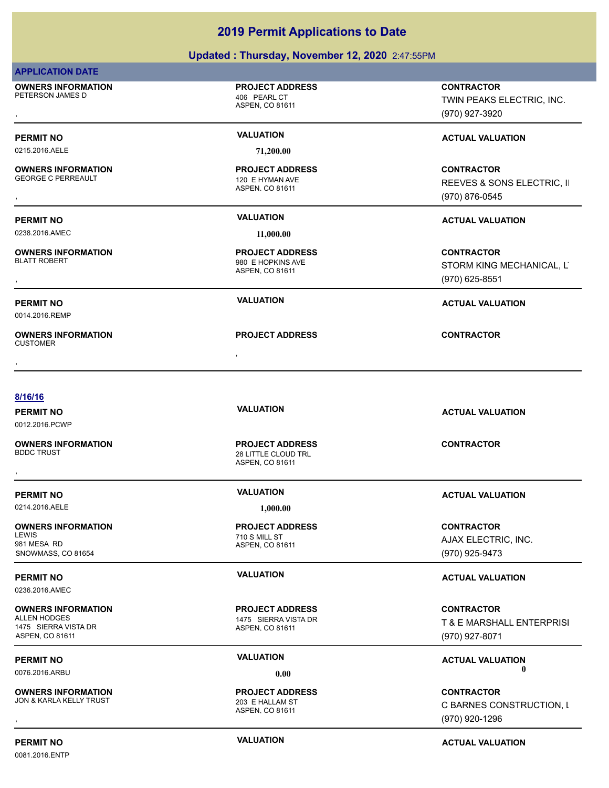### **Updated : Thursday, November 12, 2020** 2:47:55PM

| <b>APPLICATION DATE</b>                                                                     |                                                                   |                                                                   |
|---------------------------------------------------------------------------------------------|-------------------------------------------------------------------|-------------------------------------------------------------------|
| <b>OWNERS INFORMATION</b><br>PETERSON JAMES D                                               | <b>PROJECT ADDRESS</b><br>406 PEARL CT<br>ASPEN, CO 81611         | <b>CONTRACTOR</b><br>TWIN PEAKS ELECTRIC, INC.<br>(970) 927-3920  |
| <b>PERMIT NO</b>                                                                            | <b>VALUATION</b>                                                  | <b>ACTUAL VALUATION</b>                                           |
| 0215.2016.AELE                                                                              | 71,200.00                                                         |                                                                   |
| <b>OWNERS INFORMATION</b><br><b>GEORGE C PERREAULT</b>                                      | <b>PROJECT ADDRESS</b><br>120 E HYMAN AVE<br>ASPEN, CO 81611      | <b>CONTRACTOR</b><br>REEVES & SONS ELECTRIC, II<br>(970) 876-0545 |
| <b>PERMIT NO</b>                                                                            | <b>VALUATION</b>                                                  | <b>ACTUAL VALUATION</b>                                           |
| 0238.2016.AMEC                                                                              | 11,000.00                                                         |                                                                   |
| <b>OWNERS INFORMATION</b><br><b>BLATT ROBERT</b>                                            | <b>PROJECT ADDRESS</b><br>980 E HOPKINS AVE<br>ASPEN, CO 81611    | <b>CONTRACTOR</b><br>STORM KING MECHANICAL, L<br>$(970)$ 625-8551 |
| <b>PERMIT NO</b><br>0014.2016.REMP                                                          | <b>VALUATION</b>                                                  | <b>ACTUAL VALUATION</b>                                           |
| <b>OWNERS INFORMATION</b><br><b>CUSTOMER</b>                                                | <b>PROJECT ADDRESS</b>                                            | <b>CONTRACTOR</b>                                                 |
|                                                                                             | $\bullet$                                                         |                                                                   |
| 8/16/16<br><b>PERMIT NO</b><br>0012.2016.PCWP                                               | <b>VALUATION</b>                                                  | <b>ACTUAL VALUATION</b>                                           |
| <b>OWNERS INFORMATION</b><br><b>BDDC TRUST</b>                                              | <b>PROJECT ADDRESS</b><br>28 LITTLE CLOUD TRL<br>ASPEN, CO 81611  | <b>CONTRACTOR</b>                                                 |
| <b>PERMIT NO</b>                                                                            | <b>VALUATION</b>                                                  | <b>ACTUAL VALUATION</b>                                           |
| 0214.2016.AELE                                                                              | 1.000.00                                                          |                                                                   |
| <b>OWNERS INFORMATION</b><br><b>LEWIS</b><br>981 MESA RD<br>SNOWMASS, CO 81654              | <b>PROJECT ADDRESS</b><br>710 S MILL ST<br>ASPEN, CO 81611        | <b>CONTRACTOR</b><br>AJAX ELECTRIC, INC.<br>(970) 925-9473        |
| <b>PERMIT NO</b><br>0236.2016.AMEC                                                          | <b>VALUATION</b>                                                  | <b>ACTUAL VALUATION</b>                                           |
| <b>OWNERS INFORMATION</b><br><b>ALLEN HODGES</b><br>1475 SIERRA VISTA DR<br>ASPEN, CO 81611 | <b>PROJECT ADDRESS</b><br>1475 SIERRA VISTA DR<br>ASPEN, CO 81611 | <b>CONTRACTOR</b><br>T & E MARSHALL ENTERPRISI<br>(970) 927-8071  |
| <b>PERMIT NO</b>                                                                            | <b>VALUATION</b>                                                  | <b>ACTUAL VALUATION</b>                                           |
| 0076.2016.ARBU                                                                              | 0.00                                                              | 0                                                                 |
| <b>OWNERS INFORMATION</b><br><b>JON &amp; KARLA KELLY TRUST</b>                             | <b>PROJECT ADDRESS</b><br>203 E HALLAM ST<br>ASPEN, CO 81611      | <b>CONTRACTOR</b><br>C BARNES CONSTRUCTION, I<br>(970) 920-1296   |
| <b>PERMIT NO</b>                                                                            | <b>VALUATION</b>                                                  | <b>ACTUAL VALUATION</b>                                           |

0081.2016.ENTP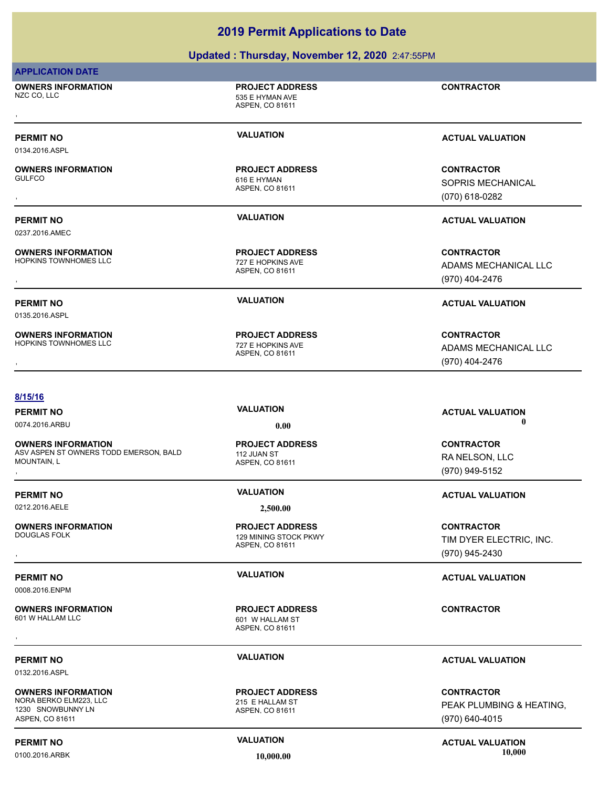### **Updated : Thursday, November 12, 2020** 2:47:55PM

| <b>APPLICATION DATE</b>                                                                     |                                                                    |                                                                 |
|---------------------------------------------------------------------------------------------|--------------------------------------------------------------------|-----------------------------------------------------------------|
| <b>OWNERS INFORMATION</b><br>NZC CO, LLC                                                    | <b>PROJECT ADDRESS</b><br>535 E HYMAN AVE<br>ASPEN, CO 81611       | <b>CONTRACTOR</b>                                               |
| <b>PERMIT NO</b><br>0134.2016.ASPL                                                          | <b>VALUATION</b>                                                   | <b>ACTUAL VALUATION</b>                                         |
| <b>OWNERS INFORMATION</b><br><b>GULFCO</b>                                                  | <b>PROJECT ADDRESS</b><br>616 E HYMAN<br>ASPEN, CO 81611           | <b>CONTRACTOR</b><br>SOPRIS MECHANICAL<br>(070) 618-0282        |
| <b>PERMIT NO</b><br>0237.2016.AMEC                                                          | <b>VALUATION</b>                                                   | <b>ACTUAL VALUATION</b>                                         |
| <b>OWNERS INFORMATION</b><br><b>HOPKINS TOWNHOMES LLC</b>                                   | <b>PROJECT ADDRESS</b><br>727 E HOPKINS AVE<br>ASPEN, CO 81611     | <b>CONTRACTOR</b><br>ADAMS MECHANICAL LLC<br>(970) 404-2476     |
| <b>PERMIT NO</b><br>0135.2016.ASPL                                                          | <b>VALUATION</b>                                                   | <b>ACTUAL VALUATION</b>                                         |
| <b>OWNERS INFORMATION</b><br>HOPKINS TOWNHOMES LLC                                          | <b>PROJECT ADDRESS</b><br>727 E HOPKINS AVE<br>ASPEN, CO 81611     | <b>CONTRACTOR</b><br>ADAMS MECHANICAL LLC<br>(970) 404-2476     |
| 8/15/16<br><b>PERMIT NO</b><br>0074.2016.ARBU                                               | <b>VALUATION</b><br>0.00                                           | <b>ACTUAL VALUATION</b><br>0                                    |
| <b>OWNERS INFORMATION</b><br>ASV ASPEN ST OWNERS TODD EMERSON, BALD<br>MOUNTAIN, L          | <b>PROJECT ADDRESS</b><br>112 JUAN ST<br>ASPEN, CO 81611           | <b>CONTRACTOR</b><br>RA NELSON, LLC<br>(970) 949-5152           |
| <b>PERMIT NO</b><br>0212.2016.AELE                                                          | <b>VALUATION</b><br>2,500.00                                       | <b>ACTUAL VALUATION</b>                                         |
| <b>OWNERS INFORMATION</b><br><b>DOUGLAS FOLK</b>                                            | <b>PROJECT ADDRESS</b><br>129 MINING STOCK PKWY<br>ASPEN, CO 81611 | <b>CONTRACTOR</b><br>TIM DYER ELECTRIC, INC.<br>(970) 945-2430  |
| <b>PERMIT NO</b><br>0008.2016.ENPM                                                          | <b>VALUATION</b>                                                   | <b>ACTUAL VALUATION</b>                                         |
| <b>OWNERS INFORMATION</b><br>601 W HALLAM LLC                                               | <b>PROJECT ADDRESS</b><br>601 W HALLAM ST<br>ASPEN, CO 81611       | <b>CONTRACTOR</b>                                               |
| <b>PERMIT NO</b><br>0132.2016.ASPL                                                          | <b>VALUATION</b>                                                   | <b>ACTUAL VALUATION</b>                                         |
| <b>OWNERS INFORMATION</b><br>NORA BERKO ELM223, LLC<br>1230 SNOWBUNNY LN<br>ASPEN, CO 81611 | <b>PROJECT ADDRESS</b><br>215 E HALLAM ST<br>ASPEN, CO 81611       | <b>CONTRACTOR</b><br>PEAK PLUMBING & HEATING,<br>(970) 640-4015 |

PERMIT NO<br>0100.2016.ARBK 10.000 **VALUATION**<br>10.000 **VALUATION** 0100.2016.ARBK **10,000.00 10,000.00**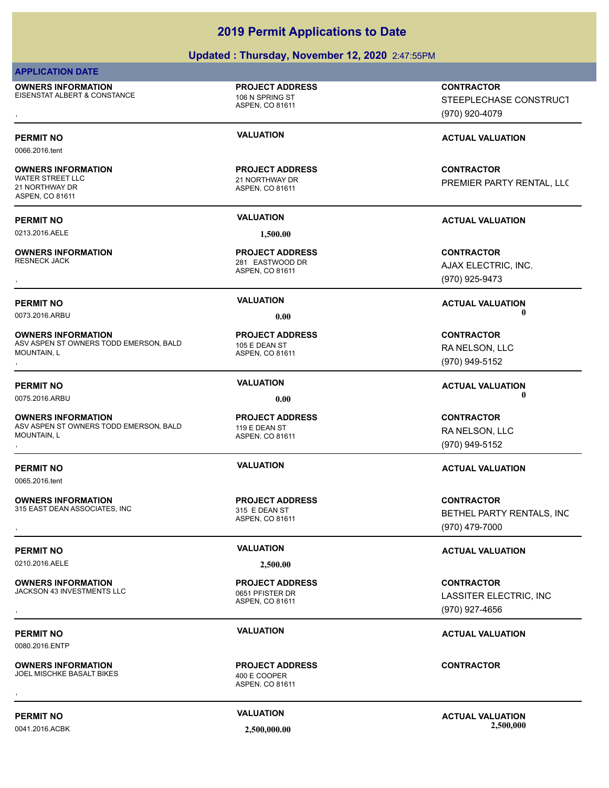### **Updated : Thursday, November 12, 2020** 2:47:55PM

### **APPLICATION DATE**

**OWNERS INFORMATION** EISENSTAT ALBERT & CONSTANCE 106 N SPRING ST

ASPEN, CO 81611 **PROJECT ADDRESS**

0066.2016.tent

### **OWNERS INFORMATION**

WATER STREET LLC **21 NORTHWAY DR** 21 NORTHWAY DR ASPEN, CO 81611

MOUNTAIN, L

MOUNTAIN, L

0065.2016.tent

**OWNERS INFORMATION**

**OWNERS INFORMATION**

**OWNERS INFORMATION**

**OWNERS INFORMATION**

**OWNERS INFORMATION**

**OWNERS INFORMATION**

ASV ASPEN ST OWNERS TODD EMERSON, BALD

ASV ASPEN ST OWNERS TODD EMERSON, BALD

**PERMIT NO VALUATION ACTUAL VALUATION** 0213.2016.AELE **1,500.00**

**PROJECT ADDRESS**

ASPEN, CO 81611

ASPEN, CO 81611 281 EASTWOOD DR **PROJECT ADDRESS**

ASPEN, CO 81611 105 E DEAN ST **PROJECT ADDRESS**

ASPEN, CO 81611 119 E DEAN ST **PROJECT ADDRESS OWNERS INFORMATION DEMERSON, BALD REGULAR PROJECT ADDRESS ARE SONTRACTOR CONTRACTOR CONTRACTOR ASPEN STOURD ASPEN<br>ASV ASPEN STOWNERS TODD EMERSON, BALD 119 E DEAN ST RANELSON, LLC RANELSON, LLC RANELSON, LLC RANELSON, LLC** 

ASPEN, CO 81611 315 EAST DEAN ASSOCIATES, INC<br>315 E DEAN ST **PROJECT ADDRESS**

ASPEN, CO 81611 JACKSON 43 INVESTMENTS LLC<br>0651 PFISTER DR

### JOEL MISCHKE BASALT BIKES 400 E COOPER **PROJECT ADDRESS OWNERS INFORMATION GOVER SERVICE PROJECT ADDRESS ARE:**<br>JOEL MISCHKE BASALT BIKES THE SERVICE OF A 400 E COOPER<br>ASPEN, CO 81611

ASPEN, CO 81611

**OWNERS INFORMATION METALLY SERVICE TO A PROJECT ADDRESS ARE:**<br>EISENSTAT ALBERT & CONSTANCE TO A SPRING ST TO A SPRING ST TO A SPERIE STEEPLE CHASE CONSTRUCT<br>, the metal of the spent of the spent of the spent of the spent STEEPLECHASE CONSTRUCT (970) 920-4079

### **PERMIT NO VALUATION VALUATION VALUATION**

**CONTRACTOR** PREMIER PARTY RENTAL, LLC

, **CONTRACTOR** AJAX ELECTRIC, INC. (970) 925-9473

**PERMIT NO CONSUMITY ACTUAL VALUATION VALUATION VALUATION** 0073.2016.ARBU **0.00 0.00**

**OWNERS INFORMATION DEMERSON, BALD REGIST ADDRESS ARE SERVICE ONTRACTOR CONTRACTOR**<br>ASV ASPEN ST OWNERS TODD EMERSON, BALD 105 E DEAN ST **DEAN ST ANNELSON, LLC REAN ELSON, LLC**<br>MOUNTAIN, L **ASPEN, CO 81611** 100 100 100 100 RA NELSON, LLC (970) 949-5152

**PERMIT NO VALUATION ACTUAL VALUATION** 0075.2016.ARBU **0.00 0.00**

# RA NELSON, LLC (970) 949-5152

### **PERMIT NO VALUATION ACTUAL VALUATION**

**OWNERS INFORMATION METALLY CONTRACTOR SERVICES AND REGULAR SERVICES SURFACTOR CONTRACTOR SERVICES SURFACTOR SH<br>
315 EAST DEAN ASSOCIATES, INC ASPEN, CO 81611 MASPEN, CO 81611 MASPEN, CO 81611 MASPEN (970) 479-7000** BETHEL PARTY RENTALS, INC (970) 479-7000

**OWNERS INFORMATION LEADURED BY A SERVICE TO A SERVICE ADDRESS AND RESULTS ON TRACTOR CONTRACTOR CONTRACTOR**<br>JACKSON 43 INVESTMENTS LLC LEADURER DRIVERS ASPEN, CO 81611<br>, Many 1970) 927-4656 LASSITER ELECTRIC, INC (970) 927-4656

### **PERMIT NO VALUATION ACTUAL VALUATION**

**PERMIT NO VALUATION ACTUAL VALUATION** 0041.2016.ACBK **2,500,000.00 2,500,000.00**

0080.2016.ENTP

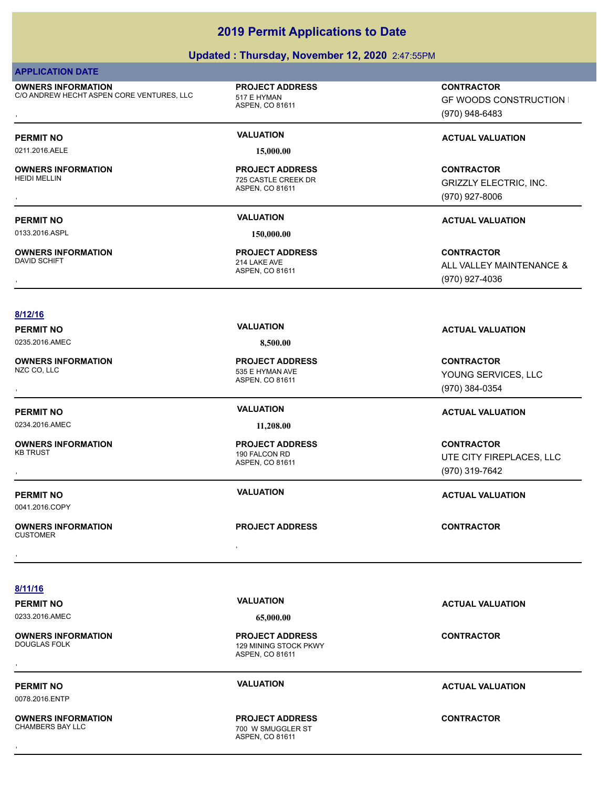### **Updated : Thursday, November 12, 2020** 2:47:55PM

|--|

**OWNERS INFORMATION** C/O ANDREW HECHT ASPEN CORE VENTURES, LLC 517 E HYMAN

**PROJECT ADDRESS**

ASPEN, CO 81611

ASPEN, CO 81611

ASPEN, CO 81611

ASPEN, CO 81611

ASPEN, CO 81611

**PROJECT ADDRESS**

190 FALCON RD **PROJECT ADDRESS**

535 E HYMAN AVE **PROJECT ADDRESS**

214 LAKE AVE **PROJECT ADDRESS**

725 CASTLE CREEK DR **PROJECT ADDRESS**

**OWNERS INFORMATION CORE VENTURES, LLC FROJECT ADDRESS FROM THE CONTRACTOR**<br>C/O ANDREW HECHT ASPEN CORE VENTURES, LLC FROM THE HYMAN THE SERVICE OF WOODS CONSTRUCTION I<br>ASPEN. CO 81611 FROM THE SERVICE OF 1970) 948-6483 GF WOODS CONSTRUCTION I (970) 948-6483

0211.2016.AELE **15,000.00**

### **OWNERS INFORMATION**

0133.2016.ASPL **150,000.00** 

# **OWNERS INFORMATION**<br>DAVID SCHIFT

### **8/12/16**

0235.2016.AMEC **8,500.00**

**OWNERS INFORMATION**

0234.2016.AMEC **11,208.00**

# **OWNERS INFORMATION**

0041.2016.COPY

### , **OWNERS INFORMATION** CUSTOMER , **CONTRACTOR**

### **8/11/16**

# 0233.2016.AMEC **65,000.00**

**OWNERS INFORMATION**<br>DOUGLAS FOLK

0078.2016.ENTP

**OWNERS INFORMATION**

### ASPEN, CO 81611 129 MINING STOCK PKWY **PROJECT ADDRESS** , **CONTRACTOR**

ASPEN, CO 81611 700 W SMUGGLER ST **PROJECT ADDRESS** , **CONTRACTOR**

### **PERMIT NO VALUATION VALUATION VALUATION**

, **CONTRACTOR** GRIZZLY ELECTRIC, INC. (970) 927-8006

### **PERMIT NO VALUATION ACTUAL VALUATION**

**OWNERS INFORMATION PROJECT ADDRESS CONTRACTOR**<br>DAVID SCHIFT 214 LAKE AVE ALL VALLEY MAINTENANCE &<br>, ASPEN. CO 81611 ALL VALLEY MAINTENANCE & (970) 927-4036

### **PERMIT NO VALUATION VALUATION VALUATION**

, **CONTRACTOR** YOUNG SERVICES, LLC (970) 384-0354

### **PERMIT NO VALUATION ACTUAL VALUATION**

, **CONTRACTOR** UTE CITY FIREPLACES, LLC (970) 319-7642

### **PERMIT NO VALUATION ACTUAL VALUATION**

**PERMIT NO VALUATION ACTUAL VALUATION**

**PERMIT NO VALUATION ACTUAL VALUATION**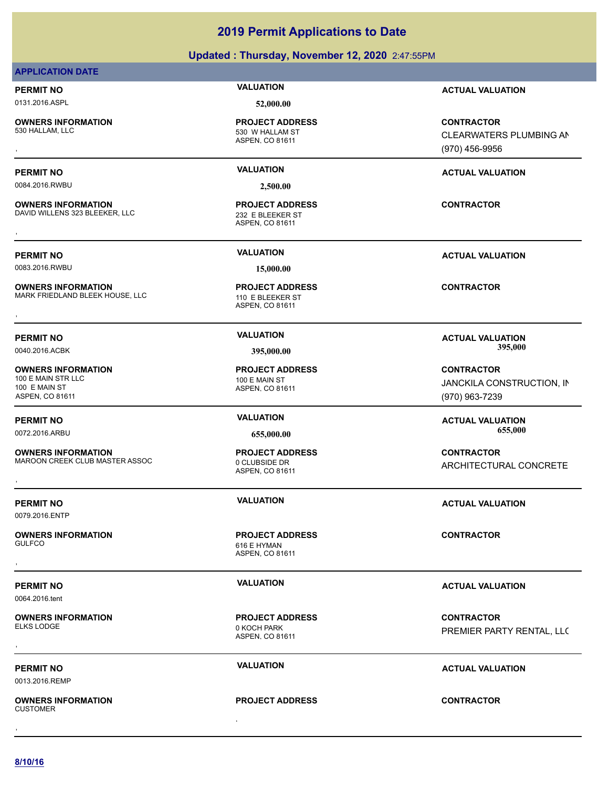### **Updated : Thursday, November 12, 2020** 2:47:55PM

### **APPLICATION DATE**

0131.2016.ASPL **52,000.00**

**OWNERS INFORMATION**

0084.2016.RWBU **2,500.00**

**OWNERS INFORMATION** DAVID WILLENS 323 BLEEKER, LLC 232 E BLEEKER ST

0083.2016.RWBU **15,000.00**

**OWNERS INFORMATION** MARK FRIEDLAND BLEEK HOUSE, LLC 110 E BLEEKER ST **OWNERS INFORMATION USE:**<br>MARK FRIEDLAND BLEEK HOUSE, LLC ASPEN, CO 81611 ASPEN, CO 81611<br>,

**OWNERS INFORMATION** 100 E MAIN STR LLC 100 E MAIN ST 100 E MAIN ST ASPEN, CO 81611

**OWNERS INFORMATION** MAROON CREEK CLUB MASTER ASSOC 0 CLUBSIDE DR

0079.2016.ENTP

**OWNERS INFORMATION**

0064.2016.tent

**OWNERS INFORMATION** ELKS LODGE 6 NOCH PARK

0013.2016.REMP

, **OWNERS INFORMATION**

CUSTOMER

ASPEN, CO 81611 530 W HALLAM ST **PROJECT ADDRESS**

ASPEN, CO 81611 **PROJECT ADDRESS OWNERS INFORMATION METALLY SETS ARE ASSESS TO A SERVE THE SERVE SERVER STRACTOR SERVER STRACTOR SERVER STRACTOR**<br>DAVID WILLENS 323 BLEEKER, LLC ASPEN, 232 E BLEEKER ST<br>,

ASPEN, CO 81611 **PROJECT ADDRESS**

ASPEN, CO 81611 **PROJECT ADDRESS**

ASPEN, CO 81611 **PROJECT ADDRESS**

ASPEN, CO 81611 GULFCO 616 E HYMAN 616 E HYMAN **PROJECT ADDRESS** , **CONTRACTOR**

ASPEN, CO 81611 **PROJECT ADDRESS**

**PROJECT ADDRESS** , **CONTRACTOR**

**PERMIT NO VALUATION ACTUAL VALUATION**

, **CONTRACTOR** CLEARWATERS PLUMBING AN (970) 456-9956

### **PERMIT NO VALUATION ACTUAL VALUATION**

**PERMIT NO VALUATION ACTUAL VALUATION**

**PERMIT NO VALUATION ACTUAL VALUATION** 0040.2016.ACBK **395,000.00 395,000.00**

> **CONTRACTOR** JANCKILA CONSTRUCTION, IN (970) 963-7239

**PERMIT NO VALUATION ACTUAL VALUATION** 0072.2016.ARBU **655,000.00 655,000.00**

**OWNERS INFORMATION EXAMPLE ASSOC FOR A PROJECT ADDRESS FOR A CONTRACTOR CONTRACTOR**<br>MAROON CREEK CLUB MASTER ASSOC FOR A SPEN, CO 81611<br>, ARCHITECTURAL CONCRETE

### **PERMIT NO VALUATION ACTUAL VALUATION**

**PERMIT NO VALUATION VALUATION VALUATION** 

, **CONTRACTOR** PREMIER PARTY RENTAL, LLC

**PERMIT NO VALUATION ACTUAL VALUATION**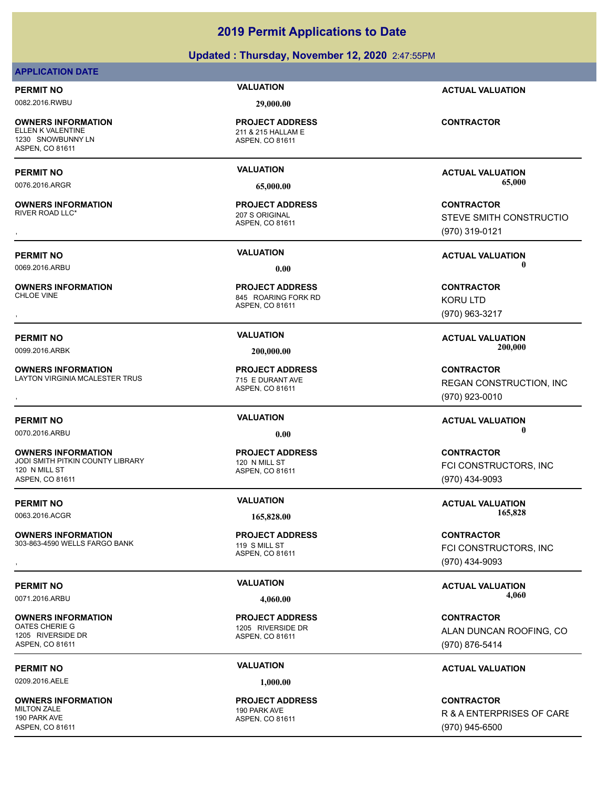### **Updated : Thursday, November 12, 2020** 2:47:55PM

### **APPLICATION DATE**

0082.2016.RWBU **29,000.00**

**OWNERS INFORMATION** 1230 SNOWBUNNY LN ASPEN, CO 81611

**OWNERS INFORMATION** RIVER ROAD LLC\* 207 S ORIGINAL

0069.2016.ARBU **0.00 0.00**

**OWNERS INFORMATION**

**OWNERS INFORMATION** LAYTON VIRGINIA MCALESTER TRUS 715 E DURANT AVE

**OWNERS INFORMATION** JODI SMITH PITKIN COUNTY LIBRARY 120 N MILL ST 120 N MILL ST ASPEN, CO 81611

**OWNERS INFORMATION** 303-863-4590 WELLS FARGO BANK 119 S MILL ST

**OWNERS INFORMATION** OATES CHERIE G 1205 RIVERSIDE DR 1205 RIVERSIDE DR ASPEN, CO 81611

**PERMIT NO VALUATION VALUATION VALUATION** 

0209.2016.AELE **1,000.00**

**OWNERS INFORMATION** MILTON ZALE 200 PARK AVE 190 PARK AVE ASPEN, CO 81611

ASPEN, CO 81611 211 & 215 HALLAM E **PROJECT ADDRESS**

ASPEN, CO 81611 **PROJECT ADDRESS**

ASPEN, CO 81611 845 ROARING FORK RD **PROJECT ADDRESS** , **CONTRACTOR**

ASPEN, CO 81611 **PROJECT ADDRESS**

ASPEN, CO 81611 **PROJECT ADDRESS**

ASPEN, CO 81611 **PROJECT ADDRESS**

ASPEN, CO 81611 **PROJECT ADDRESS**

ASPEN, CO 81611 **PROJECT ADDRESS**

**PERMIT NO VALUATION ACTUAL VALUATION**

**CONTRACTOR**

**PERMIT NO VALUATION ACTUAL VALUATION** 0076.2016.ARGR **65,000.00 65,000.00**

, **CONTRACTOR** STEVE SMITH CONSTRUCTIO (970) 319-0121

**PERMIT NO VALUATION ACTUAL VALUATION**

# KORU LTD (970) 963-3217

**PERMIT NO VALUATION ACTUAL VALUATION** 0099.2016.ARBK **200,000.00 200,000.00**

**OWNERS INFORMATION METALLY SETS ARE ASSESS TO A SERVIT ASSESS AND REGAN CONTRACTOR CONTROURS AND REGAN CONSTRUCTION, INC<br>ASPEN, CO 81611 METAL METALLY ASPEN, CO 81611 METALLY METALLY MESSAN CONSTRUCTION, INC<br>ASPEN, CO 816** REGAN CONSTRUCTION, INC (970) 923-0010

### **PERMIT NO CONSUMITY OF A CONSUMITY OF A CONSUMITY OF A CONSUMITY OF A CTUAL VALUATION** 0070.2016.ARBU **0.00 0.00**

**CONTRACTOR** FCI CONSTRUCTORS, INC (970) 434-9093

**PERMIT NO VALUATION ACTUAL VALUATION** 0063.2016.ACGR **165,828.00 165,828.00**

**OWNERS INFORMATION EXAMPLE ASSUME AND RESOURCE TRIDERSS ARE SERVIT CONTRACTOR CONTRACTOR<br>303-863-4590 WELLS FARGO BANK THE STATE ASPEN. CO 81611 THE STATE STATE OF STATE ASPEN. CO 81611<br>The State of State of State Aspen.** FCI CONSTRUCTORS, INC (970) 434-9093

**PERMIT NO VALUATION ACTUAL VALUATION** 0071.2016.ARBU **4,060.00 4,060.00**

> **CONTRACTOR** ALAN DUNCAN ROOFING, CO (970) 876-5414

**CONTRACTOR** R & A ENTERPRISES OF CARE (970) 945-6500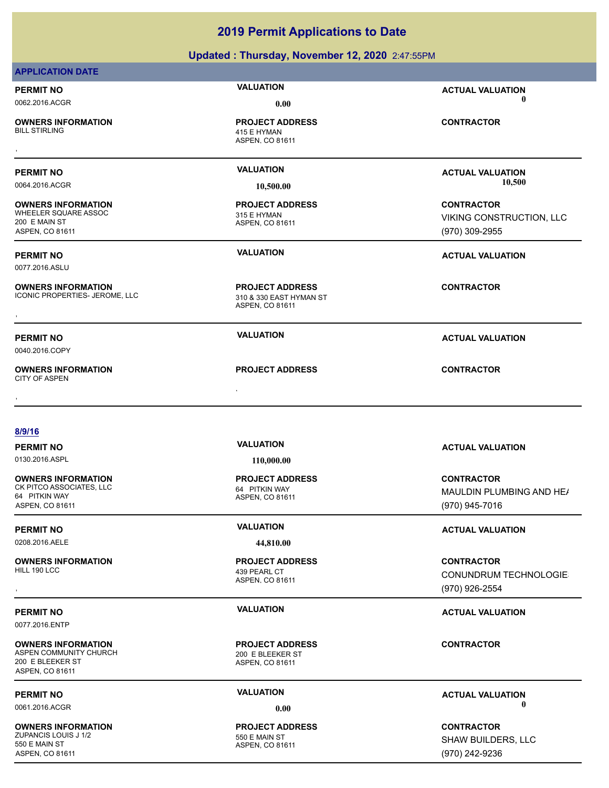| <b>APPLICATION DATE</b>                                                                    | Updated: Thursday, November 12, 2020 2:47:55PM                       |                                        |
|--------------------------------------------------------------------------------------------|----------------------------------------------------------------------|----------------------------------------|
|                                                                                            |                                                                      |                                        |
| <b>PERMIT NO</b>                                                                           | <b>VALUATION</b>                                                     | <b>ACTUAL VALUATION</b><br>$\mathbf 0$ |
| 0062.2016.ACGR                                                                             | 0.00                                                                 |                                        |
| <b>OWNERS INFORMATION</b><br><b>BILL STIRLING</b>                                          | <b>PROJECT ADDRESS</b><br>415 E HYMAN<br>ASPEN, CO 81611             | <b>CONTRACTOR</b>                      |
| <b>PERMIT NO</b>                                                                           | <b>VALUATION</b>                                                     | <b>ACTUAL VALUATION</b>                |
| 0064.2016.ACGR                                                                             | 10,500.00                                                            | 10,500                                 |
| <b>OWNERS INFORMATION</b>                                                                  | <b>PROJECT ADDRESS</b>                                               | <b>CONTRACTOR</b>                      |
| WHEELER SQUARE ASSOC                                                                       | 315 E HYMAN                                                          | VIKING CONSTRUCTION, LLC               |
| 200 E MAIN ST<br>ASPEN, CO 81611                                                           | ASPEN, CO 81611                                                      | (970) 309-2955                         |
|                                                                                            |                                                                      |                                        |
| <b>PERMIT NO</b>                                                                           | <b>VALUATION</b>                                                     | <b>ACTUAL VALUATION</b>                |
| 0077.2016.ASLU                                                                             |                                                                      |                                        |
| <b>OWNERS INFORMATION</b><br>ICONIC PROPERTIES- JEROME, LLC                                | <b>PROJECT ADDRESS</b><br>310 & 330 EAST HYMAN ST<br>ASPEN, CO 81611 | <b>CONTRACTOR</b>                      |
| <b>PERMIT NO</b>                                                                           | <b>VALUATION</b>                                                     | <b>ACTUAL VALUATION</b>                |
| 0040.2016.COPY                                                                             |                                                                      |                                        |
| <b>OWNERS INFORMATION</b><br><b>CITY OF ASPEN</b>                                          | <b>PROJECT ADDRESS</b>                                               | <b>CONTRACTOR</b>                      |
|                                                                                            |                                                                      |                                        |
| 8/9/16                                                                                     |                                                                      |                                        |
| <b>PERMIT NO</b>                                                                           | <b>VALUATION</b>                                                     | <b>ACTUAL VALUATION</b>                |
| 0130.2016.ASPL                                                                             | 110,000.00                                                           |                                        |
| <b>OWNERS INFORMATION</b>                                                                  | <b>PROJECT ADDRESS</b>                                               | <b>CONTRACTOR</b>                      |
| CK PITCO ASSOCIATES, LLC<br>64 PITKIN WAY                                                  | 64 PITKIN WAY                                                        | MAULDIN PLUMBING AND HE/               |
| ASPEN, CO 81611                                                                            | ASPEN, CO 81611                                                      | (970) 945-7016                         |
| <b>PERMIT NO</b>                                                                           | <b>VALUATION</b>                                                     | <b>ACTUAL VALUATION</b>                |
| 0208.2016.AELE                                                                             | 44,810.00                                                            |                                        |
| <b>OWNERS INFORMATION</b>                                                                  | <b>PROJECT ADDRESS</b>                                               | <b>CONTRACTOR</b>                      |
| HILL 190 LCC                                                                               | 439 PEARL CT                                                         | CONUNDRUM TECHNOLOGIE                  |
|                                                                                            | ASPEN, CO 81611                                                      | (970) 926-2554                         |
|                                                                                            |                                                                      |                                        |
| <b>PERMIT NO</b><br>0077.2016.ENTP                                                         | <b>VALUATION</b>                                                     | <b>ACTUAL VALUATION</b>                |
|                                                                                            |                                                                      |                                        |
| <b>OWNERS INFORMATION</b><br>ASPEN COMMUNITY CHURCH<br>200 E BLEEKER ST<br>ASPEN, CO 81611 | <b>PROJECT ADDRESS</b><br>200 E BLEEKER ST<br>ASPEN, CO 81611        | <b>CONTRACTOR</b>                      |

**OWNERS INFORMATION** ZUPANCIS LOUIS J 1/2 550 E MAIN ST 550 E MAIN ST ASPEN, CO 81611

# **2019 Permit Applications to Date**

ASPEN, CO 81611 **PROJECT ADDRESS**

**PERMIT NO VALUATION VALUATION ACTUAL VALUATION** 0061.2016.ACGR **0.00 0.00**

> **CONTRACTOR** SHAW BUILDERS, LLC (970) 242-9236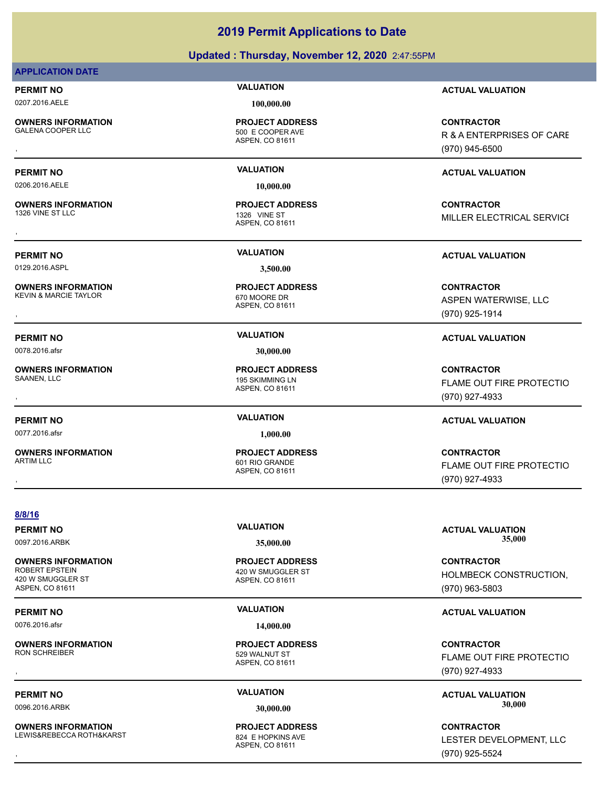# **Updated : Thursday, November 12, 2020** 2:47:55PM **2019 Permit Applications to Date**

### **APPLICATION DATE**

**OWNERS INFORMATION**

0206.2016.AELE **10,000.00**

**OWNERS INFORMATION**

0129.2016.ASPL **3,500.00**

**OWNERS INFORMATION** KEVIN & MARCIE TAYLOR **EXECUTE 18 AND A CONSERVANCE OF A CONSERVANCE OF A CONSERVANCE OF A CONSERVANCE OF A CONSERVANCE OF A CONSERVANCE OF A CONSERVANCE OF A CONSERVANCE OF A CONSERVANCE OF A CONSERVANCE OF A CONSERVANCE** 

0078.2016.afsr **30,000.00**

**OWNERS INFORMATION**

0077.2016.afsr **1,000.00**

**OWNERS INFORMATION** ARTIM LLC 601 RIO GRANDE

### 0207.2016.AELE **100,000.00**

ASPEN, CO 81611 500 E COOPER AVE **PROJECT ADDRESS**

ASPEN, CO 81611 1326 VINE ST **PROJECT ADDRESS**

ASPEN, CO 81611 **PROJECT ADDRESS**

ASPEN, CO 81611 195 SKIMMING LN **PROJECT ADDRESS**

ASPEN, CO 81611 **PROJECT ADDRESS**

**PERMIT NO VALUATION ACTUAL VALUATION**

**OWNERS INFORMATION PROJECT ADDRESS CONTRACTOR**<br>GALENA COOPER LLC 500 E COOPER AVE R &A ENTERPRISES OF CARE<br>, ASPEN, CO 81611 R & A ENTERPRISES OF CARE (970) 945-6500

### **PERMIT NO VALUATION ACTUAL VALUATION**

**OWNERS INFORMATION FROJECT ADDRESS CONTRACTOR CONTRACTOR**<br>1326 VINE ST LLC ADDREST 1326 VINE ST<br>ASPEN. CO 81611<br>, MILLER ELECTRICAL SERVICE

### **PERMIT NO VALUATION ACTUAL VALUATION**

**OWNERS INFORMATION PROJECT ADDRESS CONTRACTOR**<br>KEVIN & MARCIE TAYLOR 670 MOORE DR ASPEN WATERWISE, LLC<br>, ASPEN, CO 81611 ASPEN WATERWISE, LLC (970) 925-1914

### **PERMIT NO VALUATION ACTUAL VALUATION**

, **CONTRACTOR** FLAME OUT FIRE PROTECTIO (970) 927-4933

### **PERMIT NO VALUATION ACTUAL VALUATION**

, **CONTRACTOR FLAME OUT FIRE PROTECTIO** (970) 927-4933

### **8/8/16**

**PERMIT NO VALUATION ACTUAL VALUATION** 0097.2016.ARBK **35,000.00 35,000.00**

**OWNERS INFORMATION** 420 W SMUGGLER ST ASPEN, CO 81611

0076.2016.afsr **14,000.00**

**OWNERS INFORMATION**

**OWNERS INFORMATION** LEWIS&REBECCA ROTH&KARST 824 E HOPKINS AVE

ASPEN, CO 81611 420 W SMUGGLER ST **PROJECT ADDRESS**

ASPEN, CO 81611 529 WALNUT ST **PROJECT ADDRESS**

ASPEN, CO 81611 **PROJECT ADDRESS**

**CONTRACTOR** HOLMBECK CONSTRUCTION, (970) 963-5803

### **PERMIT NO VALUATION ACTUAL VALUATION**

, **CONTRACTOR FLAME OUT FIRE PROTECTIO** (970) 927-4933

**PERMIT NO CONSUMITY OF A CONSUMITY OF A CONSUMITY OF A CONSUMITY OF A CTUAL VALUATION** 0096.2016.ARBK **30,000.00 30,000.00**

, **CONTRACTOR** LESTER DEVELOPMENT, LLC (970) 925-5524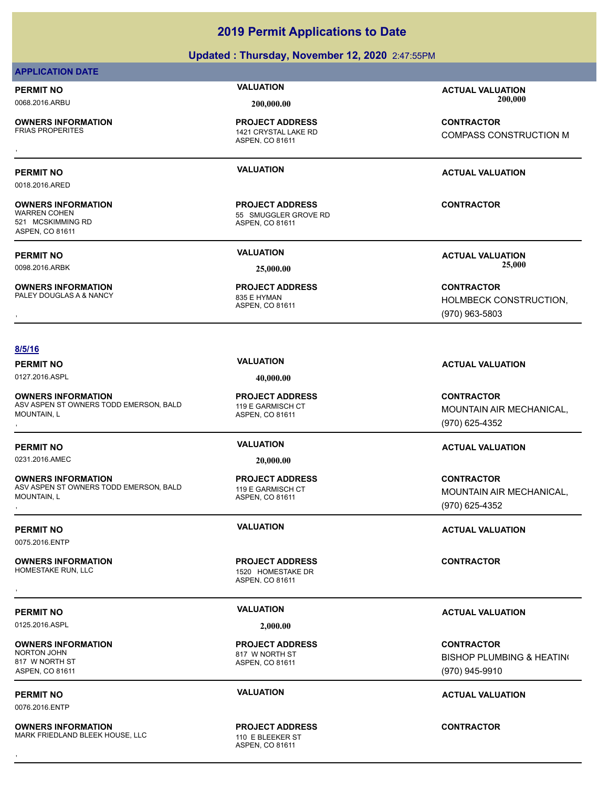**Updated : Thursday, November 12, 2020** 2:47:55PM

**2019 Permit Applications to Date**

**OWNERS INFORMATION**

**OWNERS INFORMATION**

**OWNERS INFORMATION**

521 MCSKIMMING RD ASPEN, CO 81611

ASPEN, CO 81611 1421 CRYSTAL LAKE RD **PROJECT ADDRESS**

ASPEN, CO 81611 55 SMUGGLER GROVE RD **PROJECT ADDRESS**

ASPEN, CO 81611 PALEY DOUGLAS A & NANCY 835 E HYMAN **PROJECT ADDRESS**

**PERMIT NO VALUATION ACTUAL VALUATION** 0068.2016.ARBU **200,000.00 200,000.00**

, **CONTRACTOR** COMPASS CONSTRUCTION M

### **PERMIT NO VALUATION ACTUAL VALUATION**

**CONTRACTOR**

, **CONTRACTOR** HOLMBECK CONSTRUCTION, (970) 963-5803

### **8/5/16**

0127.2016.ASPL **40,000.00**

**OWNERS INFORMATION** ASV ASPEN ST OWNERS TODD EMERSON, BALD MOUNTAIN, L **OWNERS INFORMATION DEARS ON TROJECT ADDRESS ARE SERVICE CONTRACTOR CONTROURDY ASSUMENCES AND RESONANCE ASPEN. CO<br>ASV ASPEN ST OWNERS TODD EMERSON, BALD ASPEN. CO 81611 ASPEN AND DEARMISCH CT MOUNTAIN AIR MECHANICAL, ASPEN** 

**OWNERS INFORMATION** ASV ASPEN ST OWNERS TODD EMERSON, BALD MOUNTAIN, L

0075.2016.ENTP

**OWNERS INFORMATION**

0125.2016.ASPL **2,000.00**

**OWNERS INFORMATION**<br>NORTON JOHN 817 W NORTH ST ASPEN, CO 81611

0076.2016.ENTP

**OWNERS INFORMATION** MARK FRIEDLAND BLEEK HOUSE, LLC 110 E BLEEKER ST , **CONTRACTOR**

ASPEN, CO 81611 119 E GARMISCH CT **PROJECT ADDRESS**

0231.2016.AMEC **20,000.00**

ASPEN, CO 81611 119 E GARMISCH CT **PROJECT ADDRESS**

ASPEN, CO 81611 1520 HOMESTAKE DR **PROJECT ADDRESS** , **CONTRACTOR**

ASPEN, CO 81611 817 W NORTH ST **PROJECT ADDRESS**

ASPEN, CO 81611 **PROJECT ADDRESS**

### **PERMIT NO VALUATION VALUATION VALUATION**

MOUNTAIN AIR MECHANICAL, (970) 625-4352

### **PERMIT NO VALUATION ACTUAL VALUATION**

**OWNERS INFORMATION DEARS ON TROJECT ADDRESS ARE SERVICE CONTRACTOR CONTROURDY ASSUMENCES AND RESONANCE THE GARMISCH CT<br>ASV ASPEN ST OWNERS TODD EMERSON, BALD ASPEN, CO 81611 ASPEN, CO 81611 <b>DEARMISCH CONTROUNTAIN AIR MEC** MOUNTAIN AIR MECHANICAL, (970) 625-4352

**PERMIT NO VALUATION ACTUAL VALUATION**

### **PERMIT NO VALUATION ACTUAL VALUATION**

**CONTRACTOR BISHOP PLUMBING & HEATING** (970) 945-9910

### **PERMIT NO VALUATION ACTUAL VALUATION**

**PERMIT NO VALUATION ACTUAL VALUATION** 0098.2016.ARBK **25,000.00 25,000.00**

**APPLICATION DATE**

0018.2016.ARED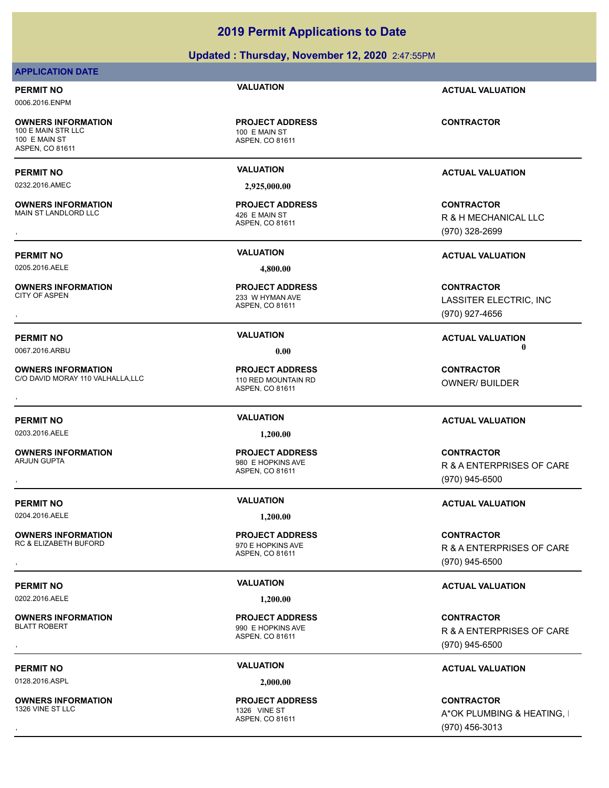### **Updated : Thursday, November 12, 2020** 2:47:55PM

### **APPLICATION DATE**

0006.2016.ENPM

**OWNERS INFORMATION** 100 E MAIN STR LLC 100 E MAIN ST 100 E MAIN ST ASPEN, CO 81611

0232.2016.AMEC **2,925,000.00**

**OWNERS INFORMATION** MAIN ST LANDLORD LLC 426 E MAIN ST

0205.2016.AELE **4,800.00**

**OWNERS INFORMATION**

**OWNERS INFORMATION** C/O DAVID MORAY 110 VALHALLA, LLC 110 RED MOUNTAIN RD

0203.2016.AELE **1,200.00**

**OWNERS INFORMATION** ARJUN GUPTA 2000 E HOPKINS AVE

0204.2016.AELE **1,200.00**

**OWNERS INFORMATION** RC & ELIZABETH BUFORD 970 E HOPKINS AVE

0202.2016.AELE **1,200.00**

**OWNERS INFORMATION** BLATT ROBERT 990 E HOPKINS AVE

0128.2016.ASPL **2,000.00**

**OWNERS INFORMATION** 1326 VINE ST LLC 1326 VINE ST

ASPEN, CO 81611 **PROJECT ADDRESS**

ASPEN, CO 81611 **PROJECT ADDRESS**

ASPEN, CO 81611 233 W HYMAN AVE **PROJECT ADDRESS**

ASPEN, CO 81611 **PROJECT ADDRESS OWNERS INFORMATION LARGE CONTRACTOR REGISTED MODEL OF PROJECT ADDRESS CONTRACTOR CONTRACTOR**<br>C/O DAVID MORAY 110 VALHALLA,LLC TO MORED MOUNTAIN RD THE RED MOUNTAIN RD<br>,

ASPEN, CO 81611

ASPEN, CO 81611 **PROJECT ADDRESS**

ASPEN, CO 81611 **PROJECT ADDRESS**

ASPEN, CO 81611 **PROJECT ADDRESS**

**PERMIT NO VALUATION ACTUAL VALUATION**

**CONTRACTOR**

**PERMIT NO VALUATION ACTUAL VALUATION**

, **CONTRACTOR** R & H MECHANICAL LLC (970) 328-2699

**PERMIT NO VALUATION ACTUAL VALUATION**

, **CONTRACTOR** LASSITER ELECTRIC, INC (970) 927-4656

**PERMIT NO VALUATION VALUATION VALUATION** 0067.2016.ARBU **0.00 0.00**

OWNER/ BUILDER

, **CONTRACTOR** R & A ENTERPRISES OF CARE (970) 945-6500

### **PERMIT NO VALUATION VALUATION VALUATION**

, **CONTRACTOR** R & A ENTERPRISES OF CARE (970) 945-6500

### **PERMIT NO VALUATION VALUATION VALUATION**

, **CONTRACTOR** R & A ENTERPRISES OF CARE (970) 945-6500

### **PERMIT NO VALUATION ACTUAL VALUATION**

, **CONTRACTOR** A\*OK PLUMBING & HEATING, I (970) 456-3013

**PROJECT ADDRESS**

**PERMIT NO VALUATION ACTUAL VALUATION**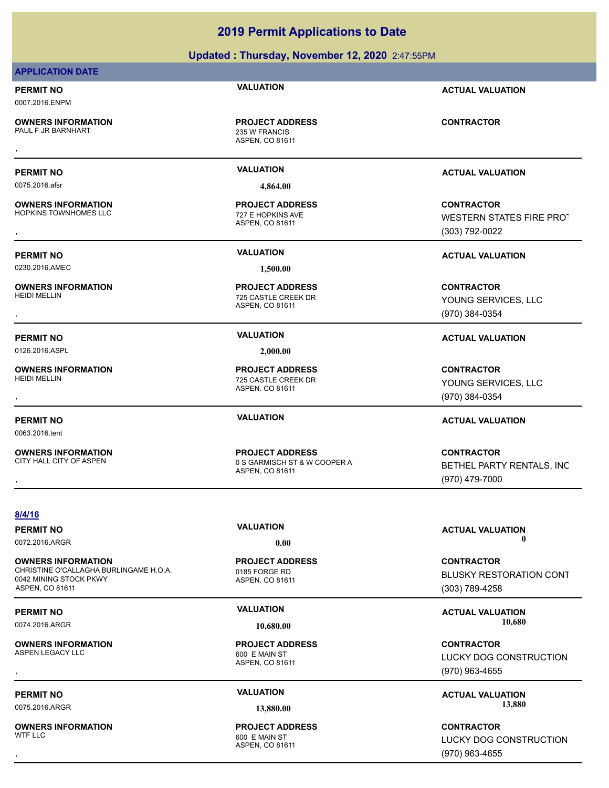### **Updated : Thursday, November 12, 2020** 2:47:55PM

### **APPLICATION DATE**

### **PERMIT NO VALUATION ACTUAL VALUATION**

0007.2016.ENPM

**OWNERS INFORMATION**

0075.2016.afsr **4,864.00**

**OWNERS INFORMATION** HOPKINS TOWNHOMES LLC 727 E HOPKINS AVE

0230.2016.AMEC **1,500.00**

**OWNERS INFORMATION**

0126.2016.ASPL **2,000.00**

**OWNERS INFORMATION**

0063.2016.tent

**OWNERS INFORMATION**<br>CITY HALL CITY OF ASPEN

**OWNERS INFORMATION**

0042 MINING STOCK PKWY ASPEN, CO 81611

**OWNERS INFORMATION**

ASPEN, CO 81611 235 W FRANCIS **PROJECT ADDRESS** , **CONTRACTOR**

ASPEN, CO 81611 **PROJECT ADDRESS**

ASPEN, CO 81611 725 CASTLE CREEK DR **PROJECT ADDRESS**

ASPEN, CO 81611 725 CASTLE CREEK DR **PROJECT ADDRESS**

ASPEN, CO 81611 0 S GARMISCH ST & W COOPER A **PROJECT ADDRESS**

**PERMIT NO VALUATION ACTUAL VALUATION**

**OWNERS INFORMATION GOVERNEY ARE SERVED BY A SPEN CONTRACTOR CONTRACTOR**<br>HOPKINS TOWNHOMES LLC **CONTRACT ARE SERVED AS A SPEN. CO 81611**<br>, GOVERNEY ASPEN. CO 81611 GOVERNEY (303) 792-0022 WESTERN STATES FIRE PROT (303) 792-0022

**PERMIT NO VALUATION ACTUAL VALUATION**

, **CONTRACTOR** YOUNG SERVICES, LLC (970) 384-0354

**PERMIT NO VALUATION ACTUAL VALUATION**

, **CONTRACTOR** YOUNG SERVICES, LLC (970) 384-0354

### **PERMIT NO VALUATION ACTUAL VALUATION**

, **CONTRACTOR** BETHEL PARTY RENTALS, INC (970) 479-7000

**8/4/16**

ASPEN, CO 81611 CHRISTINE O'CALLAGHA BURLINGAME H.O.A. 0185 FORGE RD **PROJECT ADDRESS**

ASPEN, CO 81611 600 E MAIN ST **PROJECT ADDRESS**

ASPEN, CO 81611 600 E MAIN ST **PROJECT ADDRESS**

**PERMIT NO VALUATION VALUATION VALUATION** 0072.2016.ARGR **0.00 0.00**

> **CONTRACTOR** BLUSKY RESTORATION CONT (303) 789-4258

### **PERMIT NO VALUATION ACTUAL VALUATION** 0074.2016.ARGR **10,680.00 10,680.00**

, **CONTRACTOR** LUCKY DOG CONSTRUCTION. (970) 963-4655

**PERMIT NO VALUATION ACTUAL VALUATION** 0075.2016.ARGR **13,880.00 13,880.00**

, **CONTRACTOR** LUCKY DOG CONSTRUCTION. (970) 963-4655

# **OWNERS INFORMATION**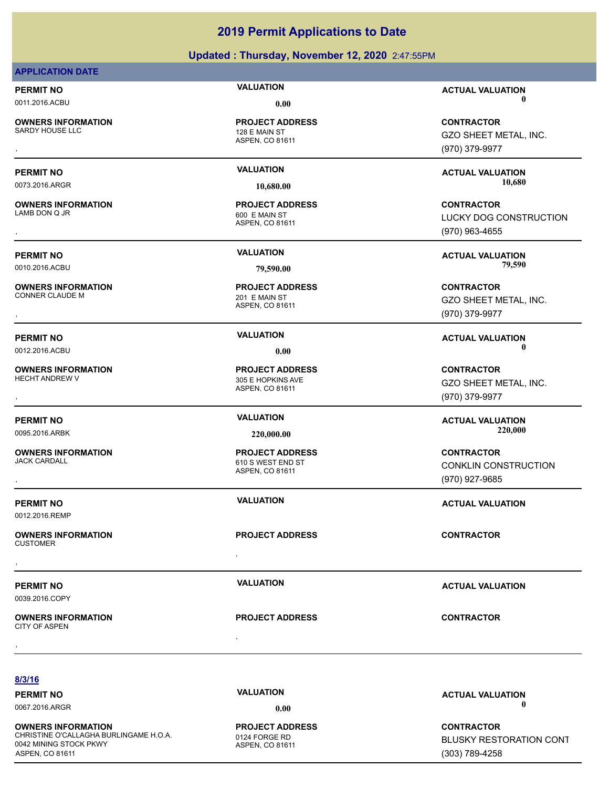### **Updated : Thursday, November 12, 2020** 2:47:55PM

### **APPLICATION DATE**

**OWNERS INFORMATION**<br>SARDY HOUSE LLC

**OWNERS INFORMATION**

**OWNERS INFORMATION**

**OWNERS INFORMATION**

**OWNERS INFORMATION**

, **OWNERS INFORMATION**

, **OWNERS INFORMATION**

0012.2016.REMP

0039.2016.COPY

CITY OF ASPEN

CUSTOMER

ASPEN, CO 81611 128 E MAIN ST **PROJECT ADDRESS**

ASPEN, CO 81611 600 E MAIN ST **PROJECT ADDRESS**

ASPEN, CO 81611 201 E MAIN ST **PROJECT ADDRESS**

ASPEN, CO 81611 305 E HOPKINS AVE **PROJECT ADDRESS**

ASPEN, CO 81611 JACK CARDALL 610 S WEST END ST **PROJECT ADDRESS**

**PROJECT ADDRESS** , **CONTRACTOR**

**PROJECT ADDRESS** , **CONTRACTOR**

**8/3/16**

**OWNERS INFORMATION** CHRISTINE O'CALLAGHA BURLINGAME H.O.A. 0124 FORGE RD 0042 MINING STOCK PKWY ASPEN, CO 81611

ASPEN, CO 81611 **PROJECT ADDRESS**

**PERMIT NO CONSUMITY OF A CONSUMITY OF A CONSUMITY OF A CONSUMITY OF A CTUAL VALUATION** 0011.2016.ACBU **0.00 0.00**

, **CONTRACTOR** GZO SHEET METAL, INC. (970) 379-9977

**PERMIT NO VALUATION ACTUAL VALUATION** 0073.2016.ARGR **10,680.00 10,680.00**

, **CONTRACTOR** LUCKY DOG CONSTRUCTION. (970) 963-4655

**PERMIT NO VALUATION ACTUAL VALUATION** 0010.2016.ACBU **79,590.00 79,590.00**

, **CONTRACTOR** GZO SHEET METAL, INC. (970) 379-9977

**PERMIT NO CONSUMITY OF A CONSUMITY OF A CONSUMITY OF A CONSUMITY OF A CTUAL VALUATION** 0012.2016.ACBU **0.00 0.00**

, **CONTRACTOR** GZO SHEET METAL, INC. (970) 379-9977

**PERMIT NO VALUATION ACTUAL VALUATION** 0095.2016.ARBK **220,000.00 220,000.00**

, **CONTRACTOR** CONKLIN CONSTRUCTION (970) 927-9685

**PERMIT NO VALUATION ACTUAL VALUATION**

**PERMIT NO VALUATION VALUATION VALUATION** 

**PERMIT NO CONSUMITY OF A CONSUMITY OF A CONSUMITY OF A CONSUMITY OF A CTUAL VALUATION** 0067.2016.ARGR **0.00 0.00**

> **CONTRACTOR** BLUSKY RESTORATION CONT (303) 789-4258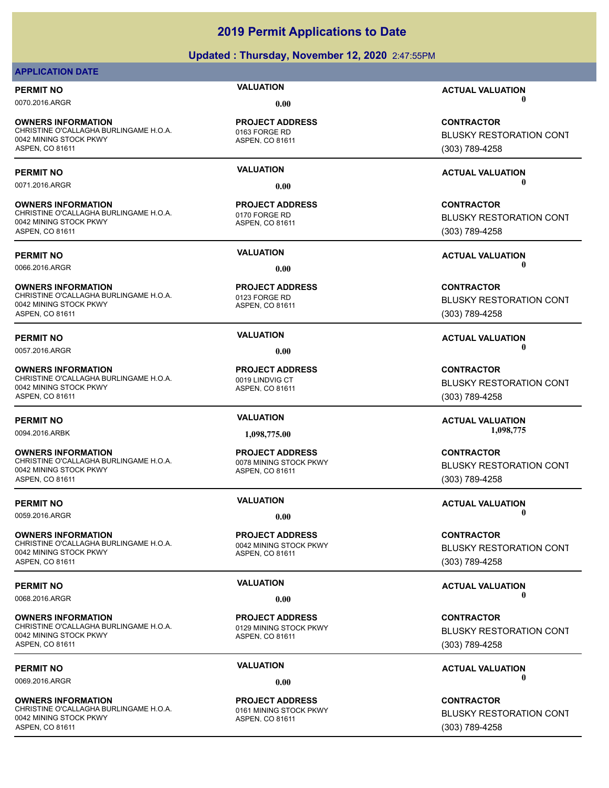### **Updated : Thursday, November 12, 2020** 2:47:55PM

### **APPLICATION DATE**

**OWNERS INFORMATION** CHRISTINE O'CALLAGHA BURLINGAME H.O.A. 0163 FORGE RD 0042 MINING STOCK PKWY ASPEN, CO 81611

**OWNERS INFORMATION** CHRISTINE O'CALLAGHA BURLINGAME H.O.A. 0170 FORGE RD 0042 MINING STOCK PKWY ASPEN, CO 81611

**OWNERS INFORMATION** CHRISTINE O'CALLAGHA BURLINGAME H.O.A. 0123 FORGE RD 0042 MINING STOCK PKWY ASPEN, CO 81611

**OWNERS INFORMATION** CHRISTINE O'CALLAGHA BURLINGAME H.O.A. 0019 LINDVIG CT 0042 MINING STOCK PKWY ASPEN, CO 81611

**OWNERS INFORMATION** CHRISTINE O'CALLAGHA BURLINGAME H.O.A. 0078 MINING STOCK PKWY 0042 MINING STOCK PKWY ASPEN, CO 81611

**OWNERS INFORMATION** CHRISTINE O'CALLAGHA BURLINGAME H.O.A. 0042 MINING STOCK PKWY 0042 MINING STOCK PKWY ASPEN, CO 81611

**OWNERS INFORMATION** CHRISTINE O'CALLAGHA BURLINGAME H.O.A. 0129 MINING STOCK PKWY 0042 MINING STOCK PKWY ASPEN, CO 81611

**OWNERS INFORMATION** CHRISTINE O'CALLAGHA BURLINGAME H.O.A. 0161 MINING STOCK PKWY 0042 MINING STOCK PKWY ASPEN, CO 81611

ASPEN, CO 81611 **PROJECT ADDRESS**

ASPEN, CO 81611 **PROJECT ADDRESS**

ASPEN, CO 81611 **PROJECT ADDRESS**

ASPEN, CO 81611 **PROJECT ADDRESS**

ASPEN, CO 81611 **PROJECT ADDRESS**

ASPEN, CO 81611 **PROJECT ADDRESS**

**PERMIT NO VALUATION ACTUAL VALUATION** 0070.2016.ARGR **0.00 0.00**

> **CONTRACTOR** BLUSKY RESTORATION CONT (303) 789-4258

### **PERMIT NO VALUATION ACTUAL VALUATION** 0071.2016.ARGR **0.00 0.00**

**CONTRACTOR** BLUSKY RESTORATION CONT (303) 789-4258

**PERMIT NO VALUATION ACTUAL VALUATION** 0066.2016.ARGR **0.00 0.00**

### **CONTRACTOR**

**BLUSKY RESTORATION CONT** (303) 789-4258

**PERMIT NO CONSUMITY OF A CONSUMITY OF A CONSUMITY OF A CONSUMITY OF A CTUAL VALUATION** 0057.2016.ARGR **0.00 0.00**

> **CONTRACTOR** BLUSKY RESTORATION CONT (303) 789-4258

0094.2016.ARBK **1,098,775.00 1,098,775.00**

**CONTRACTOR** BLUSKY RESTORATION CONT (303) 789-4258

### **PERMIT NO CONSUMITY OF A CONSUMITY OF A CONSUMITY OF A CONSUMITY OF A CTUAL VALUATION** 0059.2016.ARGR **0.00 0.00**

**CONTRACTOR** BLUSKY RESTORATION CONT (303) 789-4258

**PERMIT NO VALUATION ACTUAL VALUATION** 0068.2016.ARGR **0.00 0.00**

> **CONTRACTOR** BLUSKY RESTORATION CONT (303) 789-4258

**PERMIT NO VALUATION ACTUAL VALUATION** 0069.2016.ARGR **0.00 0.00**

> **CONTRACTOR** BLUSKY RESTORATION CONT (303) 789-4258

ASPEN, CO 81611

**PERMIT NO VALUATION ACTUAL VALUATION**

# **PROJECT ADDRESS**

### ASPEN, CO 81611 **PROJECT ADDRESS**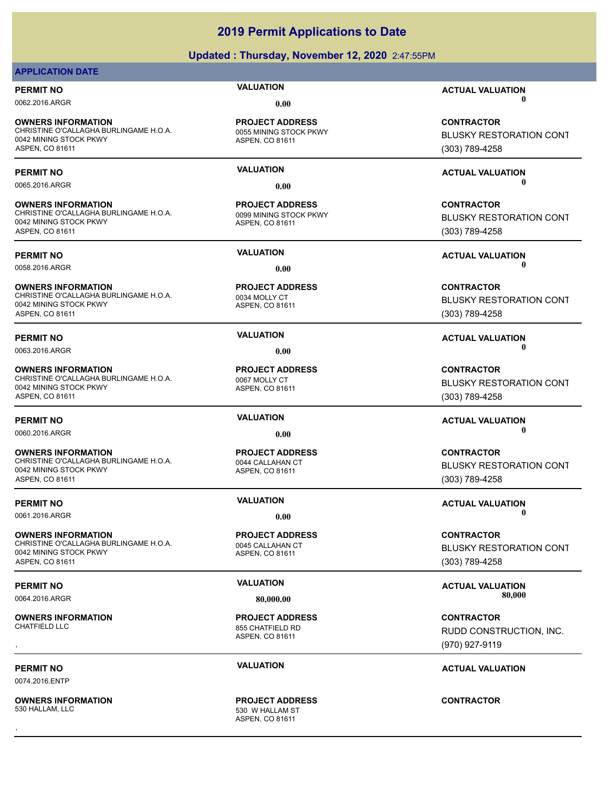### **Updated : Thursday, November 12, 2020** 2:47:55PM

### **APPLICATION DATE**

**OWNERS INFORMATION** CHRISTINE O'CALLAGHA BURLINGAME H.O.A. 0055 MINING STOCK PKWY 0042 MINING STOCK PKWY ASPEN, CO 81611

**OWNERS INFORMATION** CHRISTINE O'CALLAGHA BURLINGAME H.O.A. 0099 MINING STOCK PKWY 0042 MINING STOCK PKWY ASPEN, CO 81611

**OWNERS INFORMATION** CHRISTINE O'CALLAGHA BURLINGAME H.O.A. 0034 MOLLY CT 0042 MINING STOCK PKWY ASPEN, CO 81611

**OWNERS INFORMATION** CHRISTINE O'CALLAGHA BURLINGAME H.O.A. 0067 MOLLY CT 0042 MINING STOCK PKWY ASPEN, CO 81611

**OWNERS INFORMATION** CHRISTINE O'CALLAGHA BURLINGAME H.O.A. 0044 CALLAHAN CT 0042 MINING STOCK PKWY ASPEN, CO 81611

**OWNERS INFORMATION** CHRISTINE O'CALLAGHA BURLINGAME H.O.A. 0045 CALLAHAN CT 0042 MINING STOCK PKWY ASPEN, CO 81611

**OWNERS INFORMATION**

0074.2016.ENTP

**OWNERS INFORMATION**

### ASPEN, CO 81611 **PROJECT ADDRESS**

ASPEN, CO 81611 **PROJECT ADDRESS**

ASPEN, CO 81611 **PROJECT ADDRESS**

ASPEN, CO 81611 **PROJECT ADDRESS**

ASPEN, CO 81611

### ASPEN, CO 81611 **PROJECT ADDRESS**

ASPEN, CO 81611 855 CHATFIELD RD **PROJECT ADDRESS**

ASPEN, CO 81611 530 W HALLAM ST **PROJECT ADDRESS** , **CONTRACTOR**

**PERMIT NO VALUATION ACTUAL VALUATION** 0062.2016.ARGR **0.00 0.00**

> **CONTRACTOR** BLUSKY RESTORATION CONT (303) 789-4258

### **PERMIT NO VALUATION ACTUAL VALUATION** 0065.2016.ARGR **0.00 0.00**

**CONTRACTOR** BLUSKY RESTORATION CONT (303) 789-4258

**PERMIT NO VALUATION ACTUAL VALUATION** 0058.2016.ARGR **0.00 0.00**

# **CONTRACTOR**

**BLUSKY RESTORATION CONT** (303) 789-4258

### **PERMIT NO CONSUMITY OF A CONSUMITY OF A CONSUMITY OF A CONSUMITY OF A CTUAL VALUATION** 0063.2016.ARGR **0.00 0.00**

**CONTRACTOR** BLUSKY RESTORATION CONT (303) 789-4258

### **PERMIT NO CONSUMITY OF A CONSUMITY OF A CONSUMITY OF A CONSUMITY OF A CTUAL VALUATION** 0060.2016.ARGR **0.00 0.00**

**CONTRACTOR** BLUSKY RESTORATION CONT (303) 789-4258

### **PERMIT NO VALUATION VALUATION VALUATION** 0061.2016.ARGR **0.00 0.00**

**CONTRACTOR** BLUSKY RESTORATION CONT (303) 789-4258

**PERMIT NO VALUATION ACTUAL VALUATION** 0064.2016.ARGR **80,000.00 80,000.00**

, **CONTRACTOR** RUDD CONSTRUCTION, INC. (970) 927-9119

### **PERMIT NO VALUATION ACTUAL VALUATION**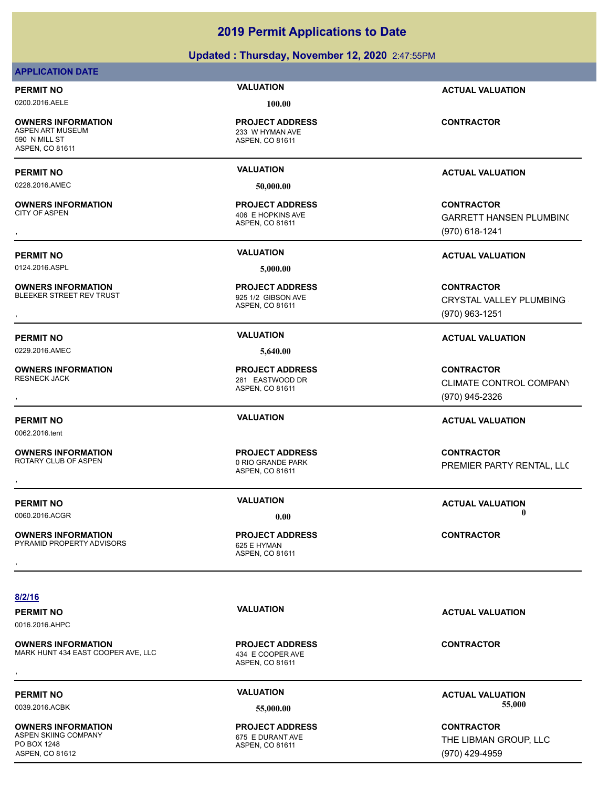### **Updated : Thursday, November 12, 2020** 2:47:55PM

### **APPLICATION DATE**

### **PERMIT NO VALUATION ACTUAL VALUATION**

0200.2016.AELE **100.00**

**OWNERS INFORMATION** 590 N MILL ST ASPEN, CO 81611

0228.2016.AMEC **50,000.00**

**OWNERS INFORMATION**

0124.2016.ASPL **5,000.00**

**OWNERS INFORMATION** BLEEKER STREET REV TRUST 12 61 2 61 2 925 1/2 61 BSON AVE

0229.2016.AMEC **5,640.00**

**OWNERS INFORMATION**

0062.2016.tent

**OWNERS INFORMATION**

**OWNERS INFORMATION** PYRAMID PROPERTY ADVISORS 625 E HYMAN

ASPEN, CO 81611 233 W HYMAN AVE **PROJECT ADDRESS**

ASPEN, CO 81611 406 E HOPKINS AVE **PROJECT ADDRESS**

ASPEN, CO 81611 **PROJECT ADDRESS**

ASPEN, CO 81611 281 EASTWOOD DR **PROJECT ADDRESS**

ASPEN, CO 81611 0 RIO GRANDE PARK **PROJECT ADDRESS**

**PERMIT NO VALUATION ACTUAL VALUATION**

**CONTRACTOR**

, **CONTRACTOR** GARRETT HANSEN PLUMBING (970) 618-1241

### **PERMIT NO VALUATION ACTUAL VALUATION**

**OWNERS INFORMATION GOVERNEY ARE SERVED BET ADDRESS CONTRACTOR CONTRACTOR**<br>BLEEKER STREET REV TRUST TRUST THE SERVED OF A SPEN, CO 81611<br>, GOVERNEY PROJECT ARE ASPEN, CO 81611 CRYSTAL VALLEY PLUMBING (970) 963-1251

### **PERMIT NO VALUATION ACTUAL VALUATION**

, **CONTRACTOR** CLIMATE CONTROL COMPANY (970) 945-2326

### **PERMIT NO VALUATION ACTUAL VALUATION**

, **CONTRACTOR** PREMIER PARTY RENTAL, LLC

**PERMIT NO VALUATION VALUATION VALUATION** 0060.2016.ACGR **0.00 0.00**

**8/2/16**

0016.2016.AHPC

**OWNERS INFORMATION** MARK HUNT 434 EAST COOPER AVE, LLC 434 E COOPER AVE **OWNERS INFORMATION EXAMPLE ASSESS ARE:**<br>MARK HUNT 434 EAST COOPER AVE, LLC ASSESS A ASPEN. CO 81611<br>ASPEN. CO 81611

ASPEN, CO 81611 **PROJECT ADDRESS**

**PERMIT NO VALUATION ACTUAL VALUATION**

**PERMIT NO CONSUMITY OF A CONSUMITY OF A CONSUMITY OF A CONSUMITY OF A CTUAL VALUATION** 0039.2016.ACBK **55,000.00 55,000.00**

> **CONTRACTOR** THE LIBMAN GROUP, LLC (970) 429-4959

**OWNERS INFORMATION** ASPEN SKIING COMPANY 675 E DURANT AVE PO BOX 1248 ASPEN, CO 81612

ASPEN, CO 81611 **PROJECT ADDRESS OWNERS INFORMATION GOVERNED BY A SECURITY OF PROJECT ADDRESS ARE:**<br>PYRAMID PROPERTY ADVISORS GOVERNED BY ASPEN, CO 81611<br>,

ASPEN, CO 81611 **PROJECT ADDRESS**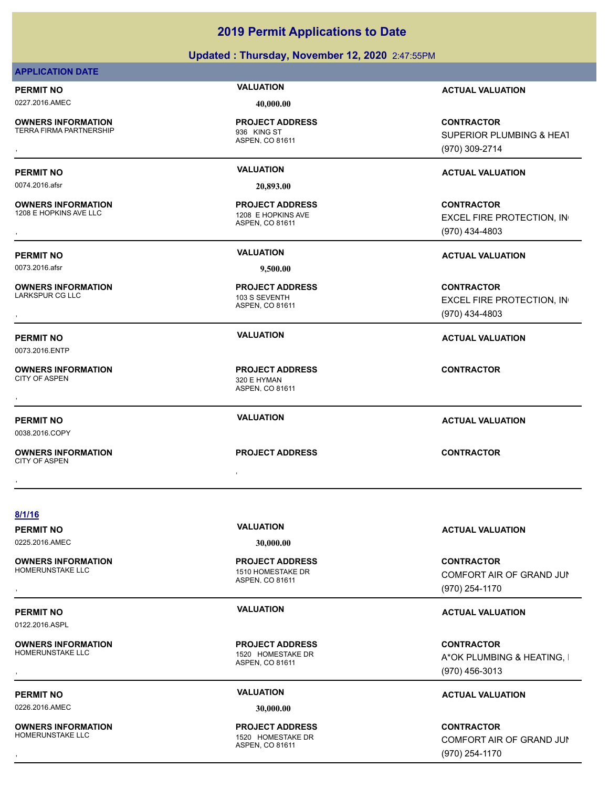### **Updated : Thursday, November 12, 2020** 2:47:55PM

### **APPLICATION DATE**

**OWNERS INFORMATION**

### 0227.2016.AMEC **40,000.00**

ASPEN, CO 81611 TERRA FIRMA PARTNERSHIP 936 KING ST **PROJECT ADDRESS**

0074.2016.afsr **20,893.00**

**OWNERS INFORMATION**

0073.2016.afsr **9,500.00**

0073.2016.ENTP

0038.2016.COPY

CITY OF ASPEN

**OWNERS INFORMATION**

**OWNERS INFORMATION**

, **OWNERS INFORMATION**

ASPEN, CO 81611 1208 E HOPKINS AVE **PROJECT ADDRESS**

ASPEN, CO 81611 103 S SEVENTH **PROJECT ADDRESS**

ASPEN, CO 81611 CITY OF ASPEN 320 E HYMAN **PROJECT ADDRESS** , **CONTRACTOR**

**PROJECT ADDRESS** , **CONTRACTOR**

### **PERMIT NO VALUATION ACTUAL VALUATION**

**OWNERS INFORMATION PROJECT ADDRESS CONTRACTOR**<br>TERRA FIRMA PARTNERSHIP <sub>936</sub> KING ST SUPERIOR PLUMBING & HEAT<br>, ASPEN, CO 81611 SUPERIOR PLUMBING & HEAT (970) 309-2714

### **PERMIT NO VALUATION ACTUAL VALUATION**

, **CONTRACTOR** EXCEL FIRE PROTECTION, IN (970) 434-4803

### **PERMIT NO VALUATION ACTUAL VALUATION**

, **CONTRACTOR** EXCEL FIRE PROTECTION, IN (970) 434-4803

### **PERMIT NO VALUATION ACTUAL VALUATION**

### **PERMIT NO VALUATION ACTUAL VALUATION**

### **8/1/16**

0225.2016.AMEC **30,000.00**

0122.2016.ASPL

**OWNERS INFORMATION**<br>HOMERUNSTAKE LLC

ASPEN, CO 81611 1510 HOMESTAKE DR **PROJECT ADDRESS**

**PROJECT ADDRESS**

### 0226.2016.AMEC **30,000.00**

ASPEN, CO 81611 1520 HOMESTAKE DR **PROJECT ADDRESS**

**PERMIT NO VALUATION ACTUAL VALUATION**

, **CONTRACTOR** COMFORT AIR OF GRAND JUN (970) 254-1170

### **PERMIT NO VALUATION ACTUAL VALUATION**

**OWNERS INFORMATION PROJECT ADDRESS CONTRACTOR**<br>HOMERUNSTAKE LLC 1520 HOMESTAKE DR A\*OK PLUMBING & HEATING, I<br>, ASPEN. CO 81611 A\*OK PLUMBING & HEATING, I (970) 456-3013

### **PERMIT NO VALUATION ACTUAL VALUATION**

### , **CONTRACTOR** COMFORT AIR OF GRAND JUN (970) 254-1170

## **OWNERS INFORMATION**

**OWNERS INFORMATION**

ASPEN, CO 81611 1520 HOMESTAKE DR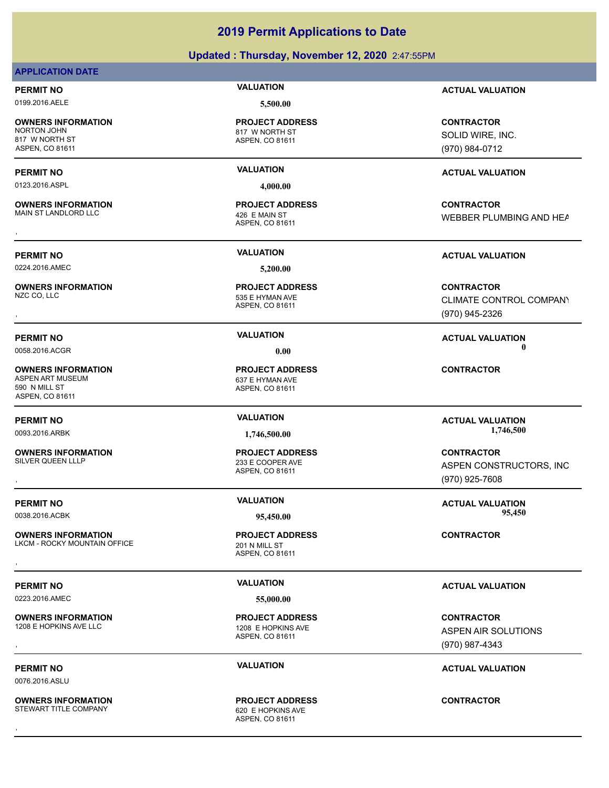## **Updated : Thursday, November 12, 2020** 2:47:55PM **2019 Permit Applications to Date**

### **APPLICATION DATE**

0199.2016.AELE **5,500.00**

**OWNERS INFORMATION** 817 W NORTH ST ASPEN, CO 81611

0123.2016.ASPL **4,000.00**

**OWNERS INFORMATION** MAIN ST LANDLORD LLC 426 E MAIN ST

0224.2016.AMEC **5,200.00**

**OWNERS INFORMATION**

**OWNERS INFORMATION** ASPEN ART MUSEUM 637 E HYMAN AVE 590 N MILL ST ASPEN, CO 81611

**OWNERS INFORMATION**<br>SILVER OUFEN LLLP

**OWNERS INFORMATION** LKCM - ROCKY MOUNTAIN OFFICE 201 N MILL ST , **CONTRACTOR**

0223.2016.AMEC **55,000.00**

**OWNERS INFORMATION**

0076.2016.ASLU

**OWNERS INFORMATION** STEWART TITLE COMPANY 620 E HOPKINS AVE

ASPEN, CO 81611 817 W NORTH ST **PROJECT ADDRESS**

ASPEN, CO 81611 **PROJECT ADDRESS**

ASPEN, CO 81611 535 E HYMAN AVE **PROJECT ADDRESS**

ASPEN, CO 81611

ASPEN, CO 81611 **PROJECT ADDRESS**

ASPEN, CO 81611 1208 E HOPKINS AVE **PROJECT ADDRESS**

ASPEN, CO 81611 **PROJECT ADDRESS OWNERS INFORMATION LIMIT SERVICE PROJECT ADDRESS ARE SOURT AND SERVICE ON TRACTOR**<br>STEWART TITLE COMPANY **CONTRACTOR**<br>ASPEN, CO 81611

**PERMIT NO VALUATION ACTUAL VALUATION**

**CONTRACTOR** SOLID WIRE, INC. (970) 984-0712

### **PERMIT NO VALUATION ACTUAL VALUATION**

, **CONTRACTOR** WEBBER PLUMBING AND HEAT

**PERMIT NO VALUATION ACTUAL VALUATION**

, **CONTRACTOR** CLIMATE CONTROL COMPANY (970) 945-2326

**CONTRACTOR**

, **CONTRACTOR** ASPEN CONSTRUCTORS, INC (970) 925-7608

**PERMIT NO CONSUMITY OF A CONSUMITY OF A CONSUMITY OF A CONSUMITY OF A CTUAL VALUATION** 0038.2016.ACBK **95,450.00 95,450.00**

### **PERMIT NO VALUATION VALUATION VALUATION**

, **CONTRACTOR** ASPEN AIR SOLUTIONS (970) 987-4343

**PERMIT NO VALUATION ACTUAL VALUATION**

**PERMIT NO VALUATION ACTUAL VALUATION**

0093.2016.ARBK **1,746,500.00 1,746,500.00**

**PERMIT NO CONSUMITY OF A CONSUMITY OF A CONSUMITY OF A CONSUMITY OF A CTUAL VALUATION** 

0058.2016.ACGR **0.00 0.00**

ASPEN, CO 81611 233 E COOPER AVE **PROJECT ADDRESS**

**PROJECT ADDRESS**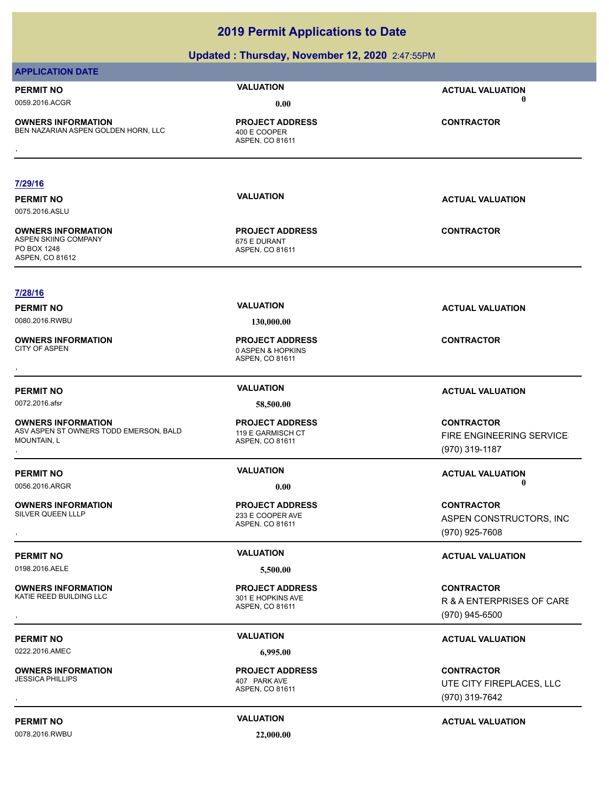|                                                                                     | Updated: Thursday, November 12, 2020 2:47:55PM                 |                                                                 |
|-------------------------------------------------------------------------------------|----------------------------------------------------------------|-----------------------------------------------------------------|
| <b>APPLICATION DATE</b>                                                             |                                                                |                                                                 |
| <b>PERMIT NO</b>                                                                    | <b>VALUATION</b>                                               | <b>ACTUAL VALUATION</b>                                         |
| 0059.2016.ACGR                                                                      | 0.00                                                           | 0                                                               |
| <b>OWNERS INFORMATION</b><br>BEN NAZARIAN ASPEN GOLDEN HORN, LLC                    | <b>PROJECT ADDRESS</b><br>400 E COOPER                         | <b>CONTRACTOR</b>                                               |
|                                                                                     | ASPEN, CO 81611                                                |                                                                 |
| 7/29/16                                                                             |                                                                |                                                                 |
| <b>PERMIT NO</b>                                                                    | <b>VALUATION</b>                                               | <b>ACTUAL VALUATION</b>                                         |
| 0075.2016.ASLU                                                                      |                                                                |                                                                 |
| <b>OWNERS INFORMATION</b><br>ASPEN SKIING COMPANY<br>PO BOX 1248<br>ASPEN, CO 81612 | <b>PROJECT ADDRESS</b><br>675 E DURANT<br>ASPEN, CO 81611      | <b>CONTRACTOR</b>                                               |
| 7/28/16                                                                             |                                                                |                                                                 |
| <b>PERMIT NO</b>                                                                    | <b>VALUATION</b>                                               | <b>ACTUAL VALUATION</b>                                         |
| 0080.2016.RWBU                                                                      | 130,000.00                                                     |                                                                 |
| <b>OWNERS INFORMATION</b><br><b>CITY OF ASPEN</b>                                   | <b>PROJECT ADDRESS</b><br>0 ASPEN & HOPKINS<br>ASPEN, CO 81611 | <b>CONTRACTOR</b>                                               |
|                                                                                     |                                                                |                                                                 |
| <b>PERMIT NO</b>                                                                    | <b>VALUATION</b>                                               | <b>ACTUAL VALUATION</b>                                         |
| 0072.2016.afsr                                                                      | 58,500.00                                                      |                                                                 |
| <b>OWNERS INFORMATION</b><br>ASV ASPEN ST OWNERS TODD EMERSON, BALD<br>MOUNTAIN, L  | <b>PROJECT ADDRESS</b><br>119 E GARMISCH CT<br>ASPEN, CO 81611 | <b>CONTRACTOR</b><br>FIRE ENGINEERING SERVICE<br>(970) 319-1187 |
| <b>PERMIT NO</b>                                                                    | <b>VALUATION</b>                                               | <b>ACTUAL VALUATION</b>                                         |
| 0056.2016.ARGR                                                                      | 0.00                                                           | 0                                                               |
| <b>OWNERS INFORMATION</b><br>SILVER QUEEN LLLP                                      | <b>PROJECT ADDRESS</b><br>233 E COOPER AVE<br>ASPEN, CO 81611  | <b>CONTRACTOR</b><br>ASPEN CONSTRUCTORS, INC<br>(970) 925-7608  |
| <b>PERMIT NO</b>                                                                    | <b>VALUATION</b>                                               | <b>ACTUAL VALUATION</b>                                         |
| 0198.2016.AELE                                                                      | 5,500.00                                                       |                                                                 |
| <b>OWNERS INFORMATION</b><br>KATIE REED BUILDING LLC                                | <b>PROJECT ADDRESS</b><br>301 E HOPKINS AVE                    | <b>CONTRACTOR</b>                                               |
|                                                                                     | ASPEN, CO 81611                                                | R & A ENTERPRISES OF CARE<br>(970) 945-6500                     |
| <b>PERMIT NO</b>                                                                    | <b>VALUATION</b>                                               | <b>ACTUAL VALUATION</b>                                         |
| 0222.2016.AMEC                                                                      | 6,995.00                                                       |                                                                 |
| <b>OWNERS INFORMATION</b><br><b>JESSICA PHILLIPS</b>                                | <b>PROJECT ADDRESS</b><br>407 PARK AVE<br>ASPEN, CO 81611      | <b>CONTRACTOR</b><br>UTE CITY FIREPLACES, LLC<br>(970) 319-7642 |
| <b>PERMIT NO</b>                                                                    | <b>VALUATION</b>                                               | <b>ACTUAL VALUATION</b>                                         |

0078.2016.RWBU **22,000.00**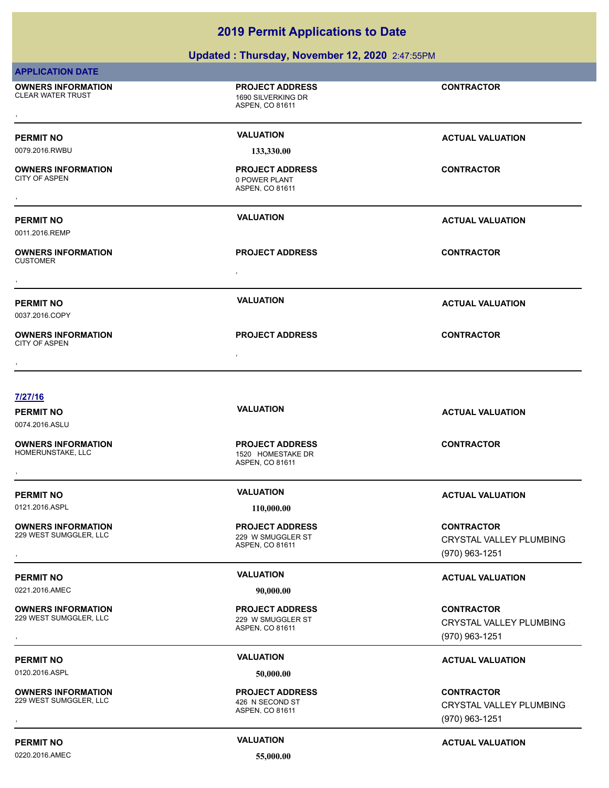### **Updated : Thursday, November 12, 2020** 2:47:55PM

| <b>APPLICATION DATE</b>                               |                                                                 |                                                                       |
|-------------------------------------------------------|-----------------------------------------------------------------|-----------------------------------------------------------------------|
| <b>OWNERS INFORMATION</b><br><b>CLEAR WATER TRUST</b> | <b>PROJECT ADDRESS</b><br>1690 SILVERKING DR<br>ASPEN, CO 81611 | <b>CONTRACTOR</b>                                                     |
|                                                       | <b>VALUATION</b>                                                |                                                                       |
| <b>PERMIT NO</b><br>0079.2016.RWBU                    | 133,330.00                                                      | <b>ACTUAL VALUATION</b>                                               |
| <b>OWNERS INFORMATION</b><br><b>CITY OF ASPEN</b>     | <b>PROJECT ADDRESS</b><br>0 POWER PLANT<br>ASPEN, CO 81611      | <b>CONTRACTOR</b>                                                     |
| <b>PERMIT NO</b><br>0011.2016.REMP                    | <b>VALUATION</b>                                                | <b>ACTUAL VALUATION</b>                                               |
| <b>OWNERS INFORMATION</b><br><b>CUSTOMER</b>          | <b>PROJECT ADDRESS</b>                                          | <b>CONTRACTOR</b>                                                     |
|                                                       |                                                                 |                                                                       |
| <b>PERMIT NO</b><br>0037.2016.COPY                    | <b>VALUATION</b>                                                | <b>ACTUAL VALUATION</b>                                               |
| <b>OWNERS INFORMATION</b><br><b>CITY OF ASPEN</b>     | <b>PROJECT ADDRESS</b>                                          | <b>CONTRACTOR</b>                                                     |
|                                                       |                                                                 |                                                                       |
| 7/27/16                                               |                                                                 |                                                                       |
| <b>PERMIT NO</b><br>0074.2016.ASLU                    | <b>VALUATION</b>                                                | <b>ACTUAL VALUATION</b>                                               |
| <b>OWNERS INFORMATION</b><br>HOMERUNSTAKE, LLC        | <b>PROJECT ADDRESS</b><br>1520 HOMESTAKE DR<br>ASPEN, CO 81611  | <b>CONTRACTOR</b>                                                     |
|                                                       | <b>VALUATION</b>                                                |                                                                       |
| <b>PERMIT NO</b><br>0121.2016.ASPL                    | 110,000.00                                                      | <b>ACTUAL VALUATION</b>                                               |
| <b>OWNERS INFORMATION</b><br>229 WEST SUMGGLER, LLC   | <b>PROJECT ADDRESS</b><br>229 W SMUGGLER ST<br>ASPEN, CO 81611  | <b>CONTRACTOR</b><br><b>CRYSTAL VALLEY PLUMBING</b><br>(970) 963-1251 |
| <b>PERMIT NO</b>                                      | <b>VALUATION</b>                                                | <b>ACTUAL VALUATION</b>                                               |
| 0221.2016.AMEC                                        | 90,000.00                                                       |                                                                       |
| <b>OWNERS INFORMATION</b><br>229 WEST SUMGGLER, LLC   | <b>PROJECT ADDRESS</b><br>229 W SMUGGLER ST<br>ASPEN, CO 81611  | <b>CONTRACTOR</b><br><b>CRYSTAL VALLEY PLUMBING</b><br>(970) 963-1251 |
| <b>PERMIT NO</b>                                      | <b>VALUATION</b>                                                | <b>ACTUAL VALUATION</b>                                               |
| 0120.2016.ASPL                                        | 50,000.00                                                       |                                                                       |
| <b>OWNERS INFORMATION</b><br>229 WEST SUMGGLER, LLC   | <b>PROJECT ADDRESS</b><br>426 N SECOND ST<br>ASPEN, CO 81611    | <b>CONTRACTOR</b><br><b>CRYSTAL VALLEY PLUMBING</b><br>(970) 963-1251 |
| <b>PERMIT NO</b>                                      | <b>VALUATION</b>                                                | <b>ACTUAL VALUATION</b>                                               |

0220.2016.AMEC **55,000.00**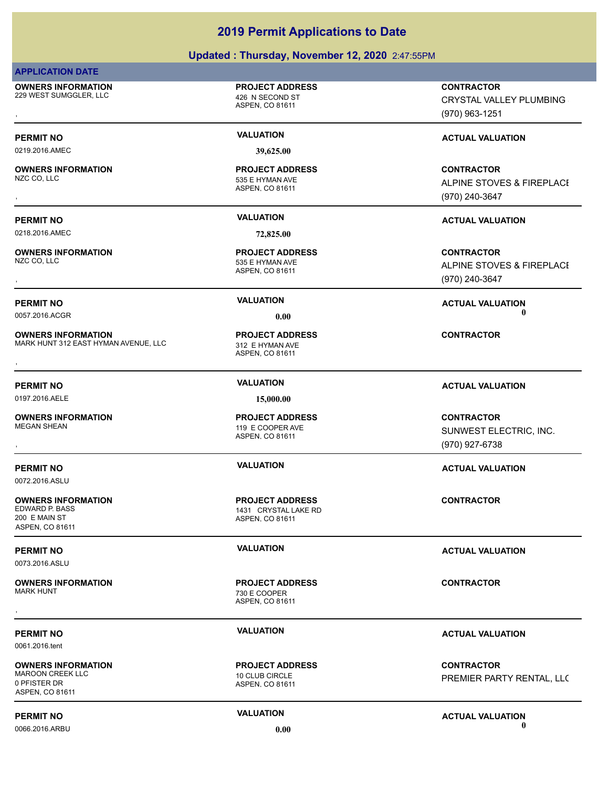### **Updated : Thursday, November 12, 2020** 2:47:55PM

### **APPLICATION DATE**

**OWNERS INFORMATION** 229 WEST SUMGGLER, LLC 426 N SECOND ST

**OWNERS INFORMATION**

**OWNERS INFORMATION**

**OWNERS INFORMATION**

**OWNERS INFORMATION**

ASPEN, CO 81611

**PROJECT ADDRESS**

0219.2016.AMEC **39,625.00**

### ASPEN, CO 81611 535 E HYMAN AVE **PROJECT ADDRESS**

0218.2016.AMEC **72,825.00**

### ASPEN, CO 81611 535 E HYMAN AVE **PROJECT ADDRESS**

0057.2016.ACGR **0.00 0.00**

ASPEN, CO 81611 MARK HUNT 312 EAST HYMAN AVENUE, LLC 312 E HYMAN AVE **PROJECT ADDRESS OWNERS INFORMATION MARK HUNTERS PROJECT ADDRESS ARE:**<br>MARK HUNT 312 EAST HYMAN AVENUE, LLC 312 E HYMAN AVE ASPEN, CO 81611<br>,

0197.2016.AELE **15,000.00**

### ASPEN, CO 81611 119 E COOPER AVE **PROJECT ADDRESS**

ASPEN, CO 81611 1431 CRYSTAL LAKE RD **PROJECT ADDRESS**

ASPEN, CO 81611 730 E COOPER **PROJECT ADDRESS** , **CONTRACTOR**

## **PROJECT ADDRESS**

ASPEN, CO 81611

**OWNERS INFORMATION PROJECT ADDRESS CONTRACTOR**<br>229 WEST SUMGGLER, LLC 426 N SECOND ST CRYSTAL VALLEY PLUMBING<br>, ASPEN. CO 81611 CRYSTAL VALLEY PLUMBING (970) 963-1251

### **PERMIT NO VALUATION VALUATION VALUATION**

, **CONTRACTOR** ALPINE STOVES & FIREPLACE (970) 240-3647

### **PERMIT NO VALUATION ACTUAL VALUATION**

, **CONTRACTOR** ALPINE STOVES & FIREPLACE (970) 240-3647

### **PERMIT NO VALUATION ACTUAL VALUATION**

### **PERMIT NO VALUATION ACTUAL VALUATION**

, **CONTRACTOR** SUNWEST ELECTRIC, INC. (970) 927-6738

### **PERMIT NO VALUATION ACTUAL VALUATION**

### **CONTRACTOR**

**PERMIT NO VALUATION VALUATION VALUATION** 

### **PERMIT NO VALUATION ACTUAL VALUATION**

**CONTRACTOR** PREMIER PARTY RENTAL, LLC

### **PERMIT NO CONSUMITY OF A CONSUMITY OF A CONSUMITY OF A CONSUMITY OF A CTUAL VALUATION** 0066.2016.ARBU **0.00 0.00**

0072.2016.ASLU **OWNERS INFORMATION** 200 E MAIN ST ASPEN, CO 81611

0073.2016.ASLU

**OWNERS INFORMATION**

0061.2016.tent

**OWNERS INFORMATION** MAROON CREEK LLC 10 CLUB CIRCLE 0 PFISTER DR ASPEN, CO 81611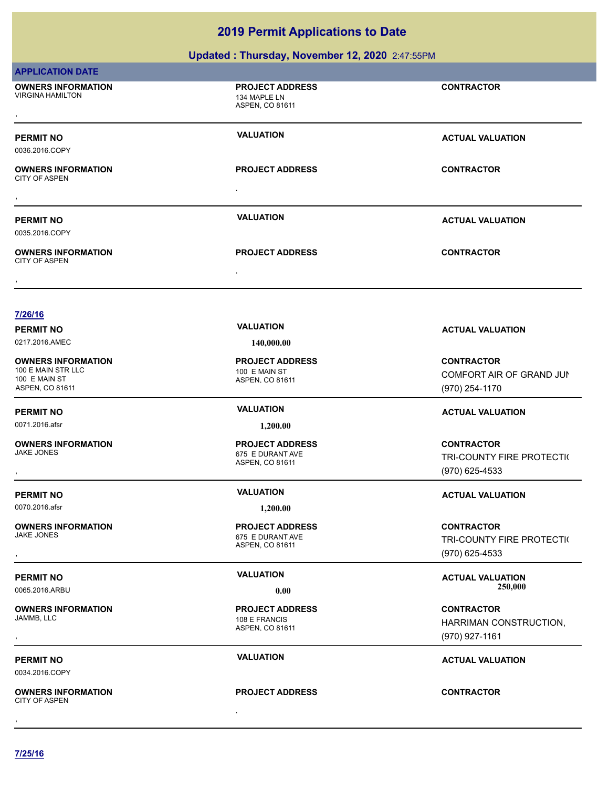### **Updated : Thursday, November 12, 2020** 2:47:55PM

| <b>APPLICATION DATE</b>                              |                                                           |                           |
|------------------------------------------------------|-----------------------------------------------------------|---------------------------|
| <b>OWNERS INFORMATION</b><br><b>VIRGINA HAMILTON</b> | <b>PROJECT ADDRESS</b><br>134 MAPLE LN<br>ASPEN, CO 81611 | <b>CONTRACTOR</b>         |
| <b>PERMIT NO</b>                                     | <b>VALUATION</b>                                          | <b>ACTUAL VALUATION</b>   |
| 0036.2016.COPY                                       |                                                           |                           |
| <b>OWNERS INFORMATION</b><br><b>CITY OF ASPEN</b>    | <b>PROJECT ADDRESS</b>                                    | <b>CONTRACTOR</b>         |
|                                                      | $\bullet$                                                 |                           |
| <b>PERMIT NO</b>                                     | <b>VALUATION</b>                                          | <b>ACTUAL VALUATION</b>   |
| 0035.2016.COPY                                       |                                                           |                           |
| <b>OWNERS INFORMATION</b><br><b>CITY OF ASPEN</b>    | <b>PROJECT ADDRESS</b>                                    | <b>CONTRACTOR</b>         |
|                                                      | $\epsilon$                                                |                           |
| 7/26/16                                              |                                                           |                           |
| <b>PERMIT NO</b>                                     | <b>VALUATION</b>                                          | <b>ACTUAL VALUATION</b>   |
| 0217.2016.AMEC                                       | 140,000.00                                                |                           |
| <b>OWNERS INFORMATION</b><br>100 E MAIN STR LLC      | <b>PROJECT ADDRESS</b><br>100 E MAIN ST                   | <b>CONTRACTOR</b>         |
| 100 E MAIN ST                                        | ASPEN, CO 81611                                           | COMFORT AIR OF GRAND JUN  |
| ASPEN, CO 81611                                      |                                                           | (970) 254-1170            |
| <b>PERMIT NO</b>                                     | <b>VALUATION</b>                                          | <b>ACTUAL VALUATION</b>   |
| 0071.2016.afsr                                       | 1,200.00                                                  |                           |
| <b>OWNERS INFORMATION</b><br><b>JAKE JONES</b>       | <b>PROJECT ADDRESS</b>                                    | <b>CONTRACTOR</b>         |
|                                                      | 675 E DURANT AVE<br><b>ASPEN, CO 81611</b>                | TRI-COUNTY FIRE PROTECTI( |
|                                                      |                                                           | (970) 625-4533            |
| <b>PERMIT NO</b>                                     | <b>VALUATION</b>                                          | <b>ACTUAL VALUATION</b>   |
| 0070.2016.afsr                                       | 1,200.00                                                  |                           |
| <b>OWNERS INFORMATION</b>                            | <b>PROJECT ADDRESS</b>                                    | <b>CONTRACTOR</b>         |
| <b>JAKE JONES</b>                                    | 675 E DURANT AVE<br>ASPEN, CO 81611                       | TRI-COUNTY FIRE PROTECTI( |
|                                                      |                                                           | (970) 625-4533            |
| <b>PERMIT NO</b>                                     | <b>VALUATION</b>                                          | <b>ACTUAL VALUATION</b>   |
| 0065.2016.ARBU                                       | 0.00                                                      | 250,000                   |
| <b>OWNERS INFORMATION</b>                            | <b>PROJECT ADDRESS</b>                                    | <b>CONTRACTOR</b>         |
| JAMMB, LLC                                           | 108 E FRANCIS<br>ASPEN, CO 81611                          | HARRIMAN CONSTRUCTION,    |
|                                                      |                                                           | (970) 927-1161            |
| <b>PERMIT NO</b>                                     | <b>VALUATION</b>                                          | <b>ACTUAL VALUATION</b>   |
| 0034.2016.COPY                                       |                                                           |                           |
| <b>OWNERS INFORMATION</b><br><b>CITY OF ASPEN</b>    | <b>PROJECT ADDRESS</b>                                    | <b>CONTRACTOR</b>         |
|                                                      | $\epsilon$                                                |                           |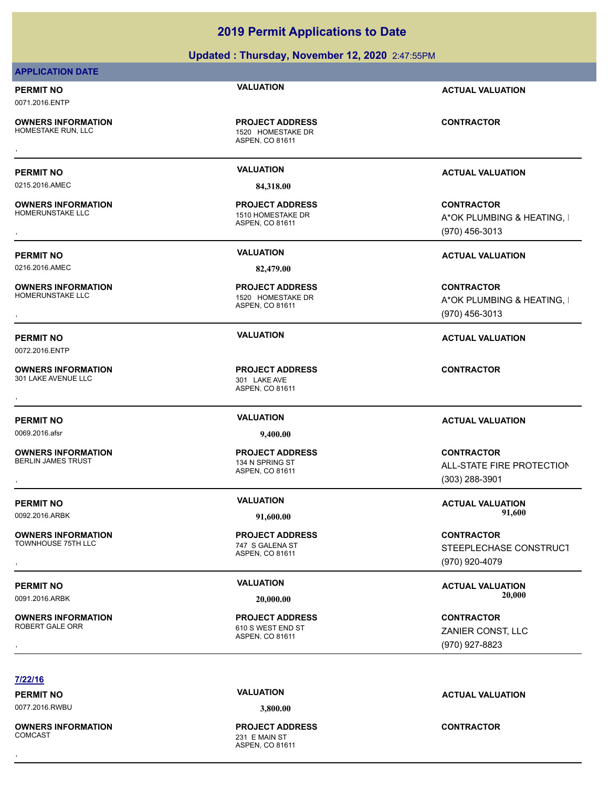### **Updated : Thursday, November 12, 2020** 2:47:55PM

### **APPLICATION DATE**

### **PERMIT NO VALUATION ACTUAL VALUATION** 0071.2016.ENTP

**OWNERS INFORMATION**

## **PROJECT ADDRESS**

0215.2016.AMEC **84,318.00**

**OWNERS INFORMATION**

0216.2016.AMEC **82,479.00**

**OWNERS INFORMATION**

0072.2016.ENTP

**OWNERS INFORMATION** 301 LAKE AVENUE LLC<br>301 LAKE AVENUE LLC

0069.2016.afsr **9,400.00**

**OWNERS INFORMATION**

**OWNERS INFORMATION** TOWNHOUSE 75TH LLC TOWN TOWN THE TABLE 747 S GALENA ST

**OWNERS INFORMATION**

ASPEN, CO 81611 1520 HOMESTAKE DR , **CONTRACTOR**

ASPEN, CO 81611 1510 HOMESTAKE DR **PROJECT ADDRESS**

ASPEN, CO 81611 1520 HOMESTAKE DR **PROJECT ADDRESS**

ASPEN, CO 81611 **PROJECT ADDRESS** , **CONTRACTOR**

ASPEN, CO 81611 134 N SPRING ST **PROJECT ADDRESS**

ASPEN, CO 81611 **PROJECT ADDRESS**

ASPEN, CO 81611 610 S WEST END ST **PROJECT ADDRESS**

### **PERMIT NO VALUATION ACTUAL VALUATION**

**OWNERS INFORMATION PROJECT ADDRESS CONTRACTOR**<br>HOMERUNSTAKE LLC 1510 HOMESTAKE DR A\*OK PLUMBING & HEATING, I<br>, ASPEN. CO 81611 A\*OK PLUMBING & HEATING, I (970) 456-3013

**PERMIT NO VALUATION ACTUAL VALUATION**

**OWNERS INFORMATION PROJECT ADDRESS CONTRACTOR**<br>HOMERUNSTAKE LLC 1520 HOMESTAKE DR A\*OK PLUMBING & HEATING, I<br>, ASPEN, CO 81611 A\*OK PLUMBING & HEATING, I (970) 456-3013

**PERMIT NO VALUATION ACTUAL VALUATION**

### **PERMIT NO VALUATION ACTUAL VALUATION**

, **CONTRACTOR ALL-STATE FIRE PROTECTION** (303) 288-3901

**PERMIT NO VALUATION VALUATION VALUATION** 0092.2016.ARBK **91,600.00 91,600.00**

, **CONTRACTOR** STEEPLECHASE CONSTRUCT (970) 920-4079

**PERMIT NO VALUATION ACTUAL VALUATION** 0091.2016.ARBK **20,000.00 20,000.00**

**OWNERS INFORMATION FROJECT ADDRESS CONTRACTOR CONTRACTOR**<br>ROBERT GALE ORR FROM THE GOOD BOOT ASPEN, CO 81611<br>ASPEN, CO 81611 (970) 927-8823 ZANIER CONST, LLC (970) 927-8823

**7/22/16**

**OWNERS INFORMATION**

0077.2016.RWBU **3,800.00**

ASPEN, CO 81611 231 E MAIN ST **PROJECT ADDRESS** , **CONTRACTOR**

**PERMIT NO VALUATION ACTUAL VALUATION**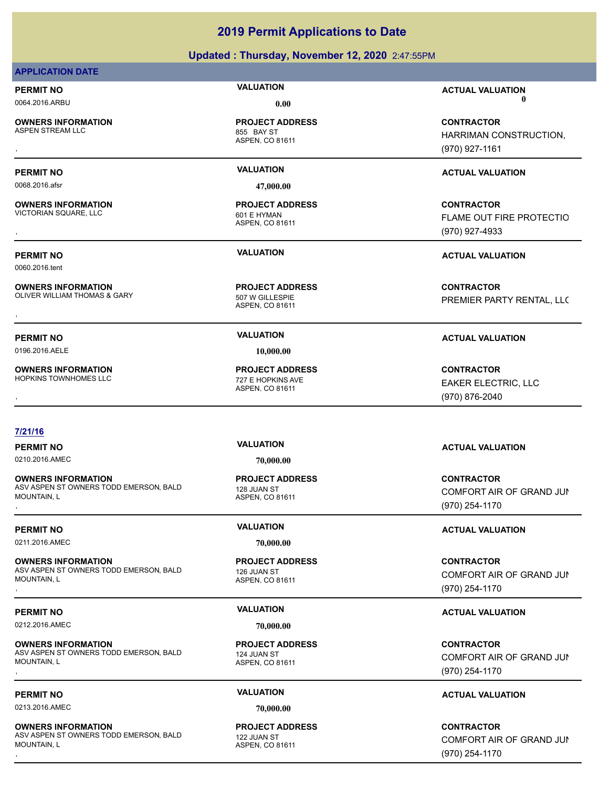### **Updated : Thursday, November 12, 2020** 2:47:55PM

### **APPLICATION DATE**

**OWNERS INFORMATION** ASPEN STREAM LLC 855 BAY ST

**OWNERS INFORMATION**

**OWNERS INFORMATION**

**OWNERS INFORMATION**

0060.2016.tent

**PROJECT ADDRESS**

ASPEN, CO 81611

0068.2016.afsr **47,000.00**

ASPEN, CO 81611 VICTORIAN SQUARE, LLC<br>VICTORIAN SQUARE, LLC 601 E HYMAN **PROJECT ADDRESS**

ASPEN, CO 81611 OLIVER WILLIAM THOMAS & GARY 507 W GILLESPIE **PROJECT ADDRESS**

0196.2016.AELE **10,000.00**

ASPEN, CO 81611 HOPKINS TOWNHOMES LLC **The CONTROL CONTROL CONTROL CONTROL CONTROL** 727 E HOPKINS AVE **PROJECT ADDRESS**

### **7/21/16**

0210.2016.AMEC **70,000.00**

**OWNERS INFORMATION** ASV ASPEN ST OWNERS TODD EMERSON, BALD MOUNTAIN, L **OWNERS INFORMATION DEARS ON TROJECT ADDRESS ARE CONTRACTOR CONTRACTOR CONTRACTOR**<br>ASV ASPEN ST OWNERS TODD EMERSON, BALD 128 JUAN ST **ASPEN, CO 81611** COME COME COME AND OUNTAIN, L<br>MOUNTAIN, L (970) 254-1170

**OWNERS INFORMATION** ASV ASPEN ST OWNERS TODD EMERSON, BALD MOUNTAIN, L

0212.2016.AMEC **70,000.00**

**OWNERS INFORMATION** ASV ASPEN ST OWNERS TODD EMERSON, BALD MOUNTAIN, L

0213.2016.AMEC **70,000.00**

**OWNERS INFORMATION** ASV ASPEN ST OWNERS TODD EMERSON, BALD MOUNTAIN, L

ASPEN, CO 81611 128 JUAN ST **PROJECT ADDRESS**

0211.2016.AMEC **70,000.00**

ASPEN, CO 81611 126 JUAN ST **PROJECT ADDRESS**

ASPEN, CO 81611 124 JUAN ST **PROJECT ADDRESS**

ASPEN, CO 81611 122 JUAN ST **PROJECT ADDRESS**

**PERMIT NO VALUATION ACTUAL VALUATION** 0064.2016.ARBU **0.00 0.00**

, **CONTRACTOR** HARRIMAN CONSTRUCTION, (970) 927-1161

### **PERMIT NO VALUATION ACTUAL VALUATION**

**OWNERS INFORMATION PROJECT ADDRESS CONTRACTOR**<br>VICTORIAN SQUARE, LLC 601 E HYMAN FLAME OUT FIRE PROTECTIO<br>, ASPEN. CO 81611 FLAME OUT FIRE PROTECTIO (970) 927-4933

**PERMIT NO VALUATION ACTUAL VALUATION**

**OWNERS INFORMATION GARY REPOLUS TO A PROJECT ADDRESS CONTRACTOR CONTRACTOR**<br>OLIVER WILLIAM THOMAS & GARY FOR THE STATE OF THE STATE ASPEN, CO 81611<br>, PREMIER PARTY RENTAL, LLC

### **PERMIT NO VALUATION ACTUAL VALUATION**

, **CONTRACTOR** EAKER ELECTRIC, LLC (970) 876-2040

### **PERMIT NO VALUATION ACTUAL VALUATION**

COMFORT AIR OF GRAND JUN (970) 254-1170

### **PERMIT NO VALUATION ACTUAL VALUATION**

**OWNERS INFORMATION DEARS ON THE REPOLUT ADDRESS CONTRACTOR CONTRACTOR CONTRACTOR**<br>ASV ASPEN ST OWNERS TODD EMERSON, BALD 126 JUAN ST THE STATE OF COMFORT AIR OF GRAND JUIN<br>MOUNTAIN, L CONTRACT ASPEN. CO 81611 1999 1999 19 COMFORT AIR OF GRAND JUN (970) 254-1170

### **PERMIT NO VALUATION ACTUAL VALUATION**

**OWNERS INFORMATION DEARS ON TROJECT ADDRESS ARE SERVICE CONTRACTOR CONTRACTOR**<br>ASV ASPEN ST OWNERS TODD EMERSON, BALD ASPEN ASPEN. CO 81611 **DEARS CONT AND A SPEN ASPEN. CO 81611** COMPORT AIR OF GRAND JUN<br>MOUNTAIN, L<br>, COMFORT AIR OF GRAND JUN (970) 254-1170

### **PERMIT NO VALUATION ACTUAL VALUATION**

**OWNERS INFORMATION DEARS ON THE REPOLUT ADDRESS ARE CONTRACTOR CONTRACTOR**<br>ASV ASPEN ST OWNERS TODD EMERSON, BALD ASPEN ASPEN. CO 81611 **DEARS CONT AND A COME ART AND STAND JUNITAIN**, L<br>MOUNTAIN, L **ASPEN ASPEN. CO 81611** COMFORT AIR OF GRAND JUN (970) 254-1170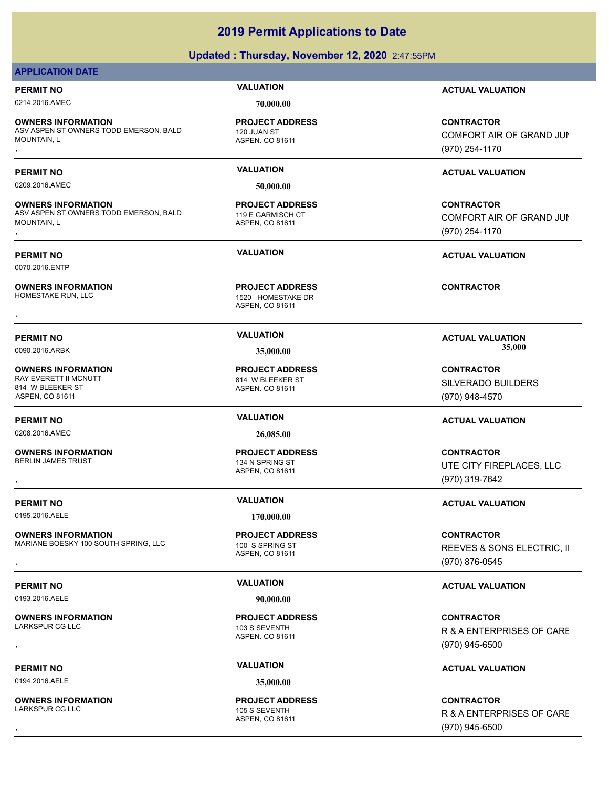### **Updated : Thursday, November 12, 2020** 2:47:55PM

### **APPLICATION DATE**

0214.2016.AMEC **70,000.00**

**OWNERS INFORMATION** ASV ASPEN ST OWNERS TODD EMERSON, BALD MOUNTAIN, L **OWNERS INFORMATION DEARS ON THE REPOLUT ADDRESS CONTRACTOR CONTRACTOR CONTRACTOR**<br>ASV ASPEN ST OWNERS TODD EMERSON, BALD 120 JUAN ST 120 JUAN ST COMFORT AIR OF GRAND JUIN<br>MOUNTAIN, L<br>, https://www.co.81611

0209.2016.AMEC **50,000.00**

**OWNERS INFORMATION** ASV ASPEN ST OWNERS TODD EMERSON, BALD MOUNTAIN, L **OWNERS INFORMATION DEARS ON TROJECT ADDRESS ARE SERVICE CONTRACTOR CONTRACTOR**<br>ASV ASPEN ST OWNERS TODD EMERSON, BALD ASPEN. CO 81611 ASPEN. CO 81611 **COMFORT AIR OF GRAND JUIN**<br>MOUNTAIN, L **ASPEN ASPEN. CO 81611** ASPEN.

0070.2016.ENTP

**OWNERS INFORMATION**

**OWNERS INFORMATION** RAY EVERETT II MCNUTT 814 W BLEEKER ST 814 W BLEEKER ST ASPEN, CO 81611

0208.2016.AMEC **26,085.00**

**OWNERS INFORMATION**

0195.2016.AELE **170,000.00**

**OWNERS INFORMATION** MARIANE BOESKY 100 SOUTH SPRING, LLC 100 S SPRING ST

0193.2016.AELE **90,000.00**

**OWNERS INFORMATION** LARKSPUR CG LLC 103 S SEVENTH

0194.2016.AELE **35,000.00**

**OWNERS INFORMATION** LARKSPUR CG LLC 105 S SEVENTH

ASPEN, CO 81611 120 JUAN ST **PROJECT ADDRESS**

ASPEN, CO 81611 119 E GARMISCH CT **PROJECT ADDRESS**

ASPEN, CO 81611 1520 HOMESTAKE DR **PROJECT ADDRESS** , **CONTRACTOR**

ASPEN, CO 81611 **PROJECT ADDRESS**

ASPEN, CO 81611 134 N SPRING ST **PROJECT ADDRESS**

ASPEN, CO 81611 **PROJECT ADDRESS**

ASPEN, CO 81611 **PROJECT ADDRESS**

ASPEN, CO 81611 **PROJECT ADDRESS**

**PERMIT NO VALUATION ACTUAL VALUATION**

COMFORT AIR OF GRAND JUN (970) 254-1170

### **PERMIT NO VALUATION ACTUAL VALUATION**

COMFORT AIR OF GRAND JUN (970) 254-1170

**PERMIT NO VALUATION ACTUAL VALUATION**

**PERMIT NO CONSUMITY OF A CONSUMITY OF A CONSUMITY OF A CONSUMITY OF A CTUAL VALUATION** 0090.2016.ARBK **35,000.00 35,000.00**

> **CONTRACTOR** SILVERADO BUILDERS (970) 948-4570

### **PERMIT NO VALUATION ACTUAL VALUATION**

, **CONTRACTOR** UTE CITY FIREPLACES, LLC (970) 319-7642

### **PERMIT NO VALUATION VALUATION VALUATION**

**OWNERS INFORMATION MARIATION DESCRIPTED BY A SERVING ST AND RESONS SPRING ST SERVES A SONS ELECTRIC, II<br>MARIANE BOESKY 100 SOUTH SPRING, LLC ASPEN, CO 81611 ASPEN, CO 81611 (970) 876-0545** REEVES & SONS ELECTRIC, II (970) 876-0545

### **PERMIT NO VALUATION VALUATION VALUATION**

, **CONTRACTOR** R & A ENTERPRISES OF CARE (970) 945-6500

### **PERMIT NO VALUATION ACTUAL VALUATION**

, **CONTRACTOR** R & A ENTERPRISES OF CARE (970) 945-6500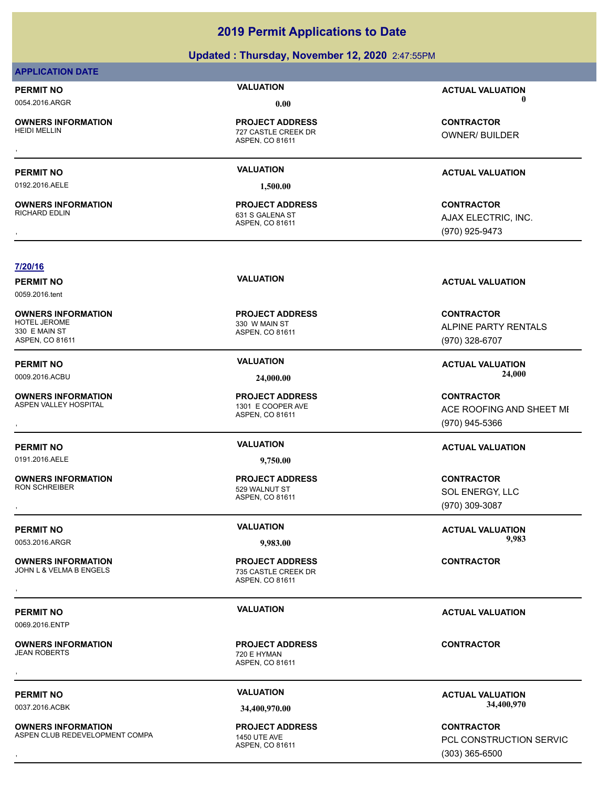### **Updated : Thursday, November 12, 2020** 2:47:55PM

### **APPLICATION DATE**

**OWNERS INFORMATION**

0192.2016.AELE **1,500.00**

**OWNERS INFORMATION**

ASPEN, CO 81611 727 CASTLE CREEK DR **PROJECT ADDRESS** , **CONTRACTOR**

ASPEN, CO 81611 631 S GALENA ST **PROJECT ADDRESS**

**PERMIT NO VALUATION ACTUAL VALUATION** 0054.2016.ARGR **0.00 0.00**

OWNER/ BUILDER

### **PERMIT NO VALUATION ACTUAL VALUATION**

, **CONTRACTOR** AJAX ELECTRIC, INC. (970) 925-9473

### **7/20/16**

0059.2016.tent

**OWNERS INFORMATION** 330 E MAIN ST ASPEN, CO 81611

**OWNERS INFORMATION**

0191.2016.AELE **9,750.00**

**OWNERS INFORMATION**

**OWNERS INFORMATION**

0069.2016.ENTP

**OWNERS INFORMATION**

ASPEN, CO 81611 330 W MAIN ST **PROJECT ADDRESS**

ASPEN, CO 81611 1301 E COOPER AVE **PROJECT ADDRESS**

ASPEN, CO 81611 529 WALNUT ST **PROJECT ADDRESS**

ASPEN, CO 81611 735 CASTLE CREEK DR **PROJECT ADDRESS** , **CONTRACTOR**

ASPEN, CO 81611 720 E HYMAN **PROJECT ADDRESS** , **CONTRACTOR**

ASPEN, CO 81611 **PROJECT ADDRESS**

**PERMIT NO VALUATION ACTUAL VALUATION**

**CONTRACTOR** ALPINE PARTY RENTALS (970) 328-6707

**PERMIT NO VALUATION ACTUAL VALUATION**

, **CONTRACTOR** ACE ROOFING AND SHEET MI (970) 945-5366

### **PERMIT NO VALUATION ACTUAL VALUATION**

, **CONTRACTOR** SOL ENERGY, LLC (970) 309-3087

PERMIT NO **SALUATION**<br>  $\begin{array}{ccc}\n 0.003,006 \\
 0.003,006\n \end{array}$  ACTUAL VALUATION 0053.2016.ARGR **9,983.00 9,983.00**

### **PERMIT NO VALUATION ACTUAL VALUATION**

### PERMIT NO **SALUATION VALUATION CONSUMPTION ACTUAL VALUATION**<br> $\frac{24.499.979.99}{24.499.979.99}$ 0037.2016.ACBK **34,400,970.00 34,400,970.00**

**OWNERS INFORMATION METALLY CONTRACTOR DESCRIPTION ON MERGUIDE PROJECT ADDRESS ARE CONTRACTOR CONTRACTOR CONTRO<br>ASPEN CLUB REDEVELOPMENT COMPA 1450 UTE AVE ASPEN. CO 81611 <b>1450 UTE AVE EXECUCA CONTRACTOR SERVIC**<br>, Maspen, PCL CONSTRUCTION SERVIC (303) 365-6500

**OWNERS INFORMATION** ASPEN CLUB REDEVELOPMENT COMPA 1450 ITE AVE

0009.2016.ACBU **24,000.00 24,000.00**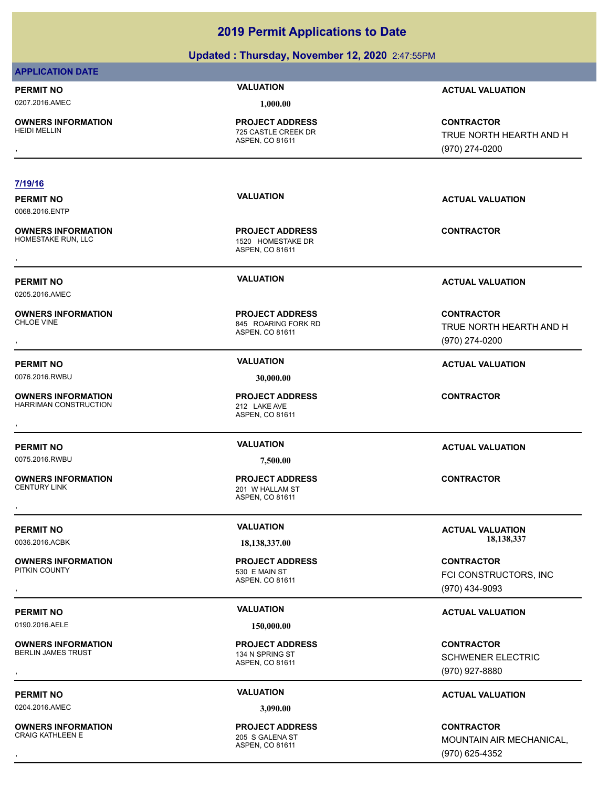|                                                                      | Updated: Thursday, November 12, 2020 2:47:55PM                         |                                                                 |
|----------------------------------------------------------------------|------------------------------------------------------------------------|-----------------------------------------------------------------|
| <b>APPLICATION DATE</b>                                              |                                                                        |                                                                 |
| <b>PERMIT NO</b>                                                     | <b>VALUATION</b>                                                       | <b>ACTUAL VALUATION</b>                                         |
| 0207.2016.AMEC                                                       | 1,000.00                                                               |                                                                 |
| <b>OWNERS INFORMATION</b><br><b>HEIDI MELLIN</b>                     | <b>PROJECT ADDRESS</b><br>725 CASTLE CREEK DR<br>ASPEN, CO 81611       | <b>CONTRACTOR</b><br>TRUE NORTH HEARTH AND H<br>(970) 274-0200  |
| 7/19/16                                                              |                                                                        |                                                                 |
| <b>PERMIT NO</b><br>0068.2016.ENTP                                   | <b>VALUATION</b>                                                       | <b>ACTUAL VALUATION</b>                                         |
| <b>OWNERS INFORMATION</b><br>HOMESTAKE RUN, LLC                      | <b>PROJECT ADDRESS</b><br>1520 HOMESTAKE DR<br>ASPEN, CO 81611         | <b>CONTRACTOR</b>                                               |
| <b>PERMIT NO</b><br>0205.2016.AMEC                                   | <b>VALUATION</b>                                                       | <b>ACTUAL VALUATION</b>                                         |
| <b>OWNERS INFORMATION</b><br><b>CHLOE VINE</b>                       | <b>PROJECT ADDRESS</b><br>845 ROARING FORK RD<br>ASPEN, CO 81611       | <b>CONTRACTOR</b><br>TRUE NORTH HEARTH AND H<br>(970) 274-0200  |
| <b>PERMIT NO</b>                                                     | <b>VALUATION</b>                                                       | <b>ACTUAL VALUATION</b>                                         |
| 0076.2016.RWBU<br><b>OWNERS INFORMATION</b><br>HARRIMAN CONSTRUCTION | 30,000.00<br><b>PROJECT ADDRESS</b><br>212 LAKE AVE<br>ASPEN, CO 81611 | <b>CONTRACTOR</b>                                               |
| <b>PERMIT NO</b>                                                     | <b>VALUATION</b>                                                       | <b>ACTUAL VALUATION</b>                                         |
| 0075.2016.RWBU                                                       | 7,500.00                                                               |                                                                 |
| <b>OWNERS INFORMATION</b><br><b>CENTURY LINK</b>                     | <b>PROJECT ADDRESS</b><br>201 W HALLAM ST<br>ASPEN, CO 81611           | <b>CONTRACTOR</b>                                               |
| <b>PERMIT NO</b><br>0036.2016.ACBK                                   | <b>VALUATION</b><br>18,138,337.00                                      | <b>ACTUAL VALUATION</b><br>18,138,337                           |
| <b>OWNERS INFORMATION</b><br>PITKIN COUNTY                           | <b>PROJECT ADDRESS</b><br>530 E MAIN ST<br>ASPEN, CO 81611             | <b>CONTRACTOR</b><br>FCI CONSTRUCTORS, INC<br>(970) 434-9093    |
| <b>PERMIT NO</b>                                                     | <b>VALUATION</b>                                                       | <b>ACTUAL VALUATION</b>                                         |
| 0190.2016.AELE                                                       | 150,000.00                                                             |                                                                 |
| <b>OWNERS INFORMATION</b><br>BERLIN JAMES TRUST                      | <b>PROJECT ADDRESS</b><br>134 N SPRING ST<br>ASPEN, CO 81611           | <b>CONTRACTOR</b><br><b>SCHWENER ELECTRIC</b><br>(970) 927-8880 |
|                                                                      | <b>VALUATION</b>                                                       |                                                                 |
| <b>PERMIT NO</b><br>0204.2016.AMEC                                   |                                                                        | <b>ACTUAL VALUATION</b>                                         |
|                                                                      | 3,090.00                                                               |                                                                 |

**OWNERS INFORMATION** CRAIG KATHLEEN E 205 S GALENA ST

**PROJECT ADDRESS**

ASPEN, CO 81611

, **CONTRACTOR** MOUNTAIN AIR MECHANICAL, (970) 625-4352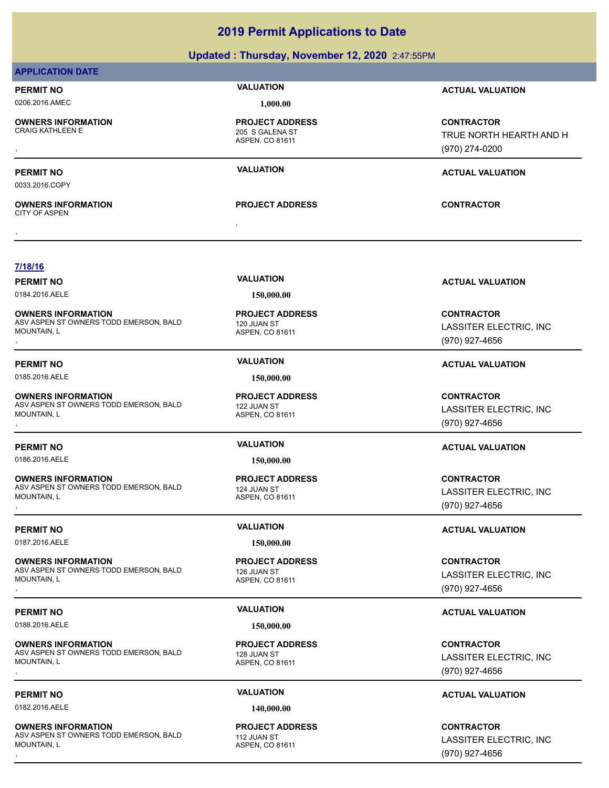### **Updated : Thursday, November 12, 2020** 2:47:55PM

### **APPLICATION DATE**

### 0206.2016.AMEC **1,000.00**

**OWNERS INFORMATION**

, **OWNERS INFORMATION**

ASPEN, CO 81611 205 S GALENA ST **PROJECT ADDRESS**

**PROJECT ADDRESS** , **CONTRACTOR**

### **PERMIT NO VALUATION ACTUAL VALUATION**

, **CONTRACTOR** TRUE NORTH HEARTH AND H (970) 274-0200

### **PERMIT NO VALUATION ACTUAL VALUATION**

### CITY OF ASPEN

0033.2016.COPY

### **7/18/16**

0184.2016.AELE **150,000.00**

**OWNERS INFORMATION** ASV ASPEN ST OWNERS TODD EMERSON, BALD MOUNTAIN, L **OWNERS INFORMATION DEMERSON, BALD REGULAR PROJECT ADDRESS ARE SONTRACTOR CONTRACTOR CONTRACTOR ASPEN CONTRACTOR**<br>ASV ASPEN ST OWNERS TODD EMERSON, BALD 120 JUAN ST **ASPEN, CO 81611** ASPEN CO 81611 (970) 927-4656

0185.2016.AELE **150,000.00**

**OWNERS INFORMATION** ASV ASPEN ST OWNERS TODD EMERSON, BALD MOUNTAIN, L **OWNERS INFORMATION DEMERSON, BALD REGULAR PROJECT ADDRESS ARE SONTRACTOR CONTRACTOR CONTRACTOR ASPEN AND READ T<br>ASV ASPEN ST OWNERS TODD EMERSON, BALD 122 JUAN ST ASPEN. CO 81611<br>MOUNTAIN, L (970) 927-4656** 

0186.2016.AELE **150,000.00**

**OWNERS INFORMATION** ASV ASPEN ST OWNERS TODD EMERSON, BALD MOUNTAIN, L **OWNERS INFORMATION DEMERSON, BALD REGULAR PROJECT ADDRESS ARE SONTRACTOR CONTRACTOR CONTRACTOR ASPEN CONTRACTOR**<br>ASV ASPEN ST OWNERS TODD EMERSON, BALD 124 JUAN ST **ASPEN, CO 81611** ASPEN, CO 81611 (970) 927-4656

0187.2016.AELE **150,000.00**

**OWNERS INFORMATION** ASV ASPEN ST OWNERS TODD EMERSON, BALD MOUNTAIN, L **OWNERS INFORMATION DEMERSON, BALD REGULAR PROJECT ADDRESS ARE SONTRACTOR CONTRACTOR CONTRACTOR ASPEN CONTRACTOR**<br>ASV ASPEN ST OWNERS TODD EMERSON, BALD 126 JUAN ST **ASPEN. CO 81611** ASPEN. CO 81611 (970) 927-4656

0188.2016.AELE **150,000.00**

**OWNERS INFORMATION** ASV ASPEN ST OWNERS TODD EMERSON, BALD MOUNTAIN, L **OWNERS INFORMATION DEMERSON, BALD REGULAR PROJECT ADDRESS ARE SONTRACTOR CONTRACTOR CONTRACTOR ASPEN CONTRACTOR**<br>ASV ASPEN ST OWNERS TODD EMERSON, BALD 128 JUAN ST **ASPEN. CO 81611** ASPEN. CO 81611 (970) 927-4656

0182.2016.AELE **140,000.00**

**OWNERS INFORMATION** ASV ASPEN ST OWNERS TODD EMERSON, BALD MOUNTAIN, L **OWNERS INFORMATION DEMERSON, BALD REGULAR PROJECT ADDRESS ARE SONTRACTOR CONTRACTOR CONTRACTOR ASPEN ASPEN CONTR<br>ASV ASPEN ST OWNERS TODD EMERSON, BALD 112 JUAN ST ASPEN. CO 81611 <b>REGULAR ST ST ASSITER ELECTRIC, INC ASPE** 

ASPEN, CO 81611 120 JUAN ST **PROJECT ADDRESS**

ASPEN, CO 81611 122 JUAN ST **PROJECT ADDRESS**

ASPEN, CO 81611 124 JUAN ST **PROJECT ADDRESS**

ASPEN, CO 81611 126 JUAN ST **PROJECT ADDRESS**

ASPEN, CO 81611 128 JUAN ST **PROJECT ADDRESS**

ASPEN, CO 81611 **112 JUAN ST PROJECT ADDRESS**

**PERMIT NO VALUATION ACTUAL VALUATION**

LASSITER ELECTRIC, INC (970) 927-4656

### **PERMIT NO VALUATION ACTUAL VALUATION**

LASSITER ELECTRIC, INC (970) 927-4656

### **PERMIT NO VALUATION ACTUAL VALUATION**

LASSITER ELECTRIC, INC (970) 927-4656

### **PERMIT NO VALUATION ACTUAL VALUATION**

LASSITER ELECTRIC, INC (970) 927-4656

### **PERMIT NO VALUATION ACTUAL VALUATION**

LASSITER ELECTRIC, INC (970) 927-4656

### **PERMIT NO VALUATION ACTUAL VALUATION**

LASSITER ELECTRIC, INC (970) 927-4656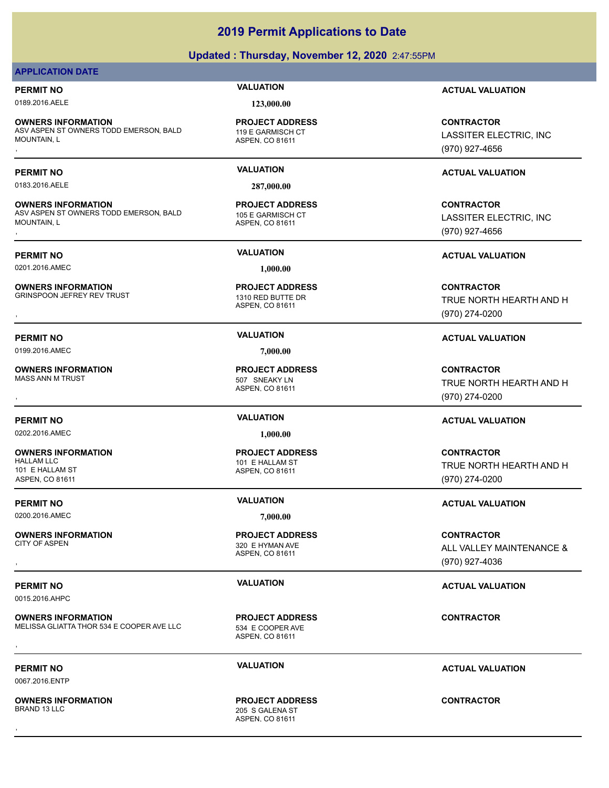## **Updated : Thursday, November 12, 2020** 2:47:55PM **2019 Permit Applications to Date**

### **APPLICATION DATE**

0189.2016.AELE **123,000.00**

**OWNERS INFORMATION** ASV ASPEN ST OWNERS TODD EMERSON, BALD MOUNTAIN, L **OWNERS INFORMATION DEMERSON, BALD READ PROJECT ADDRESS ARE SERVICE CONTRACTOR CONTRACTOR**<br>ASV ASPEN ST OWNERS TODD EMERSON, BALD 19 E GARMISCH CT AND THE GARMISCH CT LASSITER ELECTRIC, INC<br>MOUNTAIN, L<br>,

0183.2016.AELE **287,000.00**

**OWNERS INFORMATION** ASV ASPEN ST OWNERS TODD EMERSON, BALD MOUNTAIN, L **OWNERS INFORMATION DEMERSON, BALD READ PROJECT ADDRESS ARE SERVICE CONTRACTOR CONTRACTOR**<br>ASV ASPEN ST OWNERS TODD EMERSON, BALD 195 E GARMISCH CT AND THE SARMISCH CT LASSITER ELECTRIC, INC<br>MOUNTAIN, L<br>,

0201.2016.AMEC **1,000.00**

**OWNERS INFORMATION** GRINSPOON JEFREY REV TRUST 1310 RED BUTTE DR

0199.2016.AMEC **7,000.00**

**OWNERS INFORMATION** MASS ANN M TRUST 507 SNEAKY LN

0202.2016.AMEC **1,000.00**

**OWNERS INFORMATION** HALLAM LLC 101 E HALLAM ST 101 E HALLAM ST ASPEN, CO 81611

0200.2016.AMEC **7,000.00**

**OWNERS INFORMATION**

0015.2016.AHPC

**OWNERS INFORMATION** MELISSA GLIATTA THOR 534 E COOPER AVE LLC 534 E COOPER AVE **OWNERS INFORMATION EXECUTE:**<br>MELISSA GLIATTA THOR 534 E COOPER AVE LLC FOOPER AVE<br>ASPEN, CO 81611<br>,

ASPEN, CO 81611 119 E GARMISCH CT **PROJECT ADDRESS**

ASPEN, CO 81611 105 E GARMISCH CT **PROJECT ADDRESS**

ASPEN, CO 81611 **PROJECT ADDRESS**

ASPEN, CO 81611 **PROJECT ADDRESS**

ASPEN, CO 81611 **PROJECT ADDRESS**

ASPEN, CO 81611 320 E HYMAN AVF **PROJECT ADDRESS**

ASPEN, CO 81611 **PROJECT ADDRESS**

ASPEN, CO 81611 205 S GALENA ST **PROJECT ADDRESS** , **CONTRACTOR**

**PERMIT NO VALUATION ACTUAL VALUATION**

LASSITER ELECTRIC, INC (970) 927-4656

### **PERMIT NO VALUATION ACTUAL VALUATION**

LASSITER ELECTRIC, INC (970) 927-4656

### **PERMIT NO VALUATION ACTUAL VALUATION**

**OWNERS INFORMATION Mate of the CONTRACTOR PROJECT ADDRESS ARE SERVIT TO A CONTRACTOR CONTRACTOR**<br>GRINSPOON JEFREY REV TRUST TO MASPEN, CO 81611 MASPEN, CO 81611 MASPEN, CO 81611 MASPEN, CO 81611 MASPEN, CO 81611 MASPEN, C TRUE NORTH HEARTH AND H (970) 274-0200

### **PERMIT NO VALUATION ACTUAL VALUATION**

, **CONTRACTOR** TRUE NORTH HEARTH AND H (970) 274-0200

### **PERMIT NO VALUATION ACTUAL VALUATION**

**CONTRACTOR** TRUE NORTH HEARTH AND H (970) 274-0200

### **PERMIT NO VALUATION VALUATION VALUATION**

, **CONTRACTOR** ALL VALLEY MAINTENANCE & (970) 927-4036

### **PERMIT NO VALUATION VALUATION VALUATION**

**PERMIT NO VALUATION ACTUAL VALUATION**

**OWNERS INFORMATION**

0067.2016.ENTP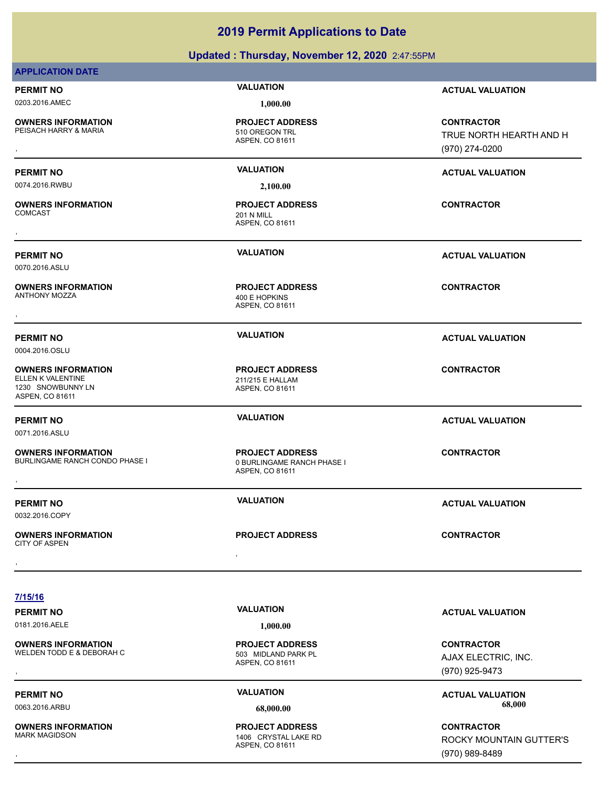|                                                                                 | Updated: Thursday, November 12, 2020 2:47:55PM                          |                                              |
|---------------------------------------------------------------------------------|-------------------------------------------------------------------------|----------------------------------------------|
| <b>APPLICATION DATE</b>                                                         |                                                                         |                                              |
| <b>PERMIT NO</b>                                                                | <b>VALUATION</b>                                                        | <b>ACTUAL VALUATION</b>                      |
| 0203.2016.AMEC                                                                  | 1,000.00                                                                |                                              |
| OWNERS INFORMATION<br>PEISACH HARRY & MARIA                                     | <b>PROJECT ADDRESS</b><br>510 OREGON TRL<br>ASPEN, CO 81611             | <b>CONTRACTOR</b><br>TRUE NORTH HEARTH AND H |
|                                                                                 |                                                                         | (970) 274-0200                               |
| <b>PERMIT NO</b>                                                                | <b>VALUATION</b>                                                        | <b>ACTUAL VALUATION</b>                      |
| 0074.2016.RWBU                                                                  | 2,100.00                                                                |                                              |
| <b>OWNERS INFORMATION</b><br>COMCAST                                            | <b>PROJECT ADDRESS</b><br><b>201 N MILL</b><br>ASPEN, CO 81611          | <b>CONTRACTOR</b>                            |
|                                                                                 |                                                                         |                                              |
| <b>PERMIT NO</b><br>0070.2016.ASLU                                              | <b>VALUATION</b>                                                        | <b>ACTUAL VALUATION</b>                      |
| <b>OWNERS INFORMATION</b><br>ANTHONY MOZZA                                      | <b>PROJECT ADDRESS</b><br>400 E HOPKINS<br>ASPEN, CO 81611              | <b>CONTRACTOR</b>                            |
|                                                                                 |                                                                         |                                              |
| <b>PERMIT NO</b><br>0004.2016.OSLU                                              | <b>VALUATION</b>                                                        | <b>ACTUAL VALUATION</b>                      |
| OWNERS INFORMATION<br>ELLEN K VALENTINE<br>1230 SNOWBUNNY LN<br>ASPEN, CO 81611 | <b>PROJECT ADDRESS</b><br>211/215 E HALLAM<br>ASPEN, CO 81611           | <b>CONTRACTOR</b>                            |
| <b>PERMIT NO</b>                                                                | <b>VALUATION</b>                                                        | <b>ACTUAL VALUATION</b>                      |
| 0071.2016.ASLU                                                                  |                                                                         |                                              |
| <b>OWNERS INFORMATION</b><br>BURLINGAME RANCH CONDO PHASE I                     | <b>PROJECT ADDRESS</b><br>0 BURLINGAME RANCH PHASE I<br>ASPEN, CO 81611 | <b>CONTRACTOR</b>                            |
|                                                                                 | <b>VALUATION</b>                                                        |                                              |
| <b>PERMIT NO</b><br>0032.2016.COPY                                              |                                                                         | <b>ACTUAL VALUATION</b>                      |
| <b>OWNERS INFORMATION</b><br>CITY OF ASPEN                                      | <b>PROJECT ADDRESS</b>                                                  | <b>CONTRACTOR</b>                            |
|                                                                                 |                                                                         |                                              |
|                                                                                 |                                                                         |                                              |
| 7/15/16                                                                         |                                                                         |                                              |
| <b>PERMIT NO</b>                                                                | <b>VALUATION</b>                                                        | <b>ACTUAL VALUATION</b>                      |
| 0181.2016.AELE                                                                  | 1,000.00                                                                |                                              |
| OWNERS INFORMATION<br>WELDEN TODD E & DEBORAH C                                 | <b>PROJECT ADDRESS</b><br>503 MIDLAND PARK PL<br>ASPEN, CO 81611        | <b>CONTRACTOR</b><br>AJAX ELECTRIC, INC.     |
|                                                                                 |                                                                         | (970) 925-9473                               |

 $\overline{\phantom{0}}$ 

**OWNERS INFORMATION**

ASPEN, CO 81611 1406 CRYSTAL LAKE RD **PROJECT ADDRESS**

PERMIT NO<br> **VALUATION**<br> **VALUATION**<br> **VALUATION**<br> **VALUATION**<br> **ACTUAL VALUATION**<br> **ACTUAL VALUATION** 0063.2016.ARBU **68,000.00 68,000.00**

, **CONTRACTOR** ROCKY MOUNTAIN GUTTER'S (970) 989-8489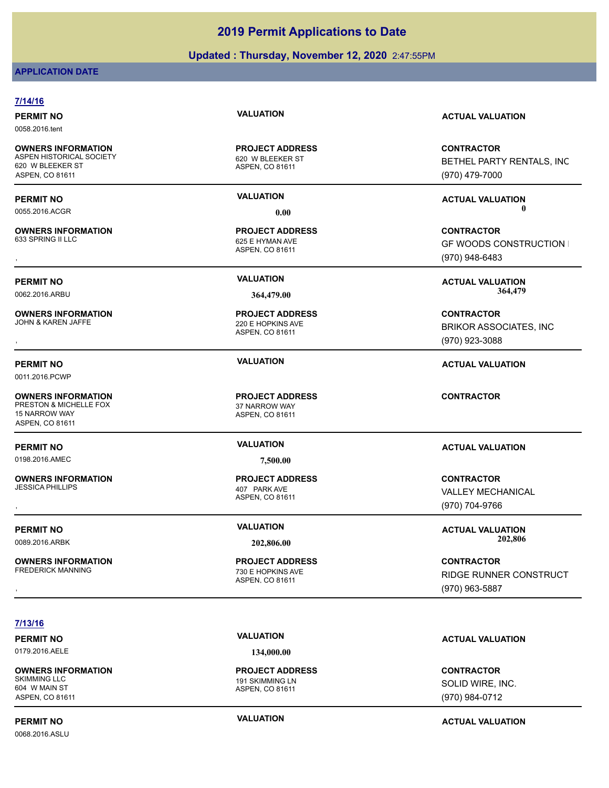### **Updated : Thursday, November 12, 2020** 2:47:55PM

### **APPLICATION DATE**

| 7/14/16                                                                                      | <b>VALUATION</b>                                               |                                                                       |
|----------------------------------------------------------------------------------------------|----------------------------------------------------------------|-----------------------------------------------------------------------|
| <b>PERMIT NO</b><br>0058.2016.tent                                                           |                                                                | <b>ACTUAL VALUATION</b>                                               |
| <b>OWNERS INFORMATION</b><br>ASPEN HISTORICAL SOCIETY<br>620 W BLEEKER ST<br>ASPEN, CO 81611 | <b>PROJECT ADDRESS</b><br>620 W BLEEKER ST<br>ASPEN, CO 81611  | <b>CONTRACTOR</b><br>BETHEL PARTY RENTALS, INC<br>(970) 479-7000      |
| <b>PERMIT NO</b>                                                                             | <b>VALUATION</b>                                               | <b>ACTUAL VALUATION</b>                                               |
| 0055.2016.ACGR                                                                               | 0.00                                                           | 0                                                                     |
| <b>OWNERS INFORMATION</b><br>633 SPRING II LLC                                               | <b>PROJECT ADDRESS</b><br>625 E HYMAN AVE<br>ASPEN, CO 81611   | <b>CONTRACTOR</b><br><b>GF WOODS CONSTRUCTION I</b><br>(970) 948-6483 |
| <b>PERMIT NO</b>                                                                             | <b>VALUATION</b>                                               | <b>ACTUAL VALUATION</b>                                               |
| 0062.2016.ARBU                                                                               | 364,479.00                                                     | 364,479                                                               |
| <b>OWNERS INFORMATION</b><br>JOHN & KAREN JAFFE                                              | <b>PROJECT ADDRESS</b><br>220 E HOPKINS AVE<br>ASPEN, CO 81611 | <b>CONTRACTOR</b><br><b>BRIKOR ASSOCIATES, INC</b><br>(970) 923-3088  |
| <b>PERMIT NO</b><br>0011.2016.PCWP                                                           | <b>VALUATION</b>                                               | <b>ACTUAL VALUATION</b>                                               |
| <b>OWNERS INFORMATION</b><br>PRESTON & MICHELLE FOX<br>15 NARROW WAY<br>ASPEN, CO 81611      | <b>PROJECT ADDRESS</b><br>37 NARROW WAY<br>ASPEN, CO 81611     | <b>CONTRACTOR</b>                                                     |
| <b>PERMIT NO</b>                                                                             | <b>VALUATION</b>                                               | <b>ACTUAL VALUATION</b>                                               |
| 0198.2016.AMEC                                                                               | 7,500.00                                                       |                                                                       |
| <b>OWNERS INFORMATION</b><br><b>JESSICA PHILLIPS</b>                                         | <b>PROJECT ADDRESS</b><br>407 PARK AVE<br>ASPEN, CO 81611      | <b>CONTRACTOR</b><br>VALLEY MECHANICAL<br>(970) 704-9766              |
| <b>PERMIT NO</b>                                                                             | <b>VALUATION</b>                                               | <b>ACTUAL VALUATION</b>                                               |
| 0089.2016.ARBK                                                                               | 202,806.00                                                     | 202,806                                                               |
| <b>OWNERS INFORMATION</b><br><b>FREDERICK MANNING</b>                                        | <b>PROJECT ADDRESS</b><br>730 E HOPKINS AVE<br>ASPEN, CO 81611 | <b>CONTRACTOR</b><br>RIDGE RUNNER CONSTRUCT<br>(970) 963-5887         |
|                                                                                              |                                                                |                                                                       |
| 7/13/16                                                                                      |                                                                |                                                                       |
| <b>PERMIT NO</b>                                                                             | <b>VALUATION</b>                                               | <b>ACTUAL VALUATION</b>                                               |
| 0179.2016.AELE                                                                               | 134,000.00                                                     |                                                                       |

**OWNERS INFORMATION** 604 W MAIN ST ASPEN, CO 81611

0068.2016.ASLU

ASPEN, CO 81611

191 SKIMMING LN **PROJECT ADDRESS**

**PERMIT NO CONSUMITY ACTUAL VALUATION VALUATION** 

**CONTRACTOR** SOLID WIRE, INC. (970) 984-0712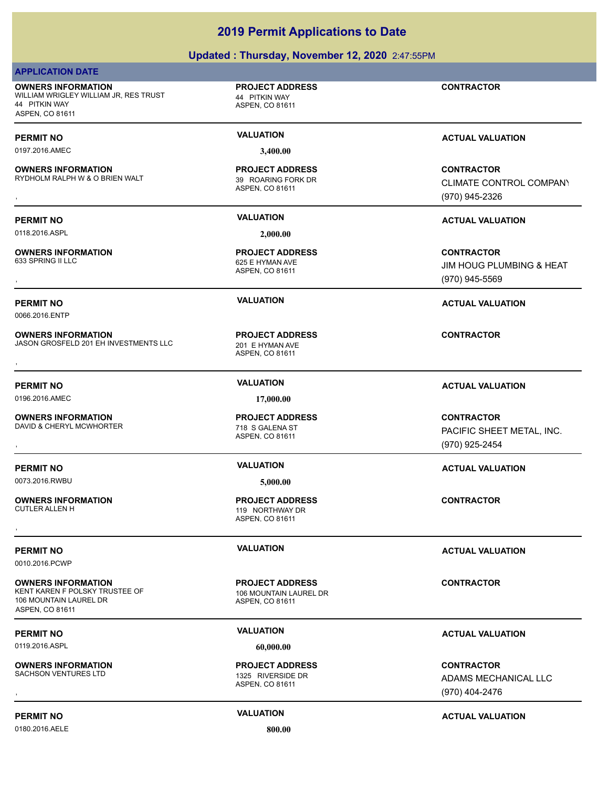### **Updated : Thursday, November 12, 2020** 2:47:55PM

### **APPLICATION DATE**

**OWNERS INFORMATION** WILLIAM WRIGLEY WILLIAM JR, RES TRUST 44 PITKIN WAY 44 PITKIN WAY ASPEN, CO 81611

0197.2016.AMEC **3,400.00**

**OWNERS INFORMATION** RYDHOLM RALPH W & O BRIEN WALT 39 ROARING FORK DR

0118.2016.ASPL **2,000.00**

**OWNERS INFORMATION**

0066.2016.ENTP

**OWNERS INFORMATION** JASON GROSFELD 201 EH INVESTMENTS LLC 201 E HYMAN AVE **OWNERS INFORMATION CONTRACTOR RESOURDED BY A SERVICE PROJECT ADDRESS CONTRACTOR CONTRACTOR**<br>JASON GROSFELD 201 EH INVESTMENTS LLC ASPEN, CO 81611<br>,

0196.2016.AMEC **17,000.00**

**OWNERS INFORMATION** DAVID & CHERYL MCWHORTER 718 S GALENA ST

0073.2016.RWBU **5,000.00**

**OWNERS INFORMATION**

**PERMIT NO VALUATION VALUATION VALUATION** 

0010.2016.PCWP

**OWNERS INFORMATION** KENT KAREN F POLSKY TRUSTEE OF 106 MOUNTAIN LAUREL DR 106 MOUNTAIN LAUREL DR ASPEN, CO 81611

0119.2016.ASPL **60,000.00**

**OWNERS INFORMATION**<br>SACHSON VENTURES LTD

0180.2016.AELE **800.00**

ASPEN, CO 81611

**PROJECT ADDRESS**

ASPEN, CO 81611 **PROJECT ADDRESS**

ASPEN, CO 81611 625 E HYMAN AVE **PROJECT ADDRESS**

ASPEN, CO 81611 **PROJECT ADDRESS**

ASPEN, CO 81611 **PROJECT ADDRESS**

ASPEN, CO 81611 119 NORTHWAY DR **PROJECT ADDRESS** , **CONTRACTOR**

ASPEN, CO 81611 **PROJECT ADDRESS**

**PERMIT NO VALUATION ACTUAL VALUATION**

**OWNERS INFORMATION PROJECT ADDRESS CONTRACTOR**<br>SACHSON VENTURES LTD 1325 RIVERSIDE DR ADAMS MECHANICAL LLC<br>, ASPEN, CO 81611 ADAMS MECHANICAL LLC (970) 404-2476

ASPEN, CO 81611

1325 RIVERSIDE DR **PROJECT ADDRESS**

**CONTRACTOR**

**PERMIT NO CONSUMITY ACTUAL VALUATION VALUATION VALUATION** 

**OWNERS INFORMATION MALL THE SERVICE PROJECT ADDRESS ARE:**<br>RYDHOLM RALPH W & O BRIEN WALT MALL THE STOR ASPEN, CO 81611 MASPEN, CO 81611 MALL THE STORM STORM ASPEN, CO 81611<br>RYDHOLM RALPH W & O BRIEN WALT MASPEN, CO 81611 CLIMATE CONTROL COMPANY (970) 945-2326

### **PERMIT NO VALUATION ACTUAL VALUATION**

, **CONTRACTOR JIM HOUG PLUMBING & HEAT** (970) 945-5569

### **PERMIT NO VALUATION ACTUAL VALUATION**

### **PERMIT NO VALUATION ACTUAL VALUATION**

, **CONTRACTOR** PACIFIC SHEET METAL, INC. (970) 925-2454

### **PERMIT NO VALUATION ACTUAL VALUATION**

**CONTRACTOR**

### **PERMIT NO VALUATION ACTUAL VALUATION**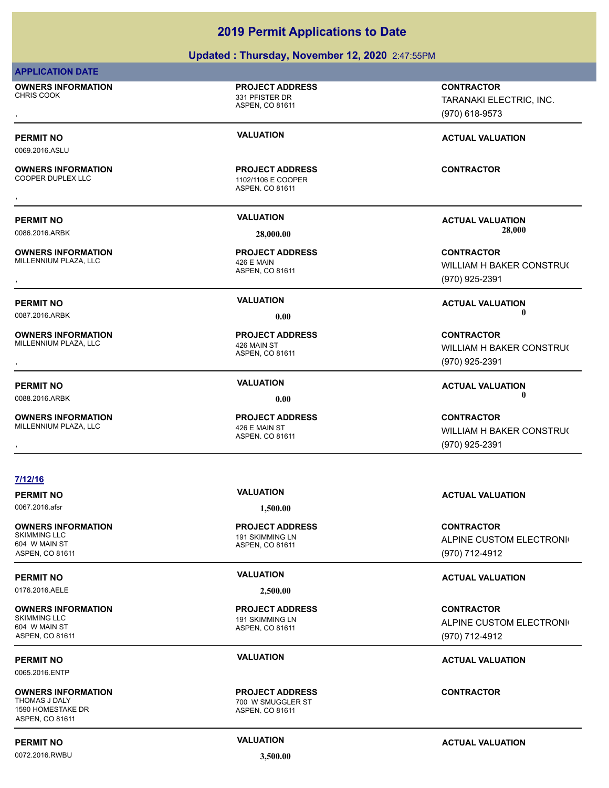|                                                                                      | Updated: Thursday, November 12, 2020 2:47:55PM                       |                                                                 |
|--------------------------------------------------------------------------------------|----------------------------------------------------------------------|-----------------------------------------------------------------|
| <b>APPLICATION DATE</b>                                                              |                                                                      |                                                                 |
| <b>OWNERS INFORMATION</b><br>CHRIS COOK                                              | <b>PROJECT ADDRESS</b><br>331 PFISTER DR<br>ASPEN, CO 81611          | <b>CONTRACTOR</b><br>TARANAKI ELECTRIC, INC.<br>(970) 618-9573  |
| <b>PERMIT NO</b><br>0069.2016.ASLU                                                   | <b>VALUATION</b>                                                     | <b>ACTUAL VALUATION</b>                                         |
| <b>OWNERS INFORMATION</b><br>COOPER DUPLEX LLC                                       | <b>PROJECT ADDRESS</b><br>1102/1106 E COOPER<br>ASPEN, CO 81611      | <b>CONTRACTOR</b>                                               |
| <b>PERMIT NO</b><br>0086.2016.ARBK                                                   | <b>VALUATION</b>                                                     | <b>ACTUAL VALUATION</b><br>28,000                               |
| <b>OWNERS INFORMATION</b><br>MILLENNIUM PLAZA, LLC                                   | 28,000.00<br><b>PROJECT ADDRESS</b><br>426 E MAIN<br>ASPEN, CO 81611 | <b>CONTRACTOR</b><br>WILLIAM H BAKER CONSTRU(<br>(970) 925-2391 |
| <b>PERMIT NO</b><br>0087.2016.ARBK                                                   | <b>VALUATION</b><br>0.00                                             | <b>ACTUAL VALUATION</b><br>$\mathbf 0$                          |
| <b>OWNERS INFORMATION</b><br>MILLENNIUM PLAZA, LLC                                   | <b>PROJECT ADDRESS</b><br>426 MAIN ST<br>ASPEN, CO 81611             | <b>CONTRACTOR</b><br>WILLIAM H BAKER CONSTRU(<br>(970) 925-2391 |
| <b>PERMIT NO</b><br>0088.2016.ARBK                                                   | <b>VALUATION</b><br>0.00                                             | <b>ACTUAL VALUATION</b><br>$\mathbf 0$                          |
| <b>OWNERS INFORMATION</b><br>MILLENNIUM PLAZA, LLC                                   | <b>PROJECT ADDRESS</b><br>426 E MAIN ST<br>ASPEN, CO 81611           | <b>CONTRACTOR</b><br>WILLIAM H BAKER CONSTRU(<br>(970) 925-2391 |
| 7/12/16                                                                              |                                                                      |                                                                 |
| <b>PERMIT NO</b><br>0067.2016.afsr                                                   | <b>VALUATION</b><br>1,500.00                                         | <b>ACTUAL VALUATION</b>                                         |
| <b>OWNERS INFORMATION</b><br><b>SKIMMING LLC</b><br>604 W MAIN ST<br>ASPEN, CO 81611 | <b>PROJECT ADDRESS</b><br>191 SKIMMING LN<br>ASPEN, CO 81611         | <b>CONTRACTOR</b><br>ALPINE CUSTOM ELECTRONI<br>(970) 712-4912  |
| <b>PERMIT NO</b>                                                                     | <b>VALUATION</b>                                                     | <b>ACTUAL VALUATION</b>                                         |
| 0176.2016.AELE                                                                       | 2,500.00                                                             |                                                                 |
| <b>OWNERS INFORMATION</b><br><b>SKIMMING LLC</b><br>604 W MAIN ST<br>ASPEN, CO 81611 | <b>PROJECT ADDRESS</b><br>191 SKIMMING LN<br>ASPEN, CO 81611         | <b>CONTRACTOR</b><br>ALPINE CUSTOM ELECTRONI<br>(970) 712-4912  |
| <b>PERMIT NO</b>                                                                     | <b>VALUATION</b>                                                     | <b>ACTUAL VALUATION</b>                                         |

0065.2016.ENTP

**OWNERS INFORMATION** THOMAS J DALY THE STEED ON SALE OF THE STEED ON SALE OF THE STEED ON SMUGGLER STEED ON SMUGGLER STEED ON SMUGGLER STEED ON SMUGGLER STEED ON SMUGGLER STEED ON SMUGGLER STEED ON SMUGGLER STEED ON SMUGGLER STEED ON SMUGGLER 1590 HOMESTAKE DR ASPEN, CO 81611

0072.2016.RWBU **3,500.00**

**PERMIT NO CONSUMITY ACTUAL VALUATION VALUATION** *ACTUAL VALUATION* 

ASPEN, CO 81611 **PROJECT ADDRESS**

### **CONTRACTOR**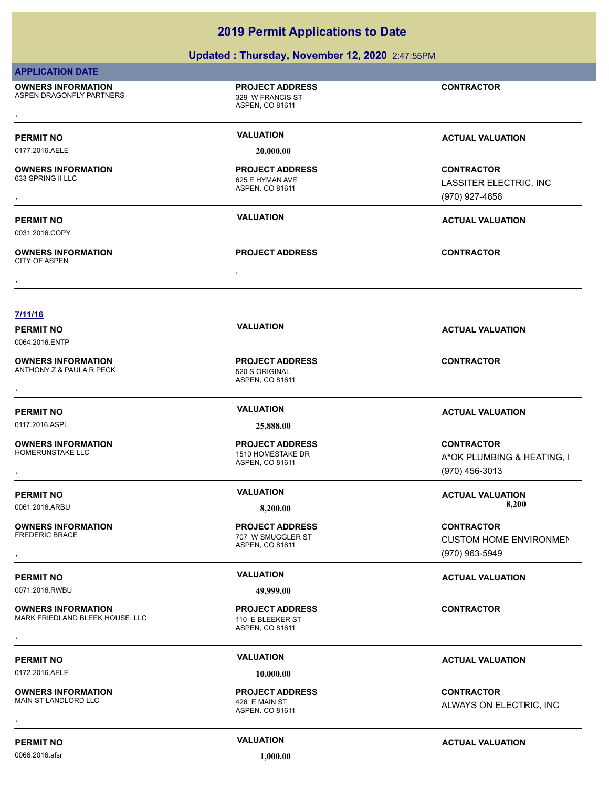### **Updated : Thursday, November 12, 2020** 2:47:55PM

| <b>APPLICATION DATE</b>                                      |                                                                |                                                                      |
|--------------------------------------------------------------|----------------------------------------------------------------|----------------------------------------------------------------------|
| <b>OWNERS INFORMATION</b><br>ASPEN DRAGONFLY PARTNERS        | <b>PROJECT ADDRESS</b><br>329 W FRANCIS ST<br>ASPEN, CO 81611  | <b>CONTRACTOR</b>                                                    |
| <b>PERMIT NO</b>                                             | <b>VALUATION</b>                                               | <b>ACTUAL VALUATION</b>                                              |
| 0177.2016.AELE                                               | 20,000.00                                                      |                                                                      |
| <b>OWNERS INFORMATION</b><br>633 SPRING II LLC               | <b>PROJECT ADDRESS</b><br>625 E HYMAN AVE<br>ASPEN, CO 81611   | <b>CONTRACTOR</b><br>LASSITER ELECTRIC, INC                          |
|                                                              |                                                                | (970) 927-4656                                                       |
| <b>PERMIT NO</b><br>0031.2016.COPY                           | <b>VALUATION</b>                                               | <b>ACTUAL VALUATION</b>                                              |
| <b>OWNERS INFORMATION</b><br><b>CITY OF ASPEN</b>            | <b>PROJECT ADDRESS</b>                                         | <b>CONTRACTOR</b>                                                    |
|                                                              |                                                                |                                                                      |
| <u>7/11/16</u>                                               |                                                                |                                                                      |
| <b>PERMIT NO</b><br>0064.2016.ENTP                           | <b>VALUATION</b>                                               | <b>ACTUAL VALUATION</b>                                              |
| <b>OWNERS INFORMATION</b><br>ANTHONY Z & PAULA R PECK        | <b>PROJECT ADDRESS</b><br>520 S ORIGINAL<br>ASPEN, CO 81611    | <b>CONTRACTOR</b>                                                    |
|                                                              |                                                                |                                                                      |
| <b>PERMIT NO</b>                                             | <b>VALUATION</b>                                               | <b>ACTUAL VALUATION</b>                                              |
| 0117.2016.ASPL                                               | 25,888.00                                                      |                                                                      |
| <b>OWNERS INFORMATION</b><br>HOMERUNSTAKE LLC                | <b>PROJECT ADDRESS</b><br>1510 HOMESTAKE DR<br>ASPEN, CO 81611 | <b>CONTRACTOR</b><br>A*OK PLUMBING & HEATING, I<br>(970) 456-3013    |
| <b>PERMIT NO</b>                                             | <b>VALUATION</b>                                               | <b>ACTUAL VALUATION</b>                                              |
| 0061.2016.ARBU                                               | 8,200.00                                                       | 8,200                                                                |
| <b>OWNERS INFORMATION</b><br>FREDERIC BRACE                  | <b>PROJECT ADDRESS</b><br>707 W SMUGGLER ST<br>ASPEN, CO 81611 | <b>CONTRACTOR</b><br><b>CUSTOM HOME ENVIRONMEN</b><br>(970) 963-5949 |
| <b>PERMIT NO</b>                                             | <b>VALUATION</b>                                               | <b>ACTUAL VALUATION</b>                                              |
| 0071.2016.RWBU                                               | 49,999.00                                                      |                                                                      |
| <b>OWNERS INFORMATION</b><br>MARK FRIEDLAND BLEEK HOUSE, LLC | <b>PROJECT ADDRESS</b><br>110 E BLEEKER ST<br>ASPEN, CO 81611  | <b>CONTRACTOR</b>                                                    |
| <b>PERMIT NO</b>                                             | <b>VALUATION</b>                                               | <b>ACTUAL VALUATION</b>                                              |
| 0172.2016.AELE                                               | 10,000.00                                                      |                                                                      |
| <b>OWNERS INFORMATION</b><br>MAIN ST LANDLORD LLC            | <b>PROJECT ADDRESS</b><br>426 E MAIN ST<br>ASPEN, CO 81611     | <b>CONTRACTOR</b><br>ALWAYS ON ELECTRIC, INC                         |

0066.2016.afsr **1,000.00**

**PERMIT NO CONSUMITY ACTUAL VALUATION VALUATION** *ACTUAL VALUATION*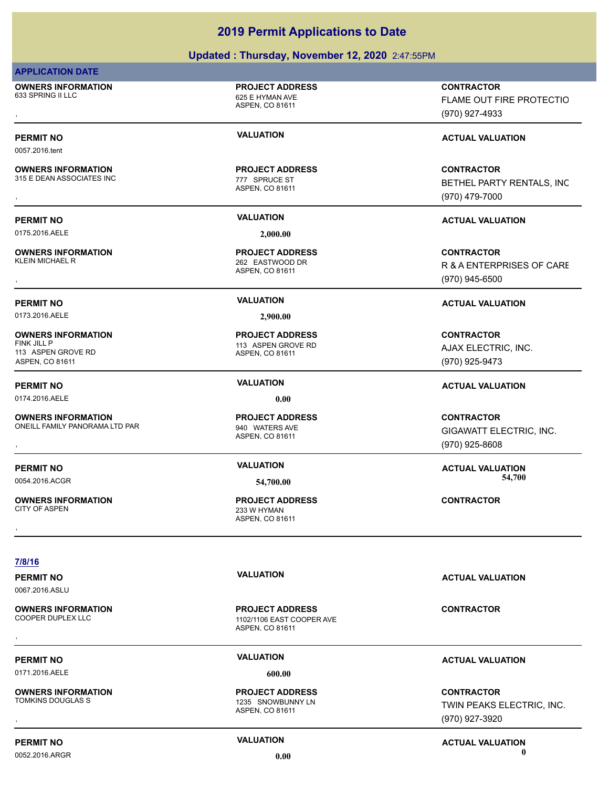### **Updated : Thursday, November 12, 2020** 2:47:55PM

### **APPLICATION DATE**

**OWNERS INFORMATION** 633 SPRING II LLC 633 SPRING II LLC

## **PROJECT ADDRESS**

ASPEN, CO 81611

0057.2016.tent

### **OWNERS INFORMATION**

315 E DEAN ASSOCIATES INC<br>
277 SPRIJCE ST

0175.2016.AELE **2,000.00**

## **OWNERS INFORMATION**

0173.2016.AELE **2,900.00**

### **OWNERS INFORMATION** 113 ASPEN GROVE RD ASPEN, CO 81611

0174.2016.AELE **0.00**

### **OWNERS INFORMATION** ONEILL FAMILY PANORAMA LTD PAR 940 WATERS AVE

## **OWNERS INFORMATION**

**7/8/16**

0067.2016.ASLU

## **OWNERS INFORMATION**

### 0171.2016.AELE **600.00**

**OWNERS INFORMATION**<br>TOMKINS DOUGLAS S

ASPEN, CO 81611 **PROJECT ADDRESS**

### ASPEN, CO 81611 262 EASTWOOD DR **PROJECT ADDRESS**

ASPEN, CO 81611 113 ASPEN GROVE RD **PROJECT ADDRESS**

### ASPEN, CO 81611 **PROJECT ADDRESS**

### ASPEN, CO 81611 233 W HYMAN **PROJECT ADDRESS** , **CONTRACTOR**

, **CONTRACTOR** FLAME OUT FIRE PROTECTIO (970) 927-4933

### **PERMIT NO VALUATION VALUATION VALUATION**

**OWNERS INFORMATION GOVERNED BY A SPENISHED BY A SPENISHED SETTLE SERVIT ASSOCIATES INCORPORATION ASPENISION ASPEN<br>
315 E DEAN ASSOCIATES INC<br>
ASPEN, CO 81611 GOVERNED MASPONE (970) 479-7000** BETHEL PARTY RENTALS, INC (970) 479-7000

### **PERMIT NO VALUATION ACTUAL VALUATION**

, **CONTRACTOR** R & A ENTERPRISES OF CARE (970) 945-6500

### **PERMIT NO VALUATION ACTUAL VALUATION**

**CONTRACTOR** AJAX ELECTRIC, INC. (970) 925-9473

### **PERMIT NO VALUATION ACTUAL VALUATION**

**OWNERS INFORMATION FROM THE PROJECT ADDRESS FOR A SUMPLE CONTRACTOR CONTROURDED AND READ FOR A SPEN. CO 81611**<br>ONEILL FAMILY PANORAMA LTD PAR FROM THE MASS AND ASPEN. CO 81611<br>, The Mass of the Mass of the Mass of the Mas GIGAWATT ELECTRIC, INC. (970) 925-8608

### **PERMIT NO VALUATION ACTUAL VALUATION** 0054.2016.ACGR **54,700.00 54,700.00**

ASPEN, CO 81611 1102/1106 EAST COOPER AVE **PROJECT ADDRESS** , **CONTRACTOR**

ASPEN, CO 81611 1235 SNOWBUNNY LN **PROJECT ADDRESS**

### **PERMIT NO VALUATION ACTUAL VALUATION**

### **PERMIT NO VALUATION ACTUAL VALUATION**

, **CONTRACTOR** TWIN PEAKS ELECTRIC, INC. (970) 927-3920

## **PERMIT NO CONSUMITY ACTUAL VALUATION VALUATION VALUATION**

0052.2016.ARGR **0.00 0.00**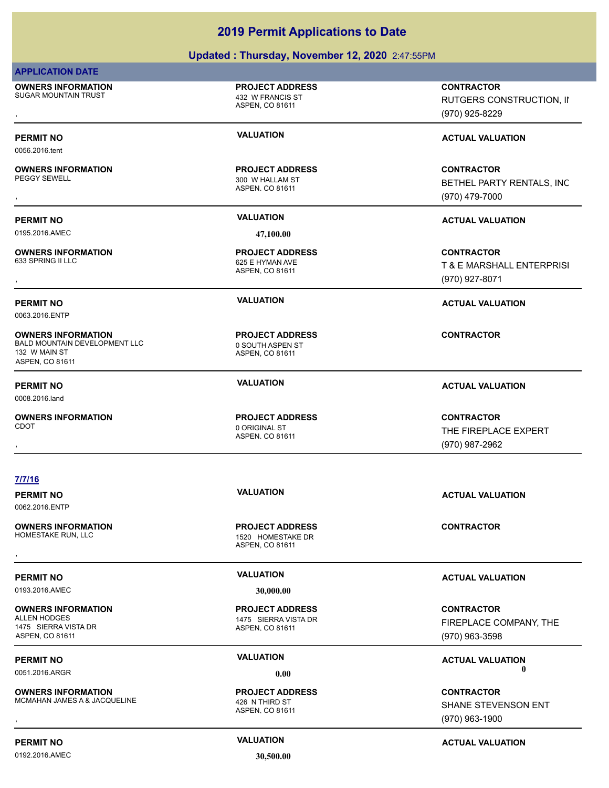### **Updated : Thursday, November 12, 2020** 2:47:55PM

### **APPLICATION DATE**

0056.2016.tent

**OWNERS INFORMATION** SUGAR MOUNTAIN TRUST 432 W FRANCIS ST

**OWNERS INFORMATION**

**OWNERS INFORMATION**

**OWNERS INFORMATION**

**OWNERS INFORMATION**

**OWNERS INFORMATION**

**OWNERS INFORMATION**

**OWNERS INFORMATION**

1475 SIERRA VISTA DR ASPEN, CO 81611

0063.2016.ENTP

132 W MAIN ST ASPEN, CO 81611

0008.2016.land

**7/7/16**

0062.2016.ENTP

ASPEN, CO 81611

**PROJECT ADDRESS**

ASPEN, CO 81611 300 W HALLAM ST **PROJECT ADDRESS**

0195.2016.AMEC **47,100.00**

ASPEN, CO 81611 625 E HYMAN AVE **PROJECT ADDRESS**

ASPEN, CO 81611 BALD MOUNTAIN DEVELOPMENT LLC 0 0 SOUTH ASPEN ST **PROJECT ADDRESS**

ASPEN, CO 81611 0 ORIGINAL ST **PROJECT ADDRESS**

, **CONTRACTOR** RUTGERS CONSTRUCTION, II (970) 925-8229

### **PERMIT NO VALUATION VALUATION VALUATION**

, **CONTRACTOR** BETHEL PARTY RENTALS, INC (970) 479-7000

### **PERMIT NO VALUATION ACTUAL VALUATION**

**OWNERS INFORMATION PROJECT ADDRESS CONTRACTOR**<br>633 SPRING II LLC 625 E HYMAN AVE T & E MARSHALL ENTERPRISI<br>, ASPEN. CO 81611 T & E MARSHALL ENTERPRISI (970) 927-8071

### **PERMIT NO VALUATION ACTUAL VALUATION**

### **CONTRACTOR**

### **PERMIT NO VALUATION ACTUAL VALUATION**

, **CONTRACTOR** THE FIREPLACE EXPERT (970) 987-2962

### **PERMIT NO VALUATION ACTUAL VALUATION**

**CONTRACTOR** FIREPLACE COMPANY, THE (970) 963-3598

## 0051.2016.ARGR **0.00 0.00**

**OWNERS INFORMATION EXAMPLE ASSUME AND PROJECT ADDRESS FOR A SUMPLE CONTRACTOR CONTRACTOR**<br>MCMAHAN JAMES A & JACQUELINE THE RESOLUTION OF THIRD ST<br>ASPEN, CO 81611 ASPARE TO PUBLIC ASSUMINATION OF THE RESOLUTION OF THE RESO SHANE STEVENSON ENT (970) 963-1900

0192.2016.AMEC **30,500.00**

**PERMIT NO CONSUMITY ACTUAL VALUATION VALUATION VALUATION** 

### 0193.2016.AMEC **30,000.00**

ASPEN, CO 81611 1475 SIERRA VISTA DR **PROJECT ADDRESS**

### ASPEN, CO 81611 MCMAHAN JAMES A & JACQUELINE 426 N THIRD ST **PROJECT ADDRESS**

**PERMIT NO VALUATION ACTUAL VALUATION** ASPEN, CO 81611 1520 HOMESTAKE DR **PROJECT ADDRESS** , **CONTRACTOR**

**PERMIT NO CONSUMITY OF A CONSUMITY OF A CONSUMITY OF A CONSUMITY OF A CTUAL VALUATION**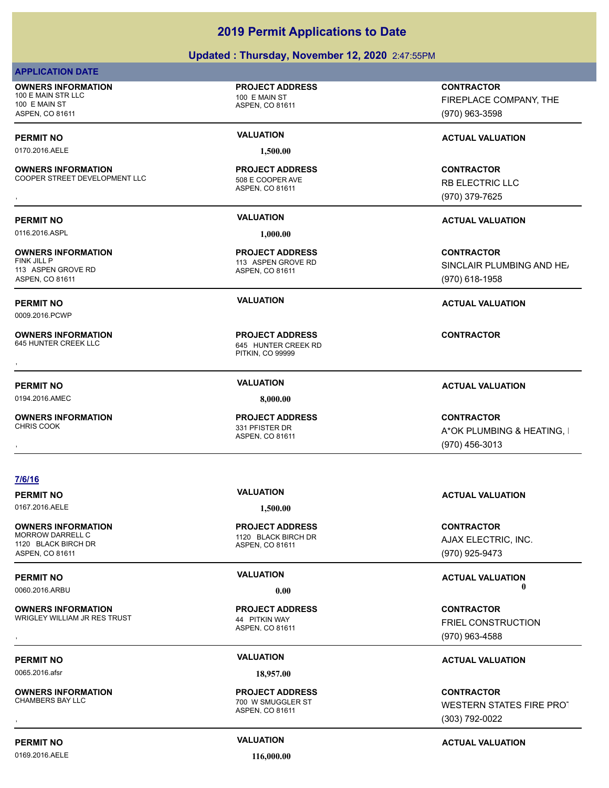### **Updated : Thursday, November 12, 2020** 2:47:55PM

### **APPLICATION DATE**

**OWNERS INFORMATION** 100 E MAIN STR LLC 100 E MAIN ST 100 E MAIN ST ASPEN, CO 81611

0170.2016.AELE **1,500.00**

**OWNERS INFORMATION** COOPER STREET DEVELOPMENT LLC 508 E COOPER AVE

0116.2016.ASPL **1,000.00** 

**OWNERS INFORMATION** 113 ASPEN GROVE RD ASPEN, CO 81611

0009.2016.PCWP

**OWNERS INFORMATION**

**7/6/16**

**OWNERS INFORMATION**

**OWNERS INFORMATION**

**OWNERS INFORMATION**

**OWNERS INFORMATION**

1120 BLACK BIRCH DR ASPEN, CO 81611

ASPEN, CO 81611

**PROJECT ADDRESS**

### ASPEN, CO 81611 **PROJECT ADDRESS**

### ASPEN, CO 81611 113 ASPEN GROVE RD **PROJECT ADDRESS**

PITKIN, CO 99999 645 HUNTER CREEK RD **PROJECT ADDRESS OWNERS INFORMATION CONTRACTOR REGIST OF PROJECT ADDRESS CONTRACTOR CONTRACTOR**<br>645 HUNTER CREEK LLC CONTRACTOR 645 HUNTER CREEK RD<br>PITKIN, CO 99999

## ASPEN, CO 81611

**CONTRACTOR**

FIREPLACE COMPANY, THE (970) 963-3598

### **PERMIT NO VALUATION VALUATION VALUATION**

, **CONTRACTOR** RB ELECTRIC LLC (970) 379-7625

### **PERMIT NO VALUATION ACTUAL VALUATION**

**CONTRACTOR** SINCLAIR PLUMBING AND HEAT (970) 618-1958

### **PERMIT NO VALUATION ACTUAL VALUATION**

, **CONTRACTOR** A\*OK PLUMBING & HEATING, I (970) 456-3013

### **PERMIT NO VALUATION ACTUAL VALUATION**

**CONTRACTOR** AJAX ELECTRIC, INC. (970) 925-9473

### **PERMIT NO VALUATION ACTUAL VALUATION** 0060.2016.ARBU **0.00 0.00**

, **CONTRACTOR** FRIEL CONSTRUCTION (970) 963-4588

### **PERMIT NO VALUATION VALUATION VALUATION**

**OWNERS INFORMATION PROJECT ADDRESS CONTRACTOR**<br>CHAMBERS BAY LLC 700 W SMUGGLER ST WESTERN STATES FIRE PROT<br>, ASPEN. CO 81611 WESTERN STATES FIRE PROT (303) 792-0022

0169.2016.AELE **116,000.00**

### **PERMIT NO CONSUMITY ACTUAL VALUATION VALUATION VALUATION**

### 0167.2016.AELE **1,500.00**

ASPEN, CO 81611 1120 BLACK BIRCH DR **PROJECT ADDRESS**

ASPEN, CO 81611 WRIGLEY WILLIAM JR RES TRUST **1988 120 MW 144 PITKIN WAY PROJECT ADDRESS**

0065.2016.afsr **18,957.00**

### ASPEN, CO 81611 700 W SMUGGLER ST **PROJECT ADDRESS**

331 PFISTER DR

**PERMIT NO VALUATION ACTUAL VALUATION**

**PROJECT ADDRESS**

# 0194.2016.AMEC **8,000.00**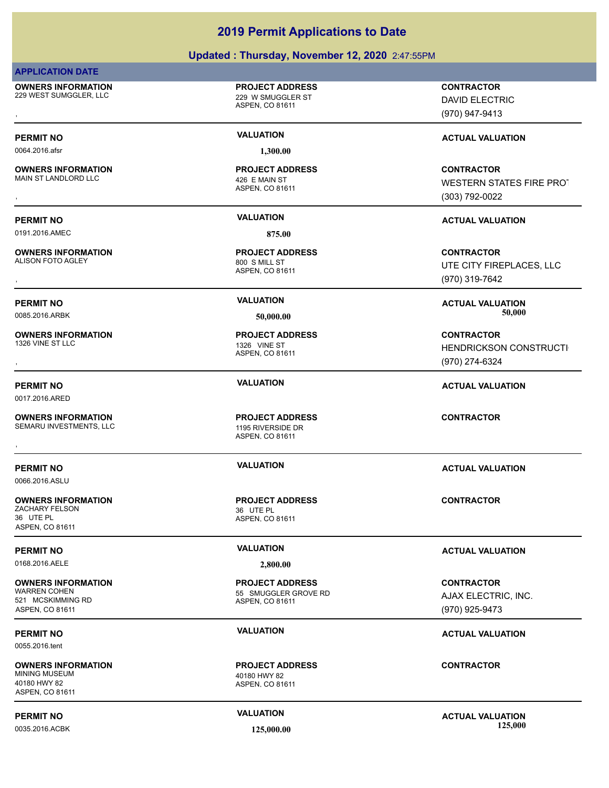### **Updated : Thursday, November 12, 2020** 2:47:55PM

### **APPLICATION DATE**

**OWNERS INFORMATION** 229 WEST SUMGGLER, LLC 229 W SMUGGLER ST

## ASPEN, CO 81611

**PROJECT ADDRESS**

**OWNERS INFORMATION** MAIN ST LANDLORD LLC 426 E MAIN ST

0191.2016.AMEC **875.00**

**OWNERS INFORMATION** ALISON FOTO AGLEY 800 S MILL ST

**OWNERS INFORMATION** 1326 VINE ST LLC 1326 VINE ST

0017.2016.ARED

**OWNERS INFORMATION** SEMARU INVESTMENTS, LLC<br>
1195 RIVERSIDE DR

0066.2016.ASLU

**OWNERS INFORMATION** ZACHARY FELSON 36 UTE PL 36 UTE PL ASPEN, CO 81611

0168.2016.AELE **2,800.00**

**OWNERS INFORMATION**

521 MCSKIMMING RD ASPEN, CO 81611

0055.2016.tent

**OWNERS INFORMATION** MINING MUSEUM 40180 HWY 82 40180 HWY 82 ASPEN, CO 81611

0064.2016.afsr **1,300.00**

ASPEN, CO 81611 **PROJECT ADDRESS**

ASPEN, CO 81611 **PROJECT ADDRESS**

ASPEN, CO 81611 **PROJECT ADDRESS**

ASPEN, CO 81611 **PROJECT ADDRESS OWNERS INFORMATION GENERAL SERVICE PROJECT ADDRESS ARE:** CONTRACTOR<br>SEMARU INVESTMENTS, LLC CONTRACTOR ASPEN. CO 81611<br>,

ASPEN, CO 81611 **PROJECT ADDRESS**

ASPEN, CO 81611 55 SMUGGLER GROVE RD **PROJECT ADDRESS**

ASPEN, CO 81611 **PROJECT ADDRESS**

, **CONTRACTOR** DAVID ELECTRIC (970) 947-9413

### **PERMIT NO VALUATION VALUATION VALUATION**

, **CONTRACTOR** WESTERN STATES FIRE PROT (303) 792-0022

### **PERMIT NO VALUATION ACTUAL VALUATION**

, **CONTRACTOR** UTE CITY FIREPLACES, LLC (970) 319-7642

**PERMIT NO VALUATION ACTUAL VALUATION** 0085.2016.ARBK **50,000.00 50,000.00**

, **CONTRACTOR** HENDRICKSON CONSTRUCTI (970) 274-6324

### **PERMIT NO VALUATION ACTUAL VALUATION**

**PERMIT NO VALUATION ACTUAL VALUATION**

**CONTRACTOR**

**PERMIT NO VALUATION VALUATION VALUATION** 

**CONTRACTOR** AJAX ELECTRIC, INC. (970) 925-9473

### **PERMIT NO VALUATION ACTUAL VALUATION**

### **CONTRACTOR**

**PERMIT NO VALUATION ACTUAL VALUATION** 0035.2016.ACBK **125,000.00 125,000.00**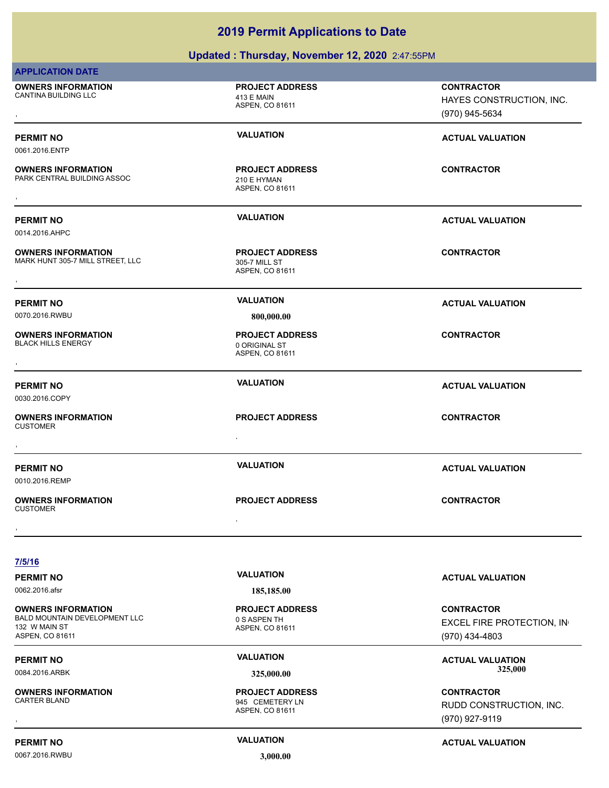### **Updated : Thursday, November 12, 2020** 2:47:55PM

| <b>APPLICATION DATE</b>                                                                               |                                                              |                                                                  |
|-------------------------------------------------------------------------------------------------------|--------------------------------------------------------------|------------------------------------------------------------------|
| <b>OWNERS INFORMATION</b><br><b>CANTINA BUILDING LLC</b>                                              | <b>PROJECT ADDRESS</b><br>413 E MAIN<br>ASPEN, CO 81611      | <b>CONTRACTOR</b><br>HAYES CONSTRUCTION, INC.<br>(970) 945-5634  |
| <b>PERMIT NO</b><br>0061.2016.ENTP                                                                    | <b>VALUATION</b>                                             | <b>ACTUAL VALUATION</b>                                          |
| <b>OWNERS INFORMATION</b><br>PARK CENTRAL BUILDING ASSOC                                              | <b>PROJECT ADDRESS</b><br>210 E HYMAN<br>ASPEN, CO 81611     | <b>CONTRACTOR</b>                                                |
| <b>PERMIT NO</b><br>0014.2016.AHPC                                                                    | <b>VALUATION</b>                                             | <b>ACTUAL VALUATION</b>                                          |
| <b>OWNERS INFORMATION</b><br>MARK HUNT 305-7 MILL STREET, LLC                                         | <b>PROJECT ADDRESS</b><br>305-7 MILL ST<br>ASPEN, CO 81611   | <b>CONTRACTOR</b>                                                |
| <b>PERMIT NO</b><br>0070.2016.RWBU                                                                    | <b>VALUATION</b><br>800,000.00                               | <b>ACTUAL VALUATION</b>                                          |
| <b>OWNERS INFORMATION</b><br><b>BLACK HILLS ENERGY</b>                                                | <b>PROJECT ADDRESS</b><br>0 ORIGINAL ST<br>ASPEN, CO 81611   | <b>CONTRACTOR</b>                                                |
| <b>PERMIT NO</b><br>0030.2016.COPY                                                                    | <b>VALUATION</b>                                             | <b>ACTUAL VALUATION</b>                                          |
| <b>OWNERS INFORMATION</b><br><b>CUSTOMER</b>                                                          | <b>PROJECT ADDRESS</b><br>٠                                  | <b>CONTRACTOR</b>                                                |
| <b>PERMIT NO</b><br>0010.2016.REMP                                                                    | <b>VALUATION</b>                                             | <b>ACTUAL VALUATION</b>                                          |
| <b>OWNERS INFORMATION</b><br><b>CUSTOMER</b>                                                          | <b>PROJECT ADDRESS</b><br>$\,$                               | <b>CONTRACTOR</b>                                                |
| 7/5/16                                                                                                |                                                              |                                                                  |
| <b>PERMIT NO</b><br>0062.2016.afsr                                                                    | <b>VALUATION</b><br>185,185.00                               | <b>ACTUAL VALUATION</b>                                          |
| <b>OWNERS INFORMATION</b><br><b>BALD MOUNTAIN DEVELOPMENT LLC</b><br>132 W MAIN ST<br>ASPEN, CO 81611 | <b>PROJECT ADDRESS</b><br>0 S ASPEN TH<br>ASPEN, CO 81611    | <b>CONTRACTOR</b><br>EXCEL FIRE PROTECTION, IN<br>(970) 434-4803 |
| <b>PERMIT NO</b><br>0084.2016.ARBK                                                                    | <b>VALUATION</b><br>325,000.00                               | <b>ACTUAL VALUATION</b><br>325,000                               |
| <b>OWNERS INFORMATION</b><br><b>CARTER BLAND</b>                                                      | <b>PROJECT ADDRESS</b><br>945 CEMETERY LN<br>ASPEN, CO 81611 | <b>CONTRACTOR</b><br>RUDD CONSTRUCTION, INC.<br>(970) 927-9119   |
| <b>PERMIT NO</b>                                                                                      | <b>VALUATION</b>                                             | <b>ACTUAL VALUATION</b>                                          |
| 0067.2016.RWBU                                                                                        | 3,000.00                                                     |                                                                  |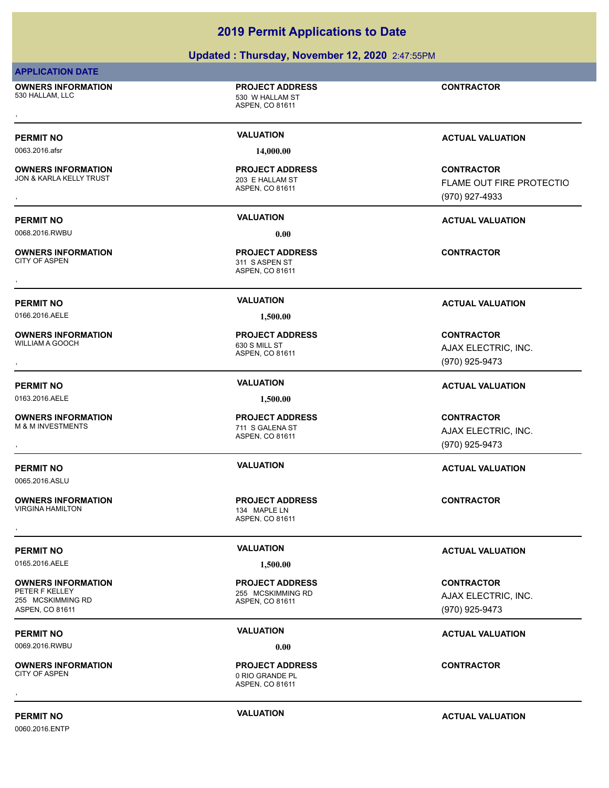| <b>2019 Permit Applications to Date</b>       |                                                              |                                               |
|-----------------------------------------------|--------------------------------------------------------------|-----------------------------------------------|
|                                               | Updated: Thursday, November 12, 2020 2:47:55PM               |                                               |
| <b>APPLICATION DATE</b>                       |                                                              |                                               |
| <b>OWNERS INFORMATION</b><br>530 HALLAM, LLC  | <b>PROJECT ADDRESS</b><br>530 W HALLAM ST<br>ASPEN, CO 81611 | <b>CONTRACTOR</b>                             |
|                                               |                                                              |                                               |
| <b>PERMIT NO</b>                              | <b>VALUATION</b>                                             | <b>ACTUAL VALUATION</b>                       |
| 0063.2016.afsr                                | 14,000.00                                                    |                                               |
| OWNERS INFORMATION<br>JON & KARLA KELLY TRUST | <b>PROJECT ADDRESS</b><br>203 E HALLAM ST<br>ASPEN, CO 81611 | <b>CONTRACTOR</b><br>FLAME OUT FIRE PROTECTIO |
|                                               |                                                              | (970) 927-4933                                |
| PERMIT NO                                     | <b>VALUATION</b>                                             | <b>ACTUAL VALUATION</b>                       |
| 0068.2016.RWBU                                | 0.00                                                         |                                               |
| <b>OWNERS INFORMATION</b><br>CITY OF ASPEN    | <b>PROJECT ADDRESS</b><br>311 S ASPEN ST<br>ASPEN, CO 81611  | <b>CONTRACTOR</b>                             |
|                                               |                                                              |                                               |
| <b>PERMIT NO</b>                              | <b>VALUATION</b>                                             | <b>ACTUAL VALUATION</b>                       |
| 0166.2016.AELE                                | 1,500.00                                                     |                                               |
| <b>OWNERS INFORMATION</b>                     | <b>PROJECT ADDRESS</b>                                       | <b>CONTRACTOR</b>                             |
| WILLIAM A GOOCH                               | 630 S MILL ST<br>ASPEN, CO 81611                             | AJAX ELECTRIC, INC.                           |
|                                               |                                                              | (970) 925-9473                                |
| PERMIT NO                                     | <b>VALUATION</b>                                             | <b>ACTUAL VALUATION</b>                       |
| 0163.2016.AELE                                | 1,500.00                                                     |                                               |
| OWNERS INFORMATION                            | <b>PROJECT ADDRESS</b>                                       | <b>CONTRACTOR</b>                             |
| M & M INVESTMENTS                             | 711 S GALENA ST<br>ASPEN, CO 81611                           | AJAX ELECTRIC, INC.                           |
|                                               |                                                              | (970) 925-9473                                |
| PERMIT NO<br>0065.2016.ASLU                   | <b>VALUATION</b>                                             | <b>ACTUAL VALUATION</b>                       |
| <b>OWNERS INFORMATION</b><br>VIRGINA HAMILTON | <b>PROJECT ADDRESS</b><br>134 MAPLE LN<br>ASPEN, CO 81611    | <b>CONTRACTOR</b>                             |
|                                               |                                                              |                                               |
| PERMIT NO                                     | <b>VALUATION</b>                                             | <b>ACTUAL VALUATION</b>                       |
| 0165.2016.AELE                                | 1,500.00                                                     |                                               |
| <b>OWNERS INFORMATION</b>                     | <b>PROJECT ADDRESS</b>                                       | <b>CONTRACTOR</b>                             |
| PETER F KELLEY<br>255 MCSKIMMING RD           | 255 MCSKIMMING RD<br>ASPEN, CO 81611                         | AJAX ELECTRIC, INC.                           |
| ASPEN, CO 81611                               |                                                              | (970) 925-9473                                |
| <b>PERMIT NO</b>                              | <b>VALUATION</b>                                             | <b>ACTUAL VALUATION</b>                       |
| 0069.2016.RWBU                                | 0.00                                                         |                                               |
| <b>OWNERS INFORMATION</b><br>CITY OF ASPEN    | <b>PROJECT ADDRESS</b><br>0 RIO GRANDE PL<br>ASPEN, CO 81611 | <b>CONTRACTOR</b>                             |
|                                               |                                                              |                                               |

**PERMIT NO CONSUMITY ACTUAL VALUATION VALUATION ACTUAL VALUATION**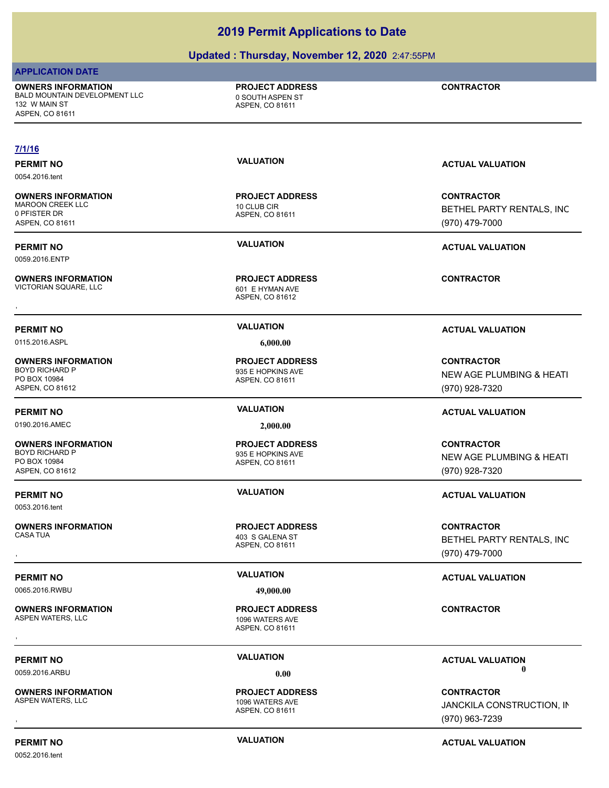### **Updated : Thursday, November 12, 2020** 2:47:55PM

### **APPLICATION DATE**

**OWNERS INFORMATION** BALD MOUNTAIN DEVELOPMENT LLC  $\qquad \qquad 0 \text{ SOUTH ASPEN ST}$ 

**PROJECT ADDRESS**

**CONTRACTOR**

### ASPEN, CO 81611 132 W MAIN ST ASPEN, CO 81611 **7/1/16 PERMIT NO CONSUMITY ACTUAL VALUATION VALUATION VALUATION** 0054.2016.tent ASPEN, CO 81611 **OWNERS INFORMATION** MAROON CREEK LLC 10 CLUB CIR **PROJECT ADDRESS** 0 PFISTER DR ASPEN, CO 81611 **CONTRACTOR** BETHEL PARTY RENTALS, INC (970) 479-7000 **PERMIT NO VALUATION VALUATION VALUATION** 0059.2016.ENTP ASPEN, CO 81612 **OWNERS INFORMATION** VICTORIAN SQUARE, LLC 601 E HYMAN AVE **PROJECT ADDRESS** , **CONTRACTOR PERMIT NO VALUATION ACTUAL VALUATION** 0115.2016.ASPL **6,000.00** ASPEN, CO 81611 **OWNERS INFORMATION** 935 E HOPKINS AVE **PROJECT ADDRESS** PO BOX 10984 ASPEN, CO 81612 **CONTRACTOR** (970) 928-7320 **PERMIT NO VALUATION ACTUAL VALUATION** 0190.2016.AMEC **2,000.00** ASPEN, CO 81611 **OWNERS INFORMATION** 935 E HOPKINS AVE **PROJECT ADDRESS** PO BOX 10984 ASPEN, CO 81612 **CONTRACTOR** (970) 928-7320 **PERMIT NO VALUATION ACTUAL VALUATION** 0053.2016.tent ASPEN, CO 81611 **OWNERS INFORMATION** 403 S GALENA ST **PROJECT ADDRESS** , **CONTRACTOR** (970) 479-7000 **PERMIT NO VALUATION ACTUAL VALUATION** 0065.2016.RWBU **49,000.00** ASPEN, CO 81611 **OWNERS INFORMATION** 1096 WATERS AVE **PROJECT ADDRESS** , **CONTRACTOR PERMIT NO VALUATION VALUATION VALUATION**

**OWNERS INFORMATION** ASPEN WATERS, LLC **ASPEN WATERS** AVE

0052.2016.tent

**PERMIT NO CONSUMITY ACTUAL VALUATION VALUATION VALUATION** 

### ASPEN, CO 81611 **PROJECT ADDRESS**

0059.2016.ARBU **0.00 0.00**

, **CONTRACTOR** JANCKILA CONSTRUCTION, IN (970) 963-7239

**NEW AGE PLUMBING & HEATI** 

**NEW AGE PLUMBING & HEATI** 

BETHEL PARTY RENTALS, INC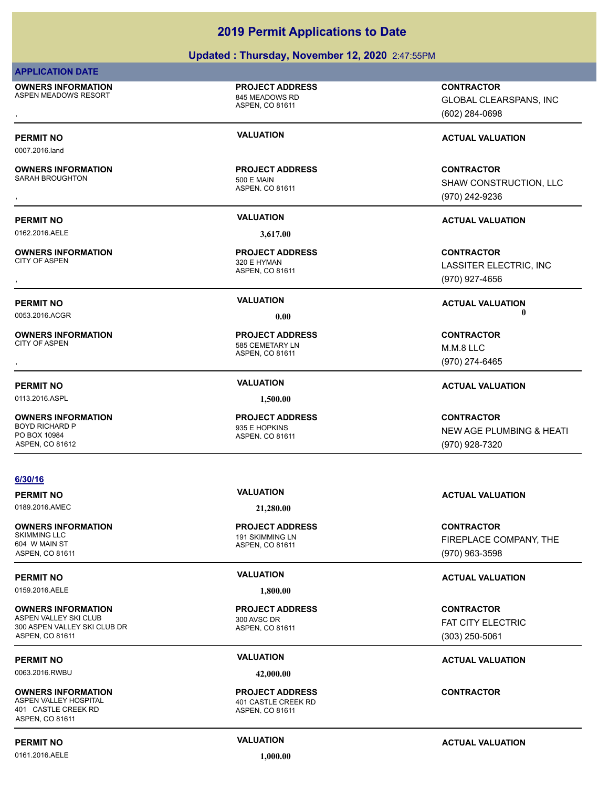### **Updated : Thursday, November 12, 2020** 2:47:55PM

### **APPLICATION DATE**

0007.2016.land

**OWNERS INFORMATION** ASPEN MEADOWS RESORT 845 MEADOWS RD

**OWNERS INFORMATION**

**OWNERS INFORMATION**

**OWNERS INFORMATION**

**OWNERS INFORMATION**

ASPEN, CO 81611

**PROJECT ADDRESS**

ASPEN, CO 81611 SARAH BROUGHTON 500 E MAIN **PROJECT ADDRESS**

0162.2016.AELE **3,617.00**

ASPEN, CO 81611 320 E HYMAN **PROJECT ADDRESS**

ASPEN, CO 81611 585 CEMETARY LN **PROJECT ADDRESS** , **CONTRACTOR**

0113.2016.ASPL **1,500.00**

BOYD RICHARD P 935 E HOPKINS **PROJECT ADDRESS**

**OWNERS INFORMATION PROJECT ADDRESS CONTRACTOR**<br>ASPEN MEADOWS RESORT 845 MEADOWS RD GLOBAL CLEARSPANS, INC<br>, ASPEN. CO 81611 GLOBAL CLEARSPANS, INC (602) 284-0698

### **PERMIT NO VALUATION VALUATION VALUATION**

, **CONTRACTOR** SHAW CONSTRUCTION, LLC (970) 242-9236

### **PERMIT NO VALUATION ACTUAL VALUATION**

, **CONTRACTOR** LASSITER ELECTRIC, INC (970) 927-4656

### **PERMIT NO VALUATION ACTUAL VALUATION** 0053.2016.ACGR **0.00 0.00**

M.M.8 LLC (970) 274-6465

**CONTRACTOR** NEW AGE PLUMBING & HEATI (970) 928-7320

### **PERMIT NO VALUATION ACTUAL VALUATION**

**CONTRACTOR** FIREPLACE COMPANY, THE (970) 963-3598

**CONTRACTOR** FAT CITY ELECTRIC (303) 250-5061

### **CONTRACTOR**

## 0159.2016.AELE **1,800.00** ASPEN VALLEY SKI CLUB 300 AVSC DR **PERMIT NO CONSUMITY OF A CONSUMITY OF A CONSUMITY OF A CONSUMITY OF A CTUAL VALUATION** 0063.2016.RWBU **42,000.00 OWNERS INFORMATION** ASPEN VALLEY HOSPITAL **ASPEN VALLEY HOSPITAL AND ASPEN VALLEY HOSPITAL** ASPEN, CO 81611

0161.2016.AELE **1,000.00**

**PROJECT ADDRESS**

ASPEN, CO 81611 **PROJECT ADDRESS**

### ASPEN, CO 81611 **PROJECT ADDRESS**

**PERMIT NO VALUATION ACTUAL VALUATION**

## 0189.2016.AMEC **21,280.00**

**6/30/16**

PO BOX 10984 ASPEN, CO 81612

**OWNERS INFORMATION** 604 W MAIN ST ASPEN, CO 81611

### **OWNERS INFORMATION**

300 ASPEN VALLEY SKI CLUB DR ASPEN, CO 81611

401 CASTLE CREEK RD



### ASPEN, CO 81611 191 SKIMMING LN

ASPEN, CO 81611

**PERMIT NO VALUATION ACTUAL VALUATION**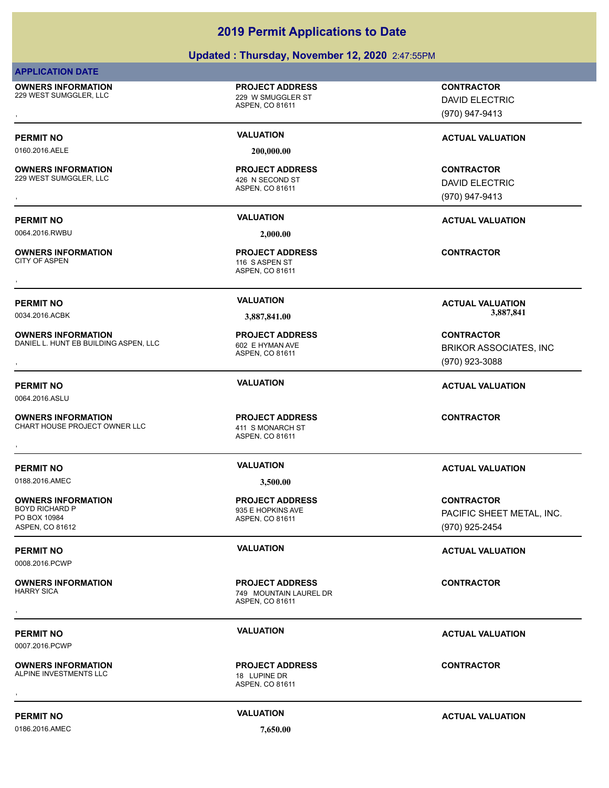### **Updated : Thursday, November 12, 2020** 2:47:55PM

### **APPLICATION DATE**

**OWNERS INFORMATION** 229 WEST SUMGGLER, LLC 229 W SMUGGLER ST

## ASPEN, CO 81611

ASPEN, CO 81611

**PROJECT ADDRESS**

**PROJECT ADDRESS**

0160.2016.AELE **200,000.00**

### **OWNERS INFORMATION** 229 WEST SUMGGLER, LLC 426 N SECOND ST

0064.2016.RWBU **2,000.00**

**OWNERS INFORMATION**

**OWNERS INFORMATION**

**OWNERS INFORMATION**

ASPEN, CO 81611 116 S ASPEN ST **PROJECT ADDRESS** , **CONTRACTOR**

ASPEN, CO 81611 DANIEL L. HUNT EB BUILDING ASPEN, LLC 602 E HYMAN AVE **PROJECT ADDRESS**

ASPEN, CO 81611 CHART HOUSE PROJECT OWNER LLC 411 S MONARCH ST **PROJECT ADDRESS OWNERS INFORMATION MERILLE READSECT ADDRESS ARE:**<br>CHART HOUSE PROJECT OWNER LLC **ANDREY AS A A A A A A SPEN. CO 81611**<br>ASPEN. CO 81611

0064.2016.ASLU

0188.2016.AMEC **3,500.00**

**OWNERS INFORMATION** PO BOX 10984 ASPEN, CO 81612

0008.2016.PCWP

**OWNERS INFORMATION**

0007.2016.PCWP

**OWNERS INFORMATION** ALPINE INVESTMENTS LLC 18 LUPINE DR

, **CONTRACTOR** DAVID ELECTRIC (970) 947-9413

### **PERMIT NO VALUATION VALUATION VALUATION**

, **CONTRACTOR** DAVID ELECTRIC (970) 947-9413

### **PERMIT NO VALUATION ACTUAL VALUATION**

**PERMIT NO VALUATION ACTUAL VALUATION** 0034.2016.ACBK **3,887,841.00 3,887,841.00**

**OWNERS INFORMATION METALLY CONTRACTOR DESCRIPTION ON MERGUIDE PROJECT ADDRESS ARE CONTRACTOR CONTRACTOR CONTRACTOR**<br>DANIEL L. HUNT EB BUILDING ASPEN, LLC ASPEN, CO 81611 MASPEN, CO 81611 MASPEN (970) 923-3088 BRIKOR ASSOCIATES, INC (970) 923-3088

### **PERMIT NO VALUATION ACTUAL VALUATION**

### **PERMIT NO VALUATION ACTUAL VALUATION**

**CONTRACTOR** PACIFIC SHEET METAL, INC. (970) 925-2454

**PERMIT NO VALUATION ACTUAL VALUATION**

## **PERMIT NO VALUATION VALUATION VALUATION** ASPEN, CO 81611 749 MOUNTAIN LAUREL DR **PROJECT ADDRESS** , **CONTRACTOR PERMIT NO VALUATION ACTUAL VALUATION**

ASPEN, CO 81611 **PROJECT ADDRESS OWNERS INFORMATION FROJECT ADDRESS ARE SOLUTION CONTRACTOR**<br>ALPINE INVESTMENTS LLC ASPEN, CO 81611<br>ASPEN, CO 81611

### ASPEN, CO 81611 935 E HOPKINS AVE **PROJECT ADDRESS**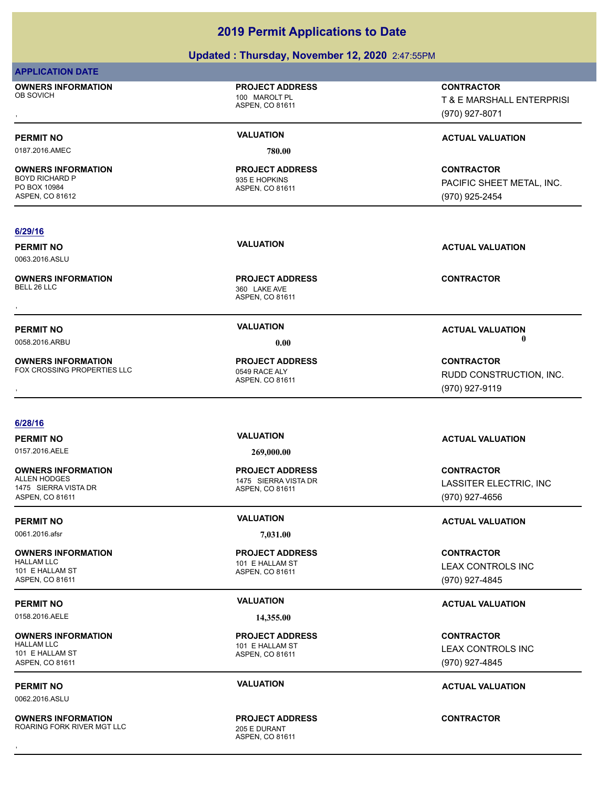### **Updated : Thursday, November 12, 2020** 2:47:55PM

### **APPLICATION DATE**

**OWNERS INFORMATION** OB SOVICH 200 MAROLT PL

**OWNERS INFORMATION**

## ASPEN, CO 81611

0187.2016.AMEC **780.00**

**PROJECT ADDRESS**

### ASPEN, CO 81611 BOYD RICHARD P 935 E HOPKINS **PROJECT ADDRESS**

ASPEN, CO 81611

ASPEN, CO 81611

**PROJECT ADDRESS**

**PROJECT ADDRESS**

, **CONTRACTOR** T & E MARSHALL ENTERPRISI (970) 927-8071

### **PERMIT NO VALUATION ACTUAL VALUATION**

**CONTRACTOR** PACIFIC SHEET METAL, INC. (970) 925-2454

### **6/29/16**

0063.2016.ASLU

PO BOX 10984 ASPEN, CO 81612

**OWNERS INFORMATION** BELL 26 LLC 360 LAKE AVE , **CONTRACTOR**

0058.2016.ARBU **0.00 0.00**

**OWNERS INFORMATION** FOX CROSSING PROPERTIES LLC 0549 RACE ALY

### **6/28/16**

**OWNERS INFORMATION** ALLEN HODGES 1475 SIERRA VISTA DR 1475 SIERRA VISTA DR ASPEN, CO 81611

0061.2016.afsr **7,031.00**

## **OWNERS INFORMATION**

101 E HALLAM ST ASPEN, CO 81611

0158.2016.AELE **14,355.00**

**OWNERS INFORMATION** 101 E HALLAM ST

ASPEN, CO 81611

0062.2016.ASLU

**OWNERS INFORMATION** ROARING FORK RIVER MGT LLC<br>205 E DURANT

0157.2016.AELE **269,000.00**

ASPEN, CO 81611 **PROJECT ADDRESS**

### ASPEN, CO 81611 101 E HALLAM ST **PROJECT ADDRESS**

### ASPEN, CO 81611 101 E HALLAM ST **PROJECT ADDRESS**

ASPEN, CO 81611 **PROJECT ADDRESS** , **CONTRACTOR**

**PERMIT NO VALUATION VALUATION VALUATION** 

**PERMIT NO VALUATION ACTUAL VALUATION**

, **CONTRACTOR** RUDD CONSTRUCTION, INC. (970) 927-9119

**PERMIT NO VALUATION VALUATION VALUATION** 

**CONTRACTOR** LASSITER ELECTRIC, INC (970) 927-4656

**PERMIT NO VALUATION ACTUAL VALUATION**

**CONTRACTOR** LEAX CONTROLS INC (970) 927-4845

### **PERMIT NO VALUATION ACTUAL VALUATION**

**CONTRACTOR** LEAX CONTROLS INC (970) 927-4845

### **PERMIT NO VALUATION ACTUAL VALUATION**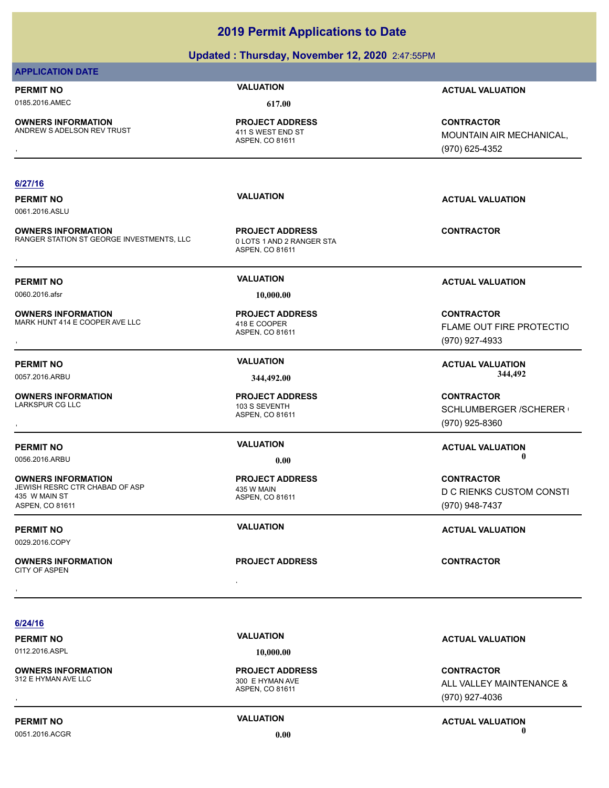### **Updated : Thursday, November 12, 2020** 2:47:55PM

### **APPLICATION DATE**

0185.2016.AMEC **617.00**

**OWNERS INFORMATION** ANDREW S ADELSON REV TRUST AND MALL AND AND ST AND ST

ASPEN, CO 81611 **PROJECT ADDRESS**

### **6/27/16**

0061.2016.ASLU

**OWNERS INFORMATION** RANGER STATION ST GEORGE INVESTMENTS, LLC 0 LOTS 1 AND 2 RANGER STA **OWNERS INFORMATION FROJECT ADDRESS CONTRACTOR**<br>RANGER STATION ST GEORGE INVESTMENTS, LLC ODDTS 1 AND 2 RANGER STA<br>ASPEN. CO 81611

0060.2016.afsr **10,000.00**

**OWNERS INFORMATION** MARK HUNT 414 E COOPER AVE LLC<br>418 E COOPER

**OWNERS INFORMATION**

**OWNERS INFORMATION** JEWISH RESRC CTR CHABAD OF ASP 435 W MAIN 435 W MAIN ST ASPEN, CO 81611

0029.2016.COPY

, **OWNERS INFORMATION** CITY OF ASPEN , **CONTRACTOR**

**6/24/16**

0112.2016.ASPL **10,000.00**

**OWNERS INFORMATION** 312 E HYMAN AVE LLC 300 E HYMAN AVE

**PERMIT NO VALUATION ACTUAL VALUATION**

**OWNERS INFORMATION CONTRACTOR REGULAR PROJECT ADDRESS CONTRACTOR CONTRACTOR**<br>ANDREW SADELSON REV TRUST TRIST TO A 411 S WEST END ST TO THE MOUNTAIN AIR MECHANICAL,<br>ASPEN, CO 81611 (970) 625-4352 MOUNTAIN AIR MECHANICAL, (970) 625-4352

ASPEN, CO 81611 **PROJECT ADDRESS**

ASPEN, CO 81611 **PROJECT ADDRESS**

ASPEN, CO 81611 103 S SEVENTH **PROJECT ADDRESS**

ASPEN, CO 81611 **PROJECT ADDRESS**

**PROJECT ADDRESS**

**PERMIT NO VALUATION ACTUAL VALUATION**

**PERMIT NO VALUATION ACTUAL VALUATION**

**OWNERS INFORMATION MARK HUNT 414 E COOPER ASPEN, CO 81611**<br>MARK HUNT 414 E COOPER AVE LLC ASPEN, CO 81611 ASPEN, CO 81611 **ASPEN, CO 81611**<br>ASPEN, CO 81611 (970) 927-4933 FLAME OUT FIRE PROTECTIO (970) 927-4933

**PERMIT NO VALUATION VALUATION VALUATION** 0057.2016.ARBU **344,492.00 344,492.00**

, **CONTRACTOR** SCHLUMBERGER / SCHERER ( (970) 925-8360

**PERMIT NO VALUATION ACTUAL VALUATION** 0056.2016.ARBU **0.00 0.00**

> **CONTRACTOR** D C RIENKS CUSTOM CONSTI (970) 948-7437

**PERMIT NO VALUATION ACTUAL VALUATION**

**OWNERS INFORMATION PROJECT ADDRESS CONTRACTOR**<br>312 E HYMAN AVE LLC 300 E HYMAN AVE ALL VALLEY MAINTENANCE &<br>, ASPEN. CO 81611 ALL VALLEY MAINTENANCE & (970) 927-4036

**PERMIT NO VALUATION ACTUAL VALUATION** 0051.2016.ACGR **0.00 0.00**

ASPEN, CO 81611

**PROJECT ADDRESS**

**PERMIT NO VALUATION ACTUAL VALUATION**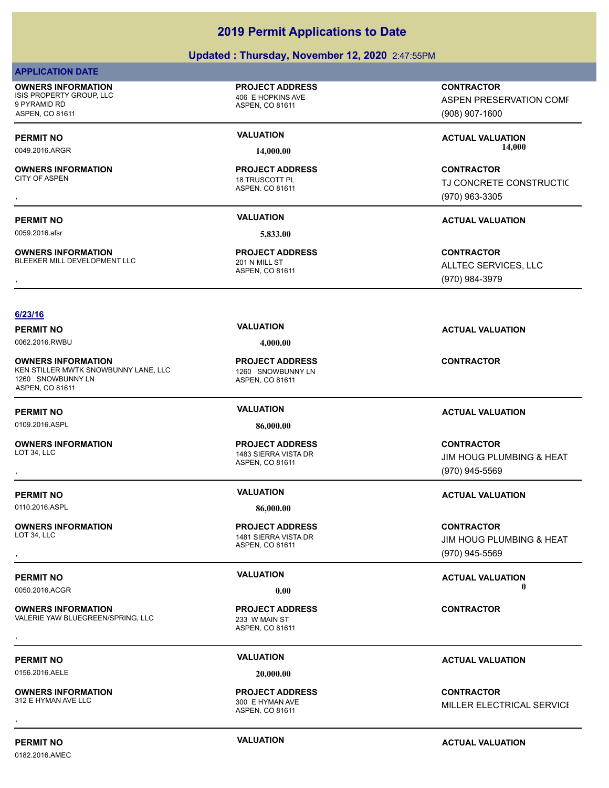### **Updated : Thursday, November 12, 2020** 2:47:55PM

**2019 Permit Applications to Date**

### **APPLICATION DATE**

**OWNERS INFORMATION** ISIS PROPERTY GROUP, LLC 406 E HOPKINS AVE 9 PYRAMID RD ASPEN, CO 81611

**OWNERS INFORMATION**

0059.2016.afsr **5,833.00**

**OWNERS INFORMATION** BLEEKER MILL DEVELOPMENT LLC<br>
201 N MILL ST

ASPEN, CO 81611

**PROJECT ADDRESS**

ASPEN, CO 81611 18 TRUSCOTT PL **PROJECT ADDRESS**

### **6/23/16**

0062.2016.RWBU **4,000.00**

**OWNERS INFORMATION** KEN STILLER MWTK SNOWBUNNY LANE, LLC 1260 SNOWBUNNY LN 1260 SNOWBUNNY LN ASPEN, CO 81611

0109.2016.ASPL **86,000.00**

**OWNERS INFORMATION**

0110.2016.ASPL **86,000.00**

**OWNERS INFORMATION**

**OWNERS INFORMATION** VALERIE YAW BLUEGREEN/SPRING, LLC 233 W MAIN ST **OWNERS INFORMATION FROJECT ADDRESS ARE:**<br>VALERIE YAW BLUEGREEN/SPRING, LLC FROJECT ADDRESS FOR THE STAND ON THE STAND ASPEN. CO 81611<br>,

0156.2016.AELE **20,000.00**

**OWNERS INFORMATION**<br>312 E HYMAN AVE LLC

ASPEN, CO 81611 **PROJECT ADDRESS**

ASPEN, CO 81611 1483 SIERRA VISTA DR **PROJECT ADDRESS**

ASPEN, CO 81611 1481 SIERRA VISTA DR **PROJECT ADDRESS**

ASPEN, CO 81611 **PROJECT ADDRESS**

ASPEN, CO 81611 300 E HYMAN AVE **PROJECT ADDRESS** **CONTRACTOR**

ASPEN PRESERVATION COMF (908) 907-1600

**PERMIT NO VALUATION ACTUAL VALUATION** 0049.2016.ARGR **14,000.00 14,000.00**

, **CONTRACTOR** TJ CONCRETE CONSTRUCTIC (970) 963-3305

### **PERMIT NO VALUATION ACTUAL VALUATION**

**OWNERS INFORMATION FROJECT ADDRESS CONTRACTOR CONTRACTOR**<br>BLEEKER MILL DEVELOPMENT LLC 201 N MILL ST ALLTEC SERVICES, LLC<br>ASPEN. CO 81611 49 ASPARENT ADDRESS (970) 984-3979 ALLTEC SERVICES, LLC (970) 984-3979

**PERMIT NO VALUATION VALUATION VALUATION** 

### **CONTRACTOR**

### **PERMIT NO VALUATION ACTUAL VALUATION**

, **CONTRACTOR** JIM HOUG PLUMBING & HEAT (970) 945-5569

### **PERMIT NO VALUATION ACTUAL VALUATION**

, **CONTRACTOR** JIM HOUG PLUMBING & HEAT (970) 945-5569

**PERMIT NO VALUATION ACTUAL VALUATION** 0050.2016.ACGR **0.00 0.00**

**PERMIT NO VALUATION ACTUAL VALUATION**

, **CONTRACTOR** MILLER ELECTRICAL SERVICE

**PROJECT ADDRESS**

## ASPEN, CO 81611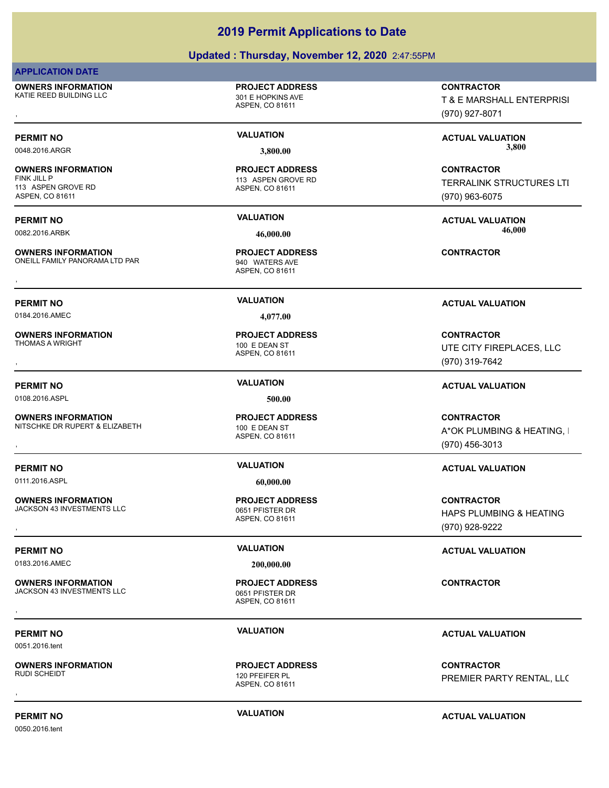### **Updated : Thursday, November 12, 2020** 2:47:55PM

### **APPLICATION DATE**

**OWNERS INFORMATION** KATIE REED BUILDING LLC 301 E HOPKINS AVE

**OWNERS INFORMATION**

**OWNERS INFORMATION**

**OWNERS INFORMATION**

**OWNERS INFORMATION**

**OWNERS INFORMATION**

**OWNERS INFORMATION**

**OWNERS INFORMATION**

113 ASPEN GROVE RD ASPEN, CO 81611

### ASPEN, CO 81611

**PROJECT ADDRESS**

### ASPEN, CO 81611 113 ASPEN GROVE RD **PROJECT ADDRESS**

ASPEN, CO 81611 ONEILL FAMILY PANORAMA LTD PAR 940 WATERS AVE **PROJECT ADDRESS OWNERS INFORMATION FROJECT ADDRESS ARE SERVIT ASSESS AND SEXUAL CONTRACTOR**<br>ONEILL FAMILY PANORAMA LTD PAR 940 WATERS AVE<br>ASPEN. CO 81611<br>,

0184.2016.AMEC **4,077.00**

ASPEN, CO 81611 THOMAS A WRIGHT THOMAS A WRIGHT **PROJECT ADDRESS**

0108.2016.ASPL **500.00**

ASPEN, CO 81611 NITSCHKE DR RUPERT & ELIZABETH 100 E DEAN ST **PROJECT ADDRESS**

0111.2016.ASPL **60,000.00**

JACKSON 43 INVESTMENTS LLC<br>0651 PFISTER DR **PROJECT ADDRESS**

**PROJECT ADDRESS OWNERS INFORMATION LEADURED SECURITY OF PROJECT ADDRESS ARE:**<br>JACKSON 43 INVESTMENTS LLC LEADURED ASPEN. CO 81611<br>,

ASPEN, CO 81611 120 PFEIFER PL **PROJECT ADDRESS**

, **CONTRACTOR** T & E MARSHALL ENTERPRISI (970) 927-8071

**PERMIT NO VALUATION ACTUAL VALUATION** 0048.2016.ARGR **3,800.00 3,800.00**

> **CONTRACTOR TERRALINK STRUCTURES LTI** (970) 963-6075

**PERMIT NO VALUATION ACTUAL VALUATION** 0082.2016.ARBK **46,000.00 46,000.00**

### **PERMIT NO VALUATION ACTUAL VALUATION**

, **CONTRACTOR** UTE CITY FIREPLACES, LLC (970) 319-7642

### **PERMIT NO VALUATION ACTUAL VALUATION**

**OWNERS INFORMATION METALLY CONTRACTOR SERVIT DESCRIPTION METALLY OF PROJECT ADDRESS ARE CONTRACTOR CONTRACTOR<br>AITSCHKE DR RUPERT & ELIZABETH METALLY ASPEN, CO 81611 METALLY ASPONENT METALLY ASPEN, CO 81611 METALLY ASPEN,** A\*OK PLUMBING & HEATING, I (970) 456-3013

### **PERMIT NO VALUATION ACTUAL VALUATION**

**OWNERS INFORMATION LEADURED BY A SERVICE TO A SERVICE ADDRESS ARE SERVICE SONTRACTOR CONTRACTOR SERVICE SOME ASPEN<br>JACKSON 43 INVESTMENTS LLC LEADURE ASPEN, CO 81611 LEADURE SON SASPEN, CO 81611 LEADURE SON SASPEN (970) 9** HAPS PLUMBING & HEATING (970) 928-9222

**PERMIT NO VALUATION ACTUAL VALUATION**

, **CONTRACTOR** PREMIER PARTY RENTAL, LLC

0051.2016.tent

0050.2016.tent

**PERMIT NO VALUATION ACTUAL VALUATION**

## ASPEN, CO 81611 **PERMIT NO VALUATION VALUATION VALUATION**

ASPEN, CO 81611 JACKSON 43 INVESTMENTS LLC 0651 PFISTER DR

0183.2016.AMEC **200,000.00**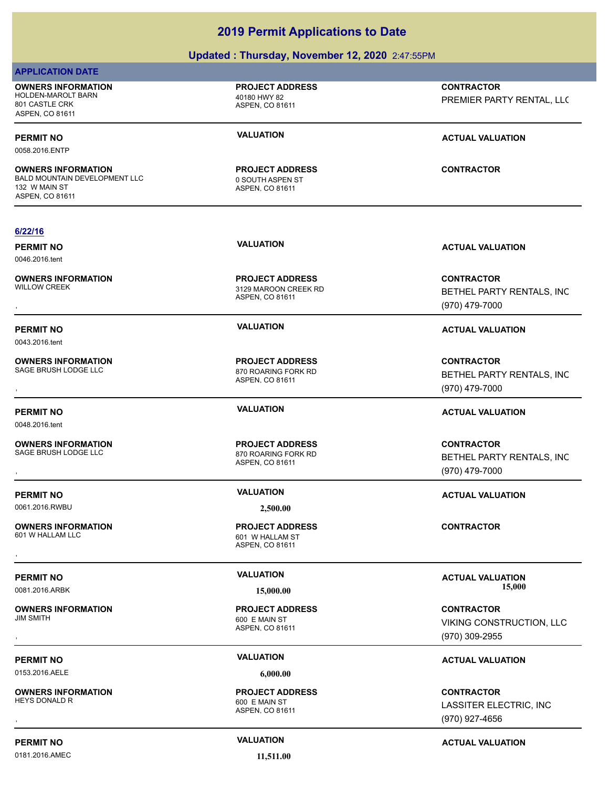### **Updated : Thursday, November 12, 2020** 2:47:55PM

### **APPLICATION DATE**

**OWNERS INFORMATION** HOLDEN-MAROLT BARN 40180 HWY 82 801 CASTLE CRK ASPEN, CO 81611

**OWNERS INFORMATION**

ASPEN, CO 81611

**PROJECT ADDRESS**

ASPEN, CO 81611 BALD MOUNTAIN DEVELOPMENT LLC 0 0 SOUTH ASPEN ST **PROJECT ADDRESS**

ASPEN, CO 81611

ASPEN, CO 81611

ASPEN, CO 81611

ASPEN, CO 81611

ASPEN, CO 81611

600 E MAIN ST **PROJECT ADDRESS**

601 W HALLAM ST **PROJECT ADDRESS**

870 ROARING FORK RD **PROJECT ADDRESS**

**PROJECT ADDRESS**

**PROJECT ADDRESS**

**CONTRACTOR** PREMIER PARTY RENTAL, LLC

### **PERMIT NO VALUATION VALUATION VALUATION**

**CONTRACTOR**

**6/22/16**

0058.2016.ENTP

132 W MAIN ST ASPEN, CO 81611

0046.2016.tent

**OWNERS INFORMATION** WILLOW CREEK NO ANN ANN ANN AN ANN AN 2129 MAROON CREEK RD

0043.2016.tent

**OWNERS INFORMATION** SAGE BRUSH LODGE LLC 870 ROARING FORK RD

0048.2016.tent

**OWNERS INFORMATION**

0061.2016.RWBU **2,500.00**

**OWNERS INFORMATION** , **CONTRACTOR**

**OWNERS INFORMATION**

0153.2016.AELE **6,000.00**

**OWNERS INFORMATION**

0181.2016.AMEC **11,511.00**

ASPEN, CO 81611

600 E MAIN ST **PROJECT ADDRESS**

**PERMIT NO VALUATION VALUATION VALUATION** 

**OWNERS INFORMATION PROJECT ADDRESS CONTRACTOR**<br>WILLOW CREEK 3129 MAROON CREEK RD BETHEL PARTY RENTALS, INC<br>, ASPEN. CO 81611 BETHEL PARTY RENTALS, INC (970) 479-7000

**PERMIT NO VALUATION ACTUAL VALUATION**

**OWNERS INFORMATION PROJECT ADDRESS CONTRACTOR**<br>SAGE BRUSH LODGE LLC 870 ROARING FORK RD BETHEL PARTY RENTALS, INC<br>, ASPEN, CO 81611 BETHEL PARTY RENTALS, INC (970) 479-7000

### **PERMIT NO VALUATION ACTUAL VALUATION**

**OWNERS INFORMATION PROJECT ADDRESS CONTRACTOR**<br>SAGE BRUSH LODGE LLC 870 ROARING FORK RD<br>, ASPEN. CO 81611 (970) 479-7000 BETHEL PARTY RENTALS, INC (970) 479-7000

**PERMIT NO VALUATION ACTUAL VALUATION**

**PERMIT NO VALUATION ACTUAL VALUATION** 0081.2016.ARBK **15,000.00 15,000.00**

, **CONTRACTOR** VIKING CONSTRUCTION, LLC (970) 309-2955

### **PERMIT NO VALUATION VALUATION VALUATION**

, **CONTRACTOR** LASSITER ELECTRIC, INC (970) 927-4656

**PERMIT NO CONSUMITY ACTUAL VALUATION VALUATION VALUATION**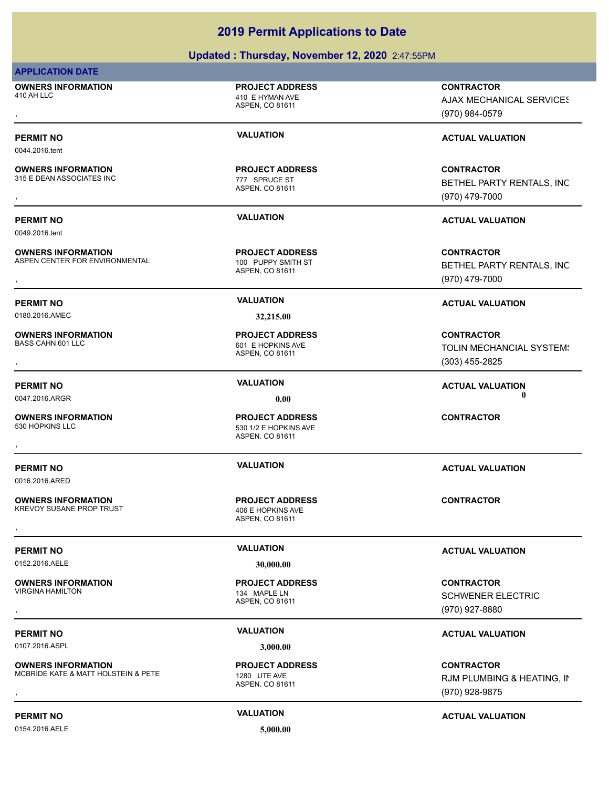### **Updated : Thursday, November 12, 2020** 2:47:55PM

### **APPLICATION DATE**

**OWNERS INFORMATION** 410 AH LLC 410 AH LLC

0044.2016.tent

### **OWNERS INFORMATION**

315 E DEAN ASSOCIATES INC<br>
277 SPRIJCE ST

**OWNERS INFORMATION**

**OWNERS INFORMATION**

**OWNERS INFORMATION**

**OWNERS INFORMATION**

0016.2016.ARED

0049.2016.tent

**OWNERS INFORMATION** ASPEN CENTER FOR ENVIRONMENTAL 100 PUPPY SMITH ST

ASPEN, CO 81611

**PROJECT ADDRESS**

ASPEN, CO 81611 **PROJECT ADDRESS**

ASPEN, CO 81611 **PROJECT ADDRESS**

0180.2016.AMEC **32,215.00**

ASPEN, CO 81611 601 E HOPKINS AVE **PROJECT ADDRESS**

0047.2016.ARGR **0.00 0.00**

### ASPEN, CO 81611 530 1/2 E HOPKINS AVE **PROJECT ADDRESS** , **CONTRACTOR**

ASPEN, CO 81611 KREVOY SUSANE PROP TRUST 406 E HOPKINS AVE **PROJECT ADDRESS OWNERS INFORMATION CONTRACTOR REGISTED BY A PROJECT ADDRESS CONTRACTOR CONTRACTOR**<br>KREVOY SUSANE PROP TRUST TRIMINAL ASPEN, CO 81611<br>,

### 0152.2016.AELE **30,000.00**

ASPEN, CO 81611 VIRGINA HAMILTON 134 MAPLE LN **PROJECT ADDRESS**

0107.2016.ASPL **3,000.00**

**OWNERS INFORMATION** MCBRIDE KATE & MATT HOLSTEIN & PETE 1280 UTE AVE

0154.2016.AELE **5,000.00**

**AJAX MECHANICAL SERVICES** 

**OWNERS INFORMATION PROJECT ADDRESS CONTRACTOR**<br>410 AH LLC 410 E HYMAN AVE AJAX MECHANICAL SERVICES<br>, ASPEN. CO 81611 (970) 984-0579

### **PERMIT NO VALUATION VALUATION VALUATION**

**OWNERS INFORMATION GOVERNED BY A SPENISHED BY A SPENISHED SETTLE SERVIT ASSOCIATES INCORPORATION ASPENISION ASPEN<br>
315 E DEAN ASSOCIATES INC<br>
ASPEN, CO 81611 GOVERNED MASPONE (970) 479-7000** BETHEL PARTY RENTALS, INC (970) 479-7000

### **PERMIT NO VALUATION ACTUAL VALUATION**

**OWNERS INFORMATION METAL READURES ARE DESCRIPTED MANUSCRIPS ON TRACTOR CONTRACTOR**<br>ASPEN CENTER FOR ENVIRONMENTAL ASPEN, CO 81611 ASPEN, CO 81611 METAL METAL METAL METHEL PARTY RENTALS, INC<br>ASPEN, CO 81611 METAL METAL MET BETHEL PARTY RENTALS, INC (970) 479-7000

### **PERMIT NO VALUATION ACTUAL VALUATION**

**OWNERS INFORMATION PROJECT ADDRESS CONTRACTOR**<br>BASS CAHN 601 LLC 601 E HOPKINS AVE TOLIN MECHANCIAL SYSTEM\<br>, ASPEN, CO 81611 TOLIN MECHANCIAL SYSTEMS (303) 455-2825

### **PERMIT NO VALUATION ACTUAL VALUATION**

**PERMIT NO VALUATION ACTUAL VALUATION**

**PERMIT NO VALUATION VALUATION VALUATION** 

, **CONTRACTOR** SCHWENER ELECTRIC (970) 927-8880

### **PERMIT NO VALUATION ACTUAL VALUATION**

, **CONTRACTOR** RJM PLUMBING & HEATING, IN (970) 928-9875

### **PERMIT NO VALUATION ACTUAL VALUATION**

### ASPEN, CO 81611 **PROJECT ADDRESS**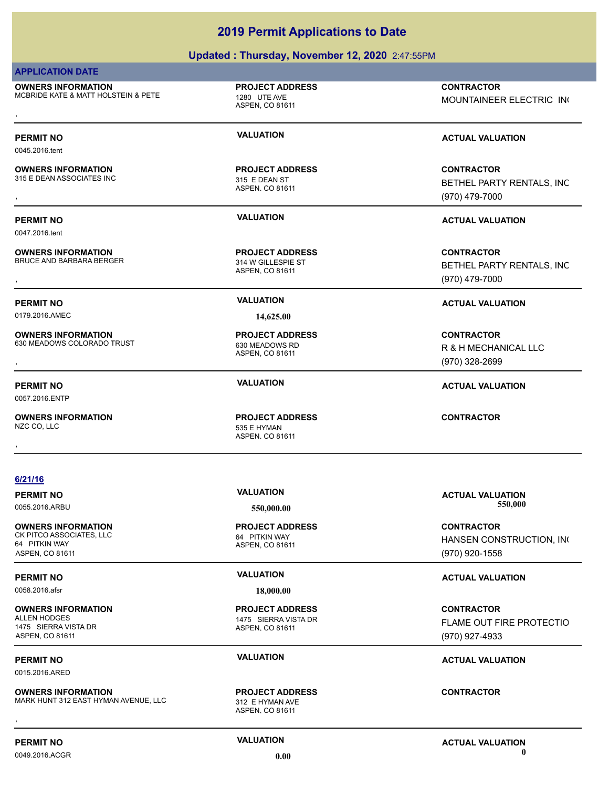| ΝO         |  |  |
|------------|--|--|
| $\sqrt{2}$ |  |  |

## ASPEN, CO 81611

### ASPEN, CO 81611 MARK HUNT 312 EAST HYMAN AVENUE, LLC 312 E HYMAN AVE **PROJECT ADDRESS OWNERS INFORMATION MARK HUNTERS PROJECT ADDRESS ARE:**<br>MARK HUNT 312 EAST HYMAN AVENUE, LLC 812 E HYMAN AVE ASPEN. CO 81611<br>,

ASPEN, CO 81611 **PROJECT ADDRESS**

1475 SIERRA VISTA DR **PROJECT ADDRESS**

**OWNERS INFORMATION** 630 MEADOWS COLORADO TRUST 630 MEADOWS RD

0057.2016.ENTP

**OWNERS INFORMATION**

**6/21/16**

0055.2016.ARBU **550,000.00 550,000.00 OWNERS INFORMATION**

CK PITCO ASSOCIATES, LLC 64 PITKIN WAY 64 PITKIN WAY

0058.2016.afsr **18,000.00**

**OWNERS INFORMATION**

1475 SIERRA VISTA DR ASPEN, CO 81611

**OWNERS INFORMATION**

0015.2016.ARED

ASPEN, CO 81611

**PERMIT NO VALUATION ACTUAL VALUATION**

0179.2016.AMEC **14,625.00**

**APPLICATION DATE**

0045.2016.tent

0047.2016.tent

**OWNERS INFORMATION**

**OWNERS INFORMATION**

MCBRIDE KATE & MATT HOLSTEIN & PETE 1280 UTE AVE

**OWNERS INFORMATION**

**PERMIT NO VALUATION ACTUAL VALUATION**

ASPEN, CO 81611 **PROJECT ADDRESS**

535 E HYMAN **PROJECT ADDRESS**

315 E DEAN ASSOCIATES INC<br>315 F DEAN ST **PROJECT ADDRESS**

**Updated : Thursday, November 12, 2020** 2:47:55PM

**2019 Permit Applications to Date**

ASPEN, CO 81611

ASPEN, CO 81611

**PROJECT ADDRESS**

BRUCE AND BARBARA BERGER 314 W GILLESPIE ST **PROJECT ADDRESS**

ASPEN, CO 81611

ASPEN, CO 81611 , **CONTRACTOR**

**OWNERS INFORMATION EXECUTE:**<br>MCBRIDE KATE & MATT HOLSTEIN & PETE THE AND MORRISS AND MONITAIN MOUNTAINEER ELECTRIC IN ASPEN. CO 81611<br>The ASPEN. CO 81611

### **PERMIT NO VALUATION ACTUAL VALUATION**

, **CONTRACTOR** BETHEL PARTY RENTALS, INC (970) 479-7000

**OWNERS INFORMATION Material contraction of the contraction of the contraction of the contraction of the contra<br>
630 MEADOWS COLORADO TRUST Material Contraction of the contraction of the contraction of the contraction of t** R & H MECHANICAL LLC (970) 328-2699

**CONTRACTOR** HANSEN CONSTRUCTION, INC (970) 920-1558

### **PERMIT NO VALUATION ACTUAL VALUATION**

**CONTRACTOR** FLAME OUT FIRE PROTECTIO (970) 927-4933

### **PERMIT NO VALUATION ACTUAL VALUATION**

**PERMIT NO VALUATION ACTUAL VALUATION**

**PERMIT NO VALUATION VALUATION VALUATION** 

MOUNTAINEER ELECTRIC INC

**OWNERS INFORMATION GOVERNED BY A SECURITY PROJECT ADDRESS ARE SECURITY CONTRACTOR**<br>115 E DEAN ASSOCIATES INC **SAN SECURITY AS A SPEN, CO 81611**<br>1970) 479-7000, ASPEN, CO 81611 BETHEL PARTY RENTALS, INC (970) 479-7000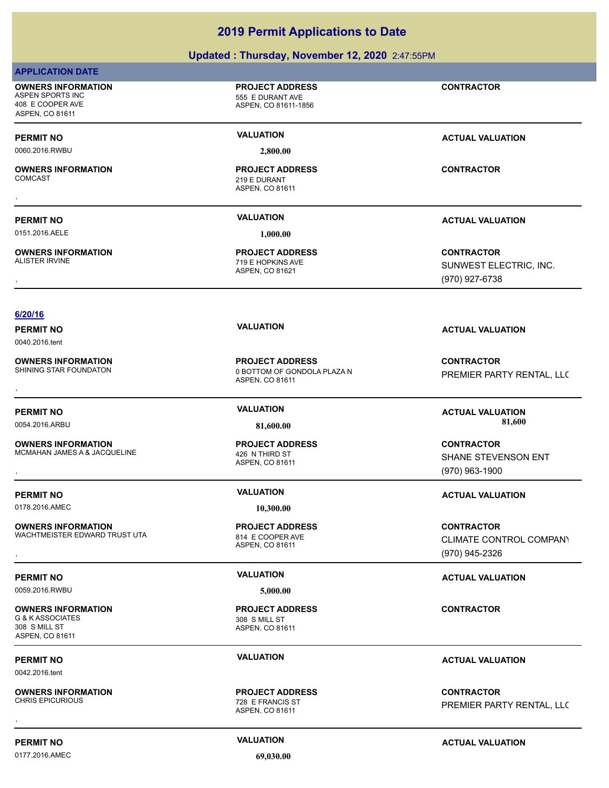| Updated: Thursday, November 12, 2020 2:47:55PM                                       |                                                                          |                                                                       |
|--------------------------------------------------------------------------------------|--------------------------------------------------------------------------|-----------------------------------------------------------------------|
| <b>APPLICATION DATE</b>                                                              |                                                                          |                                                                       |
| <b>OWNERS INFORMATION</b><br>ASPEN SPORTS INC<br>408 E COOPER AVE<br>ASPEN, CO 81611 | <b>PROJECT ADDRESS</b><br>555 E DURANT AVE<br>ASPEN, CO 81611-1856       | <b>CONTRACTOR</b>                                                     |
| <b>PERMIT NO</b><br>0060.2016.RWBU                                                   | <b>VALUATION</b><br>2,800.00                                             | <b>ACTUAL VALUATION</b>                                               |
| <b>OWNERS INFORMATION</b><br><b>COMCAST</b>                                          | <b>PROJECT ADDRESS</b><br>219 E DURANT<br>ASPEN, CO 81611                | <b>CONTRACTOR</b>                                                     |
| <b>PERMIT NO</b>                                                                     | <b>VALUATION</b>                                                         | <b>ACTUAL VALUATION</b>                                               |
| 0151.2016.AELE                                                                       | 1,000.00                                                                 |                                                                       |
| <b>OWNERS INFORMATION</b><br><b>ALISTER IRVINE</b>                                   | <b>PROJECT ADDRESS</b><br>719 E HOPKINS AVE<br>ASPEN, CO 81621           | <b>CONTRACTOR</b><br>SUNWEST ELECTRIC, INC.<br>(970) 927-6738         |
|                                                                                      |                                                                          |                                                                       |
| 6/20/16<br><b>PERMIT NO</b>                                                          | <b>VALUATION</b>                                                         | <b>ACTUAL VALUATION</b>                                               |
| 0040.2016.tent                                                                       |                                                                          |                                                                       |
| <b>OWNERS INFORMATION</b><br>SHINING STAR FOUNDATON                                  | <b>PROJECT ADDRESS</b><br>0 BOTTOM OF GONDOLA PLAZA N<br>ASPEN, CO 81611 | <b>CONTRACTOR</b><br>PREMIER PARTY RENTAL, LLC                        |
|                                                                                      |                                                                          |                                                                       |
| <b>PERMIT NO</b><br>0054.2016.ARBU                                                   | <b>VALUATION</b><br>81,600.00                                            | <b>ACTUAL VALUATION</b><br>81,600                                     |
| <b>OWNERS INFORMATION</b><br>MCMAHAN JAMES A & JACQUELINE                            | <b>PROJECT ADDRESS</b><br>426 N THIRD ST<br>ASPEN, CO 81611              | <b>CONTRACTOR</b><br>SHANE STEVENSON ENT<br>(970) 963-1900            |
| <b>PERMIT NO</b>                                                                     | <b>VALUATION</b>                                                         | <b>ACTUAL VALUATION</b>                                               |
| 0178.2016.AMEC                                                                       | 10,300.00                                                                |                                                                       |
| <b>OWNERS INFORMATION</b><br>WACHTMEISTER EDWARD TRUST UTA                           | <b>PROJECT ADDRESS</b><br>814 E COOPER AVE<br>ASPEN, CO 81611            | <b>CONTRACTOR</b><br><b>CLIMATE CONTROL COMPANY</b><br>(970) 945-2326 |
|                                                                                      | <b>VALUATION</b>                                                         |                                                                       |
| <b>PERMIT NO</b><br>0059.2016.RWBU                                                   | 5,000.00                                                                 | <b>ACTUAL VALUATION</b>                                               |
| <b>OWNERS INFORMATION</b><br>G & K ASSOCIATES<br>308 S MILL ST<br>ASPEN, CO 81611    | <b>PROJECT ADDRESS</b><br>308 S MILL ST<br>ASPEN, CO 81611               | <b>CONTRACTOR</b>                                                     |
| <b>PERMIT NO</b><br>0042.2016.tent                                                   | <b>VALUATION</b>                                                         | <b>ACTUAL VALUATION</b>                                               |
| <b>OWNERS INFORMATION</b>                                                            | <b>PROJECT ADDRESS</b>                                                   | <b>CONTRACTOR</b>                                                     |

**OWNERS INFORMATION** CHRIS EPICURIOUS 728 E FRANCIS ST , **CONTRACTOR**

0177.2016.AMEC **69,030.00**

ASPEN, CO 81611

**PERMIT NO CONSUMITY ACTUAL VALUATION VALUATION** *ACTUAL VALUATION* 

PREMIER PARTY RENTAL, LLC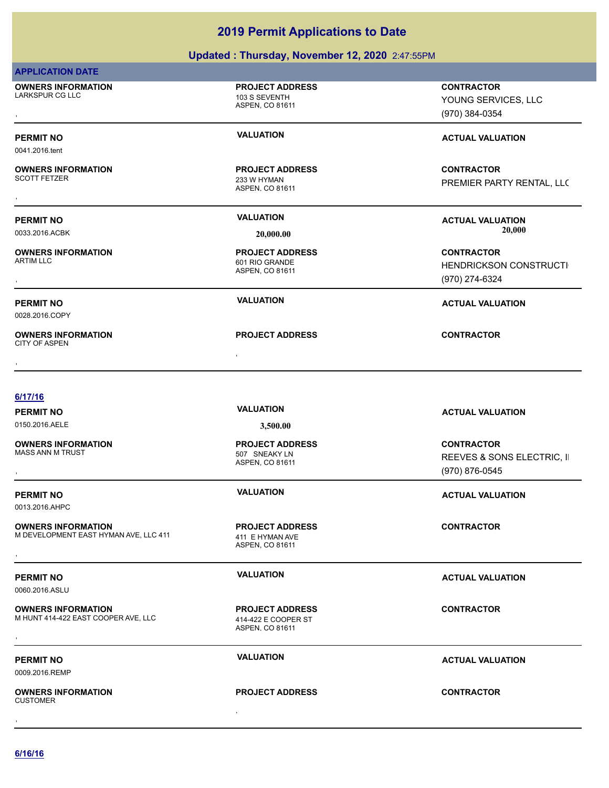## **Updated : Thursday, November 12, 2020** 2:47:55PM

|--|--|

**OWNERS INFORMATION** LARKSPUR CG LLC 103 S SEVENTH

**OWNERS INFORMATION**

**OWNERS INFORMATION**

, **OWNERS INFORMATION**

0028.2016.COPY

CITY OF ASPEN

0041.2016.tent

ASPEN, CO 81611

**PROJECT ADDRESS**

ASPEN, CO 81611 233 W HYMAN **PROJECT ADDRESS**

ASPEN, CO 81611 601 RIO GRANDE **PROJECT ADDRESS**

**PROJECT ADDRESS OWNERS INFORMATION EXAMPLE AND REGIST ADDRESS ARE:**<br>CITY OF ASPEN<br>,

, **CONTRACTOR** YOUNG SERVICES, LLC (970) 384-0354

**PERMIT NO VALUATION VALUATION VALUATION** 

, **CONTRACTOR** PREMIER PARTY RENTAL, LLC

**PERMIT NO VALUATION ACTUAL VALUATION** 0033.2016.ACBK **20,000.00 20,000.00**

, **CONTRACTOR HENDRICKSON CONSTRUCTI** (970) 274-6324

**PERMIT NO VALUATION ACTUAL VALUATION**

**6/17/16 PERMIT NO VALUATION ACTUAL VALUATION** 0150.2016.AELE **3,500.00** ASPEN, CO 81611 **OWNERS INFORMATION** 507 SNEAKY LN **PROJECT ADDRESS** , **CONTRACTOR** REEVES & SONS ELECTRIC, II (970) 876-0545 **PERMIT NO VALUATION ACTUAL VALUATION** 0013.2016.AHPC ASPEN, CO 81611 **OWNERS INFORMATION** M DEVELOPMENT EAST HYMAN AVE, LLC 411 411 E HYMAN AVE **PROJECT ADDRESS OWNERS INFORMATION AND READ FROJECT ADDRESS ARE:**<br>M DEVELOPMENT EAST HYMAN AVE, LLC 411 AND 411 E HYMAN AVE<br>ASPEN, CO 81611<br>, **PERMIT NO VALUATION ACTUAL VALUATION** 0060.2016.ASLU ASPEN, CO 81611 **OWNERS INFORMATION** M HUNT 414-422 EAST COOPER AVE, LLC 414-422 E COOPER ST **PROJECT ADDRESS OWNERS INFORMATION EXAMPLE ASSES FOR A PROJECT ADDRESS FOR A CONTRACTOR CONTRACTOR**<br>M HUNT 414-422 EAST COOPER AVE, LLC ASPEN. CO 81611<br>, **PERMIT NO VALUATION VALUATION VALUATION** 0009.2016.REMP , **OWNERS INFORMATION CUSTOMER PROJECT ADDRESS** , **CONTRACTOR**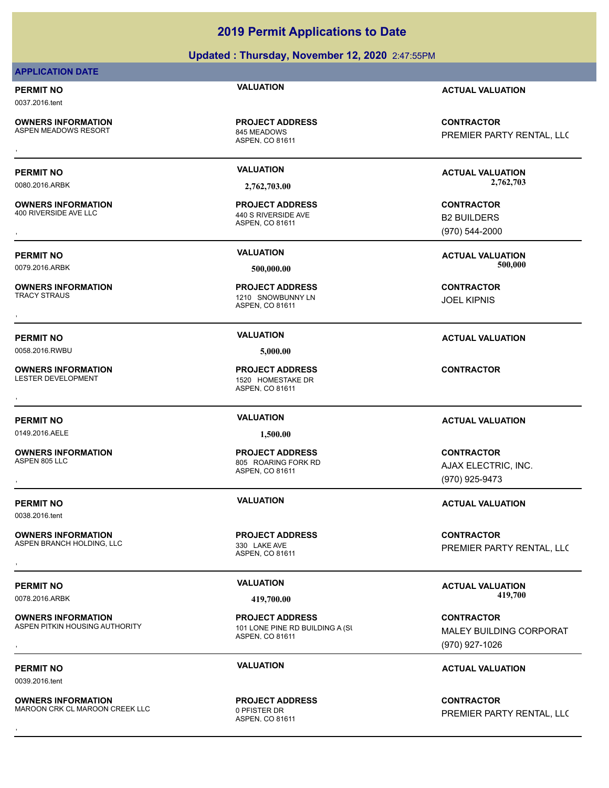## **Updated : Thursday, November 12, 2020** 2:47:55PM

## **APPLICATION DATE**

0037.2016.tent

**OWNERS INFORMATION** ASPEN MEADOWS RESORT 845 MEADOWS

ASPEN, CO 81611 **PROJECT ADDRESS**

ASPEN, CO 81611 **PROJECT ADDRESS**

ASPEN, CO 81611 1210 SNOWBUNNY LN **PROJECT ADDRESS OWNERS INFORMATION CONTRACTOR PROJECT ADDRESS CONTRACTOR**<br>TRACY STRAUS TRACY STRAUS<br>,<br>,

, **CONTRACTOR**

ASPEN 805 LLC 805 ROARING FORK RD **PROJECT ADDRESS**

ASPEN, CO 81611 **PROJECT ADDRESS**

## ASPEN, CO 81611 101 LONE PINE RD BUILDING A (SI **PROJECT ADDRESS**

ASPEN, CO 81611 **PROJECT ADDRESS**

## **PERMIT NO VALUATION ACTUAL VALUATION**

, **CONTRACTOR** PREMIER PARTY RENTAL, LLC

**PERMIT NO VALUATION ACTUAL VALUATION** 0080.2016.ARBK **2,762,703.00 2,762,703.00**

**OWNERS INFORMATION CONTRACTOR REPORT OF PROJECT ADDRESS CONTRACTOR CONTRACTOR**<br>400 RIVERSIDE AVE LLC 440 S RIVERSIDE AVE **REPORT SOME ADDRESS BE ADDRESS ARE B2 BUILDERS**<br>6970) 544-2000, ASPEN, CO 81611 B2 BUILDERS (970) 544-2000

**PERMIT NO VALUATION ACTUAL VALUATION** 0079.2016.ARBK **500,000.00 500,000.00**

JOEL KIPNIS

## **PERMIT NO VALUATION ACTUAL VALUATION**

, **CONTRACTOR** AJAX ELECTRIC, INC. (970) 925-9473

## **PERMIT NO VALUATION VALUATION VALUATION**

**OWNERS INFORMATION GOVERNED BY A SERVICE PROJECT ADDRESS ARE ARE SOUT RACTOR CONTRACTOR**<br>ASPEN BRANCH HOLDING, LLC GOVERNED ASPEN. CO 81611<br>, PREMIER PARTY RENTAL, LLC

0078.2016.ARBK **419,700.00 419,700.00**

**OWNERS INFORMATION FROJECT ADDRESS CONTRACTOR CONTRACTOR**<br>ASPEN PITKIN HOUSING AUTHORITY 101 LONE PINE RD BUILDING A (SI MALEY BUILDING CORPORAT<br>ASPEN, CO 81611 (970) 927-1026 MALEY BUILDING CORPORAT (970) 927-1026

## **PERMIT NO CONSUMITY OF A CONSUMITY OF A CONSUMITY OF A CONSUMITY OF A CTUAL VALUATION**

**OWNERS INFORMATION FROJECT ADDRESS ARE SERVIC CONTRACTOR**<br>MAROON CRK CL MAROON CREEK LLC ASPEN, CO 81611 ASPEN, CO 81611<br>, PREMIER PARTY RENTAL, LLC

**PERMIT NO VALUATION ACTUAL VALUATION**

0039.2016.tent

MAROON CRK CL MAROON CREEK LLC 0 PFISTER DR

**OWNERS INFORMATION** 400 RIVERSIDE AVE LLC 440 S RIVERSIDE AVE

**OWNERS INFORMATION**

**OWNERS INFORMATION**

0149.2016.AELE **1,500.00**

**OWNERS INFORMATION**

0038.2016.tent

**OWNERS INFORMATION** ASPEN BRANCH HOLDING, LLC<br>330 LAKE AVE

**OWNERS INFORMATION**

**OWNERS INFORMATION**

ASPEN, CO 81611

**PERMIT NO VALUATION ACTUAL VALUATION** 0058.2016.RWBU **5,000.00**

**PROJECT ADDRESS**

ASPEN, CO 81611

1520 HOMESTAKE DR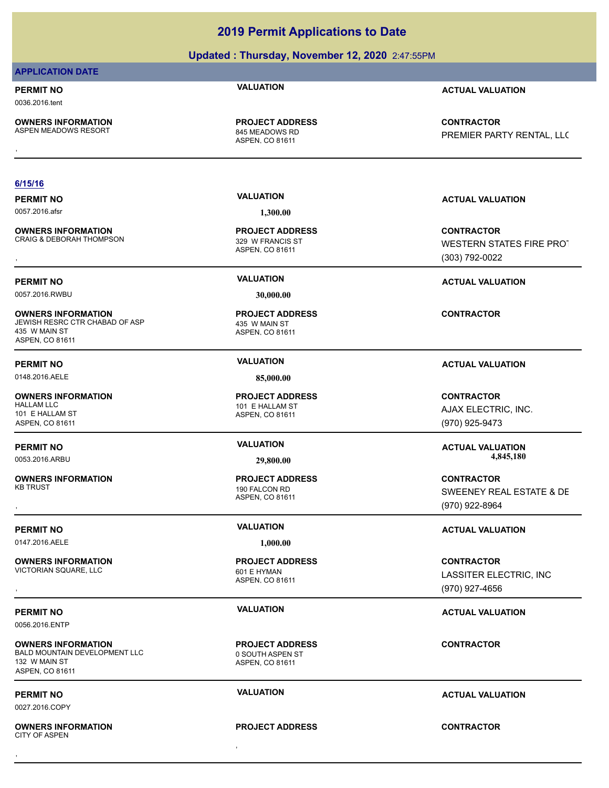## **Updated : Thursday, November 12, 2020** 2:47:55PM

## **APPLICATION DATE**

0036.2016.tent

**OWNERS INFORMATION** ASPEN MEADOWS RESORT 845 MEADOWS RD

## ASPEN, CO 81611 **PROJECT ADDRESS**

## **6/15/16**

**OWNERS INFORMATION** CRAIG & DEBORAH THOMPSON 329 W FRANCIS ST

0057.2016.RWBU **30,000.00**

**OWNERS INFORMATION** JEWISH RESRC CTR CHABAD OF ASP 435 W MAIN ST 435 W MAIN ST ASPEN, CO 81611

0148.2016.AELE **85,000.00**

**OWNERS INFORMATION** 101 E HALLAM ST ASPEN, CO 81611

**OWNERS INFORMATION**

0147.2016.AELE **1,000.00**

## **OWNERS INFORMATION** VICTORIAN SQUARE, LLC<br>
601 E HYMAN

0056.2016.ENTP

**OWNERS INFORMATION** BALD MOUNTAIN DEVELOPMENT LLC 0 SOUTH ASPEN ST

## 132 W MAIN ST ASPEN, CO 81611

0027.2016.COPY

, **OWNERS INFORMATION** CITY OF ASPEN , **CONTRACTOR**

0057.2016.afsr **1,300.00**

ASPEN, CO 81611 **PROJECT ADDRESS**

ASPEN, CO 81611 **PROJECT ADDRESS**

ASPEN, CO 81611 101 E HALLAM ST **PROJECT ADDRESS**

ASPEN, CO 81611 190 FALCON RD **PROJECT ADDRESS**

ASPEN, CO 81611 **PROJECT ADDRESS**

ASPEN, CO 81611 **PROJECT ADDRESS**

**PROJECT ADDRESS**

## **PERMIT NO VALUATION ACTUAL VALUATION**

, **CONTRACTOR** PREMIER PARTY RENTAL, LLC

## **PERMIT NO VALUATION ACTUAL VALUATION**

, **CONTRACTOR** WESTERN STATES FIRE PROT (303) 792-0022

## **PERMIT NO VALUATION ACTUAL VALUATION**

**CONTRACTOR**

## **PERMIT NO VALUATION ACTUAL VALUATION**

**CONTRACTOR** AJAX ELECTRIC, INC. (970) 925-9473

## **PERMIT NO VALUATION ACTUAL VALUATION** 0053.2016.ARBU **29,800.00 4,845,180.00**

, **CONTRACTOR** SWEENEY REAL ESTATE & DE (970) 922-8964

## **PERMIT NO VALUATION ACTUAL VALUATION**

, **CONTRACTOR** LASSITER ELECTRIC, INC (970) 927-4656

## **PERMIT NO VALUATION ACTUAL VALUATION**

**CONTRACTOR**

## **PERMIT NO VALUATION ACTUAL VALUATION**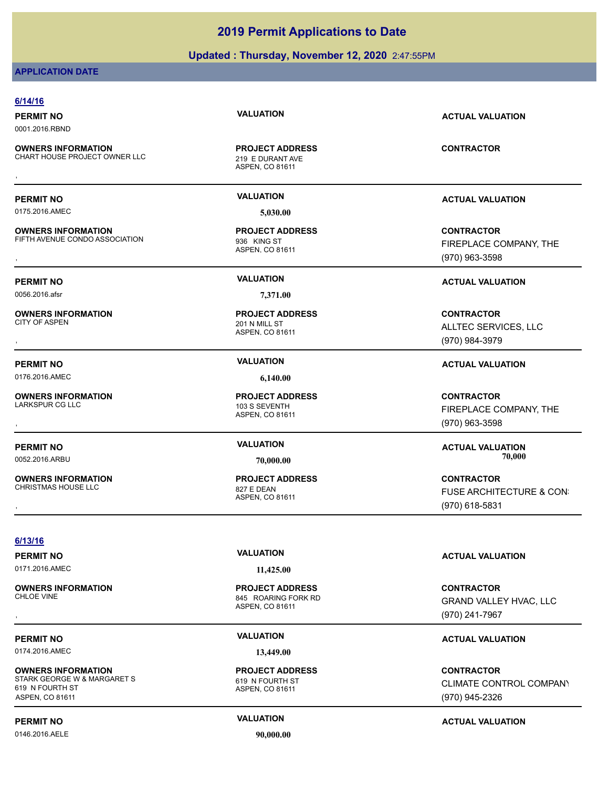## **Updated : Thursday, November 12, 2020** 2:47:55PM

## **APPLICATION DATE**

| 6/14/16<br><b>PERMIT NO</b><br>0001.2016.RBND                                                  | <b>VALUATION</b>                                                              | <b>ACTUAL VALUATION</b>                                         |
|------------------------------------------------------------------------------------------------|-------------------------------------------------------------------------------|-----------------------------------------------------------------|
| <b>OWNERS INFORMATION</b><br>CHART HOUSE PROJECT OWNER LLC                                     | <b>PROJECT ADDRESS</b><br>219 E DURANT AVE<br>ASPEN, CO 81611                 | <b>CONTRACTOR</b>                                               |
| <b>PERMIT NO</b>                                                                               | <b>VALUATION</b>                                                              |                                                                 |
| 0175.2016.AMEC                                                                                 | 5,030.00                                                                      | <b>ACTUAL VALUATION</b>                                         |
| <b>OWNERS INFORMATION</b><br>FIFTH AVENUE CONDO ASSOCIATION                                    | <b>PROJECT ADDRESS</b><br>936 KING ST<br>ASPEN, CO 81611                      | <b>CONTRACTOR</b><br>FIREPLACE COMPANY, THE<br>(970) 963-3598   |
| <b>PERMIT NO</b>                                                                               | <b>VALUATION</b>                                                              | <b>ACTUAL VALUATION</b>                                         |
| 0056.2016.afsr                                                                                 | 7,371.00                                                                      |                                                                 |
| <b>OWNERS INFORMATION</b><br>CITY OF ASPEN                                                     | <b>PROJECT ADDRESS</b><br>201 N MILL ST<br>ASPEN, CO 81611                    | <b>CONTRACTOR</b><br>ALLTEC SERVICES, LLC<br>(970) 984-3979     |
| <b>PERMIT NO</b>                                                                               | <b>VALUATION</b>                                                              | <b>ACTUAL VALUATION</b>                                         |
| 0176.2016.AMEC                                                                                 | 6,140.00                                                                      |                                                                 |
| <b>OWNERS INFORMATION</b><br>LARKSPUR CG LLC                                                   | <b>PROJECT ADDRESS</b><br>103 S SEVENTH<br>ASPEN, CO 81611                    | <b>CONTRACTOR</b><br>FIREPLACE COMPANY, THE<br>(970) 963-3598   |
| <b>PERMIT NO</b><br>0052.2016.ARBU                                                             | <b>VALUATION</b><br>70,000.00                                                 | <b>ACTUAL VALUATION</b><br>70,000                               |
| <b>OWNERS INFORMATION</b><br><b>CHRISTMAS HOUSE LLC</b>                                        | <b>PROJECT ADDRESS</b><br>827 E DEAN<br>ASPEN, CO 81611                       | <b>CONTRACTOR</b><br>FUSE ARCHITECTURE & CON:<br>(970) 618-5831 |
| 6/13/16                                                                                        |                                                                               |                                                                 |
| <b>PERMIT NO</b><br>0171.2016.AMEC                                                             | <b>VALUATION</b>                                                              | <b>ACTUAL VALUATION</b>                                         |
| <b>OWNERS INFORMATION</b><br><b>CHLOE VINE</b>                                                 | 11,425.00<br><b>PROJECT ADDRESS</b><br>845 ROARING FORK RD<br>ASPEN, CO 81611 | <b>CONTRACTOR</b><br>GRAND VALLEY HVAC, LLC<br>(970) 241-7967   |
| <b>PERMIT NO</b><br>0174.2016.AMEC                                                             | <b>VALUATION</b>                                                              | <b>ACTUAL VALUATION</b>                                         |
| <b>OWNERS INFORMATION</b><br>STARK GEORGE W & MARGARET S<br>619 N FOURTH ST<br>ASPEN, CO 81611 | 13,449.00<br><b>PROJECT ADDRESS</b><br>619 N FOURTH ST<br>ASPEN, CO 81611     | <b>CONTRACTOR</b><br>CLIMATE CONTROL COMPANY<br>(970) 945-2326  |

0146.2016.AELE **90,000.00**

## **PERMIT NO CONSUMITY ACTUAL VALUATION VALUATION ACTUAL VALUATION**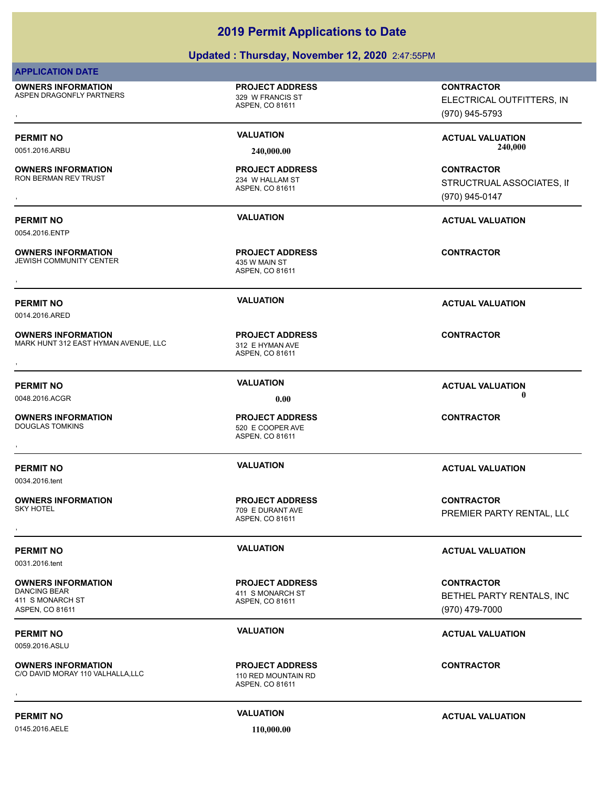|                                                                                         | Updated: Thursday, November 12, 2020 2:47:55PM                   |                                                                  |
|-----------------------------------------------------------------------------------------|------------------------------------------------------------------|------------------------------------------------------------------|
| <b>APPLICATION DATE</b>                                                                 |                                                                  |                                                                  |
| <b>OWNERS INFORMATION</b><br>ASPEN DRAGONFLY PARTNERS                                   | <b>PROJECT ADDRESS</b><br>329 W FRANCIS ST<br>ASPEN, CO 81611    | <b>CONTRACTOR</b><br>ELECTRICAL OUTFITTERS, IN<br>(970) 945-5793 |
| <b>PERMIT NO</b><br>0051.2016.ARBU                                                      | <b>VALUATION</b><br>240,000.00                                   | <b>ACTUAL VALUATION</b><br>240,000                               |
| <b>OWNERS INFORMATION</b><br>RON BERMAN REV TRUST                                       | <b>PROJECT ADDRESS</b><br>234 W HALLAM ST<br>ASPEN, CO 81611     | <b>CONTRACTOR</b><br>STRUCTRUAL ASSOCIATES, II<br>(970) 945-0147 |
| <b>PERMIT NO</b><br>0054.2016.ENTP                                                      | <b>VALUATION</b>                                                 | <b>ACTUAL VALUATION</b>                                          |
| <b>OWNERS INFORMATION</b><br><b>JEWISH COMMUNITY CENTER</b>                             | <b>PROJECT ADDRESS</b><br>435 W MAIN ST<br>ASPEN, CO 81611       | <b>CONTRACTOR</b>                                                |
| <b>PERMIT NO</b><br>0014.2016.ARED                                                      | <b>VALUATION</b>                                                 | <b>ACTUAL VALUATION</b>                                          |
| <b>OWNERS INFORMATION</b><br>MARK HUNT 312 EAST HYMAN AVENUE, LLC                       | <b>PROJECT ADDRESS</b><br>312 E HYMAN AVE<br>ASPEN, CO 81611     | <b>CONTRACTOR</b>                                                |
| <b>PERMIT NO</b><br>0048.2016.ACGR                                                      | <b>VALUATION</b><br>0.00                                         | <b>ACTUAL VALUATION</b><br>0                                     |
| <b>OWNERS INFORMATION</b><br><b>DOUGLAS TOMKINS</b>                                     | <b>PROJECT ADDRESS</b><br>520 E COOPER AVE<br>ASPEN, CO 81611    | <b>CONTRACTOR</b>                                                |
| <b>PERMIT NO</b><br>0034.2016.tent                                                      | <b>VALUATION</b>                                                 | <b>ACTUAL VALUATION</b>                                          |
| <b>OWNERS INFORMATION</b><br><b>SKY HOTEL</b>                                           | <b>PROJECT ADDRESS</b><br>709 E DURANT AVE<br>ASPEN, CO 81611    | <b>CONTRACTOR</b><br>PREMIER PARTY RENTAL, LLC                   |
| <b>PERMIT NO</b><br>0031.2016.tent                                                      | <b>VALUATION</b>                                                 | <b>ACTUAL VALUATION</b>                                          |
| <b>OWNERS INFORMATION</b><br><b>DANCING BEAR</b><br>411 S MONARCH ST<br>ASPEN, CO 81611 | <b>PROJECT ADDRESS</b><br>411 S MONARCH ST<br>ASPEN, CO 81611    | <b>CONTRACTOR</b><br>BETHEL PARTY RENTALS, INC<br>(970) 479-7000 |
| <b>PERMIT NO</b><br>0059.2016.ASLU                                                      | <b>VALUATION</b>                                                 | <b>ACTUAL VALUATION</b>                                          |
| <b>OWNERS INFORMATION</b><br>C/O DAVID MORAY 110 VALHALLA, LLC                          | <b>PROJECT ADDRESS</b><br>110 RED MOUNTAIN RD<br>ASPEN, CO 81611 | <b>CONTRACTOR</b>                                                |
|                                                                                         |                                                                  |                                                                  |

0145.2016.AELE **110,000.00**

**PERMIT NO CONSUMITY ACTUAL VALUATION VALUATION ACTUAL VALUATION**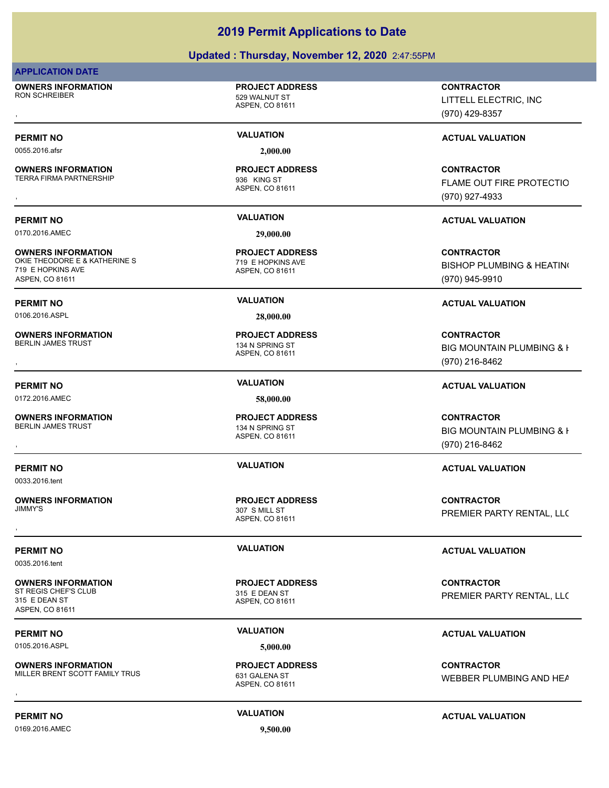## **Updated : Thursday, November 12, 2020** 2:47:55PM

## **APPLICATION DATE**

**OWNERS INFORMATION** RON SCHREIBER 529 WALNUT ST , **CONTRACTOR**

0055.2016.afsr **2,000.00**

**OWNERS INFORMATION** TERRA FIRMA PARTNERSHIP 936 KING ST

0170.2016.AMEC **29,000.00**

**OWNERS INFORMATION** OKIE THEODORE E & KATHERINE S<br>
719 E HOPKINS AVE 719 E HOPKINS AVE ASPEN, CO 81611

0106.2016.ASPL **28,000.00**

**OWNERS INFORMATION** BERLIN JAMES TRUST THE STATE OF THE STATE OF THE 134 N SPRING ST

0033.2016.tent

0035.2016.tent

315 E DEAN ST ASPEN, CO 81611

0172.2016.AMEC **58,000.00**

**OWNERS INFORMATION**

**OWNERS INFORMATION**

**OWNERS INFORMATION**

**OWNERS INFORMATION**

ASPEN, CO 81611

**PROJECT ADDRESS**

ASPEN, CO 81611 **PROJECT ADDRESS**

ASPEN, CO 81611 **PROJECT ADDRESS**

ASPEN, CO 81611 **PROJECT ADDRESS**

ASPEN, CO 81611 134 N SPRING ST **PROJECT ADDRESS**

ASPEN, CO 81611 307 S MILL ST **PROJECT ADDRESS**

ST REGIS CHEF'S CLUB 315 E DEAN ST **PROJECT ADDRESS**

**OWNERS INFORMATION METALLY TRUS SERVICE OF A SERVICE OF A SERVICE ADDRESS AND CONTRACTOR CONTRACTOR SERVICE AND<br>MILLER BRENT SCOTT FAMILY TRUS A SPEN ASPEN, CO 81611<br>,** WEBBER PLUMBING AND HEAT

0169.2016.AMEC **9,500.00**

LITTELL ELECTRIC, INC

(970) 429-8357

## **PERMIT NO VALUATION VALUATION VALUATION**

, **CONTRACTOR** FLAME OUT FIRE PROTECTIO (970) 927-4933

## **PERMIT NO VALUATION ACTUAL VALUATION**

**CONTRACTOR BISHOP PLUMBING & HEATING** (970) 945-9910

## **PERMIT NO VALUATION ACTUAL VALUATION**

, **CONTRACTOR** BIG MOUNTAIN PLUMBING & H (970) 216-8462

## **PERMIT NO VALUATION ACTUAL VALUATION**

, **CONTRACTOR** BIG MOUNTAIN PLUMBING & H (970) 216-8462

## **PERMIT NO VALUATION ACTUAL VALUATION**

, **CONTRACTOR** PREMIER PARTY RENTAL, LLC

**CONTRACTOR** PREMIER PARTY RENTAL, LLC

## **PERMIT NO VALUATION ACTUAL VALUATION**

## **PERMIT NO VALUATION ACTUAL VALUATION**

# **PERMIT NO VALUATION VALUATION VALUATION**

ASPEN, CO 81611

## 0105.2016.ASPL **5,000.00**

**PROJECT ADDRESS**

ASPEN, CO 81611 MILLER BRENT SCOTT FAMILY TRUS 631 GALENA ST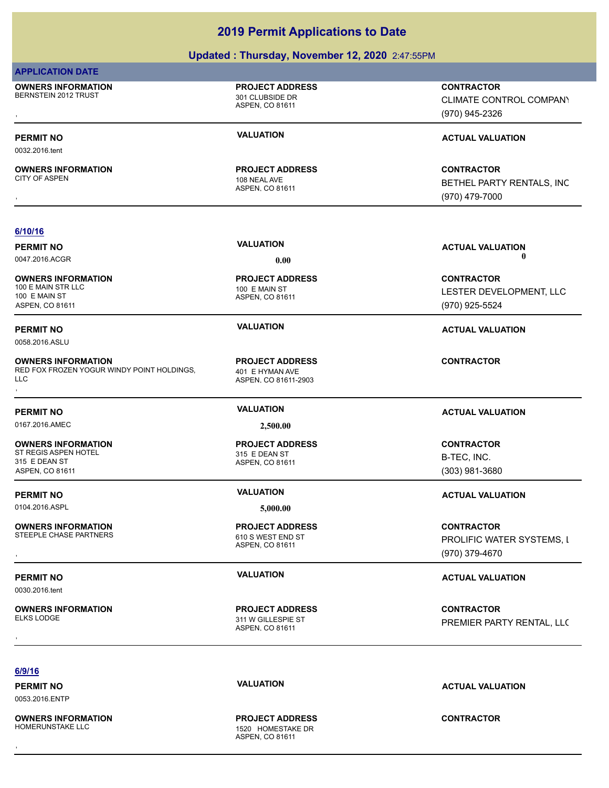## **Updated : Thursday, November 12, 2020** 2:47:55PM

## **APPLICATION DATE**

**OWNERS INFORMATION** BERNSTEIN 2012 TRUST 301 CLUBSIDE DR

## ASPEN, CO 81611 **PROJECT ADDRESS**

0032.2016.tent

## **OWNERS INFORMATION**

## ASPEN, CO 81611 108 NEAL AVE **PROJECT ADDRESS**

, **CONTRACTOR** CLIMATE CONTROL COMPANY (970) 945-2326

## **PERMIT NO VALUATION VALUATION VALUATION**

, **CONTRACTOR** BETHEL PARTY RENTALS, INC (970) 479-7000

## **6/10/16**

0047.2016.ACGR **0.00 0.00**

**OWNERS INFORMATION** 100 E MAIN STR LLC 100 E MAIN ST 100 E MAIN ST ASPEN, CO 81611

0058.2016.ASLU

**OWNERS INFORMATION** RED FOX FROZEN YOGUR WINDY POINT HOLDINGS, LLC **OWNERS INFORMATION MODEL TO READ FROJECT ADDRESS ARE:**<br>RED FOX FROZEN YOGUR WINDY POINT HOLDINGS, A MODEL HYMAN AVE<br>LLC MORPEN, CO 81611-2903<br>,

0167.2016.AMEC **2,500.00**

## **OWNERS INFORMATION** ST REGIS ASPEN HOTEL 315 E DEAN ST 315 E DEAN ST ASPEN, CO 81611

0104.2016.ASPL **5,000.00**

## **OWNERS INFORMATION** STEEPLE CHASE PARTNERS 610 S WEST END ST

0030.2016.tent

**OWNERS INFORMATION**

## ASPEN, CO 81611 **PROJECT ADDRESS**

ASPEN, CO 81611-2903 401 E HYMAN AVE **PROJECT ADDRESS**

## ASPEN, CO 81611 **PROJECT ADDRESS**

## ASPEN, CO 81611 **PROJECT ADDRESS**

ASPEN, CO 81611 311 W GILLESPIE ST **PROJECT ADDRESS**

## **PERMIT NO VALUATION VALUATION VALUATION**

**CONTRACTOR** LESTER DEVELOPMENT, LLC (970) 925-5524

## **PERMIT NO VALUATION ACTUAL VALUATION**

## **PERMIT NO VALUATION ACTUAL VALUATION**

**CONTRACTOR** B-TEC, INC. (303) 981-3680

## **PERMIT NO VALUATION ACTUAL VALUATION**

**OWNERS INFORMATION GOVERNEY ARE IN THE PROJECT ADDRESS CONTRACTOR CONTRACTOR**<br>STEEPLE CHASE PARTNERS FART THE STATE AS A SPEN, CO 81611<br>, GTEPLE CHASE PARTNERS ASPEN ASPEN, CO 81611 PROLIFIC WATER SYSTEMS, L (970) 379-4670

## **PERMIT NO VALUATION ACTUAL VALUATION**

, **CONTRACTOR** PREMIER PARTY RENTAL, LLC

**6/9/16**

0053.2016.ENTP

**OWNERS INFORMATION**

ASPEN, CO 81611 1520 HOMESTAKE DR **PROJECT ADDRESS** , **CONTRACTOR**

**PERMIT NO VALUATION ACTUAL VALUATION**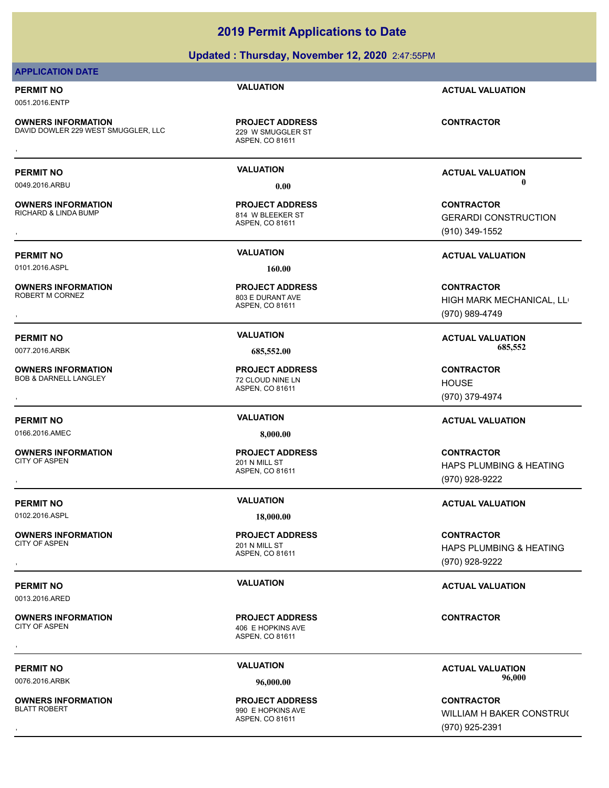## **Updated : Thursday, November 12, 2020** 2:47:55PM

## **APPLICATION DATE**

0051.2016.ENTP

**OWNERS INFORMATION** DAVID DOWLER 229 WEST SMUGGLER, LLC 229 W SMUGGLER ST **OWNERS INFORMATION METALLY SERVICE PROJECT ADDRESS ARE:**<br>DAVID DOWLER 229 WEST SMUGGLER, LLC ASPEN, CO 81611<br>,

ASPEN, CO 81611 **PROJECT ADDRESS**

**OWNERS INFORMATION**

0101.2016.ASPL **160.00**

**OWNERS INFORMATION**

**OWNERS INFORMATION** BOB & DARNELL LANGLEY 72 CLOUD NINE LN

0166.2016.AMEC **8,000.00**

**OWNERS INFORMATION** CITY OF ASPEN 201 N MILL ST

0102.2016.ASPL **18,000.00**

**OWNERS INFORMATION** CITY OF ASPEN 201 N MILL ST

0013.2016.ARED

**OWNERS INFORMATION** CITY OF ASPEN 406 E HOPKINS AVE

**OWNERS INFORMATION**

ASPEN, CO 81611 814 W BLEEKER ST **PROJECT ADDRESS**

ASPEN, CO 81611 803 E DURANT AVE **PROJECT ADDRESS**

ASPEN, CO 81611 **PROJECT ADDRESS** , **CONTRACTOR**

ASPEN, CO 81611 **PROJECT ADDRESS**

ASPEN, CO 81611

ASPEN, CO 81611 , **CONTRACTOR**

ASPEN, CO 81611 990 E HOPKINS AVE **PROJECT ADDRESS**

**PERMIT NO VALUATION ACTUAL VALUATION**

**PERMIT NO VALUATION ACTUAL VALUATION** 0049.2016.ARBU **0.00 0.00**

, **CONTRACTOR** GERARDI CONSTRUCTION (910) 349-1552

**PERMIT NO VALUATION ACTUAL VALUATION**

**OWNERS INFORMATION PROJECT ADDRESS CONTRACTOR**<br>ROBERT M CORNEZ 803 E DURANT AVE HIGH MARK MECHANICAL, LL<sup>i</sup><br>, ASPEN, CO 81611 HIGH MARK MECHANICAL, LL (970) 989-4749

**PERMIT NO VALUATION ACTUAL VALUATION** 0077.2016.ARBK **685,552.00 685,552.00**

> HOUSE (970) 379-4974

## **PERMIT NO VALUATION ACTUAL VALUATION**

, **CONTRACTOR** HAPS PLUMBING & HEATING (970) 928-9222

## **PERMIT NO VALUATION VALUATION VALUATION**

, **CONTRACTOR** HAPS PLUMBING & HEATING (970) 928-9222

## **PERMIT NO VALUATION VALUATION VALUATION**

PERMIT NO **MALUATION VALUATION CONSIDERENT IN ACTUAL VALUATION ACTUAL VALUATION** 0076.2016.ARBK **96,000.00 96,000.00**

, **CONTRACTOR** WILLIAM H BAKER CONSTRUC (970) 925-2391

**PROJECT ADDRESS**

**PROJECT ADDRESS**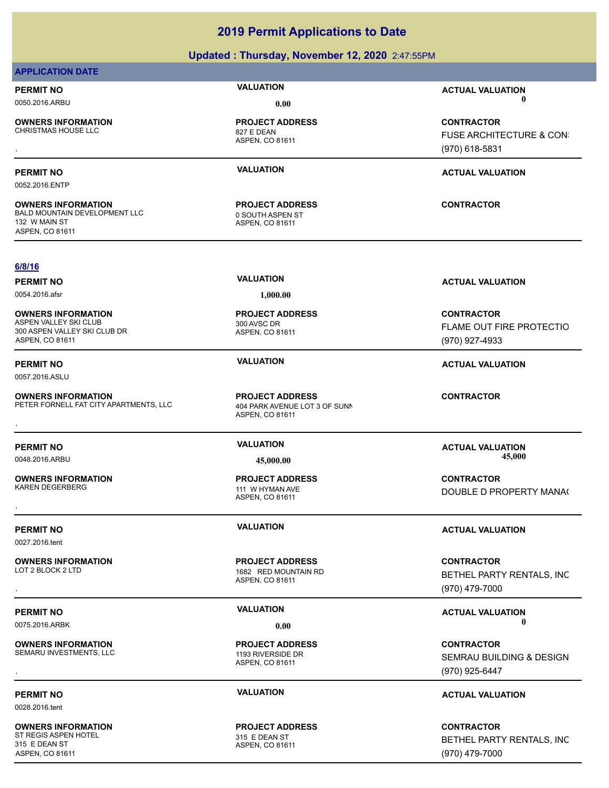## **Updated : Thursday, November 12, 2020** 2:47:55PM

## **APPLICATION DATE**

**OWNERS INFORMATION** CHRISTMAS HOUSE LLC 827 E DEAN

**PROJECT ADDRESS**

ASPEN, CO 81611

ASPEN, CO 81611 **PROJECT ADDRESS**

**PERMIT NO VALUATION ACTUAL VALUATION** 0050.2016.ARBU **0.00 0.00**

, **CONTRACTOR** FUSE ARCHITECTURE & CON: (970) 618-5831

## **PERMIT NO VALUATION ACTUAL VALUATION**

**CONTRACTOR**

## 0052.2016.ENTP

**6/8/16**

**OWNERS INFORMATION** BALD MOUNTAIN DEVELOPMENT LLC 0 SOUTH ASPEN ST 132 W MAIN ST ASPEN, CO 81611

0054.2016.afsr **1,000.00**

ASPEN, CO 81611 **PROJECT ADDRESS**

ASPEN, CO 81611 **PROJECT ADDRESS OWNERS INFORMATION METALLY SERVICE PROJECT ADDRESS ARE:**<br>PETER FORNELL FAT CITY APARTMENTS, LLC ASPEN, CO 81611 ASPEN, CO 81611<br>ASPEN, CO 81611

ASPEN, CO 81611 111 W HYMAN AVE **PROJECT ADDRESS**

ASPEN, CO 81611 1682 RED MOUNTAIN RD **PROJECT ADDRESS**

ASPEN, CO 81611 **PROJECT ADDRESS**

ASPEN, CO 81611 **PROJECT ADDRESS**

**PERMIT NO VALUATION ACTUAL VALUATION**

**CONTRACTOR** FLAME OUT FIRE PROTECTIO (970) 927-4933

## **PERMIT NO VALUATION ACTUAL VALUATION**

**PERMIT NO VALUATION ACTUAL VALUATION** 0048.2016.ARBU **45,000.00 45,000.00**

, **CONTRACTOR** DOUBLE D PROPERTY MANA(

## **PERMIT NO VALUATION ACTUAL VALUATION**

, **CONTRACTOR** BETHEL PARTY RENTALS, INC (970) 479-7000

**PERMIT NO VALUATION VALUATION VALUATION** 0075.2016.ARBK **0.00 0.00**

**OWNERS INFORMATION PROJECT ADDRESS CONTRACTOR**<br>SEMARU INVESTMENTS, LLC 1193 RIVERSIDE DR SEMRAU BUILDING & DESIGN<br>, ASPEN. CO 81611 SEMRAU BUILDING & DESIGN (970) 925-6447

## **PERMIT NO VALUATION ACTUAL VALUATION**

**CONTRACTOR** BETHEL PARTY RENTALS, INC (970) 479-7000

**OWNERS INFORMATION** ASPEN VALLEY SKI CLUB 300 AVSC DR 300 ASPEN VALLEY SKI CLUB DR ASPEN, CO 81611

0057.2016.ASLU

**OWNERS INFORMATION** PETER FORNELL FAT CITY APARTMENTS, LLC 404 PARK AVENUE LOT 3 OF SUNN

**OWNERS INFORMATION**

0027.2016.tent

**OWNERS INFORMATION**

**OWNERS INFORMATION** SEMARU INVESTMENTS, LLC<br>
1193 RIVERSIDE DR

0028.2016.tent

**OWNERS INFORMATION** ST REGIS ASPEN HOTEL 315 E DEAN ST 315 E DEAN ST ASPEN, CO 81611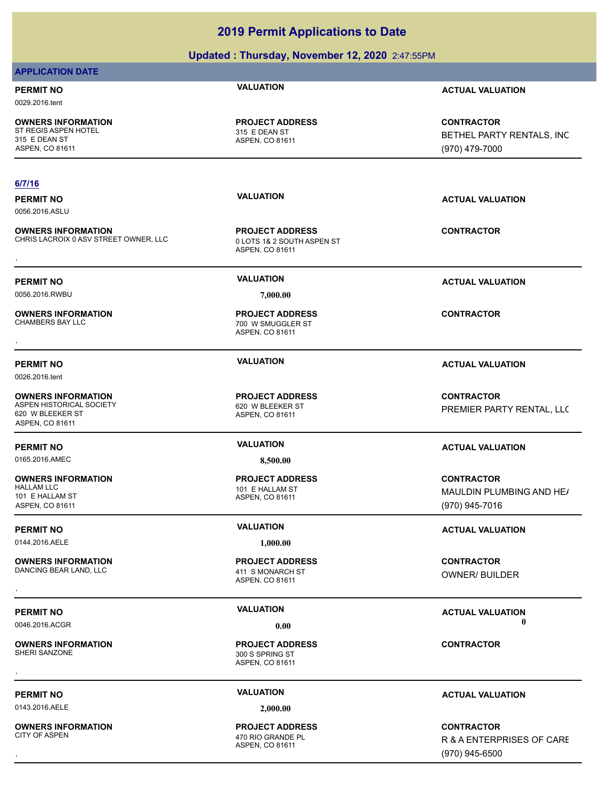## **Updated : Thursday, November 12, 2020** 2:47:55PM

## **APPLICATION DATE**

0029.2016.tent

**OWNERS INFORMATION** ST REGIS ASPEN HOTEL 315 E DEAN ST 315 E DEAN ST ASPEN, CO 81611

## **6/7/16**

0056.2016.ASLU

**OWNERS INFORMATION** CHRIS LACROIX 0 ASV STREET OWNER, LLC 0 LOTS 1& 2 SOUTH ASPEN ST

0056.2016.RWBU **7,000.00**

**OWNERS INFORMATION**

0026.2016.tent

**OWNERS INFORMATION** ASPEN HISTORICAL SOCIETY 620 W BLEEKER ST 620 W BLEEKER ST ASPEN, CO 81611

**OWNERS INFORMATION** 101 E HALLAM ST ASPEN, CO 81611

0144.2016.AELE **1,000.00**

**OWNERS INFORMATION** DANCING BEAR LAND, LLC 411 S MONARCH ST

**OWNERS INFORMATION**

0143.2016.AELE **2,000.00**

**OWNERS INFORMATION**

ASPEN, CO 81611 **PROJECT ADDRESS**

ASPEN, CO 81611 **PROJECT ADDRESS OWNERS INFORMATION FROJECT ADDRESS CONTRACTOR**<br>CHRIS LACROIX 0 ASV STREET OWNER, LLC ON THE SEPEN, CO 81611<br>ASPEN, CO 81611

ASPEN, CO 81611 700 W SMUGGLER ST **PROJECT ADDRESS** , **CONTRACTOR**

ASPEN, CO 81611 **PROJECT ADDRESS**

0165.2016.AMEC **8,500.00**

ASPEN, CO 81611 101 E HALLAM ST **PROJECT ADDRESS**

ASPEN, CO 81611 **PROJECT ADDRESS OWNERS INFORMATION CONTRACTOR REGISTED BY A PROJECT ADDRESS CONTRACTOR CONTRACTOR**<br>DANCING BEAR LAND, LLC CONTRACTOR 411 S MONARCH ST CONTROL CONTROL CONTRACTOR<br>,

ASPEN, CO 81611 300 S SPRING ST **PROJECT ADDRESS** , **CONTRACTOR**

ASPEN, CO 81611 470 RIO GRANDE PL **PROJECT ADDRESS**

**PERMIT NO VALUATION ACTUAL VALUATION**

**CONTRACTOR** BETHEL PARTY RENTALS, INC (970) 479-7000

**PERMIT NO VALUATION ACTUAL VALUATION**

**PERMIT NO VALUATION ACTUAL VALUATION**

**PERMIT NO VALUATION VALUATION VALUATION** 

**CONTRACTOR** PREMIER PARTY RENTAL, LLC

## **PERMIT NO VALUATION ACTUAL VALUATION**

**CONTRACTOR** MAULDIN PLUMBING AND HE/ (970) 945-7016

**PERMIT NO VALUATION ACTUAL VALUATION**

OWNER/ BUILDER

**PERMIT NO VALUATION VALUATION VALUATION** 0046.2016.ACGR **0.00 0.00**

## **PERMIT NO VALUATION ACTUAL VALUATION**

, **CONTRACTOR** R & A ENTERPRISES OF CARE (970) 945-6500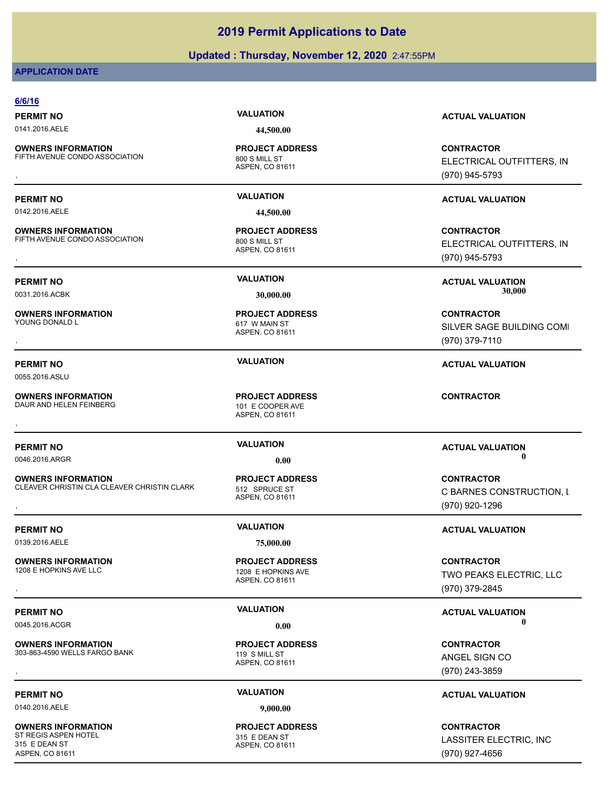## **Updated : Thursday, November 12, 2020** 2:47:55PM

## **APPLICATION DATE**

| <b>VALUATION</b><br><b>ACTUAL VALUATION</b><br>44,500.00<br><b>PROJECT ADDRESS</b><br><b>CONTRACTOR</b><br>800 S MILL ST<br>ELECTRICAL OUTFITTERS, IN<br>ASPEN, CO 81611<br>(970) 945-5793<br><b>VALUATION</b><br><b>ACTUAL VALUATION</b><br>44,500.00<br><b>PROJECT ADDRESS</b><br><b>CONTRACTOR</b><br>800 S MILL ST<br>ELECTRICAL OUTFITTERS, IN<br>ASPEN, CO 81611<br>(970) 945-5793<br><b>VALUATION</b><br><b>ACTUAL VALUATION</b><br>30,000<br>30,000.00<br><b>PROJECT ADDRESS</b><br><b>CONTRACTOR</b><br>617 W MAIN ST<br>ASPEN, CO 81611<br>(970) 379-7110<br><b>VALUATION</b><br><b>ACTUAL VALUATION</b><br><b>PROJECT ADDRESS</b><br><b>CONTRACTOR</b><br>DAUR AND HELEN FEINBERG<br>101 E COOPER AVE<br>ASPEN, CO 81611<br><b>VALUATION</b><br><b>ACTUAL VALUATION</b><br>0<br>0.00<br><b>PROJECT ADDRESS</b><br><b>CONTRACTOR</b><br>512 SPRUCE ST<br>C BARNES CONSTRUCTION, I<br>ASPEN, CO 81611<br>(970) 920-1296<br><b>VALUATION</b><br><b>ACTUAL VALUATION</b><br>75,000.00<br><b>CONTRACTOR</b><br><b>PROJECT ADDRESS</b><br>1208 E HOPKINS AVE<br>TWO PEAKS ELECTRIC, LLC<br>ASPEN, CO 81611<br>(970) 379-2845<br><b>VALUATION</b><br><b>ACTUAL VALUATION</b><br>0<br>0.00<br><b>PROJECT ADDRESS</b><br><b>CONTRACTOR</b><br>119 S MILL ST<br>ANGEL SIGN CO<br>ASPEN, CO 81611<br>(970) 243-3859<br><b>VALUATION</b><br><b>ACTUAL VALUATION</b><br>9,000.00<br><b>PROJECT ADDRESS</b><br><b>CONTRACTOR</b><br>315 E DEAN ST<br>LASSITER ELECTRIC, INC<br>ASPEN, CO 81611 | 6/6/16           |                |
|---------------------------------------------------------------------------------------------------------------------------------------------------------------------------------------------------------------------------------------------------------------------------------------------------------------------------------------------------------------------------------------------------------------------------------------------------------------------------------------------------------------------------------------------------------------------------------------------------------------------------------------------------------------------------------------------------------------------------------------------------------------------------------------------------------------------------------------------------------------------------------------------------------------------------------------------------------------------------------------------------------------------------------------------------------------------------------------------------------------------------------------------------------------------------------------------------------------------------------------------------------------------------------------------------------------------------------------------------------------------------------------------------------------------------------------------------------------------------------------------|------------------|----------------|
| 0141.2016.AELE<br><b>OWNERS INFORMATION</b><br>FIFTH AVENUE CONDO ASSOCIATION<br><b>PERMIT NO</b><br>0142.2016.AELE<br><b>OWNERS INFORMATION</b><br>FIFTH AVENUE CONDO ASSOCIATION<br><b>PERMIT NO</b><br>0031.2016.ACBK<br><b>OWNERS INFORMATION</b><br>YOUNG DONALD L<br>SILVER SAGE BUILDING COMI<br><b>PERMIT NO</b><br>0055.2016.ASLU<br><b>OWNERS INFORMATION</b><br><b>PERMIT NO</b><br>0046.2016.ARGR<br><b>OWNERS INFORMATION</b><br>CLEAVER CHRISTIN CLA CLEAVER CHRISTIN CLARK<br><b>PERMIT NO</b><br>0139.2016.AELE<br><b>OWNERS INFORMATION</b><br>1208 E HOPKINS AVE LLC<br><b>PERMIT NO</b><br>0045.2016.ACGR<br><b>OWNERS INFORMATION</b><br>303-863-4590 WELLS FARGO BANK<br><b>PERMIT NO</b><br>0140.2016.AELE<br><b>OWNERS INFORMATION</b><br>ST REGIS ASPEN HOTEL<br>315 E DEAN ST                                                                                                                                                                                                                                                                                                                                                                                                                                                                                                                                                                                                                                                                                      | <b>PERMIT NO</b> |                |
|                                                                                                                                                                                                                                                                                                                                                                                                                                                                                                                                                                                                                                                                                                                                                                                                                                                                                                                                                                                                                                                                                                                                                                                                                                                                                                                                                                                                                                                                                             |                  |                |
|                                                                                                                                                                                                                                                                                                                                                                                                                                                                                                                                                                                                                                                                                                                                                                                                                                                                                                                                                                                                                                                                                                                                                                                                                                                                                                                                                                                                                                                                                             |                  |                |
|                                                                                                                                                                                                                                                                                                                                                                                                                                                                                                                                                                                                                                                                                                                                                                                                                                                                                                                                                                                                                                                                                                                                                                                                                                                                                                                                                                                                                                                                                             |                  |                |
|                                                                                                                                                                                                                                                                                                                                                                                                                                                                                                                                                                                                                                                                                                                                                                                                                                                                                                                                                                                                                                                                                                                                                                                                                                                                                                                                                                                                                                                                                             |                  |                |
|                                                                                                                                                                                                                                                                                                                                                                                                                                                                                                                                                                                                                                                                                                                                                                                                                                                                                                                                                                                                                                                                                                                                                                                                                                                                                                                                                                                                                                                                                             |                  |                |
|                                                                                                                                                                                                                                                                                                                                                                                                                                                                                                                                                                                                                                                                                                                                                                                                                                                                                                                                                                                                                                                                                                                                                                                                                                                                                                                                                                                                                                                                                             |                  |                |
|                                                                                                                                                                                                                                                                                                                                                                                                                                                                                                                                                                                                                                                                                                                                                                                                                                                                                                                                                                                                                                                                                                                                                                                                                                                                                                                                                                                                                                                                                             |                  |                |
|                                                                                                                                                                                                                                                                                                                                                                                                                                                                                                                                                                                                                                                                                                                                                                                                                                                                                                                                                                                                                                                                                                                                                                                                                                                                                                                                                                                                                                                                                             |                  |                |
|                                                                                                                                                                                                                                                                                                                                                                                                                                                                                                                                                                                                                                                                                                                                                                                                                                                                                                                                                                                                                                                                                                                                                                                                                                                                                                                                                                                                                                                                                             |                  |                |
|                                                                                                                                                                                                                                                                                                                                                                                                                                                                                                                                                                                                                                                                                                                                                                                                                                                                                                                                                                                                                                                                                                                                                                                                                                                                                                                                                                                                                                                                                             |                  |                |
|                                                                                                                                                                                                                                                                                                                                                                                                                                                                                                                                                                                                                                                                                                                                                                                                                                                                                                                                                                                                                                                                                                                                                                                                                                                                                                                                                                                                                                                                                             |                  |                |
|                                                                                                                                                                                                                                                                                                                                                                                                                                                                                                                                                                                                                                                                                                                                                                                                                                                                                                                                                                                                                                                                                                                                                                                                                                                                                                                                                                                                                                                                                             |                  |                |
|                                                                                                                                                                                                                                                                                                                                                                                                                                                                                                                                                                                                                                                                                                                                                                                                                                                                                                                                                                                                                                                                                                                                                                                                                                                                                                                                                                                                                                                                                             |                  |                |
|                                                                                                                                                                                                                                                                                                                                                                                                                                                                                                                                                                                                                                                                                                                                                                                                                                                                                                                                                                                                                                                                                                                                                                                                                                                                                                                                                                                                                                                                                             |                  |                |
|                                                                                                                                                                                                                                                                                                                                                                                                                                                                                                                                                                                                                                                                                                                                                                                                                                                                                                                                                                                                                                                                                                                                                                                                                                                                                                                                                                                                                                                                                             |                  |                |
|                                                                                                                                                                                                                                                                                                                                                                                                                                                                                                                                                                                                                                                                                                                                                                                                                                                                                                                                                                                                                                                                                                                                                                                                                                                                                                                                                                                                                                                                                             |                  |                |
|                                                                                                                                                                                                                                                                                                                                                                                                                                                                                                                                                                                                                                                                                                                                                                                                                                                                                                                                                                                                                                                                                                                                                                                                                                                                                                                                                                                                                                                                                             |                  |                |
|                                                                                                                                                                                                                                                                                                                                                                                                                                                                                                                                                                                                                                                                                                                                                                                                                                                                                                                                                                                                                                                                                                                                                                                                                                                                                                                                                                                                                                                                                             |                  |                |
|                                                                                                                                                                                                                                                                                                                                                                                                                                                                                                                                                                                                                                                                                                                                                                                                                                                                                                                                                                                                                                                                                                                                                                                                                                                                                                                                                                                                                                                                                             |                  |                |
|                                                                                                                                                                                                                                                                                                                                                                                                                                                                                                                                                                                                                                                                                                                                                                                                                                                                                                                                                                                                                                                                                                                                                                                                                                                                                                                                                                                                                                                                                             |                  |                |
|                                                                                                                                                                                                                                                                                                                                                                                                                                                                                                                                                                                                                                                                                                                                                                                                                                                                                                                                                                                                                                                                                                                                                                                                                                                                                                                                                                                                                                                                                             |                  |                |
|                                                                                                                                                                                                                                                                                                                                                                                                                                                                                                                                                                                                                                                                                                                                                                                                                                                                                                                                                                                                                                                                                                                                                                                                                                                                                                                                                                                                                                                                                             |                  |                |
|                                                                                                                                                                                                                                                                                                                                                                                                                                                                                                                                                                                                                                                                                                                                                                                                                                                                                                                                                                                                                                                                                                                                                                                                                                                                                                                                                                                                                                                                                             |                  |                |
|                                                                                                                                                                                                                                                                                                                                                                                                                                                                                                                                                                                                                                                                                                                                                                                                                                                                                                                                                                                                                                                                                                                                                                                                                                                                                                                                                                                                                                                                                             |                  |                |
|                                                                                                                                                                                                                                                                                                                                                                                                                                                                                                                                                                                                                                                                                                                                                                                                                                                                                                                                                                                                                                                                                                                                                                                                                                                                                                                                                                                                                                                                                             |                  |                |
|                                                                                                                                                                                                                                                                                                                                                                                                                                                                                                                                                                                                                                                                                                                                                                                                                                                                                                                                                                                                                                                                                                                                                                                                                                                                                                                                                                                                                                                                                             |                  |                |
|                                                                                                                                                                                                                                                                                                                                                                                                                                                                                                                                                                                                                                                                                                                                                                                                                                                                                                                                                                                                                                                                                                                                                                                                                                                                                                                                                                                                                                                                                             |                  |                |
|                                                                                                                                                                                                                                                                                                                                                                                                                                                                                                                                                                                                                                                                                                                                                                                                                                                                                                                                                                                                                                                                                                                                                                                                                                                                                                                                                                                                                                                                                             |                  |                |
|                                                                                                                                                                                                                                                                                                                                                                                                                                                                                                                                                                                                                                                                                                                                                                                                                                                                                                                                                                                                                                                                                                                                                                                                                                                                                                                                                                                                                                                                                             |                  |                |
|                                                                                                                                                                                                                                                                                                                                                                                                                                                                                                                                                                                                                                                                                                                                                                                                                                                                                                                                                                                                                                                                                                                                                                                                                                                                                                                                                                                                                                                                                             |                  |                |
|                                                                                                                                                                                                                                                                                                                                                                                                                                                                                                                                                                                                                                                                                                                                                                                                                                                                                                                                                                                                                                                                                                                                                                                                                                                                                                                                                                                                                                                                                             |                  |                |
|                                                                                                                                                                                                                                                                                                                                                                                                                                                                                                                                                                                                                                                                                                                                                                                                                                                                                                                                                                                                                                                                                                                                                                                                                                                                                                                                                                                                                                                                                             |                  |                |
|                                                                                                                                                                                                                                                                                                                                                                                                                                                                                                                                                                                                                                                                                                                                                                                                                                                                                                                                                                                                                                                                                                                                                                                                                                                                                                                                                                                                                                                                                             |                  |                |
|                                                                                                                                                                                                                                                                                                                                                                                                                                                                                                                                                                                                                                                                                                                                                                                                                                                                                                                                                                                                                                                                                                                                                                                                                                                                                                                                                                                                                                                                                             |                  |                |
|                                                                                                                                                                                                                                                                                                                                                                                                                                                                                                                                                                                                                                                                                                                                                                                                                                                                                                                                                                                                                                                                                                                                                                                                                                                                                                                                                                                                                                                                                             |                  |                |
|                                                                                                                                                                                                                                                                                                                                                                                                                                                                                                                                                                                                                                                                                                                                                                                                                                                                                                                                                                                                                                                                                                                                                                                                                                                                                                                                                                                                                                                                                             |                  |                |
|                                                                                                                                                                                                                                                                                                                                                                                                                                                                                                                                                                                                                                                                                                                                                                                                                                                                                                                                                                                                                                                                                                                                                                                                                                                                                                                                                                                                                                                                                             |                  |                |
|                                                                                                                                                                                                                                                                                                                                                                                                                                                                                                                                                                                                                                                                                                                                                                                                                                                                                                                                                                                                                                                                                                                                                                                                                                                                                                                                                                                                                                                                                             |                  |                |
|                                                                                                                                                                                                                                                                                                                                                                                                                                                                                                                                                                                                                                                                                                                                                                                                                                                                                                                                                                                                                                                                                                                                                                                                                                                                                                                                                                                                                                                                                             |                  |                |
|                                                                                                                                                                                                                                                                                                                                                                                                                                                                                                                                                                                                                                                                                                                                                                                                                                                                                                                                                                                                                                                                                                                                                                                                                                                                                                                                                                                                                                                                                             | ASPEN, CO 81611  | (970) 927-4656 |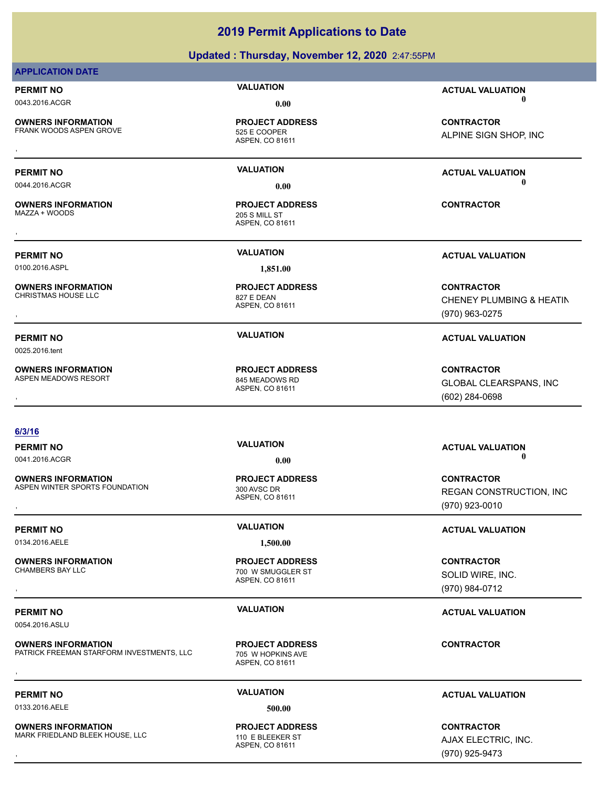|                                                             | Updated: Thursday, November 12, 2020 2:47:55PM                 |                                                                       |
|-------------------------------------------------------------|----------------------------------------------------------------|-----------------------------------------------------------------------|
| <b>APPLICATION DATE</b>                                     |                                                                |                                                                       |
| <b>PERMIT NO</b>                                            | <b>VALUATION</b>                                               | <b>ACTUAL VALUATION</b>                                               |
| 0043.2016.ACGR                                              | 0.00                                                           | 0                                                                     |
| <b>OWNERS INFORMATION</b><br>FRANK WOODS ASPEN GROVE        | <b>PROJECT ADDRESS</b><br>525 E COOPER<br>ASPEN, CO 81611      | <b>CONTRACTOR</b><br>ALPINE SIGN SHOP, INC                            |
| <b>PERMIT NO</b>                                            | <b>VALUATION</b>                                               | <b>ACTUAL VALUATION</b>                                               |
| 0044.2016.ACGR                                              | 0.00                                                           | 0                                                                     |
| <b>OWNERS INFORMATION</b><br>MAZZA + WOODS                  | <b>PROJECT ADDRESS</b><br>205 S MILL ST<br>ASPEN, CO 81611     | <b>CONTRACTOR</b>                                                     |
| <b>PERMIT NO</b>                                            | <b>VALUATION</b>                                               | <b>ACTUAL VALUATION</b>                                               |
| 0100.2016.ASPL                                              | 1,851.00                                                       |                                                                       |
| <b>OWNERS INFORMATION</b><br><b>CHRISTMAS HOUSE LLC</b>     | <b>PROJECT ADDRESS</b><br>827 E DEAN<br>ASPEN, CO 81611        | <b>CONTRACTOR</b><br>CHENEY PLUMBING & HEATIN<br>(970) 963-0275       |
| <b>PERMIT NO</b>                                            | <b>VALUATION</b>                                               | <b>ACTUAL VALUATION</b>                                               |
| 0025.2016.tent                                              |                                                                |                                                                       |
| <b>OWNERS INFORMATION</b><br>ASPEN MEADOWS RESORT           | <b>PROJECT ADDRESS</b><br>845 MEADOWS RD<br>ASPEN, CO 81611    | <b>CONTRACTOR</b><br><b>GLOBAL CLEARSPANS, INC</b><br>(602) 284-0698  |
|                                                             |                                                                |                                                                       |
| 6/3/16                                                      |                                                                |                                                                       |
| <b>PERMIT NO</b>                                            | <b>VALUATION</b>                                               | <b>ACTUAL VALUATION</b><br>0                                          |
| 0041.2016.ACGR                                              | 0.00                                                           |                                                                       |
| <b>OWNERS INFORMATION</b><br>ASPEN WINTER SPORTS FOUNDATION | <b>PROJECT ADDRESS</b><br>300 AVSC DR<br>ASPEN, CO 81611       | <b>CONTRACTOR</b><br><b>REGAN CONSTRUCTION, INC</b><br>(970) 923-0010 |
|                                                             |                                                                |                                                                       |
| <b>PERMIT NO</b>                                            | <b>VALUATION</b>                                               | <b>ACTUAL VALUATION</b>                                               |
| 0134.2016.AELE                                              | 1,500.00                                                       |                                                                       |
| <b>OWNERS INFORMATION</b><br><b>CHAMBERS BAY LLC</b>        | <b>PROJECT ADDRESS</b><br>700 W SMUGGLER ST<br>ASPEN, CO 81611 | <b>CONTRACTOR</b><br>SOLID WIRE, INC.<br>(970) 984-0712               |
| <b>PERMIT NO</b>                                            | <b>VALUATION</b>                                               | <b>ACTUAL VALUATION</b>                                               |

0054.2016.ASLU

**OWNERS INFORMATION** PATRICK FREEMAN STARFORM INVESTMENTS, LLC 705 W HOPKINS AVE **OWNERS INFORMATION MODEST MEDIT OF A SERVICE PROJECT ADDRESS ARE:**<br>PATRICK FREEMAN STARFORM INVESTMENTS, LLC TO TO TO THE ASPEN. CO 81611<br>ASPEN. CO 81611

ASPEN, CO 81611 **PROJECT ADDRESS**

0133.2016.AELE **500.00**

**OWNERS INFORMATION** MARK FRIEDLAND BLEEK HOUSE, LLC 110 E BLEEKER ST

ASPEN, CO 81611 **PROJECT ADDRESS**

## **PERMIT NO CONSUMITY ACTUAL VALUATION VALUATION ACTUAL VALUATION**

**OWNERS INFORMATION MARK FRIGURES ARE ARRIVATED MARK FRIEDLAND BLEEK HOUSE, LLC ASPEN. CO 81611 ASPEN. CO 81611**<br>MARK FRIEDLAND BLEEK HOUSE, LLC **ASPEN. EXAMPLE ASPEN. CO 81611**<br>ASPEN. CO 81611 ASPEN. ASPEN. ASPEN. ASPEN. AJAX ELECTRIC, INC. (970) 925-9473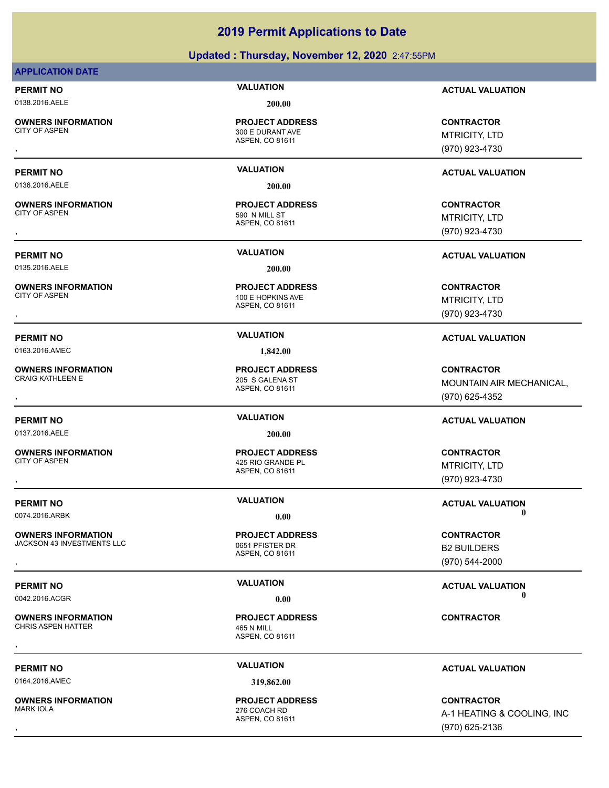## **020** 2:47:55PM

|                                                   | Updated: Thursday, November 12, 2020 2:47:55PM |                          |
|---------------------------------------------------|------------------------------------------------|--------------------------|
| <b>APPLICATION DATE</b>                           |                                                |                          |
| <b>PERMIT NO</b>                                  | <b>VALUATION</b>                               | <b>ACTUAL VALUATION</b>  |
| 0138.2016.AELE                                    | 200.00                                         |                          |
| <b>OWNERS INFORMATION</b>                         | <b>PROJECT ADDRESS</b>                         | <b>CONTRACTOR</b>        |
| <b>CITY OF ASPEN</b>                              | 300 E DURANT AVE<br>ASPEN, CO 81611            | <b>MTRICITY, LTD</b>     |
|                                                   |                                                | (970) 923-4730           |
| <b>PERMIT NO</b>                                  | <b>VALUATION</b>                               | <b>ACTUAL VALUATION</b>  |
| 0136.2016.AELE                                    | 200.00                                         |                          |
|                                                   |                                                |                          |
| <b>OWNERS INFORMATION</b><br><b>CITY OF ASPEN</b> | <b>PROJECT ADDRESS</b><br>590 N MILL ST        | <b>CONTRACTOR</b>        |
|                                                   | ASPEN, CO 81611                                | <b>MTRICITY, LTD</b>     |
|                                                   |                                                | (970) 923-4730           |
| <b>PERMIT NO</b>                                  | <b>VALUATION</b>                               | <b>ACTUAL VALUATION</b>  |
| 0135.2016.AELE                                    | 200.00                                         |                          |
| <b>OWNERS INFORMATION</b>                         | <b>PROJECT ADDRESS</b>                         | <b>CONTRACTOR</b>        |
| <b>CITY OF ASPEN</b>                              | 100 E HOPKINS AVE                              | <b>MTRICITY, LTD</b>     |
|                                                   | ASPEN, CO 81611                                | (970) 923-4730           |
|                                                   |                                                |                          |
| <b>PERMIT NO</b>                                  | <b>VALUATION</b>                               | <b>ACTUAL VALUATION</b>  |
| 0163.2016.AMEC                                    | 1,842.00                                       |                          |
| <b>OWNERS INFORMATION</b>                         | <b>PROJECT ADDRESS</b>                         | <b>CONTRACTOR</b>        |
| <b>CRAIG KATHLEEN E</b>                           | 205 S GALENA ST<br>ASPEN, CO 81611             | MOUNTAIN AIR MECHANICAL, |
|                                                   |                                                | (970) 625-4352           |
| <b>PERMIT NO</b>                                  | <b>VALUATION</b>                               | <b>ACTUAL VALUATION</b>  |
| 0137.2016.AELE                                    |                                                |                          |
|                                                   | 200.00                                         |                          |
| <b>OWNERS INFORMATION</b>                         | <b>PROJECT ADDRESS</b>                         | <b>CONTRACTOR</b>        |
| <b>CITY OF ASPEN</b>                              | 425 RIO GRANDE PL<br>ASPEN, CO 81611           | <b>MTRICITY, LTD</b>     |
|                                                   |                                                | (970) 923-4730           |
| <b>PERMIT NO</b>                                  | <b>VALUATION</b>                               | <b>ACTUAL VALUATION</b>  |
| 0074.2016.ARBK                                    | 0.00                                           | 0                        |
| <b>OWNERS INFORMATION</b>                         | <b>PROJECT ADDRESS</b>                         | <b>CONTRACTOR</b>        |
| JACKSON 43 INVESTMENTS LLC                        | 0651 PFISTER DR                                | <b>B2 BUILDERS</b>       |
|                                                   | ASPEN, CO 81611                                | (970) 544-2000           |
|                                                   |                                                |                          |
| <b>PERMIT NO</b>                                  | <b>VALUATION</b>                               | <b>ACTUAL VALUATION</b>  |
| 0042.2016.ACGR                                    | 0.00                                           | 0                        |
| <b>OWNERS INFORMATION</b>                         | <b>PROJECT ADDRESS</b>                         | <b>CONTRACTOR</b>        |
| <b>CHRIS ASPEN HATTER</b>                         | <b>465 N MILL</b>                              |                          |
|                                                   | ASPEN, CO 81611                                |                          |
|                                                   | <b>VALUATION</b>                               |                          |
| <b>PERMIT NO</b>                                  |                                                | <b>ACTUAL VALUATION</b>  |

**OWNERS INFORMATION**

## **PERMIT NO VALUATION ACTUAL VALUATION**

## **PERMIT NO VALUATION ACTUAL VALUATION**

, **CONTRACTOR** A-1 HEATING & COOLING, INC. (970) 625-2136

ASPEN, CO 81611 276 COACH RD

0164.2016.AMEC **319,862.00**

**PROJECT ADDRESS**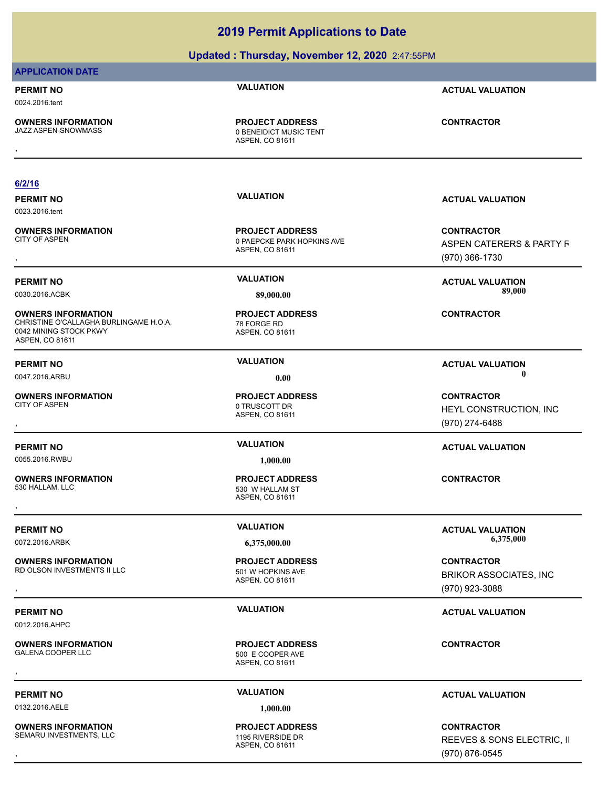## **Updated : Thursday, November 12, 2020** 2:47:55PM

## **APPLICATION DATE**

## **PERMIT NO VALUATION ACTUAL VALUATION**

0024.2016.tent

**OWNERS INFORMATION**

ASPEN, CO 81611 0 BENEIDICT MUSIC TENT **PROJECT ADDRESS OWNERS INFORMATION GENET ADDRESS ARE SERVED ASSESS AND SENSION CONTRACTOR SERVED ASSESS AN ASPEN CONTROLLER SUMPORT OF A SPEN, CO 81611<br>JAZZ ASPEN-SNOWMASS GENET AND RESPEN, CO 81611<br>,** 

## **6/2/16**

0023.2016.tent

**OWNERS INFORMATION**

**OWNERS INFORMATION** CHRISTINE O'CALLAGHA BURLINGAME H.O.A. 78 FORGE RD 0042 MINING STOCK PKWY ASPEN, CO 81611

**OWNERS INFORMATION**

0055.2016.RWBU **1,000.00**

**OWNERS INFORMATION**

**OWNERS INFORMATION** RD OLSON INVESTMENTS II LLC<br>501 W HOPKINS AVE

0012.2016.AHPC

ASPEN, CO 81611 0 PAEPCKE PARK HOPKINS AVE **PROJECT ADDRESS**

ASPEN, CO 81611 **PROJECT ADDRESS**

ASPEN, CO 81611 0 TRUSCOTT DR **PROJECT ADDRESS**

ASPEN, CO 81611 530 W HALLAM ST **PROJECT ADDRESS** , **CONTRACTOR**

ASPEN, CO 81611 **PROJECT ADDRESS**

ASPEN, CO 81611 500 E COOPER AVE **PROJECT ADDRESS** , **CONTRACTOR**

0132.2016.AELE **1,000.00**

ASPEN, CO 81611 **PROJECT ADDRESS**

**PERMIT NO VALUATION ACTUAL VALUATION**

**OWNERS INFORMATION PROJECT ADDRESS CONTRACTOR**<br>CITY OF ASPEN 0 PAEPCKE PARK HOPKINS AVE ASPEN CATERERS & PARTY F<br>, ASPEN. CO 81611 ASPEN CATERERS & PARTY F (970) 366-1730

**PERMIT NO VALUATION ACTUAL VALUATION** 0030.2016.ACBK **89,000.00 89,000.00**

**CONTRACTOR**

**PERMIT NO VALUATION ACTUAL VALUATION** 0047.2016.ARBU **0.00 0.00**

, **CONTRACTOR** HEYL CONSTRUCTION, INC (970) 274-6488

## **PERMIT NO VALUATION ACTUAL VALUATION**

**PERMIT NO VALUATION ACTUAL VALUATION**

**OWNERS INFORMATION GOVERNED BY A SERVICE PROJECT ADDRESS ARE SERVICE CONTRACTOR**<br>RD OLSON INVESTMENTS II LLC THE SERVICE ASPEN, CO 81611<br>, GOVERNED BY A SPEN, CO 81611 BRIKOR ASSOCIATES, INC (970) 923-3088

## **PERMIT NO VALUATION ACTUAL VALUATION**

**OWNERS INFORMATION PROJECT ADDRESS CONTRACTOR**<br>SEMARU INVESTMENTS, LLC 1195 RIVERSIDE DR REEVES & SONS ELECTRIC, II<br>, ASPEN. CO 81611 REEVES & SONS ELECTRIC, II (970) 876-0545

**OWNERS INFORMATION** SEMARU INVESTMENTS, LLC 1195 RIVERSIDE DR

0072.2016.ARBK **6,375,000.00 6,375,000.00**

**PERMIT NO VALUATION ACTUAL VALUATION**

**OWNERS INFORMATION**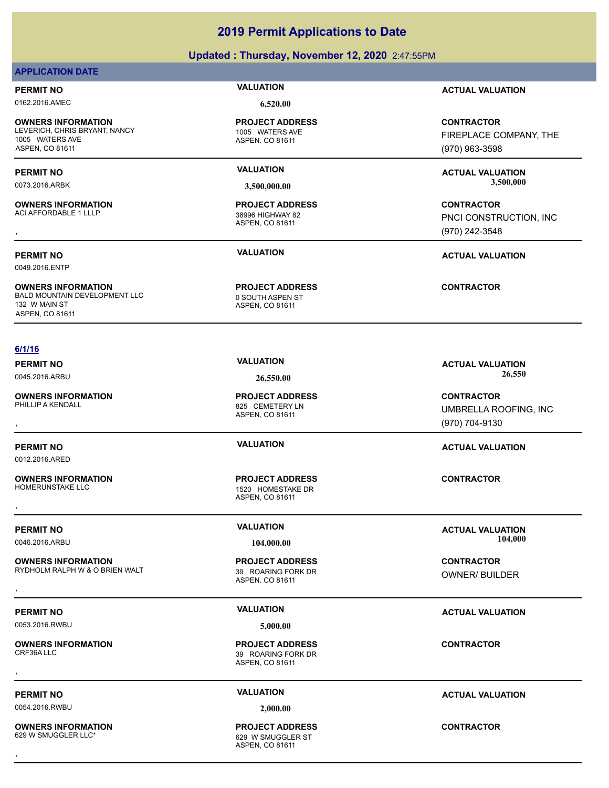## **Updated : Thursday, November 12, 2020** 2:47:55PM

## **APPLICATION DATE**

0162.2016.AMEC **6,520.00**

**OWNERS INFORMATION** LEVERICH, CHRIS BRYANT, NANCY 1005 WATERS AVE 1005 WATERS AVE ASPEN, CO 81611

**OWNERS INFORMATION**

0049.2016.ENTP

**OWNERS INFORMATION** BALD MOUNTAIN DEVELOPMENT LLC 0 0 SOUTH ASPEN ST 132 W MAIN ST ASPEN, CO 81611

## **6/1/16**

**OWNERS INFORMATION**

0012.2016.ARED

**OWNERS INFORMATION**

**OWNERS INFORMATION** RYDHOLM RALPH W & O BRIEN WALT 39 ROARING FORK DR

0053.2016.RWBU **5,000.00**

**OWNERS INFORMATION**

ASPEN, CO 81611 **PROJECT ADDRESS**

ASPEN, CO 81611 38996 HIGHWAY 82 **PROJECT ADDRESS**

ASPEN, CO 81611 **PROJECT ADDRESS**

**PERMIT NO VALUATION ACTUAL VALUATION**

**CONTRACTOR** FIREPLACE COMPANY, THE (970) 963-3598

**PERMIT NO VALUATION ACTUAL VALUATION** 0073.2016.ARBK **3,500,000.00 3,500,000.00**

, **CONTRACTOR** PNCI CONSTRUCTION, INC (970) 242-3548

## **PERMIT NO VALUATION ACTUAL VALUATION**

**CONTRACTOR**

, **CONTRACTOR** UMBRELLA ROOFING, INC (970) 704-9130

## **PERMIT NO VALUATION ACTUAL VALUATION**

**PERMIT NO VALUATION ACTUAL VALUATION** 0046.2016.ARBU **104,000.00 104,000.00**

OWNER/ BUILDER

## **PERMIT NO VALUATION ACTUAL VALUATION**

0054.2016.RWBU **2,000.00**

**OWNERS INFORMATION** 629 W SMUGGLER LLC\* 629 W SMUGGLER ST

ASPEN, CO 81611 **PROJECT ADDRESS** , **CONTRACTOR**

**PERMIT NO VALUATION ACTUAL VALUATION**

**PERMIT NO VALUATION ACTUAL VALUATION** 0045.2016.ARBU **26,550.00 26,550.00**

> ASPEN, CO 81611 825 CEMETERY LN **PROJECT ADDRESS**

ASPEN, CO 81611 1520 HOMESTAKE DR **PROJECT ADDRESS** , **CONTRACTOR**

ASPEN, CO 81611 **PROJECT ADDRESS OWNERS INFORMATION MALT AND PROJECT ADDRESS ARE CONTRACTOR CONTRACTOR**<br>RYDHOLM RALPH W & O BRIEN WALT ASPEN, CO 81611 ASPEN, CO 81611 ASPEN, CO 81611 ASPEN, CO 81611

ASPEN, CO 81611 39 ROARING FORK DR **PROJECT ADDRESS** , **CONTRACTOR**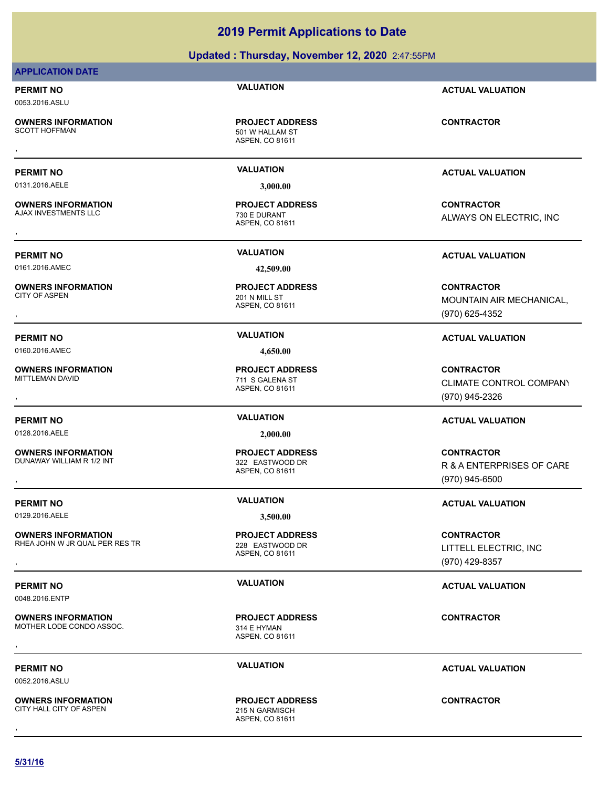## **Updated : Thursday, November 12, 2020** 2:47:55PM

## **APPLICATION DATE**

0053.2016.ASLU

**OWNERS INFORMATION**

ASPEN, CO 81611 501 W HALLAM ST

0131.2016.AELE **3,000.00**

**OWNERS INFORMATION** AJAX INVESTMENTS LLC<br>
730 E DURANT

**OWNERS INFORMATION**

0160.2016.AMEC **4,650.00**

**OWNERS INFORMATION**

0128.2016.AELE **2,000.00**

**OWNERS INFORMATION** DUNAWAY WILLIAM R 1/2 INT 322 EASTWOOD DR

0129.2016.AELE **3,500.00**

**OWNERS INFORMATION** RHEA JOHN W JR QUAL PER RES TR<br>228 EASTWOOD DR

0048.2016.ENTP

**OWNERS INFORMATION**

0052.2016.ASLU

**OWNERS INFORMATION** CITY HALL CITY OF ASPEN 215 N GARMISCH

**PROJECT ADDRESS** , **CONTRACTOR**

ASPEN, CO 81611 **PROJECT ADDRESS**

0161.2016.AMEC **42,509.00**

ASPEN, CO 81611 201 N MILL ST **PROJECT ADDRESS**

ASPEN, CO 81611 711 S GALENA ST **PROJECT ADDRESS**

ASPEN, CO 81611 **PROJECT ADDRESS**

ASPEN, CO 81611 **PROJECT ADDRESS**

ASPEN, CO 81611 MOTHER LODE CONDO ASSOC. 314 E HYMAN **PROJECT ADDRESS OWNERS INFORMATION CONTRACTOR REGIST OF PROJECT ADDRESS CONTRACTOR CONTRACTOR**<br>MOTHER LODE CONDO ASSOC. THE REAL MASPEN, CO 81611<br>,

ASPEN, CO 81611 **PROJECT ADDRESS OWNERS INFORMATION CONTRACTOR REGIST OF PROJECT ADDRESS CONTRACTOR CONTRACTOR**<br>CITY HALL CITY OF ASPEN **CONTRACTOR**<br>, The Manual ASPEN, CO 81611

**PERMIT NO VALUATION ACTUAL VALUATION**

**PERMIT NO VALUATION ACTUAL VALUATION**

, **CONTRACTOR** ALWAYS ON ELECTRIC, INC

**PERMIT NO VALUATION ACTUAL VALUATION**

, **CONTRACTOR** MOUNTAIN AIR MECHANICAL, (970) 625-4352

## **PERMIT NO VALUATION ACTUAL VALUATION**

, **CONTRACTOR** CLIMATE CONTROL COMPANY (970) 945-2326

## **PERMIT NO VALUATION ACTUAL VALUATION**

**OWNERS INFORMATION PROJECT ADDRESS CONTRACTOR**<br>DUNAWAY WILLIAM R 1/2 INT 322 EASTWOOD DR R & A ENTERPRISES OF CARE<br>, ASPEN, CO 81611 R & A ENTERPRISES OF CARE (970) 945-6500

## **PERMIT NO VALUATION VALUATION VALUATION**

, **CONTRACTOR** LITTELL ELECTRIC, INC (970) 429-8357

## **PERMIT NO VALUATION VALUATION VALUATION**

**PERMIT NO VALUATION ACTUAL VALUATION**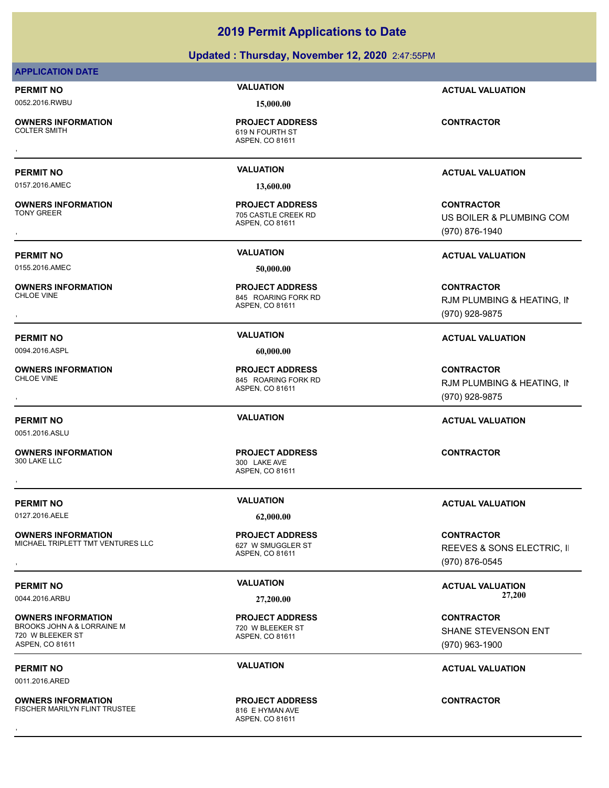## **Updated : Thursday, November 12, 2020** 2:47:55PM

## **APPLICATION DATE**

0052.2016.RWBU **15,000.00**

**OWNERS INFORMATION**

ASPEN, CO 81611 619 N FOURTH ST **PROJECT ADDRESS** , **CONTRACTOR**

0157.2016.AMEC **13,600.00**

**OWNERS INFORMATION**

0155.2016.AMEC **50,000.00**

**OWNERS INFORMATION**

0094.2016.ASPL **60,000.00**

**OWNERS INFORMATION**

0051.2016.ASLU

**OWNERS INFORMATION** 300 LAKE LLC 300 LAKE AVE

0127.2016.AELE **62,000.00**

**OWNERS INFORMATION** MICHAEL TRIPLETT TMT VENTURES LLC 627 W SMUGGLER ST

**OWNERS INFORMATION** BROOKS JOHN A & LORRAINE M 720 W BLEEKER ST 720 W BLEEKER ST ASPEN, CO 81611

0011.2016.ARED

**OWNERS INFORMATION** FISCHER MARILYN FLINT TRUSTEE 816 E HYMAN AVE

ASPEN, CO 81611 **705 CASTLE CREEK RD PROJECT ADDRESS**

ASPEN, CO 81611 845 ROARING FORK RD **PROJECT ADDRESS**

ASPEN, CO 81611 845 ROARING FORK RD **PROJECT ADDRESS**

**PROJECT ADDRESS**

ASPEN, CO 81611 **PROJECT ADDRESS**

ASPEN, CO 81611 **PROJECT ADDRESS**

ASPEN, CO 81611 **PROJECT ADDRESS** , **CONTRACTOR**

**PERMIT NO VALUATION ACTUAL VALUATION**

**PERMIT NO VALUATION ACTUAL VALUATION**

, **CONTRACTOR** US BOILER & PLUMBING COM (970) 876-1940

**PERMIT NO VALUATION ACTUAL VALUATION**

**OWNERS INFORMATION PROJECT ADDRESS CONTRACTOR**<br>CHLOE VINE 845 ROARING FORK RD RJM PLUMBING & HEATING, II<br>, ASPEN, CO 81611 RJM PLUMBING & HEATING, IN (970) 928-9875

## **PERMIT NO VALUATION ACTUAL VALUATION**

**OWNERS INFORMATION PROJECT ADDRESS CONTRACTOR**<br>CHLOE VINE 845 ROARING FORK RD RJM PLUMBING & HEATING, II<br>, ASPEN. CO 81611 RJM PLUMBING & HEATING, IN (970) 928-9875

## **PERMIT NO VALUATION ACTUAL VALUATION**

## **PERMIT NO VALUATION ACTUAL VALUATION**

, **CONTRACTOR** REEVES & SONS ELECTRIC, II (970) 876-0545

**PERMIT NO VALUATION ACTUAL VALUATION** 0044.2016.ARBU **27,200.00 27,200.00**

> **CONTRACTOR** SHANE STEVENSON ENT (970) 963-1900

**PERMIT NO VALUATION ACTUAL VALUATION**

ASPEN, CO 81611 , **CONTRACTOR**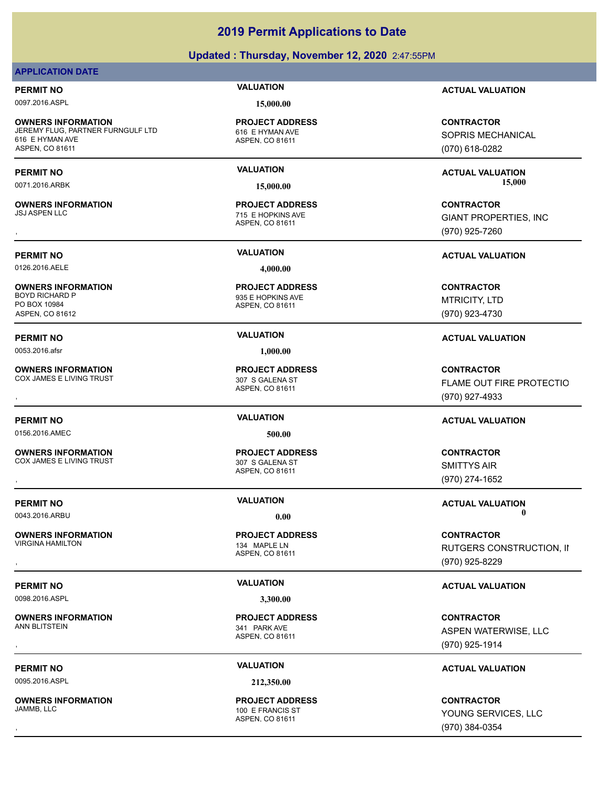## **Updated : Thursday, November 12, 2020** 2:47:55PM

## **APPLICATION DATE**

0097.2016.ASPL **15,000.00**

**OWNERS INFORMATION** JEREMY FLUG, PARTNER FURNGULF LTD 616 E HYMAN AVE 616 E HYMAN AVE ASPEN, CO 81611

**OWNERS INFORMATION**

0126.2016.AELE **4,000.00**

**OWNERS INFORMATION** PO BOX 10984 ASPEN, CO 81612

0053.2016.afsr **1,000.00**

**OWNERS INFORMATION** COX JAMES E LIVING TRUST **307 S GALENA ST** 

0156.2016.AMEC **500.00**

**OWNERS INFORMATION** COX JAMES E LIVING TRUST **307 S GALENA ST** 

**OWNERS INFORMATION** VIRGINA HAMILTON 134 MAPI FIN

0098.2016.ASPL **3,300.00**

**OWNERS INFORMATION** ANN BLITSTEIN 341 PARK AVE

0095.2016.ASPL **212,350.00**

**OWNERS INFORMATION**

ASPEN, CO 81611 **PROJECT ADDRESS**

ASPEN, CO 81611 715 E HOPKINS AVE **PROJECT ADDRESS**

ASPEN, CO 81611 935 E HOPKINS AVE **PROJECT ADDRESS**

ASPEN, CO 81611 **PROJECT ADDRESS**

ASPEN, CO 81611 **PROJECT ADDRESS**

ASPEN, CO 81611 **PROJECT ADDRESS**

ASPEN, CO 81611 **PROJECT ADDRESS**

ASPEN, CO 81611 100 E FRANCIS ST **PROJECT ADDRESS**

**PERMIT NO VALUATION ACTUAL VALUATION**

**CONTRACTOR** SOPRIS MECHANICAL (070) 618-0282

**PERMIT NO VALUATION ACTUAL VALUATION** 0071.2016.ARBK **15,000.00 15,000.00**

, **CONTRACTOR** GIANT PROPERTIES, INC (970) 925-7260

**PERMIT NO VALUATION ACTUAL VALUATION**

**CONTRACTOR** MTRICITY, LTD (970) 923-4730

## **PERMIT NO VALUATION ACTUAL VALUATION**

, **CONTRACTOR** FLAME OUT FIRE PROTECTIO (970) 927-4933

## **PERMIT NO VALUATION ACTUAL VALUATION**

**OWNERS INFORMATION CONTRACTOR REPORT OF PROJECT ADDRESS CONTRACTOR CONTRACTOR**<br>COX JAMES E LIVING TRUST TRIST TO A SOLENA ST TO A SOLENA ST TO A SEPEN, CO 81611<br>, SMITTYS AIR (970) 274-1652

**PERMIT NO VALUATION VALUATION VALUATION** 0043.2016.ARBU **0.00 0.00**

, **CONTRACTOR** RUTGERS CONSTRUCTION, II (970) 925-8229

## **PERMIT NO VALUATION VALUATION VALUATION**

, **CONTRACTOR** ASPEN WATERWISE, LLC (970) 925-1914

## **PERMIT NO VALUATION VALUATION VALUATION**

, **CONTRACTOR** YOUNG SERVICES, LLC (970) 384-0354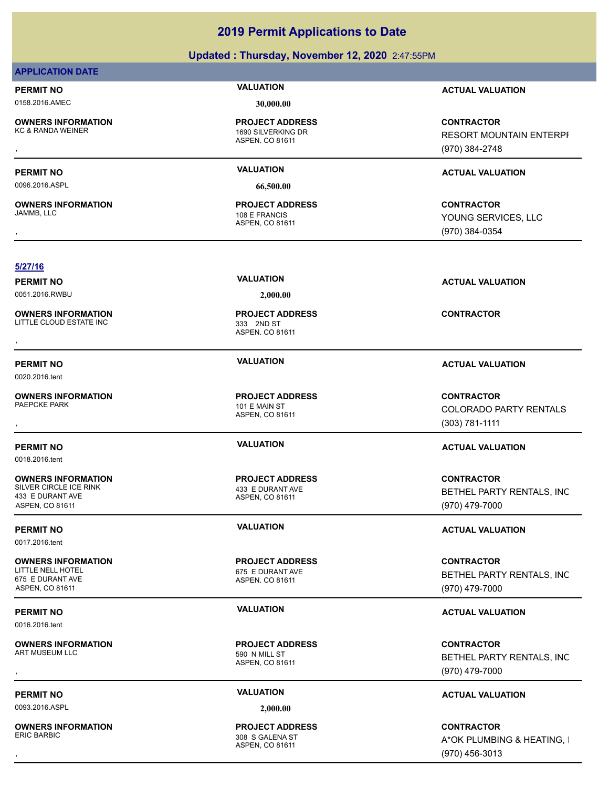## **Updated : Thursday, November 12, 2020** 2:47:55PM

## **APPLICATION DATE**

## 0158.2016.AMEC **30,000.00**

**OWNERS INFORMATION**

0096.2016.ASPL **66,500.00**

**OWNERS INFORMATION**

ASPEN, CO 81611 1690 SILVERKING DR **PROJECT ADDRESS**

ASPEN, CO 81611 108 E FRANCIS **PROJECT ADDRESS**

**PERMIT NO VALUATION ACTUAL VALUATION**

**OWNERS INFORMATION PROJECT ADDRESS CONTRACTOR**<br>KC & RANDA WEINER 1690 SILVERKING DR RESORT MOUNTAIN ENTERPF<br>, ASPEN, CO 81611 RESORT MOUNTAIN ENTERPI (970) 384-2748

## **PERMIT NO VALUATION ACTUAL VALUATION**

, **CONTRACTOR** YOUNG SERVICES, LLC (970) 384-0354

## **5/27/16**

0051.2016.RWBU **2,000.00**

**OWNERS INFORMATION** LITTLE CLOUD ESTATE INC<br>333 2ND ST

0020.2016.tent

**OWNERS INFORMATION** PAEPCKE PARK 101 E MAIN ST

0018.2016.tent

**OWNERS INFORMATION** SILVER CIRCLE ICE RINK 433 E DURANT AVE 433 E DURANT AVE ASPEN, CO 81611

0017.2016.tent

## **OWNERS INFORMATION**

675 E DURANT AVE ASPEN, CO 81611

0016.2016.tent

**OWNERS INFORMATION**

ASPEN, CO 81611 **PROJECT ADDRESS OWNERS INFORMATION CONTRACTOR REGIST PROJECT ADDRESS CONTRACTOR CONTRACTOR**<br>LITTLE CLOUD ESTATE INC **CONTRACTOR ASPEN**, CO 81611<br>,

ASPEN, CO 81611 **PROJECT ADDRESS**

ASPEN, CO 81611 **PROJECT ADDRESS**

ASPEN, CO 81611 675 E DURANT AVE

ASPEN, CO 81611 590 N MILL ST **PROJECT ADDRESS**

0093.2016.ASPL **2,000.00**

## ASPEN, CO 81611 308 S GALENA ST **PROJECT ADDRESS**

**PERMIT NO VALUATION ACTUAL VALUATION**

## **PERMIT NO VALUATION ACTUAL VALUATION**

, **CONTRACTOR** COLORADO PARTY RENTALS (303) 781-1111

## **PERMIT NO VALUATION ACTUAL VALUATION**

**CONTRACTOR** BETHEL PARTY RENTALS, INC (970) 479-7000

**CONTRACTOR** BETHEL PARTY RENTALS, INC (970) 479-7000

## **PERMIT NO VALUATION ACTUAL VALUATION**

**OWNERS INFORMATION PROJECT ADDRESS CONTRACTOR**<br>ART MUSEUM LLC 590\_N MILL ST BETHEL PARTY RENTALS, INC<br>, ASPEN. CO 81611 BETHEL PARTY RENTALS, INC (970) 479-7000

## **PERMIT NO VALUATION ACTUAL VALUATION**

, **CONTRACTOR** A\*OK PLUMBING & HEATING, I (970) 456-3013

## **OWNERS INFORMATION**

**PERMIT NO VALUATION ACTUAL VALUATION**

**PROJECT ADDRESS**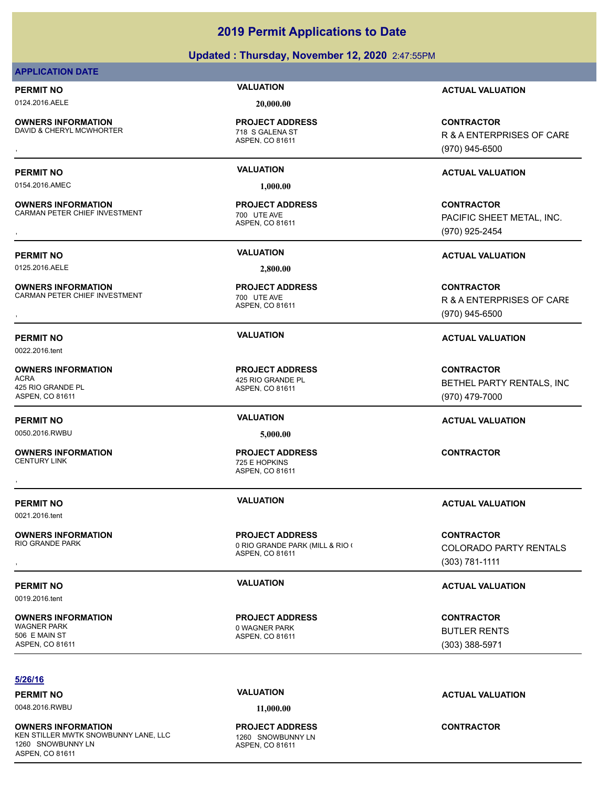| <b>PERMIT NO</b>                                                          | <b>VALUATION</b>                                               | <b>ACTUAL VALUATION</b>                                          |
|---------------------------------------------------------------------------|----------------------------------------------------------------|------------------------------------------------------------------|
| 0124.2016.AELE                                                            | 20,000.00                                                      |                                                                  |
| <b>OWNERS INFORMATION</b><br>DAVID & CHERYL MCWHORTER                     | <b>PROJECT ADDRESS</b><br>718 S GALENA ST<br>ASPEN, CO 81611   | <b>CONTRACTOR</b><br>R & A ENTERPRISES OF CARE<br>(970) 945-6500 |
| <b>PERMIT NO</b>                                                          | <b>VALUATION</b>                                               | <b>ACTUAL VALUATION</b>                                          |
| 0154.2016.AMEC                                                            | 1,000.00                                                       |                                                                  |
| <b>OWNERS INFORMATION</b><br>CARMAN PETER CHIEF INVESTMENT                | <b>PROJECT ADDRESS</b><br>700 UTE AVE<br>ASPEN, CO 81611       | <b>CONTRACTOR</b><br>PACIFIC SHEET METAL, INC.<br>(970) 925-2454 |
| <b>PERMIT NO</b>                                                          | <b>VALUATION</b>                                               | <b>ACTUAL VALUATION</b>                                          |
| 0125.2016.AELE                                                            | 2,800.00                                                       |                                                                  |
| <b>OWNERS INFORMATION</b><br>CARMAN PETER CHIEF INVESTMENT                | <b>PROJECT ADDRESS</b><br>700 UTE AVE<br>ASPEN, CO 81611       | <b>CONTRACTOR</b><br>R & A ENTERPRISES OF CARE<br>(970) 945-6500 |
| <b>PERMIT NO</b><br>0022.2016.tent                                        | <b>VALUATION</b>                                               | <b>ACTUAL VALUATION</b>                                          |
| <b>OWNERS INFORMATION</b><br>ACRA<br>425 RIO GRANDE PL<br>ASPEN, CO 81611 | <b>PROJECT ADDRESS</b><br>425 RIO GRANDE PL<br>ASPEN, CO 81611 | <b>CONTRACTOR</b><br>BETHEL PARTY RENTALS, INC<br>(970) 479-7000 |
| <b>PERMIT NO</b>                                                          | <b>VALUATION</b>                                               | <b>ACTUAL VALUATION</b>                                          |
| 0050.2016.RWBU                                                            | 5,000.00                                                       |                                                                  |
| <b>OWNERS INFORMATION</b><br><b>CENTURY LINK</b>                          | <b>PROJECT ADDRESS</b><br>725 E HOPKINS<br>ASPEN, CO 81611     | <b>CONTRACTOR</b>                                                |
| <b>PERMIT NO</b>                                                          | <b>VALUATION</b>                                               | <b>ACTUAL VALUATION</b>                                          |

0021.2016.tent

**OWNERS INFORMATION**

506 E MAIN ST ASPEN, CO 81611

ASPEN, CO 81611 **PROJECT ADDRESS**

, **CONTRACTOR** COLORADO PARTY RENTALS (303) 781-1111

**CONTRACTOR** BUTLER RENTS (303) 388-5971

## **2019 Permit Applications to Date**

## **Updated : Thursday, November 12, 2020** 2:47:55PM

## **APPLICATION DATE**

ASPEN, CO 81611 0 RIO GRANDE PARK (MILL & RIO ( **PROJECT ADDRESS**

ASPEN, CO 81611 0 WAGNER PARK **PROJECT ADDRESS**

**OWNERS INFORMATION** KEN STILLER MWTK SNOWBUNNY LANE, LLC 1260 SNOWBUNNY LN 1260 SNOWBUNNY LN ASPEN, CO 81611

## **PERMIT NO CONSUMITY OF A CONSUMITY OF A CONSUMITY OF A CONSUMITY OF A CTUAL VALUATION**

## 0048.2016.RWBU **11,000.00**

## **5/26/16**

## **PERMIT NO VALUATION VALUATION VALUATION**

## 0019.2016.tent

# **OWNERS INFORMATION**

## **CONTRACTOR**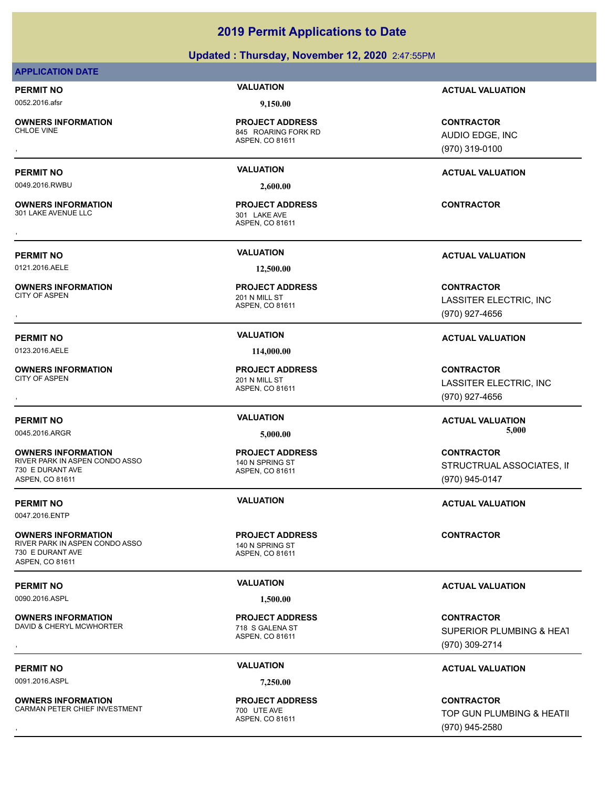## **Updated : Thursday, November 12, 2020** 2:47:55PM

## **APPLICATION DATE**

0052.2016.afsr **9,150.00**

**OWNERS INFORMATION** 

0049.2016.RWBU **2,600.00**

**OWNERS INFORMATION** 301 LAKE AVENUE LLC 301 LAKE AVE

0121.2016.AELE **12,500.00**

**OWNERS INFORMATION**

0123.2016.AELE **114,000.00**

**OWNERS INFORMATION** CITY OF ASPEN 201 N MILL ST

**OWNERS INFORMATION** RIVER PARK IN ASPEN CONDO ASSO 140 N SPRING ST 730 E DURANT AVE ASPEN, CO 81611

0047.2016.ENTP

**OWNERS INFORMATION** RIVER PARK IN ASPEN CONDO ASSO 140 N SPRING ST 730 E DURANT AVE ASPEN, CO 81611

0090.2016.ASPL **1,500.00**

**OWNERS INFORMATION** DAVID & CHERYL MCWHORTER 718 S GALENA ST

0091.2016.ASPL **7,250.00**

**OWNERS INFORMATION** CARMAN PETER CHIEF INVESTMENT 700 UTE AVE

ASPEN, CO 81611 845 ROARING FORK RD **PROJECT ADDRESS**

ASPEN, CO 81611 **PROJECT ADDRESS** , **CONTRACTOR**

ASPEN, CO 81611 201 N MILL ST **PROJECT ADDRESS**

ASPEN, CO 81611 **PROJECT ADDRESS**

ASPEN, CO 81611 **PROJECT ADDRESS**

ASPEN, CO 81611 **PROJECT ADDRESS**

ASPEN, CO 81611 **PROJECT ADDRESS**

ASPEN, CO 81611 **PROJECT ADDRESS**

**PERMIT NO VALUATION ACTUAL VALUATION**

, **CONTRACTOR** AUDIO EDGE, INC (970) 319-0100

## **PERMIT NO VALUATION ACTUAL VALUATION**

**PERMIT NO VALUATION ACTUAL VALUATION**

, **CONTRACTOR** LASSITER ELECTRIC, INC (970) 927-4656

## **PERMIT NO VALUATION ACTUAL VALUATION**

, **CONTRACTOR** LASSITER ELECTRIC, INC (970) 927-4656

**PERMIT NO VALUATION VALUATION VALUATION** 0045.2016.ARGR **5,000.00 5,000.00**

> **CONTRACTOR** STRUCTRUAL ASSOCIATES, II (970) 945-0147

## **PERMIT NO VALUATION VALUATION VALUATION**

**CONTRACTOR**

## **PERMIT NO VALUATION VALUATION VALUATION**

, **CONTRACTOR** SUPERIOR PLUMBING & HEAT (970) 309-2714

## **PERMIT NO VALUATION VALUATION VALUATION**

, **CONTRACTOR** TOP GUN PLUMBING & HEATII (970) 945-2580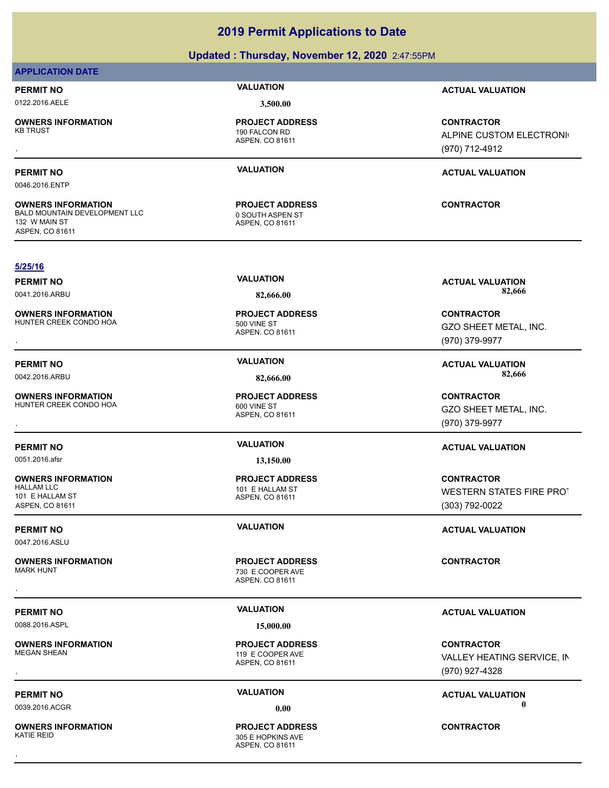## 0046.2016.ENTP ASPEN, CO 81611 **OWNERS INFORMATION** BALD MOUNTAIN DEVELOPMENT LLC 0 SOUTH ASPEN ST **PROJECT ADDRESS** 132 W MAIN ST ASPEN, CO 81611 **CONTRACTOR 5/25/16 PERMIT NO VALUATION ACTUAL VALUATION** 0041.2016.ARBU **82,666.00 82,666.00** ASPEN, CO 81611 **OWNERS INFORMATION** HUNTER CREEK CONDO HOA 500 VINE ST **PROJECT ADDRESS OWNERS INFORMATION GOVERNED BY A SERVICE PROJECT ADDRESS ARE:** CONTRACTOR CONTRACTOR<br>HUNTER CREEK CONDO HOA GOVERNED BY ASPEN, CO 81611 GOVERNED BY THE SAME ASPEN, CO 81611 (970) 379-9977 GZO SHEET METAL, INC. (970) 379-9977 **PERMIT NO VALUATION ACTUAL VALUATION** 0042.2016.ARBU **82,666.00 82,666.00** ASPEN, CO 81611 **OWNERS INFORMATION** HUNTER CREEK CONDO HOA 600 VINE ST **PROJECT ADDRESS OWNERS INFORMATION GOVERNED BY A SERVICE PROJECT ADDRESS ARE:** CONTRACTOR CONTRACTOR<br>HUNTER CREEK CONDO HOA GOVERNED BY ASPEN, CO 81611 GOVERNED BY THE SAME ASPEN, CO 81611 (970) 379-9977 GZO SHEET METAL, INC. (970) 379-9977 **PERMIT NO VALUATION ACTUAL VALUATION** 0051.2016.afsr **13,150.00** ASPEN, CO 81611 **OWNERS INFORMATION** 101 E HALLAM ST **PROJECT ADDRESS** 101 E HALLAM ST ASPEN, CO 81611 **CONTRACTOR** WESTERN STATES FIRE PROT (303) 792-0022 **PERMIT NO VALUATION ACTUAL VALUATION** 0047.2016.ASLU ASPEN, CO 81611 **OWNERS INFORMATION** 730 E COOPER AVE **PROJECT ADDRESS** , **CONTRACTOR PERMIT NO VALUATION ACTUAL VALUATION** 0088.2016.ASPL **15,000.00** ASPEN, CO 81611 **OWNERS INFORMATION** 119 E COOPER AVE **PROJECT ADDRESS** , **CONTRACTOR** VALLEY HEATING SERVICE, IN (970) 927-4328 **PERMIT NO CONSUMITY OF A CONSUMITY OF A CONSUMITY OF A CONSUMITY OF A CTUAL VALUATION**

**OWNERS INFORMATION**

**PERMIT NO VALUATION ACTUAL VALUATION**

**PROJECT ADDRESS**

0039.2016.ACGR **0.00 0.00**

ALPINE CUSTOM ELECTRONIC

(970) 712-4912

## **2019 Permit Applications to Date**

## **Updated : Thursday, November 12, 2020** 2:47:55PM

## **APPLICATION DATE**

**OWNERS INFORMATION**

190 FALCON RD

ASPEN, CO 81611 305 E HOPKINS AVE **PROJECT ADDRESS** , **CONTRACTOR**

0122.2016.AELE **3,500.00**

ASPEN, CO 81611

, **CONTRACTOR**

## **PERMIT NO VALUATION ACTUAL VALUATION**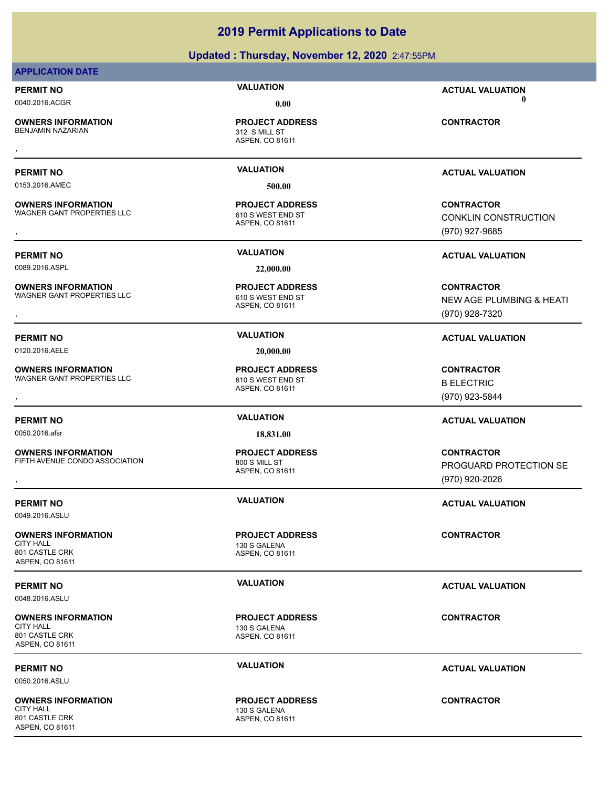## **Updated : Thursday, November 12, 2020** 2:47:55PM

## **APPLICATION DATE**

0040.2016.ACGR **0.00 0.00**

**OWNERS INFORMATION** BENJAMIN NAZARIAN 312 S MILL ST

**OWNERS INFORMATION**

**OWNERS INFORMATION**

**OWNERS INFORMATION**

**OWNERS INFORMATION**

ASPEN, CO 81611 **PROJECT ADDRESS** , **CONTRACTOR**

0153.2016.AMEC **500.00**

ASPEN, CO 81611 WAGNER GANT PROPERTIES LLC 610 S WEST END ST **PROJECT ADDRESS**

0089.2016.ASPL **22,000.00**

ASPEN, CO 81611 WAGNER GANT PROPERTIES LLC 610 S WEST END ST **PROJECT ADDRESS**

0120.2016.AELE **20,000.00**

ASPEN, CO 81611 WAGNER GANT PROPERTIES LLC<br>610 S WEST END ST **PROJECT ADDRESS**

0050.2016.afsr **18,831.00**

ASPEN, CO 81611 FIFTH AVENUE CONDO ASSOCIATION 800 S MILL ST **PROJECT ADDRESS**

ASPEN, CO 81611 **PROJECT ADDRESS**

ASPEN, CO 81611 CITY HALL 2000 130 S GALENA **PROJECT ADDRESS**

ASPEN, CO 81611 130 S GALENA **PROJECT ADDRESS**

**PERMIT NO VALUATION ACTUAL VALUATION**

## **PERMIT NO VALUATION ACTUAL VALUATION**

**OWNERS INFORMATION LETTLE SERVICE PROJECT ADDRESS ARE:**<br>WAGNER GANT PROPERTIES LLC LETTLE ASPEN. CO 81611 LETTLE ASPEN. CO 81611<br>ASPEN. CO 81611 LETTLE ASPEN. CO 81611 LETTLE ASPEN. CO 81611 LETTLE ASPEN. CO 81611 LETTLE CONKLIN CONSTRUCTION (970) 927-9685

## **PERMIT NO VALUATION ACTUAL VALUATION**

**OWNERS INFORMATION LEGAL CONORMISTS ARE DESCRIPTED MAGES ARE DESCRIPTION CONTRACTOR**<br>WAGNER GANT PROPERTIES LLC LEGAL CONORMIST ASPEN, CO 81611<br>, The Magnetic Conormist Conormist ASPEN, CO 81611 (970) 928-7320 **NEW AGE PLUMBING & HEATI** (970) 928-7320

## **PERMIT NO VALUATION ACTUAL VALUATION**

**OWNERS INFORMATION LETTLE SERVICE TO A PROJECT ADDRESS ARE:**<br>WAGNER GANT PROPERTIES LLC A SOME STAND STAND STUDIES ASPEN. CO 81611<br>ASPEN. CO 81611 ASPEN. AND STAND STAND STAND STAND STAND (970) 923-5844 B ELECTRIC (970) 923-5844

## **PERMIT NO VALUATION ACTUAL VALUATION**

, **CONTRACTOR** PROGUARD PROTECTION SE (970) 920-2026

## **PERMIT NO VALUATION ACTUAL VALUATION**

**CONTRACTOR**

**PERMIT NO VALUATION VALUATION VALUATION** 

**CONTRACTOR**

## **CONTRACTOR**

801 CASTLE CRK ASPEN, CO 81611

**OWNERS INFORMATION**

0050.2016.ASLU

# **PERMIT NO VALUATION ACTUAL VALUATION**

**OWNERS INFORMATION**

0049.2016.ASLU

**OWNERS INFORMATION** CITY HALL **the contract of the contract of the contract of the contract of the contract of the contract of the contract of the contract of the contract of the contract of the contract of the contract of the contract of the** 801 CASTLE CRK ASPEN, CO 81611

0048.2016.ASLU

801 CASTLE CRK ASPEN, CO 81611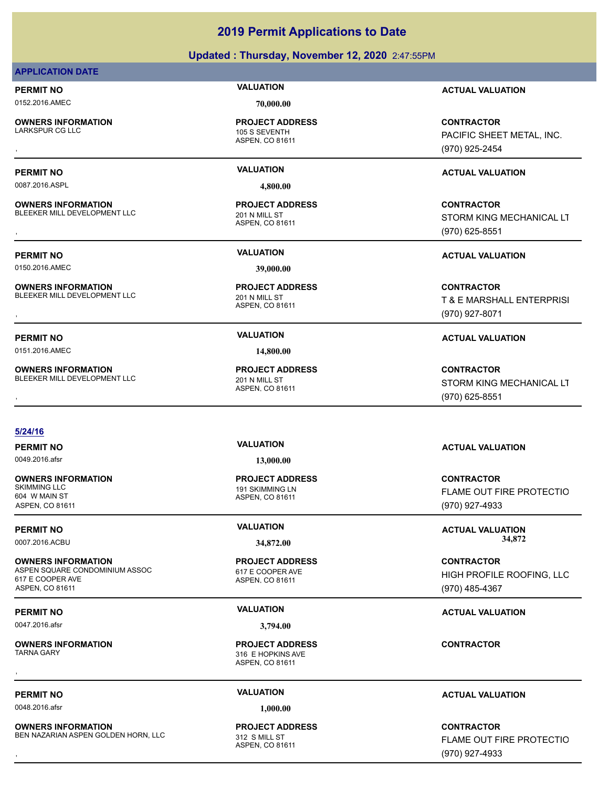## **Updated : Thursday, November 12, 2020** 2:47:55PM

## **APPLICATION DATE**

**OWNERS INFORMATION**

**OWNERS INFORMATION**

**OWNERS INFORMATION**

**OWNERS INFORMATION**

0152.2016.AMEC **70,000.00**

ASPEN, CO 81611 105 S SEVENTH **PROJECT ADDRESS**

0087.2016.ASPL **4,800.00**

ASPEN, CO 81611 BLEEKER MILL DEVELOPMENT LLC 201 N MILL ST **PROJECT ADDRESS**

0150.2016.AMEC **39,000.00**

ASPEN, CO 81611 BLEEKER MILL DEVELOPMENT LLC<br>
201 N MILL ST **PROJECT ADDRESS**

0151.2016.AMEC **14,800.00**

ASPEN, CO 81611 BLEEKER MILL DEVELOPMENT LLC<br>201 N MILL ST **PROJECT ADDRESS**

## **5/24/16**

**OWNERS INFORMATION** 604 W MAIN ST ASPEN, CO 81611

ASPEN SQUARE CONDOMINIUM ASSOC 617 E COOPER AVE 617 E COOPER AVE ASPEN, CO 81611

0047.2016.afsr **3,794.00**

**OWNERS INFORMATION**

ASPEN, CO 81611 191 SKIMMING LN

ASPEN, CO 81611 **PROJECT ADDRESS**

**PERMIT NO VALUATION ACTUAL VALUATION**

, **CONTRACTOR** PACIFIC SHEET METAL, INC. (970) 925-2454

## **PERMIT NO VALUATION ACTUAL VALUATION**

, **CONTRACTOR** STORM KING MECHANICAL LT (970) 625-8551

**PERMIT NO VALUATION ACTUAL VALUATION**

, **CONTRACTOR** T & E MARSHALL ENTERPRISI (970) 927-8071

## **PERMIT NO VALUATION ACTUAL VALUATION**

, **CONTRACTOR** STORM KING MECHANICAL LT (970) 625-8551

**CONTRACTOR** FLAME OUT FIRE PROTECTIO (970) 927-4933

**PERMIT NO VALUATION ACTUAL VALUATION**

**CONTRACTOR** HIGH PROFILE ROOFING, LLC (970) 485-4367

## **PERMIT NO VALUATION ACTUAL VALUATION**

## **PERMIT NO VALUATION ACTUAL VALUATION**

**OWNERS INFORMATION FROJECT ADDRESS ARE SERVICE ONTRACTOR CONTRACTOR**<br>BEN NAZARIAN ASPEN GOLDEN HORN, LLC ASPEN. CO 81611 ASPEN. CO 81611 FINE (970) 927-4933 FLAME OUT FIRE PROTECTIO (970) 927-4933

**PERMIT NO VALUATION ACTUAL VALUATION**

0049.2016.afsr **13,000.00**

**PROJECT ADDRESS**

ASPEN, CO 81611 **PROJECT ADDRESS**

ASPEN, CO 81611 316 E HOPKINS AVE **PROJECT ADDRESS** , **CONTRACTOR**

0048.2016.afsr **1,000.00**

**OWNERS INFORMATION** BEN NAZARIAN ASPEN GOLDEN HORN, LLC 312 S MILL ST

## **OWNERS INFORMATION**

## 0007.2016.ACBU **34,872.00 34,872.00**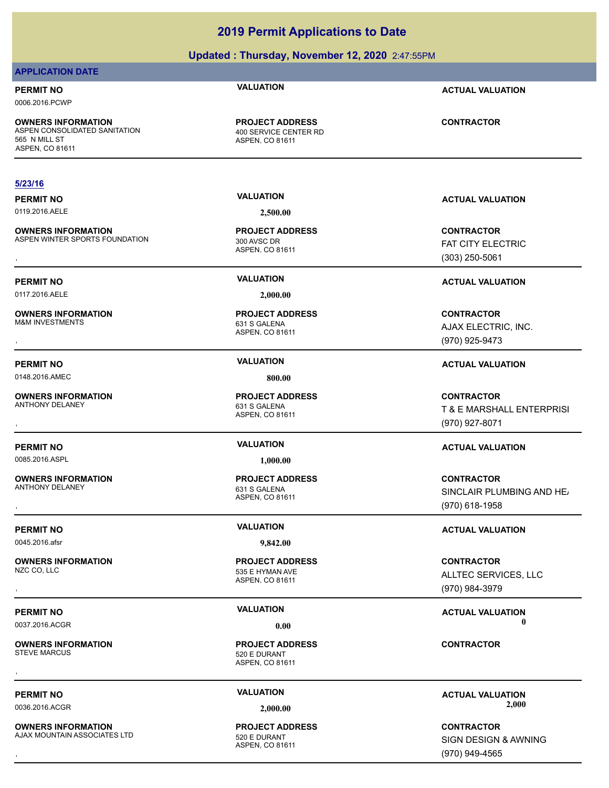## **Updated : Thursday, November 12, 2020** 2:47:55PM

## **APPLICATION DATE**

## **PERMIT NO VALUATION ACTUAL VALUATION**

0006.2016.PCWP

**OWNERS INFORMATION** ASPEN CONSOLIDATED SANITATION 400 SERVICE CENTER RD 565 N MILL ST ASPEN, CO 81611

## **5/23/16**

**OWNERS INFORMATION** ASPEN WINTER SPORTS FOUNDATION 300 AVSC DR

0117.2016.AELE **2,000.00**

**OWNERS INFORMATION**

**PERMIT NO VALUATION VALUATION VALUATION** 

0148.2016.AMEC **800.00**

**OWNERS INFORMATION** ANTHONY DELANEY 631 S GALENA

0085.2016.ASPL **1,000.00**

**OWNERS INFORMATION**

0045.2016.afsr **9,842.00**

**OWNERS INFORMATION**

**OWNERS INFORMATION**

# ASPEN, CO 81611

**PROJECT ADDRESS**

0119.2016.AELE **2,500.00**

ASPEN, CO 81611 **PROJECT ADDRESS**

ASPEN, CO 81611 631 S GALENA **PROJECT ADDRESS**

ASPEN, CO 81611 **PROJECT ADDRESS**

ASPEN, CO 81611 631 S GALENA **PROJECT ADDRESS**

ASPEN, CO 81611 535 E HYMAN AVE **PROJECT ADDRESS**

ASPEN, CO 81611 520 E DURANT **PROJECT ADDRESS** , **CONTRACTOR**

ASPEN, CO 81611 **PROJECT ADDRESS**

**PERMIT NO VALUATION ACTUAL VALUATION**

**CONTRACTOR**

, **CONTRACTOR** FAT CITY ELECTRIC (303) 250-5061

## **PERMIT NO VALUATION ACTUAL VALUATION**

, **CONTRACTOR** AJAX ELECTRIC, INC. (970) 925-9473

**OWNERS INFORMATION PROJECT ADDRESS CONTRACTOR**<br>ANTHONY DELANEY 631 S GALENA T & E MARSHALL ENTERPRISI<br>, ASPEN. CO 81611 T & E MARSHALL ENTERPRISI (970) 927-8071

## **PERMIT NO VALUATION ACTUAL VALUATION**

, **CONTRACTOR** SINCLAIR PLUMBING AND HEAT (970) 618-1958

## **PERMIT NO VALUATION ACTUAL VALUATION**

, **CONTRACTOR** ALLTEC SERVICES, LLC (970) 984-3979

**PERMIT NO CONSUMITY OF A CONSUMITY OF A CONSUMITY OF A CONSUMITY OF A CTUAL VALUATION** 0037.2016.ACGR **0.00 0.00**

**PERMIT NO**<br> **VALUATION**<br> **VALUATION**<br> **PERMIT NO ACTUAL VALUATION**<br> **PERMIT NO ACTUAL VALUATION** 0036.2016.ACGR **2,000.00 2,000.00**

, **CONTRACTOR** SIGN DESIGN & AWNING (970) 949-4565

**OWNERS INFORMATION** AJAX MOUNTAIN ASSOCIATES LTD 520 E DURANT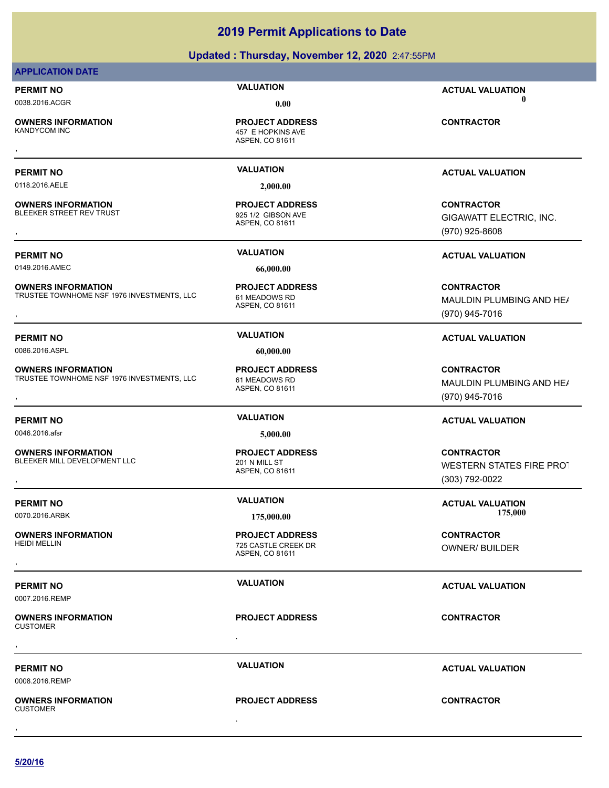## **Updated : Thursday, November 12, 2020** 2:47:55PM

## **APPLICATION DATE**

0038.2016.ACGR **0.00 0.00**

**OWNERS INFORMATION**

**OWNERS INFORMATION**

**OWNERS INFORMATION**

**OWNERS INFORMATION**

ASPEN, CO 81611 457 E HOPKINS AVE **PROJECT ADDRESS** , **CONTRACTOR**

0118.2016.AELE **2,000.00**

ASPEN, CO 81611 BLEEKER STREET REV TRUST FOR THE 19925 1/2 GIBSON AVE **PROJECT ADDRESS**

0149.2016.AMEC **66,000.00**

ASPEN, CO 81611 TRUSTEE TOWNHOME NSF 1976 INVESTMENTS, LLC 61 MEADOWS RD **PROJECT ADDRESS**

0086.2016.ASPL **60,000.00**

ASPEN, CO 81611 TRUSTEE TOWNHOME NSF 1976 INVESTMENTS, LLC 61 MEADOWS RD **PROJECT ADDRESS**

0046.2016.afsr **5,000.00**

ASPEN, CO 81611 **PROJECT ADDRESS**

ASPEN, CO 81611 725 CASTLE CREEK DR **PROJECT ADDRESS** , **CONTRACTOR**

**PROJECT ADDRESS**

, **CONTRACTOR**

0008.2016.REMP

, **OWNERS INFORMATION**

CUSTOMER

**PERMIT NO VALUATION ACTUAL VALUATION**

**PERMIT NO VALUATION ACTUAL VALUATION**

**OWNERS INFORMATION GOVERNED BY A SERVICE PROJECT ADDRESS ARE:**<br>BLEEKER STREET REV TRUST TRUST THE SERVICE ASPEN, CO 81611<br>ASPEN, CO 81611 GOVERNED ASPEN (970) 925-8608 GIGAWATT ELECTRIC, INC. (970) 925-8608

**PERMIT NO VALUATION ACTUAL VALUATION**

**OWNERS INFORMATION DESCRIPTED MANUSIC PROJECT ADDRESS ARE SERVICE CONTRACTOR**<br>TRUSTEE TOWNHOME NSF 1976 INVESTMENTS, LLC and the same aspen, co 81611 **and the same of the same of the same of**<br>, the same of the same same s MAULDIN PLUMBING AND HE/ (970) 945-7016

## **PERMIT NO VALUATION ACTUAL VALUATION**

**OWNERS INFORMATION DESCRIPTION FROJECT ADDRESS ARE SERVICE CONTRACTOR CONTRACTOR**<br>TRUSTEE TOWNHOME NSF 1976 INVESTMENTS, LLC and the same and the same of the same of the same and the same and t<br>ASPEN. CO 81611 ASPARE SAME MAULDIN PLUMBING AND HE/ (970) 945-7016

## **PERMIT NO VALUATION ACTUAL VALUATION**

, **CONTRACTOR** WESTERN STATES FIRE PROT (303) 792-0022

**PERMIT NO VALUATION VALUATION VALUATION** 0070.2016.ARBK **175,000.00 175,000.00**

OWNER/ BUILDER

**PERMIT NO VALUATION VALUATION VALUATION** 

**PERMIT NO VALUATION ACTUAL VALUATION**

**PROJECT ADDRESS** , **CONTRACTOR**



**OWNERS INFORMATION** BLEEKER MILL DEVELOPMENT LLC<br>
201 N MILL ST

**OWNERS INFORMATION**

0007.2016.REMP

, **OWNERS INFORMATION** CUSTOMER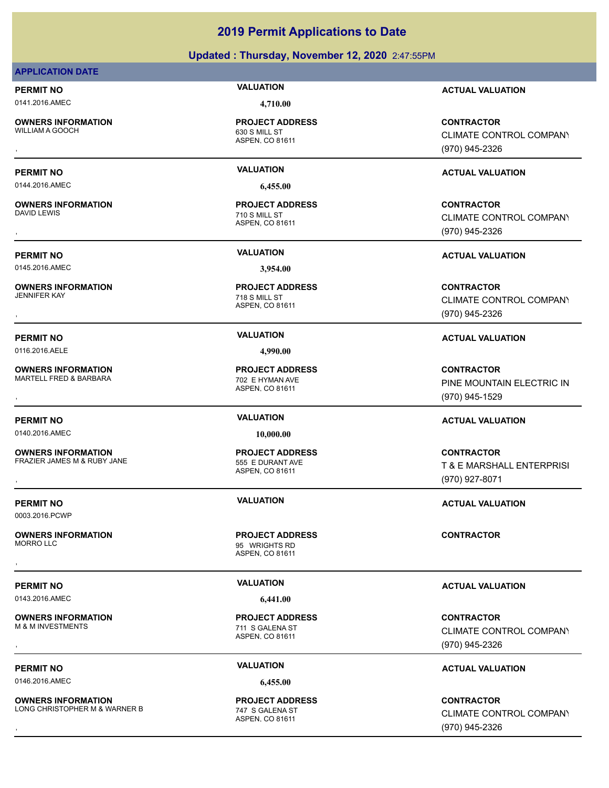## **Updated : Thursday, November 12, 2020** 2:47:55PM

## **APPLICATION DATE**

0141.2016.AMEC **4,710.00**

**OWNERS INFORMATION**

ASPEN, CO 81611 630 S MILL ST **PROJECT ADDRESS**

0144.2016.AMEC **6,455.00**

**OWNERS INFORMATION**

0145.2016.AMEC **3,954.00**

**OWNERS INFORMATION**

0116.2016.AELE **4,990.00**

**OWNERS INFORMATION** MARTELL FRED & BARBARA 702 E HYMAN AVE

0140.2016.AMEC **10,000.00**

**OWNERS INFORMATION** FRAZIER JAMES M & RUBY JANE 555 E DURANT AVE

0003.2016.PCWP

**OWNERS INFORMATION**

0143.2016.AMEC **6,441.00**

**OWNERS INFORMATION**<br>**M & M INVESTMENTS** 

0146.2016.AMEC **6,455.00**

**OWNERS INFORMATION** LONG CHRISTOPHER M & WARNER B 747 S GALENA ST

ASPEN, CO 81611 710 S MILL ST **PROJECT ADDRESS**

ASPEN, CO 81611 718 S MILL ST **PROJECT ADDRESS**

ASPEN, CO 81611 **PROJECT ADDRESS**

ASPEN, CO 81611 **PROJECT ADDRESS**

ASPEN, CO 81611 95 WRIGHTS RD **PROJECT ADDRESS** , **CONTRACTOR**

ASPEN, CO 81611 711 S GALENA ST **PROJECT ADDRESS**

ASPEN, CO 81611 **PROJECT ADDRESS**

**PERMIT NO VALUATION ACTUAL VALUATION**

, **CONTRACTOR** CLIMATE CONTROL COMPANY (970) 945-2326

## **PERMIT NO VALUATION ACTUAL VALUATION**

, **CONTRACTOR** CLIMATE CONTROL COMPANY (970) 945-2326

**PERMIT NO VALUATION ACTUAL VALUATION**

, **CONTRACTOR** CLIMATE CONTROL COMPANY (970) 945-2326

## **PERMIT NO VALUATION ACTUAL VALUATION**

, **CONTRACTOR** PINE MOUNTAIN ELECTRIC IN (970) 945-1529

## **PERMIT NO VALUATION ACTUAL VALUATION**

, **CONTRACTOR** T & E MARSHALL ENTERPRISI (970) 927-8071

## **PERMIT NO VALUATION ACTUAL VALUATION**

## **PERMIT NO VALUATION VALUATION VALUATION**

, **CONTRACTOR** CLIMATE CONTROL COMPANY (970) 945-2326

## **PERMIT NO CONSUMITY OF A CONSUMITY OF A CONSUMITY OF A CONSUMITY OF A CTUAL VALUATION**

**OWNERS INFORMATION METALLY CONTRACTOR DESCRIPTION ON MERGINE PROJECT ADDRESS ARE SONTRACTOR CONTRACTOR CONTROL COMPANY<br>LONG CHRISTOPHER M & WARNER B WARD WAS ASPEN. CO 81611 MASS AND MERGINE MASS ASPEN. CO 81611 MASS AND** CLIMATE CONTROL COMPANY (970) 945-2326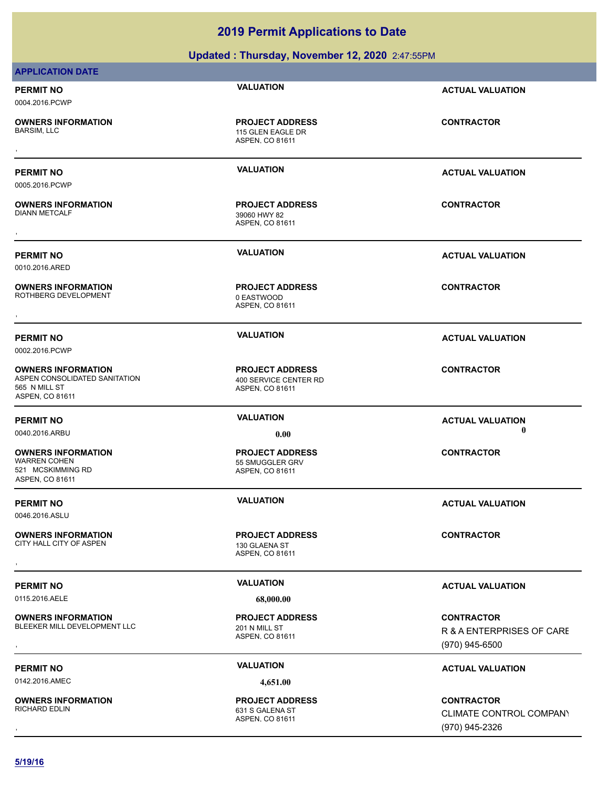## **Updated : Thursday, November 12, 2020** 2:47:55PM

|                                                                                                | <b>Opuated. Thursuay, November 12, 2020</b> 2.47.35PM              |                                                                  |
|------------------------------------------------------------------------------------------------|--------------------------------------------------------------------|------------------------------------------------------------------|
| <b>APPLICATION DATE</b>                                                                        |                                                                    |                                                                  |
| <b>PERMIT NO</b><br>0004.2016.PCWP                                                             | <b>VALUATION</b>                                                   | <b>ACTUAL VALUATION</b>                                          |
| <b>OWNERS INFORMATION</b><br><b>BARSIM, LLC</b>                                                | <b>PROJECT ADDRESS</b><br>115 GLEN EAGLE DR<br>ASPEN, CO 81611     | <b>CONTRACTOR</b>                                                |
| <b>PERMIT NO</b><br>0005.2016.PCWP                                                             | <b>VALUATION</b>                                                   | <b>ACTUAL VALUATION</b>                                          |
| <b>OWNERS INFORMATION</b><br><b>DIANN METCALF</b>                                              | <b>PROJECT ADDRESS</b><br>39060 HWY 82<br>ASPEN, CO 81611          | <b>CONTRACTOR</b>                                                |
| <b>PERMIT NO</b><br>0010.2016.ARED                                                             | <b>VALUATION</b>                                                   | <b>ACTUAL VALUATION</b>                                          |
| <b>OWNERS INFORMATION</b><br>ROTHBERG DEVELOPMENT                                              | <b>PROJECT ADDRESS</b><br>0 EASTWOOD<br>ASPEN, CO 81611            | <b>CONTRACTOR</b>                                                |
| <b>PERMIT NO</b><br>0002.2016.PCWP                                                             | <b>VALUATION</b>                                                   | <b>ACTUAL VALUATION</b>                                          |
| <b>OWNERS INFORMATION</b><br>ASPEN CONSOLIDATED SANITATION<br>565 N MILL ST<br>ASPEN, CO 81611 | <b>PROJECT ADDRESS</b><br>400 SERVICE CENTER RD<br>ASPEN, CO 81611 | <b>CONTRACTOR</b>                                                |
| <b>PERMIT NO</b><br>0040.2016.ARBU                                                             | <b>VALUATION</b><br>0.00                                           | <b>ACTUAL VALUATION</b><br>0                                     |
| <b>OWNERS INFORMATION</b><br><b>WARREN COHEN</b><br>521 MCSKIMMING RD<br>ASPEN, CO 81611       | <b>PROJECT ADDRESS</b><br>55 SMUGGLER GRV<br>ASPEN, CO 81611       | <b>CONTRACTOR</b>                                                |
| <b>PERMIT NO</b><br>0046.2016.ASLU                                                             | <b>VALUATION</b>                                                   | <b>ACTUAL VALUATION</b>                                          |
| <b>OWNERS INFORMATION</b><br>CITY HALL CITY OF ASPEN                                           | <b>PROJECT ADDRESS</b><br>130 GLAENA ST<br>ASPEN, CO 81611         | <b>CONTRACTOR</b>                                                |
| <b>PERMIT NO</b>                                                                               | <b>VALUATION</b>                                                   | <b>ACTUAL VALUATION</b>                                          |
| 0115.2016.AELE                                                                                 | 68,000.00                                                          |                                                                  |
| <b>OWNERS INFORMATION</b><br>BLEEKER MILL DEVELOPMENT LLC                                      | <b>PROJECT ADDRESS</b><br>201 N MILL ST<br>ASPEN, CO 81611         | <b>CONTRACTOR</b><br>R & A ENTERPRISES OF CARE<br>(970) 945-6500 |
| <b>PERMIT NO</b>                                                                               | <b>VALUATION</b>                                                   | <b>ACTUAL VALUATION</b>                                          |
| 0142.2016.AMEC                                                                                 | 4,651.00                                                           |                                                                  |

**OWNERS INFORMATION** RICHARD EDLIN GALENA ST GALENA ST GALENA ST

ASPEN, CO 81611 **PROJECT ADDRESS**

, **CONTRACTOR** CLIMATE CONTROL COMPANY (970) 945-2326

**5/19/16**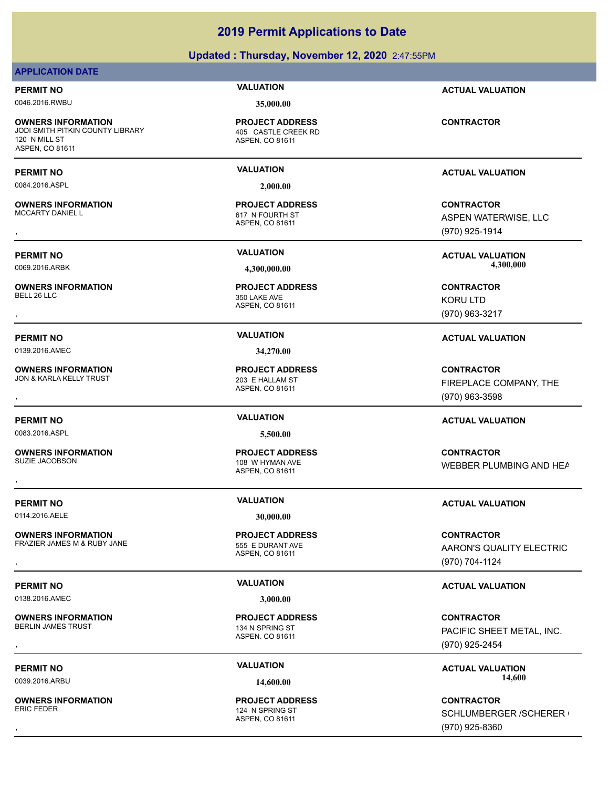## **Updated : Thursday, November 12, 2020** 2:47:55PM

## **APPLICATION DATE**

0046.2016.RWBU **35,000.00**

**OWNERS INFORMATION** JODI SMITH PITKIN COUNTY LIBRARY 405 CASTLE CREEK RD 120 N MILL ST ASPEN, CO 81611

0084.2016.ASPL **2,000.00**

**OWNERS INFORMATION** MCCARTY DANIEL L<br>
617 N FOURTH ST

**OWNERS INFORMATION**

0139.2016.AMEC **34,270.00**

**OWNERS INFORMATION** JON & KARLA KELLY TRUST **203 E HALLAM ST** 

0083.2016.ASPL **5,500.00**

**OWNERS INFORMATION** SUZIE JACOBSON 108 W HYMAN AVE

0114.2016.AELE **30,000.00**

**OWNERS INFORMATION** FRAZIER JAMES M & RUBY JANE 555 E DURANT AVE

0138.2016.AMEC **3,000.00**

**OWNERS INFORMATION** BERLIN JAMES TRUST 134 N SPRING ST

**OWNERS INFORMATION**

ASPEN, CO 81611 **PROJECT ADDRESS**

ASPEN, CO 81611 **PROJECT ADDRESS**

ASPEN, CO 81611 350 LAKE AVE **PROJECT ADDRESS** , **CONTRACTOR**

ASPEN, CO 81611 **PROJECT ADDRESS**

ASPEN, CO 81611

ASPEN, CO 81611 **PROJECT ADDRESS**

ASPEN, CO 81611 **PROJECT ADDRESS**

ASPEN, CO 81611 124 N SPRING ST **PROJECT ADDRESS**

**PERMIT NO VALUATION ACTUAL VALUATION**

**CONTRACTOR**

## **PERMIT NO VALUATION ACTUAL VALUATION**

**OWNERS INFORMATION PROJECT ADDRESS CONTRACTOR**<br>MCCARTY DANIEL L 617 N FOURTH ST ASPEN WATERWISE, LLC<br>, ASPEN. CO 81611 ASPEN WATERWISE, LLC (970) 925-1914

**PERMIT NO VALUATION ACTUAL VALUATION** 0069.2016.ARBK **4,300,000.00 4,300,000.00**

KORU LTD (970) 963-3217

## **PERMIT NO VALUATION ACTUAL VALUATION**

, **CONTRACTOR** FIREPLACE COMPANY, THE (970) 963-3598

## **PERMIT NO VALUATION ACTUAL VALUATION**

, **CONTRACTOR** WEBBER PLUMBING AND HEAT

## **PERMIT NO VALUATION ACTUAL VALUATION**

, **CONTRACTOR** AARON'S QUALITY ELECTRIC (970) 704-1124

## **PERMIT NO VALUATION VALUATION VALUATION**

, **CONTRACTOR** PACIFIC SHEET METAL, INC. (970) 925-2454

PERMIT NO **MALUATION VALUATION CONSUMIT ACTUAL VALUATION**<br>14.600 **116 ACTUAL VALUATION** 0039.2016.ARBU **14,600.00 14,600.00**

, **CONTRACTOR** SCHLUMBERGER / SCHERER ( (970) 925-8360

**PROJECT ADDRESS**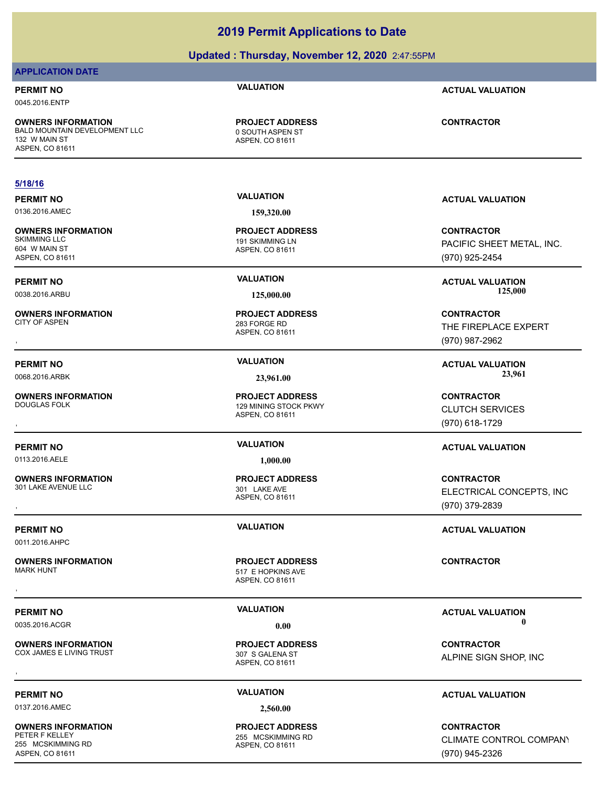## **Updated : Thursday, November 12, 2020** 2:47:55PM

## **APPLICATION DATE**

0045.2016.ENTP

**OWNERS INFORMATION** BALD MOUNTAIN DEVELOPMENT LLC 0 0 SOUTH ASPEN ST 132 W MAIN ST ASPEN, CO 81611

## **5/18/16**

**OWNERS INFORMATION** 604 W MAIN ST ASPEN, CO 81611

**OWNERS INFORMATION**

**OWNERS INFORMATION**

0113.2016.AELE **1,000.00**

**OWNERS INFORMATION** 301 LAKE AVENUE LLC 301 LAKE AVE

0011.2016.AHPC

**OWNERS INFORMATION**

**OWNERS INFORMATION** COX JAMES E LIVING TRUST **307 S GALENA ST** 

0137.2016.AMEC **2,560.00**

**OWNERS INFORMATION** 255 MCSKIMMING RD ASPEN, CO 81611

**PERMIT NO VALUATION ACTUAL VALUATION**

**CONTRACTOR**

ASPEN, CO 81611 **PROJECT ADDRESS**

0136.2016.AMEC **159,320.00**

ASPEN, CO 81611 191 SKIMMING LN **PROJECT ADDRESS**

ASPEN, CO 81611 283 FORGE RD **PROJECT ADDRESS**

ASPEN, CO 81611 129 MINING STOCK PKWY **PROJECT ADDRESS**

ASPEN, CO 81611 **PROJECT ADDRESS**

ASPEN, CO 81611 517 E HOPKINS AVE **PROJECT ADDRESS** , **CONTRACTOR**

ASPEN, CO 81611 **PROJECT ADDRESS**

ASPEN, CO 81611 255 MCSKIMMING RD **PROJECT ADDRESS**

**PERMIT NO VALUATION ACTUAL VALUATION**

**CONTRACTOR** PACIFIC SHEET METAL, INC. (970) 925-2454

**PERMIT NO VALUATION ACTUAL VALUATION** 0038.2016.ARBU **125,000.00 125,000.00**

, **CONTRACTOR** THE FIREPLACE EXPERT (970) 987-2962

**PERMIT NO VALUATION ACTUAL VALUATION** 0068.2016.ARBK **23,961.00 23,961.00**

, **CONTRACTOR** CLUTCH SERVICES (970) 618-1729

## **PERMIT NO VALUATION ACTUAL VALUATION**

, **CONTRACTOR** ELECTRICAL CONCEPTS, INC (970) 379-2839

**PERMIT NO VALUATION ACTUAL VALUATION**

**PERMIT NO VALUATION VALUATION VALUATION** 0035.2016.ACGR **0.00 0.00**

**OWNERS INFORMATION CONTRACTOR REPORT OF PROJECT ADDRESS CONTRACTOR CONTRACTOR**<br>COX JAMES E LIVING TRUST TRUST THE SIGN SHOP, INCREASE ASPEN, CO 81611<br>, ALPINE SIGN SHOP, INC

## **PERMIT NO VALUATION ACTUAL VALUATION**

**CONTRACTOR** CLIMATE CONTROL COMPANY (970) 945-2326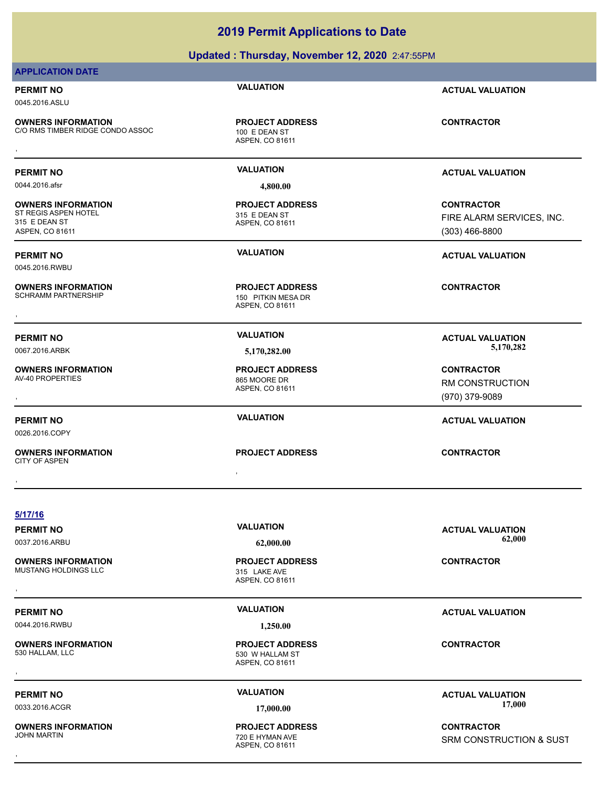**Updated : Thursday, November 12, 2020** 2:47:55PM

## **APPLICATION DATE**

0045.2016.ASLU

**OWNERS INFORMATION** C/O RMS TIMBER RIDGE CONDO ASSOC 100 E DEAN ST **OWNERS INFORMATION CONTRACTOR REGIST OF PROJECT ADDRESS CONTRACTOR CONTRACTOR**<br>C/O RMS TIMBER RIDGE CONDO ASSOC TO A SPEN, CO 81611<br>,

0044.2016.afsr **4,800.00**

**OWNERS INFORMATION** ST REGIS ASPEN HOTEL 315 E DEAN ST 315 E DEAN ST ASPEN, CO 81611

0045.2016.RWBU

**OWNERS INFORMATION**

**OWNERS INFORMATION** AV-40 PROPERTIES 865 MOORE DR

0026.2016.COPY

, **OWNERS INFORMATION** CITY OF ASPEN , **CONTRACTOR**

**OWNERS INFORMATION**

**OWNERS INFORMATION**

ASPEN, CO 81611 **PROJECT ADDRESS**

ASPEN, CO 81611 **PROJECT ADDRESS**

ASPEN, CO 81611 150 PITKIN MESA DR **PROJECT ADDRESS** , **CONTRACTOR**

**PROJECT ADDRESS**

**PERMIT NO VALUATION ACTUAL VALUATION**

## **PERMIT NO VALUATION ACTUAL VALUATION**

**CONTRACTOR** FIRE ALARM SERVICES, INC. (303) 466-8800

**PERMIT NO VALUATION ACTUAL VALUATION**

, **CONTRACTOR** RM CONSTRUCTION (970) 379-9089

**PERMIT NO VALUATION ACTUAL VALUATION**

**5/17/16**

## **PERMIT NO VALUATION ACTUAL VALUATION**

ASPEN, CO 81611 MUSTANG HOLDINGS LLC 315 LAKE AVE **PROJECT ADDRESS** , **CONTRACTOR**

0037.2016.ARBU **62,000.00 62,000.00**

## **PERMIT NO VALUATION ACTUAL VALUATION**

**OWNERS INFORMATION**

0044.2016.RWBU **1,250.00**

ASPEN, CO 81611 530 W HALLAM ST **PROJECT ADDRESS** , **CONTRACTOR**

ASPEN, CO 81611 720 E HYMAN AVE **PROJECT ADDRESS**

**PERMIT NO CONSUMITY OF A CONSUMITY OF A CONSUMITY OF A CONSUMITY OF A CTUAL VALUATION** 0033.2016.ACGR **17,000.00 17,000.00**

, **CONTRACTOR** SRM CONSTRUCTION & SUST

## PERMIT NO **SALUATION**<br>CALUATION **CONSIDER**<br>CALUATION CALUATION **CALUATION** 0067.2016.ARBK **5,170,282.00 5,170,282.00**

ASPEN, CO 81611

**PROJECT ADDRESS**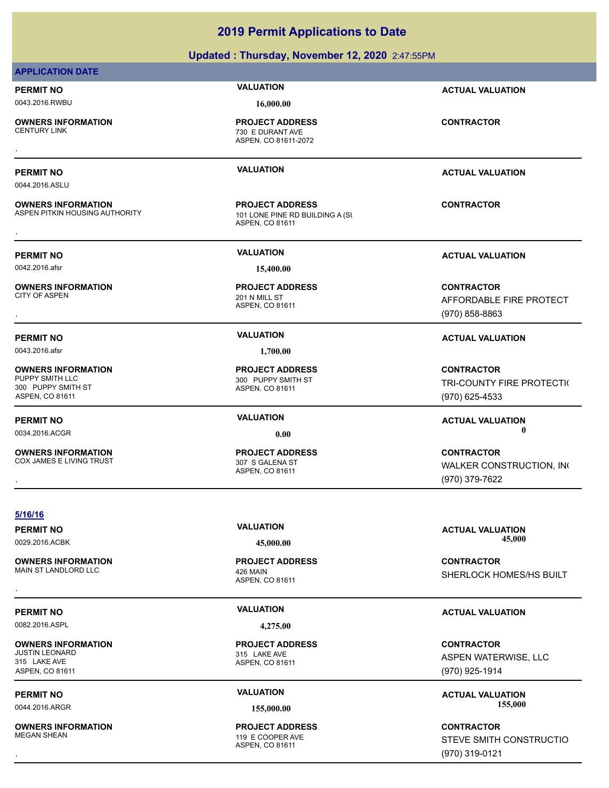| <b>APPLICATION DATE</b>                                                               |                                                                              |                                                                    |
|---------------------------------------------------------------------------------------|------------------------------------------------------------------------------|--------------------------------------------------------------------|
| <b>PERMIT NO</b>                                                                      | <b>VALUATION</b>                                                             | <b>ACTUAL VALUATION</b>                                            |
| 0043.2016.RWBU                                                                        | 16,000.00                                                                    |                                                                    |
| <b>OWNERS INFORMATION</b><br><b>CENTURY LINK</b>                                      | <b>PROJECT ADDRESS</b><br>730 E DURANT AVE<br>ASPEN, CO 81611-2072           | <b>CONTRACTOR</b>                                                  |
| <b>PERMIT NO</b><br>0044.2016.ASLU                                                    | <b>VALUATION</b>                                                             | <b>ACTUAL VALUATION</b>                                            |
| <b>OWNERS INFORMATION</b><br>ASPEN PITKIN HOUSING AUTHORITY                           | <b>PROJECT ADDRESS</b><br>101 LONE PINE RD BUILDING A (SI<br>ASPEN, CO 81611 | <b>CONTRACTOR</b>                                                  |
| <b>PERMIT NO</b>                                                                      | <b>VALUATION</b>                                                             | <b>ACTUAL VALUATION</b>                                            |
| 0042.2016.afsr                                                                        | 15,400.00                                                                    |                                                                    |
| <b>OWNERS INFORMATION</b><br><b>CITY OF ASPEN</b>                                     | <b>PROJECT ADDRESS</b><br>201 N MILL ST<br>ASPEN, CO 81611                   | <b>CONTRACTOR</b><br>AFFORDABLE FIRE PROTECT<br>$(970) 858 - 8863$ |
| <b>PERMIT NO</b>                                                                      | <b>VALUATION</b>                                                             | <b>ACTUAL VALUATION</b>                                            |
| 0043.2016.afsr                                                                        | 1,700.00                                                                     |                                                                    |
| <b>OWNERS INFORMATION</b><br>PUPPY SMITH LLC<br>300 PUPPY SMITH ST<br>ASPEN, CO 81611 | <b>PROJECT ADDRESS</b><br>300 PUPPY SMITH ST<br>ASPEN, CO 81611              | <b>CONTRACTOR</b><br>TRI-COUNTY FIRE PROTECTI(<br>(970) 625-4533   |
| <b>PERMIT NO</b>                                                                      | <b>VALUATION</b>                                                             | <b>ACTUAL VALUATION</b>                                            |
| 0034.2016.ACGR                                                                        | 0.00                                                                         | 0                                                                  |
| <b>OWNERS INFORMATION</b><br><b>COX JAMES E LIVING TRUST</b>                          | <b>PROJECT ADDRESS</b><br>307 S GALENA ST<br>ASPEN, CO 81611                 | <b>CONTRACTOR</b><br>WALKER CONSTRUCTION, INC<br>(970) 379-7622    |
| $\sim$                                                                                |                                                                              |                                                                    |

**5/16/16**

**OWNERS INFORMATION** MAIN ST LANDLORD LLC 426 MAIN

0082.2016.ASPL **4,275.00**

**OWNERS INFORMATION** 315 LAKE AVE ASPEN, CO 81611

**OWNERS INFORMATION**

ASPEN, CO 81611 **PROJECT ADDRESS**

ASPEN, CO 81611 315 LAKE AVE **PROJECT ADDRESS**

ASPEN, CO 81611 119 E COOPER AVE **PROJECT ADDRESS**

**PERMIT NO VALUATION ACTUAL VALUATION** 0029.2016.ACBK **45,000.00 45,000.00**

, **CONTRACTOR** SHERLOCK HOMES/HS BUILT

## **PERMIT NO VALUATION VALUATION VALUATION**

**CONTRACTOR** ASPEN WATERWISE, LLC (970) 925-1914

PERMIT NO<br> **VALUATION**<br>  $155,000,00$ <br>  $155,000,00$ <br>  $155,000,00$ 0044.2016.ARGR **155,000.00 155,000.00**

, **CONTRACTOR** STEVE SMITH CONSTRUCTIO (970) 319-0121

## **2019 Permit Applications to Date**

**Updated : Thursday, November 12, 2020** 2:47:55PM

## **APPLI**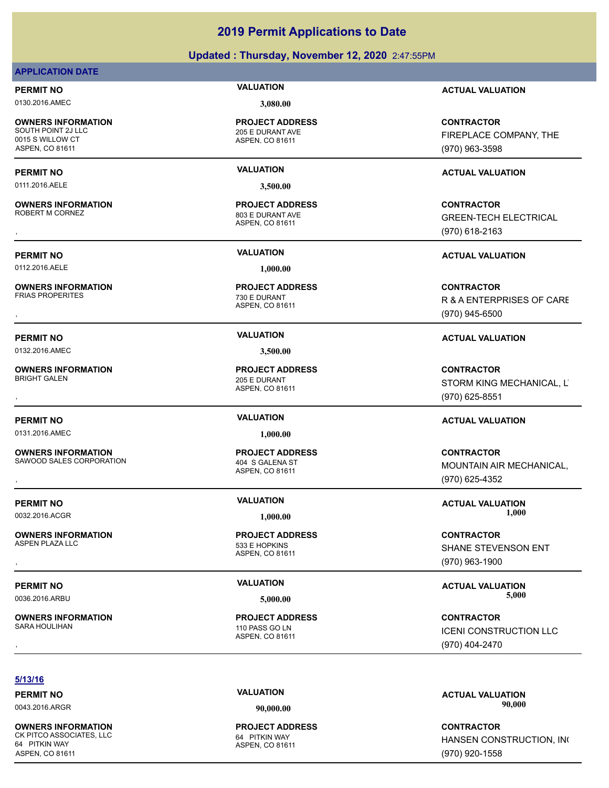## **Updated : Thursday, November 12, 2020** 2:47:55PM

## **APPLICATION DATE**

0130.2016.AMEC **3,080.00**

**OWNERS INFORMATION** 0015 S WILLOW CT ASPEN, CO 81611

0111.2016.AELE **3,500.00**

**OWNERS INFORMATION** ROBERT M CORNEZ 803 E DURANT AVE

0112.2016.AELE **1,000.00**

**OWNERS INFORMATION**

0132.2016.AMEC **3,500.00**

**OWNERS INFORMATION**

0131.2016.AMEC **1,000.00**

**OWNERS INFORMATION** SAWOOD SALES CORPORATION 404 S GALENA ST

**PERMIT NO VALUATION VALUATION VALUATION** 

**OWNERS INFORMATION** ASPEN PLAZA LLC<br>533 E HOPKINS

**OWNERS INFORMATION** SARA HOULIHAN 110 PASS GO LN

ASPEN, CO 81611 205 E DURANT AVE **PROJECT ADDRESS**

ASPEN, CO 81611 **PROJECT ADDRESS**

ASPEN, CO 81611 730 E DURANT **PROJECT ADDRESS**

ASPEN, CO 81611 205 E DURANT **PROJECT ADDRESS**

ASPEN, CO 81611 **PROJECT ADDRESS**

ASPEN, CO 81611 **PROJECT ADDRESS**

ASPEN, CO 81611 **PROJECT ADDRESS**

**PERMIT NO VALUATION ACTUAL VALUATION**

**CONTRACTOR** FIREPLACE COMPANY, THE (970) 963-3598

## **PERMIT NO VALUATION ACTUAL VALUATION**

, **CONTRACTOR** GREEN-TECH ELECTRICAL (970) 618-2163

## **PERMIT NO VALUATION ACTUAL VALUATION**

, **CONTRACTOR** R & A ENTERPRISES OF CARE (970) 945-6500

## **PERMIT NO VALUATION ACTUAL VALUATION**

, **CONTRACTOR** STORM KING MECHANICAL, LT (970) 625-8551

## **PERMIT NO VALUATION ACTUAL VALUATION**

, **CONTRACTOR** MOUNTAIN AIR MECHANICAL, (970) 625-4352

0032.2016.ACGR **1,000.00 1,000.00**

, **CONTRACTOR** SHANE STEVENSON ENT (970) 963-1900

**PERMIT NO VALUATION ACTUAL VALUATION** 0036.2016.ARBU **5,000.00 5,000.00**

, **CONTRACTOR** ICENI CONSTRUCTION LLC (970) 404-2470

## **5/13/16**

**OWNERS INFORMATION** CK PITCO ASSOCIATES, LLC 64 PITKIN WAY 64 PITKIN WAY ASPEN, CO 81611

ASPEN, CO 81611 **PROJECT ADDRESS**

**PERMIT NO CONSUMITY OF A CONSUMITY OF A CONSUMITY OF A CONSUMITY OF A CTUAL VALUATION** 0043.2016.ARGR **90,000.00 90,000.00**

> **CONTRACTOR** HANSEN CONSTRUCTION, INC (970) 920-1558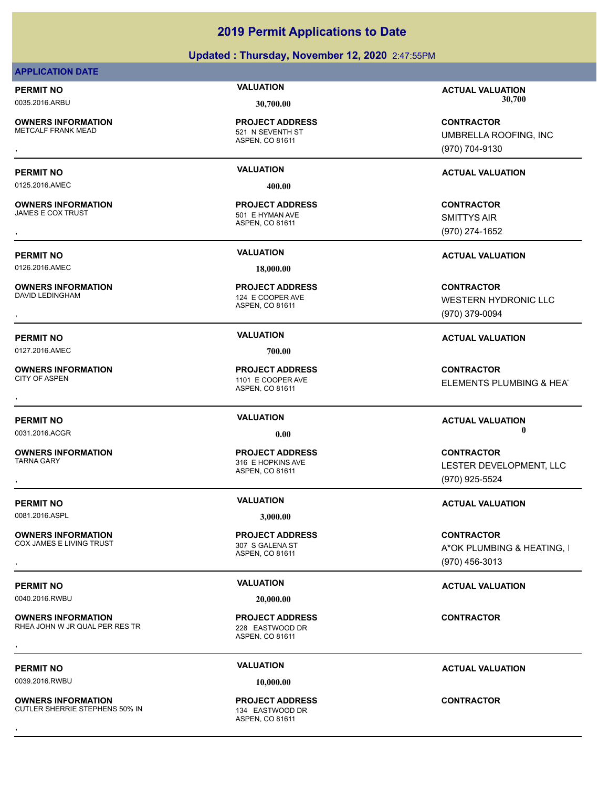## **Updated : Thursday, November 12, 2020** 2:47:55PM

## **APPLICATION DATE**

**OWNERS INFORMATION**

ASPEN, CO 81611 521 N SEVENTH ST

0125.2016.AMEC **400.00**

**OWNERS INFORMATION**

0126.2016.AMEC **18,000.00**

**OWNERS INFORMATION**<br>DAVID LEDINGHAM

0127.2016.AMEC **700.00**

**OWNERS INFORMATION**

**OWNERS INFORMATION** TARNA GARY **316 E HOPKINS AVE** 

0081.2016.ASPL **3,000.00**

**OWNERS INFORMATION** COX JAMES E LIVING TRUST 307 S GALENA ST

**OWNERS INFORMATION** RHEA JOHN W JR QUAL PER RES TR<br>228 EASTWOOD DR

0039.2016.RWBU **10,000.00**

**OWNERS INFORMATION** CUTLER SHERRIE STEPHENS 50% IN 134 EASTWOOD DR

**PROJECT ADDRESS**

ASPEN, CO 81611 501 E HYMAN AVE **PROJECT ADDRESS** , **CONTRACTOR**

ASPEN, CO 81611 124 E COOPER AVE **PROJECT ADDRESS**

ASPEN, CO 81611 1101 E COOPER AVE **PROJECT ADDRESS**

ASPEN, CO 81611

ASPEN, CO 81611 **PROJECT ADDRESS**

ASPEN, CO 81611 **PROJECT ADDRESS OWNERS INFORMATION CONTRACTOR RESOURDED BY A SERVICE PROJECT ADDRESS CONTRACTOR CONTRACTOR**<br>RHEA JOHN W JR QUAL PER RES TR<br>, ASPEN, CO 81611

ASPEN, CO 81611 **PROJECT ADDRESS** , **CONTRACTOR**

**PERMIT NO VALUATION ACTUAL VALUATION** 0035.2016.ARBU **30,700.00 30,700.00**

, **CONTRACTOR** UMBRELLA ROOFING, INC (970) 704-9130

## **PERMIT NO VALUATION ACTUAL VALUATION**

SMITTYS AIR (970) 274-1652

**PERMIT NO VALUATION ACTUAL VALUATION**

, **CONTRACTOR** WESTERN HYDRONIC LLC (970) 379-0094

## **PERMIT NO VALUATION ACTUAL VALUATION**

, **CONTRACTOR** ELEMENTS PLUMBING & HEAT

## **PERMIT NO VALUATION VALUATION VALUATION**

, **CONTRACTOR** LESTER DEVELOPMENT, LLC (970) 925-5524

## **PERMIT NO VALUATION VALUATION VALUATION**

**OWNERS INFORMATION PROJECT ADDRESS CONTRACTOR**<br>COX JAMES E LIVING TRUST 307 S GALENA ST A\*OK PLUMBING & HEATING, I<br>, ASPEN. CO 81611 A\*OK PLUMBING & HEATING, I (970) 456-3013

## **PERMIT NO VALUATION VALUATION VALUATION**

**PERMIT NO VALUATION ACTUAL VALUATION**

0040.2016.RWBU **20,000.00**

**PROJECT ADDRESS**

0031.2016.ACGR **0.00 0.00**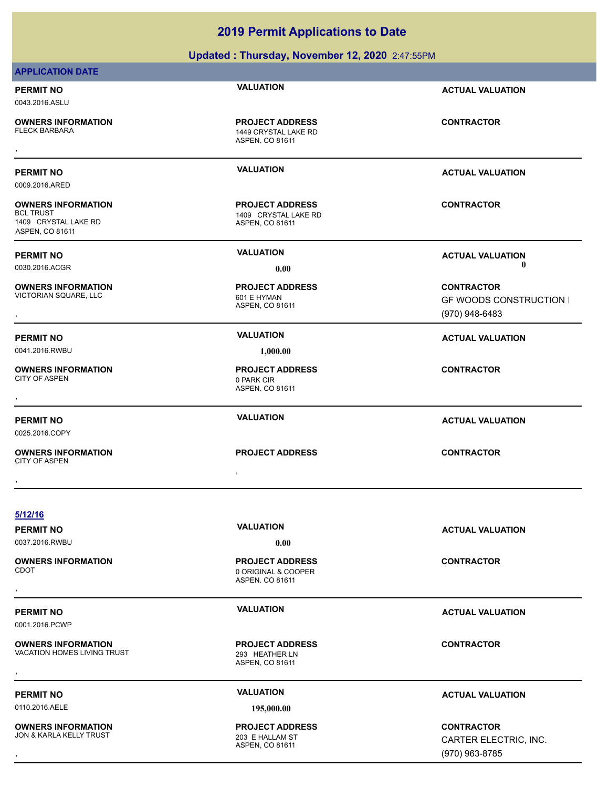|                                                                                   | <b>2019 Permit Applications to Date</b>                           |                                                                       |
|-----------------------------------------------------------------------------------|-------------------------------------------------------------------|-----------------------------------------------------------------------|
|                                                                                   | Updated: Thursday, November 12, 2020 2:47:55PM                    |                                                                       |
| <b>APPLICATION DATE</b>                                                           |                                                                   |                                                                       |
| <b>PERMIT NO</b><br>0043.2016.ASLU                                                | <b>VALUATION</b>                                                  | <b>ACTUAL VALUATION</b>                                               |
| OWNERS INFORMATION<br>FLECK BARBARA                                               | <b>PROJECT ADDRESS</b><br>1449 CRYSTAL LAKE RD<br>ASPEN, CO 81611 | <b>CONTRACTOR</b>                                                     |
| PERMIT NO<br>0009.2016.ARED                                                       | <b>VALUATION</b>                                                  | <b>ACTUAL VALUATION</b>                                               |
| <b>OWNERS INFORMATION</b><br>BCL TRUST<br>1409 CRYSTAL LAKE RD<br>ASPEN, CO 81611 | <b>PROJECT ADDRESS</b><br>1409 CRYSTAL LAKE RD<br>ASPEN, CO 81611 | <b>CONTRACTOR</b>                                                     |
| <b>PERMIT NO</b>                                                                  | <b>VALUATION</b>                                                  | <b>ACTUAL VALUATION</b>                                               |
| 0030.2016.ACGR                                                                    | 0.00                                                              | 0                                                                     |
| <b>OWNERS INFORMATION</b><br>VICTORIAN SQUARE, LLC                                | <b>PROJECT ADDRESS</b><br>601 E HYMAN<br>ASPEN, CO 81611          | <b>CONTRACTOR</b><br><b>GF WOODS CONSTRUCTION I</b><br>(970) 948-6483 |
| <b>PERMIT NO</b>                                                                  | <b>VALUATION</b>                                                  | <b>ACTUAL VALUATION</b>                                               |
| 0041.2016.RWBU                                                                    | 1,000.00                                                          |                                                                       |
| <b>OWNERS INFORMATION</b><br>CITY OF ASPEN                                        | <b>PROJECT ADDRESS</b><br>0 PARK CIR<br>ASPEN, CO 81611           | <b>CONTRACTOR</b>                                                     |
| <b>PERMIT NO</b><br>0025.2016.COPY                                                | <b>VALUATION</b>                                                  | <b>ACTUAL VALUATION</b>                                               |
| <b>OWNERS INFORMATION</b><br><b>CITY OF ASPEN</b>                                 | <b>PROJECT ADDRESS</b>                                            | <b>CONTRACTOR</b>                                                     |
|                                                                                   |                                                                   |                                                                       |
|                                                                                   |                                                                   |                                                                       |
| 5/12/16                                                                           |                                                                   |                                                                       |
| PERMIT NO                                                                         | <b>VALUATION</b>                                                  | <b>ACTUAL VALUATION</b>                                               |
| 0037.2016.RWBU                                                                    | 0.00                                                              |                                                                       |
| <b>OWNERS INFORMATION</b><br>CDOT                                                 | <b>PROJECT ADDRESS</b><br>0 ORIGINAL & COOPER<br>ASPEN, CO 81611  | <b>CONTRACTOR</b>                                                     |

**PERMIT NO VALUATION VALUATION ACTUAL VALUATION** 0001.2016.PCWP

 $\overline{\phantom{0}}$ 

 $\overline{a}$ 

 $\overline{\phantom{0}}$ 

**OWNERS INFORMATION** VACATION HOMES LIVING TRUST<br>VACATION HOMES LIVING TRUST 293 HEATHER LN **OWNERS INFORMATION CONTRACTOR RESOURCE PROJECT ADDRESS CONTRACTOR CONTRACTOR**<br>VACATION HOMES LIVING TRUST TRIST THE RESOURCE ASPEN, CO 81611<br>,

**OWNERS INFORMATION**

ASPEN, CO 81611

**PROJECT ADDRESS**

0110.2016.AELE **195,000.00**

ASPEN, CO 81611 JON & KARLA KELLY TRUST **203 E HALLAM ST PROJECT ADDRESS**

**PERMIT NO CONSUMITY ACTUAL VALUATION VALUATION ACTUAL VALUATION** 

, **CONTRACTOR** CARTER ELECTRIC, INC. (970) 963-8785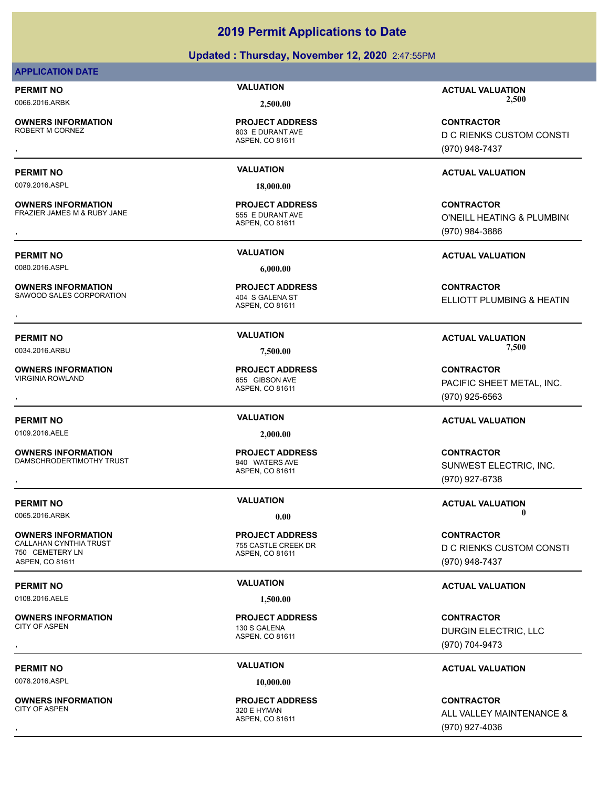## **Updated : Thursday, November 12, 2020** 2:47:55PM

## **APPLICATION DATE**

**OWNERS INFORMATION**

803 E DURANT AVE **PROJECT ADDRESS**

0079.2016.ASPL **18,000.00**

**OWNERS INFORMATION** FRAZIER JAMES M & RUBY JANE 555 E DURANT AVE

0080.2016.ASPL **6,000.00**

**OWNERS INFORMATION** SAWOOD SALES CORPORATION 404 S GALENA ST

**OWNERS INFORMATION** VIRGINIA ROWLAND 655 GIBSON AVE

0109.2016.AELE **2,000.00**

**OWNERS INFORMATION** DAMSCHRODERTIMOTHY TRUST FIND THE SAME MATERS AVE

**PERMIT NO VALUATION VALUATION VALUATION** 

**OWNERS INFORMATION** CALLAHAN CYNTHIA TRUST THE CONTROL OF THE CREEK OR CALLAHAN CYNTHIA TRUST 750 CEMETERY LN ASPEN, CO 81611

0108.2016.AELE **1,500.00**

**OWNERS INFORMATION** CITY OF ASPEN 130 S GALENA

0078.2016.ASPL **10,000.00**

**OWNERS INFORMATION** CITY OF ASPEN 320 E HYMAN

ASPEN, CO 81611

ASPEN, CO 81611 **PROJECT ADDRESS**

ASPEN, CO 81611 **PROJECT ADDRESS**

ASPEN, CO 81611 **PROJECT ADDRESS**

ASPEN, CO 81611 **PROJECT ADDRESS**

ASPEN, CO 81611 **PROJECT ADDRESS**

ASPEN, CO 81611 **PROJECT ADDRESS**

ASPEN, CO 81611 **PROJECT ADDRESS**

**PERMIT NO VALUATION ACTUAL VALUATION** 0066.2016.ARBK **2,500.00 2,500.00**

, **CONTRACTOR** D C RIENKS CUSTOM CONSTI (970) 948-7437

## **PERMIT NO VALUATION ACTUAL VALUATION**

, **CONTRACTOR** O'NEILL HEATING & PLUMBING (970) 984-3886

**PERMIT NO VALUATION ACTUAL VALUATION**

**OWNERS INFORMATION CONTRACTOR EXAMPLE IN THE PROJECT ADDRESS CONTRACTOR CONTRACTOR**<br>SAWOOD SALES CORPORATION FOR THE ASPEN, CO 81611<br>, **ELLIOTT PLUMBING & HEATIN** 

**PERMIT NO CONSUMITY OF A CONSUMITY OF A CONSUMITY OF A CONSUMITY OF A CTUAL VALUATION** 0034.2016.ARBU **7,500.00 7,500.00**

, **CONTRACTOR** PACIFIC SHEET METAL, INC. (970) 925-6563

## **PERMIT NO VALUATION ACTUAL VALUATION**

**OWNERS INFORMATION GOVERNED BY A SERVICE PROJECT ADDRESS ARE SERVICE CONTRACTOR CONTRACTOR**<br>DAMSCHRODERTIMOTHY TRUST TRUST THE SAME ASPEN, CO 81611 MATERS AVE SUNWEST ELECTRIC, INC.<br>, GOVERNED MASPER, CO 81611 MASPER (970 SUNWEST ELECTRIC, INC. (970) 927-6738

0065.2016.ARBK **0.00 0.00**

**CONTRACTOR** D C RIENKS CUSTOM CONSTI (970) 948-7437

## **PERMIT NO VALUATION VALUATION VALUATION**

, **CONTRACTOR** DURGIN ELECTRIC, LLC (970) 704-9473

## **PERMIT NO CONSUMITY OF A CONSUMITY OF A CONSUMITY OF A CONSUMITY OF A CTUAL VALUATION**

, **CONTRACTOR** ALL VALLEY MAINTENANCE & (970) 927-4036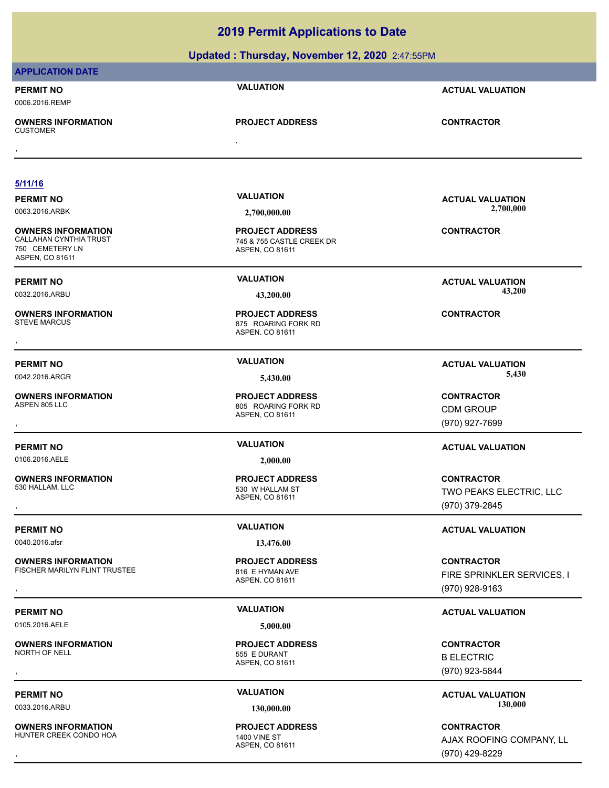**Updated : Thursday, November 12, 2020** 2:47:55PM

| <b>APPLICATION DATE</b>                                                                   |                                                                        |                                    |
|-------------------------------------------------------------------------------------------|------------------------------------------------------------------------|------------------------------------|
| <b>PERMIT NO</b>                                                                          | <b>VALUATION</b>                                                       | <b>ACTUAL VALUATION</b>            |
| 0006.2016.REMP                                                                            |                                                                        |                                    |
| <b>OWNERS INFORMATION</b><br><b>CUSTOMER</b>                                              | <b>PROJECT ADDRESS</b>                                                 | <b>CONTRACTOR</b>                  |
|                                                                                           | $\cdot$                                                                |                                    |
|                                                                                           |                                                                        |                                    |
| 5/11/16                                                                                   |                                                                        |                                    |
| <b>PERMIT NO</b>                                                                          | <b>VALUATION</b>                                                       | <b>ACTUAL VALUATION</b>            |
| 0063.2016.ARBK                                                                            | 2,700,000.00                                                           | 2,700,000                          |
| <b>OWNERS INFORMATION</b><br>CALLAHAN CYNTHIA TRUST<br>750 CEMETERY LN<br>ASPEN, CO 81611 | <b>PROJECT ADDRESS</b><br>745 & 755 CASTLE CREEK DR<br>ASPEN, CO 81611 | <b>CONTRACTOR</b>                  |
| <b>PERMIT NO</b>                                                                          | <b>VALUATION</b>                                                       | <b>ACTUAL VALUATION</b>            |
| 0032.2016.ARBU                                                                            | 43,200.00                                                              | 43,200                             |
| <b>OWNERS INFORMATION</b><br><b>STEVE MARCUS</b>                                          | <b>PROJECT ADDRESS</b><br>875 ROARING FORK RD<br>ASPEN, CO 81611       | <b>CONTRACTOR</b>                  |
| <b>PERMIT NO</b>                                                                          | <b>VALUATION</b>                                                       | <b>ACTUAL VALUATION</b>            |
| 0042.2016.ARGR                                                                            | 5,430.00                                                               | 5,430                              |
| <b>OWNERS INFORMATION</b>                                                                 | <b>PROJECT ADDRESS</b>                                                 | <b>CONTRACTOR</b>                  |
| ASPEN 805 LLC                                                                             | 805 ROARING FORK RD                                                    | <b>CDM GROUP</b>                   |
|                                                                                           | ASPEN, CO 81611                                                        | (970) 927-7699                     |
| <b>PERMIT NO</b>                                                                          | <b>VALUATION</b>                                                       | <b>ACTUAL VALUATION</b>            |
| 0106.2016.AELE                                                                            | 2,000.00                                                               |                                    |
| <b>OWNERS INFORMATION</b>                                                                 | <b>PROJECT ADDRESS</b>                                                 | <b>CONTRACTOR</b>                  |
| 530 HALLAM, LLC                                                                           | 530 W HALLAM ST                                                        | TWO PEAKS ELECTRIC, LLC            |
| $\cdot$                                                                                   | ASPEN, CO 81611                                                        | (970) 379-2845                     |
| <b>PERMIT NO</b>                                                                          | <b>VALUATION</b>                                                       | <b>ACTUAL VALUATION</b>            |
| 0040.2016.afsr                                                                            | 13,476.00                                                              |                                    |
| <b>OWNERS INFORMATION</b>                                                                 | <b>PROJECT ADDRESS</b>                                                 | <b>CONTRACTOR</b>                  |
| FISCHER MARILYN FLINT TRUSTEE                                                             | 816 E HYMAN AVE                                                        | FIRE SPRINKLER SERVICES, I         |
|                                                                                           | ASPEN, CO 81611                                                        | (970) 928-9163                     |
| <b>PERMIT NO</b>                                                                          | <b>VALUATION</b>                                                       | <b>ACTUAL VALUATION</b>            |
| 0105.2016.AELE                                                                            | 5,000.00                                                               |                                    |
| <b>OWNERS INFORMATION</b>                                                                 | <b>PROJECT ADDRESS</b>                                                 | <b>CONTRACTOR</b>                  |
| NORTH OF NELL                                                                             | 555 E DURANT                                                           | <b>B ELECTRIC</b>                  |
|                                                                                           | ASPEN, CO 81611                                                        | (970) 923-5844                     |
|                                                                                           | <b>VALUATION</b>                                                       |                                    |
| <b>PERMIT NO</b><br>0033.2016.ARBU                                                        | 130,000.00                                                             | <b>ACTUAL VALUATION</b><br>130,000 |
|                                                                                           |                                                                        |                                    |
| <b>OWNERS INFORMATION</b><br>HUNTER CREEK CONDO HOA                                       | <b>PROJECT ADDRESS</b><br><b>1400 VINE ST</b>                          | <b>CONTRACTOR</b>                  |
|                                                                                           | ASPEN, CO 81611                                                        | AJAX ROOFING COMPANY, LL           |
|                                                                                           |                                                                        | (970) 429-8229                     |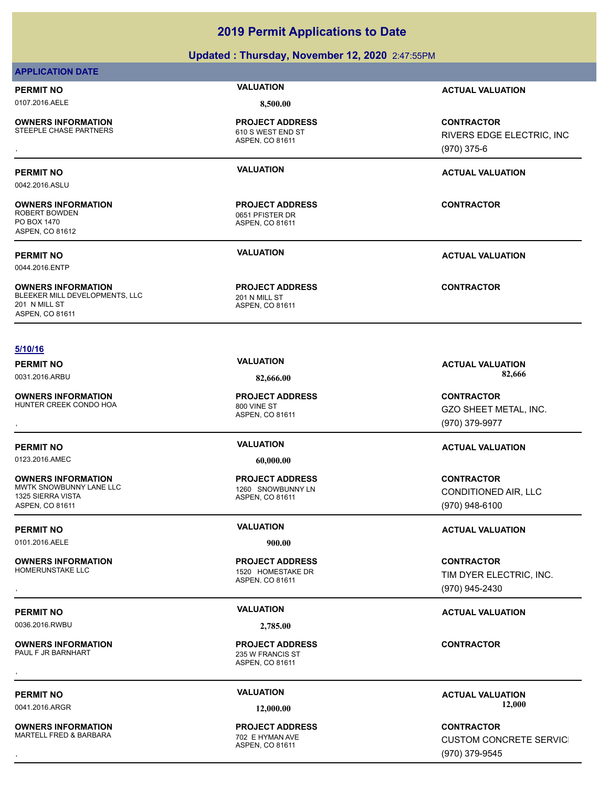### **Updated : Thursday, November 12, 2020** 2:47:55PM

### **APPLICATION DATE**

**OWNERS INFORMATION**

## 0107.2016.AELE **8,500.00**

ASPEN, CO 81611 610 S WEST END ST **PROJECT ADDRESS**

ASPEN, CO 81611 0651 PFISTER DR **PROJECT ADDRESS**

ASPEN, CO 81611 **PROJECT ADDRESS**

**PERMIT NO VALUATION ACTUAL VALUATION**

**OWNERS INFORMATION GOVERNEY ARE SERVED BY A SPECIF ADDRESS CONTRACTOR CONTRACTOR**<br>STEEPLE CHASE PARTNERS FOR THE STATE OF THE STATE OF THE STATE OF THE STATE OF THE STATE OF THE STATE OF THE S<br>TEEPLE CHASE PARTNERS FOR TH RIVERS EDGE ELECTRIC, INC (970) 375-6

### **PERMIT NO VALUATION ACTUAL VALUATION**

**CONTRACTOR**

**PERMIT NO VALUATION ACTUAL VALUATION**

**CONTRACTOR**

0031.2016.ARBU **82,666.00 82,666.00**

**OWNERS INFORMATION GOVERNED BY A SERVICE PROJECT ADDRESS ARE:** CONTRACTOR CONTRACTOR<br>BOO VINE ST GZO SHEET METAL, INC.<br>, GZO SHEET METAL, INC. ASPEN. CO 81611 GZO SHEET METAL, INC. (970) 379-9977

### **CONTRACTOR** CONDITIONED AIR, LLC (970) 948-6100

**PERMIT NO VALUATION ACTUAL VALUATION**

, **CONTRACTOR** TIM DYER ELECTRIC, INC. (970) 945-2430

### **PERMIT NO VALUATION ACTUAL VALUATION**

**PERMIT NO CONSUMITY OF A CONSUMITY OF A CONSUMITY OF A CONSUMITY OF A CTUAL VALUATION** 0041.2016.ARGR **12,000.00 12,000.00**

**OWNERS INFORMATION PROJECT ADDRESS CONTRACTOR**<br>MARTELL FRED & BARBARA 702 E HYMAN AVE CUSTOM CONCRETE SERVICI<br>, ASPEN. CO 81611 **CUSTOM CONCRETE SERVICI** (970) 379-9545

**OWNERS INFORMATION** PO BOX 1470 ASPEN, CO 81612

0042.2016.ASLU

0044.2016.ENTP

**OWNERS INFORMATION** BLEEKER MILL DEVELOPMENTS, LLC<br>
201 N MILL ST 201 N MILL ST ASPEN, CO 81611

### **5/10/16**

**PERMIT NO VALUATION ACTUAL VALUATION**

**OWNERS INFORMATION** HUNTER CREEK CONDO HOA 800 VINE ST

**PERMIT NO VALUATION ACTUAL VALUATION**

**OWNERS INFORMATION**

MWTK SNOWBUNNY LANE LLC 1260 SNOWBUNNY LN 1325 SIERRA VISTA ASPEN, CO 81611

0101.2016.AELE **900.00**

**OWNERS INFORMATION**

0036.2016.RWBU **2,785.00**

**OWNERS INFORMATION**

**OWNERS INFORMATION** MARTELL FRED & BARBARA 702 E HYMAN AVE

ASPEN, CO 81611 **PROJECT ADDRESS**

ASPEN, CO 81611

ASPEN, CO 81611 1520 HOMESTAKE DR

ASPEN, CO 81611 **PROJECT ADDRESS**

0123.2016.AMEC **60,000.00**

**PROJECT ADDRESS**

**PROJECT ADDRESS**

ASPEN, CO 81611 235 W FRANCIS ST **PROJECT ADDRESS** , **CONTRACTOR**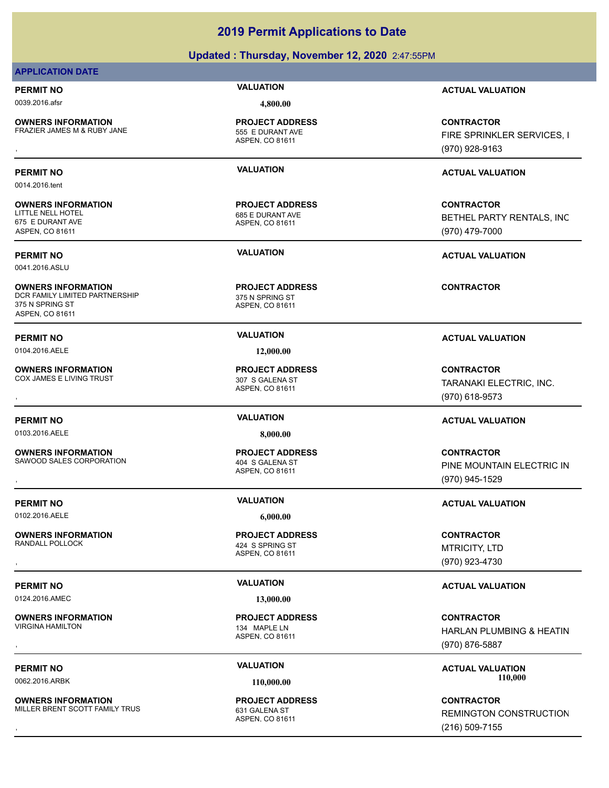### **Updated : Thursday, November 12, 2020** 2:47:55PM

### **APPLICATION DATE**

0039.2016.afsr **4,800.00**

0014.2016.tent

675 E DURANT AVE ASPEN, CO 81611

0041.2016.ASLU

375 N SPRING ST ASPEN, CO 81611

**OWNERS INFORMATION** FRAZIER JAMES M & RUBY JANE 555 E DURANT AVE

**OWNERS INFORMATION**

**OWNERS INFORMATION**

ASPEN, CO 81611 **PROJECT ADDRESS**

ASPEN, CO 81611 685 E DURANT AVE **PROJECT ADDRESS**

ASPEN, CO 81611 DCR FAMILY LIMITED PARTNERSHIP 375 N SPRING ST **PROJECT ADDRESS**

0104.2016.AELE **12,000.00**

ASPEN, CO 81611 COX JAMES E LIVING TRUST **307 S GALENA ST PROJECT ADDRESS**

ASPEN, CO 81611 **PROJECT ADDRESS**

ASPEN, CO 81611 424 S SPRING ST **PROJECT ADDRESS**

ASPEN, CO 81611 **PROJECT ADDRESS**

### ASPEN, CO 81611 **PROJECT ADDRESS**

**PERMIT NO VALUATION ACTUAL VALUATION**

, **CONTRACTOR** FIRE SPRINKLER SERVICES, I (970) 928-9163

### **PERMIT NO VALUATION ACTUAL VALUATION**

**CONTRACTOR** BETHEL PARTY RENTALS, INC (970) 479-7000

**PERMIT NO VALUATION ACTUAL VALUATION**

**CONTRACTOR**

### **PERMIT NO VALUATION ACTUAL VALUATION**

**OWNERS INFORMATION GOVERNED BY A SERVICE PROJECT ADDRESS ARE SERVICE CONTRACTOR**<br>COX JAMES E LIVING TRUST TRUST TRUST ASPEN, CO 81611<br>, GOVERNED MEDIA ASPEN, CO 81611 TARANAKI ELECTRIC, INC. (970) 618-9573

### **PERMIT NO VALUATION ACTUAL VALUATION**

, **CONTRACTOR** PINE MOUNTAIN ELECTRIC IN (970) 945-1529

### **PERMIT NO VALUATION VALUATION VALUATION**

, **CONTRACTOR** MTRICITY, LTD (970) 923-4730

### **PERMIT NO VALUATION VALUATION VALUATION**

, **CONTRACTOR** HARLAN PLUMBING & HEATIN (970) 876-5887

PERMIT NO **SALUATION VALUATION VALUATION ACTUAL VALUATION ACTUAL VALUATION** 0062.2016.ARBK **110,000.00 110,000.00**

**OWNERS INFORMATION METALLY TRUS ASSUME TO A PROJECT ADDRESS ARE SERVICE CONTRACTOR CONTRACTOR CONSTRUCTION MILLER BRENT SCOTT FAMILY TRUS ASPEN. CO 81611<br>MILLER BRENT SCOTT FAMILY TRUS AND TRUSH ASPEN. CO 81611 ASPEN A CO** REMINGTON CONSTRUCTION (216) 509-7155

**OWNERS INFORMATION**

0103.2016.AELE **8,000.00**

**OWNERS INFORMATION** SAWOOD SALES CORPORATION 404 S GALENA ST

0102.2016.AELE **6,000.00**

**OWNERS INFORMATION**

0124.2016.AMEC **13,000.00**

**OWNERS INFORMATION** VIRGINA HAMILTON 134 MAPLE LN

**OWNERS INFORMATION** MILLER BRENT SCOTT FAMILY TRUS 631 GALENA ST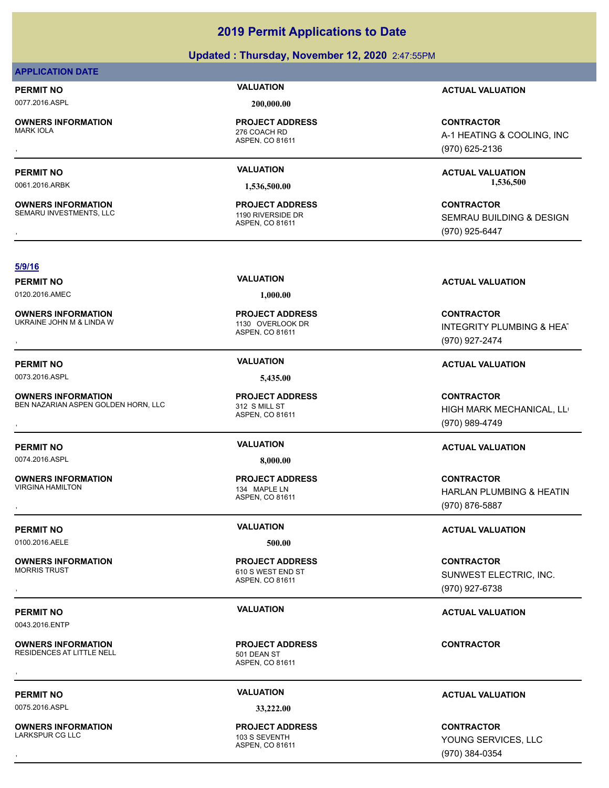### **Updated : Thursday, November 12, 2020** 2:47:55PM

### **APPLICATION DATE**

0077.2016.ASPL **200,000.00**

**OWNERS INFORMATION**

**OWNERS INFORMATION** SEMARU INVESTMENTS, LLC 1190 RIVERSIDE DR

ASPEN, CO 81611 276 COACH RD **PROJECT ADDRESS**

ASPEN, CO 81611 **PROJECT ADDRESS**

**PERMIT NO VALUATION ACTUAL VALUATION**

, **CONTRACTOR** A-1 HEATING & COOLING, INC. (970) 625-2136

**PERMIT NO VALUATION ACTUAL VALUATION** 0061.2016.ARBK **1,536,500.00 1,536,500.00**

**OWNERS INFORMATION PROJECT ADDRESS CONTRACTOR**<br>SEMARU INVESTMENTS, LLC 1190 RIVERSIDE DR SEMRAU BUILDING & DESIGN<br>, ASPEN. CO 81611 SEMRAU BUILDING & DESIGN (970) 925-6447

### **5/9/16**

0120.2016.AMEC **1,000.00**

**OWNERS INFORMATION** UKRAINE JOHN M & LINDA W 1130 OVERLOOK DR

0073.2016.ASPL **5,435.00**

**OWNERS INFORMATION** BEN NAZARIAN ASPEN GOLDEN HORN, LLC 312 S MILL ST

0074.2016.ASPL **8,000.00**

**OWNERS INFORMATION**<br>VIRGINA HAMILTON

0100.2016.AELE **500.00**

**OWNERS INFORMATION**

0043.2016.ENTP

**OWNERS INFORMATION** RESIDENCES AT LITTLE NELL 501 DEAN ST

0075.2016.ASPL **33,222.00**

**OWNERS INFORMATION** LARKSPUR CG LLC 103 S SEVENTH

ASPEN, CO 81611 **PROJECT ADDRESS**

ASPEN, CO 81611 **PROJECT ADDRESS**

ASPEN, CO 81611 134 MAPLE LN **PROJECT ADDRESS**

ASPEN, CO 81611 610 S WEST END ST **PROJECT ADDRESS**

ASPEN, CO 81611 **PROJECT ADDRESS OWNERS INFORMATION GENERAL SERVICE PROJECT ADDRESS ARE SERVICE CONTRACTOR CONTRACTOR**<br>RESIDENCES AT LITTLE NELL **ASPEN DE ASPEN CO 81611**<br>,

ASPEN, CO 81611 **PROJECT ADDRESS**

### **PERMIT NO VALUATION ACTUAL VALUATION**

**OWNERS INFORMATION PROJECT ADDRESS CONTRACTOR**<br>UKRAINE JOHN M & LINDA W 1130 OVERLOOK DR INTEGRITY PLUMBING & HEAT<br>, ASPEN, CO 81611 INTEGRITY PLUMBING & HEAT (970) 927-2474

### **PERMIT NO VALUATION ACTUAL VALUATION**

**OWNERS INFORMATION FROJECT ADDRESS ARE SERVICE ONTRACTOR CONTRACTOR**<br>BEN NAZARIAN ASPEN GOLDEN HORN, LLC ASPEN. CO 81611 ASPEN. CO 81611 FROJECT ADDRESS ARE SERVICE ON THE ASPEN. CO 81611<br>The Service of ASPEN. CO 81611 AS HIGH MARK MECHANICAL, LL (970) 989-4749

### **PERMIT NO VALUATION ACTUAL VALUATION**

, **CONTRACTOR** HARLAN PLUMBING & HEATIN (970) 876-5887

### **PERMIT NO VALUATION ACTUAL VALUATION**

, **CONTRACTOR** SUNWEST ELECTRIC, INC. (970) 927-6738

### **PERMIT NO VALUATION ACTUAL VALUATION**

### **PERMIT NO VALUATION ACTUAL VALUATION**

, **CONTRACTOR** YOUNG SERVICES, LLC (970) 384-0354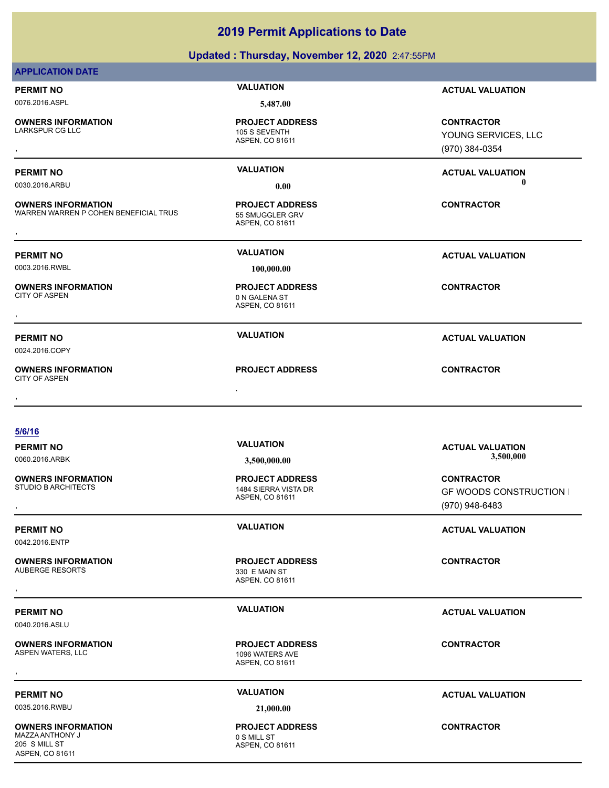|                                                                    | Updated: Thursday, November 12, 2020 2:47:55PM               |                                |
|--------------------------------------------------------------------|--------------------------------------------------------------|--------------------------------|
| <b>APPLICATION DATE</b>                                            |                                                              |                                |
| <b>PERMIT NO</b>                                                   | <b>VALUATION</b>                                             | <b>ACTUAL VALUATION</b>        |
| 0076.2016.ASPL                                                     | 5,487.00                                                     |                                |
| <b>OWNERS INFORMATION</b>                                          | <b>PROJECT ADDRESS</b>                                       | <b>CONTRACTOR</b>              |
| <b>LARKSPUR CG LLC</b>                                             | 105 S SEVENTH<br>ASPEN, CO 81611                             | YOUNG SERVICES, LLC            |
|                                                                    |                                                              | (970) 384-0354                 |
| <b>PERMIT NO</b>                                                   | <b>VALUATION</b>                                             | <b>ACTUAL VALUATION</b>        |
| 0030.2016.ARBU                                                     | 0.00                                                         | 0                              |
| <b>OWNERS INFORMATION</b><br>WARREN WARREN P COHEN BENEFICIAL TRUS | <b>PROJECT ADDRESS</b><br>55 SMUGGLER GRV<br>ASPEN, CO 81611 | <b>CONTRACTOR</b>              |
| <b>PERMIT NO</b>                                                   | <b>VALUATION</b>                                             | <b>ACTUAL VALUATION</b>        |
| 0003.2016.RWBL                                                     | 100,000.00                                                   |                                |
| <b>OWNERS INFORMATION</b><br><b>CITY OF ASPEN</b>                  | <b>PROJECT ADDRESS</b><br>0 N GALENA ST<br>ASPEN, CO 81611   | <b>CONTRACTOR</b>              |
|                                                                    |                                                              |                                |
| <b>PERMIT NO</b><br>0024.2016.COPY                                 | <b>VALUATION</b>                                             | <b>ACTUAL VALUATION</b>        |
| <b>OWNERS INFORMATION</b><br><b>CITY OF ASPEN</b>                  | <b>PROJECT ADDRESS</b>                                       | <b>CONTRACTOR</b>              |
|                                                                    |                                                              |                                |
| 5/6/16                                                             |                                                              |                                |
| <b>PERMIT NO</b>                                                   | <b>VALUATION</b>                                             | <b>ACTUAL VALUATION</b>        |
| 0060.2016.ARBK                                                     | 3,500,000.00                                                 | 3,500,000                      |
| <b>OWNERS INFORMATION</b>                                          | <b>PROJECT ADDRESS</b>                                       | <b>CONTRACTOR</b>              |
| <b>STUDIO B ARCHITECTS</b>                                         | 1484 SIERRA VISTA DR<br>ASPEN, CO 81611                      | <b>GF WOODS CONSTRUCTION I</b> |
|                                                                    |                                                              | (970) 948-6483                 |
| <b>PERMIT NO</b><br>0042.2016.ENTP                                 | <b>VALUATION</b>                                             | <b>ACTUAL VALUATION</b>        |
| <b>OWNERS INFORMATION</b><br>AUBERGE RESORTS                       | <b>PROJECT ADDRESS</b><br>330 E MAIN ST                      | <b>CONTRACTOR</b>              |
|                                                                    | ASPEN, CO 81611                                              |                                |
| <b>PERMIT NO</b><br>0040.2016.ASLU                                 | <b>VALUATION</b>                                             | <b>ACTUAL VALUATION</b>        |
| <b>OWNERS INFORMATION</b><br>ASPEN WATERS, LLC                     | <b>PROJECT ADDRESS</b><br>1096 WATERS AVE<br>ASPEN, CO 81611 | <b>CONTRACTOR</b>              |
|                                                                    |                                                              |                                |
| <b>PERMIT NO</b>                                                   | <b>VALUATION</b>                                             | <b>ACTUAL VALUATION</b>        |
| 0035.2016.RWBU                                                     | 21,000.00                                                    |                                |
| <b>OWNERS INFORMATION</b>                                          | <b>PROJECT ADDRESS</b>                                       | <b>CONTRACTOR</b>              |

**OWNERS INFORMATION** MAZZA ANTHONY JUST AND STATES ON STATES ON STATES ON STATES ON STATES ON STATES ON STATES ON STATES ON STATES ON STATES ON STATES ON STATES ON STATES ON STATES ON STATES ON STATES ON STATES ON STATES ON STATES ON STATES ON 205 S MILL ST ASPEN, CO 81611

ASPEN, CO 81611 **PROJECT ADDRESS**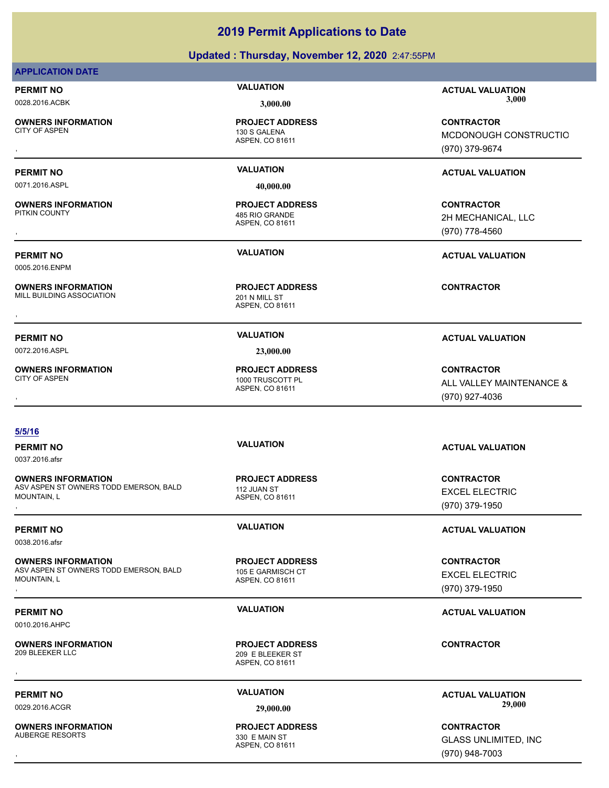### **Updated : Thursday, November 12, 2020** 2:47:55PM

### **APPLICATION DATE**

**OWNERS INFORMATION**

130 S GALENA **PROJECT ADDRESS**

0071.2016.ASPL **40,000.00**

**OWNERS INFORMATION**

0005.2016.ENPM

**OWNERS INFORMATION** MILL BUILDING ASSOCIATION 201 N MILL ST

0072.2016.ASPL **23,000.00**

**OWNERS INFORMATION**

ASPEN, CO 81611

ASPEN, CO 81611 485 RIO GRANDE **PROJECT ADDRESS**

ASPEN, CO 81611 **PROJECT ADDRESS OWNERS INFORMATION GOVERNED BY A SERVICE PROJECT ADDRESS ARE:**<br>MILL BUILDING ASSOCIATION GOVERNED ASPEN, CO 81611<br>,

ASPEN, CO 81611 1000 TRUSCOTT PL **PROJECT ADDRESS**

**PERMIT NO VALUATION ACTUAL VALUATION** 0028.2016.ACBK **3,000.00 3,000.00**

, **CONTRACTOR** MCDONOUGH CONSTRUCTIO (970) 379-9674

### **PERMIT NO VALUATION ACTUAL VALUATION**

, **CONTRACTOR** 2H MECHANICAL, LLC (970) 778-4560

**PERMIT NO VALUATION ACTUAL VALUATION**

### **PERMIT NO VALUATION ACTUAL VALUATION**

, **CONTRACTOR** ALL VALLEY MAINTENANCE & (970) 927-4036

### **5/5/16**

0037.2016.afsr

**OWNERS INFORMATION** ASV ASPEN ST OWNERS TODD EMERSON, BALD MOUNTAIN, L **OWNERS INFORMATION DEMERSON, BALD REGULAR PROJECT ADDRESS ARE SONTRACTOR CONTRACTOR CONTRACTOR ASPEN CONTRACTOR**<br>ASV ASPEN ST OWNERS TODD EMERSON, BALD 112 JUAN ST **ASPEN, CO 81611** POUNTAIN, L<br>MOUNTAIN, L (970) 379-1950

0038.2016.afsr

**OWNERS INFORMATION** ASV ASPEN ST OWNERS TODD EMERSON, BALD MOUNTAIN, L **OWNERS INFORMATION DEMERSON, BALD REGULAR PROJECT ADDRESS ARE SONTRACTOR CONTRACTOR CONTRACTOR**<br>ASV ASPEN ST OWNERS TODD EMERSON, BALD 195 E GARMISCH CT ASPEN. CO 81611<br>MOUNTAIN, LAND REGULAR DESPEN. CO 81611<br>, Examples 1

0010.2016.AHPC

**OWNERS INFORMATION**

ASPEN, CO 81611 112 JUAN ST **PROJECT ADDRESS**

ASPEN, CO 81611 105 E GARMISCH CT **PROJECT ADDRESS**

ASPEN, CO 81611 , **CONTRACTOR**

ASPEN, CO 81611 **PROJECT ADDRESS**

**PERMIT NO VALUATION ACTUAL VALUATION**

EXCEL ELECTRIC (970) 379-1950

### **PERMIT NO VALUATION ACTUAL VALUATION**

EXCEL ELECTRIC (970) 379-1950

### **PERMIT NO VALUATION ACTUAL VALUATION**

**PERMIT NO CONSUMITY OF A CONSUMITY OF A CONSUMITY OF A CONSUMITY OF A CTUAL VALUATION** 0029.2016.ACGR **29,000.00 29,000.00**

, **CONTRACTOR** GLASS UNLIMITED, INC (970) 948-7003

**OWNERS INFORMATION** AUBERGE RESORTS 330 F MAIN ST



209 E BLEEKER ST **PROJECT ADDRESS**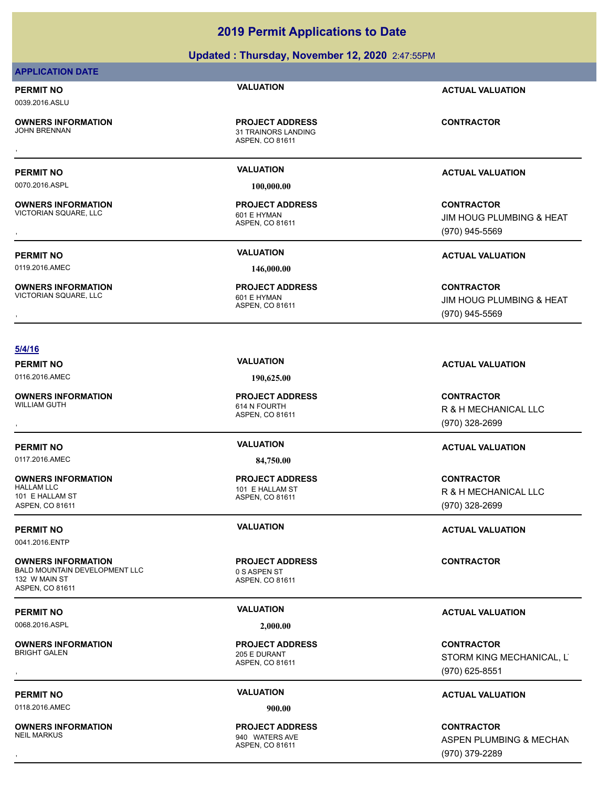### **Updated : Thursday, November 12, 2020** 2:47:55PM

### **APPLICATION DATE**

## **PERMIT NO VALUATION ACTUAL VALUATION**

0039.2016.ASLU

**OWNERS INFORMATION**

ASPEN, CO 81611 31 TRAINORS LANDING **PROJECT ADDRESS** , **CONTRACTOR**

0070.2016.ASPL **100,000.00**

**OWNERS INFORMATION** VICTORIAN SQUARE, LLC<br>VICTORIAN SQUARE, LLC 601 E HYMAN

0119.2016.AMEC **146,000.00**

**OWNERS INFORMATION** VICTORIAN SQUARE, LLC 601 E HYMAN

ASPEN, CO 81611 **PROJECT ADDRESS**

ASPEN, CO 81611 **PROJECT ADDRESS**

### **PERMIT NO VALUATION ACTUAL VALUATION**

**OWNERS INFORMATION PROJECT ADDRESS CONTRACTOR**<br>VICTORIAN SQUARE, LLC 601 E HYMAN JIM HOUG PLUMBING & HEAT<br>, ASPEN. CO 81611 JIM HOUG PLUMBING & HEAT (970) 945-5569

**PERMIT NO VALUATION ACTUAL VALUATION**

**OWNERS INFORMATION PROJECT ADDRESS CONTRACTOR**<br>VICTORIAN SQUARE, LLC 601 E HYMAN JIM HOUG PLUMBING & HEAT<br>, ASPEN, CO 81611 JIM HOUG PLUMBING & HEAT (970) 945-5569

### **5/4/16**

0116.2016.AMEC **190,625.00**

**OWNERS INFORMATION**

0117.2016.AMEC **84,750.00**

**OWNERS INFORMATION** 101 E HALLAM ST ASPEN, CO 81611

0041.2016.ENTP

**OWNERS INFORMATION** BALD MOUNTAIN DEVELOPMENT LLC 0 S ASPEN ST 132 W MAIN ST ASPEN, CO 81611

0068.2016.ASPL **2,000.00**

**OWNERS INFORMATION**

0118.2016.AMEC **900.00**

**OWNERS INFORMATION**

ASPEN, CO 81611 614 N FOURTH **PROJECT ADDRESS**

ASPEN, CO 81611 101 E HALLAM ST **PROJECT ADDRESS**

ASPEN, CO 81611 **PROJECT ADDRESS**

ASPEN, CO 81611 205 E DURANT **PROJECT ADDRESS**

ASPEN, CO 81611 040 WATERS AVE **PROJECT ADDRESS**

**PERMIT NO VALUATION VALUATION VALUATION** 

**OWNERS INFORMATION PROJECT ADDRESS CONTRACTOR**<br>WILLIAM GUTH 614 N FOURTH R & H MECHANICAL LLC<br>, ASPEN. CO 81611 (97 R & H MECHANICAL LLC (970) 328-2699

### **PERMIT NO VALUATION ACTUAL VALUATION**

**CONTRACTOR** R & H MECHANICAL LLC (970) 328-2699

**PERMIT NO VALUATION ACTUAL VALUATION**

**CONTRACTOR**

### **PERMIT NO VALUATION ACTUAL VALUATION**

, **CONTRACTOR** STORM KING MECHANICAL, LT (970) 625-8551

### **PERMIT NO VALUATION ACTUAL VALUATION**

, **CONTRACTOR** ASPEN PLUMBING & MECHAN (970) 379-2289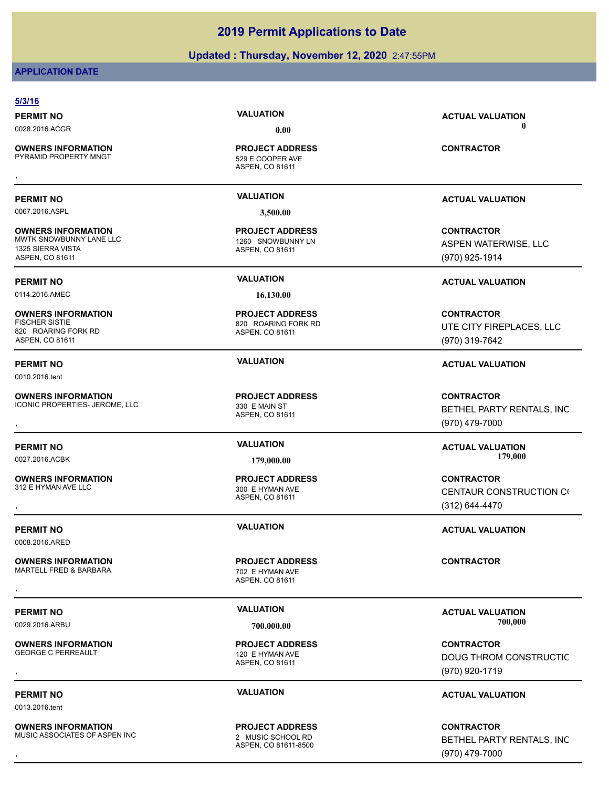### **Updated : Thursday, November 12, 2020** 2:47:55PM

### **APPLICATION DATE**

| 5/3/16                                                                                       |                                                                  |                                                                  |
|----------------------------------------------------------------------------------------------|------------------------------------------------------------------|------------------------------------------------------------------|
| <b>PERMIT NO</b>                                                                             | <b>VALUATION</b>                                                 | <b>ACTUAL VALUATION</b>                                          |
| 0028.2016.ACGR                                                                               | 0.00                                                             | A                                                                |
| <b>OWNERS INFORMATION</b><br>PYRAMID PROPERTY MNGT                                           | <b>PROJECT ADDRESS</b><br>529 E COOPER AVE<br>ASPEN, CO 81611    | <b>CONTRACTOR</b>                                                |
|                                                                                              |                                                                  |                                                                  |
| <b>PERMIT NO</b>                                                                             | <b>VALUATION</b>                                                 | <b>ACTUAL VALUATION</b>                                          |
| 0067.2016.ASPL                                                                               | 3,500.00                                                         |                                                                  |
| <b>OWNERS INFORMATION</b><br>MWTK SNOWBUNNY LANE LLC<br>1325 SIERRA VISTA<br>ASPEN, CO 81611 | <b>PROJECT ADDRESS</b><br>1260 SNOWBUNNY LN<br>ASPEN, CO 81611   | <b>CONTRACTOR</b><br>ASPEN WATERWISE, LLC<br>(970) 925-1914      |
| <b>PERMIT NO</b>                                                                             | <b>VALUATION</b>                                                 | <b>ACTUAL VALUATION</b>                                          |
| 0114.2016.AMEC                                                                               | 16,130.00                                                        |                                                                  |
| <b>OWNERS INFORMATION</b><br><b>FISCHER SISTIE</b><br>820 ROARING FORK RD<br>ASPEN, CO 81611 | <b>PROJECT ADDRESS</b><br>820 ROARING FORK RD<br>ASPEN, CO 81611 | <b>CONTRACTOR</b><br>UTE CITY FIREPLACES, LLC<br>(970) 319-7642  |
| <b>PERMIT NO</b>                                                                             | <b>VALUATION</b>                                                 | <b>ACTUAL VALUATION</b>                                          |
| 0010.2016.tent                                                                               |                                                                  |                                                                  |
| <b>OWNERS INFORMATION</b><br>ICONIC PROPERTIES- JEROME, LLC                                  | <b>PROJECT ADDRESS</b><br>330 E MAIN ST<br>ASPEN, CO 81611       | <b>CONTRACTOR</b><br>BETHEL PARTY RENTALS, INC<br>(970) 479-7000 |
| <b>PERMIT NO</b>                                                                             | <b>VALUATION</b>                                                 | <b>ACTUAL VALUATION</b>                                          |
| 0027.2016.ACBK                                                                               | 179,000.00                                                       | 179,000                                                          |
| <b>OWNERS INFORMATION</b><br>312 E HYMAN AVE LLC                                             | <b>PROJECT ADDRESS</b><br>300 E HYMAN AVE<br>ASPEN, CO 81611     | <b>CONTRACTOR</b><br>CENTAUR CONSTRUCTION CO<br>(312) 644-4470   |
| <b>PERMIT NO</b>                                                                             | <b>VALUATION</b>                                                 | <b>ACTUAL VALUATION</b>                                          |
| 0008.2016.ARED                                                                               |                                                                  |                                                                  |
| <b>OWNERS INFORMATION</b><br>MARTELL FRED & BARBARA                                          | <b>PROJECT ADDRESS</b><br>702 E HYMAN AVE<br>ASPEN, CO 81611     | <b>CONTRACTOR</b>                                                |
|                                                                                              | <b>VALUATION</b>                                                 |                                                                  |
| <b>PERMIT NO</b><br>0029.2016.ARBU                                                           | 700,000.00                                                       | <b>ACTUAL VALUATION</b><br>700,000                               |
| <b>OWNERS INFORMATION</b><br><b>GEORGE C PERREAULT</b>                                       | <b>PROJECT ADDRESS</b><br>120 E HYMAN AVE<br>ASPEN, CO 81611     | <b>CONTRACTOR</b><br>DOUG THROM CONSTRUCTIC<br>(970) 920-1719    |
| <b>PERMIT NO</b><br>0013.2016.tent                                                           | <b>VALUATION</b>                                                 | <b>ACTUAL VALUATION</b>                                          |
| <b>OWNERS INFORMATION</b>                                                                    | <b>PROJECT ADDRESS</b>                                           | <b>CONTRACTOR</b>                                                |

MUSIC ASSOCIATES OF ASPEN INC 2 MUSIC SCHOOL RD

2 MUSIC SCHOOL RD<br>ASPEN, CO 81611-8500 **PROJECT ADDRESS**

, **CONTRACTOR** BETHEL PARTY RENTALS, INC (970) 479-7000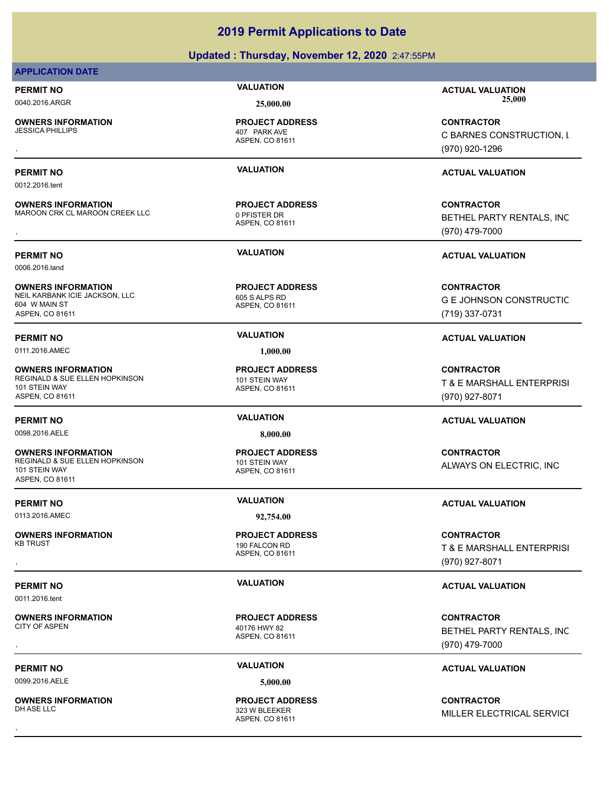### **Updated : Thursday, November 12, 2020** 2:47:55PM

### **APPLICATION DATE**

**OWNERS INFORMATION**

**OWNERS INFORMATION**

ASPEN, CO 81611 407 PARK AVE **PROJECT ADDRESS**

ASPEN, CO 81611 MAROON CRK CL MAROON CREEK LLC 0 PFISTER DR **PROJECT ADDRESS**

0012.2016.tent

0006.2016.land

**OWNERS INFORMATION** NEIL KARBANK ICIE JACKSON, LLC<br>605 S ALPS RD 604 W MAIN ST ASPEN, CO 81611

0111.2016.AMEC **1,000.00**

**OWNERS INFORMATION** REGINALD & SUE ELLEN HOPKINSON 101 STEIN WAY 101 STEIN WAY ASPEN, CO 81611

0098.2016.AELE **8,000.00**

**OWNERS INFORMATION** REGINALD & SUE ELLEN HOPKINSON 101 STEIN WAY 101 STEIN WAY ASPEN, CO 81611

0113.2016.AMEC **92,754.00**

**OWNERS INFORMATION**

0011.2016.tent

**OWNERS INFORMATION** CITY OF ASPEN 40176 HWY 82

0099.2016.AELE **5,000.00**

**OWNERS INFORMATION**

ASPEN, CO 81611 **PROJECT ADDRESS**

ASPEN, CO 81611 **PROJECT ADDRESS**

ASPEN, CO 81611 **PROJECT ADDRESS**

ASPEN, CO 81611 190 FALCON RD **PROJECT ADDRESS**

ASPEN, CO 81611 **PROJECT ADDRESS**

ASPEN, CO 81611 323 W BLEEKER **PROJECT ADDRESS**

**PERMIT NO VALUATION ACTUAL VALUATION** 0040.2016.ARGR **25,000.00 25,000.00**

, **CONTRACTOR** C BARNES CONSTRUCTION, L (970) 920-1296

### **PERMIT NO VALUATION ACTUAL VALUATION**

**OWNERS INFORMATION FROJECT ADDRESS ARE SERVIC CONTRACTOR CONTROUR SERVICES AND RESOURCE THE POST OF PROJECT ADDRESS<br>MAROON CRK CL MAROON CREEK LLC ASPEN, CO 81611 ASPEN, CO 81611 ASPEN (970) 479-7000** BETHEL PARTY RENTALS, INC (970) 479-7000

**PERMIT NO VALUATION ACTUAL VALUATION**

**CONTRACTOR G E JOHNSON CONSTRUCTIC** (719) 337-0731

### **PERMIT NO VALUATION ACTUAL VALUATION**

**CONTRACTOR** T & E MARSHALL ENTERPRISI (970) 927-8071

### **PERMIT NO VALUATION ACTUAL VALUATION**

**CONTRACTOR** ALWAYS ON ELECTRIC, INC

### **PERMIT NO VALUATION ACTUAL VALUATION**

, **CONTRACTOR** T & E MARSHALL ENTERPRISI (970) 927-8071

### **PERMIT NO VALUATION VALUATION VALUATION**

, **CONTRACTOR** BETHEL PARTY RENTALS, INC (970) 479-7000

### **PERMIT NO VALUATION VALUATION VALUATION**

, **CONTRACTOR** MILLER ELECTRICAL SERVICE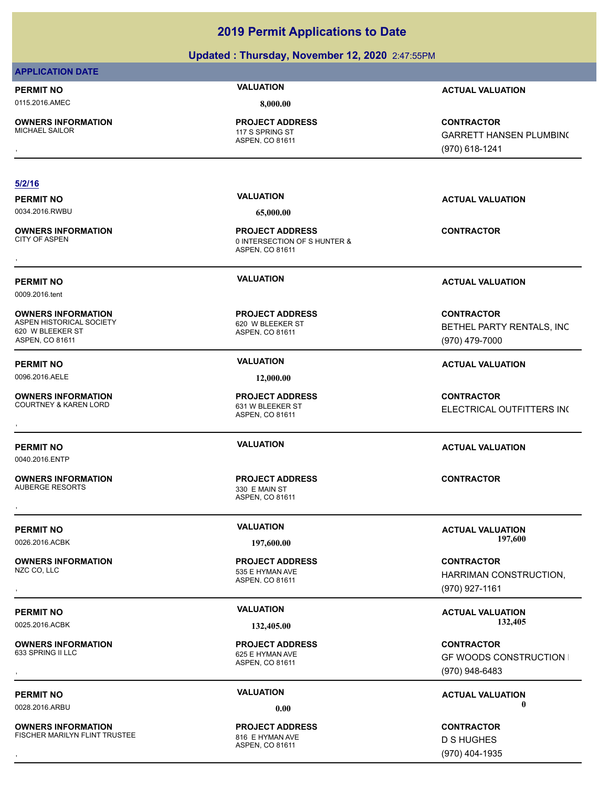### **Updated : Thursday, November 12, 2020** 2:47:55PM

### **APPLICATION DATE**

### 0115.2016.AMEC **8,000.00**

**OWNERS INFORMATION**

ASPEN, CO 81611 117 S SPRING ST **PROJECT ADDRESS**

### **5/2/16**

0034.2016.RWBU **65,000.00**

**OWNERS INFORMATION**

0009.2016.tent

**OWNERS INFORMATION** ASPEN HISTORICAL SOCIETY 620 W BLEEKER ST 620 W BLEEKER ST ASPEN, CO 81611

0096.2016.AELE **12,000.00**

**OWNERS INFORMATION** COURTNEY & KAREN LORD 631 W BLEEKER ST

**PERMIT NO VALUATION ACTUAL VALUATION** 0040.2016.ENTP

**OWNERS INFORMATION**

**OWNERS INFORMATION**

**OWNERS INFORMATION**

**OWNERS INFORMATION** FISCHER MARILYN FLINT TRUSTEE 816 F HYMAN AVE

ASPEN, CO 81611 0 INTERSECTION OF S HUNTER & **PROJECT ADDRESS OWNERS INFORMATION FROJECT ADDRESS CONTRACTOR**<br>CITY OF ASPEN **CONTRACTOR** O INTERSECTION OF S HUNTER &<br>ASPEN. CO 81611

ASPEN, CO 81611 **PROJECT ADDRESS**

ASPEN, CO 81611 **PROJECT ADDRESS**

ASPEN, CO 81611 330 E MAIN ST **PROJECT ADDRESS** , **CONTRACTOR**

ASPEN, CO 81611 535 E HYMAN AVE **PROJECT ADDRESS**

ASPEN, CO 81611 625 E HYMAN AVE **PROJECT ADDRESS**

ASPEN, CO 81611 **PROJECT ADDRESS**

**PERMIT NO VALUATION ACTUAL VALUATION**

, **CONTRACTOR** GARRETT HANSEN PLUMBING (970) 618-1241

**PERMIT NO VALUATION ACTUAL VALUATION**

### **PERMIT NO VALUATION ACTUAL VALUATION**

**CONTRACTOR** BETHEL PARTY RENTALS, INC (970) 479-7000

### **PERMIT NO VALUATION VALUATION VALUATION**

**OWNERS INFORMATION GOVER SERVICE PROJECT ADDRESS ARE:**<br>COURTNEY & KAREN LORD GOVERN GOVERN GOVERN GOVERN BEST BELECTRICAL OUTFITTERS INC<br>,<br>, ELECTRICAL OUTFITTERS INC.

**PERMIT NO VALUATION ACTUAL VALUATION** 0026.2016.ACBK **197,600.00 197,600.00**

, **CONTRACTOR** HARRIMAN CONSTRUCTION, (970) 927-1161

PERMIT NO **SALUATION VALUATION VALUATION ACTUAL VALUATION ACTUAL VALUATION** 0025.2016.ACBK **132,405.00 132,405.00**

, **CONTRACTOR GF WOODS CONSTRUCTION I** (970) 948-6483

### **PERMIT NO CONSUMITY OF A CONSUMITY OF A CONSUMITY OF A CONSUMITY OF A CTUAL VALUATION** 0028.2016.ARBU **0.00 0.00**

**OWNERS INFORMATION Material properties of the PROJECT ADDRESS CONTRACTOR CONTRACTOR**<br>FISCHER MARILYN FLINT TRUSTEE MATERIAL ASPEN, CO 81611 Material properties of the ASPEN, CO 81611 Material prope<br>RSPEN, CO 81611 Materia D S HUGHES (970) 404-1935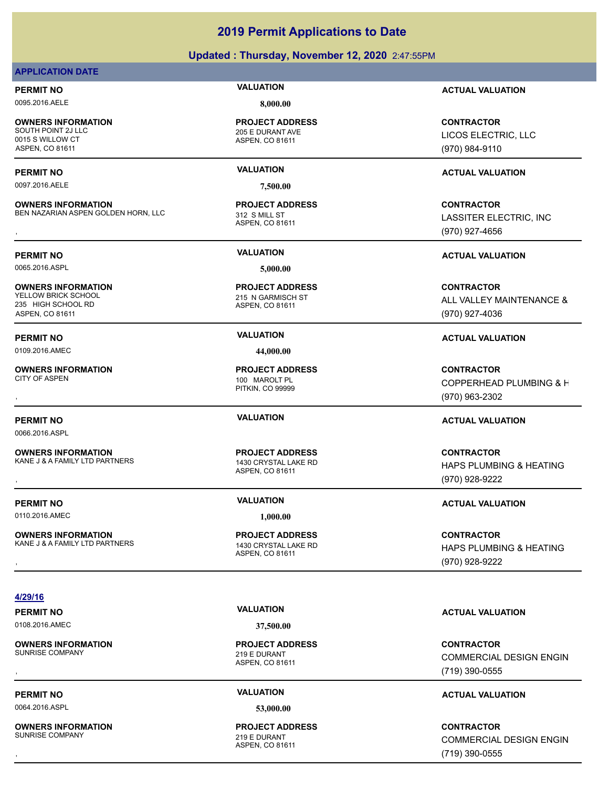### **Updated : Thursday, November 12, 2020** 2:47:55PM

### **APPLICATION DATE**

0095.2016.AELE **8,000.00**

**OWNERS INFORMATION** 0015 S WILLOW CT ASPEN, CO 81611

0097.2016.AELE **7,500.00**

**OWNERS INFORMATION** BEN NAZARIAN ASPEN GOLDEN HORN, LLC 312 S MILL ST

0065.2016.ASPL **5,000.00**

**OWNERS INFORMATION** YELLOW BRICK SCHOOL 215 N GARMISCH ST 235 HIGH SCHOOL RD ASPEN, CO 81611

0109.2016.AMEC **44,000.00**

**OWNERS INFORMATION**

0066.2016.ASPL

**OWNERS INFORMATION** KANE J & A FAMILY LTD PARTNERS 1430 CRYSTAL LAKE RD

0110.2016.AMEC **1,000.00**

**OWNERS INFORMATION** KANE J & A FAMILY LTD PARTNERS 1430 CRYSTAL LAKE RD

ASPEN, CO 81611 205 E DURANT AVE **PROJECT ADDRESS**

ASPEN, CO 81611 **PROJECT ADDRESS**

ASPEN, CO 81611 **PROJECT ADDRESS**

PITKIN, CO 99999 100 MAROLT PL

ASPEN, CO 81611 **PROJECT ADDRESS**

ASPEN, CO 81611 **PROJECT ADDRESS**

**PERMIT NO VALUATION ACTUAL VALUATION**

**CONTRACTOR** LICOS ELECTRIC, LLC (970) 984-9110

### **PERMIT NO VALUATION ACTUAL VALUATION**

**OWNERS INFORMATION FROJECT ADDRESS ARE SONTRACTOR CONTRACTOR**<br>BEN NAZARIAN ASPEN GOLDEN HORN, LLC ASPEN. CO 81611 ASPEN. CO 81611 **SONTRACTOR SONTRACTOR SONTRACTOR**<br>ASPEN. CO 81611 (970) 927-4656 LASSITER ELECTRIC, INC (970) 927-4656

### **PERMIT NO VALUATION ACTUAL VALUATION**

**CONTRACTOR** ALL VALLEY MAINTENANCE & (970) 927-4036

### **PERMIT NO VALUATION ACTUAL VALUATION**

, **CONTRACTOR** COPPERHEAD PLUMBING & H (970) 963-2302

### **PERMIT NO VALUATION ACTUAL VALUATION**

, **CONTRACTOR** HAPS PLUMBING & HEATING (970) 928-9222

### **PERMIT NO VALUATION ACTUAL VALUATION**

, **CONTRACTOR** HAPS PLUMBING & HEATING (970) 928-9222

### **4/29/16**

0108.2016.AMEC **37,500.00**

**OWNERS INFORMATION**

0064.2016.ASPL **53,000.00**

**OWNERS INFORMATION** SUNRISE COMPANY 219 E DURANT

ASPEN, CO 81611 219 E DURANT **PROJECT ADDRESS**

ASPEN, CO 81611 **PROJECT ADDRESS**

**PERMIT NO VALUATION ACTUAL VALUATION**

### , **CONTRACTOR** COMMERCIAL DESIGN ENGIN (719) 390-0555

### **PERMIT NO VALUATION ACTUAL VALUATION**

, **CONTRACTOR** COMMERCIAL DESIGN ENGIN (719) 390-0555

# **PROJECT ADDRESS**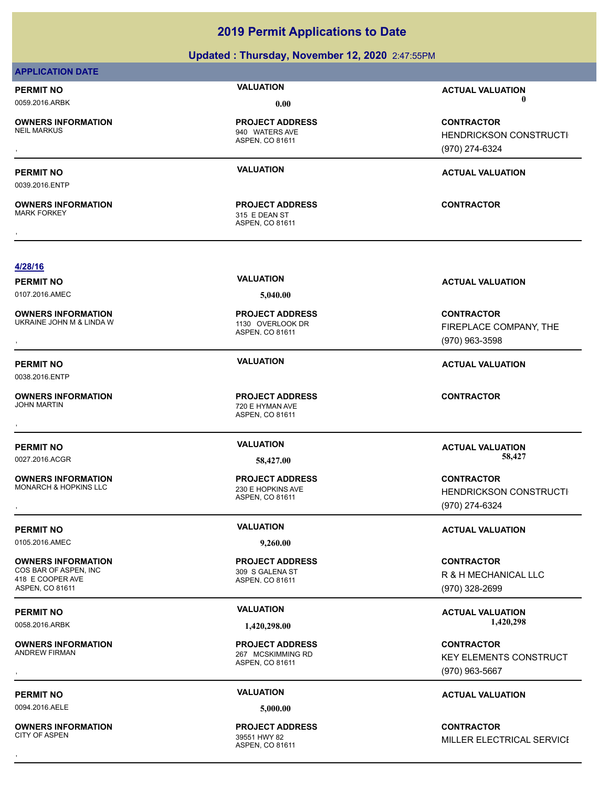| <b>APPLICATION DATE</b>                                                            |                                                                      |                                                               |  |
|------------------------------------------------------------------------------------|----------------------------------------------------------------------|---------------------------------------------------------------|--|
| <b>PERMIT NO</b>                                                                   | <b>VALUATION</b>                                                     | <b>ACTUAL VALUATION</b>                                       |  |
| 0059.2016.ARBK                                                                     | 0.00                                                                 | 0                                                             |  |
| <b>OWNERS INFORMATION</b><br>NEIL MARKUS                                           | <b>PROJECT ADDRESS</b><br>940 WATERS AVE<br>ASPEN, CO 81611          | <b>CONTRACTOR</b><br>HENDRICKSON CONSTRUCTI                   |  |
|                                                                                    |                                                                      | (970) 274-6324                                                |  |
| PERMIT NO<br>0039.2016.ENTP                                                        | <b>VALUATION</b>                                                     | <b>ACTUAL VALUATION</b>                                       |  |
| <b>OWNERS INFORMATION</b><br><b>MARK FORKEY</b>                                    | <b>PROJECT ADDRESS</b><br>315 E DEAN ST<br>ASPEN, CO 81611           | <b>CONTRACTOR</b>                                             |  |
|                                                                                    |                                                                      |                                                               |  |
| 4/28/16<br>PERMIT NO                                                               | <b>VALUATION</b>                                                     | <b>ACTUAL VALUATION</b>                                       |  |
| 0107.2016.AMEC                                                                     | 5,040.00                                                             |                                                               |  |
| OWNERS INFORMATION<br>UKRAINE JOHN M & LINDA W                                     | <b>PROJECT ADDRESS</b><br>1130 OVERLOOK DR<br><b>ASPEN, CO 81611</b> | <b>CONTRACTOR</b><br>FIREPLACE COMPANY, THE<br>(970) 963-3598 |  |
|                                                                                    | <b>VALUATION</b>                                                     |                                                               |  |
| <b>PERMIT NO</b><br>0038.2016.ENTP                                                 |                                                                      | <b>ACTUAL VALUATION</b>                                       |  |
| <b>OWNERS INFORMATION</b><br>JOHN MARTIN                                           | <b>PROJECT ADDRESS</b><br>720 E HYMAN AVE<br>ASPEN, CO 81611         | <b>CONTRACTOR</b>                                             |  |
| <b>PERMIT NO</b>                                                                   | <b>VALUATION</b>                                                     | <b>ACTUAL VALUATION</b><br>58,427                             |  |
| 0027.2016.ACGR                                                                     | 58,427.00                                                            |                                                               |  |
| <b>OWNERS INFORMATION</b><br><b>MONARCH &amp; HOPKINS LLC</b>                      | <b>PROJECT ADDRESS</b><br>230 E HOPKINS AVE<br>ASPEN, CO 81611       | <b>CONTRACTOR</b><br>HENDRICKSON CONSTRUCTI<br>(970) 274-6324 |  |
| <b>PERMIT NO</b>                                                                   | <b>VALUATION</b>                                                     | <b>ACTUAL VALUATION</b>                                       |  |
| 0105.2016.AMEC                                                                     | 9,260.00                                                             |                                                               |  |
| OWNERS INFORMATION<br>COS BAR OF ASPEN, INC<br>418 E COOPER AVE<br>ASPEN, CO 81611 | <b>PROJECT ADDRESS</b><br>309 S GALENA ST<br>ASPEN, CO 81611         | <b>CONTRACTOR</b><br>R & H MECHANICAL LLC<br>(970) 328-2699   |  |
| PERMIT NO                                                                          | <b>VALUATION</b>                                                     | <b>ACTUAL VALUATION</b>                                       |  |
| 0058.2016.ARBK                                                                     | 1,420,298.00                                                         | 1,420,298                                                     |  |
|                                                                                    |                                                                      |                                                               |  |

**OWNERS INFORMATION**

0094.2016.AELE **5,000.00**

**OWNERS INFORMATION**

## **2019 Permit Applications to Date**

### **Updated : Thursday, November 12, 2020** 2:47:55PM

, **CONTRACTOR** KEY ELEMENTS CONSTRUCT (970) 963-5667

### **PERMIT NO CONSUMITY ACTUAL VALUATION VALUATION ACTUAL VALUATION**

, **CONTRACTOR** MILLER ELECTRICAL SERVICE

ASPEN, CO 81611 39551 HWY 82 **PROJECT ADDRESS**

ASPEN, CO 81611

267 MCSKIMMING RD **PROJECT ADDRESS**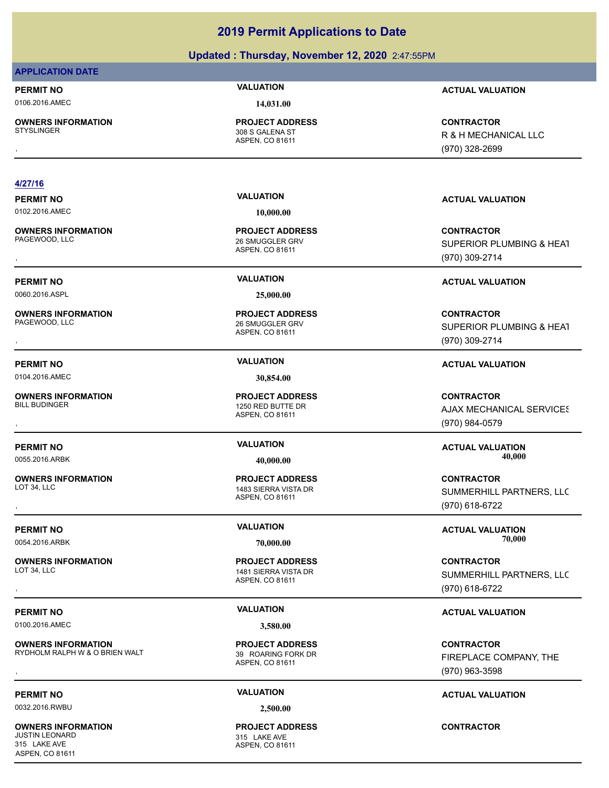### **Updated : Thursday, November 12, 2020** 2:47:55PM

### **APPLICATION DATE**

0106.2016.AMEC **14,031.00**

**OWNERS INFORMATION**<br>STYSLINGER

ASPEN, CO 81611 308 S GALENA ST **PROJECT ADDRESS**

### **4/27/16**

**OWNERS INFORMATION**

0060.2016.ASPL **25,000.00**

**OWNERS INFORMATION**

0104.2016.AMEC **30,854.00**

**OWNERS INFORMATION**

**OWNERS INFORMATION**

**OWNERS INFORMATION**

0100.2016.AMEC **3,580.00**

**OWNERS INFORMATION** RYDHOLM RALPH W & O BRIEN WALT 39 ROARING FORK DR

0032.2016.RWBU **2,500.00**

**OWNERS INFORMATION** JUSTIN LEONARD 315 LAKE AVE 315 LAKE AVE ASPEN, CO 81611

ASPEN, CO 81611 26 SMUGGLER GRV

26 SMUGGLER GRV

ASPEN, CO 81611 1250 RED BUTTE DR **PROJECT ADDRESS**

ASPEN, CO 81611 1483 SIERRA VISTA DR

ASPEN, CO 81611 **PROJECT ADDRESS**

ASPEN, CO 81611 **PROJECT ADDRESS**

**PERMIT NO VALUATION ACTUAL VALUATION**

, **CONTRACTOR** R & H MECHANICAL LLC (970) 328-2699

**OWNERS INFORMATION PROJECT ADDRESS CONTRACTOR**<br>PAGEWOOD, LLC 26 SMUGGLER GRV SUPERIOR PLUMBING & HEAT<br>, ASPEN. CO 81611 SUPERIOR PLUMBING & HEAT (970) 309-2714

### **PERMIT NO VALUATION ACTUAL VALUATION**

**OWNERS INFORMATION PROJECT ADDRESS CONTRACTOR**<br>PAGEWOOD, LLC 26 SMUGGLER GRV SUPERIOR PLUMBING & HEAT<br>, ASPEN, CO 81611 SUPERIOR PLUMBING & HEAT (970) 309-2714

### **PERMIT NO VALUATION ACTUAL VALUATION**

, **CONTRACTOR AJAX MECHANICAL SERVICES** (970) 984-0579

**PERMIT NO VALUATION ACTUAL VALUATION** 0055.2016.ARBK **40,000.00 40,000.00**

, **CONTRACTOR** SUMMERHILL PARTNERS, LLC (970) 618-6722

**PERMIT NO VALUATION ACTUAL VALUATION** 0054.2016.ARBK **70,000.00 70,000.00**

, **CONTRACTOR** SUMMERHILL PARTNERS, LLC (970) 618-6722

### **PERMIT NO VALUATION ACTUAL VALUATION**

**OWNERS INFORMATION MALL THE SERVICE PROJECT ADDRESS ARE SERVICE CONTRACTOR CONTRACTOR**<br>RYDHOLM RALPH W & O BRIEN WALT ASPEN, CO 81611 MASPEN, CO 81611 MASPEN, CO 81611 MASPEN, CO 81611 MASPEN, CO 81611 FIREPLACE COMPANY, THE (970) 963-3598

### **PERMIT NO VALUATION ACTUAL VALUATION**

**CONTRACTOR**

**PERMIT NO VALUATION ACTUAL VALUATION** 0102.2016.AMEC **10,000.00**

**PROJECT ADDRESS**

ASPEN, CO 81611 **PROJECT ADDRESS**

**PROJECT ADDRESS**

ASPEN, CO 81611 1481 SIERRA VISTA DR **PROJECT ADDRESS**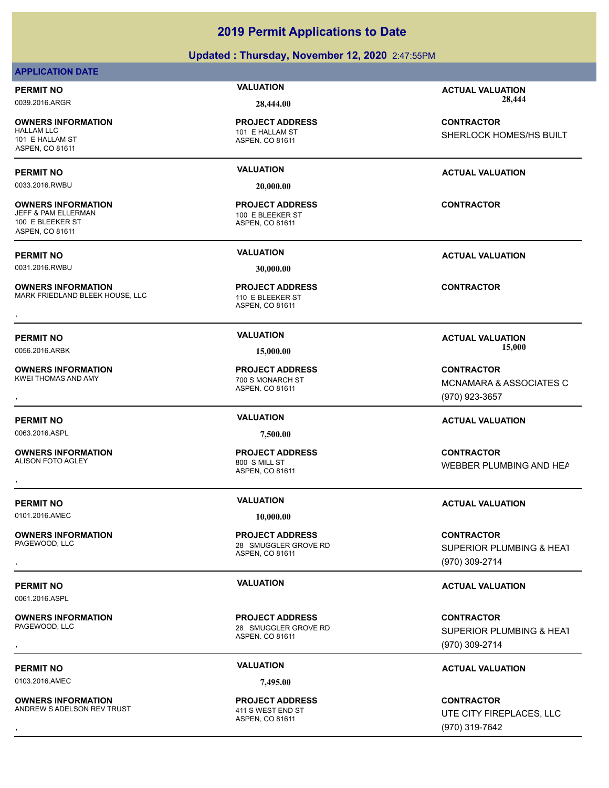### **Updated : Thursday, November 12, 2020** 2:47:55PM

### **APPLICATION DATE**

**OWNERS INFORMATION**

101 E HALLAM ST ASPEN, CO 81611

0033.2016.RWBU **20,000.00**

**OWNERS INFORMATION** 100 E BLEEKER ST ASPEN, CO 81611

0031.2016.RWBU **30,000.00**

**OWNERS INFORMATION** MARK FRIEDLAND BLEEK HOUSE, LLC 110 E BLEEKER ST **OWNERS INFORMATION USE:**<br>MARK FRIEDLAND BLEEK HOUSE, LLC ASPEN, CO 81611 ASPEN, CO 81611<br>,

**OWNERS INFORMATION** KWEI THOMAS AND AMY **1988 120 AM SEARCH ST** 700 S MONARCH ST

0063.2016.ASPL **7,500.00**

**OWNERS INFORMATION** ALISON FOTO AGLEY 800 S MILL ST

0101.2016.AMEC **10,000.00**

**OWNERS INFORMATION**

0061.2016.ASPL

**OWNERS INFORMATION** PAGEWOOD, LLC 28 SMUGGLER GROVE RD

0103.2016.AMEC **7,495.00**

**OWNERS INFORMATION** ANDREW S ADELSON REV TRUST 411 S WEST END ST

ASPEN, CO 81611 101 E HALLAM ST **PROJECT ADDRESS**

ASPEN, CO 81611 100 E BLEEKER ST **PROJECT ADDRESS**

ASPEN, CO 81611 **PROJECT ADDRESS**

ASPEN, CO 81611 **PROJECT ADDRESS**

ASPEN, CO 81611 **PROJECT ADDRESS**

ASPEN, CO 81611 28 SMUGGLER GROVE RD **PROJECT ADDRESS**

ASPEN, CO 81611 **PROJECT ADDRESS**

ASPEN, CO 81611 **PROJECT ADDRESS**

**PERMIT NO VALUATION ACTUAL VALUATION** 0039.2016.ARGR **28,444.00 28,444.00**

> **CONTRACTOR** SHERLOCK HOMES/HS BUILT

### **PERMIT NO VALUATION ACTUAL VALUATION**

**CONTRACTOR**

**PERMIT NO VALUATION ACTUAL VALUATION**

0056.2016.ARBK **15,000.00 15,000.00**

, **CONTRACTOR** MCNAMARA & ASSOCIATES C (970) 923-3657

### **PERMIT NO VALUATION ACTUAL VALUATION**

, **CONTRACTOR** WEBBER PLUMBING AND HEAT

### **PERMIT NO VALUATION ACTUAL VALUATION**

, **CONTRACTOR** SUPERIOR PLUMBING & HEAT (970) 309-2714

### **PERMIT NO VALUATION VALUATION VALUATION**

, **CONTRACTOR** SUPERIOR PLUMBING & HEAT (970) 309-2714

### **PERMIT NO VALUATION VALUATION VALUATION**

**OWNERS INFORMATION METALLY SERVICE PROJECT ADDRESS ARE SERVICE CONTRACTOR CONTRACTOR**<br>ANDREW SADELSON REV TRUST TRIST THAT ASPEN, CO 81611 MASPEN, CO 81611 MASPEN AND RESOLUTE CITY FIREPLACES, LLC<br>ASPEN, CO 81611 MASPER ( UTE CITY FIREPLACES, LLC (970) 319-7642

**PERMIT NO VALUATION ACTUAL VALUATION**

### **2019 Permit Applications to Date**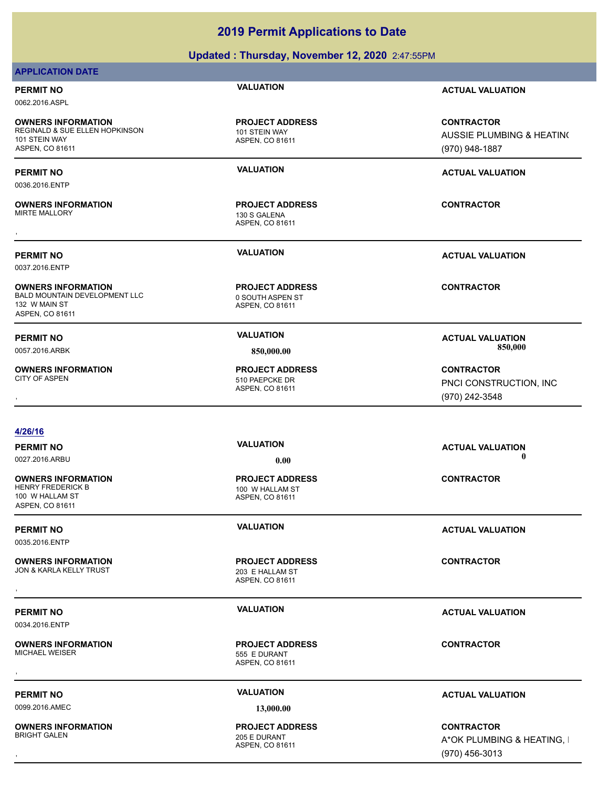### **Updated : Thursday, November 12, 2020** 2:47:55PM

### **APPLICATION DATE**

0062.2016.ASPL

**OWNERS INFORMATION** REGINALD & SUE ELLEN HOPKINSON 101 STEIN WAY 101 STEIN WAY ASPEN, CO 81611

0036.2016.ENTP

**OWNERS INFORMATION** MIRTE MALLORY 130 S GALENA

0037.2016.ENTP

**OWNERS INFORMATION** BALD MOUNTAIN DEVELOPMENT LLC 0 0 SOUTH ASPEN ST 132 W MAIN ST ASPEN, CO 81611

**OWNERS INFORMATION**

**PROJECT ADDRESS**

ASPEN, CO 81611

ASPEN, CO 81611 **PROJECT ADDRESS** , **CONTRACTOR**

ASPEN, CO 81611 **PROJECT ADDRESS**

**PROJECT ADDRESS**

**PERMIT NO VALUATION ACTUAL VALUATION**

**CONTRACTOR** AUSSIE PLUMBING & HEATING (970) 948-1887

### **PERMIT NO VALUATION ACTUAL VALUATION**

**PERMIT NO VALUATION ACTUAL VALUATION**

**CONTRACTOR**

PERMIT NO *VALUATION* **VALUATION** *CALUATION* **ACTUAL VALUATION ACTUAL VALUATION** 

, **CONTRACTOR** PNCI CONSTRUCTION, INC (970) 242-3548

**PERMIT NO VALUATION ACTUAL VALUATION** 0027.2016.ARBU **0.00 0.00**

**CONTRACTOR**

**PERMIT NO VALUATION ACTUAL VALUATION**

**PERMIT NO VALUATION ACTUAL VALUATION**

0099.2016.AMEC **13,000.00**

**OWNERS INFORMATION** BRIGHT GALEN 205 E DURANT

ASPEN, CO 81611 **PROJECT ADDRESS**

**PERMIT NO VALUATION ACTUAL VALUATION**

, **CONTRACTOR** A\*OK PLUMBING & HEATING, I (970) 456-3013

0057.2016.ARBK **850,000.00 850,000.00**

ASPEN, CO 81611 510 PAEPCKE DR

ASPEN, CO 81611

ASPEN, CO 81611

**PROJECT ADDRESS**

**PROJECT ADDRESS**

**4/26/16**

**OWNERS INFORMATION** HENRY FREDERICK B 100 W HALLAM ST 100 W HALLAM ST ASPEN, CO 81611

0035.2016.ENTP

**OWNERS INFORMATION** JON & KARLA KELLY TRUST **203 E HALLAM ST** , **CONTRACTOR**

0034.2016.ENTP

**OWNERS INFORMATION**<br>MICHAEL WEISER

ASPEN, CO 81611 555 E DURANT **PROJECT ADDRESS** , **CONTRACTOR**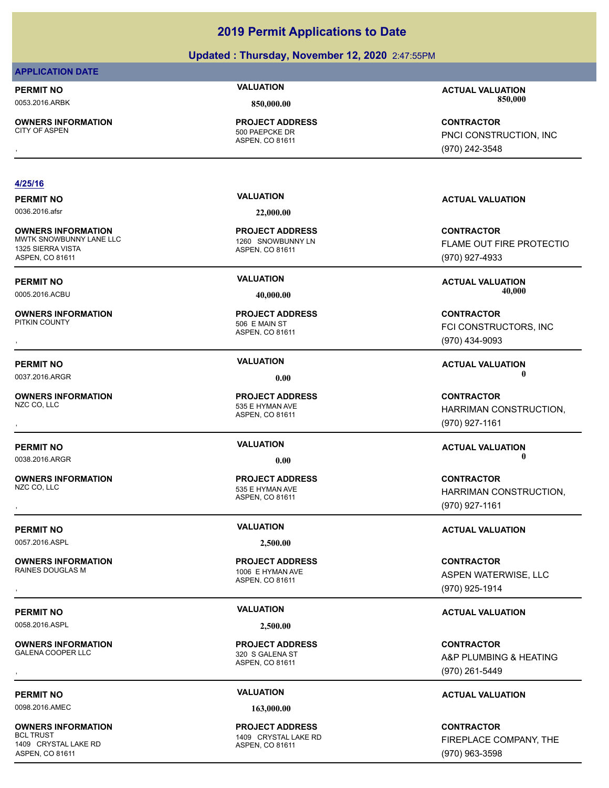### **Updated : Thursday, November 12, 2020** 2:47:55PM

### **APPLICATION DATE**

**OWNERS INFORMATION**

ASPEN, CO 81611 500 PAEPCKE DR

### **4/25/16**

0036.2016.afsr **22,000.00**

**OWNERS INFORMATION**<br>MWTK SNOWBUNNY LANE LLC 1325 SIERRA VISTA ASPEN, CO 81611

**OWNERS INFORMATION**

**OWNERS INFORMATION**

## **OWNERS INFORMATION**

0057.2016.ASPL **2,500.00**

## **OWNERS INFORMATION**

0058.2016.ASPL **2,500.00**

## **OWNERS INFORMATION**

0098.2016.AMEC **163,000.00**

### **OWNERS INFORMATION** 1409 CRYSTAL LAKE RD ASPEN, CO 81611

**PROJECT ADDRESS**

ASPEN, CO 81611 1260 SNOWBUNNY LN **PROJECT ADDRESS**

ASPEN, CO 81611 506 E MAIN ST **PROJECT ADDRESS**

ASPEN, CO 81611 535 E HYMAN AVE **PROJECT ADDRESS**

ASPEN, CO 81611 535 E HYMAN AVE **PROJECT ADDRESS**

### ASPEN, CO 81611 1006 E HYMAN AVE **PROJECT ADDRESS**

### ASPEN, CO 81611 320 S GALENA ST **PROJECT ADDRESS**

### ASPEN, CO 81611 1409 CRYSTAL LAKE RD **PROJECT ADDRESS**

**PERMIT NO VALUATION ACTUAL VALUATION** 0053.2016.ARBK **850,000.00 850,000.00**

, **CONTRACTOR** PNCI CONSTRUCTION, INC (970) 242-3548

### **PERMIT NO VALUATION ACTUAL VALUATION**

**CONTRACTOR** FLAME OUT FIRE PROTECTIO (970) 927-4933

**PERMIT NO VALUATION ACTUAL VALUATION** 0005.2016.ACBU **40,000.00 40,000.00**

, **CONTRACTOR** FCI CONSTRUCTORS, INC (970) 434-9093

**PERMIT NO VALUATION ACTUAL VALUATION** 0037.2016.ARGR **0.00 0.00**

, **CONTRACTOR** HARRIMAN CONSTRUCTION, (970) 927-1161

### **PERMIT NO VALUATION ACTUAL VALUATION** 0038.2016.ARGR **0.00 0.00**

, **CONTRACTOR** HARRIMAN CONSTRUCTION, (970) 927-1161

### **PERMIT NO VALUATION ACTUAL VALUATION**

**OWNERS INFORMATION PROJECT ADDRESS CONTRACTOR**<br>RAINES DOUGLAS M 1006 E HYMAN AVE ASPEN WATERWISE, LLC<br>, ASPEN. CO 81611 ASPEN WATERWISE, LLC (970) 925-1914

### **PERMIT NO VALUATION ACTUAL VALUATION**

, **CONTRACTOR** A&P PLUMBING & HEATING (970) 261-5449

### **PERMIT NO VALUATION ACTUAL VALUATION**

**CONTRACTOR** FIREPLACE COMPANY, THE (970) 963-3598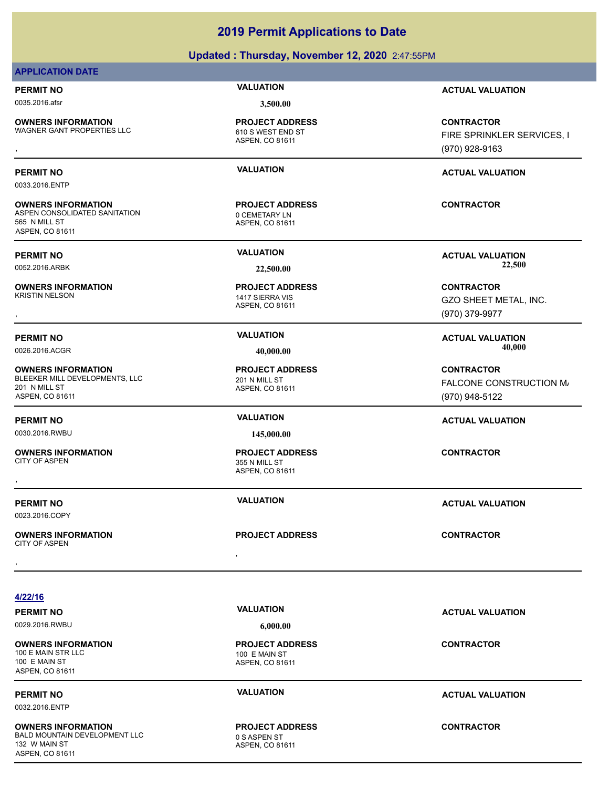|  | Updated: Thursday, November 12, 2020 2:47:55PM |  |
|--|------------------------------------------------|--|

### **APPLICATION DATE**

0035.2016.afsr **3,500.00**

0033.2016.ENTP

565 N MILL ST ASPEN, CO 81611

**OWNERS INFORMATION**

**OWNERS INFORMATION**<br>**KRISTIN NELSON** 

**OWNERS INFORMATION**

**OWNERS INFORMATION**

, **OWNERS INFORMATION**

201 N MILL ST ASPEN, CO 81611

**OWNERS INFORMATION** WAGNER GANT PROPERTIES LLC<br>610 S WEST END ST

ASPEN, CO 81611 **PROJECT ADDRESS**

ASPEN, CO 81611 ASPEN CONSOLIDATED SANITATION 0 CEMETARY LN **PROJECT ADDRESS**

ASPEN, CO 81611 1417 SIERRA VIS **PROJECT ADDRESS**

ASPEN, CO 81611 BLEEKER MILL DEVELOPMENTS, LLC<br>201 N MILL ST **PROJECT ADDRESS**

0030.2016.RWBU **145,000.00**

ASPEN, CO 81611 355 N MILL ST **PROJECT ADDRESS** , **CONTRACTOR**

**PROJECT ADDRESS** , **CONTRACTOR**

**PERMIT NO VALUATION ACTUAL VALUATION**

**OWNERS INFORMATION LEGAL CONORMISTS ARE DESCRIPTED MAGES ARE ON TRACTOR CONTRACTOR**<br>WAGNER GANT PROPERTIES LLC LEGAL CONORMIST ASPEN, CO 81611<br>, The Conormist Conormist Conormist ASPEN, CO 81611 (970) 928-9163 FIRE SPRINKLER SERVICES, I (970) 928-9163

### **PERMIT NO VALUATION ACTUAL VALUATION**

**CONTRACTOR**

**PERMIT NO VALUATION ACTUAL VALUATION** 0052.2016.ARBK **22,500.00 22,500.00**

, **CONTRACTOR** GZO SHEET METAL, INC. (970) 379-9977

**PERMIT NO VALUATION ACTUAL VALUATION** 0026.2016.ACGR **40,000.00 40,000.00**

> **CONTRACTOR** FALCONE CONSTRUCTION M/ (970) 948-5122

### **PERMIT NO VALUATION ACTUAL VALUATION**

**PERMIT NO VALUATION ACTUAL VALUATION**

**4/22/16**

## 0029.2016.RWBU **6,000.00**

0023.2016.COPY

CITY OF ASPEN

**OWNERS INFORMATION** 100 E MAIN ST ASPEN, CO 81611

0032.2016.ENTP

### **OWNERS INFORMATION**

BALD MOUNTAIN DEVELOPMENT LLC 0 S ASPEN ST 132 W MAIN ST ASPEN, CO 81611

ASPEN, CO 81611 100 E MAIN ST **PROJECT ADDRESS**

ASPEN, CO 81611 **PROJECT ADDRESS**

**PERMIT NO VALUATION ACTUAL VALUATION**

### **CONTRACTOR**

**PERMIT NO VALUATION ACTUAL VALUATION**

**CONTRACTOR**

**2019 Permit Applications to Date**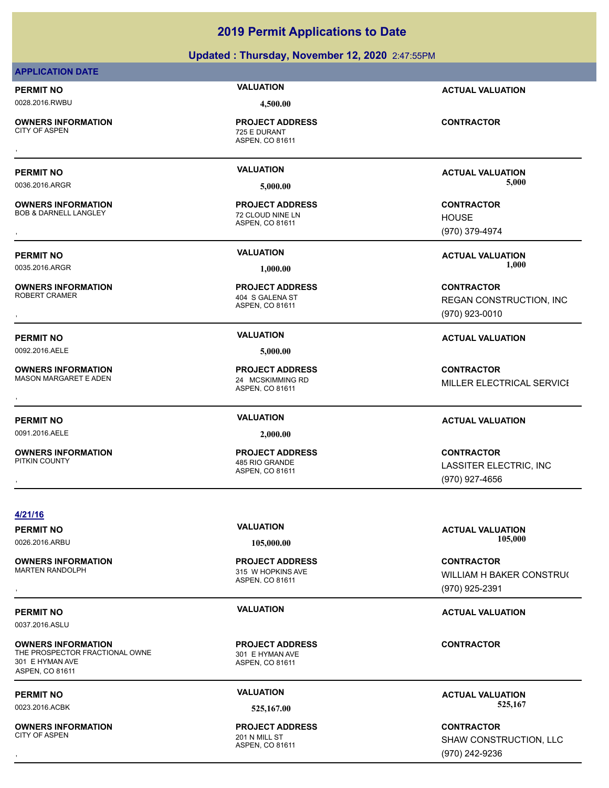## **Updated : Thursday, November 12, 2020** 2:47:55PM **2019 Permit Applications to Date**

### **APPLICATION DATE**

0028.2016.RWBU **4,500.00**

**OWNERS INFORMATION** , **CONTRACTOR**

**OWNERS INFORMATION**

**OWNERS INFORMATION**

**OWNERS INFORMATION**

**OWNERS INFORMATION**

**PROJECT ADDRESS**

ASPEN, CO 81611 725 E DURANT

ASPEN, CO 81611 BOB & DARNELL LANGLEY 72 CLOUD NINE LN **PROJECT ADDRESS** , **CONTRACTOR**

ASPEN, CO 81611 404 S GALENA ST **PROJECT ADDRESS**

0092.2016.AELE **5,000.00**

ASPEN, CO 81611 MASON MARGARET E ADEN 24 MCSKIMMING RD **PROJECT ADDRESS**

0091.2016.AELE **2,000.00**

ASPEN, CO 81611 PITKIN COUNTY 485 RIO GRANDE **PROJECT ADDRESS**

**PERMIT NO VALUATION ACTUAL VALUATION**

**PERMIT NO VALUATION ACTUAL VALUATION** 0036.2016.ARGR **5,000.00 5,000.00**

> **HOUSE** (970) 379-4974

**PERMIT NO VALUATION ACTUAL VALUATION** 0035.2016.ARGR **1,000.00 1,000.00**

, **CONTRACTOR** REGAN CONSTRUCTION, INC (970) 923-0010

**PERMIT NO VALUATION ACTUAL VALUATION**

, **CONTRACTOR** MILLER ELECTRICAL SERVICE

### **PERMIT NO VALUATION ACTUAL VALUATION**

, **CONTRACTOR** LASSITER ELECTRIC, INC (970) 927-4656

**4/21/16**

## **PERMIT NO VALUATION ACTUAL VALUATION**

0026.2016.ARBU **105,000.00 105,000.00**

ASPEN, CO 81611 315 W HOPKINS AVE **PROJECT ADDRESS** , **CONTRACTOR**

ASPEN, CO 81611 **PROJECT ADDRESS**

ASPEN, CO 81611 **PROJECT ADDRESS** WILLIAM H BAKER CONSTRU( (970) 925-2391

**CONTRACTOR**

0023.2016.ACBK **525,167.00 525,167.00**

, **CONTRACTOR** SHAW CONSTRUCTION, LLC (970) 242-9236

THE PROSPECTOR FRACTIONAL OWNE 301 E HYMAN AVE 301 E HYMAN AVE **PERMIT NO VALUATION ACTUAL VALUATION**

ASPEN, CO 81611

**OWNERS INFORMATION** CITY OF ASPEN 201 N MILL ST

**PERMIT NO VALUATION ACTUAL VALUATION**

0037.2016.ASLU **OWNERS INFORMATION**

**OWNERS INFORMATION**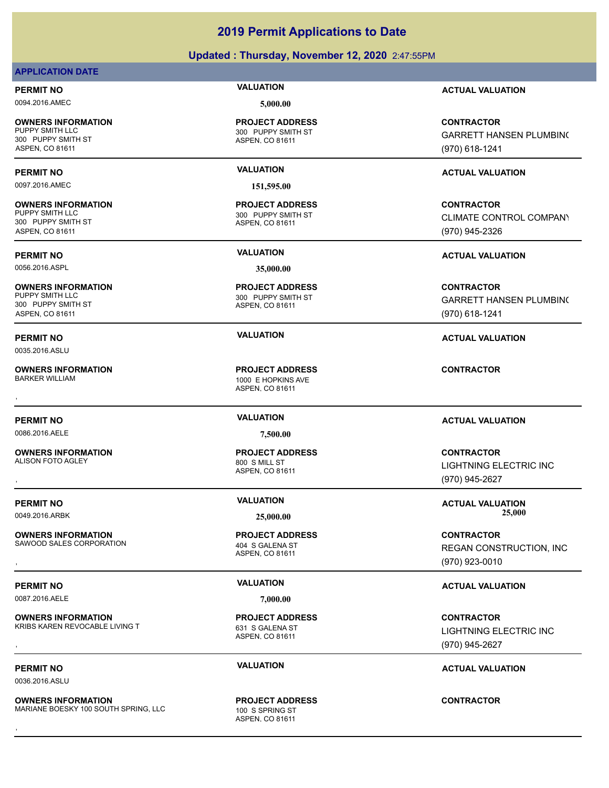### **Updated : Thursday, November 12, 2020** 2:47:55PM

### **APPLICATION DATE**

0094.2016.AMEC **5,000.00**

**OWNERS INFORMATION** 300 PUPPY SMITH ST ASPEN, CO 81611

0097.2016.AMEC **151,595.00**

**OWNERS INFORMATION** 300 PUPPY SMITH ST ASPEN, CO 81611

0056.2016.ASPL **35,000.00**

**OWNERS INFORMATION**

300 PUPPY SMITH ST ASPEN, CO 81611

0035.2016.ASLU

**OWNERS INFORMATION**

0086.2016.AELE **7,500.00**

**OWNERS INFORMATION** ALISON FOTO AGLEY 800 S MILL ST

**OWNERS INFORMATION** SAWOOD SALES CORPORATION 404 S GALENA ST

**OWNERS INFORMATION** KRIBS KAREN REVOCABLE LIVING T 631 S GALENA ST

0036.2016.ASLU

**OWNERS INFORMATION** MARIANE BOESKY 100 SOUTH SPRING, LLC 100 S SPRING ST , **CONTRACTOR**

ASPEN, CO 81611 300 PUPPY SMITH ST **PROJECT ADDRESS**

ASPEN, CO 81611 300 PUPPY SMITH ST **PROJECT ADDRESS**

ASPEN, CO 81611 300 PUPPY SMITH ST **PROJECT ADDRESS**

ASPEN, CO 81611 1000 E HOPKINS AVE **PROJECT ADDRESS** , **CONTRACTOR**

ASPEN, CO 81611 **PROJECT ADDRESS**

ASPEN, CO 81611 **PROJECT ADDRESS**

**PERMIT NO VALUATION ACTUAL VALUATION**

**CONTRACTOR** GARRETT HANSEN PLUMBING (970) 618-1241

### **PERMIT NO VALUATION ACTUAL VALUATION**

**CONTRACTOR** CLIMATE CONTROL COMPANY (970) 945-2326

### **PERMIT NO VALUATION ACTUAL VALUATION**

**CONTRACTOR** GARRETT HANSEN PLUMBING (970) 618-1241

**PERMIT NO VALUATION ACTUAL VALUATION**

### **PERMIT NO VALUATION ACTUAL VALUATION**

, **CONTRACTOR** LIGHTNING ELECTRIC INC (970) 945-2627

**PERMIT NO VALUATION ACTUAL VALUATION** 0049.2016.ARBK **25,000.00 25,000.00**

, **CONTRACTOR** REGAN CONSTRUCTION, INC (970) 923-0010

### **PERMIT NO VALUATION VALUATION VALUATION**

**OWNERS INFORMATION METALLY INCORRECT ADDRESS ARE:** CONTRACTOR CONTRACTOR CONTRACTOR<br>KRIBS KAREN REVOCABLE LIVING T WASPEN, CO 81611 ASPEN, CO 81611 METALLY 1970) 945-2627 LIGHTNING ELECTRIC INC (970) 945-2627

### **PERMIT NO VALUATION ACTUAL VALUATION**

## 0087.2016.AELE **7,000.00**

ASPEN, CO 81611

**PROJECT ADDRESS**

ASPEN, CO 81611

**PROJECT ADDRESS**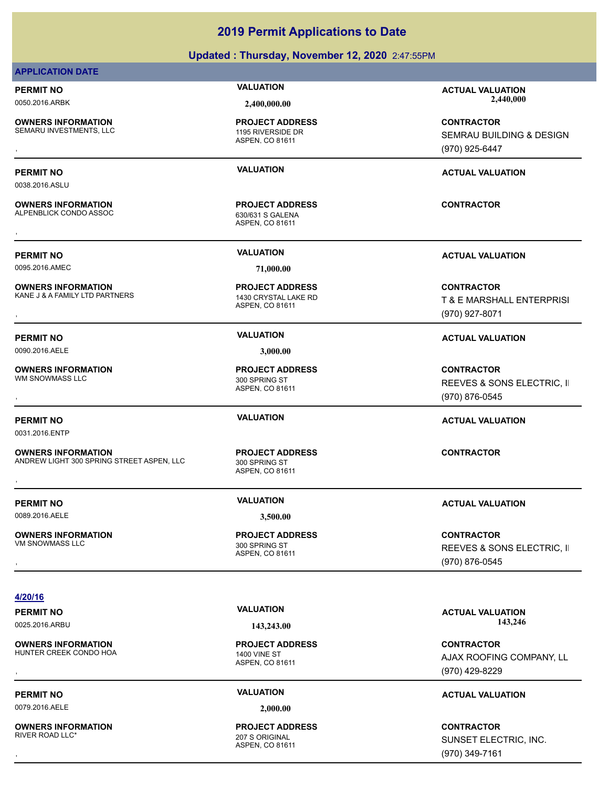|                         | Updated: Thursday, November 12, 2020 2:47:55PM |                         |
|-------------------------|------------------------------------------------|-------------------------|
| <b>APPLICATION DATE</b> |                                                |                         |
| PERMIT NO               | <b>VALUATION</b>                               | <b>ACTUAL VALUATION</b> |

ASPEN, CO 81611 SEMARU INVESTMENTS, LLC<br>
1195 RIVERSIDE DR **PROJECT ADDRESS**

ASPEN, CO 81611 ALPENBLICK CONDO ASSOC 630/631 S GALENA **OWNERS INFORMATION CONTRACTOR REGISTED BY A PROJECT ADDRESS CONTRACTOR CONTRACTOR**<br>ALPENBLICK CONDO ASSOC CONTRACTOR 630/631 S GALENA<br>ASPEN. CO 81611

ASPEN, CO 81611

ASPEN, CO 81611

ASPEN, CO 81611

**PROJECT ADDRESS**

**PROJECT ADDRESS**

**PROJECT ADDRESS**

**PROJECT ADDRESS**

**PERMIT NO VALUATION ACTUAL VALUATION**

, **CONTRACTOR** T & E MARSHALL ENTERPRISI (970) 927-8071

### **PERMIT NO VALUATION ACTUAL VALUATION**

**OWNERS INFORMATION PROJECT ADDRESS CONTRACTOR**<br>WM SNOWMASS LLC 300 SPRING ST REEVES & SONS ELECTRIC, II<br>, ASPEN. CO 81611 REEVES & SONS ELECTRIC, II (970) 876-0545

### **PERMIT NO VALUATION ACTUAL VALUATION**

### **PERMIT NO VALUATION VALUATION VALUATION**

, **CONTRACTOR** REEVES & SONS ELECTRIC, II (970) 876-0545

**OWNERS INFORMATION** HUNTER CREEK CONDO HOA 1400 VINE ST

0079.2016.AELE **2,000.00**

**OWNERS INFORMATION** RIVER ROAD LLC<sup>\*</sup> 207 S ORIGINAL

ASPEN, CO 81611 **PROJECT ADDRESS**

ASPEN, CO 81611 **PROJECT ADDRESS**

PERMIT NO **142,246 CTUAL VALUATION VALUATION ACTUAL VALUATION ACTUAL VALUATION** 0025.2016.ARBU **143,243.00 143,246.00**

**OWNERS INFORMATION GOVERNED BY A SERVICE PROJECT ADDRESS ARE:**<br>HUNTER CREEK CONDO HOA GOVERNED ASPEN, CO 81611 ASPEN A SPEN A SARIAL COMPANY, LL GOVERNED A SARIAL ASPEN CO 81611<br>REPEN CO 81611 (970) 429-8229 AJAX ROOFING COMPANY, LL (970) 429-8229

### **PERMIT NO VALUATION ACTUAL VALUATION**

, **CONTRACTOR** SUNSET ELECTRIC, INC. (970) 349-7161

0050.2016.ARBK **2,400,000.00 2,440,000.00**

**OWNERS INFORMATION PROJECT ADDRESS CONTRACTOR**<br>SEMARU INVESTMENTS, LLC 1195 RIVERSIDE DR SEMRAU BUILDING & DESIGN<br>, ASPEN, CO 81611 SEMRAU BUILDING & DESIGN (970) 925-6447

### **PERMIT NO VALUATION ACTUAL VALUATION**

## **2019 Permit Applications to Date**

0038.2016.ASLU

**OWNERS INFORMATION**

**OWNERS INFORMATION**

0095.2016.AMEC **71,000.00**

**OWNERS INFORMATION** KANE J & A FAMILY LTD PARTNERS 1430 CRYSTAL LAKE RD

0090.2016.AELE **3,000.00**

**OWNERS INFORMATION** WM SNOWMASS LLC 300 SPRING ST

0031.2016.ENTP

**OWNERS INFORMATION** ANDREW LIGHT 300 SPRING STREET ASPEN, LLC 300 SPRING ST , **CONTRACTOR**

0089.2016.AELE **3,500.00**

**OWNERS INFORMATION** VM SNOWMASS LLC 300 SPRING ST

**4/20/16**

ASPEN, CO 81611

**PROJECT ADDRESS**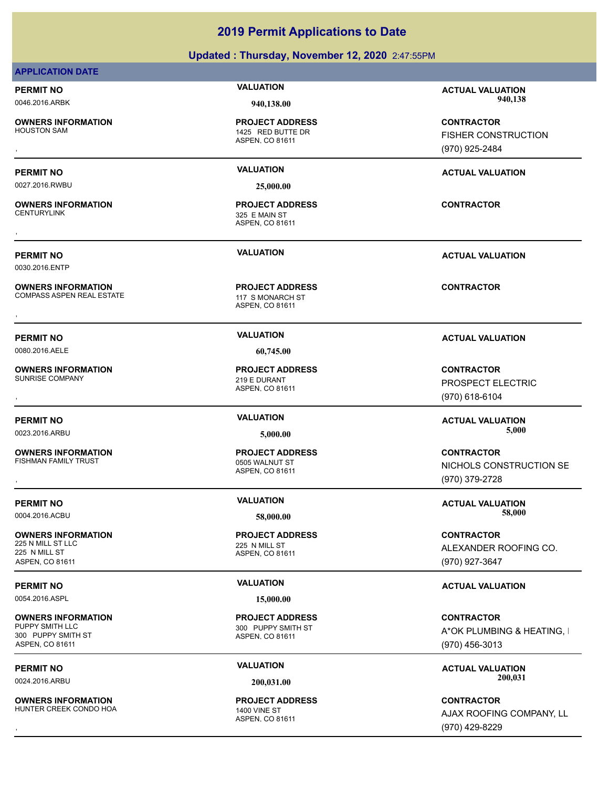## **Updated : Thursday, November 12, 2020** 2:47:55PM **2019 Permit Applications to Date**

### **APPLICATION DATE**

**OWNERS INFORMATION**

ASPEN, CO 81611 1425 RED BUTTE DR **PROJECT ADDRESS**

0027.2016.RWBU **25,000.00**

**OWNERS INFORMATION**

0030.2016.ENTP

**OWNERS INFORMATION** COMPASS ASPEN REAL ESTATE 117 S MONARCH ST

**OWNERS INFORMATION** SUNRISE COMPANY 219 E DURANT

**OWNERS INFORMATION** FISHMAN FAMILY TRUST **CONTRACT CONTRACT CONTRACT CONTRACT CONTRACT CONTRACT CONTRACT CONTRACT CONTRACT CONTRACT CONTRACT CONTRACT CONTRACT CONTRACT CONTRACT CONTRACT CONTRACT CONTRACT CONTRACT CONTRACT CONTRACT CONTRACT CO** 

**OWNERS INFORMATION** 225 N MILL ST LLC 225 N MILL ST LLC 225 N MILL ST ASPEN, CO 81611

0054.2016.ASPL **15,000.00**

**OWNERS INFORMATION** PUPPY SMITH LLC **And All STEP SMITH ST** 300 PUPPY SMITH ST 300 PUPPY SMITH ST ASPEN, CO 81611

**OWNERS INFORMATION** HUNTER CREEK CONDO HOA 1400 VINE ST

ASPEN, CO 81611 325 E MAIN ST **PROJECT ADDRESS** , **CONTRACTOR**

ASPEN, CO 81611 **PROJECT ADDRESS OWNERS INFORMATION CONTRACTOR RESOURCE PROJECT ADDRESS CONTRACTOR CONTRACTOR**<br>COMPASS ASPEN REAL ESTATE THE MONARCH STORE ASPEN, CO 81611<br>,

0080.2016.AELE **60,745.00**

ASPEN, CO 81611 **PROJECT ADDRESS**

ASPEN, CO 81611 **PROJECT ADDRESS**

ASPEN, CO 81611 **PROJECT ADDRESS**

ASPEN, CO 81611 **PROJECT ADDRESS**

ASPEN, CO 81611 **PROJECT ADDRESS**

**PERMIT NO VALUATION ACTUAL VALUATION** 0046.2016.ARBK **940,138.00 940,138.00**

, **CONTRACTOR** FISHER CONSTRUCTION (970) 925-2484

### **PERMIT NO VALUATION ACTUAL VALUATION**

**PERMIT NO VALUATION ACTUAL VALUATION**

### **PERMIT NO VALUATION ACTUAL VALUATION**

, **CONTRACTOR** PROSPECT ELECTRIC (970) 618-6104

**PERMIT NO VALUATION VALUATION VALUATION** 0023.2016.ARBU **5,000.00 5,000.00**

, **CONTRACTOR** NICHOLS CONSTRUCTION SE (970) 379-2728

**PERMIT NO CONSUMITY OF A CONSUMITY OF A CONSUMITY OF A CONSUMITY OF A CTUAL VALUATION** 0004.2016.ACBU **58,000.00 58,000.00**

> **CONTRACTOR** ALEXANDER ROOFING CO. (970) 927-3647

### **PERMIT NO VALUATION VALUATION VALUATION**

**CONTRACTOR** A\*OK PLUMBING & HEATING, I (970) 456-3013

**PERMIT NO VALUATION ACTUAL VALUATION** 0024.2016.ARBU **200,031.00 200,031.00**

**OWNERS INFORMATION GOVERNED BY A SERVICE PROJECT ADDRESS ARE:**<br>HUNTER CREEK CONDO HOA GOVERNED ASPEN, CO 81611 ASPEN A SARIAL MODEL AND A SARIAL MODEL AND A AJAX ROOFING COMPANY, LL<br>REPEN, CO 81611 ASPEN AND THE SARIAL MO AJAX ROOFING COMPANY, LL (970) 429-8229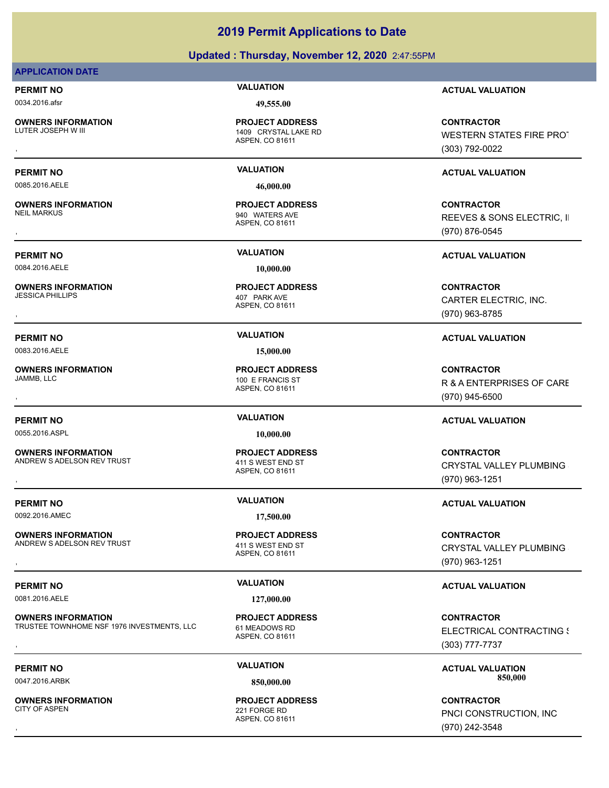### **Updated : Thursday, November 12, 2020** 2:47:55PM

### **APPLICATION DATE**

0034.2016.afsr **49,555.00**

**OWNERS INFORMATION**<br>LUTER JOSEPH W III

### ASPEN, CO 81611 1409 CRYSTAL LAKE RD **PROJECT ADDRESS**

0085.2016.AELE **46,000.00**

**OWNERS INFORMATION**

0084.2016.AELE **10,000.00**

**OWNERS INFORMATION** JESSICA PHILLIPS 407 PARK AVE

0083.2016.AELE **15,000.00**

**OWNERS INFORMATION**

0055.2016.ASPL **10,000.00**

**OWNERS INFORMATION** ANDREW S ADELSON REV TRUST AND MALL AND AND AND ST AND ST

0092.2016.AMEC **17,500.00**

**OWNERS INFORMATION** ANDREW S ADELSON REV TRUST AND REVIOUS AND ALL AND ST

0081.2016.AELE **127,000.00**

**OWNERS INFORMATION** TRUSTEE TOWNHOME NSF 1976 INVESTMENTS, LLC 61 MEADOWS RD

**OWNERS INFORMATION** CITY OF ASPEN 221 FORGE RD

ASPEN, CO 81611 940 WATERS AVE **PROJECT ADDRESS**

ASPEN, CO 81611 **PROJECT ADDRESS**

ASPEN, CO 81611 100 E FRANCIS ST **PROJECT ADDRESS**

ASPEN, CO 81611 **PROJECT ADDRESS**

ASPEN, CO 81611

ASPEN, CO 81611 **PROJECT ADDRESS**

ASPEN, CO 81611 **PROJECT ADDRESS**

**PERMIT NO VALUATION ACTUAL VALUATION**

**OWNERS INFORMATION PROJECT ADDRESS CONTRACTOR**<br>LUTER JOSEPH W III 1409 CRYSTAL LAKE RD WESTERN STATES FIRE PROT<br>, ASPEN, CO 81611 WESTERN STATES FIRE PROT (303) 792-0022

### **PERMIT NO VALUATION ACTUAL VALUATION**

, **CONTRACTOR** REEVES & SONS ELECTRIC, II (970) 876-0545

**PERMIT NO VALUATION ACTUAL VALUATION**

, **CONTRACTOR** CARTER ELECTRIC, INC. (970) 963-8785

### **PERMIT NO VALUATION ACTUAL VALUATION**

, **CONTRACTOR** R & A ENTERPRISES OF CARE (970) 945-6500

### **PERMIT NO VALUATION ACTUAL VALUATION**

**OWNERS INFORMATION CONTRACTOR REGULAR PROJECT ADDRESS CONTRACTOR CONTRACTOR**<br>ANDREW SADELSON REV TRUST TRIST TO A 411 S WEST END ST TO THE REVISTAL VALLEY PLUMBING ASPEN, CO 81611<br>ASPEN, CO 81611 (970) 963-1251, (970) 963 CRYSTAL VALLEY PLUMBING (970) 963-1251

### **PERMIT NO VALUATION VALUATION VALUATION**

**OWNERS INFORMATION CONTRACTOR REGULAR SERVICE PROJECT ADDRESS CONTRACTOR CONTRACTOR**<br>ANDREW SADELSON REV TRUST TRIST TO A 411 S WEST END ST TO THE REVISTAL VALLEY PLUMBING ASPEN. CO 81611<br>ASPEN. CO 81611 (970) 963-1251 CRYSTAL VALLEY PLUMBING (970) 963-1251

### **PERMIT NO VALUATION VALUATION VALUATION**

**OWNERS INFORMATION DESCRIPTED MANUSCE PROJECT ADDRESS ARE:**<br>TRUSTEE TOWNHOME NSF 1976 INVESTMENTS, LLC to the ASPEN, CO 81611 **1989 ELECTRICAL CONTRACTING (SOME ASPEN**, CO 81611 **1989 ELECTRICAL CONTRACTING (SOME ASPEN**, ELECTRICAL CONTRACTING & (303) 777-7737

PERMIT NO **MALUATION VALUATION CONSIDERENT ACTUAL VALUATION CONSIDERENT ACTUAL VALUATION** 0047.2016.ARBK **850,000.00 850,000.00**

, **CONTRACTOR** PNCI CONSTRUCTION, INC (970) 242-3548

**PROJECT ADDRESS**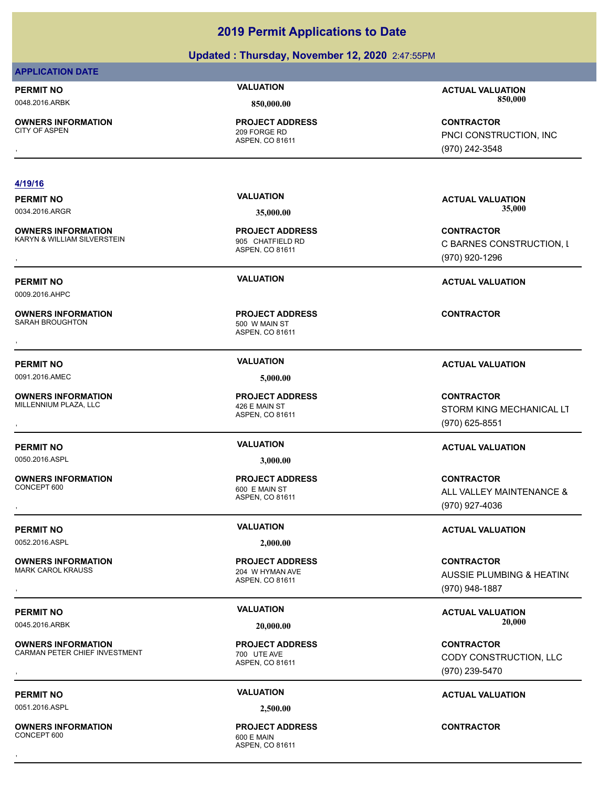### **Updated : Thursday, November 12, 2020** 2:47:55PM

### **APPLICATION DATE**

**OWNERS INFORMATION**

ASPEN, CO 81611 209 FORGE RD **PROJECT ADDRESS**

### **PERMIT NO VALUATION ACTUAL VALUATION** 0048.2016.ARBK **850,000.00 850,000.00**

, **CONTRACTOR** PNCI CONSTRUCTION, INC (970) 242-3548

### **4/19/16**

**OWNERS INFORMATION** KARYN & WILLIAM SILVERSTEIN 905 CHATFIELD RD

0009.2016.AHPC

**OWNERS INFORMATION** SARAH BROUGHTON 500 W MAIN ST

0091.2016.AMEC **5,000.00**

**OWNERS INFORMATION** MILLENNIUM PLAZA, LLC<br>426 E MAIN ST

0050.2016.ASPL **3,000.00**

**OWNERS INFORMATION**

0052.2016.ASPL **2,000.00**

**OWNERS INFORMATION**

**OWNERS INFORMATION** CARMAN PETER CHIEF INVESTMENT **1999 120 VITE AVE** 

0051.2016.ASPL **2,500.00**

**OWNERS INFORMATION** CONCEPT 600

ASPEN, CO 81611 **PROJECT ADDRESS**

ASPEN, CO 81611 **PROJECT ADDRESS** , **CONTRACTOR**

ASPEN, CO 81611 **PROJECT ADDRESS**

ASPEN, CO 81611 600 E MAIN ST **PROJECT ADDRESS**

ASPEN, CO 81611 204 W HYMAN AVE **PROJECT ADDRESS**

ASPEN, CO 81611 **PROJECT ADDRESS**

ASPEN, CO 81611 **PROJECT ADDRESS** , **CONTRACTOR**

**PERMIT NO VALUATION ACTUAL VALUATION** 0034.2016.ARGR **35,000.00 35,000.00**

, **CONTRACTOR** C BARNES CONSTRUCTION, L (970) 920-1296

### **PERMIT NO VALUATION ACTUAL VALUATION**

### **PERMIT NO VALUATION ACTUAL VALUATION**

, **CONTRACTOR** STORM KING MECHANICAL LT (970) 625-8551

### **PERMIT NO VALUATION ACTUAL VALUATION**

, **CONTRACTOR** ALL VALLEY MAINTENANCE & (970) 927-4036

### **PERMIT NO VALUATION ACTUAL VALUATION**

, **CONTRACTOR** AUSSIE PLUMBING & HEATING (970) 948-1887

### PERMIT NO **SALUATION VALUATION CONSISTENT ACTUAL VALUATION**<br>20,000 **10045** 2016 APPK **20,000** 0045.2016.ARBK **20,000.00 20,000.00**

**OWNERS INFORMATION METALLY CONTRACTOR SERVICES FOR A PROJECT ADDRESS ARE:**<br>CARMAN PETER CHIEF INVESTMENT METALLY TO THE AVENUS OF SASPEN, CO 81611 METALLY METALLY METALLY ASPEN, CO 81611<br>TO MASPEN, CO 81611 METALLY METALL CODY CONSTRUCTION, LLC (970) 239-5470

### **PERMIT NO VALUATION ACTUAL VALUATION**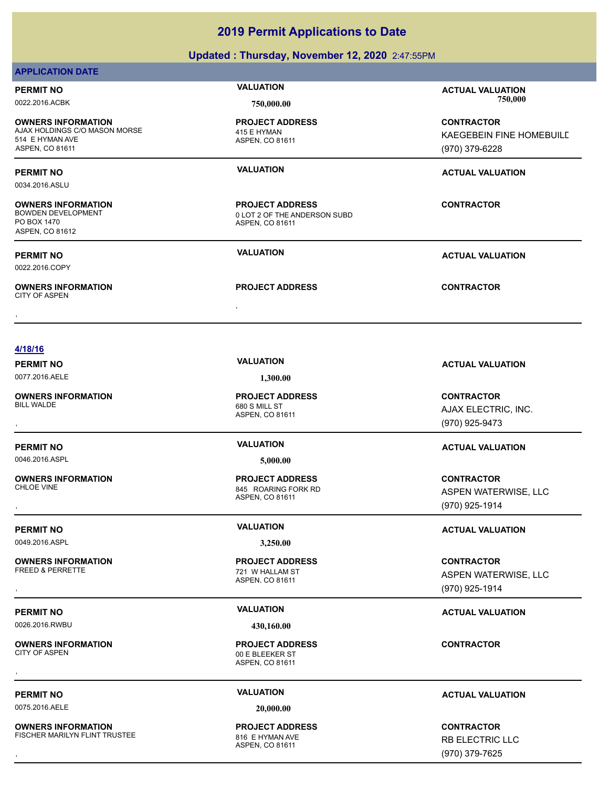### **Updated : Thursday, November 12, 2020** 2:47:55PM

### **APPLICATION DATE**

**OWNERS INFORMATION** AJAX HOLDINGS C/O MASON MORSE 415 E HYMAN 514 E HYMAN AVE ASPEN, CO 81611

0034.2016.ASLU

**OWNERS INFORMATION** PO BOX 1470 ASPEN, CO 81612

0022.2016.COPY

, **OWNERS INFORMATION** CITY OF ASPEN **OWNERS INFORMATION EXAMPLE AND REGIST ADDRESS ARE:**<br>CITY OF ASPEN<br>,

**PROJECT ADDRESS**

ASPEN, CO 81611

ASPEN, CO 81611 0 LOT 2 OF THE ANDERSON SUBD **PROJECT ADDRESS**

**PROJECT ADDRESS**

**PERMIT NO VALUATION ACTUAL VALUATION** 0022.2016.ACBK **750,000.00 750,000.00**

> **CONTRACTOR** KAEGEBEIN FINE HOMEBUILD (970) 379-6228

### **PERMIT NO VALUATION ACTUAL VALUATION**

**CONTRACTOR**

**PERMIT NO VALUATION ACTUAL VALUATION**

### **4/18/16**

0077.2016.AELE **1,300.00**

**OWNERS INFORMATION**

0046.2016.ASPL **5,000.00**

**OWNERS INFORMATION**

0049.2016.ASPL **3,250.00**

**OWNERS INFORMATION**

0026.2016.RWBU **430,160.00**

**OWNERS INFORMATION**

ASPEN, CO 81611 680 S MILL ST **PROJECT ADDRESS**

ASPEN, CO 81611 845 ROARING FORK RD **PROJECT ADDRESS**

ASPEN, CO 81611 721 W HALLAM ST **PROJECT ADDRESS**

ASPEN, CO 81611 00 E BLEEKER ST **PROJECT ADDRESS OWNERS INFORMATION FROJECT ADDRESS ARE:**<br>CITY OF ASPEN<br>, ASPEN, CO 81611<br>,

0075.2016.AELE **20,000.00**

ASPEN, CO 81611 **PROJECT ADDRESS**

**PERMIT NO VALUATION ACTUAL VALUATION**

, **CONTRACTOR** AJAX ELECTRIC, INC. (970) 925-9473

### **PERMIT NO VALUATION ACTUAL VALUATION**

, **CONTRACTOR** ASPEN WATERWISE, LLC (970) 925-1914

### **PERMIT NO VALUATION ACTUAL VALUATION**

, **CONTRACTOR** ASPEN WATERWISE, LLC (970) 925-1914

### **PERMIT NO VALUATION ACTUAL VALUATION**

**OWNERS INFORMATION METALLY READERED BY A SERVICE CONTROLLY AND READER SERVICE CONTRACTOR CONTRACTOR SERVICE SU<br>FISCHER MARILYN FLINT TRUSTEE METALLY READER ASPEN, CO 81611 MASPEN, CO 81611 METALLY METALLY METALLY READER A** RB ELECTRIC LLC (970) 379-7625

**OWNERS INFORMATION** FISCHER MARILYN FLINT TRUSTEE 816 F HYMAN AVE

## **PERMIT NO VALUATION ACTUAL VALUATION**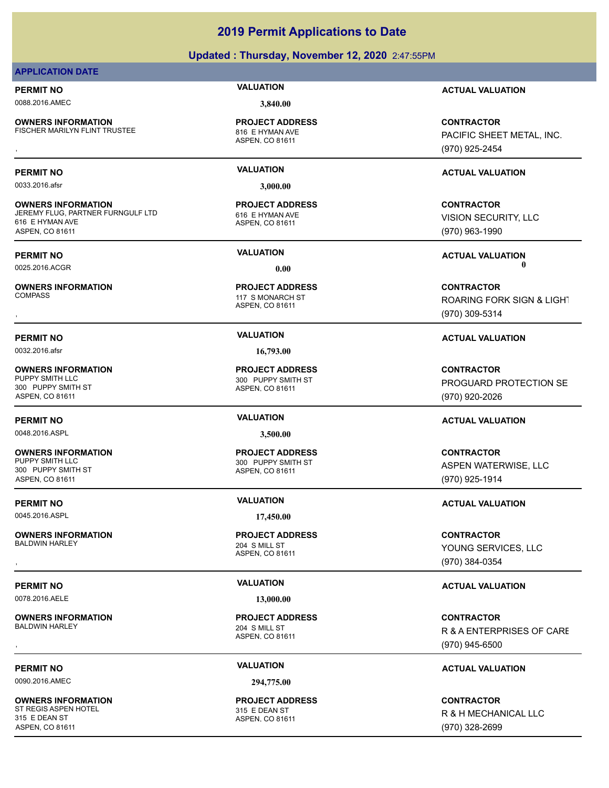### **Updated : Thursday, November 12, 2020** 2:47:55PM

### **APPLICATION DATE**

0088.2016.AMEC **3,840.00**

**OWNERS INFORMATION** FISCHER MARILYN FLINT TRUSTEE 816 E HYMAN AVE

**OWNERS INFORMATION**

**OWNERS INFORMATION**

**OWNERS INFORMATION**

**OWNERS INFORMATION**

**OWNERS INFORMATION**

**OWNERS INFORMATION**

**OWNERS INFORMATION**

315 E DEAN ST ASPEN, CO 81611

300 PUPPY SMITH ST ASPEN, CO 81611

300 PUPPY SMITH ST ASPEN, CO 81611

616 E HYMAN AVE ASPEN, CO 81611

ASPEN, CO 81611 **PROJECT ADDRESS**

0033.2016.afsr **3,000.00**

ASPEN, CO 81611 JEREMY FLUG, PARTNER FURNGULF LTD 616 E HYMAN AVE **PROJECT ADDRESS**

ASPEN, CO 81611 117 S MONARCH ST **PROJECT ADDRESS**

ASPEN, CO 81611 300 PUPPY SMITH ST **PROJECT ADDRESS**

0048.2016.ASPL **3,500.00**

PUPPY SMITH LLC **And All STEP SMITH ST** 300 PUPPY SMITH ST

0078.2016.AELE **13,000.00**

0090.2016.AMEC **294,775.00**

ASPEN, CO 81611 ST REGIS ASPEN HOTEL 315 E DEAN ST **PROJECT ADDRESS**

**PERMIT NO VALUATION ACTUAL VALUATION**

**OWNERS INFORMATION METALLY READERED BY A SERVICE TO A DURESS AND READ CONTRACTOR CONTRACTOR**<br>FISCHER MARILYN FLINT TRUSTEE TO MAN ASPEN, CO 81611 METAL ASPEN, CO 81611 METAL (1970) 925-2454<br>FISCHER MARILYN FLINT TRUSTEE T PACIFIC SHEET METAL, INC. (970) 925-2454

### **PERMIT NO VALUATION ACTUAL VALUATION**

**CONTRACTOR** VISION SECURITY, LLC (970) 963-1990

**PERMIT NO VALUATION ACTUAL VALUATION** 0025.2016.ACGR **0.00 0.00**

, **CONTRACTOR** ROARING FORK SIGN & LIGHT (970) 309-5314

### **PERMIT NO VALUATION ACTUAL VALUATION**

**CONTRACTOR** PROGUARD PROTECTION SE (970) 920-2026

### **PERMIT NO VALUATION ACTUAL VALUATION**

**CONTRACTOR** ASPEN WATERWISE, LLC (970) 925-1914

### **PERMIT NO VALUATION VALUATION VALUATION**

, **CONTRACTOR** YOUNG SERVICES, LLC (970) 384-0354

### **PERMIT NO VALUATION VALUATION VALUATION**

, **CONTRACTOR** R & A ENTERPRISES OF CARE (970) 945-6500

### **PERMIT NO CONSUMITY OF A CONSUMITY OF A CONSUMITY OF A CONSUMITY OF A CTUAL VALUATION**

**CONTRACTOR** R & H MECHANICAL LLC (970) 328-2699

0032.2016.afsr **16,793.00**

**PROJECT ADDRESS**

ASPEN, CO 81611

0045.2016.ASPL **17,450.00**

ASPEN, CO 81611 BALDWIN HARLEY 204 S MILL ST **PROJECT ADDRESS**

ASPEN, CO 81611 BALDWIN HARLEY 204 S MILL ST **PROJECT ADDRESS**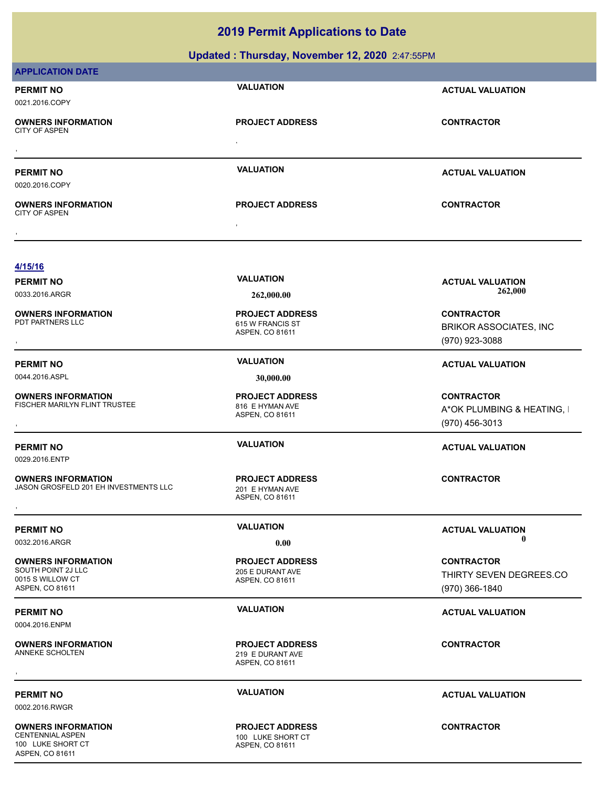**Updated : Thursday, November 12, 2020** 2:47:55PM

| <b>APPLICATION DATE</b>                                                                |                                                               |                                                                   |
|----------------------------------------------------------------------------------------|---------------------------------------------------------------|-------------------------------------------------------------------|
| <b>PERMIT NO</b><br>0021.2016.COPY                                                     | <b>VALUATION</b>                                              | <b>ACTUAL VALUATION</b>                                           |
| <b>OWNERS INFORMATION</b><br><b>CITY OF ASPEN</b>                                      | <b>PROJECT ADDRESS</b><br>$\cdot$                             | <b>CONTRACTOR</b>                                                 |
| <b>PERMIT NO</b><br>0020.2016.COPY                                                     | <b>VALUATION</b>                                              | <b>ACTUAL VALUATION</b>                                           |
| <b>OWNERS INFORMATION</b><br><b>CITY OF ASPEN</b>                                      | <b>PROJECT ADDRESS</b><br>$\bullet$                           | <b>CONTRACTOR</b>                                                 |
|                                                                                        |                                                               |                                                                   |
| 4/15/16<br><b>PERMIT NO</b><br>0033.2016.ARGR                                          | <b>VALUATION</b><br>262,000.00                                | <b>ACTUAL VALUATION</b><br>262,000                                |
| <b>OWNERS INFORMATION</b><br>PDT PARTNERS LLC                                          | <b>PROJECT ADDRESS</b><br>615 W FRANCIS ST<br>ASPEN, CO 81611 | <b>CONTRACTOR</b><br>BRIKOR ASSOCIATES, INC<br>(970) 923-3088     |
| <b>PERMIT NO</b><br>0044.2016.ASPL                                                     | <b>VALUATION</b><br>30,000.00                                 | <b>ACTUAL VALUATION</b>                                           |
| <b>OWNERS INFORMATION</b><br>FISCHER MARILYN FLINT TRUSTEE                             | <b>PROJECT ADDRESS</b><br>816 E HYMAN AVE<br>ASPEN, CO 81611  | <b>CONTRACTOR</b><br>A*OK PLUMBING & HEATING, I<br>(970) 456-3013 |
| <b>PERMIT NO</b><br>0029.2016.ENTP                                                     | <b>VALUATION</b>                                              | <b>ACTUAL VALUATION</b>                                           |
| <b>OWNERS INFORMATION</b><br>JASON GROSFELD 201 EH INVESTMENTS LLC<br>$\sim$           | <b>PROJECT ADDRESS</b><br>201 E HYMAN AVE<br>ASPEN, CO 81611  | <b>CONTRACTOR</b>                                                 |
| <b>PERMIT NO</b><br>0032.2016.ARGR                                                     | <b>VALUATION</b><br>0.00                                      | <b>ACTUAL VALUATION</b><br>0                                      |
| <b>OWNERS INFORMATION</b><br>SOUTH POINT 2J LLC<br>0015 S WILLOW CT<br>ASPEN, CO 81611 | <b>PROJECT ADDRESS</b><br>205 E DURANT AVE<br>ASPEN, CO 81611 | <b>CONTRACTOR</b><br>THIRTY SEVEN DEGREES.CO<br>(970) 366-1840    |
| <b>PERMIT NO</b><br>0004.2016.ENPM                                                     | <b>VALUATION</b>                                              | <b>ACTUAL VALUATION</b>                                           |
| <b>OWNERS INFORMATION</b><br>ANNEKE SCHOLTEN                                           | <b>PROJECT ADDRESS</b><br>219 E DURANT AVE<br>ASPEN, CO 81611 | <b>CONTRACTOR</b>                                                 |
| <b>PERMIT NO</b><br>0002.2016.RWGR                                                     | <b>VALUATION</b>                                              | <b>ACTUAL VALUATION</b>                                           |
| <b>OWNERS INFORMATION</b><br><b>CENTENNIAL ASPEN</b>                                   | <b>PROJECT ADDRESS</b><br>100 LUKE SHORT CT                   | <b>CONTRACTOR</b>                                                 |

ASPEN, CO 81611

100 LUKE SHORT CT ASPEN, CO 81611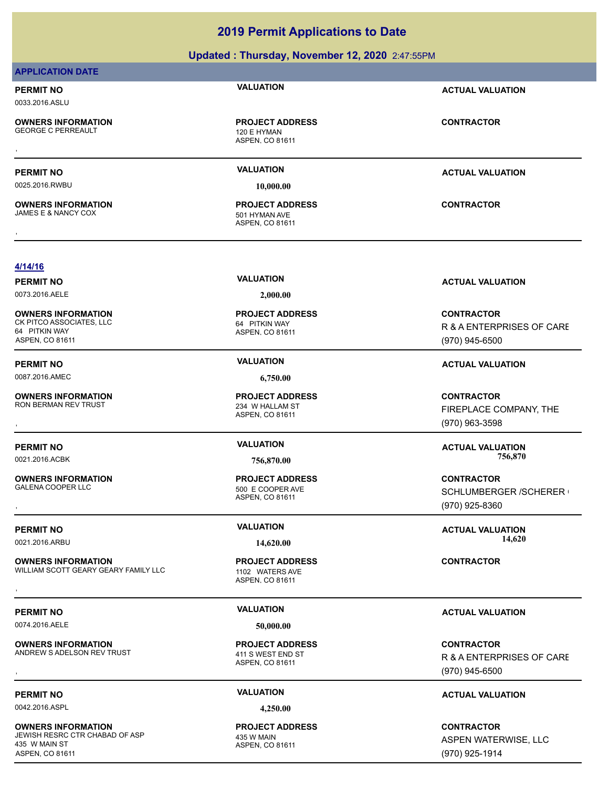### **Updated : Thursday, November 12, 2020** 2:47:55PM

### **APPLICATION DATE**

0033.2016.ASLU

**OWNERS INFORMATION** GEORGE C PERREAULT 120 E HYMAN

0025.2016.RWBU **10,000.00**

**OWNERS INFORMATION** JAMES E & NANCY COX 501 HYMAN AVE

ASPEN, CO 81611 **PROJECT ADDRESS** , **CONTRACTOR**

ASPEN, CO 81611 **PROJECT ADDRESS** , **CONTRACTOR**

**PERMIT NO VALUATION ACTUAL VALUATION**

**PERMIT NO VALUATION ACTUAL VALUATION**

### **4/14/16**

0073.2016.AELE **2,000.00**

**OWNERS INFORMATION** CK PITCO ASSOCIATES, LLC 64 PITKIN WAY 64 PITKIN WAY ASPEN, CO 81611

**OWNERS INFORMATION**

**OWNERS INFORMATION**

**OWNERS INFORMATION** WILLIAM SCOTT GEARY GEARY FAMILY LLC 1102 WATERS AVE **OWNERS INFORMATION FROM THE PROJECT ADDRESS ARE:**<br>WILLIAM SCOTT GEARY GEARY FAMILY LLC THE MATERS AVE ASPEN. CO 81611<br>,

0074.2016.AELE **50,000.00**

**OWNERS INFORMATION** ANDREW SADELSON REV TRUST

0042.2016.ASPL **4,250.00**

**OWNERS INFORMATION** JEWISH RESRC CTR CHABAD OF ASP 435 W MAIN 435 W MAIN ST ASPEN, CO 81611

ASPEN, CO 81611 **PROJECT ADDRESS**

0087.2016.AMEC **6,750.00**

ASPEN, CO 81611 RON BERMAN REV TRUST 234 W HALLAM ST **PROJECT ADDRESS**

ASPEN, CO 81611 500 E COOPER AVE **PROJECT ADDRESS**

ASPEN, CO 81611

ASPEN, CO 81611 **PROJECT ADDRESS**

ASPEN, CO 81611 **PROJECT ADDRESS**

**PERMIT NO VALUATION ACTUAL VALUATION**

**CONTRACTOR** R & A ENTERPRISES OF CARE (970) 945-6500

### **PERMIT NO VALUATION ACTUAL VALUATION**

, **CONTRACTOR** FIREPLACE COMPANY, THE (970) 963-3598

**PERMIT NO VALUATION ACTUAL VALUATION** 0021.2016.ACBK **756,870.00 756,870.00**

**OWNERS INFORMATION PROJECT ADDRESS CONTRACTOR**<br>GALENA COOPER LLC 500\_E COOPER AVE SCHLUMBERGER /SCHERER l<br>, ASPEN, CO 81611 SCHLUMBERGER /SCHERER ( (970) 925-8360

**PERMIT NO VALUATION ACTUAL VALUATION** 0021.2016.ARBU **14,620.00 14,620.00**

### **PERMIT NO VALUATION ACTUAL VALUATION**

**OWNERS INFORMATION CONTRACTOR EXAMPLE IN A SERVIT ADDRESS CONTRACTOR CONTRACTOR**<br>ANDREW SADELSON REV TRUST THE RESERVENT OF A SPEN, CO 81611<br>, The CONTROL CO 81611 (970) 945-6500 R & A ENTERPRISES OF CARE (970) 945-6500

### **PERMIT NO VALUATION ACTUAL VALUATION**

**CONTRACTOR** ASPEN WATERWISE, LLC (970) 925-1914

**PROJECT ADDRESS**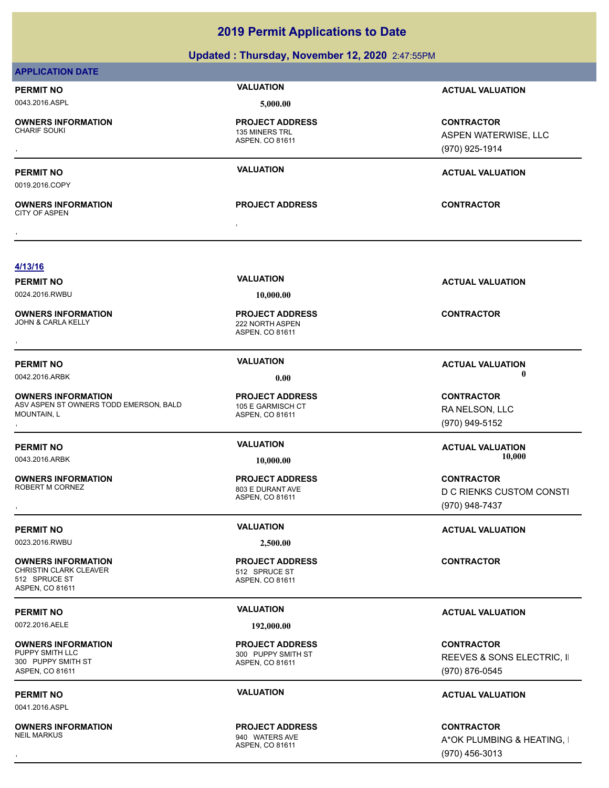| <b>PERMIT NO</b><br>0043.2016.ASPL<br><b>OWNERS INFORMATION</b><br><b>CHARIF SOUKI</b><br><b>PERMIT NO</b><br>0019.2016.COPY<br><b>OWNERS INFORMATION</b><br><b>CITY OF ASPEN</b><br>4/13/16<br><b>PERMIT NO</b><br>0024.2016.RWBU<br><b>OWNERS INFORMATION</b><br><b>JOHN &amp; CARLA KELLY</b><br><b>PERMIT NO</b><br>0042.2016.ARBK<br><b>OWNERS INFORMATION</b> | <b>VALUATION</b><br>5,000.00<br><b>PROJECT ADDRESS</b><br>135 MINERS TRL<br>ASPEN, CO 81611<br><b>VALUATION</b><br><b>PROJECT ADDRESS</b><br><b>VALUATION</b><br>10,000.00<br><b>PROJECT ADDRESS</b><br>222 NORTH ASPEN | <b>ACTUAL VALUATION</b><br><b>CONTRACTOR</b><br>ASPEN WATERWISE, LLC<br>(970) 925-1914<br><b>ACTUAL VALUATION</b><br><b>CONTRACTOR</b><br><b>ACTUAL VALUATION</b> |
|---------------------------------------------------------------------------------------------------------------------------------------------------------------------------------------------------------------------------------------------------------------------------------------------------------------------------------------------------------------------|-------------------------------------------------------------------------------------------------------------------------------------------------------------------------------------------------------------------------|-------------------------------------------------------------------------------------------------------------------------------------------------------------------|
|                                                                                                                                                                                                                                                                                                                                                                     |                                                                                                                                                                                                                         |                                                                                                                                                                   |
|                                                                                                                                                                                                                                                                                                                                                                     |                                                                                                                                                                                                                         |                                                                                                                                                                   |
|                                                                                                                                                                                                                                                                                                                                                                     |                                                                                                                                                                                                                         |                                                                                                                                                                   |
|                                                                                                                                                                                                                                                                                                                                                                     |                                                                                                                                                                                                                         |                                                                                                                                                                   |
|                                                                                                                                                                                                                                                                                                                                                                     |                                                                                                                                                                                                                         |                                                                                                                                                                   |
|                                                                                                                                                                                                                                                                                                                                                                     |                                                                                                                                                                                                                         |                                                                                                                                                                   |
|                                                                                                                                                                                                                                                                                                                                                                     |                                                                                                                                                                                                                         |                                                                                                                                                                   |
|                                                                                                                                                                                                                                                                                                                                                                     |                                                                                                                                                                                                                         |                                                                                                                                                                   |
|                                                                                                                                                                                                                                                                                                                                                                     |                                                                                                                                                                                                                         |                                                                                                                                                                   |
|                                                                                                                                                                                                                                                                                                                                                                     |                                                                                                                                                                                                                         |                                                                                                                                                                   |
|                                                                                                                                                                                                                                                                                                                                                                     |                                                                                                                                                                                                                         |                                                                                                                                                                   |
|                                                                                                                                                                                                                                                                                                                                                                     |                                                                                                                                                                                                                         |                                                                                                                                                                   |
|                                                                                                                                                                                                                                                                                                                                                                     | ASPEN, CO 81611                                                                                                                                                                                                         | <b>CONTRACTOR</b>                                                                                                                                                 |
|                                                                                                                                                                                                                                                                                                                                                                     | <b>VALUATION</b>                                                                                                                                                                                                        | <b>ACTUAL VALUATION</b>                                                                                                                                           |
|                                                                                                                                                                                                                                                                                                                                                                     | 0.00                                                                                                                                                                                                                    | 0                                                                                                                                                                 |
|                                                                                                                                                                                                                                                                                                                                                                     | <b>PROJECT ADDRESS</b>                                                                                                                                                                                                  | <b>CONTRACTOR</b>                                                                                                                                                 |
| ASV ASPEN ST OWNERS TODD EMERSON, BALD<br><b>MOUNTAIN, L</b>                                                                                                                                                                                                                                                                                                        | 105 E GARMISCH CT                                                                                                                                                                                                       | RA NELSON, LLC                                                                                                                                                    |
|                                                                                                                                                                                                                                                                                                                                                                     | ASPEN, CO 81611                                                                                                                                                                                                         | (970) 949-5152                                                                                                                                                    |
| <b>PERMIT NO</b>                                                                                                                                                                                                                                                                                                                                                    | <b>VALUATION</b>                                                                                                                                                                                                        | <b>ACTUAL VALUATION</b>                                                                                                                                           |
| 0043.2016.ARBK                                                                                                                                                                                                                                                                                                                                                      | 10,000.00                                                                                                                                                                                                               | 10,000                                                                                                                                                            |
| <b>OWNERS INFORMATION</b>                                                                                                                                                                                                                                                                                                                                           | <b>PROJECT ADDRESS</b>                                                                                                                                                                                                  | <b>CONTRACTOR</b>                                                                                                                                                 |
| ROBERT M CORNEZ                                                                                                                                                                                                                                                                                                                                                     | 803 E DURANT AVE                                                                                                                                                                                                        | D C RIENKS CUSTOM CONSTI                                                                                                                                          |
|                                                                                                                                                                                                                                                                                                                                                                     | ASPEN, CO 81611                                                                                                                                                                                                         | (970) 948-7437                                                                                                                                                    |
|                                                                                                                                                                                                                                                                                                                                                                     |                                                                                                                                                                                                                         |                                                                                                                                                                   |
| <b>PERMIT NO</b>                                                                                                                                                                                                                                                                                                                                                    | <b>VALUATION</b>                                                                                                                                                                                                        | <b>ACTUAL VALUATION</b>                                                                                                                                           |
| 0023.2016.RWBU                                                                                                                                                                                                                                                                                                                                                      | 2,500.00                                                                                                                                                                                                                |                                                                                                                                                                   |
| <b>OWNERS INFORMATION</b>                                                                                                                                                                                                                                                                                                                                           | <b>PROJECT ADDRESS</b>                                                                                                                                                                                                  | <b>CONTRACTOR</b>                                                                                                                                                 |
| CHRISTIN CLARK CLEAVER<br>512 SPRUCE ST                                                                                                                                                                                                                                                                                                                             | 512 SPRUCE ST<br>ASPEN, CO 81611                                                                                                                                                                                        |                                                                                                                                                                   |
| ASPEN, CO 81611                                                                                                                                                                                                                                                                                                                                                     |                                                                                                                                                                                                                         |                                                                                                                                                                   |
| <b>PERMIT NO</b>                                                                                                                                                                                                                                                                                                                                                    | <b>VALUATION</b>                                                                                                                                                                                                        | <b>ACTUAL VALUATION</b>                                                                                                                                           |
| 0072.2016.AELE                                                                                                                                                                                                                                                                                                                                                      | 192,000.00                                                                                                                                                                                                              |                                                                                                                                                                   |
| <b>OWNERS INFORMATION</b>                                                                                                                                                                                                                                                                                                                                           | <b>PROJECT ADDRESS</b>                                                                                                                                                                                                  | <b>CONTRACTOR</b>                                                                                                                                                 |
| PUPPY SMITH LLC<br>300 PUPPY SMITH ST                                                                                                                                                                                                                                                                                                                               | 300 PUPPY SMITH ST                                                                                                                                                                                                      | REEVES & SONS ELECTRIC, II                                                                                                                                        |
| ASPEN, CO 81611                                                                                                                                                                                                                                                                                                                                                     | ASPEN, CO 81611                                                                                                                                                                                                         | (970) 876-0545                                                                                                                                                    |
| <b>PERMIT NO</b>                                                                                                                                                                                                                                                                                                                                                    | <b>VALUATION</b>                                                                                                                                                                                                        | <b>ACTUAL VALUATION</b>                                                                                                                                           |

ASPEN, CO 81611

**PROJECT ADDRESS**

NEIL MARKUS 940 WATERS AVE

**OWNERS INFORMATION**

, **CONTRACTOR** A\*OK PLUMBING & HEATING, I (970) 456-3013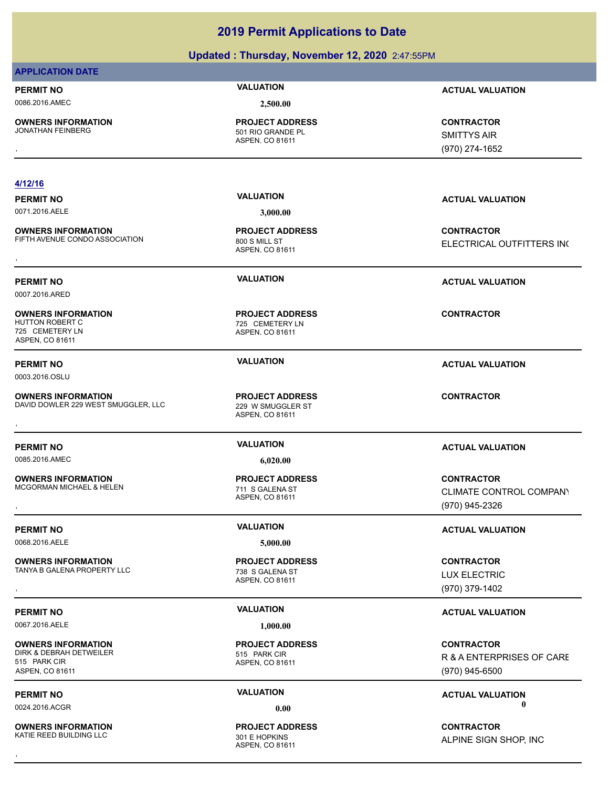### **Updated : Thursday, November 12, 2020** 2:47:55PM

### **APPLICATION DATE**

0086.2016.AMEC **2,500.00**

**OWNERS INFORMATION**

ASPEN, CO 81611 501 RIO GRANDE PL **PROJECT ADDRESS** , **CONTRACTOR**

### **4/12/16**

**OWNERS INFORMATION** FIFTH AVENUE CONDO ASSOCIATION 800 S MILL ST

0007.2016.ARED

**OWNERS INFORMATION** 725 CEMETERY LN ASPEN, CO 81611

0003.2016.OSLU

**OWNERS INFORMATION** DAVID DOWLER 229 WEST SMUGGLER, LLC 229 W SMUGGLER ST **OWNERS INFORMATION METALLY SERVICE PROJECT ADDRESS ARE:**<br>DAVID DOWLER 229 WEST SMUGGLER, LLC ASPEN. CO 81611<br>,

**OWNERS INFORMATION** MCGORMAN MICHAEL & HELEN 711 S GALENA ST

0068.2016.AELE **5,000.00**

**OWNERS INFORMATION** TANYA B GALENA PROPERTY LLC 738 S GALENA ST

0067.2016.AELE **1,000.00**

**OWNERS INFORMATION** DIRK & DEBRAH DETWEILER 515 PARK CIR 515 PARK CIR ASPEN, CO 81611

**OWNERS INFORMATION** KATIE REED BUILDING LLC 301 E HOPKINS

0071.2016.AELE **3,000.00**

ASPEN, CO 81611 **PROJECT ADDRESS**

ASPEN, CO 81611 725 CEMETERY LN **PROJECT ADDRESS**

ASPEN, CO 81611 **PROJECT ADDRESS**

## ASPEN, CO 81611

ASPEN, CO 81611 **PROJECT ADDRESS**

ASPEN, CO 81611 **PROJECT ADDRESS**

### ASPEN, CO 81611 **PROJECT ADDRESS OWNERS INFORMATION LIGENT CONCRET ADDRESS ARE SERVIT TO A CONTRACTOR CONTRACTOR**<br>KATIE REED BUILDING LLC LIGENT CONTROVERS ASPEN, CO 81611<br>,

**PERMIT NO VALUATION ACTUAL VALUATION**

SMITTYS AIR (970) 274-1652

**PERMIT NO VALUATION ACTUAL VALUATION**

, **CONTRACTOR** ELECTRICAL OUTFITTERS INC.

**PERMIT NO VALUATION ACTUAL VALUATION**

**CONTRACTOR**

**PERMIT NO VALUATION VALUATION VALUATION** 

, **CONTRACTOR** CLIMATE CONTROL COMPANY (970) 945-2326

### **PERMIT NO VALUATION ACTUAL VALUATION**

**OWNERS INFORMATION LEADURED BY A SUBSECT ADDRESS ARE SERVICES CONTRACTOR CONTRACTOR**<br>TANYA B GALENA PROPERTY LLC LEADURED TO SALENA ST LOW BY THE LOW BLOW BY LUX ELECTRIC<br>ASPEN. CO 81611 (970) 379-1402 LUX ELECTRIC (970) 379-1402

### **PERMIT NO VALUATION ACTUAL VALUATION**

**CONTRACTOR** R & A ENTERPRISES OF CARE (970) 945-6500

**PERMIT NO CONSUMITY OF A CONSUMITY OF A CONSUMITY OF A CONSUMITY OF A CTUAL VALUATION** 0024.2016.ACGR **0.00 0.00**

ALPINE SIGN SHOP, INC

**PERMIT NO VALUATION ACTUAL VALUATION** 0085.2016.AMEC **6,020.00 PROJECT ADDRESS**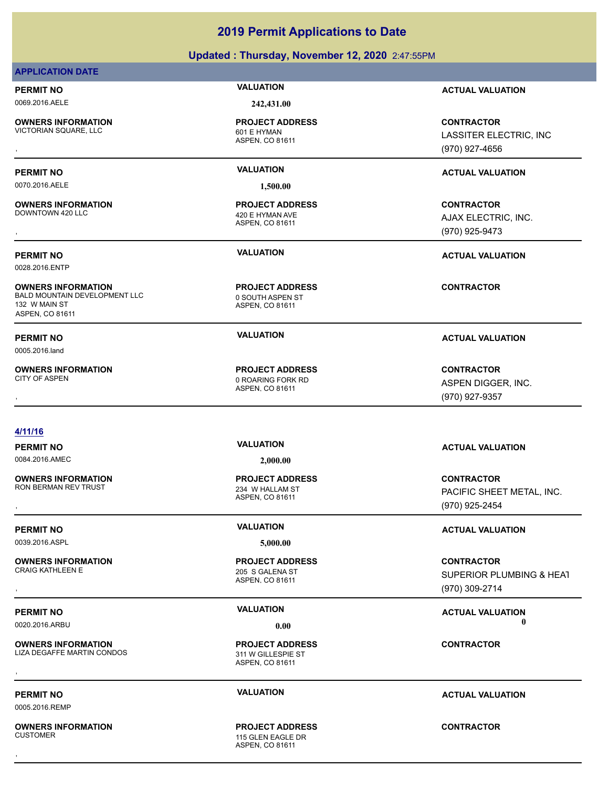### **Updated : Thursday, November 12, 2020** 2:47:55PM

### **APPLICATION DATE**

0069.2016.AELE **242,431.00**

**OWNERS INFORMATION** VICTORIAN SQUARE, LLC<br>
601 E HYMAN

ASPEN, CO 81611 **PROJECT ADDRESS**

0070.2016.AELE **1,500.00**

**OWNERS INFORMATION** DOWNTOWN 420 LLC 420 E HYMAN AVE

0028.2016.ENTP

**OWNERS INFORMATION** BALD MOUNTAIN DEVELOPMENT LLC 0 0 SOUTH ASPEN ST 132 W MAIN ST ASPEN, CO 81611

0005.2016.land

**OWNERS INFORMATION**

ASPEN, CO 81611 **PROJECT ADDRESS**

ASPEN, CO 81611 **PROJECT ADDRESS**

ASPEN, CO 81611 0 ROARING FORK RD **PROJECT ADDRESS**

### **4/11/16**

0084.2016.AMEC **2,000.00**

**OWNERS INFORMATION**

0039.2016.ASPL **5,000.00**

**OWNERS INFORMATION**

**OWNERS INFORMATION** LIZA DEGAFFE MARTIN CONDOS 311 W GILLESPIE ST

0005.2016.REMP

**OWNERS INFORMATION**

ASPEN, CO 81611 234 W HALLAM ST **PROJECT ADDRESS**

ASPEN, CO 81611 205 S GALENA ST **PROJECT ADDRESS**

ASPEN, CO 81611 **PROJECT ADDRESS OWNERS INFORMATION GARGET SERVICE OF A SERVICE OF A SERVICE OF A SERVICE OF A SERVICE OF A SERVICE OF A SPEN, CO<br>LIZA DEGAFFE MARTIN CONDOS GARGET STANGLILLES PIEN, CO 81611<br>,** 

ASPEN, CO 81611 115 GLEN FAGLE DR **PROJECT ADDRESS** , **CONTRACTOR**

### **PERMIT NO VALUATION ACTUAL VALUATION**

, **CONTRACTOR** LASSITER ELECTRIC, INC (970) 927-4656

### **PERMIT NO VALUATION ACTUAL VALUATION**

, **CONTRACTOR** AJAX ELECTRIC, INC. (970) 925-9473

**PERMIT NO VALUATION ACTUAL VALUATION**

**CONTRACTOR**

### **PERMIT NO VALUATION ACTUAL VALUATION**

, **CONTRACTOR** ASPEN DIGGER, INC. (970) 927-9357

### **PERMIT NO VALUATION ACTUAL VALUATION**

, **CONTRACTOR** PACIFIC SHEET METAL, INC. (970) 925-2454

### **PERMIT NO VALUATION ACTUAL VALUATION**

, **CONTRACTOR** SUPERIOR PLUMBING & HEAT (970) 309-2714

**PERMIT NO VALUATION VALUATION VALUATION** 0020.2016.ARBU **0.00 0.00**

### **PERMIT NO VALUATION ACTUAL VALUATION**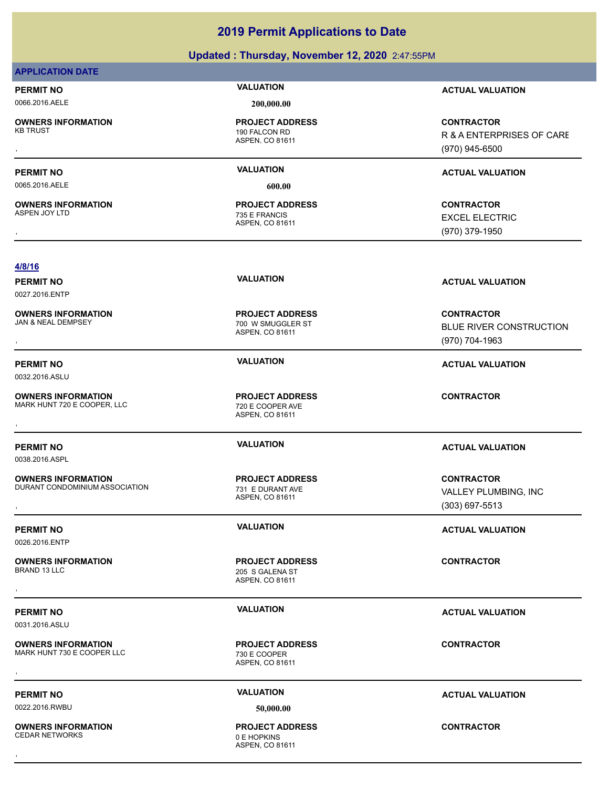### **Updated : Thursday, November 12, 2020** 2:47:55PM

### **APPLICATION DATE**

## 0066.2016.AELE **200,000.00**

**OWNERS INFORMATION**

0065.2016.AELE **600.00**

**OWNERS INFORMATION** ASPEN JOY LTD 235 E FRANCIS

ASPEN, CO 81611 190 FALCON RD **PROJECT ADDRESS**

ASPEN, CO 81611

ASPEN, CO 81611

ASPEN, CO 81611

ASPEN, CO 81611

205 S GALENA ST **PROJECT ADDRESS**

**PROJECT ADDRESS**

**PROJECT ADDRESS**

700 W SMUGGLER ST **PROJECT ADDRESS**

ASPEN, CO 81611 **PROJECT ADDRESS**

### **PERMIT NO VALUATION ACTUAL VALUATION**

, **CONTRACTOR** R & A ENTERPRISES OF CARE (970) 945-6500

BLUE RIVER CONSTRUCTION

### **PERMIT NO VALUATION ACTUAL VALUATION**

, **CONTRACTOR** EXCEL ELECTRIC (970) 379-1950

### **4/8/16**

**PERMIT NO VALUATION ACTUAL VALUATION**

0027.2016.ENTP

**OWNERS INFORMATION** , **CONTRACTOR**

**PERMIT NO VALUATION ACTUAL VALUATION**

### 0032.2016.ASLU

**OWNERS INFORMATION** MARK HUNT 720 E COOPER, LLC<br>
720 E COOPER AVE **OWNERS INFORMATION LEADURED SECURE IN A PROJECT ADDRESS ARE:**<br>MARK HUNT 720 E COOPER, LLC TOOPER AVE TOOPER AVE<br>ASPEN. CO 81611

## **PERMIT NO VALUATION ACTUAL VALUATION**

0038.2016.ASPL

**OWNERS INFORMATION** DURANT CONDOMINIUM ASSOCIATION 731 E DURANT AVE

0026.2016.ENTP

**OWNERS INFORMATION** , **CONTRACTOR**

0031.2016.ASLU

**OWNERS INFORMATION** MARK HUNT 730 E COOPER LLC 730 E COOPER **OWNERS INFORMATION LEADURED SECUTE OF A PROJECT ADDRESS ARE:**<br>MARK HUNT 730 E COOPER LLC LEADURED TO A SPEN, CO 81611<br>,

0022.2016.RWBU **50,000.00**

### **OWNERS INFORMATION** CEDAR NETWORKS 0 F HOPKINS

ASPEN, CO 81611

**PROJECT ADDRESS**

### ASPEN, CO 81611 **PROJECT ADDRESS** , **CONTRACTOR**

**PERMIT NO VALUATION ACTUAL VALUATION**

, **CONTRACTOR** VALLEY PLUMBING, INC (303) 697-5513

### **PERMIT NO VALUATION ACTUAL VALUATION**

### **PERMIT NO VALUATION ACTUAL VALUATION**

(970) 704-1963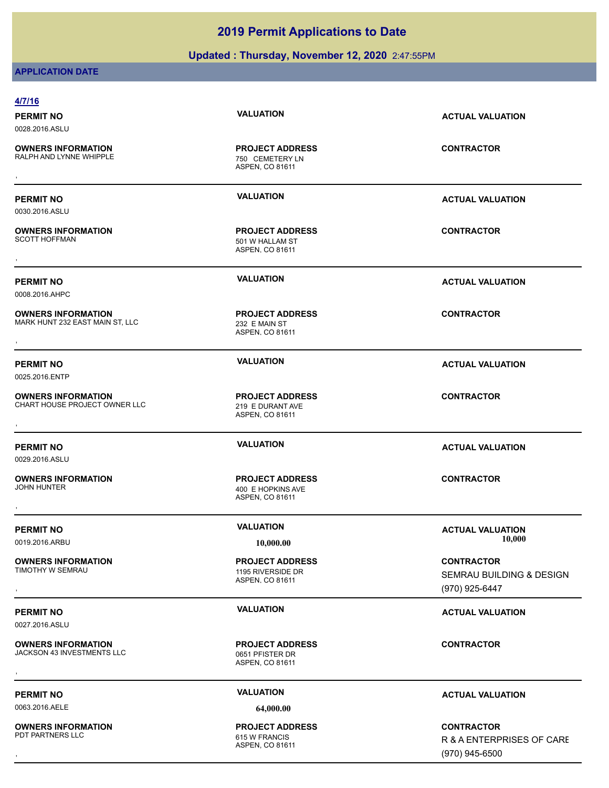### **Updated : Thursday, November 12, 2020** 2:47:55PM

### **APPLICATION DATE**

| 4/7/16                                                       |                                                                |                                                                  |
|--------------------------------------------------------------|----------------------------------------------------------------|------------------------------------------------------------------|
| <b>PERMIT NO</b><br>0028.2016.ASLU                           | <b>VALUATION</b>                                               | <b>ACTUAL VALUATION</b>                                          |
| <b>OWNERS INFORMATION</b><br>RALPH AND LYNNE WHIPPLE         | <b>PROJECT ADDRESS</b><br>750 CEMETERY LN<br>ASPEN, CO 81611   | <b>CONTRACTOR</b>                                                |
| <b>PERMIT NO</b><br>0030.2016.ASLU                           | <b>VALUATION</b>                                               | <b>ACTUAL VALUATION</b>                                          |
| <b>OWNERS INFORMATION</b><br><b>SCOTT HOFFMAN</b>            | <b>PROJECT ADDRESS</b><br>501 W HALLAM ST<br>ASPEN, CO 81611   | <b>CONTRACTOR</b>                                                |
| <b>PERMIT NO</b><br>0008.2016.AHPC                           | <b>VALUATION</b>                                               | <b>ACTUAL VALUATION</b>                                          |
| <b>OWNERS INFORMATION</b><br>MARK HUNT 232 EAST MAIN ST, LLC | <b>PROJECT ADDRESS</b><br>232 E MAIN ST<br>ASPEN, CO 81611     | <b>CONTRACTOR</b>                                                |
| <b>PERMIT NO</b><br>0025.2016.ENTP                           | <b>VALUATION</b>                                               | <b>ACTUAL VALUATION</b>                                          |
| <b>OWNERS INFORMATION</b><br>CHART HOUSE PROJECT OWNER LLC   | <b>PROJECT ADDRESS</b><br>219 E DURANT AVE<br>ASPEN, CO 81611  | <b>CONTRACTOR</b>                                                |
| <b>PERMIT NO</b><br>0029.2016.ASLU                           | <b>VALUATION</b>                                               | <b>ACTUAL VALUATION</b>                                          |
| <b>OWNERS INFORMATION</b><br><b>JOHN HUNTER</b>              | <b>PROJECT ADDRESS</b><br>400 E HOPKINS AVE<br>ASPEN, CO 81611 | <b>CONTRACTOR</b>                                                |
| <b>PERMIT NO</b><br>0019.2016.ARBU                           | <b>VALUATION</b><br>10,000.00                                  | <b>ACTUAL VALUATION</b><br>10,000                                |
| <b>OWNERS INFORMATION</b><br>TIMOTHY W SEMRAU                | <b>PROJECT ADDRESS</b><br>1195 RIVERSIDE DR<br>ASPEN, CO 81611 | <b>CONTRACTOR</b><br>SEMRAU BUILDING & DESIGN<br>(970) 925-6447  |
| <b>PERMIT NO</b><br>0027.2016.ASLU                           | <b>VALUATION</b>                                               | <b>ACTUAL VALUATION</b>                                          |
| <b>OWNERS INFORMATION</b><br>JACKSON 43 INVESTMENTS LLC      | <b>PROJECT ADDRESS</b><br>0651 PFISTER DR<br>ASPEN, CO 81611   | <b>CONTRACTOR</b>                                                |
| <b>PERMIT NO</b>                                             | <b>VALUATION</b>                                               | <b>ACTUAL VALUATION</b>                                          |
| 0063.2016.AELE                                               | 64,000.00                                                      |                                                                  |
| <b>OWNERS INFORMATION</b><br>PDT PARTNERS LLC                | <b>PROJECT ADDRESS</b><br>615 W FRANCIS<br>ASPEN, CO 81611     | <b>CONTRACTOR</b><br>R & A ENTERPRISES OF CARE<br>(970) 945-6500 |

(970) 945-6500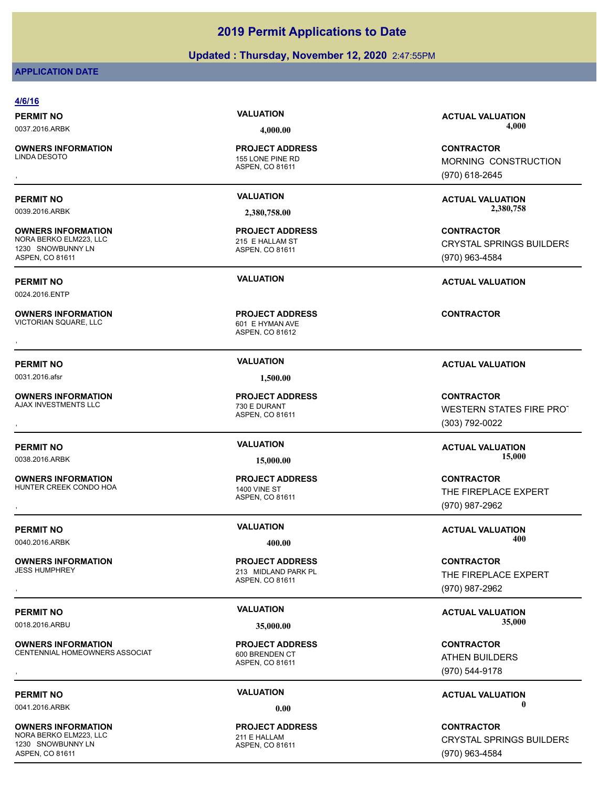### **Updated : Thursday, November 12, 2020** 2:47:55PM

### **APPLICATION DATE**

### **4/6/16 PERMIT NO VALUATION VALUATION VALUATION** 0037.2016.ARBK **4,000.00 4,000.00** ASPEN, CO 81611 **OWNERS INFORMATION** 155 LONE PINE RD **PROJECT ADDRESS** , **CONTRACTOR PERMIT NO VALUATION ACTUAL VALUATION** 0039.2016.ARBK **2,380,758.00 2,380,758.00** ASPEN, CO 81611 **OWNERS INFORMATION**<br>NORA BERKO ELM223, LLC 215 E HALLAM ST **PROJECT ADDRESS** 1230 SNOWBUNNY LN ASPEN, CO 81611 **PERMIT NO VALUATION ACTUAL VALUATION** 0024.2016.ENTP ASPEN, CO 81612 **OWNERS INFORMATION** 601 E HYMAN AVE **PROJECT ADDRESS** , **CONTRACTOR PERMIT NO VALUATION VALUATION VALUATION** 0031.2016.afsr **1,500.00** ASPEN, CO 81611 **OWNERS INFORMATION** AJAX INVESTMENTS LLC 730 E DURANT **PROJECT ADDRESS** , **CONTRACTOR PERMIT NO VALUATION ACTUAL VALUATION** 0038.2016.ARBK **15,000.00 15,000.00** ASPEN, CO 81611 **OWNERS INFORMATION** HUNTER CREEK CONDO HOA 1400 VINE ST **PROJECT ADDRESS OWNERS INFORMATION GOVERNED BY A SERVICE PROJECT ADDRESS ARE:**<br>HUNTER CREEK CONDO HOA GOVERNED ASPEN, CO 81611 ASPEN, CO 81611 **CONTRACTOR GOVERNED ASPEN**, CO 81611 **CONTRACTOR**<br>, **PERMIT NO VALUATION ACTUAL VALUATION** 0040.2016.ARBK **400.00 400.00** ASPEN, CO 81611 **OWNERS INFORMATION** 213 MIDLAND PARK PL **PROJECT ADDRESS** , **CONTRACTOR PERMIT NO VALUATION ACTUAL VALUATION** 0018.2016.ARBU **35,000.00 35,000.00** ASPEN, CO 81611 **OWNERS INFORMATION** CENTENNIAL HOMEOWNERS ASSOCIAT 600 BRENDEN CT **PROJECT ADDRESS OWNERS INFORMATION ASSOCIAT ASSUME ASSUME ASSUMING A SERVICE OF A SERVICE ADDRESS ARE SONTRACTOR CONTRACTOR CONTR<br>CENTENNIAL HOMEOWNERS ASSOCIAT ASPEN, CO 81611 ASPEN, CO 81611 ATHEN BUILDERS (970) 544-9178 PERMIT NO CONSUMITY OF A CONSUMITY OF A CONSUMITY OF A CONSUMITY OF A CTUAL VALUATION**

**OWNERS INFORMATION** NORA BERKO ELM223, LLC<br>211 E HALLAM 1230 SNOWBUNNY LN ASPEN, CO 81611

ASPEN, CO 81611 **PROJECT ADDRESS**

MORNING CONSTRUCTION (970) 618-2645

**CONTRACTOR CRYSTAL SPRINGS BUILDERS** (970) 963-4584

WESTERN STATES FIRE PROT (303) 792-0022

THE FIREPLACE EXPERT (970) 987-2962

THE FIREPLACE EXPERT (970) 987-2962

ATHEN BUILDERS (970) 544-9178

0041.2016.ARBK **0.00 0.00**

**CONTRACTOR CRYSTAL SPRINGS BUILDERS** (970) 963-4584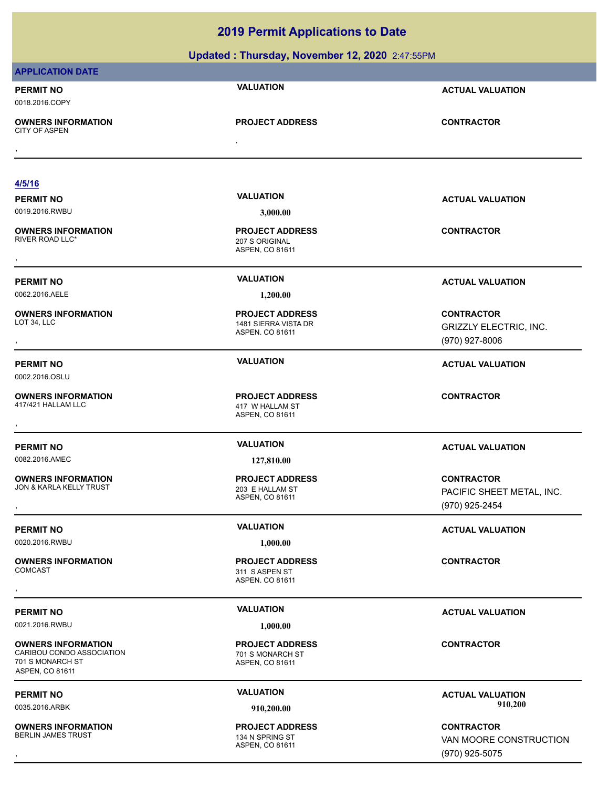**Updated : Thursday, November 12, 2020** 2:47:55PM

| <b>APPLICATION DATE</b>                                                                       |                                                                   |                                                                      |
|-----------------------------------------------------------------------------------------------|-------------------------------------------------------------------|----------------------------------------------------------------------|
| <b>PERMIT NO</b><br>0018.2016.COPY                                                            | <b>VALUATION</b>                                                  | <b>ACTUAL VALUATION</b>                                              |
| <b>OWNERS INFORMATION</b><br><b>CITY OF ASPEN</b>                                             | <b>PROJECT ADDRESS</b>                                            | <b>CONTRACTOR</b>                                                    |
|                                                                                               |                                                                   |                                                                      |
| 4/5/16                                                                                        |                                                                   |                                                                      |
| <b>PERMIT NO</b>                                                                              | <b>VALUATION</b>                                                  | <b>ACTUAL VALUATION</b>                                              |
| 0019.2016.RWBU                                                                                | 3,000.00                                                          |                                                                      |
| <b>OWNERS INFORMATION</b><br>RIVER ROAD LLC*                                                  | <b>PROJECT ADDRESS</b><br>207 S ORIGINAL<br>ASPEN, CO 81611       | <b>CONTRACTOR</b>                                                    |
| <b>PERMIT NO</b>                                                                              | <b>VALUATION</b>                                                  | <b>ACTUAL VALUATION</b>                                              |
| 0062.2016.AELE                                                                                | 1,200.00                                                          |                                                                      |
| <b>OWNERS INFORMATION</b><br>LOT 34, LLC                                                      | <b>PROJECT ADDRESS</b><br>1481 SIERRA VISTA DR<br>ASPEN, CO 81611 | <b>CONTRACTOR</b><br><b>GRIZZLY ELECTRIC, INC.</b><br>(970) 927-8006 |
| <b>PERMIT NO</b><br>0002.2016.OSLU                                                            | <b>VALUATION</b>                                                  | <b>ACTUAL VALUATION</b>                                              |
| <b>OWNERS INFORMATION</b><br>417/421 HALLAM LLC                                               | <b>PROJECT ADDRESS</b><br>417 W HALLAM ST<br>ASPEN, CO 81611      | <b>CONTRACTOR</b>                                                    |
| <b>PERMIT NO</b>                                                                              | <b>VALUATION</b>                                                  | <b>ACTUAL VALUATION</b>                                              |
| 0082.2016.AMEC                                                                                | 127,810.00                                                        |                                                                      |
| <b>OWNERS INFORMATION</b><br>JON & KARLA KELLY TRUST                                          | <b>PROJECT ADDRESS</b><br>203 E HALLAM ST<br>ASPEN, CO 81611      | <b>CONTRACTOR</b><br>PACIFIC SHEET METAL, INC.<br>(970) 925-2454     |
| <b>PERMIT NO</b>                                                                              | <b>VALUATION</b>                                                  | <b>ACTUAL VALUATION</b>                                              |
| 0020.2016.RWBU                                                                                | 1,000.00                                                          |                                                                      |
| <b>OWNERS INFORMATION</b><br>COMCAST                                                          | <b>PROJECT ADDRESS</b><br>311 SASPEN ST<br>ASPEN, CO 81611        | <b>CONTRACTOR</b>                                                    |
| <b>PERMIT NO</b>                                                                              | <b>VALUATION</b>                                                  | <b>ACTUAL VALUATION</b>                                              |
| 0021.2016.RWBU                                                                                | 1,000.00                                                          |                                                                      |
| <b>OWNERS INFORMATION</b><br>CARIBOU CONDO ASSOCIATION<br>701 S MONARCH ST<br>ASPEN, CO 81611 | <b>PROJECT ADDRESS</b><br>701 S MONARCH ST<br>ASPEN, CO 81611     | <b>CONTRACTOR</b>                                                    |
| <b>PERMIT NO</b>                                                                              | <b>VALUATION</b>                                                  | <b>ACTUAL VALUATION</b>                                              |
| 0035.2016.ARBK                                                                                | 910,200.00                                                        | 910,200                                                              |
| <b>OWNERS INFORMATION</b><br><b>BERLIN JAMES TRUST</b>                                        | <b>PROJECT ADDRESS</b><br>134 N SPRING ST<br>ASPEN, CO 81611      | <b>CONTRACTOR</b><br>VAN MOORE CONSTRUCTION<br>(970) 925-5075        |

(970) 925-5075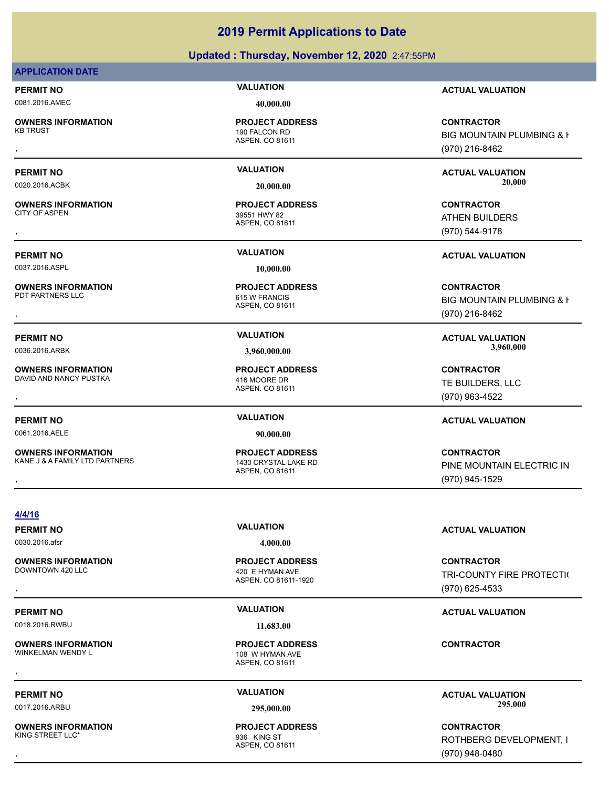### **Updated : Thursday, November 12, 2020** 2:47:55PM

### **APPLICATION DATE**

0081.2016.AMEC **40,000.00**

**OWNERS INFORMATION**

**OWNERS INFORMATION** CITY OF ASPEN 39551 HWY 82

0037.2016.ASPL **10,000.00**

**OWNERS INFORMATION**

**OWNERS INFORMATION** DAVID AND NANCY PUSTKA 416 MOORE DR

0061.2016.AELE **90,000.00**

**OWNERS INFORMATION**<br>KANE J & A FAMILY LTD PARTNERS

ASPEN, CO 81611 190 FALCON RD **PROJECT ADDRESS**

ASPEN, CO 81611 **PROJECT ADDRESS**

ASPEN, CO 81611 615 W FRANCIS **PROJECT ADDRESS**

ASPEN, CO 81611 **PROJECT ADDRESS**

ASPEN, CO 81611 1430 CRYSTAL LAKE RD **PROJECT ADDRESS**

**PERMIT NO VALUATION ACTUAL VALUATION**

, **CONTRACTOR** BIG MOUNTAIN PLUMBING & I (970) 216-8462

**PERMIT NO VALUATION ACTUAL VALUATION** 0020.2016.ACBK **20,000.00 20,000.00**

, **CONTRACTOR** ATHEN BUILDERS (970) 544-9178

**PERMIT NO VALUATION ACTUAL VALUATION**

**OWNERS INFORMATION PROJECT ADDRESS CONTRACTOR**<br>PDT PARTNERS LLC 615 W FRANCIS BIG MOUNTAIN PLUMBING & I<br>, ASPEN, CO 81611 BIG MOUNTAIN PLUMBING & H (970) 216-8462

**PERMIT NO VALUATION ACTUAL VALUATION** 0036.2016.ARBK **3,960,000.00 3,960,000.00**

, **CONTRACTOR** TE BUILDERS, LLC (970) 963-4522

### **PERMIT NO VALUATION ACTUAL VALUATION**

, **CONTRACTOR** PINE MOUNTAIN ELECTRIC IN (970) 945-1529

TRI-COUNTY FIRE PROTECTI(

**4/4/16**

### **PERMIT NO VALUATION ACTUAL VALUATION**

0030.2016.afsr **4,000.00**

ASPEN, CO 81611-1920 420 E HYMAN AVE **PROJECT ADDRESS** , **CONTRACTOR**

ASPEN, CO 81611 108 W HYMAN AVE **PROJECT ADDRESS** , **CONTRACTOR**

ASPEN, CO 81611 **PROJECT ADDRESS**

(970) 625-4533

**PERMIT NO CONSUMITY OF A CONSUMITY OF A CONSUMITY OF A CONSUMITY OF A CTUAL VALUATION** 0017.2016.ARBU **295,000.00 295,000.00**

, **CONTRACTOR** ROTHBERG DEVELOPMENT, I (970) 948-0480

**OWNERS INFORMATION** KING STREET LLC\* 936 KING ST

**PERMIT NO VALUATION ACTUAL VALUATION** 0018.2016.RWBU **11,683.00**

**OWNERS INFORMATION**

**OWNERS INFORMATION**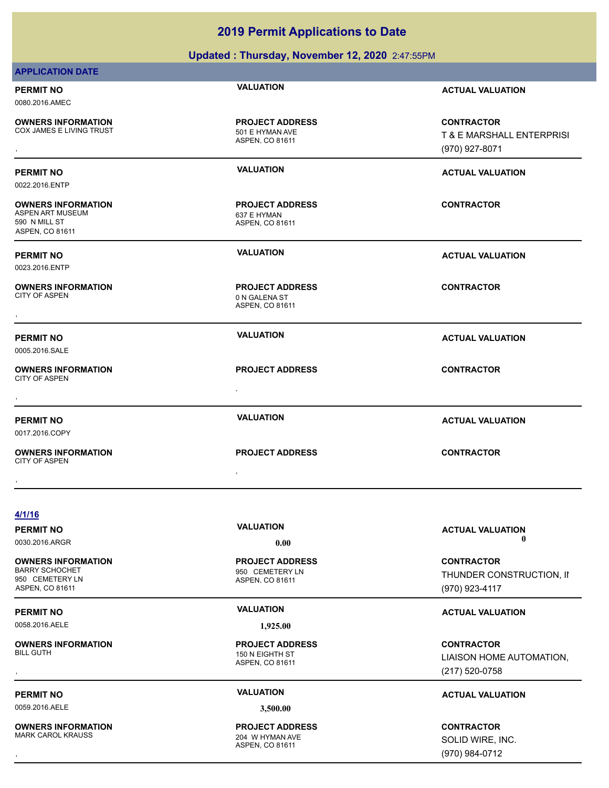|                                                                                          | Updated: Thursday, November 12, 2020 2:47:55PM               |                                                                  |
|------------------------------------------------------------------------------------------|--------------------------------------------------------------|------------------------------------------------------------------|
| <b>APPLICATION DATE</b>                                                                  |                                                              |                                                                  |
| <b>PERMIT NO</b><br>0080.2016.AMEC                                                       | <b>VALUATION</b>                                             | <b>ACTUAL VALUATION</b>                                          |
| <b>OWNERS INFORMATION</b><br>COX JAMES E LIVING TRUST                                    | <b>PROJECT ADDRESS</b><br>501 E HYMAN AVE<br>ASPEN, CO 81611 | <b>CONTRACTOR</b><br>T & E MARSHALL ENTERPRISI<br>(970) 927-8071 |
| <b>PERMIT NO</b><br>0022.2016.ENTP                                                       | <b>VALUATION</b>                                             | <b>ACTUAL VALUATION</b>                                          |
| <b>OWNERS INFORMATION</b><br>ASPEN ART MUSEUM<br>590 N MILL ST<br>ASPEN, CO 81611        | <b>PROJECT ADDRESS</b><br>637 E HYMAN<br>ASPEN, CO 81611     | <b>CONTRACTOR</b>                                                |
| <b>PERMIT NO</b><br>0023.2016.ENTP                                                       | <b>VALUATION</b>                                             | <b>ACTUAL VALUATION</b>                                          |
| <b>OWNERS INFORMATION</b><br><b>CITY OF ASPEN</b>                                        | <b>PROJECT ADDRESS</b><br>0 N GALENA ST<br>ASPEN, CO 81611   | <b>CONTRACTOR</b>                                                |
| <b>PERMIT NO</b><br>0005.2016.SALE                                                       | <b>VALUATION</b>                                             | <b>ACTUAL VALUATION</b>                                          |
| <b>OWNERS INFORMATION</b><br><b>CITY OF ASPEN</b>                                        | <b>PROJECT ADDRESS</b>                                       | <b>CONTRACTOR</b>                                                |
|                                                                                          |                                                              |                                                                  |
| <b>PERMIT NO</b><br>0017.2016.COPY                                                       | <b>VALUATION</b>                                             | <b>ACTUAL VALUATION</b>                                          |
| <b>OWNERS INFORMATION</b><br><b>CITY OF ASPEN</b>                                        | <b>PROJECT ADDRESS</b><br>$\cdot$                            | <b>CONTRACTOR</b>                                                |
| 4/1/16                                                                                   |                                                              |                                                                  |
| <b>PERMIT NO</b><br>0030.2016.ARGR                                                       | <b>VALUATION</b><br>0.00                                     | <b>ACTUAL VALUATION</b><br>0                                     |
| <b>OWNERS INFORMATION</b><br><b>BARRY SCHOCHET</b><br>950 CEMETERY LN<br>ASPEN, CO 81611 | <b>PROJECT ADDRESS</b><br>950 CEMETERY LN<br>ASPEN, CO 81611 | <b>CONTRACTOR</b><br>THUNDER CONSTRUCTION, II<br>(970) 923-4117  |
| <b>PERMIT NO</b>                                                                         | <b>VALUATION</b>                                             | <b>ACTUAL VALUATION</b>                                          |
| 0058.2016.AELE                                                                           | 1,925.00                                                     |                                                                  |
| <b>OWNERS INFORMATION</b><br><b>BILL GUTH</b>                                            | <b>PROJECT ADDRESS</b><br>150 N EIGHTH ST<br>ASPEN, CO 81611 | <b>CONTRACTOR</b><br>LIAISON HOME AUTOMATION,<br>(217) 520-0758  |

0059.2016.AELE **3,500.00**

**OWNERS INFORMATION** MARK CAROL KRAUSS 204 W HYMAN AVE

## ASPEN, CO 81611 **PROJECT ADDRESS**

## **PERMIT NO CONSUMITY ACTUAL VALUATION VALUATION ACTUAL VALUATION**

, **CONTRACTOR** SOLID WIRE, INC. (970) 984-0712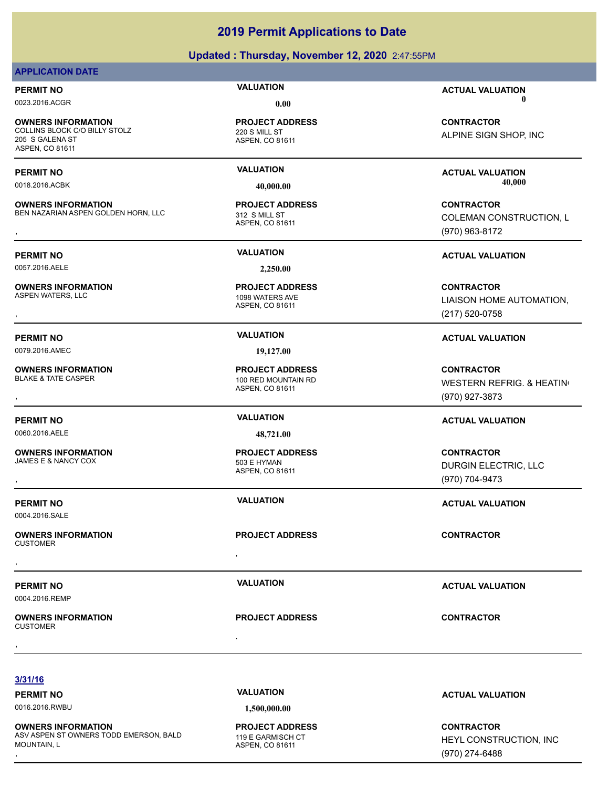### **Updated : Thursday, November 12, 2020** 2:47:55PM

### **APPLICATION DATE**

**OWNERS INFORMATION** COLLINS BLOCK C/O BILLY STOLZ<br>220 S MILL ST 205 S GALENA ST ASPEN, CO 81611

**OWNERS INFORMATION** BEN NAZARIAN ASPEN GOLDEN HORN, LLC 312 S MILL ST

0057.2016.AELE **2,250.00**

**OWNERS INFORMATION**

**OWNERS INFORMATION**

**OWNERS INFORMATION** JAMES E & NANCY COX 503 E HYMAN

0004.2016.SALE

, **OWNERS INFORMATION** CUSTOMER , **CONTRACTOR**

0004.2016.REMP

, **OWNERS INFORMATION** CUSTOMER , **CONTRACTOR**

ASPEN, CO 81611 **PROJECT ADDRESS**

ASPEN, CO 81611 **PROJECT ADDRESS**

ASPEN, CO 81611 1098 WATERS AVE **PROJECT ADDRESS**

0079.2016.AMEC **19,127.00**

ASPEN, CO 81611 100 RED MOUNTAIN RD **PROJECT ADDRESS**

**PROJECT ADDRESS**

**PROJECT ADDRESS**

**PERMIT NO VALUATION ACTUAL VALUATION** 0023.2016.ACGR **0.00 0.00**

> **CONTRACTOR** ALPINE SIGN SHOP, INC

**PERMIT NO VALUATION ACTUAL VALUATION** 0018.2016.ACBK **40,000.00 40,000.00**

**OWNERS INFORMATION FROJECT ADDRESS ARE SOUTRACTOR CONTRACTOR**<br>BEN NAZARIAN ASPEN GOLDEN HORN, LLC ASPEN. CO 81611 ASPEN. CO 81611 **COLEMAN CONSTRUCTION, L**<br>, GOLEMAN CONSTRUCTION, L COLEMAN CONSTRUCTION, L (970) 963-8172

**PERMIT NO VALUATION ACTUAL VALUATION**

, **CONTRACTOR** LIAISON HOME AUTOMATION, (217) 520-0758

### **PERMIT NO VALUATION ACTUAL VALUATION**

, **CONTRACTOR** WESTERN REFRIG. & HEATING (970) 927-3873

### **PERMIT NO VALUATION ACTUAL VALUATION**

, **CONTRACTOR** DURGIN ELECTRIC, LLC (970) 704-9473

**PERMIT NO VALUATION ACTUAL VALUATION**

**PERMIT NO VALUATION VALUATION VALUATION** 

**3/31/16**

0016.2016.RWBU **1,500,000.00** 

**OWNERS INFORMATION** ASV ASPEN ST OWNERS TODD EMERSON, BALD MOUNTAIN, L **OWNERS INFORMATION DEARS ON THE SERVICE OF A SERVICE OF SAMILY ASSESS AND RESON TRACTOR CONTRACTOR SERVICE ON A<br>ASV ASPEN ST OWNERS TODD EMERSON, BALD ASPEN. CO 81611 A SPEN CO 81611 MOUNTAIN, L<br>, GTO) 274-6488** 

ASPEN, CO 81611 119 E GARMISCH CT **PROJECT ADDRESS**

**PERMIT NO VALUATION ACTUAL VALUATION**

HEYL CONSTRUCTION, INC (970) 274-6488

0060.2016.AELE **48,721.00** ASPEN, CO 81611 **PROJECT ADDRESS**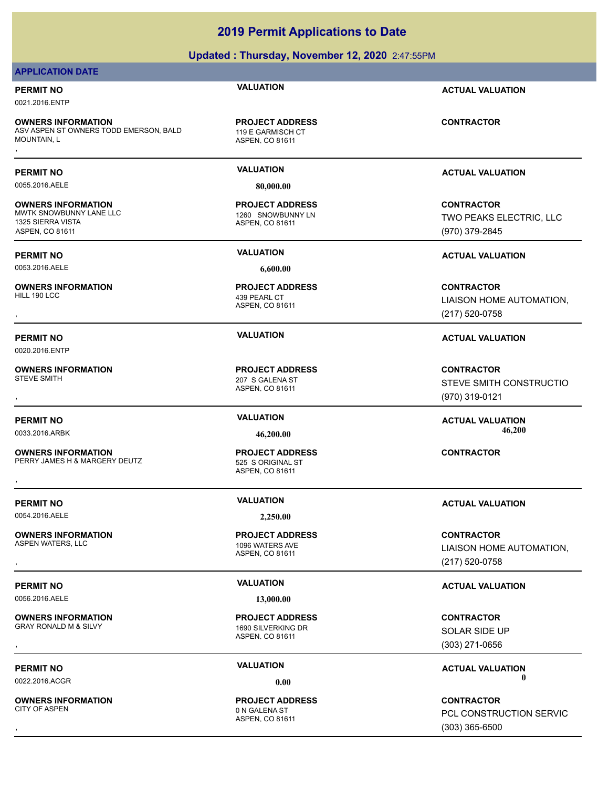### **Updated : Thursday, November 12, 2020** 2:47:55PM

### **APPLICATION DATE**

0021.2016.ENTP

**OWNERS INFORMATION** ASV ASPEN ST OWNERS TODD EMERSON, BALD MOUNTAIN, L **OWNERS INFORMATION DEMERSON, BALD READ PROJECT ADDRESS ARE:** THE CONTRACTOR CONTRACTOR<br>ASV ASPEN ST OWNERS TODD EMERSON, BALD 19 E GARMISCH CT<br>MOUNTAIN, L<br>,

0055.2016.AELE **80,000.00**

**OWNERS INFORMATION**<br>MWTK SNOWBUNNY LANE LLC 1325 SIERRA VISTA ASPEN, CO 81611

0053.2016.AELE **6,600.00**

**OWNERS INFORMATION**

0020.2016.ENTP

**OWNERS INFORMATION**

**OWNERS INFORMATION** PERRY JAMES H & MARGERY DEUTZ 525 S ORIGINAL ST

0054.2016.AELE **2,250.00**

**OWNERS INFORMATION** ASPEN WATERS, LLC **1096 WATERS** AVE

0056.2016.AELE 13,000.00

**OWNERS INFORMATION**<br>GRAY RONALD M & SILVY

**OWNERS INFORMATION**

ASPEN, CO 81611 119 E GARMISCH CT **PROJECT ADDRESS**

ASPEN, CO 81611 1260 SNOWBUNNY LN **PROJECT ADDRESS**

ASPEN, CO 81611 439 PEARL CT **PROJECT ADDRESS**

ASPEN, CO 81611 207 S GALENA ST **PROJECT ADDRESS**

ASPEN, CO 81611 **PROJECT ADDRESS OWNERS INFORMATION CONTRACTOR RESOURCE PROJECT ADDRESS CONTRACTOR CONTRACTOR**<br>PERRY JAMES H & MARGERY DEUTZ THE SELLE ASPEN, CO 81611<br>,

ASPEN, CO 81611 **PROJECT ADDRESS**

ASPEN, CO 81611 1690 SILVERKING DR **PROJECT ADDRESS**

ASPEN, CO 81611 0 N GALENA ST **PROJECT ADDRESS**

**PERMIT NO VALUATION ACTUAL VALUATION**

**PERMIT NO VALUATION ACTUAL VALUATION**

**CONTRACTOR** TWO PEAKS ELECTRIC, LLC (970) 379-2845

**PERMIT NO VALUATION ACTUAL VALUATION**

, **CONTRACTOR** LIAISON HOME AUTOMATION, (217) 520-0758

### **PERMIT NO VALUATION ACTUAL VALUATION**

, **CONTRACTOR** STEVE SMITH CONSTRUCTIO (970) 319-0121

**PERMIT NO VALUATION VALUATION VALUATION** 0033.2016.ARBK **46,200.00 46,200.00**

### **PERMIT NO VALUATION ACTUAL VALUATION**

, **CONTRACTOR** LIAISON HOME AUTOMATION, (217) 520-0758

### **PERMIT NO VALUATION VALUATION VALUATION**

, **CONTRACTOR** SOLAR SIDE UP (303) 271-0656

**PERMIT NO VALUATION ACTUAL VALUATION** 0022.2016.ACGR **0.00 0.00**

, **CONTRACTOR** PCL CONSTRUCTION SERVICE (303) 365-6500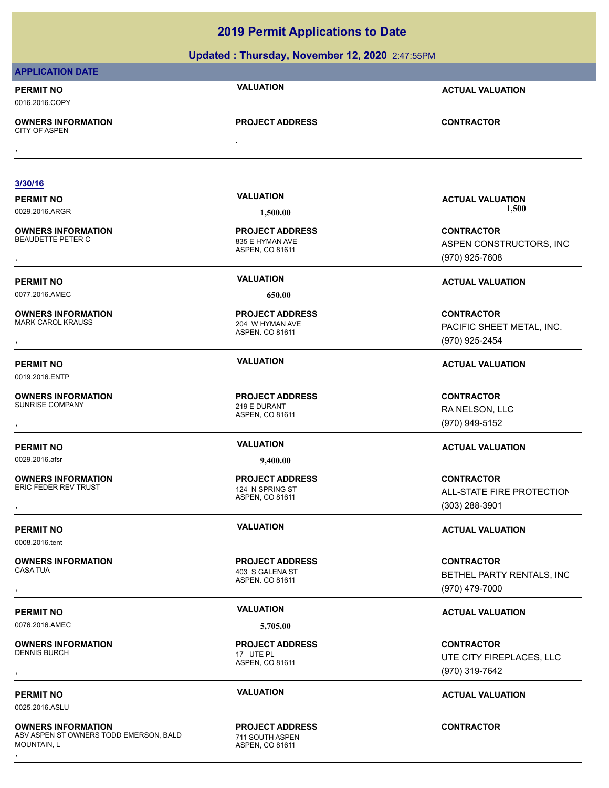**Updated : Thursday, November 12, 2020** 2:47:55PM

| <b>APPLICATION DATE</b>                                                            |                                                              |                                                                  |
|------------------------------------------------------------------------------------|--------------------------------------------------------------|------------------------------------------------------------------|
| <b>PERMIT NO</b><br>0016.2016.COPY                                                 | <b>VALUATION</b>                                             | <b>ACTUAL VALUATION</b>                                          |
| <b>OWNERS INFORMATION</b><br><b>CITY OF ASPEN</b>                                  | <b>PROJECT ADDRESS</b>                                       | <b>CONTRACTOR</b>                                                |
|                                                                                    |                                                              |                                                                  |
| 3/30/16                                                                            |                                                              |                                                                  |
| <b>PERMIT NO</b>                                                                   | <b>VALUATION</b>                                             | <b>ACTUAL VALUATION</b>                                          |
| 0029.2016.ARGR                                                                     | 1,500.00                                                     | 1,500                                                            |
| <b>OWNERS INFORMATION</b><br><b>BEAUDETTE PETER C</b>                              | <b>PROJECT ADDRESS</b><br>835 E HYMAN AVE<br>ASPEN, CO 81611 | <b>CONTRACTOR</b><br>ASPEN CONSTRUCTORS, INC<br>(970) 925-7608   |
| <b>PERMIT NO</b>                                                                   | <b>VALUATION</b>                                             | <b>ACTUAL VALUATION</b>                                          |
| 0077.2016.AMEC                                                                     | 650.00                                                       |                                                                  |
| <b>OWNERS INFORMATION</b><br><b>MARK CAROL KRAUSS</b>                              | <b>PROJECT ADDRESS</b><br>204 W HYMAN AVE<br>ASPEN, CO 81611 | <b>CONTRACTOR</b><br>PACIFIC SHEET METAL, INC.<br>(970) 925-2454 |
| <b>PERMIT NO</b><br>0019.2016.ENTP                                                 | <b>VALUATION</b>                                             | <b>ACTUAL VALUATION</b>                                          |
| <b>OWNERS INFORMATION</b><br>SUNRISE COMPANY                                       | <b>PROJECT ADDRESS</b><br>219 E DURANT<br>ASPEN, CO 81611    | <b>CONTRACTOR</b><br>RA NELSON, LLC                              |
|                                                                                    |                                                              | (970) 949-5152                                                   |
| <b>PERMIT NO</b><br>0029.2016.afsr                                                 | <b>VALUATION</b><br>9,400.00                                 | <b>ACTUAL VALUATION</b>                                          |
|                                                                                    |                                                              |                                                                  |
| <b>OWNERS INFORMATION</b><br>ERIC FEDER REV TRUST<br>$\,$                          | <b>PROJECT ADDRESS</b><br>124 N SPRING ST<br>ASPEN, CO 81611 | <b>CONTRACTOR</b><br>ALL-STATE FIRE PROTECTION<br>(303) 288-3901 |
| <b>PERMIT NO</b><br>0008.2016.tent                                                 | <b>VALUATION</b>                                             | <b>ACTUAL VALUATION</b>                                          |
| <b>OWNERS INFORMATION</b>                                                          | <b>PROJECT ADDRESS</b>                                       | <b>CONTRACTOR</b>                                                |
| <b>CASA TUA</b>                                                                    | 403 S GALENA ST<br>ASPEN, CO 81611                           | BETHEL PARTY RENTALS, INC<br>(970) 479-7000                      |
| <b>PERMIT NO</b>                                                                   | <b>VALUATION</b>                                             | <b>ACTUAL VALUATION</b>                                          |
| 0076.2016.AMEC                                                                     | 5,705.00                                                     |                                                                  |
| <b>OWNERS INFORMATION</b><br><b>DENNIS BURCH</b>                                   | <b>PROJECT ADDRESS</b><br>17 UTE PL<br>ASPEN, CO 81611       | <b>CONTRACTOR</b><br>UTE CITY FIREPLACES, LLC<br>(970) 319-7642  |
| <b>PERMIT NO</b><br>0025.2016.ASLU                                                 | <b>VALUATION</b>                                             | <b>ACTUAL VALUATION</b>                                          |
| <b>OWNERS INFORMATION</b><br>ASV ASPEN ST OWNERS TODD EMERSON, BALD<br>MOUNTAIN, L | <b>PROJECT ADDRESS</b><br>711 SOUTH ASPEN<br>ASPEN, CO 81611 | <b>CONTRACTOR</b>                                                |
|                                                                                    |                                                              |                                                                  |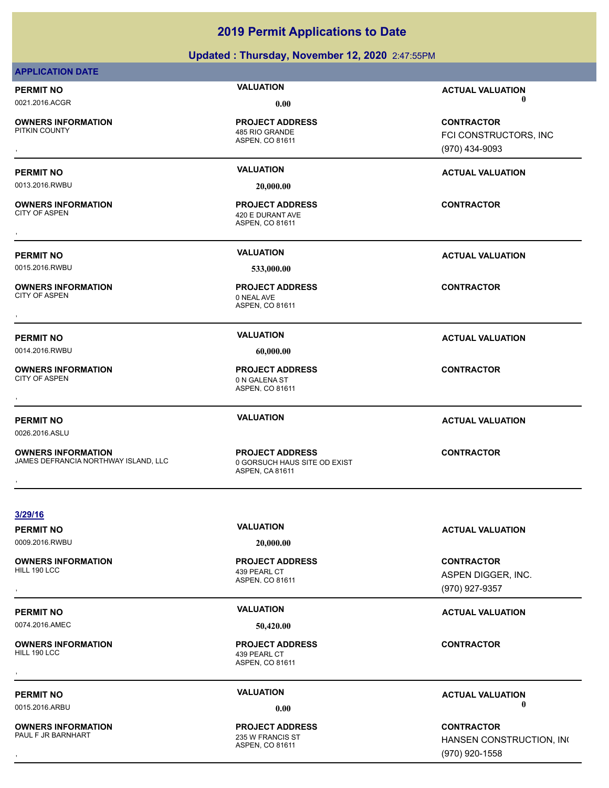### **Updated : Thursday, November 12, 2020** 2:47:55PM

|                                                                   | --------                                                                  |                         |
|-------------------------------------------------------------------|---------------------------------------------------------------------------|-------------------------|
| <b>APPLICATION DATE</b>                                           |                                                                           |                         |
| <b>PERMIT NO</b>                                                  | <b>VALUATION</b>                                                          | <b>ACTUAL VALUATION</b> |
| 0021.2016.ACGR                                                    | 0.00                                                                      | $\mathbf 0$             |
| <b>OWNERS INFORMATION</b>                                         | <b>PROJECT ADDRESS</b>                                                    | <b>CONTRACTOR</b>       |
| PITKIN COUNTY                                                     | 485 RIO GRANDE<br>ASPEN, CO 81611                                         | FCI CONSTRUCTORS, INC   |
|                                                                   |                                                                           | (970) 434-9093          |
| <b>PERMIT NO</b>                                                  | <b>VALUATION</b>                                                          | <b>ACTUAL VALUATION</b> |
| 0013.2016.RWBU                                                    | 20,000.00                                                                 |                         |
| <b>OWNERS INFORMATION</b><br><b>CITY OF ASPEN</b>                 | <b>PROJECT ADDRESS</b><br>420 E DURANT AVE<br>ASPEN, CO 81611             | <b>CONTRACTOR</b>       |
| <b>PERMIT NO</b>                                                  | <b>VALUATION</b>                                                          | <b>ACTUAL VALUATION</b> |
| 0015.2016.RWBU                                                    | 533,000.00                                                                |                         |
| <b>OWNERS INFORMATION</b><br><b>CITY OF ASPEN</b>                 | <b>PROJECT ADDRESS</b><br>0 NEAL AVE<br>ASPEN, CO 81611                   | <b>CONTRACTOR</b>       |
| <b>PERMIT NO</b>                                                  | <b>VALUATION</b>                                                          | <b>ACTUAL VALUATION</b> |
| 0014.2016.RWBU                                                    | 60,000.00                                                                 |                         |
| <b>OWNERS INFORMATION</b><br><b>CITY OF ASPEN</b>                 | <b>PROJECT ADDRESS</b><br>0 N GALENA ST<br>ASPEN, CO 81611                | <b>CONTRACTOR</b>       |
|                                                                   |                                                                           |                         |
| <b>PERMIT NO</b><br>0026.2016.ASLU                                | <b>VALUATION</b>                                                          | <b>ACTUAL VALUATION</b> |
| <b>OWNERS INFORMATION</b><br>JAMES DEFRANCIA NORTHWAY ISLAND, LLC | <b>PROJECT ADDRESS</b><br>0 GORSUCH HAUS SITE OD EXIST<br>ASPEN, CA 81611 | <b>CONTRACTOR</b>       |
| 3/29/16                                                           |                                                                           |                         |
| <b>PERMIT NO</b>                                                  | <b>VALUATION</b>                                                          | <b>ACTUAL VALUATION</b> |
| 0009.2016.RWBU                                                    | 20,000.00                                                                 |                         |
| <b>OWNERS INFORMATION</b>                                         | <b>PROJECT ADDRESS</b>                                                    | <b>CONTRACTOR</b>       |
| HILL 190 LCC                                                      | 439 PEARL CT                                                              | ASPEN DIGGER, INC.      |
|                                                                   | ASPEN, CO 81611                                                           | (970) 927-9357          |
| <b>PERMIT NO</b>                                                  | <b>VALUATION</b>                                                          | <b>ACTUAL VALUATION</b> |
| 0074.2016.AMEC                                                    | 50,420.00                                                                 |                         |
| <b>OWNERS INFORMATION</b><br>HILL 190 LCC                         | <b>PROJECT ADDRESS</b><br>439 PEARL CT<br>ASPEN, CO 81611                 | <b>CONTRACTOR</b>       |
|                                                                   |                                                                           |                         |
| <b>PERMIT NO</b>                                                  | <b>VALUATION</b>                                                          | <b>ACTUAL VALUATION</b> |
| 0015.2016.ARBU                                                    | 0.00                                                                      | $\mathbf 0$             |

**OWNERS INFORMATION**

ASPEN, CO 81611 235 W FRANCIS ST **PROJECT ADDRESS**

### , **CONTRACTOR** HANSEN CONSTRUCTION, INC (970) 920-1558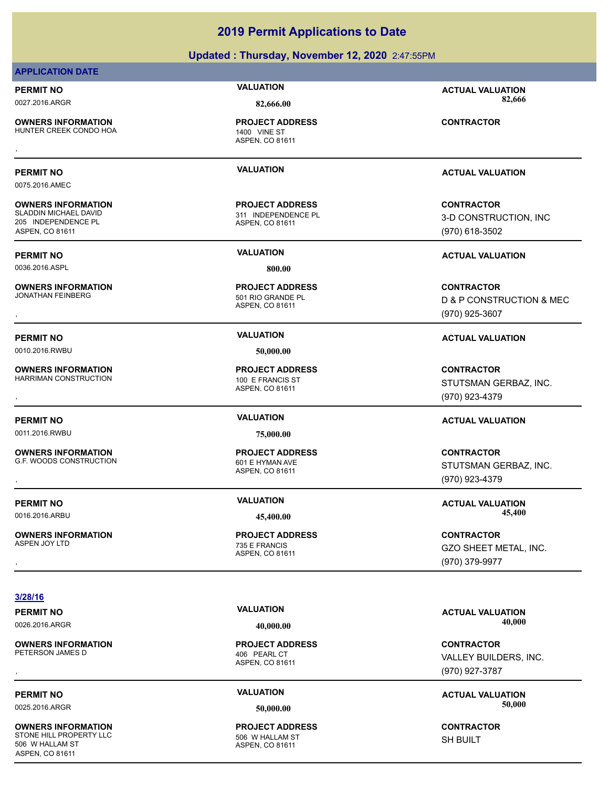**PERMIT NO VALUATION ACTUAL VALUATION** 0075.2016.AMEC ASPEN, CO 81611 **OWNERS INFORMATION** 311 INDEPENDENCE PL **PROJECT ADDRESS** 205 INDEPENDENCE PL ASPEN, CO 81611 **PERMIT NO VALUATION ACTUAL VALUATION** 0036.2016.ASPL **800.00** ASPEN, CO 81611 **OWNERS INFORMATION**<br>JONATHAN FEINBERG 501 RIO GRANDE PL **PROJECT ADDRESS** , **CONTRACTOR PERMIT NO VALUATION ACTUAL VALUATION** 0010.2016.RWBU **50,000.00** ASPEN, CO 81611 **OWNERS INFORMATION** HARRIMAN CONSTRUCTION 100 E FRANCIS ST **PROJECT ADDRESS OWNERS INFORMATION PROJECT ADDRESS CONTRACTOR**<br>HARRIMAN CONSTRUCTION 100 E FRANCIS ST STUTSMAN GERBAZ, INC.<br>, ASPEN. CO 81611 **PERMIT NO VALUATION ACTUAL VALUATION** 0011.2016.RWBU **75,000.00** ASPEN, CO 81611 **OWNERS INFORMATION** G.F. WOODS CONSTRUCTION 601 E HYMAN AVE **PROJECT ADDRESS OWNERS INFORMATION GOVERNED BY A SERVICE PROJECT ADDRESS ARE SERVICE CONTRACTOR**<br>G.F. WOODS CONSTRUCTION GOVERNED BY ASPEN, CO 81611 GOVERNED BY A STUTSMAN GERBAZ, INC.<br>, G.C. (970) 923-4379 **PERMIT NO VALUATION VALUATION VALUATION** 0016.2016.ARBU **45,400.00 45,400.00** ASPEN, CO 81611 **OWNERS INFORMATION** ASPEN JOY LTD 735 E FRANCIS **PROJECT ADDRESS** , **CONTRACTOR PERMIT NO VALUATION ACTUAL VALUATION**

0026.2016.ARGR **40,000.00 40,000.00**

**OWNERS INFORMATION**

**APPLICATION DATE**

**OWNERS INFORMATION**

**3/28/16**

**OWNERS INFORMATION** STONE HILL PROPERTY LLC 506 W HALLAM ST 506 W HALLAM ST ASPEN, CO 81611

### **PERMIT NO VALUATION ACTUAL VALUATION**

0027.2016.ARGR **82,666.00 82,666.00**

ASPEN, CO 81611 HUNTER CREEK CONDO HOA 1400 VINE ST **PROJECT ADDRESS OWNERS INFORMATION CONTRACTOR REGIST PROJECT ADDRESS CONTRACTOR CONTRACTOR**<br>HUNTER CREEK CONDO HOA **ASPEN, CO 81611**<br>,

**CONTRACTOR** (970) 618-3502

D & P CONSTRUCTION & MEC (970) 925-3607

STUTSMAN GERBAZ, INC. (970) 923-4379

STUTSMAN GERBAZ, INC. (970) 923-4379

GZO SHEET METAL, INC. (970) 379-9977

, **CONTRACTOR** VALLEY BUILDERS, INC. (970) 927-3787

**PERMIT NO VALUATION ACTUAL VALUATION** 0025.2016.ARGR **50,000.00 50,000.00**

> **CONTRACTOR** SH BUILT

### **2019 Permit Applications to Date**

**Updated : Thursday, November 12, 2020** 2:47:55PM

ASPEN, CO 81611 406 PEARL CT **PROJECT ADDRESS**

ASPEN, CO 81611 **PROJECT ADDRESS**

3-D CONSTRUCTION, INC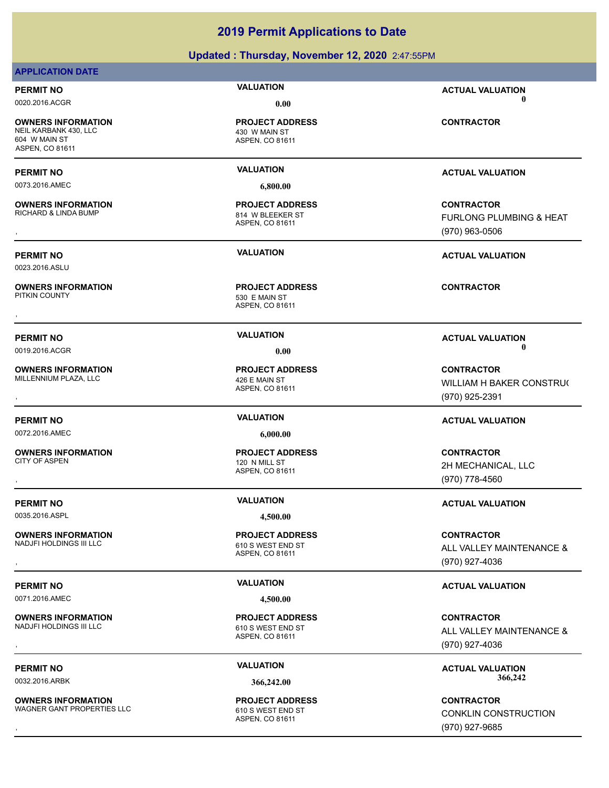### **Updated : Thursday, November 12, 2020** 2:47:55PM

### **APPLICATION DATE**

0020.2016.ACGR **0.00 0.00**

**OWNERS INFORMATION** NEIL KARBANK 430, LLC 430 W MAIN ST 604 W MAIN ST ASPEN, CO 81611

0073.2016.AMEC **6,800.00**

**OWNERS INFORMATION** RICHARD & LINDA BUMP 814 W BLEEKER ST

0023.2016.ASLU

**OWNERS INFORMATION**<br>PITKIN COUNTY

**OWNERS INFORMATION** MILLENNIUM PLAZA, LLC<br>426 E MAIN ST

0072.2016.AMEC **6,000.00**

**OWNERS INFORMATION** CITY OF ASPEN 120 N MILL ST

0035.2016.ASPL **4,500.00**

**OWNERS INFORMATION** NADJFI HOLDINGS III LLC 610 S WEST END ST

0071.2016.AMEC **4,500.00**

**OWNERS INFORMATION**<br>NADJELHOLDINGS III LLC

**OWNERS INFORMATION** WAGNER GANT PROPERTIES LLC<br>610 S WEST END ST

ASPEN, CO 81611 **PROJECT ADDRESS**

ASPEN, CO 81611 **PROJECT ADDRESS**

ASPEN, CO 81611 530 E MAIN ST , **CONTRACTOR**

ASPEN, CO 81611 **PROJECT ADDRESS**

ASPEN, CO 81611

ASPEN, CO 81611

ASPEN, CO 81611 610 S WEST END ST **PROJECT ADDRESS**

ASPEN, CO 81611 **PROJECT ADDRESS**

**PERMIT NO VALUATION ACTUAL VALUATION**

**CONTRACTOR**

**PERMIT NO VALUATION ACTUAL VALUATION**

**OWNERS INFORMATION PROJECT ADDRESS CONTRACTOR**<br>RICHARD & LINDA BUMP 814 W BLEEKER ST FURLONG PLUMBING & HEAT<br>, ASPEN. CO 81611 FURLONG PLUMBING & HEAT (970) 963-0506

**PERMIT NO VALUATION ACTUAL VALUATION**

**PERMIT NO VALUATION VALUATION VALUATION** 0019.2016.ACGR **0.00 0.00**

**OWNERS INFORMATION PROJECT ADDRESS CONTRACTOR**<br>MILLENNIUM PLAZA, LLC 426 E MAIN ST WILLIAM H BAKER CONSTRU(<br>, ASPEN. CO 81611 WILLIAM H BAKER CONSTRUC (970) 925-2391

### **PERMIT NO VALUATION ACTUAL VALUATION**

, **CONTRACTOR** 2H MECHANICAL, LLC (970) 778-4560

### **PERMIT NO VALUATION VALUATION VALUATION**

**OWNERS INFORMATION FROJECT ADDRESS CONTRACTOR CONTRACTOR**<br>
MADJFI HOLDINGS III LLC<br>
ASPEN. CO 81611<br>
ASPEN. CO 81611 (970) 927-4036 ALL VALLEY MAINTENANCE & (970) 927-4036

### **PERMIT NO VALUATION VALUATION VALUATION**

, **CONTRACTOR** ALL VALLEY MAINTENANCE & (970) 927-4036

PERMIT NO **SALUATION VALUATION VALUATION ACTUAL VALUATION ACTUAL VALUATION** 0032.2016.ARBK **366,242.00 366,242.00**

**OWNERS INFORMATION LET ADDRESS ARE SERVICE ON TRACTOR CONTRACTOR**<br>WAGNER GANT PROPERTIES LLC LET ASPEN. CO 81611<br>ASPEN. CO 81611 ASPEN. CO 81611 (970) 927-9685 CONKLIN CONSTRUCTION (970) 927-9685

**PROJECT ADDRESS**

**PROJECT ADDRESS**

**PROJECT ADDRESS**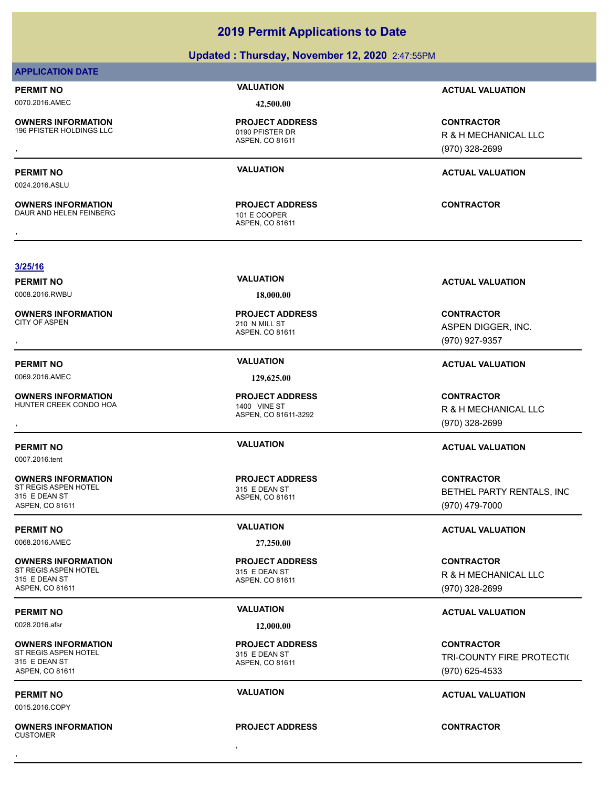| 0024.2016.ASLU                                                                        |                                                                       |                                                                  |
|---------------------------------------------------------------------------------------|-----------------------------------------------------------------------|------------------------------------------------------------------|
| <b>OWNERS INFORMATION</b><br>DAUR AND HELEN FEINBERG                                  | <b>PROJECT ADDRESS</b><br>101 E COOPER<br>ASPEN, CO 81611             | <b>CONTRACTOR</b>                                                |
|                                                                                       |                                                                       |                                                                  |
| 3/25/16                                                                               |                                                                       |                                                                  |
| <b>PERMIT NO</b>                                                                      | <b>VALUATION</b>                                                      | <b>ACTUAL VALUATION</b>                                          |
| 0008.2016.RWBU                                                                        | 18,000.00                                                             |                                                                  |
| <b>OWNERS INFORMATION</b><br><b>CITY OF ASPEN</b>                                     | <b>PROJECT ADDRESS</b><br>210 N MILL ST<br>ASPEN, CO 81611            | <b>CONTRACTOR</b><br>ASPEN DIGGER, INC.                          |
|                                                                                       |                                                                       | (970) 927-9357                                                   |
| <b>PERMIT NO</b>                                                                      | <b>VALUATION</b>                                                      | <b>ACTUAL VALUATION</b>                                          |
| 0069.2016.AMEC                                                                        | 129,625.00                                                            |                                                                  |
| <b>OWNERS INFORMATION</b><br>HUNTER CREEK CONDO HOA                                   | <b>PROJECT ADDRESS</b><br><b>1400 VINE ST</b><br>ASPEN, CO 81611-3292 | <b>CONTRACTOR</b><br>R & H MECHANICAL LLC<br>$(970)$ 328-2699    |
| <b>PERMIT NO</b><br>0007.2016.tent                                                    | <b>VALUATION</b>                                                      | <b>ACTUAL VALUATION</b>                                          |
| <b>OWNERS INFORMATION</b><br>ST REGIS ASPEN HOTEL<br>315 E DEAN ST<br>ASPEN, CO 81611 | <b>PROJECT ADDRESS</b><br>315 E DEAN ST<br>ASPEN, CO 81611            | <b>CONTRACTOR</b><br>BETHEL PARTY RENTALS, INC<br>(970) 479-7000 |
| <b>PERMIT NO</b>                                                                      | <b>VALUATION</b>                                                      | <b>ACTUAL VALUATION</b>                                          |
| 0068.2016.AMEC                                                                        | 27,250.00                                                             |                                                                  |
| <b>OWNERS INFORMATION</b><br>ST REGIS ASPEN HOTEL<br>315 E DEAN ST<br>ASPEN, CO 81611 | <b>PROJECT ADDRESS</b><br>315 E DEAN ST<br>ASPEN, CO 81611            | <b>CONTRACTOR</b><br>R & H MECHANICAL LLC<br>(970) 328-2699      |
| <b>PERMIT NO</b>                                                                      | <b>VALUATION</b>                                                      | <b>ACTUAL VALUATION</b>                                          |
| 0028.2016.afsr                                                                        | 12,000.00                                                             |                                                                  |
| <b>OWNERS INFORMATION</b><br>ST REGIS ASPEN HOTEL<br>315 E DEAN ST<br>ASPEN, CO 81611 | <b>PROJECT ADDRESS</b><br>315 E DEAN ST<br>ASPEN, CO 81611            | <b>CONTRACTOR</b><br>TRI-COUNTY FIRE PROTECTI(<br>(970) 625-4533 |
| <b>PERMIT NO</b><br>0015.2016.COPY                                                    | <b>VALUATION</b>                                                      | <b>ACTUAL VALUATION</b>                                          |
| <b>OWNERS INFORMATION</b><br><b>CUSTOMER</b>                                          | <b>PROJECT ADDRESS</b>                                                | <b>CONTRACTOR</b>                                                |
|                                                                                       |                                                                       |                                                                  |

**Updated : Thursday, November 12, 2020** 2:47:55PM

### **APPLICATION DATE**

0070.2016.AMEC **42,500.00**

**OWNERS INFORMATION**

ASPEN, CO 81611

**CONTRACTOR** TRI-COUNTY FIRE PROTECTI( (970) 625-4533

### 196 PFISTER HOLDINGS LLC 0190 PFISTER DR **PROJECT ADDRESS**

**PERMIT NO CONSUMITY ACTUAL VALUATION VALUATION ACTUAL VALUATION** 

**OWNERS INFORMATION GOVERNEY ARE SERVED BY A SPEN CONTRACTOR CONTRACTOR**<br>196 PFISTER HOLDINGS LLC **CONTRACTOR CONTRACTOR ASPEN, CO 81611**<br>, GOVERNEY CO 81611 GOVERNEY (970) 328-2699 R & H MECHANICAL LLC (970) 328-2699

## **PERMIT NO CONSUMPTER ACTUAL VALUATION VALUATION ACTUAL VALUATION**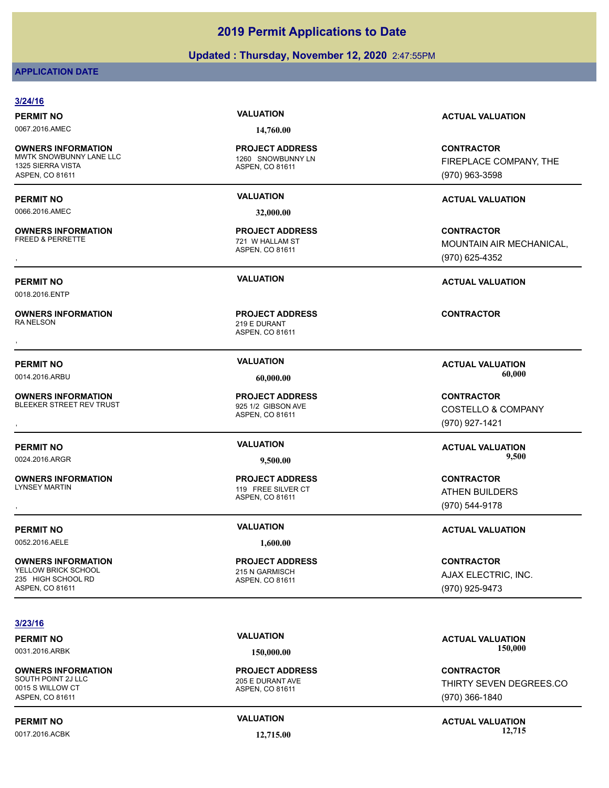### **Updated : Thursday, November 12, 2020** 2:47:55PM

### **APPLICATION DATE**

### **3/24/16**

0067.2016.AMEC **14,760.00**

**OWNERS INFORMATION** MWTK SNOWBUNNY LANE LLC 1260 SNOWBUNNY LN 1325 SIERRA VISTA ASPEN, CO 81611

0066.2016.AMEC **32,000.00**

**OWNERS INFORMATION**

0018.2016.ENTP

**OWNERS INFORMATION**

**OWNERS INFORMATION** BLEEKER STREET REV TRUST

**OWNERS INFORMATION**<br>LYNSEY MARTIN

0052.2016.AELE **1,600.00**

**OWNERS INFORMATION** YELLOW BRICK SCHOOL **215 N GARMISCH** 235 HIGH SCHOOL RD ASPEN, CO 81611

### **3/23/16**

0031.2016.ARBK **150,000.00 150,000.00**

**OWNERS INFORMATION** SOUTH POINT 2J LLC 205 E DURANT AVE 0015 S WILLOW CT ASPEN, CO 81611

ASPEN, CO 81611 **PROJECT ADDRESS**

ASPEN, CO 81611 721 W HALLAM ST **PROJECT ADDRESS**

ASPEN, CO 81611 219 E DURANT **PROJECT ADDRESS** , **CONTRACTOR**

ASPEN, CO 81611 119 FREE SILVER CT **PROJECT ADDRESS**

ASPEN, CO 81611 **PROJECT ADDRESS**

**PERMIT NO VALUATION ACTUAL VALUATION**

**CONTRACTOR** FIREPLACE COMPANY, THE (970) 963-3598

### **PERMIT NO VALUATION ACTUAL VALUATION**

, **CONTRACTOR** MOUNTAIN AIR MECHANICAL, (970) 625-4352

### **PERMIT NO VALUATION ACTUAL VALUATION**

**PERMIT NO VALUATION VALUATION VALUATION** 0014.2016.ARBU **60,000.00 60,000.00**

**OWNERS INFORMATION GOVERNEY ARE SERVED BY A SPEN. CORRESS CONTRACTOR CONTRACTOR**<br>BLEEKER STREET REV TRUST TRUST THE SERVED ASPEN. CO 81611<br>, GOVERNEY TRUST TRUST ASPEN. CO 81611 COSTELLO & COMPANY (970) 927-1421

**PERMIT NO VALUATION ACTUAL VALUATION** 0024.2016.ARGR **9,500.00 9,500.00**

, **CONTRACTOR** ATHEN BUILDERS (970) 544-9178

### **PERMIT NO VALUATION ACTUAL VALUATION**

**CONTRACTOR** AJAX ELECTRIC, INC. (970) 925-9473

# **PERMIT NO VALUATION ACTUAL VALUATION**

**CONTRACTOR**

THIRTY SEVEN DEGREES.CO (970) 366-1840

**PERMIT NO VALUATION ACTUAL VALUATION** 0017.2016.ACBK **12,715.00 12,715.00**

ASPEN, CO 81611

**PROJECT ADDRESS**

ASPEN, CO 81611 **PROJECT ADDRESS**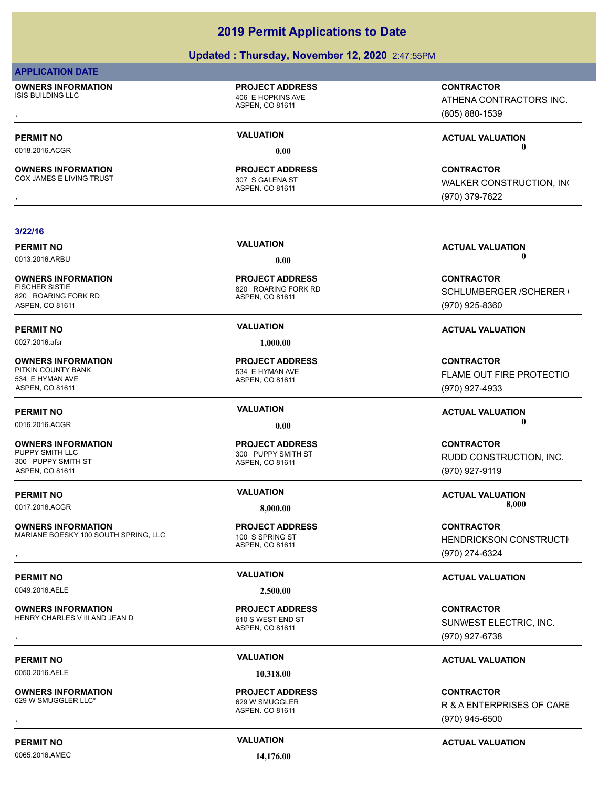### **Updated : Thursday, November 12, 2020** 2:47:55PM

### **APPLICATION DATE**

**OWNERS INFORMATION** ISIS BUILDING LLC 406 E HOPKINS AVE

### **PROJECT ADDRESS**

ASPEN, CO 81611

**OWNERS INFORMATION** COX JAMES E LIVING TRUST **307 S GALENA ST** 

### ASPEN, CO 81611 **PROJECT ADDRESS**

, **CONTRACTOR** ATHENA CONTRACTORS INC. (805) 880-1539

**PERMIT NO VALUATION ACTUAL VALUATION** 0018.2016.ACGR **0.00 0.00**

**OWNERS INFORMATION PROJECT ADDRESS CONTRACTOR**<br>COX JAMES E LIVING TRUST 307 S GALENA ST WALKER CONSTRUCTION, IN(<br>, ASPEN, CO 81611 WALKER CONSTRUCTION, INC (970) 379-7622

### **3/22/16**

**OWNERS INFORMATION** FISCHER SISTIE 820 ROARING FORK RD 820 ROARING FORK RD ASPEN, CO 81611

**OWNERS INFORMATION** PITKIN COUNTY BANK 534 E HYMAN AVE 534 E HYMAN AVE ASPEN, CO 81611

0016.2016.ACGR **0.00 0.00**

**OWNERS INFORMATION** 300 PUPPY SMITH ST ASPEN, CO 81611

**OWNERS INFORMATION** MARIANE BOESKY 100 SOUTH SPRING, LLC 100 S SPRING ST

0049.2016.AELE **2,500.00**

**OWNERS INFORMATION** HENRY CHARLES V III AND JEAN D 610 S WEST END ST

0050.2016.AELE **10,318.00**

**OWNERS INFORMATION** 629 W SMUGGLER LLC\* 629 W SMUGGLER

0065.2016.AMEC **14,176.00**

ASPEN, CO 81611 **PROJECT ADDRESS**

0027.2016.afsr **1,000.00**

ASPEN, CO 81611 **PROJECT ADDRESS**

ASPEN, CO 81611 300 PUPPY SMITH ST **PROJECT ADDRESS**

ASPEN, CO 81611 **PROJECT ADDRESS**

ASPEN, CO 81611 **PROJECT ADDRESS**

ASPEN, CO 81611 **PROJECT ADDRESS**

**PERMIT NO VALUATION ACTUAL VALUATION** 0013.2016.ARBU **0.00 0.00**

> **CONTRACTOR** SCHLUMBERGER / SCHERER ( (970) 925-8360

**PERMIT NO VALUATION ACTUAL VALUATION**

**CONTRACTOR** FLAME OUT FIRE PROTECTIO (970) 927-4933

**PERMIT NO VALUATION ACTUAL VALUATION**

**CONTRACTOR** RUDD CONSTRUCTION, INC. (970) 927-9119

**PERMIT NO VALUATION ACTUAL VALUATION** 0017.2016.ACGR **8,000.00 8,000.00**

**OWNERS INFORMATION MARIATION DESCRIPTED MARIANE SOF SERING STRING STRING STRING STRING STRING STRING STRING ST**<br>MARIANE BOESKY 100 SOUTH SPRING, LLC ASPEN, CO 81611 ASPEN, CO 81611 MARIANG STRING STRING STRING STRING STRI HENDRICKSON CONSTRUCTI (970) 274-6324

### **PERMIT NO VALUATION ACTUAL VALUATION**

**OWNERS INFORMATION MEXICLE AND SEXUAL SERVICE PROJECT ADDRESS ARE SONTRACTOR CONTRACTOR**<br>HENRY CHARLES VIII AND JEAN DUCK NO SUNG ASPEN, CO 81611 MEXICLE AND RESPONDENT SUNG ASPEN, CO 81611 MEXICLE (<br>RESPEN, CO 81611 MEXI SUNWEST ELECTRIC, INC. (970) 927-6738

### **PERMIT NO VALUATION ACTUAL VALUATION**

**OWNERS INFORMATION PROJECT ADDRESS CONTRACTOR**<br>629 W SMUGGLER LLC\* 629 W SMUGGLER R &A ENTERPRISES OF CARE<br>, ASPEN. CO 81611 R & A ENTERPRISES OF CARE (970) 945-6500

### **PERMIT NO CONSUMITY ACTUAL VALUATION VALUATION VALUATION**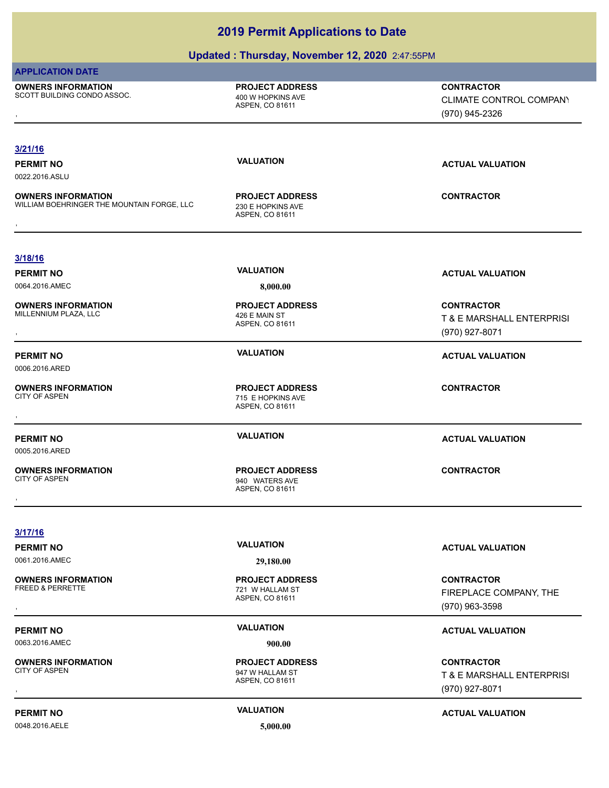# **Updated : Thursday, November 12, 2020** 2:47:55PM

|                                                                         | . .                                                            |                                                                  |
|-------------------------------------------------------------------------|----------------------------------------------------------------|------------------------------------------------------------------|
| <b>APPLICATION DATE</b>                                                 |                                                                |                                                                  |
| <b>OWNERS INFORMATION</b><br>SCOTT BUILDING CONDO ASSOC.                | <b>PROJECT ADDRESS</b><br>400 W HOPKINS AVE<br>ASPEN, CO 81611 | <b>CONTRACTOR</b><br>CLIMATE CONTROL COMPANY<br>(970) 945-2326   |
| 3/21/16                                                                 |                                                                |                                                                  |
| <b>PERMIT NO</b><br>0022.2016.ASLU                                      | <b>VALUATION</b>                                               | <b>ACTUAL VALUATION</b>                                          |
| <b>OWNERS INFORMATION</b><br>WILLIAM BOEHRINGER THE MOUNTAIN FORGE, LLC | <b>PROJECT ADDRESS</b><br>230 E HOPKINS AVE<br>ASPEN, CO 81611 | <b>CONTRACTOR</b>                                                |
| 3/18/16                                                                 |                                                                |                                                                  |
| <b>PERMIT NO</b>                                                        | <b>VALUATION</b>                                               | <b>ACTUAL VALUATION</b>                                          |
| 0064.2016.AMEC                                                          | 8,000.00                                                       |                                                                  |
| <b>OWNERS INFORMATION</b><br>MILLENNIUM PLAZA, LLC                      | <b>PROJECT ADDRESS</b><br>426 E MAIN ST<br>ASPEN, CO 81611     | <b>CONTRACTOR</b><br>T & E MARSHALL ENTERPRISI<br>(970) 927-8071 |
| <b>PERMIT NO</b><br>0006.2016.ARED                                      | <b>VALUATION</b>                                               | <b>ACTUAL VALUATION</b>                                          |
| <b>OWNERS INFORMATION</b><br><b>CITY OF ASPEN</b>                       | <b>PROJECT ADDRESS</b><br>715 E HOPKINS AVE<br>ASPEN, CO 81611 | <b>CONTRACTOR</b>                                                |
| <b>PERMIT NO</b><br>0005.2016.ARED                                      | <b>VALUATION</b>                                               | <b>ACTUAL VALUATION</b>                                          |
| <b>OWNERS INFORMATION</b><br><b>CITY OF ASPEN</b>                       | <b>PROJECT ADDRESS</b><br>940 WATERS AVE<br>ASPEN, CO 81611    | <b>CONTRACTOR</b>                                                |
| 3/17/16                                                                 |                                                                |                                                                  |
| <b>PERMIT NO</b>                                                        | <b>VALUATION</b>                                               | <b>ACTUAL VALUATION</b>                                          |
| 0061.2016.AMEC                                                          | 29,180.00                                                      |                                                                  |
| <b>OWNERS INFORMATION</b><br>FREED & PERRETTE                           | <b>PROJECT ADDRESS</b><br>721 W HALLAM ST<br>ASPEN, CO 81611   | <b>CONTRACTOR</b><br>FIREPLACE COMPANY, THE<br>(970) 963-3598    |
| <b>PERMIT NO</b>                                                        | <b>VALUATION</b>                                               | <b>ACTUAL VALUATION</b>                                          |
| 0063.2016.AMEC                                                          | 900.00                                                         |                                                                  |
| <b>OWNERS INFORMATION</b><br><b>CITY OF ASPEN</b>                       | <b>PROJECT ADDRESS</b><br>947 W HALLAM ST<br>ASPEN, CO 81611   | <b>CONTRACTOR</b><br>T & E MARSHALL ENTERPRISI<br>(970) 927-8071 |
| <b>PERMIT NO</b>                                                        | <b>VALUATION</b>                                               | <b>ACTUAL VALUATION</b>                                          |

0048.2016.AELE **5,000.00**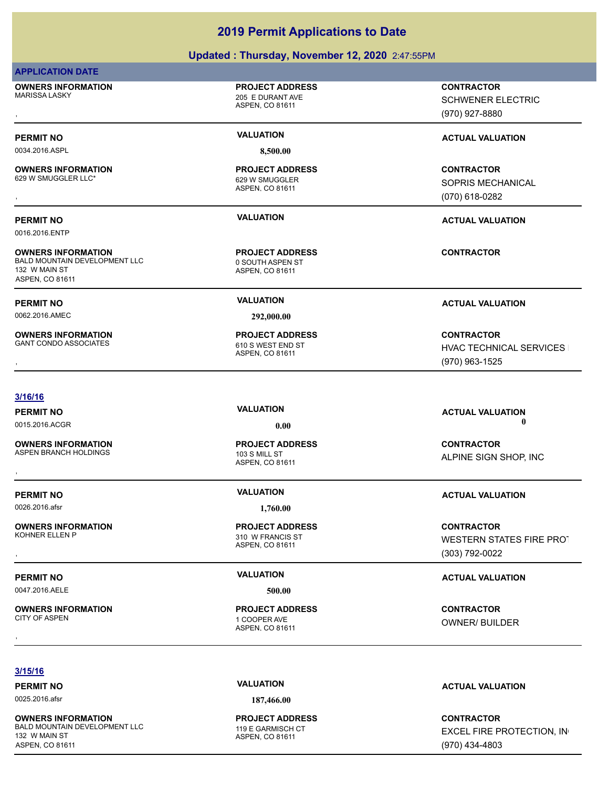### **Updated : Thursday, November 12, 2020** 2:47:55PM

### **APPLICATION DATE**

**OWNERS INFORMATION** MARISSA LASKY 205 E DURANT AVE

### **PROJECT ADDRESS**

ASPEN, CO 81611

0034.2016.ASPL **8,500.00**

### **OWNERS INFORMATION** 629 W SMUGGLER LLC\* 629 W SMUGGLER

0016.2016.ENTP

**OWNERS INFORMATION** BALD MOUNTAIN DEVELOPMENT LLC 0 0 SOUTH ASPEN ST 132 W MAIN ST ASPEN, CO 81611

0062.2016.AMEC **292,000.00**

**OWNERS INFORMATION** GANT CONDO ASSOCIATES 610 S WEST END ST

### **3/16/16**

0015.2016.ACGR **0.00 0.00**

**OWNERS INFORMATION** ASPEN BRANCH HOLDINGS 103 S MILL ST

**OWNERS INFORMATION**

ASPEN, CO 81611

**PROJECT ADDRESS**

ASPEN, CO 81611 **PROJECT ADDRESS**

ASPEN, CO 81611 **PROJECT ADDRESS**

, **CONTRACTOR** SCHWENER ELECTRIC (970) 927-8880

### **PERMIT NO VALUATION VALUATION VALUATION**

**OWNERS INFORMATION PROJECT ADDRESS CONTRACTOR**<br>629 W SMUGGLER LLC\* 629 W SMUGGLER SOPRIS MECHANICAL<br>, ASPEN, CO 81611 SOPRIS MECHANICAL (070) 618-0282

### **PERMIT NO VALUATION ACTUAL VALUATION**

**CONTRACTOR**

### **PERMIT NO VALUATION ACTUAL VALUATION**

**OWNERS INFORMATION GOVERNEY ARE DESCRIPTED MARKED BY A SPEN, CO 81611 CONTRACTOR CONTRACTOR**<br>GANT CONDO ASSOCIATES GOVERNEY ASPEN, CO 81611 GASPEN, CO 81611 CONTRACTOR (970) 963-1525<br>GANT CONDO ASSOCIATES **HVAC TECHNICAL SERVICES** (970) 963-1525

0026.2016.afsr **1,760.00**

0047.2016.AELE **500.00**

**OWNERS INFORMATION**

ASPEN, CO 81611 **PROJECT ADDRESS OWNERS INFORMATION FROJECT ADDRESS CONTRACTOR**<br>ASPEN BRANCH HOLDINGS TO A RESOLUTE THE SEPENT CO 81611<br>ASPEN. CO 81611<br>,

ASPEN, CO 81611 310 W FRANCIS ST **PROJECT ADDRESS**

ASPEN, CO 81611 1 COOPER AVE **PROJECT ADDRESS OWNERS INFORMATION CONTRACTOR PROJECT ADDRESS CONTRACTOR**<br>CITY OF ASPEN ASPEN ASPEN. CO 81611<br>,

**PERMIT NO VALUATION ACTUAL VALUATION**

ALPINE SIGN SHOP, INC

### **PERMIT NO VALUATION ACTUAL VALUATION**

, **CONTRACTOR** WESTERN STATES FIRE PROT (303) 792-0022

### **PERMIT NO VALUATION ACTUAL VALUATION**

OWNER/ BUILDER

**3/15/16**

0025.2016.afsr **187,466.00**

**OWNERS INFORMATION** BALD MOUNTAIN DEVELOPMENT LLC<br>
119 E GARMISCH CT 132 W MAIN ST ASPEN, CO 81611

ASPEN, CO 81611 **PROJECT ADDRESS**

**PERMIT NO VALUATION ACTUAL VALUATION**

**CONTRACTOR** EXCEL FIRE PROTECTION, IN (970) 434-4803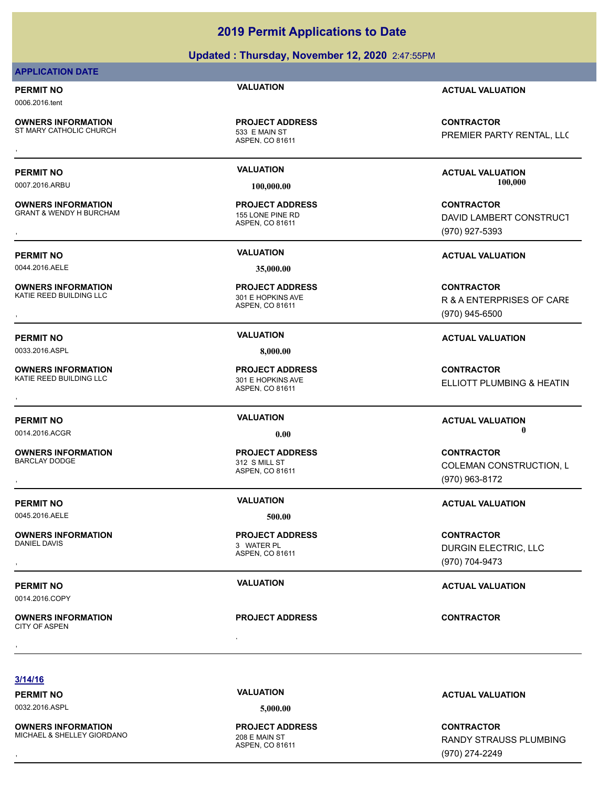### **Updated : Thursday, November 12, 2020** 2:47:55PM

### **APPLICATION DATE**

0006.2016.tent

**OWNERS INFORMATION** ST MARY CATHOLIC CHURCH 533 E MAIN ST

**PROJECT ADDRESS**

**OWNERS INFORMATION** GRANT & WENDY H BURCHAM 155 LONE PINE RD

0044.2016.AELE **35,000.00**

**OWNERS INFORMATION**

0033.2016.ASPL **8,000.00**

**OWNERS INFORMATION** KATIE REED BUILDING LLC 301 E HOPKINS AVE

**OWNERS INFORMATION** BARCLAY DODGE 312 S MILL ST

0045.2016.AELE **500.00**

**OWNERS INFORMATION** DANIEL DAVIS 3 WATER PL

0014.2016.COPY

, **OWNERS INFORMATION** CITY OF ASPEN , **CONTRACTOR**

ASPEN, CO 81611

ASPEN, CO 81611 **PROJECT ADDRESS**

ASPEN, CO 81611 301 E HOPKINS AVE **PROJECT ADDRESS**

ASPEN, CO 81611 **PROJECT ADDRESS**

ASPEN, CO 81611 **PROJECT ADDRESS**

ASPEN, CO 81611 **PROJECT ADDRESS**

**PROJECT ADDRESS**

**PERMIT NO VALUATION ACTUAL VALUATION**

**OWNERS INFORMATION GOVERNED BY A SERVICE PROJECT ADDRESS ARE:**<br>ST MARY CATHOLIC CHURCH GOVERNED ASPEN, CO 81611<br>,<br>, PREMIER PARTY RENTAL, LLC

**PERMIT NO VALUATION ACTUAL VALUATION** 0007.2016.ARBU **100,000.00 100,000.00**

, **CONTRACTOR** DAVID LAMBERT CONSTRUCT (970) 927-5393

**PERMIT NO VALUATION ACTUAL VALUATION**

**OWNERS INFORMATION GOVERNEY ARE SERVED BY A SPEN, CO B1611**<br>KATIE REED BUILDING LLC **A SPEN A SPEN, CO 81611**<br>ASPEN, CO 81611 ASPEN AND A SPEN A SPEN (970) 945-6500 R & A ENTERPRISES OF CARE (970) 945-6500

### **PERMIT NO VALUATION ACTUAL VALUATION**

, **CONTRACTOR ELLIOTT PLUMBING & HEATIN** 

### **PERMIT NO VALUATION VALUATION VALUATION** 0014.2016.ACGR **0.00 0.00**

, **CONTRACTOR** COLEMAN CONSTRUCTION, L (970) 963-8172

### **PERMIT NO VALUATION VALUATION VALUATION**

, **CONTRACTOR** DURGIN ELECTRIC, LLC (970) 704-9473

### **PERMIT NO VALUATION VALUATION VALUATION**

**3/14/16**

0032.2016.ASPL **5,000.00**

**OWNERS INFORMATION** MICHAEL & SHELLEY GIORDANO 2008 F MAIN ST

ASPEN, CO 81611 **PROJECT ADDRESS**

**PERMIT NO VALUATION ACTUAL VALUATION**

, **CONTRACTOR** RANDY STRAUSS PLUMBING (970) 274-2249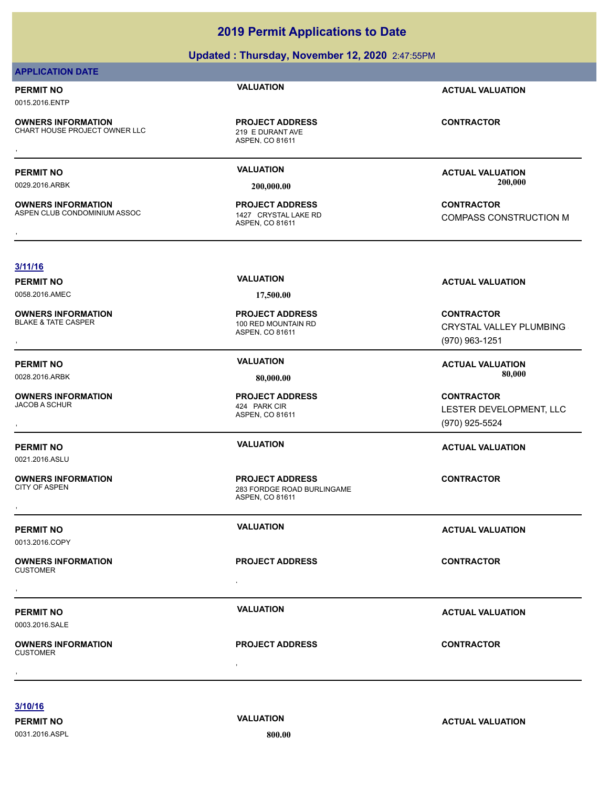### **Updated : Thursday, November 12, 2020** 2:47:55PM

### **APPLICATION DATE**

0015.2016.ENTP

**OWNERS INFORMATION** CHART HOUSE PROJECT OWNER LLC 219 E DURANT AVE **OWNERS INFORMATION MERILLE REGIST OF PROJECT ADDRESS ARE:** CONTRACTOR CONTRACTOR<br>CHART HOUSE PROJECT OWNER LLC ASPEN, CO 81611 ASPEN, CO 81611 ASPEN, CO 81611

ASPEN, CO 81611 **PROJECT ADDRESS**

**OWNERS INFORMATION** ASPEN CLUB CONDOMINIUM ASSOC 1427 CRYSTAL LAKE RD

ASPEN, CO 81611

ASPEN, CO 81611

424 PARK CIR **PROJECT ADDRESS**

100 RED MOUNTAIN RD **PROJECT ADDRESS**

ASPEN, CO 81611 **PROJECT ADDRESS**

**PERMIT NO VALUATION ACTUAL VALUATION**

**PERMIT NO VALUATION ACTUAL VALUATION** 0029.2016.ARBK **200,000.00 200,000.00**

**OWNERS INFORMATION ASSOC FORD BY A PROJECT ADDRESS FORD RESOURD TO CONTRACTOR**<br>ASPEN CLUB CONDOMINIUM ASSOC FORD ASPEN, AND ASPEN, CO 81611<br>ASPEN, CO 81611 COMPASS CONSTRUCTION M

### **3/11/16**

0058.2016.AMEC **17,500.00**

**OWNERS INFORMATION**

**OWNERS INFORMATION**

0021.2016.ASLU

**OWNERS INFORMATION** , **CONTRACTOR**

0013.2016.COPY

CUSTOMER

0003.2016.SALE

**CUSTOMER** 

, **OWNERS INFORMATION**

, **OWNERS INFORMATION**

ASPEN, CO 81611

**PROJECT ADDRESS** , **CONTRACTOR**

283 FORDGE ROAD BURLINGAME **PROJECT ADDRESS**

**PROJECT ADDRESS** , **CONTRACTOR**

**PERMIT NO VALUATION ACTUAL VALUATION**

, **CONTRACTOR** CRYSTAL VALLEY PLUMBING (970) 963-1251

**PERMIT NO VALUATION ACTUAL VALUATION** 0028.2016.ARBK **80,000.00 80,000.00**

, **CONTRACTOR** LESTER DEVELOPMENT, LLC (970) 925-5524

### **PERMIT NO VALUATION ACTUAL VALUATION**

**PERMIT NO VALUATION ACTUAL VALUATION**

**PERMIT NO VALUATION ACTUAL VALUATION**

**3/10/16**

0031.2016.ASPL **800.00**

**PERMIT NO VALUATION VALUATION VALUATION**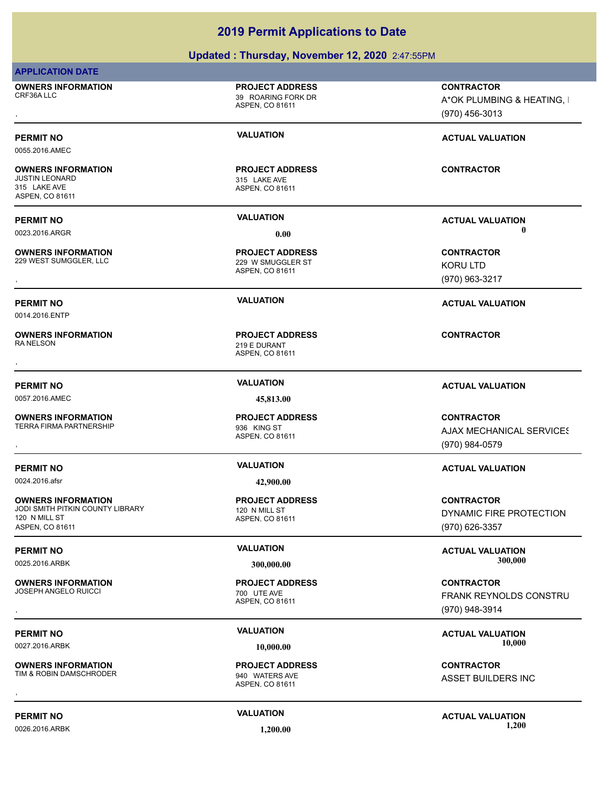### **Updated : Thursday, November 12, 2020** 2:47:55PM

| <b>APPLICATION DATE</b>                                                                                  |                                                                 |                                                                   |
|----------------------------------------------------------------------------------------------------------|-----------------------------------------------------------------|-------------------------------------------------------------------|
| <b>OWNERS INFORMATION</b><br>CRF36A LLC                                                                  | <b>PROJECT ADDRESS</b><br>39 ROARING FORK DR<br>ASPEN, CO 81611 | <b>CONTRACTOR</b><br>A*OK PLUMBING & HEATING, I<br>(970) 456-3013 |
| <b>PERMIT NO</b><br>0055.2016.AMEC                                                                       | <b>VALUATION</b>                                                | <b>ACTUAL VALUATION</b>                                           |
| <b>OWNERS INFORMATION</b><br><b>JUSTIN LEONARD</b><br>315 LAKE AVE<br>ASPEN, CO 81611                    | <b>PROJECT ADDRESS</b><br>315 LAKE AVE<br>ASPEN, CO 81611       | <b>CONTRACTOR</b>                                                 |
| <b>PERMIT NO</b>                                                                                         | <b>VALUATION</b>                                                | <b>ACTUAL VALUATION</b>                                           |
| 0023.2016.ARGR                                                                                           | 0.00                                                            | 0                                                                 |
| <b>OWNERS INFORMATION</b><br>229 WEST SUMGGLER, LLC                                                      | <b>PROJECT ADDRESS</b><br>229 W SMUGGLER ST<br>ASPEN, CO 81611  | <b>CONTRACTOR</b><br><b>KORU LTD</b><br>(970) 963-3217            |
| <b>PERMIT NO</b><br>0014.2016.ENTP                                                                       | <b>VALUATION</b>                                                | <b>ACTUAL VALUATION</b>                                           |
| <b>OWNERS INFORMATION</b><br><b>RANELSON</b>                                                             | <b>PROJECT ADDRESS</b><br>219 E DURANT<br>ASPEN, CO 81611       | <b>CONTRACTOR</b>                                                 |
|                                                                                                          |                                                                 |                                                                   |
| <b>PERMIT NO</b>                                                                                         | <b>VALUATION</b>                                                | <b>ACTUAL VALUATION</b>                                           |
| 0057.2016.AMEC                                                                                           | 45,813.00                                                       |                                                                   |
| <b>OWNERS INFORMATION</b><br><b>TERRA FIRMA PARTNERSHIP</b>                                              | <b>PROJECT ADDRESS</b><br>936 KING ST<br>ASPEN, CO 81611        | <b>CONTRACTOR</b><br>AJAX MECHANICAL SERVICES<br>(970) 984-0579   |
| <b>PERMIT NO</b>                                                                                         | <b>VALUATION</b>                                                | <b>ACTUAL VALUATION</b>                                           |
| 0024.2016.afsr                                                                                           | 42,900.00                                                       |                                                                   |
| <b>OWNERS INFORMATION</b><br><b>JODI SMITH PITKIN COUNTY LIBRARY</b><br>120 N MILL ST<br>ASPEN, CO 81611 | <b>PROJECT ADDRESS</b><br>120 N MILL ST<br>ASPEN, CO 81611      | <b>CONTRACTOR</b><br>DYNAMIC FIRE PROTECTION<br>(970) 626-3357    |
| <b>PERMIT NO</b><br>0025.2016.ARBK                                                                       | <b>VALUATION</b><br>300,000.00                                  | <b>ACTUAL VALUATION</b><br>300,000                                |
| <b>OWNERS INFORMATION</b><br>JOSEPH ANGELO RUICCI                                                        | <b>PROJECT ADDRESS</b><br>700 UTE AVE<br>ASPEN, CO 81611        | <b>CONTRACTOR</b><br>FRANK REYNOLDS CONSTRU<br>(970) 948-3914     |
| <b>PERMIT NO</b><br>0027.2016.ARBK                                                                       | <b>VALUATION</b><br>10,000.00                                   | <b>ACTUAL VALUATION</b><br>10,000                                 |
| <b>OWNERS INFORMATION</b><br>TIM & ROBIN DAMSCHRODER                                                     | <b>PROJECT ADDRESS</b><br>940 WATERS AVE<br>ASPEN, CO 81611     | <b>CONTRACTOR</b><br>ASSET BUILDERS INC                           |
|                                                                                                          |                                                                 |                                                                   |

PERMIT NO<br>
0026 2016 ARRK<br>
1,200 00 1200 00 1200 00 1200 00 1200 00 1200 00 1200 00 1200 1200 1200 1200 1200 1200 1200 1200 1200 1200 1200 0026.2016.ARBK **1,200.00 1,200.00**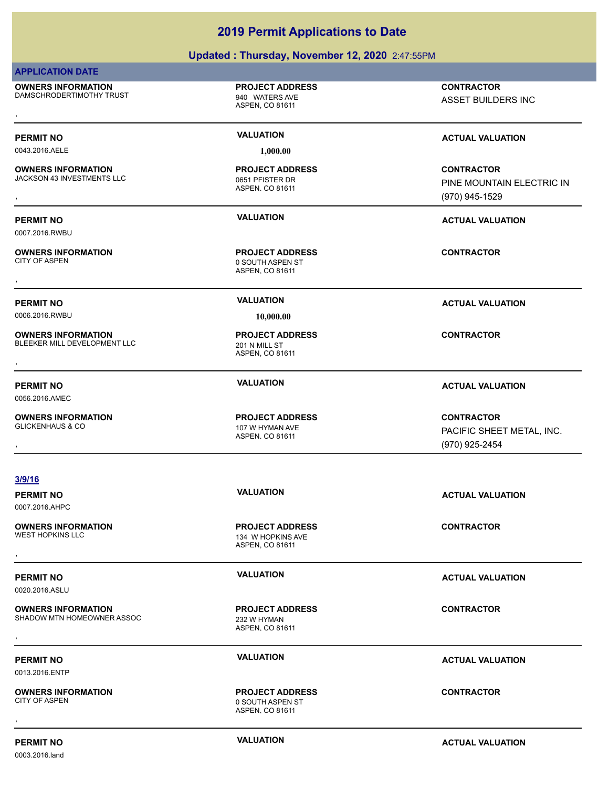### **Updated : Thursday, November 12, 2020** 2:47:55PM

| <b>APPLICATION DATE</b>                                   |                                                                |                                                                  |
|-----------------------------------------------------------|----------------------------------------------------------------|------------------------------------------------------------------|
| <b>OWNERS INFORMATION</b><br>DAMSCHRODERTIMOTHY TRUST     | <b>PROJECT ADDRESS</b><br>940 WATERS AVE<br>ASPEN, CO 81611    | <b>CONTRACTOR</b><br>ASSET BUILDERS INC                          |
| <b>PERMIT NO</b><br>0043.2016.AELE                        | <b>VALUATION</b><br>1,000.00                                   | <b>ACTUAL VALUATION</b>                                          |
| <b>OWNERS INFORMATION</b><br>JACKSON 43 INVESTMENTS LLC   | <b>PROJECT ADDRESS</b><br>0651 PFISTER DR<br>ASPEN, CO 81611   | <b>CONTRACTOR</b><br>PINE MOUNTAIN ELECTRIC IN<br>(970) 945-1529 |
| <b>PERMIT NO</b><br>0007.2016.RWBU                        | <b>VALUATION</b>                                               | <b>ACTUAL VALUATION</b>                                          |
| <b>OWNERS INFORMATION</b><br><b>CITY OF ASPEN</b>         | <b>PROJECT ADDRESS</b><br>0 SOUTH ASPEN ST<br>ASPEN, CO 81611  | <b>CONTRACTOR</b>                                                |
| <b>PERMIT NO</b><br>0006.2016.RWBU                        | <b>VALUATION</b><br>10,000.00                                  | <b>ACTUAL VALUATION</b>                                          |
| <b>OWNERS INFORMATION</b><br>BLEEKER MILL DEVELOPMENT LLC | <b>PROJECT ADDRESS</b><br>201 N MILL ST<br>ASPEN, CO 81611     | <b>CONTRACTOR</b>                                                |
| <b>PERMIT NO</b><br>0056.2016.AMEC                        | <b>VALUATION</b>                                               | <b>ACTUAL VALUATION</b>                                          |
| <b>OWNERS INFORMATION</b><br><b>GLICKENHAUS &amp; CO</b>  | <b>PROJECT ADDRESS</b><br>107 W HYMAN AVE<br>ASPEN, CO 81611   | <b>CONTRACTOR</b><br>PACIFIC SHEET METAL, INC.<br>(970) 925-2454 |
| 3/9/16                                                    |                                                                |                                                                  |
| <b>PERMIT NO</b><br>0007.2016.AHPC                        | <b>VALUATION</b>                                               | <b>ACTUAL VALUATION</b>                                          |
| <b>OWNERS INFORMATION</b><br><b>WEST HOPKINS LLC</b>      | <b>PROJECT ADDRESS</b><br>134 W HOPKINS AVE<br>ASPEN, CO 81611 | <b>CONTRACTOR</b>                                                |
| <b>PERMIT NO</b><br>0020.2016.ASLU                        | <b>VALUATION</b>                                               | <b>ACTUAL VALUATION</b>                                          |
| <b>OWNERS INFORMATION</b><br>SHADOW MTN HOMEOWNER ASSOC   | <b>PROJECT ADDRESS</b><br>232 W HYMAN<br>ASPEN, CO 81611       | <b>CONTRACTOR</b>                                                |
| <b>PERMIT NO</b><br>0013.2016.ENTP                        | <b>VALUATION</b>                                               | <b>ACTUAL VALUATION</b>                                          |
| <b>OWNERS INFORMATION</b><br><b>CITY OF ASPEN</b>         | <b>PROJECT ADDRESS</b><br>0 SOUTH ASPEN ST<br>ASPEN, CO 81611  | <b>CONTRACTOR</b>                                                |
| <b>PERMIT NO</b>                                          | <b>VALUATION</b>                                               | <b>ACTUAL VALUATION</b>                                          |

0003.2016.land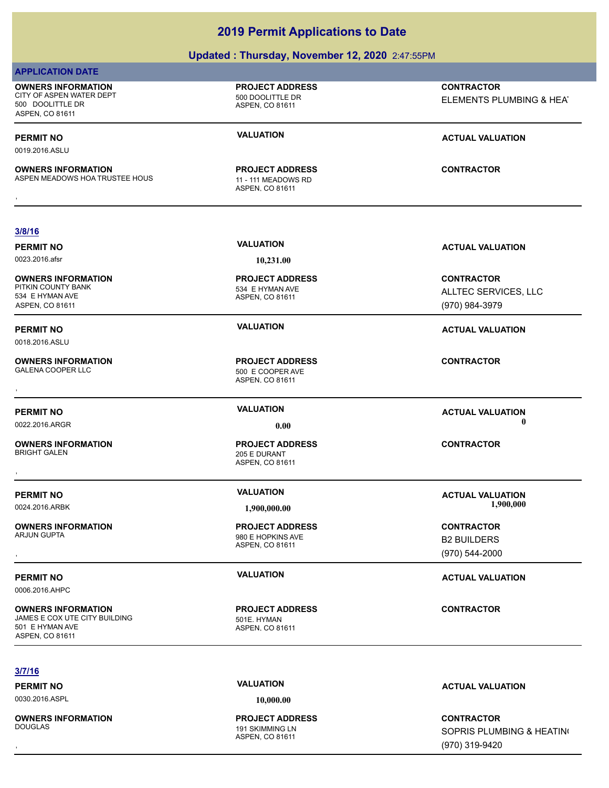### **Updated : Thursday, November 12, 2020** 2:47:55PM

### **APPLICATION DATE**

CITY OF ASPEN WATER DEPT 500 DOOLITTLE DR

**OWNERS INFORMATION**

ASPEN, CO 81611 ASPEN MEADOWS HOA TRUSTEE HOUS 11 - 111 MEADOWS RD **PROJECT ADDRESS OWNERS INFORMATION FROJECT ADDRESS ARE:**<br>ASPEN MEADOWS HOA TRUSTEE HOUS **A PROJECT ADDRESS ARE:**<br>ASPEN, CO 81611

**CONTRACTOR** ELEMENTS PLUMBING & HEAT

### **PERMIT NO VALUATION ACTUAL VALUATION**

0019.2016.ASLU

### **3/8/16**

**OWNERS INFORMATION** PITKIN COUNTY BANK 534 E HYMAN AVE 534 E HYMAN AVE ASPEN, CO 81611

0018.2016.ASLU

**OWNERS INFORMATION**

**OWNERS INFORMATION**

**OWNERS INFORMATION**

0006.2016.AHPC

**OWNERS INFORMATION** JAMES E COX UTE CITY BUILDING 501E. HYMAN 501 E HYMAN AVE ASPEN, CO 81611

ASPEN, CO 81611 GALENA COOPER LLC 500 E COOPER AVE **PROJECT ADDRESS** , **CONTRACTOR**

ASPEN, CO 81611 205 E DURANT **PROJECT ADDRESS** , **CONTRACTOR**

ASPEN, CO 81611 980 E HOPKINS AVE **PROJECT ADDRESS** , **CONTRACTOR**

ASPEN, CO 81611 **PROJECT ADDRESS**

**CONTRACTOR** ALLTEC SERVICES, LLC (970) 984-3979

**PERMIT NO VALUATION ACTUAL VALUATION**

**PERMIT NO VALUATION ACTUAL VALUATION** 0022.2016.ARGR **0.00 0.00**

**PERMIT NO VALUATION ACTUAL VALUATION** 0024.2016.ARBK **1,900,000.00 1,900,000.00**

# B2 BUILDERS

(970) 544-2000

### **PERMIT NO VALUATION ACTUAL VALUATION**

**CONTRACTOR**

**3/7/16**

0030.2016.ASPL **10,000.00**

**OWNERS INFORMATION**

ASPEN, CO 81611 191 SKIMMING LN **PROJECT ADDRESS**

**PERMIT NO VALUATION ACTUAL VALUATION**

, **CONTRACTOR** SOPRIS PLUMBING & HEATING (970) 319-9420

# **PERMIT NO VALUATION VALUATION VALUATION** 0023.2016.afsr **10,231.00** ASPEN, CO 81611 **PROJECT ADDRESS**

**OWNERS INFORMATION** 500 DOOLITTLE DR ASPEN, CO 81611

ASPEN, CO 81611 **PROJECT ADDRESS**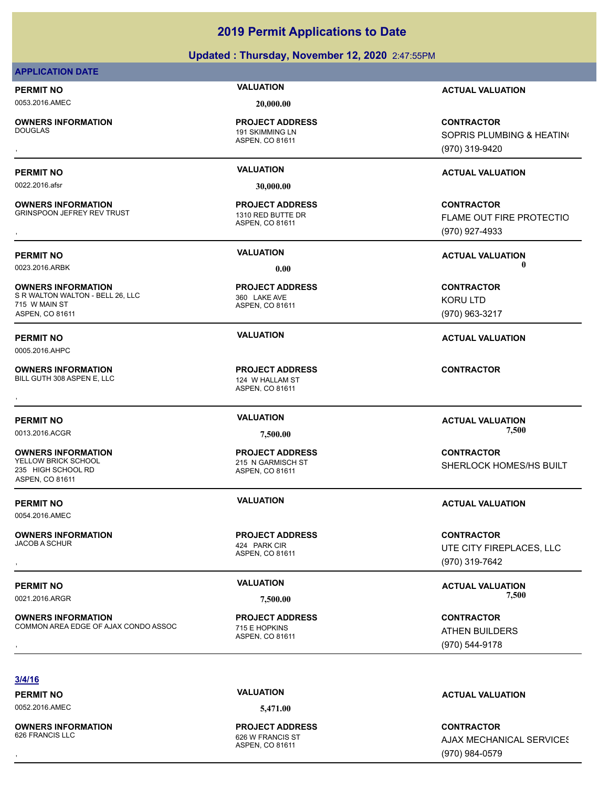### **Updated : Thursday, November 12, 2020** 2:47:55PM

### **APPLICATION DATE**

0053.2016.AMEC **20,000.00**

**OWNERS INFORMATION**

0022.2016.afsr **30,000.00**

**OWNERS INFORMATION** GRINSPOON JEFREY REV TRUST 1310 RED BUTTE DR

**OWNERS INFORMATION** S R WALTON WALTON - BELL 26, LLC 360 LAKE AVE 715 W MAIN ST ASPEN, CO 81611

0005.2016.AHPC

**OWNERS INFORMATION** BILL GUTH 308 ASPEN E, LLC<br>
124 W HALLAM ST

**OWNERS INFORMATION** YELLOW BRICK SCHOOL **215 N GARMISCH ST** 235 HIGH SCHOOL RD ASPEN, CO 81611

0054.2016.AMEC

**OWNERS INFORMATION** JACOB A SCHUR 424 PARK CIR

**OWNERS INFORMATION** COMMON AREA EDGE OF AJAX CONDO ASSOC 715 E HOPKINS

ASPEN, CO 81611 191 SKIMMING LN **PROJECT ADDRESS**

ASPEN, CO 81611 **PROJECT ADDRESS**

ASPEN, CO 81611 **PROJECT ADDRESS**

ASPEN, CO 81611 **PROJECT ADDRESS OWNERS INFORMATION CONTRACTOR REPORT OF PROJECT ADDRESS CONTRACTOR CONTRACTOR**<br>BILL GUTH 308 ASPEN E, LLC CONTRACTOR<br>ASPEN. CO 81611

ASPEN, CO 81611 **PROJECT ADDRESS**

ASPEN, CO 81611 **PROJECT ADDRESS**

ASPEN, CO 81611 **PROJECT ADDRESS**

**PERMIT NO VALUATION ACTUAL VALUATION**

, **CONTRACTOR** SOPRIS PLUMBING & HEATING (970) 319-9420

### **PERMIT NO VALUATION ACTUAL VALUATION**

, **CONTRACTOR** FLAME OUT FIRE PROTECTIO (970) 927-4933

**PERMIT NO VALUATION ACTUAL VALUATION** 0023.2016.ARBK **0.00 0.00**

### **CONTRACTOR** KORU LTD (970) 963-3217

**PERMIT NO VALUATION ACTUAL VALUATION**

**PERMIT NO VALUATION VALUATION VALUATION** 0013.2016.ACGR **7,500.00 7,500.00**

> **CONTRACTOR** SHERLOCK HOMES/HS BUILT

### **PERMIT NO VALUATION ACTUAL VALUATION**

, **CONTRACTOR** UTE CITY FIREPLACES, LLC (970) 319-7642

**PERMIT NO VALUATION ACTUAL VALUATION** 0021.2016.ARGR **7,500.00 7,500.00**

**OWNERS INFORMATION METALLY CONTRACTOR REGULAR PROJECT ADDRESS ARE:**<br>COMMON AREA EDGE OF AJAX CONDO ASSOC THE HOPKINS ASPEN, CO 81611 METAL METAL METAL METAL METAL ATHEN BUILDERS<br>, Matthew Maspen, CO 81611 Metal Metal Meta ATHEN BUILDERS (970) 544-9178

**3/4/16**

0052.2016.AMEC **5,471.00**

**OWNERS INFORMATION**

ASPEN, CO 81611 626 W FRANCIS ST **PROJECT ADDRESS**

**PERMIT NO VALUATION ACTUAL VALUATION**

, **CONTRACTOR AJAX MECHANICAL SERVICES** (970) 984-0579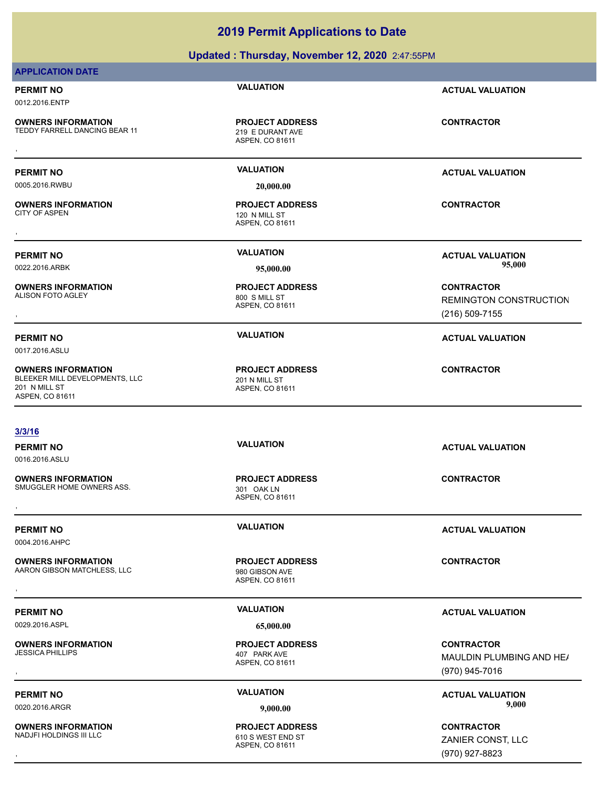### **Updated : Thursday, November 12, 2020** 2:47:55PM

### **APPLICATION DATE**

# 0012.2016.ENTP

**OWNERS INFORMATION** TEDDY FARRELL DANCING BEAR 11 219 E DURANT AVE **OWNERS INFORMATION METALLY SERVICE PROJECT ADDRESS ARE:**<br>TEDDY FARRELL DANCING BEAR 11 METAL METALLY ASPEN, CO 81611<br>,

**PROJECT ADDRESS**

0005.2016.RWBU **20,000.00**

**OWNERS INFORMATION**

0017.2016.ASLU

201 N MILL ST ASPEN, CO 81611

**OWNERS INFORMATION** ALISON FOTO AGLEY 800 S MILL ST

**OWNERS INFORMATION**

ASPEN, CO 81611

ASPEN, CO 81611 120 N MILL ST **PROJECT ADDRESS** , **CONTRACTOR**

ASPEN, CO 81611 **PROJECT ADDRESS**

ASPEN, CO 81611 BLEEKER MILL DEVELOPMENTS, LLC<br>201 N MILL ST **PROJECT ADDRESS**

**PERMIT NO VALUATION ACTUAL VALUATION**

**PERMIT NO VALUATION ACTUAL VALUATION**

**PERMIT NO VALUATION ACTUAL VALUATION** 0022.2016.ARBK **95,000.00 95,000.00**

, **CONTRACTOR** REMINGTON CONSTRUCTION (216) 509-7155

### **PERMIT NO VALUATION ACTUAL VALUATION**

### **CONTRACTOR**

**3/3/16**

0016.2016.ASLU

**OWNERS INFORMATION** SMUGGLER HOME OWNERS ASS. 301 OAK LN **OWNERS INFORMATION ASSUME ASSUME ASSUME ASSUMING A SERVICE OF A SERVICE ADDRESS AND SOLUTRACTOR SHOWS ASSUMED AN<br>SMUGGLER HOME OWNERS ASS. A SPEN, CO 81611<br>ASPEN, CO 81611** 

0004.2016.AHPC

**OWNERS INFORMATION** AARON GIBSON MATCHLESS, LLC<br>
980 GIBSON AVE **OWNERS INFORMATION CONTRACTOR REGIST OF PROJECT ADDRESS CONTRACTOR CONTRACTOR**<br>AARON GIBSON MATCHLESS, LLC SON SON GIBSON AVE<br>ASPEN. CO 81611

0029.2016.ASPL **65,000.00**

**OWNERS INFORMATION**

ASPEN, CO 81611

**PROJECT ADDRESS**

ASPEN, CO 81611

**PROJECT ADDRESS**

ASPEN, CO 81611 407 PARK AVE **PROJECT ADDRESS**

ASPEN, CO 81611 **PROJECT ADDRESS**

**PERMIT NO VALUATION ACTUAL VALUATION**

**PERMIT NO VALUATION ACTUAL VALUATION**

### **PERMIT NO VALUATION ACTUAL VALUATION**

, **CONTRACTOR** MAULDIN PLUMBING AND HE/ (970) 945-7016

**PERMIT NO VALUATION ACTUAL VALUATION** 0020.2016.ARGR **9,000.00 9,000.00**

, **CONTRACTOR** ZANIER CONST, LLC (970) 927-8823

### **OWNERS INFORMATION** NADJFI HOLDINGS III LLC 610 S WEST END ST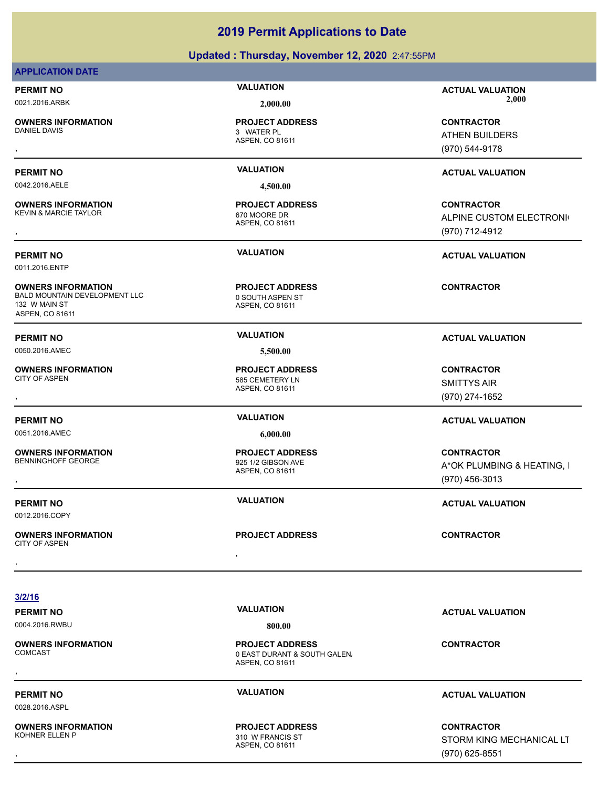### **Updated : Thursday, November 12, 2020** 2:47:55PM

### **APPLICATION DATE**

**OWNERS INFORMATION** 

ASPEN, CO 81611 3 WATER PL **PROJECT ADDRESS**

0042.2016.AELE **4,500.00**

**OWNERS INFORMATION** KEVIN & MARCIE TAYLOR 670 MOORE DR

0011.2016.ENTP

**OWNERS INFORMATION** BALD MOUNTAIN DEVELOPMENT LLC 0 0 SOUTH ASPEN ST 132 W MAIN ST ASPEN, CO 81611

0050.2016.AMEC **5,500.00**

**OWNERS INFORMATION**

0051.2016.AMEC **6,000.00**

**OWNERS INFORMATION**

0012.2016.COPY

, **OWNERS INFORMATION** CITY OF ASPEN , **CONTRACTOR**

ASPEN, CO 81611 **PROJECT ADDRESS**

ASPEN, CO 81611 **PROJECT ADDRESS**

ASPEN, CO 81611 585 CEMETERY LN **PROJECT ADDRESS**

ASPEN, CO 81611 925 1/2 GIBSON AVE **PROJECT ADDRESS**

**PROJECT ADDRESS**

**PERMIT NO VALUATION ACTUAL VALUATION** 0021.2016.ARBK **2,000.00 2,000.00**

, **CONTRACTOR** ATHEN BUILDERS (970) 544-9178

### **PERMIT NO VALUATION ACTUAL VALUATION**

, **CONTRACTOR** ALPINE CUSTOM ELECTRONI (970) 712-4912

**PERMIT NO VALUATION ACTUAL VALUATION**

**CONTRACTOR**

**PERMIT NO VALUATION ACTUAL VALUATION**

, **CONTRACTOR** SMITTYS AIR (970) 274-1652

### **PERMIT NO VALUATION ACTUAL VALUATION**

, **CONTRACTOR** A\*OK PLUMBING & HEATING, I (970) 456-3013

**PERMIT NO VALUATION ACTUAL VALUATION**

**3/2/16**

### **PERMIT NO VALUATION ACTUAL VALUATION** 0004.2016.RWBU **800.00**

**OWNERS INFORMATION**

ASPEN, CO 81611 0 EAST DURANT & SOUTH GALEN. **PROJECT ADDRESS** , **CONTRACTOR**

0028.2016.ASPL

**OWNERS INFORMATION**

**PROJECT ADDRESS**

ASPEN, CO 81611 310 W FRANCIS ST

**PERMIT NO VALUATION ACTUAL VALUATION**

**OWNERS INFORMATION PROJECT ADDRESS CONTRACTOR**<br>KOHNER ELLEN P 310 W FRANCIS ST STORM KING MECHANICAL LT<br>, ASPEN. CO 81611 STORM KING MECHANICAL LT (970) 625-8551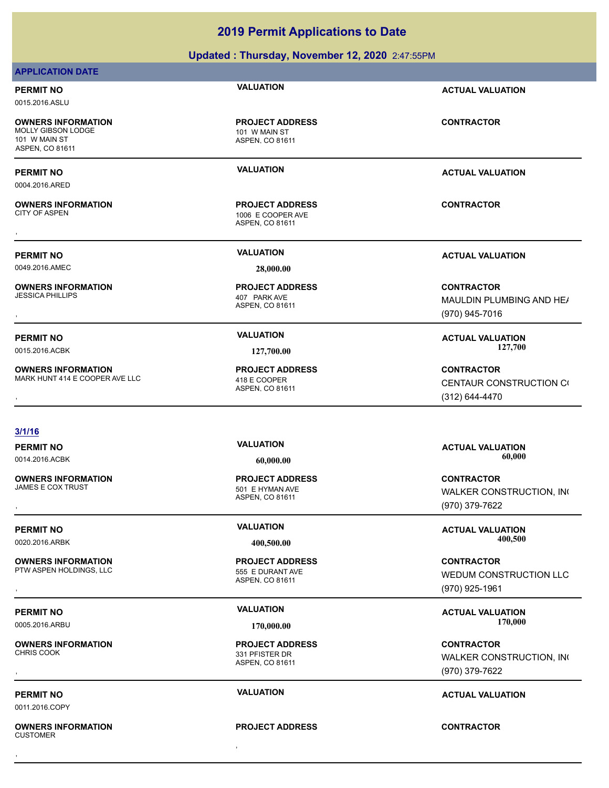### **Updated : Thursday, November 12, 2020** 2:47:55PM

### **APPLICATION DATE**

0015.2016.ASLU

**OWNERS INFORMATION** MOLLY GIBSON LODGE 101 W MAIN ST 101 W MAIN ST ASPEN, CO 81611

0004.2016.ARED

**OWNERS INFORMATION**

0049.2016.AMEC **28,000.00**

**OWNERS INFORMATION**

**OWNERS INFORMATION** MARK HUNT 414 E COOPER AVE LLC 418 E COOPER

ASPEN, CO 81611 **PROJECT ADDRESS**

ASPEN, CO 81611 1006 E COOPER AVE **PROJECT ADDRESS OWNERS INFORMATION FROJECT ADDRESS CONTRACTOR**<br>CITY OF ASPEN THE RESERVE ASPEN, CO 81611<br>ASPEN, CO 81611

ASPEN, CO 81611 407 PARK AVE **PROJECT ADDRESS**

ASPEN, CO 81611 **PROJECT ADDRESS**

**3/1/16**

**OWNERS INFORMATION**

**OWNERS INFORMATION** PTW ASPEN HOLDINGS, LLC 555 E DURANT AVE

**OWNERS INFORMATION**

0011.2016.COPY

, **OWNERS INFORMATION** CUSTOMER , **CONTRACTOR**

ASPEN, CO 81611 501 E HYMAN AVE **PROJECT ADDRESS**

ASPEN, CO 81611 **PROJECT ADDRESS**

ASPEN, CO 81611 331 PFISTER DR **PROJECT ADDRESS**

**PROJECT ADDRESS**

**PERMIT NO VALUATION ACTUAL VALUATION**

**CONTRACTOR**

**PERMIT NO VALUATION ACTUAL VALUATION**

**PERMIT NO VALUATION ACTUAL VALUATION**

, **CONTRACTOR** MAULDIN PLUMBING AND HE/ (970) 945-7016

**PERMIT NO VALUATION ACTUAL VALUATION** 0015.2016.ACBK **127,700.00 127,700.00**

**OWNERS INFORMATION MARK HUNT 414 E COOPER ASPEN. CO 81611**<br>MARK HUNT 414 E COOPER AVE LLC ASPEN. CO 81611<br>ASPEN. CO 81611 ASPEN. CO 81611 (312) 644-4470 CENTAUR CONSTRUCTION CO (312) 644-4470

**PERMIT NO VALUATION ACTUAL VALUATION** 0014.2016.ACBK **60,000.00 60,000.00**

, **CONTRACTOR** WALKER CONSTRUCTION, INC (970) 379-7622

**PERMIT NO VALUATION ACTUAL VALUATION** 0020.2016.ARBK **400,500.00 400,500.00**

, **CONTRACTOR** WEDUM CONSTRUCTION LLC (970) 925-1961

PERMIT NO **170,000 MALUATION**<br>170,000 MALUATION **170,000 MALUATION ACTUAL VALUATION** 0005.2016.ARBU **170,000.00 170,000.00**

, **CONTRACTOR** WALKER CONSTRUCTION, INC (970) 379-7622

### **PERMIT NO VALUATION ACTUAL VALUATION**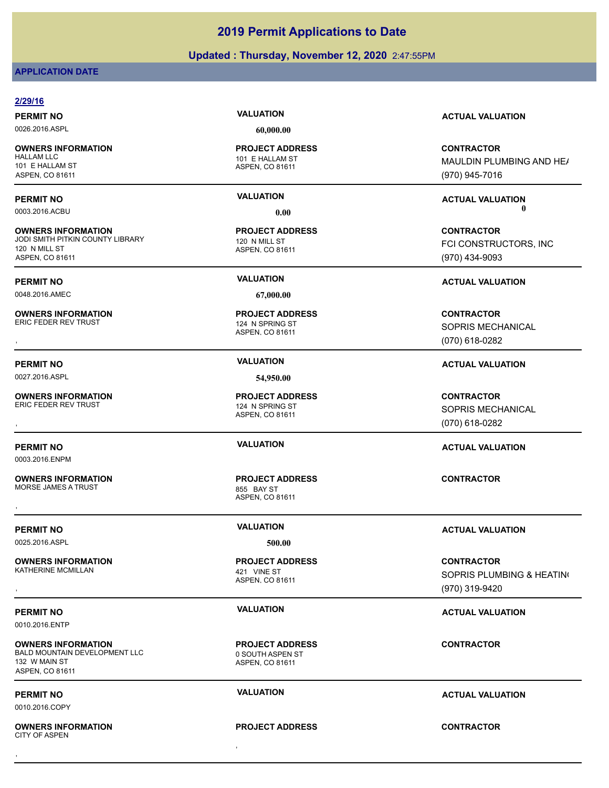### **Updated : Thursday, November 12, 2020** 2:47:55PM

### **APPLICATION DATE**

### **2/29/16**

0026.2016.ASPL **60,000.00**

**OWNERS INFORMATION** 101 E HALLAM ST ASPEN, CO 81611

**OWNERS INFORMATION** JODI SMITH PITKIN COUNTY LIBRARY 120 N MILL ST 120 N MILL ST ASPEN, CO 81611

0048.2016.AMEC **67,000.00**

**OWNERS INFORMATION**

**PERMIT NO VALUATION VALUATION VALUATION** 

0027.2016.ASPL **54,950.00**

**OWNERS INFORMATION** ERIC FEDER REV TRUST 124 N SPRING ST

0003.2016.ENPM

**OWNERS INFORMATION**

MORSE JAMES A TRUST **EXECUTE A SET ASSESS** BAY ST

0025.2016.ASPL **500.00**

**OWNERS INFORMATION** KATHERINE MCMILLAN 421 VINE ST

0010.2016.ENTP

**OWNERS INFORMATION** BALD MOUNTAIN DEVELOPMENT LLC 0 SOUTH ASPEN ST 132 W MAIN ST ASPEN, CO 81611

0010.2016.COPY

, **OWNERS INFORMATION** CITY OF ASPEN , **CONTRACTOR**

ASPEN, CO 81611 101 E HALLAM ST **PROJECT ADDRESS**

ASPEN, CO 81611 **PROJECT ADDRESS**

ASPEN, CO 81611 124 N SPRING ST **PROJECT ADDRESS**

**PROJECT ADDRESS**

ASPEN, CO 81611 **PROJECT ADDRESS**

### **PERMIT NO VALUATION ACTUAL VALUATION**

**CONTRACTOR** MAULDIN PLUMBING AND HE/ (970) 945-7016

**PERMIT NO VALUATION ACTUAL VALUATION** 0003.2016.ACBU **0.00 0.00**

> **CONTRACTOR** FCI CONSTRUCTORS, INC (970) 434-9093

### **PERMIT NO VALUATION ACTUAL VALUATION**

, **CONTRACTOR** SOPRIS MECHANICAL (070) 618-0282

, **CONTRACTOR** SOPRIS MECHANICAL (070) 618-0282

**OWNERS INFORMATION PROJECT ADDRESS CONTRACTOR**<br>KATHERINE MCMILLAN 421 VINE ST SOPRIS PLUMBING & HEATIN(<br>, ASPEN. CO 81611 SOPRIS PLUMBING & HEATING (970) 319-9420

**CONTRACTOR**

**PROJECT ADDRESS**

**PERMIT NO VALUATION ACTUAL VALUATION**

# ASPEN, CO 81611

, **CONTRACTOR**

ASPEN, CO 81611 **PROJECT ADDRESS**

ASPEN, CO 81611 **PROJECT ADDRESS**

**PERMIT NO VALUATION ACTUAL VALUATION**

**PERMIT NO VALUATION ACTUAL VALUATION**

# **PERMIT NO VALUATION ACTUAL VALUATION**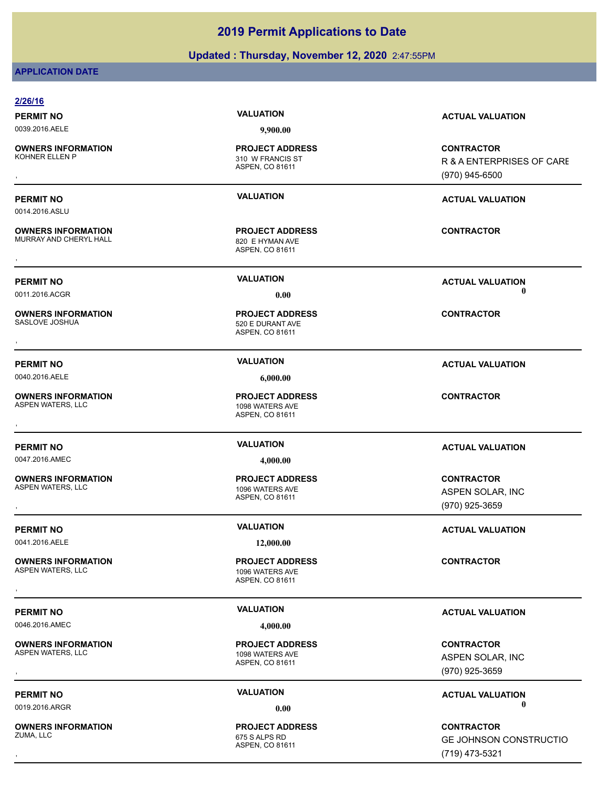### **Updated : Thursday, November 12, 2020** 2:47:55PM

### **APPLICATION DATE**

| 2/26/16                                             |                                                               |                                                                      |
|-----------------------------------------------------|---------------------------------------------------------------|----------------------------------------------------------------------|
| <b>PERMIT NO</b>                                    | <b>VALUATION</b>                                              | <b>ACTUAL VALUATION</b>                                              |
| 0039.2016.AELE                                      | 9,900.00                                                      |                                                                      |
| <b>OWNERS INFORMATION</b><br>KOHNER ELLEN P         | <b>PROJECT ADDRESS</b><br>310 W FRANCIS ST<br>ASPEN, CO 81611 | <b>CONTRACTOR</b><br>R & A ENTERPRISES OF CARE<br>(970) 945-6500     |
| <b>PERMIT NO</b><br>0014.2016.ASLU                  | <b>VALUATION</b>                                              | <b>ACTUAL VALUATION</b>                                              |
| <b>OWNERS INFORMATION</b><br>MURRAY AND CHERYL HALL | <b>PROJECT ADDRESS</b><br>820 E HYMAN AVE<br>ASPEN, CO 81611  | <b>CONTRACTOR</b>                                                    |
| <b>PERMIT NO</b>                                    | <b>VALUATION</b>                                              | <b>ACTUAL VALUATION</b>                                              |
| 0011.2016.ACGR                                      | 0.00                                                          | 0                                                                    |
| <b>OWNERS INFORMATION</b><br>SASLOVE JOSHUA         | <b>PROJECT ADDRESS</b><br>520 E DURANT AVE<br>ASPEN, CO 81611 | <b>CONTRACTOR</b>                                                    |
| <b>PERMIT NO</b>                                    | <b>VALUATION</b>                                              | <b>ACTUAL VALUATION</b>                                              |
| 0040.2016.AELE                                      | 6,000.00                                                      |                                                                      |
| <b>OWNERS INFORMATION</b><br>ASPEN WATERS, LLC      | <b>PROJECT ADDRESS</b><br>1098 WATERS AVE<br>ASPEN, CO 81611  | <b>CONTRACTOR</b>                                                    |
| <b>PERMIT NO</b>                                    | <b>VALUATION</b>                                              | <b>ACTUAL VALUATION</b>                                              |
| 0047.2016.AMEC                                      | 4,000.00                                                      |                                                                      |
| <b>OWNERS INFORMATION</b><br>ASPEN WATERS, LLC      | <b>PROJECT ADDRESS</b><br>1096 WATERS AVE<br>ASPEN, CO 81611  | <b>CONTRACTOR</b><br>ASPEN SOLAR, INC<br>(970) 925-3659              |
| <b>PERMIT NO</b>                                    | <b>VALUATION</b>                                              | <b>ACTUAL VALUATION</b>                                              |
| 0041.2016.AELE                                      | 12,000.00                                                     |                                                                      |
| <b>OWNERS INFORMATION</b><br>ASPEN WATERS, LLC      | <b>PROJECT ADDRESS</b><br>1096 WATERS AVE<br>ASPEN, CO 81611  | <b>CONTRACTOR</b>                                                    |
| <b>PERMIT NO</b>                                    | <b>VALUATION</b>                                              | <b>ACTUAL VALUATION</b>                                              |
| 0046.2016.AMEC                                      | 4,000.00                                                      |                                                                      |
| <b>OWNERS INFORMATION</b><br>ASPEN WATERS, LLC      | <b>PROJECT ADDRESS</b><br>1098 WATERS AVE<br>ASPEN, CO 81611  | <b>CONTRACTOR</b><br>ASPEN SOLAR, INC<br>(970) 925-3659              |
| <b>PERMIT NO</b>                                    | <b>VALUATION</b>                                              | <b>ACTUAL VALUATION</b>                                              |
| 0019.2016.ARGR                                      | 0.00                                                          | 0                                                                    |
| <b>OWNERS INFORMATION</b><br>ZUMA, LLC              | <b>PROJECT ADDRESS</b><br>675 S ALPS RD<br>ASPEN, CO 81611    | <b>CONTRACTOR</b><br><b>GE JOHNSON CONSTRUCTIO</b><br>(719) 473-5321 |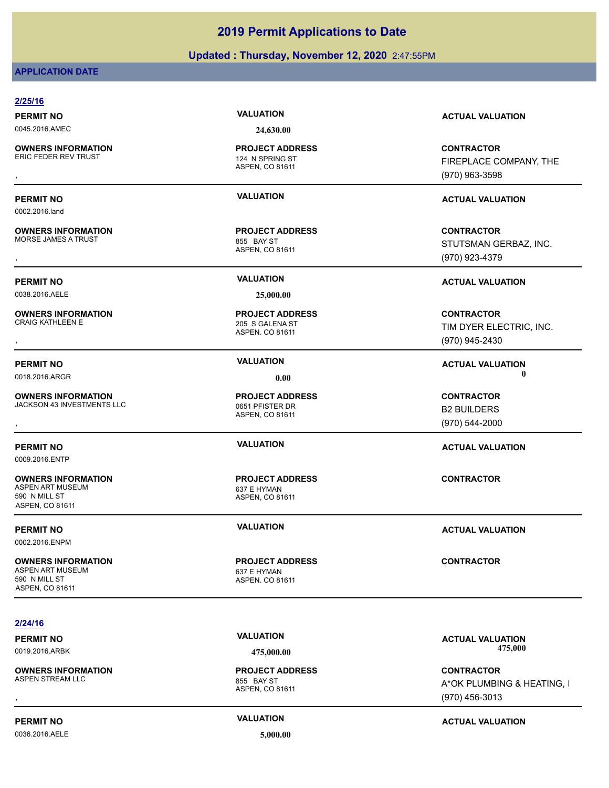### **Updated : Thursday, November 12, 2020** 2:47:55PM

### **APPLICATION DATE**

| 2/25/16                                                                           |                                                              |                                                                   |
|-----------------------------------------------------------------------------------|--------------------------------------------------------------|-------------------------------------------------------------------|
| <b>PERMIT NO</b>                                                                  | <b>VALUATION</b>                                             | <b>ACTUAL VALUATION</b>                                           |
| 0045.2016.AMEC                                                                    | 24,630.00                                                    |                                                                   |
| <b>OWNERS INFORMATION</b><br><b>ERIC FEDER REV TRUST</b>                          | <b>PROJECT ADDRESS</b><br>124 N SPRING ST<br>ASPEN, CO 81611 | <b>CONTRACTOR</b><br>FIREPLACE COMPANY, THE<br>(970) 963-3598     |
| <b>PERMIT NO</b><br>0002.2016.land                                                | <b>VALUATION</b>                                             | <b>ACTUAL VALUATION</b>                                           |
| <b>OWNERS INFORMATION</b><br>MORSE JAMES A TRUST                                  | <b>PROJECT ADDRESS</b><br>855 BAY ST<br>ASPEN, CO 81611      | <b>CONTRACTOR</b><br>STUTSMAN GERBAZ, INC.<br>(970) 923-4379      |
| <b>PERMIT NO</b><br>0038.2016.AELE                                                | <b>VALUATION</b><br>25,000.00                                | <b>ACTUAL VALUATION</b>                                           |
| <b>OWNERS INFORMATION</b><br><b>CRAIG KATHLEEN E</b>                              | <b>PROJECT ADDRESS</b><br>205 S GALENA ST<br>ASPEN, CO 81611 | <b>CONTRACTOR</b><br>TIM DYER ELECTRIC, INC.<br>(970) 945-2430    |
| <b>PERMIT NO</b>                                                                  | <b>VALUATION</b>                                             | <b>ACTUAL VALUATION</b>                                           |
| 0018.2016.ARGR                                                                    | 0.00                                                         | 0                                                                 |
| <b>OWNERS INFORMATION</b><br>JACKSON 43 INVESTMENTS LLC                           | <b>PROJECT ADDRESS</b><br>0651 PFISTER DR<br>ASPEN, CO 81611 | <b>CONTRACTOR</b><br><b>B2 BUILDERS</b><br>(970) 544-2000         |
| <b>PERMIT NO</b><br>0009.2016.ENTP                                                | <b>VALUATION</b>                                             | <b>ACTUAL VALUATION</b>                                           |
| <b>OWNERS INFORMATION</b><br>ASPEN ART MUSEUM<br>590 N MILL ST<br>ASPEN, CO 81611 | <b>PROJECT ADDRESS</b><br>637 E HYMAN<br>ASPEN, CO 81611     | <b>CONTRACTOR</b>                                                 |
| <b>PERMIT NO</b><br>0002.2016.ENPM                                                | <b>VALUATION</b>                                             | <b>ACTUAL VALUATION</b>                                           |
| <b>OWNERS INFORMATION</b><br>ASPEN ART MUSEUM<br>590 N MILL ST<br>ASPEN, CO 81611 | <b>PROJECT ADDRESS</b><br>637 E HYMAN<br>ASPEN, CO 81611     | <b>CONTRACTOR</b>                                                 |
| 2/24/16                                                                           |                                                              |                                                                   |
| <b>PERMIT NO</b><br>0019.2016.ARBK                                                | <b>VALUATION</b><br>475,000.00                               | <b>ACTUAL VALUATION</b><br>475,000                                |
| <b>OWNERS INFORMATION</b><br>ASPEN STREAM LLC                                     | <b>PROJECT ADDRESS</b><br>855 BAY ST<br>ASPEN, CO 81611      | <b>CONTRACTOR</b><br>A*OK PLUMBING & HEATING, I<br>(970) 456-3013 |
|                                                                                   |                                                              |                                                                   |

0036.2016.AELE **5,000.00**

**PERMIT NO CONSUMITY ACTUAL VALUATION VALUATION ACTUAL VALUATION** 

(970) 456-3013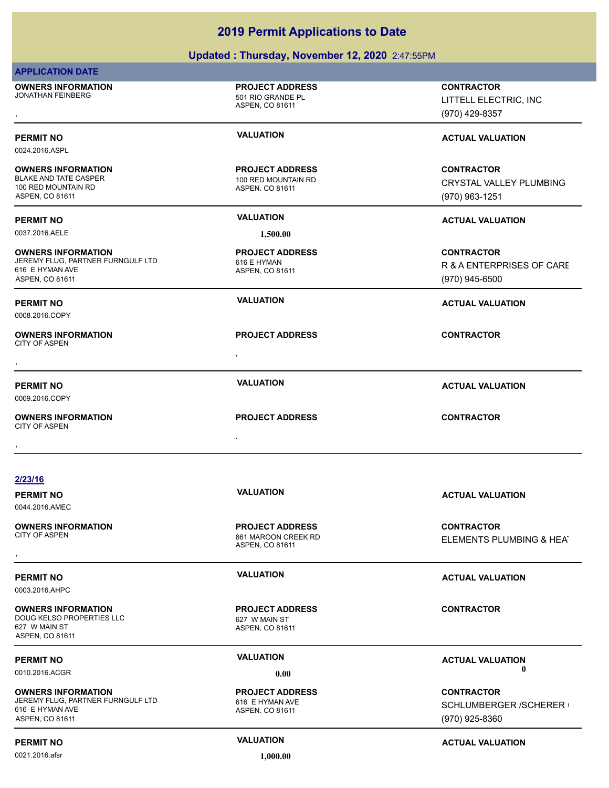### **Updated : Thursday, November 12, 2020** 2:47:55PM

|                                                                                                              | <b>Opuated. Thursuay, NOVERIBER 12, 2020</b> 2.47.35PM           |                                                                  |
|--------------------------------------------------------------------------------------------------------------|------------------------------------------------------------------|------------------------------------------------------------------|
| <b>APPLICATION DATE</b>                                                                                      |                                                                  |                                                                  |
| <b>OWNERS INFORMATION</b><br><b>JONATHAN FEINBERG</b>                                                        | <b>PROJECT ADDRESS</b><br>501 RIO GRANDE PL<br>ASPEN, CO 81611   | <b>CONTRACTOR</b><br>LITTELL ELECTRIC, INC<br>(970) 429-8357     |
| <b>PERMIT NO</b><br>0024.2016.ASPL                                                                           | <b>VALUATION</b>                                                 | <b>ACTUAL VALUATION</b>                                          |
| <b>OWNERS INFORMATION</b><br><b>BLAKE AND TATE CASPER</b><br>100 RED MOUNTAIN RD<br>ASPEN, CO 81611          | <b>PROJECT ADDRESS</b><br>100 RED MOUNTAIN RD<br>ASPEN, CO 81611 | <b>CONTRACTOR</b><br>CRYSTAL VALLEY PLUMBING<br>(970) 963-1251   |
| <b>PERMIT NO</b><br>0037.2016.AELE                                                                           | <b>VALUATION</b><br>1,500.00                                     | <b>ACTUAL VALUATION</b>                                          |
| <b>OWNERS INFORMATION</b><br>JEREMY FLUG, PARTNER FURNGULF LTD<br>616 E HYMAN AVE<br>ASPEN, CO 81611         | <b>PROJECT ADDRESS</b><br>616 E HYMAN<br>ASPEN, CO 81611         | <b>CONTRACTOR</b><br>R & A ENTERPRISES OF CARE<br>(970) 945-6500 |
| <b>PERMIT NO</b><br>0008.2016.COPY                                                                           | <b>VALUATION</b>                                                 | <b>ACTUAL VALUATION</b>                                          |
| <b>OWNERS INFORMATION</b><br><b>CITY OF ASPEN</b>                                                            | <b>PROJECT ADDRESS</b>                                           | <b>CONTRACTOR</b>                                                |
| <b>PERMIT NO</b><br>0009.2016.COPY                                                                           | <b>VALUATION</b>                                                 | <b>ACTUAL VALUATION</b>                                          |
| <b>OWNERS INFORMATION</b><br><b>CITY OF ASPEN</b>                                                            | <b>PROJECT ADDRESS</b>                                           | <b>CONTRACTOR</b>                                                |
|                                                                                                              |                                                                  |                                                                  |
| 2/23/16<br><b>PERMIT NO</b><br>0044.2016.AMEC                                                                | <b>VALUATION</b>                                                 | <b>ACTUAL VALUATION</b>                                          |
| <b>OWNERS INFORMATION</b><br><b>CITY OF ASPEN</b>                                                            | <b>PROJECT ADDRESS</b><br>861 MAROON CREEK RD<br>ASPEN, CO 81611 | <b>CONTRACTOR</b><br>ELEMENTS PLUMBING & HEAT                    |
| <b>PERMIT NO</b>                                                                                             | <b>VALUATION</b>                                                 | <b>ACTUAL VALUATION</b>                                          |
| 0003.2016.AHPC<br><b>OWNERS INFORMATION</b><br>DOUG KELSO PROPERTIES LLC<br>627 W MAIN ST<br>ASPEN, CO 81611 | <b>PROJECT ADDRESS</b><br>627 W MAIN ST<br>ASPEN, CO 81611       | <b>CONTRACTOR</b>                                                |
| <b>PERMIT NO</b><br>0010.2016.ACGR                                                                           | <b>VALUATION</b><br>0.00                                         | <b>ACTUAL VALUATION</b><br>0                                     |
| <b>OWNERS INFORMATION</b><br>JEREMY FLUG, PARTNER FURNGULF LTD<br>616 E HYMAN AVE<br>ASPEN, CO 81611         | <b>PROJECT ADDRESS</b><br>616 E HYMAN AVE<br>ASPEN, CO 81611     | <b>CONTRACTOR</b><br>SCHLUMBERGER / SCHERER (<br>(970) 925-8360  |
| <b>PERMIT NO</b>                                                                                             | <b>VALUATION</b>                                                 | <b>ACTUAL VALUATION</b>                                          |

0021.2016.afsr **1,000.00**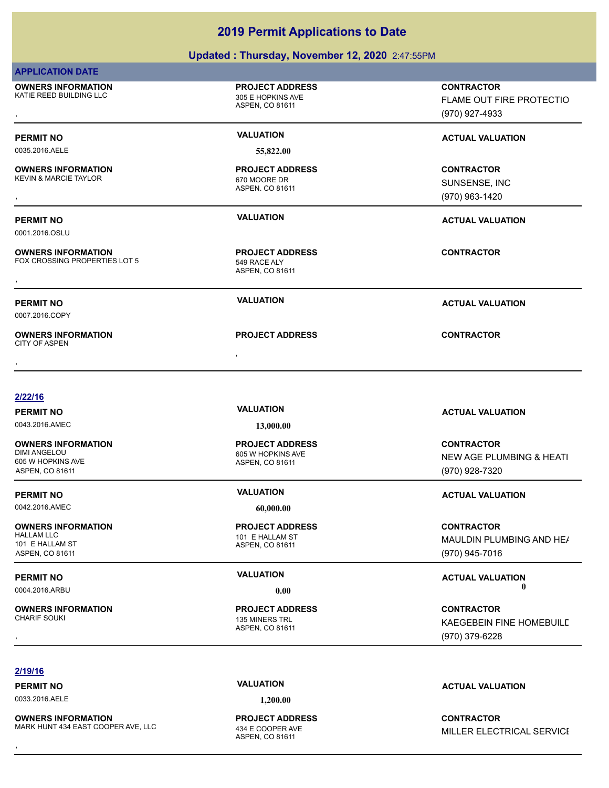### **Updated : Thursday, November 12, 2020** 2:47:55PM

| <b>APPLICATION DATE</b>                                                                  |                                                                |                                                                 |
|------------------------------------------------------------------------------------------|----------------------------------------------------------------|-----------------------------------------------------------------|
| <b>OWNERS INFORMATION</b><br>KATIE REED BUILDING LLC                                     | <b>PROJECT ADDRESS</b><br>305 E HOPKINS AVE<br>ASPEN, CO 81611 | <b>CONTRACTOR</b><br>FLAME OUT FIRE PROTECTIO<br>(970) 927-4933 |
| <b>PERMIT NO</b>                                                                         | <b>VALUATION</b>                                               | <b>ACTUAL VALUATION</b>                                         |
| 0035.2016.AELE                                                                           | 55,822.00                                                      |                                                                 |
| <b>OWNERS INFORMATION</b><br><b>KEVIN &amp; MARCIE TAYLOR</b>                            | <b>PROJECT ADDRESS</b><br>670 MOORE DR<br>ASPEN, CO 81611      | <b>CONTRACTOR</b><br>SUNSENSE, INC<br>(970) 963-1420            |
| <b>PERMIT NO</b><br>0001.2016.OSLU                                                       | <b>VALUATION</b>                                               | <b>ACTUAL VALUATION</b>                                         |
| <b>OWNERS INFORMATION</b><br>FOX CROSSING PROPERTIES LOT 5                               | <b>PROJECT ADDRESS</b><br>549 RACE ALY<br>ASPEN, CO 81611      | <b>CONTRACTOR</b>                                               |
| <b>PERMIT NO</b><br>0007.2016.COPY                                                       | <b>VALUATION</b>                                               | <b>ACTUAL VALUATION</b>                                         |
| <b>OWNERS INFORMATION</b><br><b>CITY OF ASPEN</b>                                        | <b>PROJECT ADDRESS</b>                                         | <b>CONTRACTOR</b>                                               |
|                                                                                          |                                                                |                                                                 |
| 2/22/16                                                                                  |                                                                |                                                                 |
| <b>PERMIT NO</b>                                                                         | <b>VALUATION</b>                                               | <b>ACTUAL VALUATION</b>                                         |
| 0043.2016.AMEC                                                                           | 13,000.00                                                      |                                                                 |
| <b>OWNERS INFORMATION</b><br><b>DIMI ANGELOU</b><br>605 W HOPKINS AVE<br>ASPEN, CO 81611 | <b>PROJECT ADDRESS</b><br>605 W HOPKINS AVE<br>ASPEN, CO 81611 | <b>CONTRACTOR</b><br>NEW AGE PLUMBING & HEATI<br>(970) 928-7320 |
| <b>PERMIT NO</b>                                                                         | <b>VALUATION</b>                                               | <b>ACTUAL VALUATION</b>                                         |
| 0042.2016.AMEC                                                                           | 60,000.00                                                      |                                                                 |
| <b>OWNERS INFORMATION</b><br><b>HALLAM LLC</b><br>101 E HALLAM ST<br>ASPEN, CO 81611     | <b>PROJECT ADDRESS</b><br>101 E HALLAM ST<br>ASPEN, CO 81611   | <b>CONTRACTOR</b><br>MAULDIN PLUMBING AND HE/<br>(970) 945-7016 |
| <b>PERMIT NO</b>                                                                         | <b>VALUATION</b>                                               | <b>ACTUAL VALUATION</b>                                         |
| 0004.2016.ARBU                                                                           | 0.00                                                           |                                                                 |
| <b>OWNERS INFORMATION</b><br><b>CHARIF SOUKI</b>                                         | <b>PROJECT ADDRESS</b><br>135 MINERS TRL<br>ASPEN, CO 81611    | <b>CONTRACTOR</b><br>KAEGEBEIN FINE HOMEBUILD<br>(970) 379-6228 |

0033.2016.AELE **1,200.00**

**OWNERS INFORMATION** MARK HUNT 434 EAST COOPER AVE, LLC

ASPEN, CO 81611 **PROJECT ADDRESS**

**PERMIT NO CONSUMITY ACTUAL VALUATION VALUATION ACTUAL VALUATION** 

**OWNERS INFORMATION EXECUTE:**<br>MARK HUNT 434 EAST COOPER AVE, LLC ASPEN. CO 81611 ASPEN. CO 81611<br>
ASPEN. CO 81611 MILLER ELECTRICAL SERVICE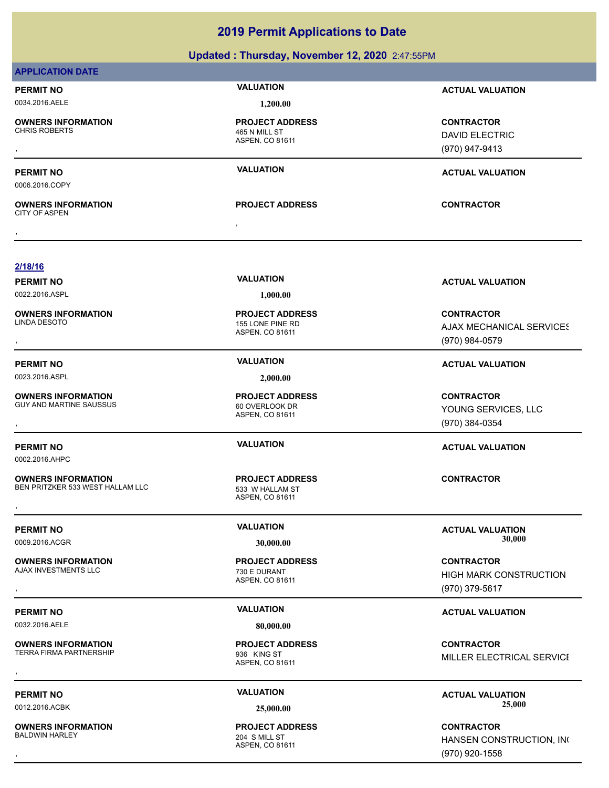### **Updated : Thursday, November 12, 2020** 2:47:55PM

## **APPLICATION DATE PERMIT NO VALUATION ACTUAL VALUATION**

0034.2016.AELE **1,200.00**

**OWNERS INFORMATION**

ASPEN, CO 81611 465 N MILL ST **PROJECT ADDRESS**

**PROJECT ADDRESS**

, **CONTRACTOR** DAVID ELECTRIC (970) 947-9413

### **PERMIT NO VALUATION ACTUAL VALUATION**

0006.2016.COPY

, **OWNERS INFORMATION** CITY OF ASPEN , **CONTRACTOR**

### **2/18/16**

0022.2016.ASPL **1,000.00**

**OWNERS INFORMATION**

0023.2016.ASPL **2,000.00**

**OWNERS INFORMATION** GUY AND MARTINE SAUSSUS 60 OVERLOOK DR

0002.2016.AHPC

**OWNERS INFORMATION** BEN PRITZKER 533 WEST HALLAM LLC 533 W HALLAM ST **OWNERS INFORMATION LARGE SERVICE OF A SERVICE PROJECT ADDRESS ARE:** THE SOUNTRACTOR CONTRACTOR<br>BEN PRITZKER 533 WEST HALLAM LLC ASPEN, CO 81611<br>,

**OWNERS INFORMATION** AJAX INVESTMENTS LLC<br>
730 E DURANT

0032.2016.AELE **80,000.00**

**OWNERS INFORMATION** TERRA FIRMA PARTNERSHIP 936 KING ST

**OWNERS INFORMATION**

ASPEN, CO 81611 155 LONE PINE RD **PROJECT ADDRESS**

ASPEN, CO 81611 **PROJECT ADDRESS**

ASPEN, CO 81611 **PROJECT ADDRESS**

ASPEN, CO 81611 **PROJECT ADDRESS**

ASPEN, CO 81611 **PROJECT ADDRESS**

ASPEN, CO 81611 204 S MILL ST **PROJECT ADDRESS**

**PERMIT NO VALUATION ACTUAL VALUATION**

, **CONTRACTOR AJAX MECHANICAL SERVICES** (970) 984-0579

### **PERMIT NO VALUATION VALUATION VALUATION**

**OWNERS INFORMATION PROJECT ADDRESS CONTRACTOR**<br>GUY AND MARTINE SAUSSUS 60 OVERLOOK DR YOUNG SERVICES, LLC<br>, ASPEN. CO 81611 YOUNG SERVICES, LLC (970) 384-0354

### **PERMIT NO VALUATION ACTUAL VALUATION**

**PERMIT NO CONSUMITY OF A CONSUMITY OF A CONSUMITY OF A CONSUMITY OF A CTUAL VALUATION** 0009.2016.ACGR **30,000.00 30,000.00**

, **CONTRACTOR** HIGH MARK CONSTRUCTION (970) 379-5617

### **PERMIT NO VALUATION ACTUAL VALUATION**

, **CONTRACTOR** MILLER ELECTRICAL SERVICE

**PERMIT NO CONSUMITY OF A CONSUMITY OF A CONSUMITY OF A CONSUMITY OF A CTUAL VALUATION** 0012.2016.ACBK **25,000.00 25,000.00**

, **CONTRACTOR** HANSEN CONSTRUCTION, INC (970) 920-1558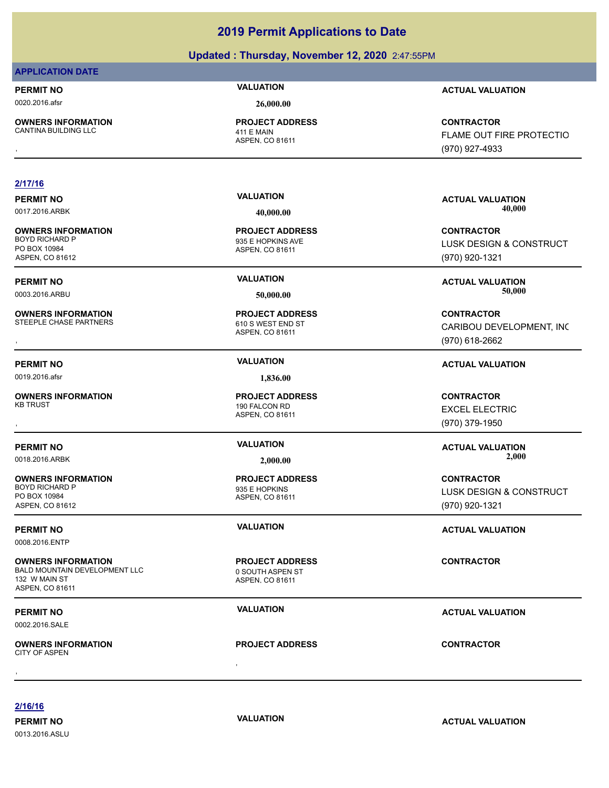### **Updated : Thursday, November 12, 2020** 2:47:55PM

### **APPLICATION DATE**

### **PERMIT NO VALUATION ACTUAL VALUATION**

0020.2016.afsr **26,000.00**

**OWNERS INFORMATION** CANTINA BUILDING LLC 411 E MAIN

ASPEN, CO 81611 **PROJECT ADDRESS** , **CONTRACTOR**

### **2/17/16**

**OWNERS INFORMATION** PO BOX 10984 ASPEN, CO 81612

**OWNERS INFORMATION** STEEPLE CHASE PARTNERS 610 S WEST END ST

**PERMIT NO VALUATION VALUATION VALUATION** 

0019.2016.afsr **1,836.00**

**OWNERS INFORMATION**

**OWNERS INFORMATION** BOYD RICHARD P 935 E HOPKINS PO BOX 10984 ASPEN, CO 81612

0008.2016.ENTP

**OWNERS INFORMATION** BALD MOUNTAIN DEVELOPMENT LLC<br>0 SOUTH ASPEN ST 132 W MAIN ST ASPEN, CO 81611

0002.2016.SALE

, **OWNERS INFORMATION** CITY OF ASPEN , **CONTRACTOR**

ASPEN, CO 81611 935 E HOPKINS AVE **PROJECT ADDRESS**

ASPEN, CO 81611 **PROJECT ADDRESS**

ASPEN, CO 81611 190 FALCON RD **PROJECT ADDRESS**

ASPEN, CO 81611 **PROJECT ADDRESS**

ASPEN, CO 81611 **PROJECT ADDRESS**

**PROJECT ADDRESS**

**PERMIT NO VALUATION ACTUAL VALUATION** 0017.2016.ARBK **40,000.00 40,000.00**

(970) 927-4933

**CONTRACTOR** LUSK DESIGN & CONSTRUCT (970) 920-1321

FLAME OUT FIRE PROTECTIO

**PERMIT NO VALUATION ACTUAL VALUATION** 0003.2016.ARBU **50,000.00 50,000.00**

**OWNERS INFORMATION GOVERNEY ARE SERVED BY A SPECIF ADDRESS CONTRACTOR CONTRACTOR**<br>STEEPLE CHASE PARTNERS FARTNERS FOR THE STATE OF STATE OF STATE OF THE STATE OF CARIBOU DEVELOPMENT, INC<br>TEEPLE CHASE PARTNERS FOR THE STAT CARIBOU DEVELOPMENT, INC (970) 618-2662

, **CONTRACTOR** EXCEL ELECTRIC (970) 379-1950

**PERMIT NO VALUATION ACTUAL VALUATION** 0018.2016.ARBK **2,000.00 2,000.00**

> **CONTRACTOR** LUSK DESIGN & CONSTRUCT (970) 920-1321

**PERMIT NO VALUATION ACTUAL VALUATION**

**CONTRACTOR**

**PERMIT NO VALUATION ACTUAL VALUATION**

**2/16/16**

0013.2016.ASLU

**PERMIT NO VALUATION ACTUAL VALUATION**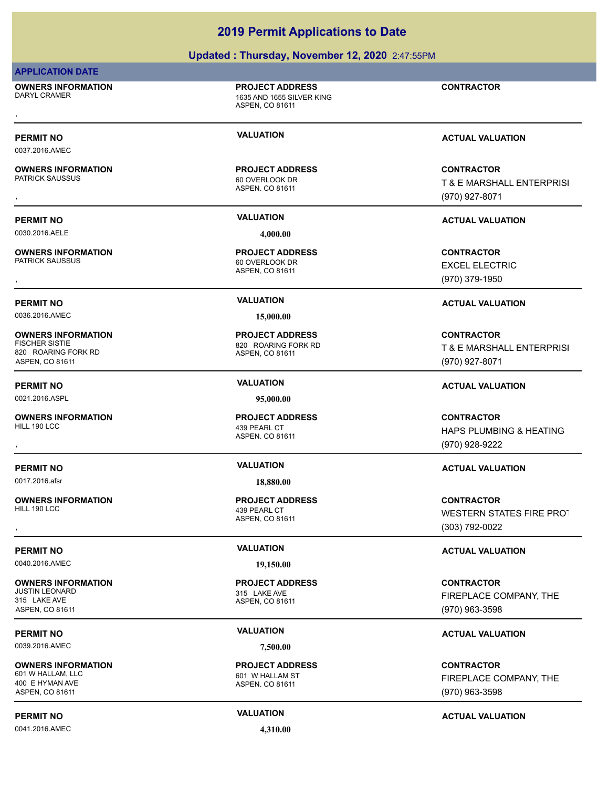### **Updated : Thursday, November 12, 2020** 2:47:55PM

### **APPLICATION DATE**

**OWNERS INFORMATION**

ASPEN, CO 81611 DARYL CRAMER 1635 AND 1655 SILVER KING **PROJECT ADDRESS** , **CONTRACTOR**

0037.2016.AMEC

# **OWNERS INFORMATION**

0030.2016.AELE **4,000.00**

**OWNERS INFORMATION**

**OWNERS INFORMATION**

**OWNERS INFORMATION**

**OWNERS INFORMATION**

820 ROARING FORK RD ASPEN, CO 81611

ASPEN, CO 81611 60 OVERLOOK DR **PROJECT ADDRESS**

ASPEN, CO 81611

60 OVERLOOK DR **PROJECT ADDRESS**

0036.2016.AMEC **15,000.00**

ASPEN, CO 81611 820 ROARING FORK RD **PROJECT ADDRESS**

0021.2016.ASPL **95,000.00**

ASPEN, CO 81611 439 PEARL CT **PROJECT ADDRESS**

0017.2016.afsr **18,880.00**

ASPEN, CO 81611 439 PEARL CT **PROJECT ADDRESS**

**PROJECT ADDRESS**

ASPEN, CO 81611

### ASPEN, CO 81611 **PROJECT ADDRESS**

### **PERMIT NO VALUATION VALUATION VALUATION**

**OWNERS INFORMATION PROJECT ADDRESS CONTRACTOR**<br>PATRICK SAUSSUS 60 OVERLOOK DR T & E MARSHALL ENTERPRISI<br>, ASPEN, CO 81611 T & E MARSHALL ENTERPRISI (970) 927-8071

### **PERMIT NO VALUATION ACTUAL VALUATION**

, **CONTRACTOR** EXCEL ELECTRIC (970) 379-1950

### **PERMIT NO VALUATION ACTUAL VALUATION**

**CONTRACTOR** T & E MARSHALL ENTERPRISI (970) 927-8071

### **PERMIT NO VALUATION ACTUAL VALUATION**

, **CONTRACTOR** HAPS PLUMBING & HEATING (970) 928-9222

### **PERMIT NO VALUATION ACTUAL VALUATION**

, **CONTRACTOR** WESTERN STATES FIRE PROT (303) 792-0022

**CONTRACTOR** FIREPLACE COMPANY, THE (970) 963-3598

### **PERMIT NO VALUATION ACTUAL VALUATION**

**CONTRACTOR** FIREPLACE COMPANY, THE (970) 963-3598

### **PERMIT NO VALUATION ACTUAL VALUATION**

0041.2016.AMEC **4,310.00**

**PERMIT NO VALUATION VALUATION VALUATION** 

**OWNERS INFORMATION**

315 LAKE AVE ASPEN, CO 81611

601 W HALLAM, LLC 601 W HALLAM ST

0040.2016.AMEC **19,150.00** JUSTIN LEONARD 315 LAKE AVE

### 0039.2016.AMEC **7,500.00**

### **OWNERS INFORMATION**

### 400 E HYMAN AVE ASPEN, CO 81611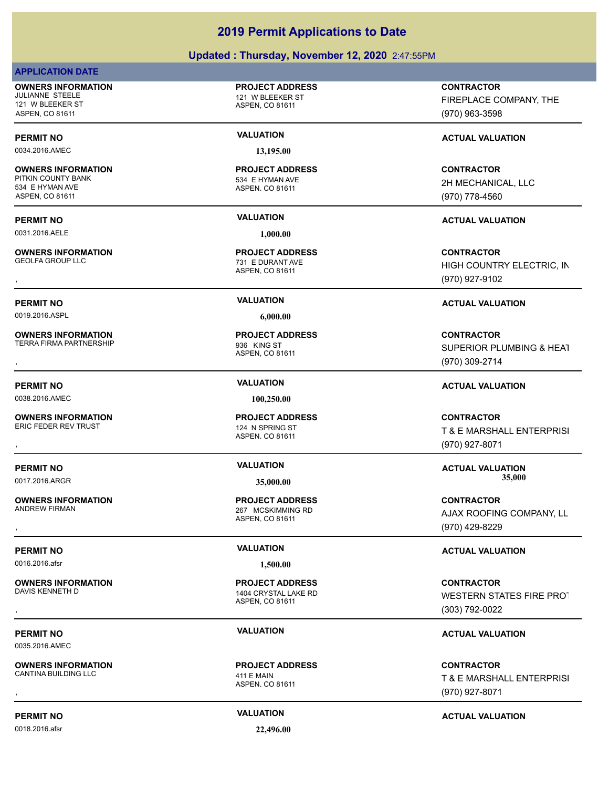### **Updated : Thursday, November 12, 2020** 2:47:55PM

### **APPLICATION DATE**

**OWNERS INFORMATION**

JULIANNE STEELE 121 W BLEEKER ST 121 W BLEEKER ST ASPEN, CO 81611

0034.2016.AMEC **13,195.00**

### **OWNERS INFORMATION**

PITKIN COUNTY BANK 534 E HYMAN AVE 534 E HYMAN AVE ASPEN, CO 81611

0031.2016.AELE **1,000.00**

**OWNERS INFORMATION**

0019.2016.ASPL **6,000.00**

**OWNERS INFORMATION** TERRA FIRMA PARTNERSHIP 936 KING ST

0038.2016.AMEC **100,250.00**

**OWNERS INFORMATION** ERIC FEDER REV TRUST 124 N SPRING ST

**OWNERS INFORMATION**

0016.2016.afsr **1,500.00**

**OWNERS INFORMATION**

0035.2016.AMEC

**OWNERS INFORMATION** CANTINA BUILDING LLC 411 E MAIN

0018.2016.afsr **22,496.00**

**PROJECT ADDRESS**

ASPEN, CO 81611

### ASPEN, CO 81611 **PROJECT ADDRESS**

ASPEN, CO 81611 731 E DURANT AVE **PROJECT ADDRESS**

ASPEN, CO 81611 **PROJECT ADDRESS**

ASPEN, CO 81611 **PROJECT ADDRESS**

ASPEN, CO 81611 267 MCSKIMMING RD **PROJECT ADDRESS**

ASPEN, CO 81611 1404 CRYSTAL LAKE RD **PROJECT ADDRESS**

# **PROJECT ADDRESS**

ASPEN, CO 81611

**CONTRACTOR**

FIREPLACE COMPANY, THE (970) 963-3598

### **PERMIT NO CONSUMITY ACTUAL VALUATION VALUATION VALUATION**

**CONTRACTOR** 2H MECHANICAL, LLC (970) 778-4560

### **PERMIT NO VALUATION ACTUAL VALUATION**

, **CONTRACTOR** HIGH COUNTRY ELECTRIC, IN (970) 927-9102

### **PERMIT NO VALUATION ACTUAL VALUATION**

**OWNERS INFORMATION PROJECT ADDRESS CONTRACTOR**<br>TERRA FIRMA PARTNERSHIP <sub>936</sub> KING ST SUPERIOR PLUMBING & HEAT<br>, ASPEN, CO 81611 SUPERIOR PLUMBING & HEAT (970) 309-2714

### **PERMIT NO VALUATION ACTUAL VALUATION**

, **CONTRACTOR** T & E MARSHALL ENTERPRISI (970) 927-8071

**PERMIT NO VALUATION ACTUAL VALUATION** 0017.2016.ARGR **35,000.00 35,000.00**

, **CONTRACTOR** AJAX ROOFING COMPANY, LL (970) 429-8229

### **PERMIT NO VALUATION VALUATION VALUATION**

, **CONTRACTOR** WESTERN STATES FIRE PROT (303) 792-0022

### **PERMIT NO VALUATION ACTUAL VALUATION**

**OWNERS INFORMATION PROJECT ADDRESS CONTRACTOR**<br>CANTINA BUILDING LLC 411 E MAIN T & E MARSHALL ENTERPRISI<br>, ASPEN, CO 81611 T & E MARSHALL ENTERPRISI (970) 927-8071

### **PERMIT NO VALUATION ACTUAL VALUATION**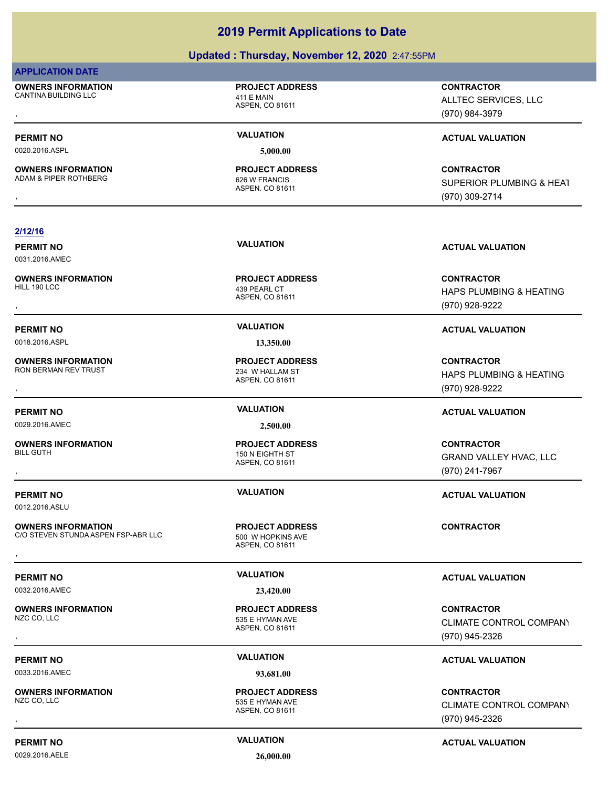### **Updated : Thursday, November 12, 2020** 2:47:55PM

### **APPLICATION DATE**

**OWNERS INFORMATION** CANTINA BUILDING LLC 411 E MAIN

**OWNERS INFORMATION**

### ASPEN, CO 81611

**PROJECT ADDRESS**

0020.2016.ASPL **5,000.00**

ASPEN, CO 81611 ADAM & PIPER ROTHBERG 626 W FRANCIS **PROJECT ADDRESS**

, **CONTRACTOR** ALLTEC SERVICES, LLC (970) 984-3979

## **PERMIT NO CONSUMITY ACTUAL VALUATION VALUATION VALUATION**

**OWNERS INFORMATION PROJECT ADDRESS CONTRACTOR**<br>ADAM & PIPER ROTHBERG 626 W FRANCIS SUPERIOR PLUMBING & HEAT<br>, ASPEN, CO 81611 SUPERIOR PLUMBING & HEAT (970) 309-2714

### **2/12/16**

0031.2016.AMEC

**OWNERS INFORMATION** HILL 190 LCC 439 PEARL CT

**OWNERS INFORMATION** RON BERMAN REV TRUST **234 W HALLAM ST** 

0029.2016.AMEC **2,500.00**

**OWNERS INFORMATION**

0012.2016.ASLU

**OWNERS INFORMATION** C/O STEVEN STUNDA ASPEN FSP-ABR LLC 500 W HOPKINS AVE **OWNERS INFORMATION FORMATION RESOURE TO A PROJECT ADDRESS FOR A CONTRACTOR CONTRACTOR**<br>C/O STEVEN STUNDA ASPEN FSP-ABR LLC **FORMATION ASPEN, CO 81611**<br>,

0032.2016.AMEC **23,420.00**

**OWNERS INFORMATION**

0033.2016.AMEC **93,681.00**

**OWNERS INFORMATION**

0029.2016.AELE **26,000.00**

ASPEN, CO 81611 **PROJECT ADDRESS**

0018.2016.ASPL **13,350.00**

ASPEN, CO 81611 **PROJECT ADDRESS**

ASPEN, CO 81611 150 N EIGHTH ST **PROJECT ADDRESS**

ASPEN, CO 81611 **PROJECT ADDRESS**

ASPEN, CO 81611 535 E HYMAN AVE **PROJECT ADDRESS**

ASPEN, CO 81611 535 E HYMAN AVE **PROJECT ADDRESS**

**PERMIT NO VALUATION VALUATION VALUATION** 

, **CONTRACTOR** HAPS PLUMBING & HEATING (970) 928-9222

### **PERMIT NO VALUATION ACTUAL VALUATION**

, **CONTRACTOR** HAPS PLUMBING & HEATING (970) 928-9222

### **PERMIT NO VALUATION ACTUAL VALUATION**

, **CONTRACTOR** GRAND VALLEY HVAC, LLC (970) 241-7967

### **PERMIT NO VALUATION ACTUAL VALUATION**

### **PERMIT NO VALUATION ACTUAL VALUATION**

, **CONTRACTOR** CLIMATE CONTROL COMPANY (970) 945-2326

### **PERMIT NO VALUATION ACTUAL VALUATION**

, **CONTRACTOR** CLIMATE CONTROL COMPANY (970) 945-2326

### **PERMIT NO CONSUMITY ACTUAL VALUATION VALUATION VALUATION**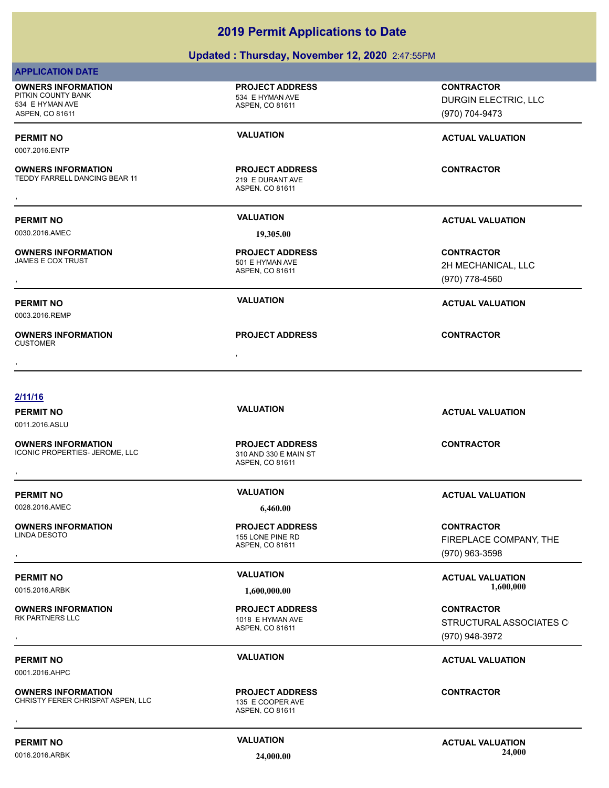### **Updated : Thursday, November 12, 2020** 2:47:55PM

| <b>PERMIT NO</b>                                               | <b>VALUATION</b>                                                   | <b>ACTUAL VALUATION</b>                    |
|----------------------------------------------------------------|--------------------------------------------------------------------|--------------------------------------------|
| <b>OWNERS INFORMATION</b><br>CHRISTY FERER CHRISPAT ASPEN, LLC | <b>PROJECT ADDRESS</b><br>135 E COOPER AVE<br>ASPEN, CO 81611      | <b>CONTRACTOR</b>                          |
| <b>PERMIT NO</b><br>0001.2016.AHPC                             |                                                                    | <b>ACTUAL VALUATION</b>                    |
|                                                                | <b>VALUATION</b>                                                   |                                            |
| RK PARTNERS LLC                                                | 1018 E HYMAN AVE<br>ASPEN, CO 81611                                | STRUCTURAL ASSOCIATES C<br>(970) 948-3972  |
| <b>OWNERS INFORMATION</b>                                      | <b>PROJECT ADDRESS</b>                                             | <b>CONTRACTOR</b>                          |
| 0015.2016.ARBK                                                 | 1,600,000.00                                                       | 1,600,000                                  |
| <b>PERMIT NO</b>                                               | <b>VALUATION</b>                                                   | <b>ACTUAL VALUATION</b>                    |
|                                                                | ASPEN, CO 81611                                                    | FIREPLACE COMPANY, THE<br>$(970)$ 963-3598 |
| <b>OWNERS INFORMATION</b><br><b>LINDA DESOTO</b>               | <b>PROJECT ADDRESS</b><br>155 LONE PINE RD                         | <b>CONTRACTOR</b>                          |
| 0028.2016.AMEC                                                 | 6,460.00                                                           |                                            |
| <b>PERMIT NO</b>                                               | <b>VALUATION</b>                                                   | <b>ACTUAL VALUATION</b>                    |
|                                                                |                                                                    |                                            |
| <b>OWNERS INFORMATION</b><br>ICONIC PROPERTIES- JEROME, LLC    | <b>PROJECT ADDRESS</b><br>310 AND 330 E MAIN ST<br>ASPEN, CO 81611 | <b>CONTRACTOR</b>                          |
| 0011.2016.ASLU                                                 |                                                                    |                                            |
| <b>PERMIT NO</b>                                               | <b>VALUATION</b>                                                   | <b>ACTUAL VALUATION</b>                    |
| 2/11/16                                                        |                                                                    |                                            |
|                                                                |                                                                    |                                            |
| <b>CUSTOMER</b>                                                | $\bullet$                                                          |                                            |
| <b>OWNERS INFORMATION</b>                                      | <b>PROJECT ADDRESS</b>                                             | <b>CONTRACTOR</b>                          |
| <b>PERMIT NO</b><br>0003.2016.REMP                             | <b>VALUATION</b>                                                   | <b>ACTUAL VALUATION</b>                    |
|                                                                |                                                                    | (970) 778-4560                             |
| JAMES E COX TRUST                                              | 501 E HYMAN AVE<br>ASPEN, CO 81611                                 | 2H MECHANICAL, LLC                         |
| <b>OWNERS INFORMATION</b>                                      | <b>PROJECT ADDRESS</b>                                             | <b>CONTRACTOR</b>                          |
| 0030.2016.AMEC                                                 | 19,305.00                                                          |                                            |
| <b>PERMIT NO</b>                                               | <b>VALUATION</b>                                                   | <b>ACTUAL VALUATION</b>                    |
| TEDDY FARRELL DANCING BEAR 11                                  | 219 E DURANT AVE<br>ASPEN, CO 81611                                |                                            |
| <b>OWNERS INFORMATION</b>                                      | <b>PROJECT ADDRESS</b>                                             | <b>CONTRACTOR</b>                          |
| <b>PERMIT NO</b><br>0007.2016.ENTP                             |                                                                    | <b>ACTUAL VALUATION</b>                    |
|                                                                | <b>VALUATION</b>                                                   |                                            |
| 534 E HYMAN AVE<br>ASPEN, CO 81611                             | ASPEN, CO 81611                                                    | (970) 704-9473                             |
| <b>OWNERS INFORMATION</b><br>PITKIN COUNTY BANK                | <b>PROJECT ADDRESS</b><br>534 E HYMAN AVE                          | <b>CONTRACTOR</b><br>DURGIN ELECTRIC, LLC  |
| <b>APPLICATION DATE</b>                                        |                                                                    |                                            |

0016.2016.ARBK **24,000.00 24,000.00**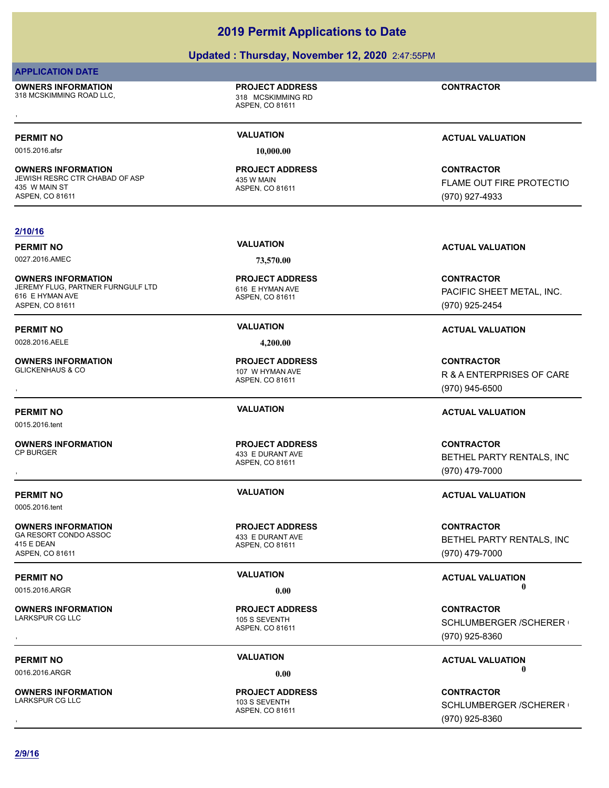### **Updated : Thursday, November 12, 2020** 2:47:55PM

### **APPLICATION DATE**

**OWNERS INFORMATION** 318 MCSKIMMING ROAD LLC, 318 MCSKIMMING RD , **CONTRACTOR**

ASPEN, CO 81611

**PROJECT ADDRESS**

### ASPEN, CO 81611 **PROJECT ADDRESS**

**CONTRACTOR**

(970) 927-4933

### **PERMIT NO VALUATION VALUATION VALUATION**

0015.2016.afsr **10,000.00**

**OWNERS INFORMATION** JEWISH RESRC CTR CHABAD OF ASP 435 W MAIN 435 W MAIN ST ASPEN, CO 81611

### **2/10/16**

**OWNERS INFORMATION** JEREMY FLUG, PARTNER FURNGULF LTD 616 E HYMAN AVE 616 E HYMAN AVE ASPEN, CO 81611

0028.2016.AELE **4,200.00**

**OWNERS INFORMATION**

0015.2016.tent

**OWNERS INFORMATION**

0005.2016.tent

**OWNERS INFORMATION** GA RESORT CONDO ASSOC 433 E DURANT AVE 415 E DEAN ASPEN, CO 81611

**OWNERS INFORMATION**

**OWNERS INFORMATION**

0027.2016.AMEC **73,570.00**

ASPEN, CO 81611 **PROJECT ADDRESS**

ASPEN, CO 81611 107 W HYMAN AVE **PROJECT ADDRESS**

ASPEN, CO 81611 433 E DURANT AVE **PROJECT ADDRESS**

ASPEN, CO 81611 **PROJECT ADDRESS**

ASPEN, CO 81611 105 S SEVENTH **PROJECT ADDRESS**

ASPEN, CO 81611 103 S SEVENTH **PROJECT ADDRESS**

### **PERMIT NO VALUATION VALUATION VALUATION**

**CONTRACTOR** PACIFIC SHEET METAL, INC. (970) 925-2454

FLAME OUT FIRE PROTECTIO

### **PERMIT NO VALUATION ACTUAL VALUATION**

**OWNERS INFORMATION PROJECT ADDRESS CONTRACTOR**<br>GLICKENHAUS & CO 107 W HYMAN AVE R & A ENTERPRISES OF CARE<br>, ASPEN, CO 81611 R & A ENTERPRISES OF CARE (970) 945-6500

### **PERMIT NO VALUATION ACTUAL VALUATION**

, **CONTRACTOR** BETHEL PARTY RENTALS, INC (970) 479-7000

### **PERMIT NO VALUATION ACTUAL VALUATION**

**CONTRACTOR** BETHEL PARTY RENTALS, INC (970) 479-7000

**PERMIT NO VALUATION ACTUAL VALUATION** 0015.2016.ARGR **0.00 0.00**

, **CONTRACTOR** SCHLUMBERGER /SCHERER ( (970) 925-8360

### **PERMIT NO CONSUMITY OF A CONSUMITY OF A CONSUMITY OF A CONSUMITY OF A CTUAL VALUATION** 0016.2016.ARGR **0.00 0.00**

, **CONTRACTOR** SCHLUMBERGER /SCHERER ( (970) 925-8360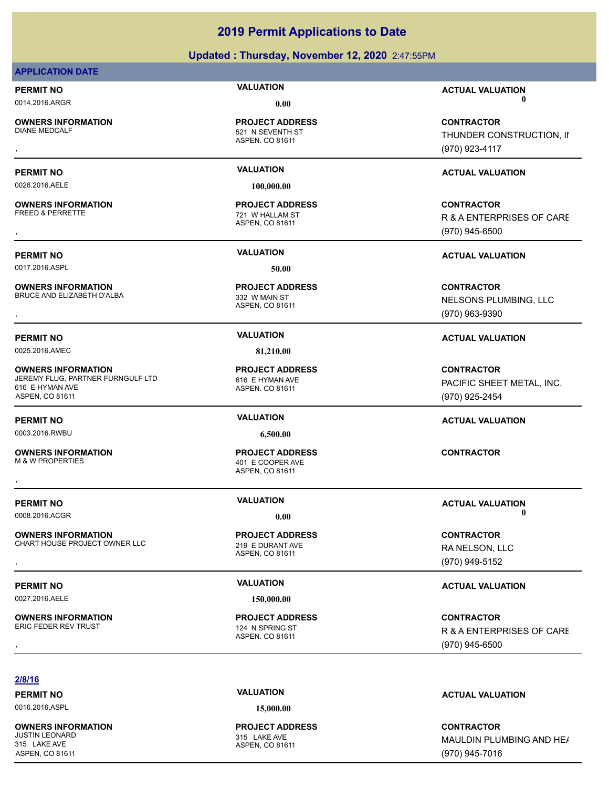### **Updated : Thursday, November 12, 2020** 2:47:55PM

### **APPLICATION DATE**

**OWNERS INFORMATION**

**PROJECT ADDRESS**

0026.2016.AELE **100,000.00**

**OWNERS INFORMATION** FREED & PERRETTE THE RESERVE TO A 221 W HALLAM ST

0017.2016.ASPL **50.00**

**OWNERS INFORMATION** BRUCE AND ELIZABETH D'ALBA 332 W MAIN ST

0025.2016.AMEC **81,210.00**

**OWNERS INFORMATION** JEREMY FLUG, PARTNER FURNGULF LTD 616 E HYMAN AVE 616 E HYMAN AVE ASPEN, CO 81611

0003.2016.RWBU **6,500.00**

**OWNERS INFORMATION** M & W PROPERTIES 401 E COOPER AVE

**OWNERS INFORMATION** CHART HOUSE PROJECT OWNER LLC<br>219 E DURANT AVE

0027.2016.AELE **150,000.00**

**OWNERS INFORMATION**

ASPEN, CO 81611 521 N SEVENTH ST

ASPEN, CO 81611 **PROJECT ADDRESS**

ASPEN, CO 81611 **PROJECT ADDRESS**

ASPEN, CO 81611 **PROJECT ADDRESS**

ASPEN, CO 81611 **PROJECT ADDRESS OWNERS INFORMATION FROJECT ADDRESS ARE:**<br>M & W PROPERTIES FROM THE COOPER AVE ASPEN, CO 81611<br>ASPEN, CO 81611

ASPEN, CO 81611 **PROJECT ADDRESS**

**PERMIT NO VALUATION ACTUAL VALUATION** 0014.2016.ARGR **0.00 0.00**

, **CONTRACTOR** THUNDER CONSTRUCTION, II (970) 923-4117

### **PERMIT NO VALUATION ACTUAL VALUATION**

, **CONTRACTOR** R & A ENTERPRISES OF CARE (970) 945-6500

### **PERMIT NO VALUATION ACTUAL VALUATION**

**OWNERS INFORMATION GOVERNED BY A SERVICE TO A SERVICE ADDRESS CONTRACTOR CONTRACTOR**<br>BRUCE AND ELIZABETH D'ALBA GOVERNED ASPEN, CO 81611 GOVERNED BY A SPEN, CO 81611 (970) 963-9390 NELSONS PLUMBING, LLC (970) 963-9390

### **PERMIT NO VALUATION ACTUAL VALUATION**

**CONTRACTOR** PACIFIC SHEET METAL, INC. (970) 925-2454

### **PERMIT NO VALUATION ACTUAL VALUATION**

0008.2016.ACGR **0.00 0.00**

**OWNERS INFORMATION MERICLE SECUTED BY A PROJECT ADDRESS CONTRACTOR CONTRACTOR**<br>CHART HOUSE PROJECT OWNER LLC ASPEN, CO 81611 ASPEN, CO 81611 MERICLE 219 E DURANT AVE<br>, Martin 2009 949-5152 RA NELSON, LLC (970) 949-5152

### **PERMIT NO VALUATION VALUATION VALUATION**

, **CONTRACTOR** R & A ENTERPRISES OF CARE (970) 945-6500

### **2/8/16**

0016.2016.ASPL **15,000.00**

**OWNERS INFORMATION** JUSTIN LEONARD 315 LAKE AVE 315 LAKE AVE ASPEN, CO 81611

ASPEN, CO 81611 **PROJECT ADDRESS**

### **PERMIT NO VALUATION ACTUAL VALUATION**

**CONTRACTOR** MAULDIN PLUMBING AND HE/ (970) 945-7016

# **PERMIT NO VALUATION VALUATION VALUATION**

### 124 N SPRING ST **PROJECT ADDRESS**

ASPEN, CO 81611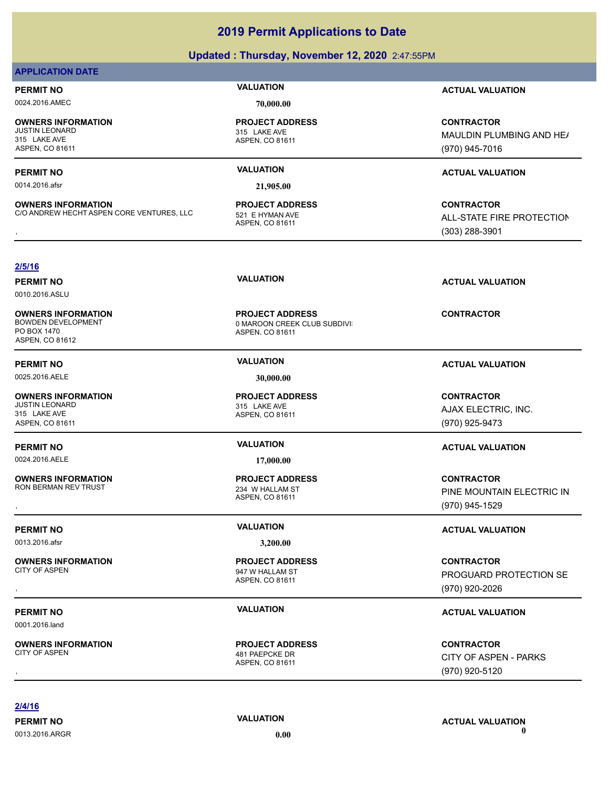### **Updated : Thursday, November 12, 2020** 2:47:55PM

### **APPLICATION DATE**

0024.2016.AMEC **70,000.00**

**OWNERS INFORMATION** 315 LAKE AVE ASPEN, CO 81611

0014.2016.afsr **21,905.00**

**OWNERS INFORMATION** C/O ANDREW HECHT ASPEN CORE VENTURES, LLC 521 E HYMAN AVE

ASPEN, CO 81611 315 LAKE AVE **PROJECT ADDRESS**

ASPEN, CO 81611 **PROJECT ADDRESS**

**PERMIT NO VALUATION ACTUAL VALUATION**

**CONTRACTOR** MAULDIN PLUMBING AND HE/ (970) 945-7016

### **PERMIT NO VALUATION ACTUAL VALUATION**

**OWNERS INFORMATION CORE VENTURES, LLC FROJECT ADDRESS FROM THE CONTRACTOR**<br>C/O ANDREW HECHT ASPEN CORE VENTURES, LLC FROM THE HYMAN AVE FROM THE PROTECTION ASPEN. CO 81611<br>, The CONTROL of the CONTROL ASPEN. CO 81611 (303 ALL-STATE FIRE PROTECTION (303) 288-3901

### **2/5/16**

0010.2016.ASLU

**OWNERS INFORMATION** PO BOX 1470 ASPEN, CO 81612

0025.2016.AELE **30,000.00**

**OWNERS INFORMATION** 315 LAKE AVE ASPEN, CO 81611

**OWNERS INFORMATION**

**OWNERS INFORMATION**

0001.2016.land

**OWNERS INFORMATION**

ASPEN, CO 81611 0 MAROON CREEK CLUB SUBDIVI **PROJECT ADDRESS**

ASPEN, CO 81611 315 LAKE AVE **PROJECT ADDRESS**

0024.2016.AELE **17,000.00**

### ASPEN, CO 81611 234 W HALLAM ST **PROJECT ADDRESS**

0013.2016.afsr **3,200.00**

ASPEN, CO 81611 947 W HALLAM ST **PROJECT ADDRESS**

ASPEN, CO 81611 481 PAEPCKE DR **PROJECT ADDRESS**

**PERMIT NO VALUATION ACTUAL VALUATION**

**CONTRACTOR**

### **PERMIT NO VALUATION ACTUAL VALUATION**

**CONTRACTOR** AJAX ELECTRIC, INC. (970) 925-9473

### **PERMIT NO VALUATION ACTUAL VALUATION**

, **CONTRACTOR** PINE MOUNTAIN ELECTRIC IN (970) 945-1529

### **PERMIT NO VALUATION ACTUAL VALUATION**

, **CONTRACTOR** PROGUARD PROTECTION SE (970) 920-2026

### **PERMIT NO VALUATION ACTUAL VALUATION**

, **CONTRACTOR** CITY OF ASPEN - PARKS (970) 920-5120

### **2/4/16**

0013.2016.ARGR **0.00 0.00**

**PERMIT NO VALUATION ACTUAL VALUATION**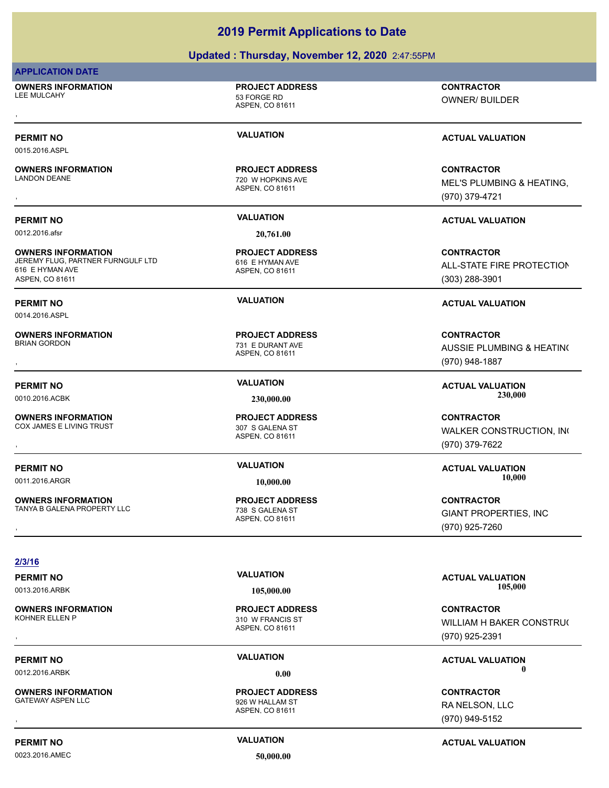### **Updated : Thursday, November 12, 2020** 2:47:55PM

### **APPLICATION DATE**

**OWNERS INFORMATION** LEE MULCAHY 63 FORGE RD

ASPEN, CO 81611 **PROJECT ADDRESS** , **CONTRACTOR**

OWNER/ BUILDER

0015.2016.ASPL

**OWNERS INFORMATION**

0012.2016.afsr **20,761.00**

**OWNERS INFORMATION** JEREMY FLUG, PARTNER FURNGULF LTD 616 E HYMAN AVE 616 E HYMAN AVE ASPEN, CO 81611

0014.2016.ASPL

**OWNERS INFORMATION**

**OWNERS INFORMATION** COX JAMES E LIVING TRUST **307 S GALENA ST** 

**OWNERS INFORMATION** TANYA B GALENA PROPERTY LLC 738 S GALENA ST

ASPEN, CO 81611 720 W HOPKINS AVE **PROJECT ADDRESS**

ASPEN, CO 81611 **PROJECT ADDRESS**

ASPEN, CO 81611 731 E DURANT AVE **PROJECT ADDRESS**

ASPEN, CO 81611 **PROJECT ADDRESS**

ASPEN, CO 81611 **PROJECT ADDRESS**

**PERMIT NO VALUATION VALUATION VALUATION** 

, **CONTRACTOR** MEL'S PLUMBING & HEATING, (970) 379-4721

### **PERMIT NO VALUATION ACTUAL VALUATION**

**CONTRACTOR ALL-STATE FIRE PROTECTION** (303) 288-3901

### **PERMIT NO VALUATION ACTUAL VALUATION**

, **CONTRACTOR** AUSSIE PLUMBING & HEATING (970) 948-1887

**OWNERS INFORMATION PROJECT ADDRESS CONTRACTOR**<br>COX JAMES E LIVING TRUST 307 S GALENA ST WALKER CONSTRUCTION, IN(<br>, ASPEN. CO 81611 WALKER CONSTRUCTION, INC (970) 379-7622

**PERMIT NO VALUATION ACTUAL VALUATION** 0011.2016.ARGR **10,000.00 10,000.00**

**OWNERS INFORMATION LEADURED BY A SUBSECT ADDRESS ARE SERVICES CONTRACTOR CONTRACTOR**<br>TANYA B GALENA PROPERTY LLC LEADURED TO SALENA ST LEADURED BY CONTROPERTIES, INC<br>ASPEN, CO 81611 LEADURED 1970) 925-7260 GIANT PROPERTIES, INC (970) 925-7260

**2/3/16**

**OWNERS INFORMATION**

**OWNERS INFORMATION**

0023.2016.AMEC **50,000.00**

ASPEN, CO 81611 310 W FRANCIS ST **PROJECT ADDRESS**

ASPEN, CO 81611 926 W HALLAM ST **PROJECT ADDRESS**

**PERMIT NO VALUATION ACTUAL VALUATION** 0013.2016.ARBK **105,000.00 105,000.00**

, **CONTRACTOR** WILLIAM H BAKER CONSTRU( (970) 925-2391

### **PERMIT NO CONSUMITY OF A CONSUMITY OF A CONSUMITY OF A CONSUMITY OF A CTUAL VALUATION** 0012.2016.ARBK **0.00 0.00**

, **CONTRACTOR** RA NELSON, LLC (970) 949-5152

### **PERMIT NO CONSUMITY ACTUAL VALUATION VALUATION VALUATION**

# **PERMIT NO VALUATION ACTUAL VALUATION** 0010.2016.ACBK **230,000.00 230,000.00**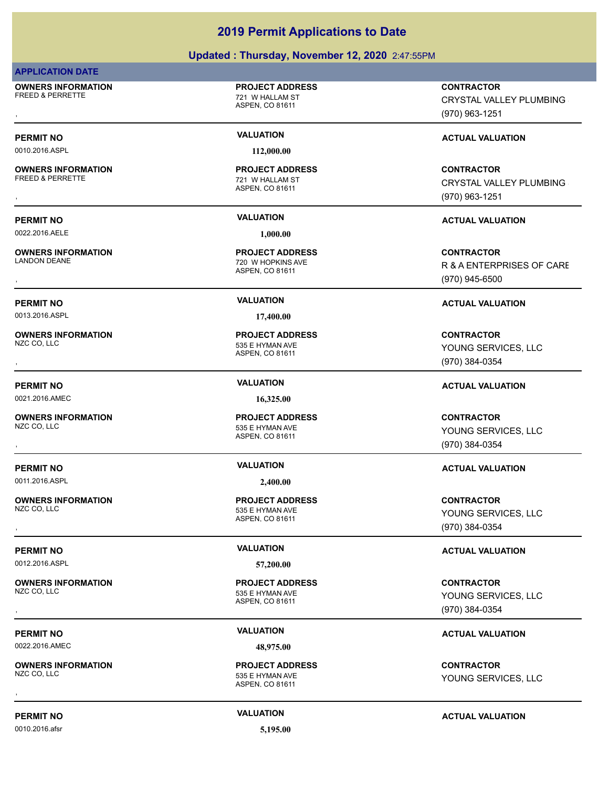### **Updated : Thursday, November 12, 2020** 2:47:55PM

### **APPLICATION DATE**

**OWNERS INFORMATION** FREED & PERRETTE THE RESERVE TO A 21 W HALLAM ST

### **PROJECT ADDRESS**

ASPEN, CO 81611

**OWNERS INFORMATION** FREED & PERRETTE 721 W HALLAM ST

0022.2016.AELE **1,000.00**

**OWNERS INFORMATION**

0013.2016.ASPL **17,400.00**

**OWNERS INFORMATION**

0021.2016.AMEC **16,325.00**

**OWNERS INFORMATION**

0011.2016.ASPL **2,400.00**

**OWNERS INFORMATION**

**OWNERS INFORMATION**

0022.2016.AMEC **48,975.00**

**OWNERS INFORMATION**

0010.2016.afsr **5,195.00**

0010.2016.ASPL **112,000.00**

### ASPEN, CO 81611 **PROJECT ADDRESS**

### ASPEN, CO 81611 720 W HOPKINS AVE **PROJECT ADDRESS**

ASPEN, CO 81611 535 E HYMAN AVE **PROJECT ADDRESS**

ASPEN, CO 81611 535 E HYMAN AVE **PROJECT ADDRESS**

ASPEN, CO 81611 535 E HYMAN AVE **PROJECT ADDRESS**

ASPEN, CO 81611 535 E HYMAN AVE **PROJECT ADDRESS**

ASPEN, CO 81611 535 E HYMAN AVE **PROJECT ADDRESS**

, **CONTRACTOR** CRYSTAL VALLEY PLUMBING (970) 963-1251

### **PERMIT NO VALUATION VALUATION VALUATION**

, **CONTRACTOR** CRYSTAL VALLEY PLUMBING (970) 963-1251

### **PERMIT NO VALUATION ACTUAL VALUATION**

, **CONTRACTOR** R & A ENTERPRISES OF CARE (970) 945-6500

### **PERMIT NO VALUATION ACTUAL VALUATION**

, **CONTRACTOR** YOUNG SERVICES, LLC (970) 384-0354

### **PERMIT NO VALUATION ACTUAL VALUATION**

### , **CONTRACTOR** YOUNG SERVICES, LLC (970) 384-0354

### **PERMIT NO VALUATION ACTUAL VALUATION**

, **CONTRACTOR** YOUNG SERVICES, LLC (970) 384-0354

, **CONTRACTOR** YOUNG SERVICES, LLC (970) 384-0354

### **PERMIT NO VALUATION ACTUAL VALUATION**

, **CONTRACTOR** YOUNG SERVICES, LLC

**PERMIT NO VALUATION ACTUAL VALUATION**

**PERMIT NO VALUATION VALUATION VALUATION** 

0012.2016.ASPL **57,200.00**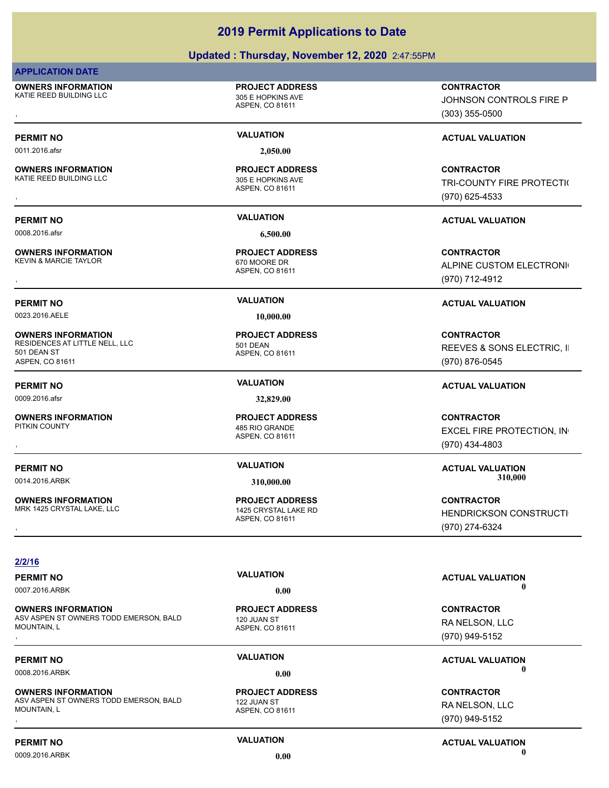# **Updated : Thursday, November 12, 2020** 2:47:55PM

### **APPLICATION DATE**

**OWNERS INFORMATION** KATIE REED BUILDING LLC 305 E HOPKINS AVE

0011.2016.afsr **2,050.00**

**OWNERS INFORMATION** KATIE REED BUILDING LLC 305 E HOPKINS AVE

**OWNERS INFORMATION**

KEVIN & MARCIE TAYLOR 670 MOORE DR

0023.2016.AELE **10,000.00**

**OWNERS INFORMATION** RESIDENCES AT LITTLE NELL, LLC<br>501 DEAN 501 DEAN ST ASPEN, CO 81611

0009.2016.afsr **32,829.00**

**OWNERS INFORMATION**<br>PITKIN COUNTY

**OWNERS INFORMATION**

ASPEN, CO 81611

**PROJECT ADDRESS**

ASPEN, CO 81611 **PROJECT ADDRESS**

0008.2016.afsr **6,500.00**

ASPEN, CO 81611 **PROJECT ADDRESS**

ASPEN, CO 81611 **PROJECT ADDRESS**

ASPEN, CO 81611 485 RIO GRANDE **PROJECT ADDRESS**

ASPEN, CO 81611 MRK 1425 CRYSTAL LAKE, LLC 1425 CRYSTAL LAKE RD **PROJECT ADDRESS**

, **CONTRACTOR** JOHNSON CONTROLS FIRE P (303) 355-0500

# **PERMIT NO VALUATION VALUATION VALUATION**

, **CONTRACTOR** TRI-COUNTY FIRE PROTECTI( (970) 625-4533

# **PERMIT NO VALUATION ACTUAL VALUATION**

, **CONTRACTOR** ALPINE CUSTOM ELECTRONI<sup>(</sup> (970) 712-4912

# **PERMIT NO VALUATION ACTUAL VALUATION**

**CONTRACTOR** REEVES & SONS ELECTRIC, II (970) 876-0545

# **PERMIT NO VALUATION ACTUAL VALUATION**

, **CONTRACTOR** EXCEL FIRE PROTECTION, IN (970) 434-4803

**PERMIT NO VALUATION ACTUAL VALUATION** 0014.2016.ARBK **310,000.00 310,000.00**

**OWNERS INFORMATION PROJECT ADDRESS CONTRACTOR**<br>MRK 1425 CRYSTAL LAKE, LLC 1425 CRYSTAL LAKE RD HENDRICKSON CONSTRUCTI<br>, ASPEN, CO 81611 HENDRICKSON CONSTRUCTI (970) 274-6324

### **2/2/16**

**OWNERS INFORMATION** ASV ASPEN ST OWNERS TODD EMERSON, BALD MOUNTAIN, L **OWNERS INFORMATION DEMERSON, BALD REGULAR PROJECT ADDRESS ARE SONTRACTOR CONTRACTOR CONTRACTOR ASPEN CONTRACTOR**<br>ASV ASPEN ST OWNERS TODD EMERSON, BALD 120 JUAN ST 120 JUAN ST RA NELSON, LLC RA NELSON, LLC<br>MOUNTAIN, L (97

**OWNERS INFORMATION** ASV ASPEN ST OWNERS TODD EMERSON, BALD MOUNTAIN, L **OWNERS INFORMATION DEMERSON, BALD REGULAR PROJECT ADDRESS ARE SONTRACTOR CONTRACTOR CONTRACTOR ASPEN CONTRACTOR**<br>ASV ASPEN ST OWNERS TODD EMERSON, BALD 122 JUAN ST **ASPEN. CO 81611** RA NELSON, LLC 1970) 949-5152<br>, http://

**PERMIT NO VALUATION ACTUAL VALUATION**

RA NELSON, LLC (970) 949-5152

# **PERMIT NO CONSUMITY OF A CONSUMITY OF A CONSUMITY OF A CONSUMITY OF A CTUAL VALUATION** 0008.2016.ARBK **0.00 0.00**

RA NELSON, LLC (970) 949-5152

# **PERMIT NO VALUATION ACTUAL VALUATION**

0009.2016.ARBK **0.00 0.00**

0007.2016.ARBK **0.00 0.00**

ASPEN, CO 81611 120 JUAN ST **PROJECT ADDRESS**

ASPEN, CO 81611 122 JUAN ST **PROJECT ADDRESS**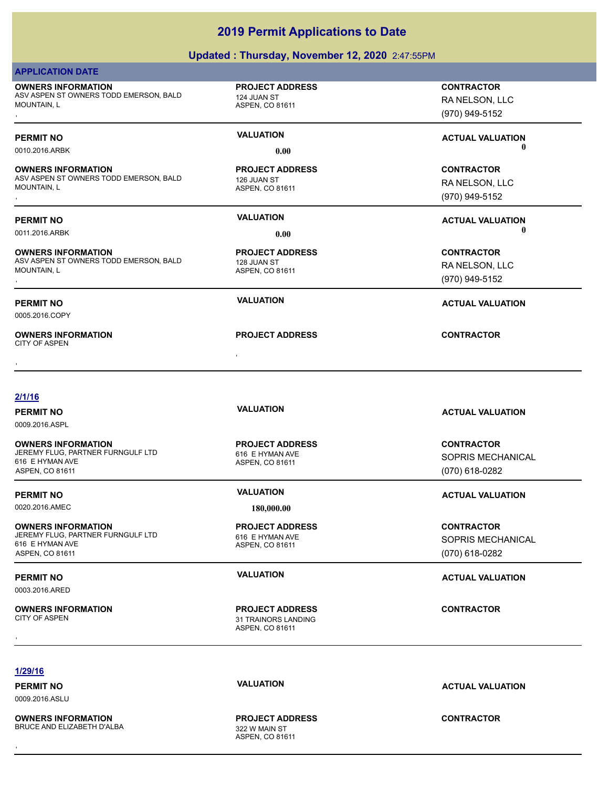# **Updated : Thursday, November 12, 2020** 2:47:55PM

| <b>APPLICATION DATE</b>                                                                                                |                                                              |                                                                   |
|------------------------------------------------------------------------------------------------------------------------|--------------------------------------------------------------|-------------------------------------------------------------------|
| <b>OWNERS INFORMATION</b><br>ASV ASPEN ST OWNERS TODD EMERSON, BALD<br><b>MOUNTAIN. L</b>                              | <b>PROJECT ADDRESS</b><br>124 JUAN ST<br>ASPEN, CO 81611     | <b>CONTRACTOR</b><br>RA NELSON, LLC<br>(970) 949-5152             |
| <b>PERMIT NO</b>                                                                                                       | <b>VALUATION</b>                                             | <b>ACTUAL VALUATION</b>                                           |
| 0010.2016.ARBK                                                                                                         | 0.00                                                         | O                                                                 |
| <b>OWNERS INFORMATION</b><br>ASV ASPEN ST OWNERS TODD EMERSON, BALD<br>MOUNTAIN, L                                     | <b>PROJECT ADDRESS</b><br>126 JUAN ST<br>ASPEN, CO 81611     | <b>CONTRACTOR</b><br>RA NELSON, LLC<br>(970) 949-5152             |
| <b>PERMIT NO</b>                                                                                                       | <b>VALUATION</b>                                             | <b>ACTUAL VALUATION</b>                                           |
| 0011.2016.ARBK                                                                                                         | 0.00                                                         | 0                                                                 |
| <b>OWNERS INFORMATION</b><br>ASV ASPEN ST OWNERS TODD EMERSON, BALD<br>MOUNTAIN, L                                     | <b>PROJECT ADDRESS</b><br>128 JUAN ST<br>ASPEN, CO 81611     | <b>CONTRACTOR</b><br>RA NELSON, LLC<br>(970) 949-5152             |
| <b>PERMIT NO</b><br>0005.2016.COPY                                                                                     | <b>VALUATION</b>                                             | <b>ACTUAL VALUATION</b>                                           |
| <b>OWNERS INFORMATION</b><br><b>CITY OF ASPEN</b>                                                                      | <b>PROJECT ADDRESS</b>                                       | <b>CONTRACTOR</b>                                                 |
| 2/1/16<br><b>PERMIT NO</b>                                                                                             | <b>VALUATION</b>                                             | <b>ACTUAL VALUATION</b>                                           |
| 0009.2016.ASPL<br><b>OWNERS INFORMATION</b><br>JEREMY FLUG, PARTNER FURNGULF LTD<br>616 E HYMAN AVE<br>ASPEN, CO 81611 | <b>PROJECT ADDRESS</b><br>616 E HYMAN AVE<br>ASPEN, CO 81611 | <b>CONTRACTOR</b><br><b>SOPRIS MECHANICAL</b><br>$(070)$ 618-0282 |
| <b>PERMIT NO</b>                                                                                                       | <b>VALUATION</b>                                             | <b>ACTUAL VALUATION</b>                                           |
| 0020.2016.AMEC                                                                                                         | 180,000.00                                                   |                                                                   |
| <b>OWNERS INFORMATION</b><br>JEREMY FLUG, PARTNER FURNGULF LTD<br>616 E HYMAN AVE<br>ASPEN, CO 81611                   | <b>PROJECT ADDRESS</b><br>616 E HYMAN AVE<br>ASPEN, CO 81611 | <b>CONTRACTOR</b><br>SOPRIS MECHANICAL<br>(070) 618-0282          |
| <b>PERMIT NO</b><br>0003.2016.ARED                                                                                     | <b>VALUATION</b>                                             | <b>ACTUAL VALUATION</b>                                           |
|                                                                                                                        |                                                              |                                                                   |

**1/29/16**

0009.2016.ASLU

**OWNERS INFORMATION** BRUCE AND ELIZABETH D'ALBA

322 W MAIN ST<br>ASPEN, CO 81611 **PROJECT ADDRESS** , **CONTRACTOR**

**PERMIT NO CONSUMITY ACTUAL VALUATION VALUATION ACTUAL VALUATION**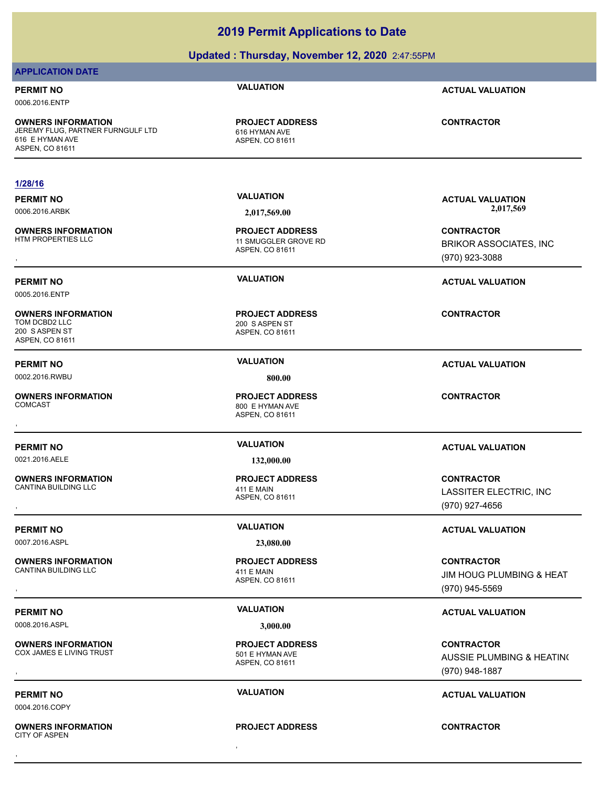# **Updated : Thursday, November 12, 2020** 2:47:55PM

## **APPLICATION DATE**

# **PERMIT NO VALUATION ACTUAL VALUATION**

0006.2016.ENTP

**OWNERS INFORMATION** JEREMY FLUG, PARTNER FURNGULF LTD 616 HYMAN AVE 616 E HYMAN AVE ASPEN, CO 81611

# **1/28/16**

**OWNERS INFORMATION**

0005.2016.ENTP

**OWNERS INFORMATION** 200 S ASPEN ST ASPEN, CO 81611

0002.2016.RWBU **800.00** 

**OWNERS INFORMATION**

**OWNERS INFORMATION** CANTINA BUILDING LLC 411 E MAIN

0007.2016.ASPL **23,080.00**

**OWNERS INFORMATION** CANTINA BUILDING LLC 411 E MAIN

0008.2016.ASPL **3,000.00**

**OWNERS INFORMATION** COX JAMES E LIVING TRUST 501 E HYMAN AVE

0004.2016.COPY

, **OWNERS INFORMATION** CITY OF ASPEN , **CONTRACTOR**

ASPEN, CO 81611 **PROJECT ADDRESS**

ASPEN, CO 81611 11 SMUGGLER GROVE RD **PROJECT ADDRESS**

ASPEN, CO 81611 200 S ASPEN ST **PROJECT ADDRESS**

ASPEN, CO 81611 800 E HYMAN AVE **PROJECT ADDRESS** , **CONTRACTOR**

0021.2016.AELE **132,000.00**

ASPEN, CO 81611 **PROJECT ADDRESS**

ASPEN, CO 81611 **PROJECT ADDRESS**

ASPEN, CO 81611 **PROJECT ADDRESS**

**PROJECT ADDRESS**

**PERMIT NO VALUATION ACTUAL VALUATION** 0006.2016.ARBK **2,017,569.00 2,017,569.00**

**CONTRACTOR**

, **CONTRACTOR** BRIKOR ASSOCIATES, INC (970) 923-3088

**PERMIT NO VALUATION ACTUAL VALUATION**

**CONTRACTOR**

# **PERMIT NO VALUATION ACTUAL VALUATION**

# **PERMIT NO VALUATION ACTUAL VALUATION**

, **CONTRACTOR** LASSITER ELECTRIC, INC (970) 927-4656

# **PERMIT NO VALUATION ACTUAL VALUATION**

, **CONTRACTOR** JIM HOUG PLUMBING & HEAT (970) 945-5569

# **PERMIT NO VALUATION ACTUAL VALUATION**

**OWNERS INFORMATION PROJECT ADDRESS CONTRACTOR**<br>COX JAMES E LIVING TRUST 501 E HYMAN AVE AUSSIE PLUMBING & HEATIN(<br>, ASPEN. CO 81611 AUSSIE PLUMBING & HEATING (970) 948-1887

# **PERMIT NO VALUATION ACTUAL VALUATION**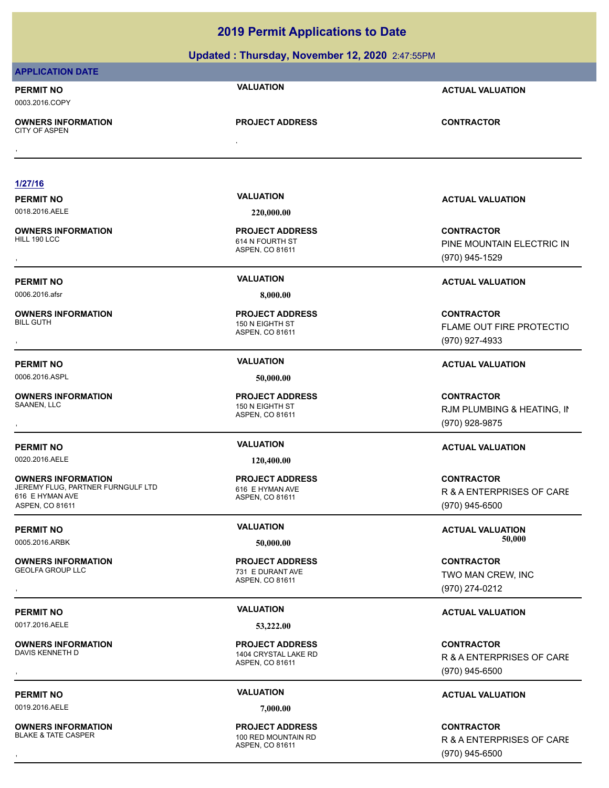**Updated : Thursday, November 12, 2020** 2:47:55PM

| <b>APPLICATION DATE</b>                                                                              |                                                                   |                                                                    |
|------------------------------------------------------------------------------------------------------|-------------------------------------------------------------------|--------------------------------------------------------------------|
| <b>PERMIT NO</b><br>0003.2016.COPY                                                                   | <b>VALUATION</b>                                                  | <b>ACTUAL VALUATION</b>                                            |
| <b>OWNERS INFORMATION</b><br><b>CITY OF ASPEN</b>                                                    | <b>PROJECT ADDRESS</b>                                            | <b>CONTRACTOR</b>                                                  |
|                                                                                                      |                                                                   |                                                                    |
| 1/27/16                                                                                              |                                                                   |                                                                    |
| <b>PERMIT NO</b>                                                                                     | <b>VALUATION</b>                                                  | <b>ACTUAL VALUATION</b>                                            |
| 0018.2016.AELE                                                                                       | 220,000.00                                                        |                                                                    |
| <b>OWNERS INFORMATION</b><br>HILL 190 LCC                                                            | <b>PROJECT ADDRESS</b><br>614 N FOURTH ST<br>ASPEN, CO 81611      | <b>CONTRACTOR</b><br>PINE MOUNTAIN ELECTRIC IN<br>(970) 945-1529   |
| <b>PERMIT NO</b>                                                                                     | <b>VALUATION</b>                                                  | <b>ACTUAL VALUATION</b>                                            |
| 0006.2016.afsr                                                                                       | 8,000.00                                                          |                                                                    |
| <b>OWNERS INFORMATION</b><br><b>BILL GUTH</b>                                                        | <b>PROJECT ADDRESS</b><br>150 N EIGHTH ST<br>ASPEN, CO 81611      | <b>CONTRACTOR</b><br>FLAME OUT FIRE PROTECTIO<br>(970) 927-4933    |
| <b>PERMIT NO</b>                                                                                     | <b>VALUATION</b>                                                  | <b>ACTUAL VALUATION</b>                                            |
| 0006.2016.ASPL                                                                                       | 50,000.00                                                         |                                                                    |
| <b>OWNERS INFORMATION</b><br>SAANEN, LLC                                                             | <b>PROJECT ADDRESS</b><br>150 N EIGHTH ST<br>ASPEN, CO 81611      | <b>CONTRACTOR</b><br>RJM PLUMBING & HEATING, IN<br>(970) 928-9875  |
| <b>PERMIT NO</b>                                                                                     | <b>VALUATION</b>                                                  | <b>ACTUAL VALUATION</b>                                            |
| 0020.2016.AELE                                                                                       | 120,400.00                                                        |                                                                    |
| <b>OWNERS INFORMATION</b><br>JEREMY FLUG, PARTNER FURNGULF LTD<br>616 E HYMAN AVE<br>ASPEN, CO 81611 | <b>PROJECT ADDRESS</b><br>616 E HYMAN AVE<br>ASPEN, CO 81611      | <b>CONTRACTOR</b><br>R & A ENTERPRISES OF CARE<br>(970) 945-6500   |
| <b>PERMIT NO</b><br>0005.2016.ARBK                                                                   | <b>VALUATION</b><br>50,000.00                                     | <b>ACTUAL VALUATION</b><br>50,000                                  |
| <b>OWNERS INFORMATION</b>                                                                            | <b>PROJECT ADDRESS</b>                                            | <b>CONTRACTOR</b>                                                  |
| <b>GEOLFA GROUP LLC</b>                                                                              | 731 E DURANT AVE<br>ASPEN, CO 81611                               | TWO MAN CREW, INC<br>(970) 274-0212                                |
| <b>PERMIT NO</b>                                                                                     | <b>VALUATION</b>                                                  | <b>ACTUAL VALUATION</b>                                            |
| 0017.2016.AELE                                                                                       | 53,222.00                                                         |                                                                    |
| <b>OWNERS INFORMATION</b><br>DAVIS KENNETH D                                                         | <b>PROJECT ADDRESS</b><br>1404 CRYSTAL LAKE RD<br>ASPEN, CO 81611 | <b>CONTRACTOR</b><br>R & A ENTERPRISES OF CARE<br>$(970)$ 945-6500 |
| <b>PERMIT NO</b>                                                                                     | <b>VALUATION</b>                                                  | <b>ACTUAL VALUATION</b>                                            |
| 0019.2016.AELE                                                                                       | 7,000.00                                                          |                                                                    |
| <b>OWNERS INFORMATION</b><br><b>BLAKE &amp; TATE CASPER</b>                                          | <b>PROJECT ADDRESS</b><br>100 RED MOUNTAIN RD<br>ASPEN, CO 81611  | <b>CONTRACTOR</b><br>R & A ENTERPRISES OF CARE<br>(970) 945-6500   |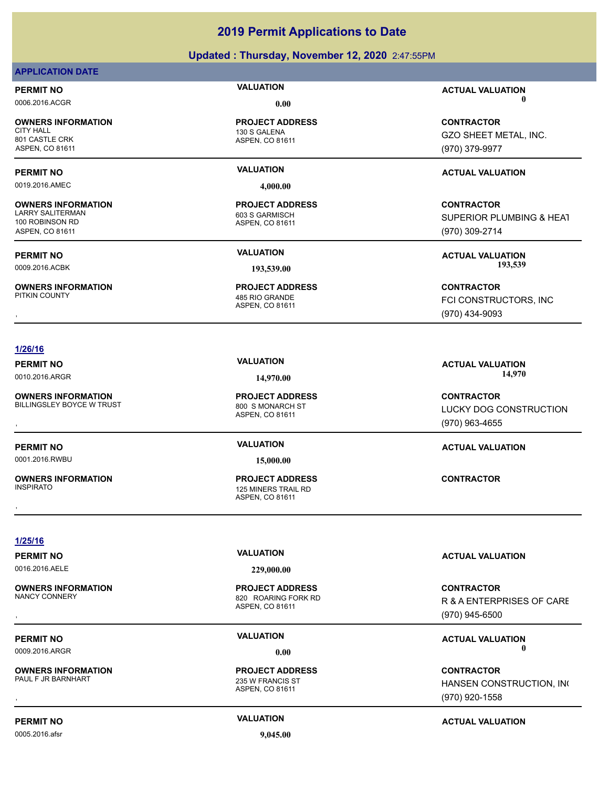# **Updated : Thursday, November 12, 2020** 2:47:55PM

## **APPLICATION DATE**

**OWNERS INFORMATION** 801 CASTLE CRK

0019.2016.AMEC **4,000.00**

ASPEN, CO 81611

**OWNERS INFORMATION** 100 ROBINSON RD ASPEN, CO 81611

**OWNERS INFORMATION**<br>PITKIN COUNTY

ASPEN, CO 81611 130 S GALENA **PROJECT ADDRESS**

ASPEN, CO 81611 603 S GARMISCH **PROJECT ADDRESS**

ASPEN, CO 81611 485 RIO GRANDE

**PERMIT NO CONSUMITY OF A CONSUMITY OF A CONSUMITY OF A CONSUMITY OF A CONSUMITY OF A CONSUMITY OF A CONSUMITY OF A CONSUMITY OF A CONSUMITY OF A CONSUMITY OF A CONSUMITY OF A CONSUMITY OF A CONSUMITY OF A CONSUMITY OF A** 0006.2016.ACGR **0.00 0.00**

> **CONTRACTOR** GZO SHEET METAL, INC. (970) 379-9977

# **PERMIT NO VALUATION ACTUAL VALUATION**

**CONTRACTOR** SUPERIOR PLUMBING & HEAT (970) 309-2714

, **CONTRACTOR** FCI CONSTRUCTORS, INC (970) 434-9093

# **1/26/16**

**OWNERS INFORMATION** BILLINGSLEY BOYCE W TRUST 800 S MONARCH ST

**OWNERS INFORMATION**

ASPEN, CO 81611

0001.2016.RWBU **15,000.00**

ASPEN, CO 81611 125 MINERS TRAIL RD

, **CONTRACTOR** LUCKY DOG CONSTRUCTION. (970) 963-4655

# **PERMIT NO VALUATION ACTUAL VALUATION**

### **1/25/16**

**PERMIT NO VALUATION VALUATION VALUATION** 

**OWNERS INFORMATION**

**OWNERS INFORMATION** PAUL F JR BARNHART 235 W FRANCIS ST

0005.2016.afsr **9,045.00**

0016.2016.AELE **229,000.00**

ASPEN, CO 81611 820 ROARING FORK RD **PROJECT ADDRESS**

, **CONTRACTOR** R & A ENTERPRISES OF CARE (970) 945-6500

# **PERMIT NO VALUATION VALUATION VALUATION** 0009.2016.ARGR **0.00 0.00**

**OWNERS INFORMATION PROJECT ADDRESS CONTRACTOR**<br>PAUL F JR BARNHART 235 W FRANCIS ST HANSEN CONSTRUCTION, IN(<br>, ASPEN. CO 81611 HANSEN CONSTRUCTION, INC (970) 920-1558

# **PERMIT NO CONSUMITY OF A CONSUMITY OF A CONSUMITY OF A CONSUMITY OF A CTUAL VALUATION**

**PROJECT ADDRESS**

**PROJECT ADDRESS** , **CONTRACTOR**

ASPEN, CO 81611

**PROJECT ADDRESS**

**PERMIT NO VALUATION ACTUAL VALUATION** 0009.2016.ACBK **193,539.00 193,539.00**

# **PROJECT ADDRESS**

**PERMIT NO VALUATION VALUATION VALUATION** 0010.2016.ARGR **14,970.00 14,970.00**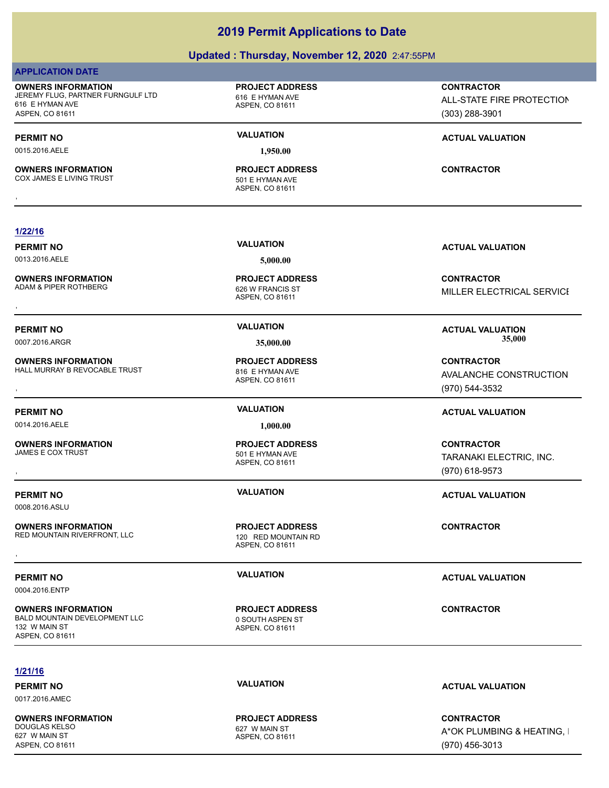# **Updated : Thursday, November 12, 2020** 2:47:55PM

# **APPLICATION DATE**

**OWNERS INFORMATION** JEREMY FLUG, PARTNER FURNGULF LTD 616 E HYMAN AVE 616 E HYMAN AVE ASPEN, CO 81611

0015.2016.AELE **1,950.00**

**OWNERS INFORMATION** COX JAMES E LIVING TRUST 501 E HYMAN AVE

ASPEN, CO 81611

**PROJECT ADDRESS**

ASPEN, CO 81611 **PROJECT ADDRESS OWNERS INFORMATION CONTRACTOR REGIST OF PROJECT ADDRESS CONTRACTOR CONTRACTOR**<br>COX JAMES E LIVING TRUST **CONTRACTOR**<br>ASPEN, CO 81611

**CONTRACTOR**

ALL-STATE FIRE PROTECTION (303) 288-3901

# **PERMIT NO VALUATION ACTUAL VALUATION**

**1/22/16**

# 0013.2016.AELE **5,000.00**

**OWNERS INFORMATION** ADAM & PIPER ROTHBERG 626 W FRANCIS ST

**OWNERS INFORMATION** HALL MURRAY B REVOCABLE TRUST 816 E HYMAN AVE

0014.2016.AELE **1,000.00**

**OWNERS INFORMATION**

0008.2016.ASLU

**OWNERS INFORMATION** RED MOUNTAIN RIVERFRONT, LLC 120 RED MOUNTAIN RD

0004.2016.ENTP

**OWNERS INFORMATION** BALD MOUNTAIN DEVELOPMENT LLC 0 0 SOUTH ASPEN ST 132 W MAIN ST ASPEN, CO 81611

ASPEN, CO 81611 **PROJECT ADDRESS**

ASPEN, CO 81611 **PROJECT ADDRESS**

# ASPEN, CO 81611

ASPEN, CO 81611 **PROJECT ADDRESS**

ASPEN, CO 81611 **PROJECT ADDRESS**

**PERMIT NO VALUATION VALUATION VALUATION** 

, **CONTRACTOR** MILLER ELECTRICAL SERVICE

**PERMIT NO VALUATION ACTUAL VALUATION** 0007.2016.ARGR **35,000.00 35,000.00**

, **CONTRACTOR** AVALANCHE CONSTRUCTION (970) 544-3532

# **PERMIT NO VALUATION ACTUAL VALUATION**

, **CONTRACTOR** TARANAKI ELECTRIC, INC. (970) 618-9573

# **PERMIT NO VALUATION ACTUAL VALUATION**

**CONTRACTOR**

**1/21/16**

0017.2016.AMEC

**OWNERS INFORMATION** 627 W MAIN ST ASPEN, CO 81611

ASPEN, CO 81611 627 W MAIN ST **PROJECT ADDRESS**

**PERMIT NO VALUATION ACTUAL VALUATION**

**CONTRACTOR** A\*OK PLUMBING & HEATING, I (970) 456-3013

# **OWNERS INFORMATION METALLY SERVICE PROJECT ADDRESS ARE DISCUSSED MOUNTAIN RIVERFRONT, LLC<br>RED MOUNTAIN RIVERFRONT, LLC ASPEN, CO 81611 MASPEN, CO 81611 MASPEN, CO 81611 MASPEN, CO 81611 MASPEN, CO 81611 MASPEN, CO 81611 M PERMIT NO VALUATION ACTUAL VALUATION**

501 E HYMAN AVE **PROJECT ADDRESS**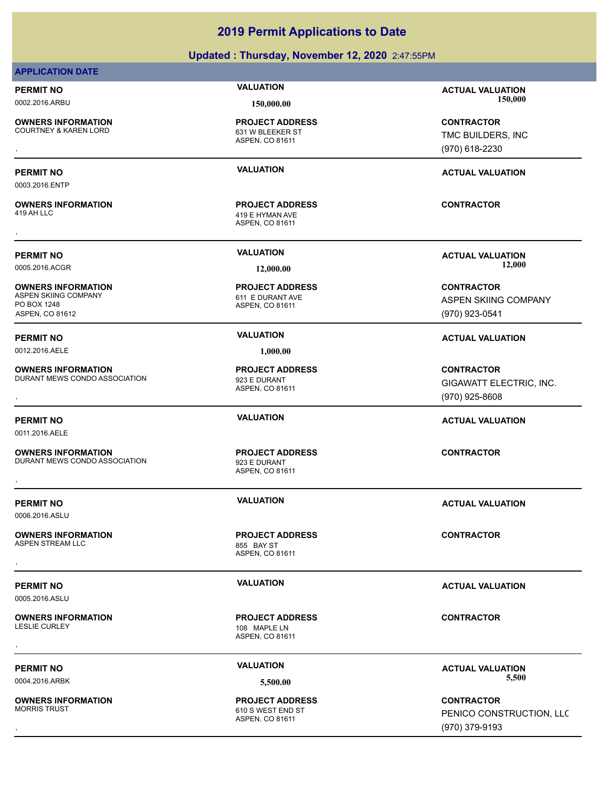# **Updated : Thursday, November 12, 2020** 2:47:55PM

ASPEN, CO 81611 631 W BLEEKER ST **PROJECT ADDRESS** , **CONTRACTOR**

ASPEN, CO 81611 419 E HYMAN AVE , **CONTRACTOR**

TMC BUILDERS, INC (970) 618-2230

ASPEN SKIING COMPANY (970) 923-0541

# **PERMIT NO VALUATION ACTUAL VALUATION**

, **CONTRACTOR** GIGAWATT ELECTRIC, INC. (970) 925-8608

**PERMIT NO VALUATION ACTUAL VALUATION**

**PERMIT NO VALUATION VALUATION VALUATION** 

**PERMIT NO VALUATION ACTUAL VALUATION** 0004.2016.ARBK **5,500.00 5,500.00**

, **CONTRACTOR** PENICO CONSTRUCTION, LLC (970) 379-9193

0003.2016.ENTP

**OWNERS INFORMATION** ASPEN SKIING COMPANY 611 E DURANT AVE PO BOX 1248 ASPEN, CO 81612

0012.2016.AELE **1,000.00**

**OWNERS INFORMATION** DURANT MEWS CONDO ASSOCIATION 923 E DURANT

0011.2016.AELE

**OWNERS INFORMATION** DURANT MEWS CONDO ASSOCIATION 923 E DURANT

0006.2016.ASLU

**OWNERS INFORMATION** ASPEN STREAM LLC 855 BAY ST

0005.2016.ASLU

**OWNERS INFORMATION**

**OWNERS INFORMATION**

ASPEN, CO 81611 610 S WEST END ST **PROJECT ADDRESS**

**PROJECT ADDRESS**

ASPEN, CO 81611 **PROJECT ADDRESS**

ASPEN, CO 81611 **PROJECT ADDRESS**

ASPEN, CO 81611 , **CONTRACTOR**

ASPEN, CO 81611 **PROJECT ADDRESS** , **CONTRACTOR**

ASPEN, CO 81611 108 MAPLE LN **PROJECT ADDRESS** , **CONTRACTOR**

**PERMIT NO VALUATION ACTUAL VALUATION**

**PROJECT ADDRESS**

0005.2016.ACGR **12,000.00 12,000.00**

**CONTRACTOR**

**PERMIT NO VALUATION ACTUAL VALUATION**

**PERMIT NO VALUATION ACTUAL VALUATION**

**OWNERS INFORMATION**

**APPLICATION DATE**

# **PERMIT NO VALUATION ACTUAL VALUATION**

0002.2016.ARBU **150,000.00 150,000.00**

**OWNERS INFORMATION**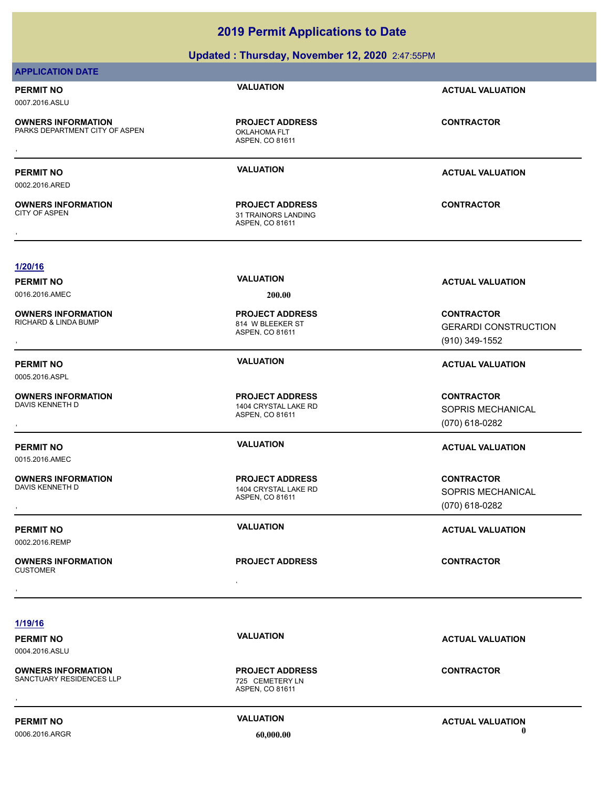|                                                             | $\frac{1}{2}$                                                     |                                                                    |
|-------------------------------------------------------------|-------------------------------------------------------------------|--------------------------------------------------------------------|
| <b>APPLICATION DATE</b>                                     |                                                                   |                                                                    |
| <b>PERMIT NO</b><br>0007.2016.ASLU                          | <b>VALUATION</b>                                                  | <b>ACTUAL VALUATION</b>                                            |
| <b>OWNERS INFORMATION</b><br>PARKS DEPARTMENT CITY OF ASPEN | <b>PROJECT ADDRESS</b><br>OKLAHOMA FLT<br>ASPEN, CO 81611         | <b>CONTRACTOR</b>                                                  |
| <b>PERMIT NO</b><br>0002.2016.ARED                          | <b>VALUATION</b>                                                  | <b>ACTUAL VALUATION</b>                                            |
| <b>OWNERS INFORMATION</b><br><b>CITY OF ASPEN</b>           | <b>PROJECT ADDRESS</b><br>31 TRAINORS LANDING<br>ASPEN, CO 81611  | <b>CONTRACTOR</b>                                                  |
| 1/20/16                                                     |                                                                   |                                                                    |
| <b>PERMIT NO</b><br>0016.2016.AMEC                          | <b>VALUATION</b><br>200.00                                        | <b>ACTUAL VALUATION</b>                                            |
| <b>OWNERS INFORMATION</b><br>RICHARD & LINDA BUMP           | <b>PROJECT ADDRESS</b><br>814 W BLEEKER ST<br>ASPEN, CO 81611     | <b>CONTRACTOR</b><br><b>GERARDI CONSTRUCTION</b><br>(910) 349-1552 |
| <b>PERMIT NO</b><br>0005.2016.ASPL                          | <b>VALUATION</b>                                                  | <b>ACTUAL VALUATION</b>                                            |
| <b>OWNERS INFORMATION</b><br>DAVIS KENNETH D                | <b>PROJECT ADDRESS</b><br>1404 CRYSTAL LAKE RD<br>ASPEN, CO 81611 | <b>CONTRACTOR</b><br>SOPRIS MECHANICAL<br>(070) 618-0282           |
| <b>PERMIT NO</b><br>0015.2016.AMEC                          | <b>VALUATION</b>                                                  | <b>ACTUAL VALUATION</b>                                            |
| <b>OWNERS INFORMATION</b><br>DAVIS KENNETH D                | <b>PROJECT ADDRESS</b><br>1404 CRYSTAL LAKE RD<br>ASPEN, CO 81611 | <b>CONTRACTOR</b><br>SOPRIS MECHANICAL<br>(070) 618-0282           |
| <b>PERMIT NO</b><br>0002.2016.REMP                          | <b>VALUATION</b>                                                  | <b>ACTUAL VALUATION</b>                                            |
| <b>OWNERS INFORMATION</b><br><b>CUSTOMER</b>                | <b>PROJECT ADDRESS</b>                                            | <b>CONTRACTOR</b>                                                  |
|                                                             | $\bullet$                                                         |                                                                    |
| 1/19/16<br><b>PERMIT NO</b><br>0004.2016.ASLU               | <b>VALUATION</b>                                                  | <b>ACTUAL VALUATION</b>                                            |
| <b>OWNERS INFORMATION</b>                                   | <b>PROJECT ADDRESS</b>                                            | <b>CONTRACTOR</b>                                                  |

**Updated : Thursday, November 12, 2020** 2:47:55PM

**2019 Permit Applications to Date**

**OWNERS INFORMATION** SANCTUARY RESIDENCES LLP 725 CEMETERY LN , **CONTRACTOR**

**PERMIT NO VALUATION VALUATION ACTUAL VALUATION** 0006.2016.ARGR **60,000.00 0.00**

ASPEN, CO 81611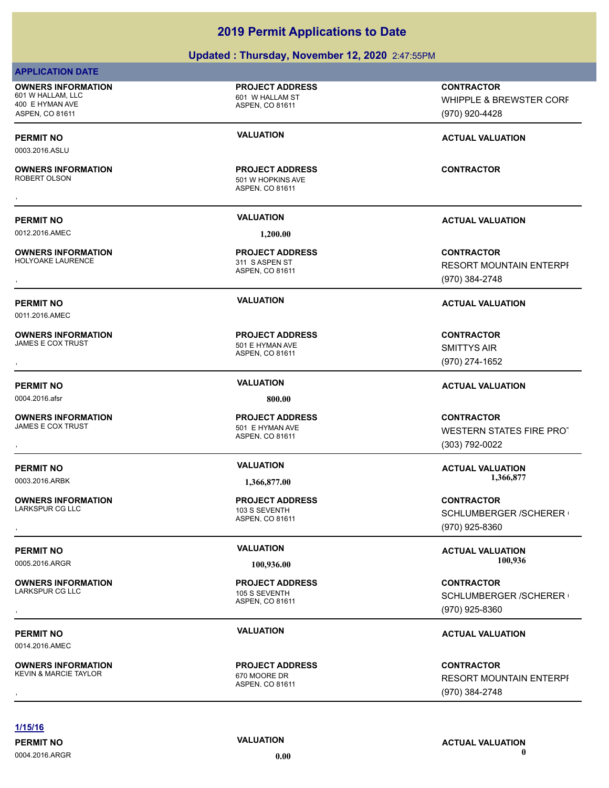# **Updated : Thursday, November 12, 2020** 2:47:55PM

| <b>APPLICATION DATE</b>                                                              |                                                                |                                                                        |
|--------------------------------------------------------------------------------------|----------------------------------------------------------------|------------------------------------------------------------------------|
| <b>OWNERS INFORMATION</b><br>601 W HALLAM, LLC<br>400 E HYMAN AVE<br>ASPEN, CO 81611 | <b>PROJECT ADDRESS</b><br>601 W HALLAM ST<br>ASPEN, CO 81611   | <b>CONTRACTOR</b><br>WHIPPLE & BREWSTER CORF<br>(970) 920-4428         |
| <b>PERMIT NO</b><br>0003.2016.ASLU                                                   | <b>VALUATION</b>                                               | <b>ACTUAL VALUATION</b>                                                |
| <b>OWNERS INFORMATION</b><br>ROBERT OLSON                                            | <b>PROJECT ADDRESS</b><br>501 W HOPKINS AVE<br>ASPEN, CO 81611 | <b>CONTRACTOR</b>                                                      |
| <b>PERMIT NO</b><br>0012.2016.AMEC                                                   | <b>VALUATION</b><br>1,200.00                                   | <b>ACTUAL VALUATION</b>                                                |
| <b>OWNERS INFORMATION</b><br>HOLYOAKE LAURENCE                                       | <b>PROJECT ADDRESS</b><br>311 S ASPEN ST<br>ASPEN, CO 81611    | <b>CONTRACTOR</b><br><b>RESORT MOUNTAIN ENTERPI</b><br>(970) 384-2748  |
| <b>PERMIT NO</b><br>0011.2016.AMEC                                                   | <b>VALUATION</b>                                               | <b>ACTUAL VALUATION</b>                                                |
| <b>OWNERS INFORMATION</b><br><b>JAMES E COX TRUST</b>                                | <b>PROJECT ADDRESS</b><br>501 E HYMAN AVE<br>ASPEN, CO 81611   | <b>CONTRACTOR</b><br><b>SMITTYS AIR</b><br>(970) 274-1652              |
| <b>PERMIT NO</b><br>0004.2016.afsr                                                   | <b>VALUATION</b><br>800.00                                     | <b>ACTUAL VALUATION</b>                                                |
| <b>OWNERS INFORMATION</b><br><b>JAMES E COX TRUST</b>                                | <b>PROJECT ADDRESS</b><br>501 E HYMAN AVE<br>ASPEN, CO 81611   | <b>CONTRACTOR</b><br><b>WESTERN STATES FIRE PROT</b><br>(303) 792-0022 |
| <b>PERMIT NO</b><br>0003.2016.ARBK                                                   | <b>VALUATION</b><br>1,366,877.00                               | <b>ACTUAL VALUATION</b><br>1,366,877                                   |
| <b>OWNERS INFORMATION</b><br>LARKSPUR CG LLC                                         | <b>PROJECT ADDRESS</b><br>103 S SEVENTH<br>ASPEN, CO 81611     | <b>CONTRACTOR</b><br>SCHLUMBERGER /SCHERER (<br>(970) 925-8360         |
| <b>PERMIT NO</b><br>0005.2016.ARGR                                                   | <b>VALUATION</b><br>100,936.00                                 | <b>ACTUAL VALUATION</b><br>100,936                                     |
| <b>OWNERS INFORMATION</b><br>LARKSPUR CG LLC                                         | <b>PROJECT ADDRESS</b><br>105 S SEVENTH<br>ASPEN, CO 81611     | <b>CONTRACTOR</b><br>SCHLUMBERGER / SCHERER +<br>(970) 925-8360        |
| <b>PERMIT NO</b><br>0014.2016.AMEC                                                   | <b>VALUATION</b>                                               | <b>ACTUAL VALUATION</b>                                                |
| <b>OWNERS INFORMATION</b><br><b>KEVIN &amp; MARCIE TAYLOR</b>                        | <b>PROJECT ADDRESS</b><br>670 MOORE DR<br>ASPEN, CO 81611      | <b>CONTRACTOR</b><br>RESORT MOUNTAIN ENTERPI<br>(970) 384-2748         |

# **1/15/16**

0004.2016.ARGR **0.00 0.00**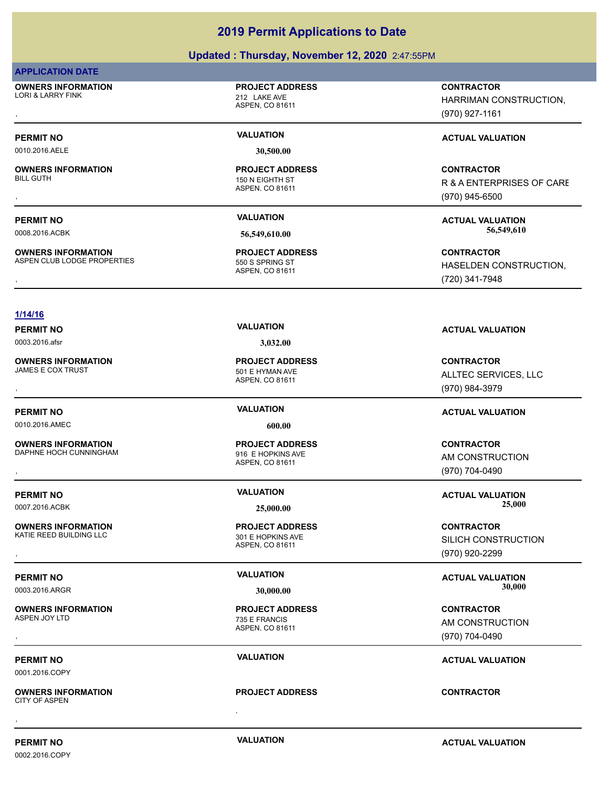# **Updated : Thursday, November 12, 2020** 2:47:55PM

## **APPLICATION DATE**

**OWNERS INFORMATION** LORI & LARRY FINK 212 LAKE AVE

## **PROJECT ADDRESS**

ASPEN, CO 81611

0010.2016.AELE **30,500.00**

**OWNERS INFORMATION**

**OWNERS INFORMATION** ASPEN CLUB LODGE PROPERTIES 550 S SPRING ST

ASPEN, CO 81611 150 N EIGHTH ST **PROJECT ADDRESS**

ASPEN, CO 81611 **PROJECT ADDRESS**

, **CONTRACTOR** HARRIMAN CONSTRUCTION, (970) 927-1161

# **PERMIT NO VALUATION VALUATION VALUATION**

, **CONTRACTOR** R & A ENTERPRISES OF CARE (970) 945-6500

**PERMIT NO VALUATION ACTUAL VALUATION** 0008.2016.ACBK **56,549,610.00 56,549,610.00**

**OWNERS INFORMATION FROJECT ADDRESS CONTRACTOR CONTRACTOR**<br>ASPEN CLUB LODGE PROPERTIES FAND SERING ST TO SOME THE SERIES ON HASELDEN CONSTRUCTION,<br>ASPEN. CO 81611 FROM THE SERIES (720) 341-7948 HASELDEN CONSTRUCTION. (720) 341-7948

ALLTEC SERVICES, LLC

AM CONSTRUCTION (970) 704-0490

SILICH CONSTRUCTION

(970) 920-2299

(970) 984-3979

### **1/14/16**

**PERMIT NO VALUATION VALUATION VALUATION** 

**OWNERS INFORMATION** JAMES E COX TRUST THE STATE STATE STATE OF STATE HYMAN AVE

**PERMIT NO VALUATION ACTUAL VALUATION**

0010.2016.AMEC **600.00**

**OWNERS INFORMATION** DAPHNE HOCH CUNNINGHAM 916 E HOPKINS AVE

**OWNERS INFORMATION** KATIE REED BUILDING LLC<br>301 E HOPKINS AVE

**PERMIT NO VALUATION ACTUAL VALUATION**

0003.2016.ARGR **30,000.00 30,000.00**

**OWNERS INFORMATION**

0001.2016.COPY

, **OWNERS INFORMATION** CITY OF ASPEN , **CONTRACTOR**

0003.2016.afsr **3,032.00**

ASPEN, CO 81611 **PROJECT ADDRESS** , **CONTRACTOR**

ASPEN, CO 81611 **PROJECT ADDRESS** , **CONTRACTOR**

ASPEN, CO 81611 **PROJECT ADDRESS**

ASPEN, CO 81611 735 E FRANCIS **PROJECT ADDRESS** , **CONTRACTOR**

**PERMIT NO VALUATION ACTUAL VALUATION**

## **PROJECT ADDRESS**

AM CONSTRUCTION (970) 704-0490

**PERMIT NO CONSUMITY ACTUAL VALUATION VALUATION VALUATION** 

# **PERMIT NO VALUATION ACTUAL VALUATION** 0007.2016.ACBK **25,000.00 25,000.00** , **CONTRACTOR**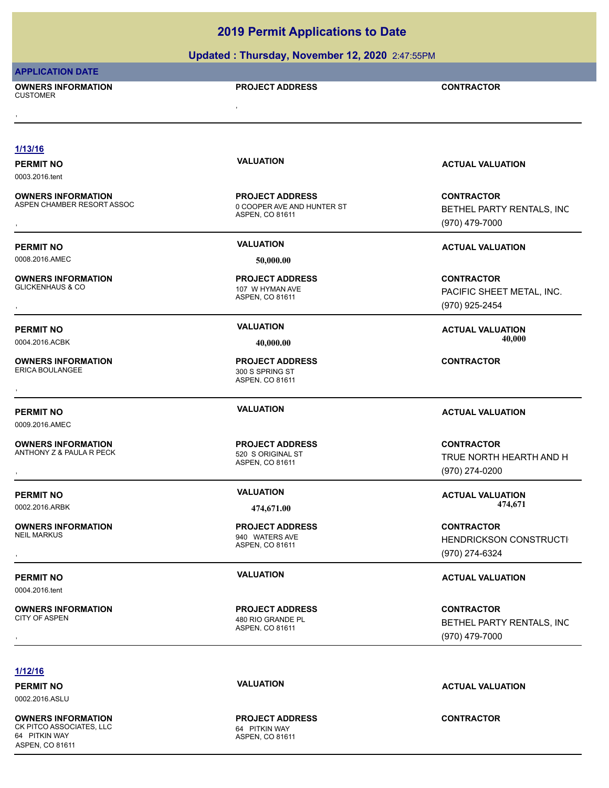# **Updated : Thursday, November 12, 2020** 2:47:55PM

| <b>APPLICATION DATE</b>                                 | ,,                                            |                                   |  |
|---------------------------------------------------------|-----------------------------------------------|-----------------------------------|--|
| <b>OWNERS INFORMATION</b><br><b>CUSTOMER</b>            | <b>PROJECT ADDRESS</b>                        | <b>CONTRACTOR</b>                 |  |
|                                                         |                                               |                                   |  |
|                                                         |                                               |                                   |  |
| 1/13/16                                                 |                                               |                                   |  |
| <b>PERMIT NO</b>                                        | <b>VALUATION</b>                              | <b>ACTUAL VALUATION</b>           |  |
| 0003.2016.tent                                          |                                               |                                   |  |
| <b>OWNERS INFORMATION</b><br>ASPEN CHAMBER RESORT ASSOC | <b>PROJECT ADDRESS</b>                        | <b>CONTRACTOR</b>                 |  |
|                                                         | 0 COOPER AVE AND HUNTER ST<br>ASPEN, CO 81611 | BETHEL PARTY RENTALS, INC         |  |
|                                                         |                                               | (970) 479-7000                    |  |
| <b>PERMIT NO</b>                                        | <b>VALUATION</b>                              | <b>ACTUAL VALUATION</b>           |  |
| 0008.2016.AMEC                                          | 50,000.00                                     |                                   |  |
| <b>OWNERS INFORMATION</b>                               | <b>PROJECT ADDRESS</b>                        | <b>CONTRACTOR</b>                 |  |
| <b>GLICKENHAUS &amp; CO</b>                             | 107 W HYMAN AVE                               | PACIFIC SHEET METAL, INC.         |  |
|                                                         | ASPEN, CO 81611                               | (970) 925-2454                    |  |
|                                                         | <b>VALUATION</b>                              |                                   |  |
| <b>PERMIT NO</b><br>0004.2016.ACBK                      |                                               | <b>ACTUAL VALUATION</b><br>40,000 |  |
|                                                         | 40,000.00                                     |                                   |  |
| <b>OWNERS INFORMATION</b><br>ERICA BOULANGEE            | <b>PROJECT ADDRESS</b><br>300 S SPRING ST     | <b>CONTRACTOR</b>                 |  |
|                                                         | ASPEN, CO 81611                               |                                   |  |
|                                                         |                                               |                                   |  |
| <b>PERMIT NO</b>                                        | <b>VALUATION</b>                              | <b>ACTUAL VALUATION</b>           |  |
| 0009.2016.AMEC                                          |                                               |                                   |  |
| <b>OWNERS INFORMATION</b>                               | <b>PROJECT ADDRESS</b>                        | <b>CONTRACTOR</b>                 |  |
| ANTHONY Z & PAULA R PECK                                | 520 S ORIGINAL ST<br>ASPEN, CO 81611          | TRUE NORTH HEARTH AND H           |  |
|                                                         |                                               | (970) 274-0200                    |  |
| <b>PERMIT NO</b>                                        | <b>VALUATION</b>                              | <b>ACTUAL VALUATION</b>           |  |
| 0002.2016.ARBK                                          | 474,671.00                                    | 474,671                           |  |
| <b>OWNERS INFORMATION</b>                               | <b>PROJECT ADDRESS</b>                        | <b>CONTRACTOR</b>                 |  |
| <b>NEIL MARKUS</b>                                      | 940 WATERS AVE                                | HENDRICKSON CONSTRUCTI            |  |
|                                                         | ASPEN, CO 81611                               | (970) 274-6324                    |  |
|                                                         | <b>VALUATION</b>                              |                                   |  |
| <b>PERMIT NO</b><br>0004.2016.tent                      |                                               | <b>ACTUAL VALUATION</b>           |  |
|                                                         |                                               |                                   |  |
| <b>OWNERS INFORMATION</b><br><b>CITY OF ASPEN</b>       | <b>PROJECT ADDRESS</b><br>480 RIO GRANDE PL   | <b>CONTRACTOR</b>                 |  |
|                                                         | ASPEN, CO 81611                               | BETHEL PARTY RENTALS, INC         |  |
|                                                         |                                               | (970) 479-7000                    |  |
|                                                         |                                               |                                   |  |
| 1/12/16                                                 |                                               |                                   |  |
| <b>PERMIT NO</b>                                        | <b>VALUATION</b>                              | <b>ACTUAL VALUATION</b>           |  |

0002.2016.ASLU

**OWNERS INFORMATION** CK PITCO ASSOCIATES, LLC 64 PITKIN WAY ASPEN, CO 81611

ASPEN, CO 81611 **PROJECT ADDRESS**

**CONTRACTOR**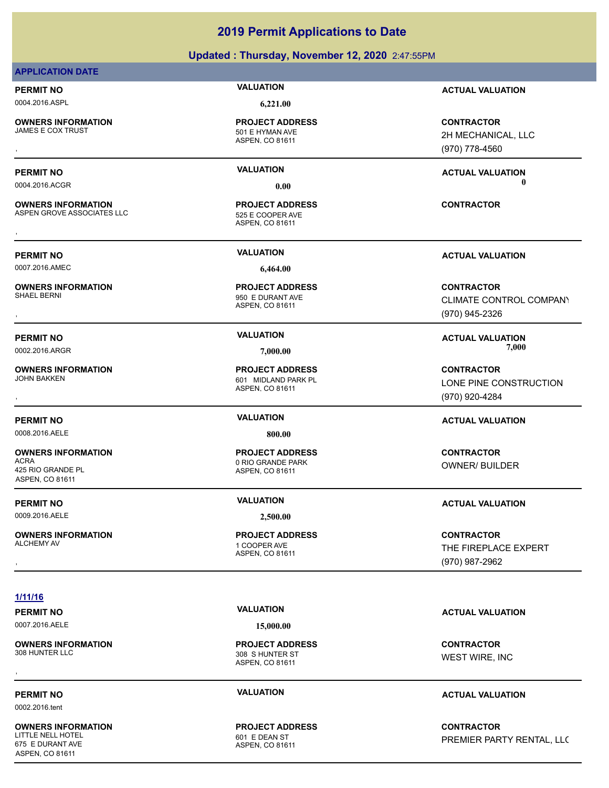# **Updated : Thursday, November 12, 2020** 2:47:55PM **2019 Permit Applications to Date**

### **APPLICATION DATE**

0004.2016.ASPL **6,221.00**

**OWNERS INFORMATION**

**OWNERS INFORMATION**

**OWNERS INFORMATION**

**OWNERS INFORMATION**

**OWNERS INFORMATION**

**OWNERS INFORMATION**

425 RIO GRANDE PL ASPEN, CO 81611

**PROJECT ADDRESS**

ASPEN, CO 81611 501 E HYMAN AVE

ASPEN, CO 81611 ASPEN GROVE ASSOCIATES LLC<br>525 E COOPER AVE **PROJECT ADDRESS OWNERS INFORMATION LEADURED SECUTE OF A PROJECT ADDRESS ARE:**<br>ASPEN GROVE ASSOCIATES LLC **A PROSECUTE A PASS A SPEN**, CO 81611<br>ASPEN, CO 81611

0007.2016.AMEC **6,464.00**

ASPEN, CO 81611 950 E DURANT AVE **PROJECT ADDRESS**

ASPEN, CO 81611 601 MIDLAND PARK PL

0008.2016.AELE 800.000 **800.00** 

ASPEN, CO 81611 ACRA 0 RIO GRANDE PARK

**PERMIT NO VALUATION ACTUAL VALUATION**

, **CONTRACTOR** 2H MECHANICAL, LLC (970) 778-4560

**PERMIT NO VALUATION ACTUAL VALUATION** 0004.2016.ACGR **0.00 0.00**

**PERMIT NO VALUATION ACTUAL VALUATION**

, **CONTRACTOR** CLIMATE CONTROL COMPANY (970) 945-2326

PERMIT NO **SALUATION VALUATION CONSIDERENT INCLUSION CONSIDERENT INCLUSION CONSIDERENT INCLUSION** 0002.2016.ARGR **7,000.00 7,000.00**

, **CONTRACTOR** LONE PINE CONSTRUCTION (970) 920-4284

# **PERMIT NO VALUATION ACTUAL VALUATION**

**CONTRACTOR** OWNER/ BUILDER

# **PERMIT NO VALUATION ACTUAL VALUATION**

, **CONTRACTOR** THE FIREPLACE EXPERT (970) 987-2962

# **1/11/16**

0007.2016.AELE **15,000.00**

**OWNERS INFORMATION**<br>308 HUNTER LLC

0002.2016.tent

**OWNERS INFORMATION** LITTLE NELL HOTEL **AND THE STATE OF A STATE OF A ST** 601 E DEAN ST 675 E DURANT AVE ASPEN, CO 81611

ASPEN, CO 81611 308 S HUNTER ST **PROJECT ADDRESS OWNERS INFORMATION FROJECT ADDRESS CONTRACTOR**<br>308 SHUNTER LLC 308 SHUNTER ST MEST WIRE, INC<br>ASPEN. CO 81611<br>,

ASPEN, CO 81611 **PROJECT ADDRESS**

# **PERMIT NO VALUATION ACTUAL VALUATION**

WEST WIRE, INC

# **PERMIT NO VALUATION ACTUAL VALUATION**

**CONTRACTOR** PREMIER PARTY RENTAL, LLC

**PROJECT ADDRESS**

**PROJECT ADDRESS**

0009.2016.AELE **2,500.00**

ASPEN, CO 81611 1 COOPER AVE **PROJECT ADDRESS**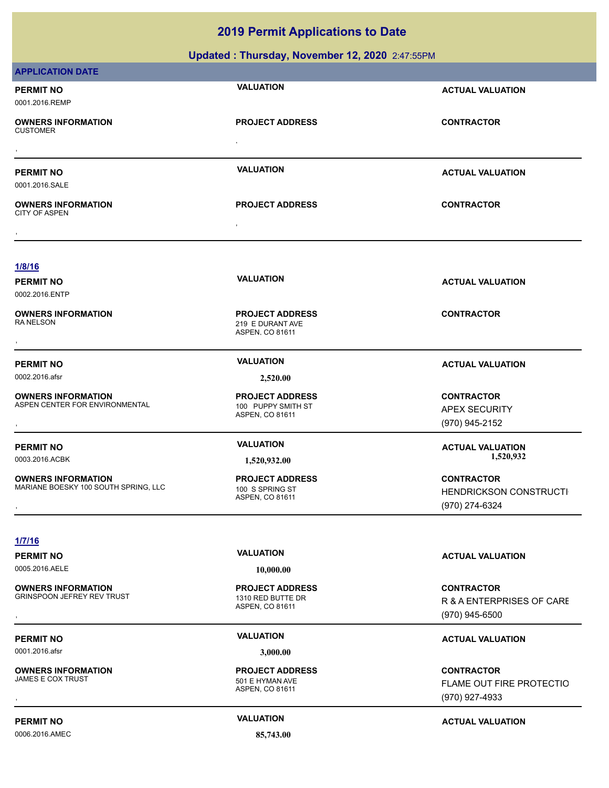**Updated : Thursday, November 12, 2020** 2:47:55PM

| <b>APPLICATION DATE</b>                                                   |                                                                 |                                                                      |
|---------------------------------------------------------------------------|-----------------------------------------------------------------|----------------------------------------------------------------------|
| <b>PERMIT NO</b><br>0001.2016.REMP                                        | <b>VALUATION</b>                                                | <b>ACTUAL VALUATION</b>                                              |
| <b>OWNERS INFORMATION</b><br><b>CUSTOMER</b>                              | <b>PROJECT ADDRESS</b><br>$\cdot$                               | <b>CONTRACTOR</b>                                                    |
| <b>PERMIT NO</b>                                                          | <b>VALUATION</b>                                                | <b>ACTUAL VALUATION</b>                                              |
| 0001.2016.SALE                                                            |                                                                 |                                                                      |
| <b>OWNERS INFORMATION</b><br><b>CITY OF ASPEN</b>                         | <b>PROJECT ADDRESS</b>                                          | <b>CONTRACTOR</b>                                                    |
| 1/8/16                                                                    |                                                                 |                                                                      |
| <b>PERMIT NO</b><br>0002.2016.ENTP                                        | <b>VALUATION</b>                                                | <b>ACTUAL VALUATION</b>                                              |
| <b>OWNERS INFORMATION</b><br><b>RANELSON</b>                              | <b>PROJECT ADDRESS</b><br>219 E DURANT AVE<br>ASPEN, CO 81611   | <b>CONTRACTOR</b>                                                    |
| <b>PERMIT NO</b>                                                          | <b>VALUATION</b>                                                | <b>ACTUAL VALUATION</b>                                              |
| 0002.2016.afsr                                                            | 2,520.00                                                        |                                                                      |
| <b>OWNERS INFORMATION</b><br>ASPEN CENTER FOR ENVIRONMENTAL               | <b>PROJECT ADDRESS</b><br>100 PUPPY SMITH ST<br>ASPEN, CO 81611 | <b>CONTRACTOR</b><br><b>APEX SECURITY</b><br>(970) 945-2152          |
| <b>PERMIT NO</b><br>0003.2016.ACBK                                        | <b>VALUATION</b><br>1,520,932.00                                | <b>ACTUAL VALUATION</b><br>1,520,932                                 |
| <b>OWNERS INFORMATION</b><br>MARIANE BOESKY 100 SOUTH SPRING, LLC<br>$\,$ | <b>PROJECT ADDRESS</b><br>100 S SPRING ST<br>ASPEN, CO 81611    | <b>CONTRACTOR</b><br><b>HENDRICKSON CONSTRUCTI</b><br>(970) 274-6324 |
| 1/7/16                                                                    |                                                                 |                                                                      |
| <b>PERMIT NO</b>                                                          | <b>VALUATION</b>                                                | <b>ACTUAL VALUATION</b>                                              |
| 0005.2016.AELE                                                            | 10,000.00                                                       |                                                                      |
| <b>OWNERS INFORMATION</b><br><b>GRINSPOON JEFREY REV TRUST</b>            | <b>PROJECT ADDRESS</b><br>1310 RED BUTTE DR<br>ASPEN, CO 81611  | <b>CONTRACTOR</b><br>R & A ENTERPRISES OF CARE<br>(970) 945-6500     |
| <b>PERMIT NO</b>                                                          | <b>VALUATION</b>                                                | <b>ACTUAL VALUATION</b>                                              |
| 0001.2016.afsr                                                            | 3,000.00                                                        |                                                                      |
| <b>OWNERS INFORMATION</b><br><b>JAMES E COX TRUST</b>                     | <b>PROJECT ADDRESS</b><br>501 E HYMAN AVE<br>ASPEN, CO 81611    | <b>CONTRACTOR</b><br>FLAME OUT FIRE PROTECTIO<br>(970) 927-4933      |
| <b>PERMIT NO</b>                                                          | <b>VALUATION</b>                                                | <b>ACTUAL VALUATION</b>                                              |

0006.2016.AMEC **85,743.00**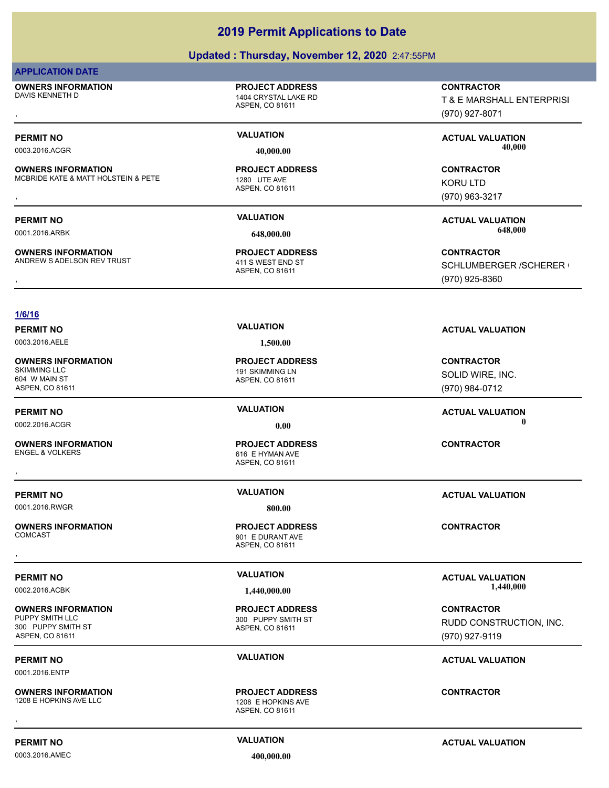# **Updated : Thursday, November 12, 2020** 2:47:55PM

### **APPLICATION DATE**

**OWNERS INFORMATION** DAVIS KENNETH D<br>1404 CRYSTAL LAKE RD

**OWNERS INFORMATION**

**OWNERS INFORMATION**

ASPEN, CO 81611

**PROJECT ADDRESS**

ASPEN, CO 81611 MCBRIDE KATE & MATT HOLSTEIN & PETE 1280 ITE AVE **PROJECT ADDRESS** , **CONTRACTOR**

ASPEN, CO 81611 ANDREW SADELSON REV TRUST 411 S WEST END ST **PROJECT ADDRESS**

, **CONTRACTOR** T & E MARSHALL ENTERPRISI (970) 927-8071

PERMIT NO **SALUATION VALUATION CONSIDERENT ACTUAL VALUATION** 0003.2016.ACGR **40,000.00 40,000.00**

> KORU LTD (970) 963-3217

**PERMIT NO VALUATION ACTUAL VALUATION** 0001.2016.ARBK **648,000.00 648,000.00**

**OWNERS INFORMATION CONTRACTOR EXAMPLE IN THE PROJECT ADDRESS CONTRACTOR CONTRACTOR**<br>ANDREW SADELSON REV TRUST THE MASPEN, COMBINITY OF SAMPLE SERVICE SOFT MASPEN, COMBINITY OF SOME SERVICE OF ASPEN<br>The Maspen, COMBINITY S SCHLUMBERGER / SCHERER ( (970) 925-8360

## **1/6/16**

**PERMIT NO VALUATION VALUATION VALUATION** 

**OWNERS INFORMATION** 604 W MAIN ST ASPEN, CO 81611

**PERMIT NO VALUATION ACTUAL VALUATION** 0002.2016.ACGR **0.00 0.00**

**OWNERS INFORMATION**

0001.2016.RWGR **800.0001.2016.RWGR** 

**OWNERS INFORMATION**

**OWNERS INFORMATION** 300 PUPPY SMITH ST ASPEN, CO 81611

0001.2016.ENTP

**OWNERS INFORMATION**

0003.2016.AELE **1,500.00**

ASPEN, CO 81611 191 SKIMMING LN **PROJECT ADDRESS**

ASPEN, CO 81611 616 E HYMAN AVE **PROJECT ADDRESS** , **CONTRACTOR**

ASPEN, CO 81611 901 E DURANT AVE **PROJECT ADDRESS** , **CONTRACTOR**

ASPEN, CO 81611 300 PUPPY SMITH ST **PROJECT ADDRESS**

ASPEN, CO 81611 1208 E HOPKINS AVE **PROJECT ADDRESS OWNERS INFORMATION CONTRACTOR REPORT OF PROJECT ADDRESS CONTRACTOR CONTRACTOR**<br>1208 E HOPKINS AVE LLC CONTRACTOR<br>ASPEN. CO 81611

**PERMIT NO VALUATION ACTUAL VALUATION**

**CONTRACTOR** SOLID WIRE, INC. (970) 984-0712

**PERMIT NO VALUATION ACTUAL VALUATION** 0002.2016.ACBK **1,440,000.00 1,440,000.00**

> **CONTRACTOR** RUDD CONSTRUCTION, INC. (970) 927-9119

# **PERMIT NO VALUATION ACTUAL VALUATION**

**PERMIT NO CONSUMITY ACTUAL VALUATION VALUATION VALUATION** 

0003.2016.AMEC **400,000.00**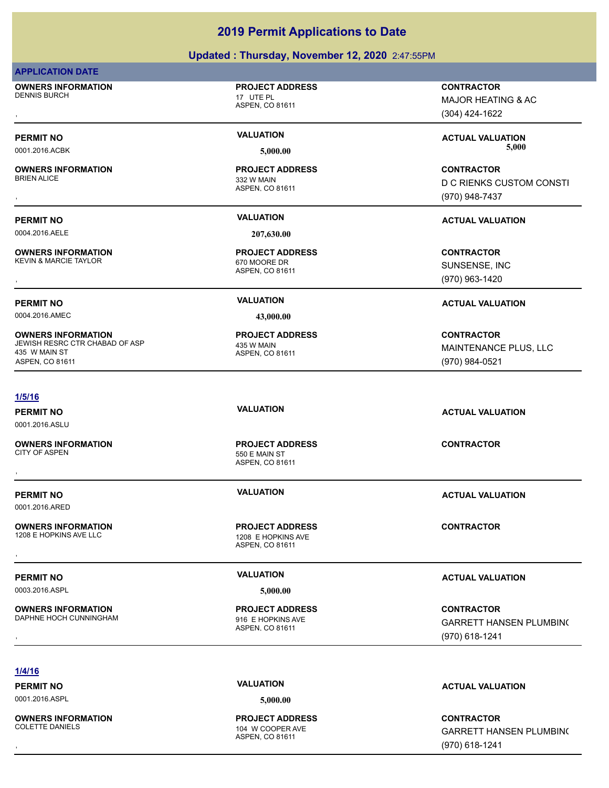# **Updated : Thursday, November 12, 2020** 2:47:55PM

### **APPLICATION DATE**

**OWNERS INFORMATION** DENNIS BURCH 17 UTE PL

**OWNERS INFORMATION**

0004.2016.AELE **207,630.00**

**OWNERS INFORMATION** KEVIN & MARCIE TAYLOR 670 MOORE DR

0004.2016.AMEC **43,000.00**

**OWNERS INFORMATION** JEWISH RESRC CTR CHABAD OF ASP 435 W MAIN 435 W MAIN ST ASPEN, CO 81611

### **1/5/16**

0001.2016.ASLU

**OWNERS INFORMATION**

0001.2016.ARED

**OWNERS INFORMATION** 1208 E HOPKINS AVE LLC<br>
1208 E HOPKINS AVE

0003.2016.ASPL **5,000.00**

**OWNERS INFORMATION** DAPHNE HOCH CUNNINGHAM 916 E HOPKINS AVE

ASPEN, CO 81611

**PROJECT ADDRESS**

ASPEN, CO 81611 BRIEN ALICE **All and the set of the set of the set of the set of the set of the set of the set of the set of the set of the set of the set of the set of the set of the set of the set of the set of the set of the set of the PROJECT ADDRESS**

ASPEN, CO 81611 **PROJECT ADDRESS**

ASPEN, CO 81611 **PROJECT ADDRESS**

, **CONTRACTOR** MAJOR HEATING & AC (304) 424-1622

PERMIT NO **SPERMIT NO VALUATION CONSIDERENT ACTUAL VALUATION ACTUAL VALUATION** 0001.2016.ACBK **5,000.00 5,000.00**

, **CONTRACTOR D C RIENKS CUSTOM CONSTI** (970) 948-7437

# **PERMIT NO VALUATION ACTUAL VALUATION**

, **CONTRACTOR** SUNSENSE, INC (970) 963-1420

# **PERMIT NO VALUATION ACTUAL VALUATION**

**CONTRACTOR** MAINTENANCE PLUS, LLC (970) 984-0521

ASPEN, CO 81611 550 E MAIN ST **PROJECT ADDRESS** , **CONTRACTOR**

ASPEN, CO 81611 **PROJECT ADDRESS** , **CONTRACTOR**

ASPEN, CO 81611 **PROJECT ADDRESS**

**PERMIT NO VALUATION ACTUAL VALUATION**

**PERMIT NO VALUATION ACTUAL VALUATION**

**PERMIT NO VALUATION ACTUAL VALUATION**

**OWNERS INFORMATION PROJECT ADDRESS CONTRACTOR**<br>DAPHNE HOCH CUNNINGHAM 916 E HOPKINS AVE GARRETT HANSEN PLUMBIN(<br>, ASPEN. CO 81611 GARRETT HANSEN PLUMBING (970) 618-1241

**1/4/16**

0001.2016.ASPL **5,000.00**

**OWNERS INFORMATION**

ASPEN, CO 81611 104 W COOPER AVE **PROJECT ADDRESS**

**PERMIT NO VALUATION ACTUAL VALUATION**

**OWNERS INFORMATION PROJECT ADDRESS CONTRACTOR**<br>COLETTE DANIELS 104 W COOPER AVE GARRETT HANSEN PLUMBIN(<br>, ASPEN. CO 81611 GARRETT HANSEN PLUMBING (970) 618-1241